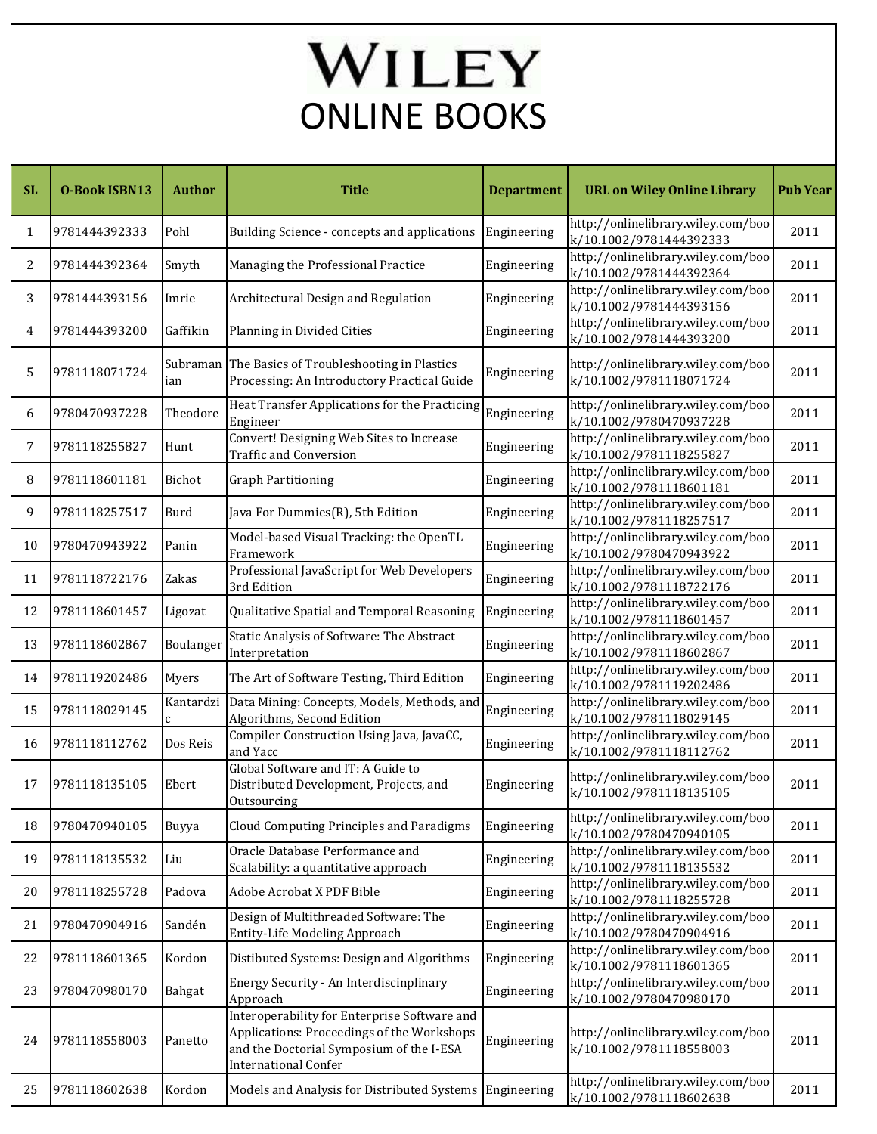## l ONLINE BOOKS

| <b>SL</b>      | <b>O-Book ISBN13</b> | <b>Author</b> | <b>Title</b>                                                                                                                                                          | <b>Department</b> | <b>URL on Wiley Online Library</b>                            | <b>Pub Year</b> |
|----------------|----------------------|---------------|-----------------------------------------------------------------------------------------------------------------------------------------------------------------------|-------------------|---------------------------------------------------------------|-----------------|
| 1              | 9781444392333        | Pohl          | Building Science - concepts and applications                                                                                                                          | Engineering       | http://onlinelibrary.wiley.com/boo<br>k/10.1002/9781444392333 | 2011            |
| $\overline{2}$ | 9781444392364        | Smyth         | Managing the Professional Practice                                                                                                                                    | Engineering       | http://onlinelibrary.wiley.com/boo<br>k/10.1002/9781444392364 | 2011            |
| 3              | 9781444393156        | Imrie         | Architectural Design and Regulation                                                                                                                                   | Engineering       | http://onlinelibrary.wiley.com/boo<br>k/10.1002/9781444393156 | 2011            |
| 4              | 9781444393200        | Gaffikin      | Planning in Divided Cities                                                                                                                                            | Engineering       | http://onlinelibrary.wiley.com/boo<br>k/10.1002/9781444393200 | 2011            |
| 5              | 9781118071724        | ian           | Subraman The Basics of Troubleshooting in Plastics<br>Processing: An Introductory Practical Guide                                                                     | Engineering       | http://onlinelibrary.wiley.com/boo<br>k/10.1002/9781118071724 | 2011            |
| 6              | 9780470937228        | Theodore      | Heat Transfer Applications for the Practicing<br>Engineer                                                                                                             | Engineering       | http://onlinelibrary.wiley.com/boo<br>k/10.1002/9780470937228 | 2011            |
| 7              | 9781118255827        | Hunt          | Convert! Designing Web Sites to Increase<br><b>Traffic and Conversion</b>                                                                                             | Engineering       | http://onlinelibrary.wiley.com/boo<br>k/10.1002/9781118255827 | 2011            |
| 8              | 9781118601181        | Bichot        | <b>Graph Partitioning</b>                                                                                                                                             | Engineering       | http://onlinelibrary.wiley.com/boo<br>k/10.1002/9781118601181 | 2011            |
| 9              | 9781118257517        | Burd          | Java For Dummies(R), 5th Edition                                                                                                                                      | Engineering       | http://onlinelibrary.wiley.com/boo<br>k/10.1002/9781118257517 | 2011            |
| 10             | 9780470943922        | Panin         | Model-based Visual Tracking: the OpenTL<br>Framework                                                                                                                  | Engineering       | http://onlinelibrary.wiley.com/boo<br>k/10.1002/9780470943922 | 2011            |
| 11             | 9781118722176        | Zakas         | Professional JavaScript for Web Developers<br>3rd Edition                                                                                                             | Engineering       | http://onlinelibrary.wiley.com/boo<br>k/10.1002/9781118722176 | 2011            |
| 12             | 9781118601457        | Ligozat       | Qualitative Spatial and Temporal Reasoning                                                                                                                            | Engineering       | http://onlinelibrary.wiley.com/boo<br>k/10.1002/9781118601457 | 2011            |
| 13             | 9781118602867        | Boulanger     | Static Analysis of Software: The Abstract<br>Interpretation                                                                                                           | Engineering       | http://onlinelibrary.wiley.com/boo<br>k/10.1002/9781118602867 | 2011            |
| 14             | 9781119202486        | Myers         | The Art of Software Testing, Third Edition                                                                                                                            | Engineering       | http://onlinelibrary.wiley.com/boo<br>k/10.1002/9781119202486 | 2011            |
| 15             | 9781118029145        | Kantardzi     | Data Mining: Concepts, Models, Methods, and<br>Algorithms, Second Edition                                                                                             | Engineering       | http://onlinelibrary.wiley.com/boo<br>k/10.1002/9781118029145 | 2011            |
| 16             | 9781118112762        | Dos Reis      | Compiler Construction Using Java, JavaCC,<br>and Yacc                                                                                                                 | Engineering       | http://onlinelibrary.wiley.com/boo<br>k/10.1002/9781118112762 | 2011            |
| 17             | 9781118135105        | Ebert         | Global Software and IT: A Guide to<br>Distributed Development, Projects, and<br>Outsourcing                                                                           | Engineering       | http://onlinelibrary.wiley.com/boo<br>k/10.1002/9781118135105 | 2011            |
| 18             | 9780470940105        | Buyya         | Cloud Computing Principles and Paradigms                                                                                                                              | Engineering       | http://onlinelibrary.wiley.com/boo<br>k/10.1002/9780470940105 | 2011            |
| 19             | 9781118135532        | Liu           | Oracle Database Performance and<br>Scalability: a quantitative approach                                                                                               | Engineering       | http://onlinelibrary.wiley.com/boo<br>k/10.1002/9781118135532 | 2011            |
| 20             | 9781118255728        | Padova        | Adobe Acrobat X PDF Bible                                                                                                                                             | Engineering       | http://onlinelibrary.wiley.com/boo<br>k/10.1002/9781118255728 | 2011            |
| 21             | 9780470904916        | Sandén        | Design of Multithreaded Software: The<br>Entity-Life Modeling Approach                                                                                                | Engineering       | http://onlinelibrary.wiley.com/boo<br>k/10.1002/9780470904916 | 2011            |
| 22             | 9781118601365        | Kordon        | Distibuted Systems: Design and Algorithms                                                                                                                             | Engineering       | http://onlinelibrary.wiley.com/boo<br>k/10.1002/9781118601365 | 2011            |
| 23             | 9780470980170        | Bahgat        | Energy Security - An Interdiscinplinary<br>Approach                                                                                                                   | Engineering       | http://onlinelibrary.wiley.com/boo<br>k/10.1002/9780470980170 | 2011            |
| 24             | 9781118558003        | Panetto       | Interoperability for Enterprise Software and<br>Applications: Proceedings of the Workshops<br>and the Doctorial Symposium of the I-ESA<br><b>International Confer</b> | Engineering       | http://onlinelibrary.wiley.com/boo<br>k/10.1002/9781118558003 | 2011            |
| 25             | 9781118602638        | Kordon        | Models and Analysis for Distributed Systems                                                                                                                           | Engineering       | http://onlinelibrary.wiley.com/boo<br>k/10.1002/9781118602638 | 2011            |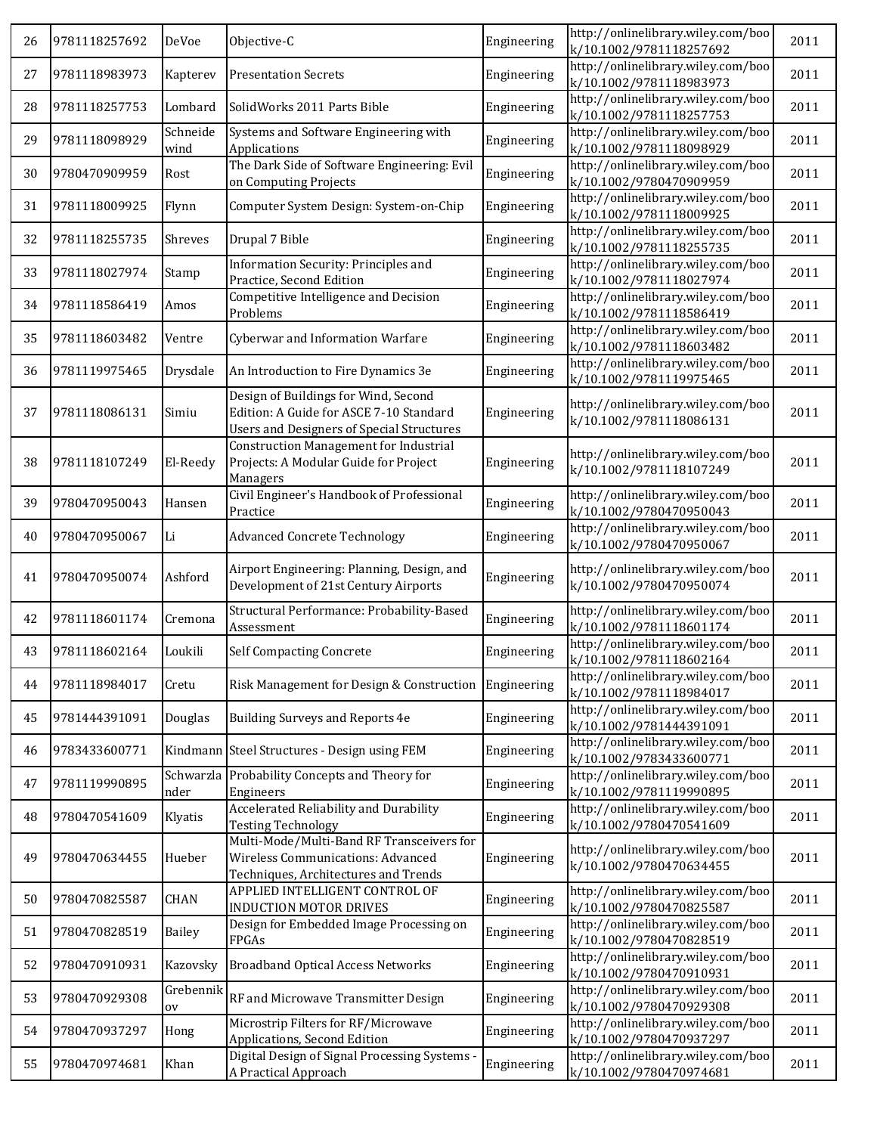| 26 | 9781118257692 | DeVoe             | Objective-C                                                                                                                         | Engineering | http://onlinelibrary.wiley.com/boo<br>k/10.1002/9781118257692 | 2011 |
|----|---------------|-------------------|-------------------------------------------------------------------------------------------------------------------------------------|-------------|---------------------------------------------------------------|------|
| 27 | 9781118983973 | Kapterev          | <b>Presentation Secrets</b>                                                                                                         | Engineering | http://onlinelibrary.wiley.com/boo<br>k/10.1002/9781118983973 | 2011 |
| 28 | 9781118257753 | Lombard           | SolidWorks 2011 Parts Bible                                                                                                         | Engineering | http://onlinelibrary.wiley.com/boo<br>k/10.1002/9781118257753 | 2011 |
| 29 | 9781118098929 | Schneide<br>wind  | Systems and Software Engineering with<br>Applications                                                                               | Engineering | http://onlinelibrary.wiley.com/boo<br>k/10.1002/9781118098929 | 2011 |
| 30 | 9780470909959 | Rost              | The Dark Side of Software Engineering: Evil<br>on Computing Projects                                                                | Engineering | http://onlinelibrary.wiley.com/boo<br>k/10.1002/9780470909959 | 2011 |
| 31 | 9781118009925 | Flynn             | Computer System Design: System-on-Chip                                                                                              | Engineering | http://onlinelibrary.wiley.com/boo<br>k/10.1002/9781118009925 | 2011 |
| 32 | 9781118255735 | Shreves           | Drupal 7 Bible                                                                                                                      | Engineering | http://onlinelibrary.wiley.com/boo<br>k/10.1002/9781118255735 | 2011 |
| 33 | 9781118027974 | Stamp             | Information Security: Principles and<br>Practice, Second Edition                                                                    | Engineering | http://onlinelibrary.wiley.com/boo<br>k/10.1002/9781118027974 | 2011 |
| 34 | 9781118586419 | Amos              | Competitive Intelligence and Decision<br>Problems                                                                                   | Engineering | http://onlinelibrary.wiley.com/boo<br>k/10.1002/9781118586419 | 2011 |
| 35 | 9781118603482 | Ventre            | Cyberwar and Information Warfare                                                                                                    | Engineering | http://onlinelibrary.wiley.com/boo<br>k/10.1002/9781118603482 | 2011 |
| 36 | 9781119975465 | Drysdale          | An Introduction to Fire Dynamics 3e                                                                                                 | Engineering | http://onlinelibrary.wiley.com/boo<br>k/10.1002/9781119975465 | 2011 |
| 37 | 9781118086131 | Simiu             | Design of Buildings for Wind, Second<br>Edition: A Guide for ASCE 7-10 Standard<br><b>Users and Designers of Special Structures</b> | Engineering | http://onlinelibrary.wiley.com/boo<br>k/10.1002/9781118086131 | 2011 |
| 38 | 9781118107249 | El-Reedy          | <b>Construction Management for Industrial</b><br>Projects: A Modular Guide for Project<br>Managers                                  | Engineering | http://onlinelibrary.wiley.com/boo<br>k/10.1002/9781118107249 | 2011 |
| 39 | 9780470950043 | Hansen            | Civil Engineer's Handbook of Professional<br>Practice                                                                               | Engineering | http://onlinelibrary.wiley.com/boo<br>k/10.1002/9780470950043 | 2011 |
| 40 | 9780470950067 | Li                | <b>Advanced Concrete Technology</b>                                                                                                 | Engineering | http://onlinelibrary.wiley.com/boo<br>k/10.1002/9780470950067 | 2011 |
| 41 | 9780470950074 | Ashford           | Airport Engineering: Planning, Design, and<br>Development of 21st Century Airports                                                  | Engineering | http://onlinelibrary.wiley.com/boo<br>k/10.1002/9780470950074 | 2011 |
| 42 | 9781118601174 | Cremona           | Structural Performance: Probability-Based<br>Assessment                                                                             | Engineering | http://onlinelibrary.wiley.com/boo<br>k/10.1002/9781118601174 | 2011 |
| 43 | 9781118602164 | Loukili           | <b>Self Compacting Concrete</b>                                                                                                     | Engineering | http://onlinelibrary.wiley.com/boo<br>k/10.1002/9781118602164 | 2011 |
| 44 | 9781118984017 | Cretu             | Risk Management for Design & Construction                                                                                           | Engineering | http://onlinelibrary.wiley.com/boo<br>k/10.1002/9781118984017 | 2011 |
| 45 | 9781444391091 | Douglas           | Building Surveys and Reports 4e                                                                                                     | Engineering | http://onlinelibrary.wiley.com/boo<br>k/10.1002/9781444391091 | 2011 |
| 46 | 9783433600771 |                   | Kindmann Steel Structures - Design using FEM                                                                                        | Engineering | http://onlinelibrary.wiley.com/boo<br>k/10.1002/9783433600771 | 2011 |
| 47 | 9781119990895 | Schwarzla<br>nder | Probability Concepts and Theory for<br>Engineers                                                                                    | Engineering | http://onlinelibrary.wiley.com/boo<br>k/10.1002/9781119990895 | 2011 |
| 48 | 9780470541609 | Klyatis           | Accelerated Reliability and Durability<br><b>Testing Technology</b>                                                                 | Engineering | http://onlinelibrary.wiley.com/boo<br>k/10.1002/9780470541609 | 2011 |
| 49 | 9780470634455 | Hueber            | Multi-Mode/Multi-Band RF Transceivers for<br>Wireless Communications: Advanced<br>Techniques, Architectures and Trends              | Engineering | http://onlinelibrary.wiley.com/boo<br>k/10.1002/9780470634455 | 2011 |
| 50 | 9780470825587 | CHAN              | APPLIED INTELLIGENT CONTROL OF<br>INDUCTION MOTOR DRIVES                                                                            | Engineering | http://onlinelibrary.wiley.com/boo<br>k/10.1002/9780470825587 | 2011 |
| 51 | 9780470828519 | <b>Bailey</b>     | Design for Embedded Image Processing on<br>FPGAs                                                                                    | Engineering | http://onlinelibrary.wiley.com/boo<br>k/10.1002/9780470828519 | 2011 |
| 52 | 9780470910931 | Kazovsky          | <b>Broadband Optical Access Networks</b>                                                                                            | Engineering | http://onlinelibrary.wiley.com/boo<br>k/10.1002/9780470910931 | 2011 |
| 53 | 9780470929308 | Grebennik<br>ov   | RF and Microwave Transmitter Design                                                                                                 | Engineering | http://onlinelibrary.wiley.com/boo<br>k/10.1002/9780470929308 | 2011 |
| 54 | 9780470937297 | Hong              | Microstrip Filters for RF/Microwave<br>Applications, Second Edition                                                                 | Engineering | http://onlinelibrary.wiley.com/boo<br>k/10.1002/9780470937297 | 2011 |
| 55 | 9780470974681 | Khan              | Digital Design of Signal Processing Systems -<br>A Practical Approach                                                               | Engineering | http://onlinelibrary.wiley.com/boo<br>k/10.1002/9780470974681 | 2011 |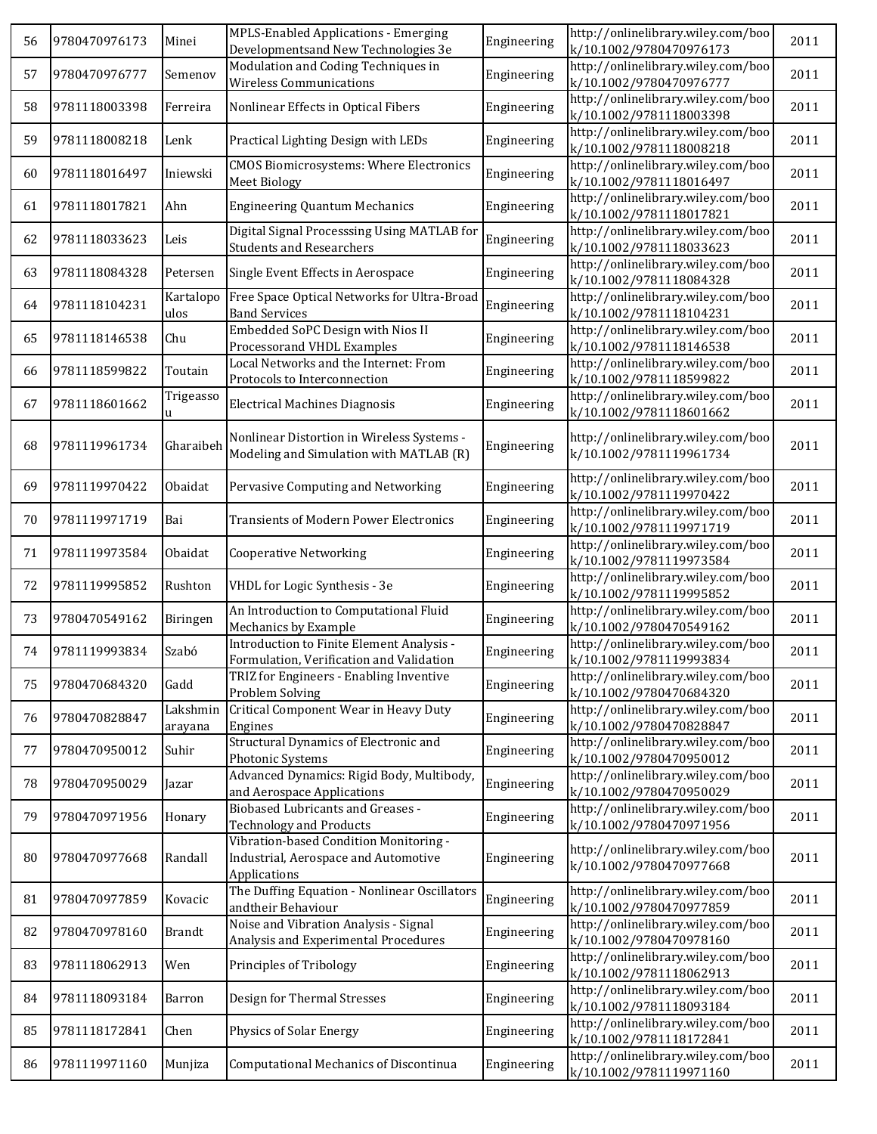| 56 | 9780470976173 | Minei               | MPLS-Enabled Applications - Emerging<br>Developmentsand New Technologies 3e                    | Engineering | http://onlinelibrary.wiley.com/boo<br>k/10.1002/9780470976173 | 2011 |
|----|---------------|---------------------|------------------------------------------------------------------------------------------------|-------------|---------------------------------------------------------------|------|
| 57 | 9780470976777 | Semenov             | Modulation and Coding Techniques in<br><b>Wireless Communications</b>                          | Engineering | http://onlinelibrary.wiley.com/boo<br>k/10.1002/9780470976777 | 2011 |
| 58 | 9781118003398 | Ferreira            | Nonlinear Effects in Optical Fibers                                                            | Engineering | http://onlinelibrary.wiley.com/boo<br>k/10.1002/9781118003398 | 2011 |
| 59 | 9781118008218 | Lenk                | Practical Lighting Design with LEDs                                                            | Engineering | http://onlinelibrary.wiley.com/boo<br>k/10.1002/9781118008218 | 2011 |
| 60 | 9781118016497 | Iniewski            | <b>CMOS Biomicrosystems: Where Electronics</b><br><b>Meet Biology</b>                          | Engineering | http://onlinelibrary.wiley.com/boo<br>k/10.1002/9781118016497 | 2011 |
| 61 | 9781118017821 | Ahn                 | <b>Engineering Quantum Mechanics</b>                                                           | Engineering | http://onlinelibrary.wiley.com/boo<br>k/10.1002/9781118017821 | 2011 |
| 62 | 9781118033623 | Leis                | Digital Signal Processsing Using MATLAB for<br><b>Students and Researchers</b>                 | Engineering | http://onlinelibrary.wiley.com/boo<br>k/10.1002/9781118033623 | 2011 |
| 63 | 9781118084328 | Petersen            | Single Event Effects in Aerospace                                                              | Engineering | http://onlinelibrary.wiley.com/boo<br>k/10.1002/9781118084328 | 2011 |
| 64 | 9781118104231 | Kartalopo<br>ulos   | Free Space Optical Networks for Ultra-Broad<br><b>Band Services</b>                            | Engineering | http://onlinelibrary.wiley.com/boo<br>k/10.1002/9781118104231 | 2011 |
| 65 | 9781118146538 | Chu                 | Embedded SoPC Design with Nios II<br>Processorand VHDL Examples                                | Engineering | http://onlinelibrary.wiley.com/boo<br>k/10.1002/9781118146538 | 2011 |
| 66 | 9781118599822 | Toutain             | Local Networks and the Internet: From<br>Protocols to Interconnection                          | Engineering | http://onlinelibrary.wiley.com/boo<br>k/10.1002/9781118599822 | 2011 |
| 67 | 9781118601662 | Trigeasso<br>u      | <b>Electrical Machines Diagnosis</b>                                                           | Engineering | http://onlinelibrary.wiley.com/boo<br>k/10.1002/9781118601662 | 2011 |
| 68 | 9781119961734 | Gharaibeh           | Nonlinear Distortion in Wireless Systems -<br>Modeling and Simulation with MATLAB (R)          | Engineering | http://onlinelibrary.wiley.com/boo<br>k/10.1002/9781119961734 | 2011 |
| 69 | 9781119970422 | Obaidat             | Pervasive Computing and Networking                                                             | Engineering | http://onlinelibrary.wiley.com/boo<br>k/10.1002/9781119970422 | 2011 |
| 70 | 9781119971719 | Bai                 | <b>Transients of Modern Power Electronics</b>                                                  | Engineering | http://onlinelibrary.wiley.com/boo<br>k/10.1002/9781119971719 | 2011 |
| 71 | 9781119973584 | Obaidat             | <b>Cooperative Networking</b>                                                                  | Engineering | http://onlinelibrary.wiley.com/boo<br>k/10.1002/9781119973584 | 2011 |
| 72 | 9781119995852 | Rushton             | VHDL for Logic Synthesis - 3e                                                                  | Engineering | http://onlinelibrary.wiley.com/boo<br>k/10.1002/9781119995852 | 2011 |
| 73 | 9780470549162 | Biringen            | An Introduction to Computational Fluid<br>Mechanics by Example                                 | Engineering | http://onlinelibrary.wiley.com/boo<br>k/10.1002/9780470549162 | 2011 |
| 74 | 9781119993834 | Szabó               | Introduction to Finite Element Analysis -<br>Formulation, Verification and Validation          | Engineering | http://onlinelibrary.wiley.com/boo<br>k/10.1002/9781119993834 | 2011 |
| 75 | 9780470684320 | Gadd                | TRIZ for Engineers - Enabling Inventive<br>Problem Solving                                     | Engineering | http://onlinelibrary.wiley.com/boo<br>k/10.1002/9780470684320 | 2011 |
| 76 | 9780470828847 | Lakshmin<br>arayana | Critical Component Wear in Heavy Duty<br>Engines                                               | Engineering | http://onlinelibrary.wiley.com/boo<br>k/10.1002/9780470828847 | 2011 |
| 77 | 9780470950012 | Suhir               | Structural Dynamics of Electronic and<br>Photonic Systems                                      | Engineering | http://onlinelibrary.wiley.com/boo<br>k/10.1002/9780470950012 | 2011 |
| 78 | 9780470950029 | Jazar               | Advanced Dynamics: Rigid Body, Multibody,<br>and Aerospace Applications                        | Engineering | http://onlinelibrary.wiley.com/boo<br>k/10.1002/9780470950029 | 2011 |
| 79 | 9780470971956 | Honary              | <b>Biobased Lubricants and Greases -</b><br><b>Technology and Products</b>                     | Engineering | http://onlinelibrary.wiley.com/boo<br>k/10.1002/9780470971956 | 2011 |
| 80 | 9780470977668 | Randall             | Vibration-based Condition Monitoring -<br>Industrial, Aerospace and Automotive<br>Applications | Engineering | http://onlinelibrary.wiley.com/boo<br>k/10.1002/9780470977668 | 2011 |
| 81 | 9780470977859 | Kovacic             | The Duffing Equation - Nonlinear Oscillators<br>andtheir Behaviour                             | Engineering | http://onlinelibrary.wiley.com/boo<br>k/10.1002/9780470977859 | 2011 |
| 82 | 9780470978160 | <b>Brandt</b>       | Noise and Vibration Analysis - Signal<br>Analysis and Experimental Procedures                  | Engineering | http://onlinelibrary.wiley.com/boo<br>k/10.1002/9780470978160 | 2011 |
| 83 | 9781118062913 | Wen                 | Principles of Tribology                                                                        | Engineering | http://onlinelibrary.wiley.com/boo<br>k/10.1002/9781118062913 | 2011 |
| 84 | 9781118093184 | Barron              | Design for Thermal Stresses                                                                    | Engineering | http://onlinelibrary.wiley.com/boo<br>k/10.1002/9781118093184 | 2011 |
| 85 | 9781118172841 | Chen                | Physics of Solar Energy                                                                        | Engineering | http://onlinelibrary.wiley.com/boo<br>k/10.1002/9781118172841 | 2011 |
| 86 | 9781119971160 | Munjiza             | Computational Mechanics of Discontinua                                                         | Engineering | http://onlinelibrary.wiley.com/boo<br>k/10.1002/9781119971160 | 2011 |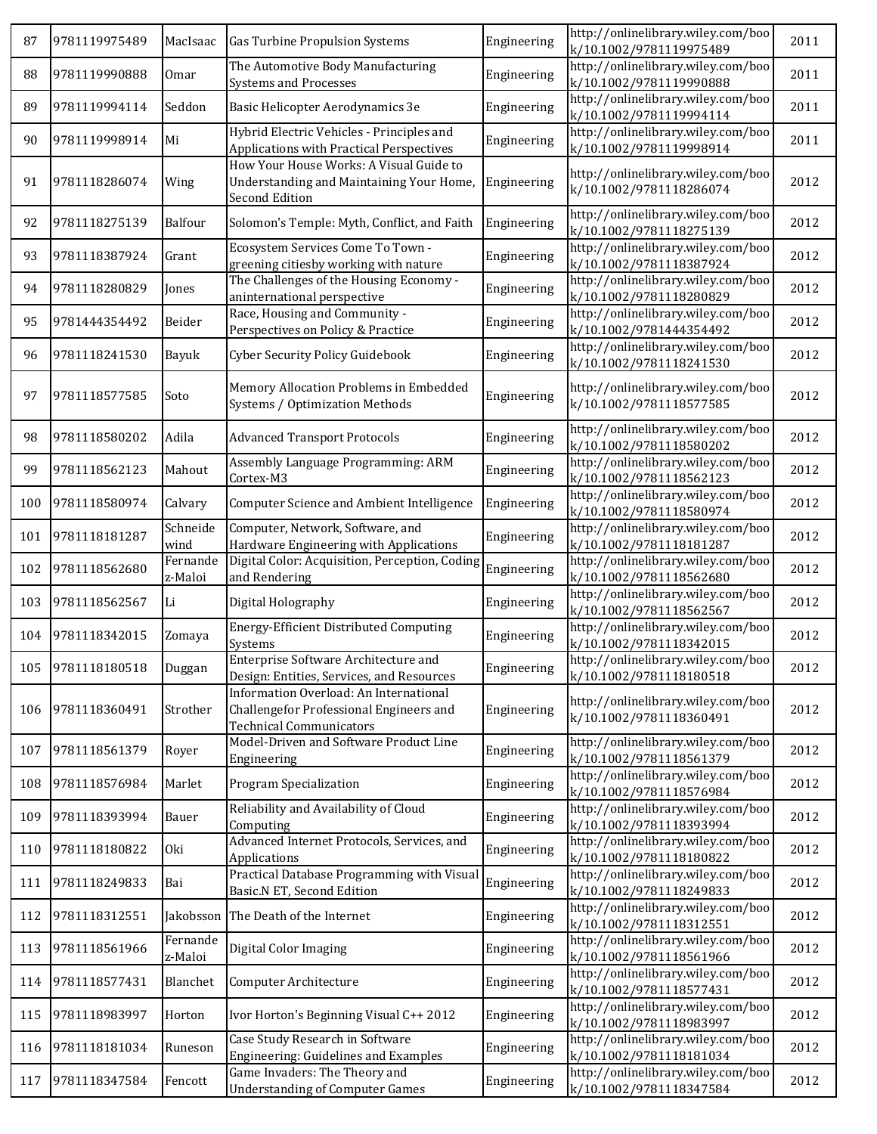| 87  | 9781119975489     | MacIsaac            | Gas Turbine Propulsion Systems                                                                                      | Engineering | http://onlinelibrary.wiley.com/boo<br>k/10.1002/9781119975489 | 2011 |
|-----|-------------------|---------------------|---------------------------------------------------------------------------------------------------------------------|-------------|---------------------------------------------------------------|------|
| 88  | 9781119990888     | 0 <sub>mar</sub>    | The Automotive Body Manufacturing<br><b>Systems and Processes</b>                                                   | Engineering | http://onlinelibrary.wiley.com/boo<br>k/10.1002/9781119990888 | 2011 |
| 89  | 9781119994114     | Seddon              | Basic Helicopter Aerodynamics 3e                                                                                    | Engineering | http://onlinelibrary.wiley.com/boo<br>k/10.1002/9781119994114 | 2011 |
| 90  | 9781119998914     | Mi                  | Hybrid Electric Vehicles - Principles and<br>Applications with Practical Perspectives                               | Engineering | http://onlinelibrary.wiley.com/boo<br>k/10.1002/9781119998914 | 2011 |
| 91  | 9781118286074     | Wing                | How Your House Works: A Visual Guide to<br>Understanding and Maintaining Your Home,<br><b>Second Edition</b>        | Engineering | http://onlinelibrary.wiley.com/boo<br>k/10.1002/9781118286074 | 2012 |
| 92  | 9781118275139     | Balfour             | Solomon's Temple: Myth, Conflict, and Faith                                                                         | Engineering | http://onlinelibrary.wiley.com/boo<br>k/10.1002/9781118275139 | 2012 |
| 93  | 9781118387924     | Grant               | Ecosystem Services Come To Town -<br>greening citiesby working with nature                                          | Engineering | http://onlinelibrary.wiley.com/boo<br>k/10.1002/9781118387924 | 2012 |
| 94  | 9781118280829     | Jones               | The Challenges of the Housing Economy -<br>aninternational perspective                                              | Engineering | http://onlinelibrary.wiley.com/boo<br>k/10.1002/9781118280829 | 2012 |
| 95  | 9781444354492     | Beider              | Race, Housing and Community -<br>Perspectives on Policy & Practice                                                  | Engineering | http://onlinelibrary.wiley.com/boo<br>k/10.1002/9781444354492 | 2012 |
| 96  | 9781118241530     | Bayuk               | Cyber Security Policy Guidebook                                                                                     | Engineering | http://onlinelibrary.wiley.com/boo<br>k/10.1002/9781118241530 | 2012 |
| 97  | 9781118577585     | Soto                | Memory Allocation Problems in Embedded<br>Systems / Optimization Methods                                            | Engineering | http://onlinelibrary.wiley.com/boo<br>k/10.1002/9781118577585 | 2012 |
| 98  | 9781118580202     | Adila               | <b>Advanced Transport Protocols</b>                                                                                 | Engineering | http://onlinelibrary.wiley.com/boo<br>k/10.1002/9781118580202 | 2012 |
| 99  | 9781118562123     | Mahout              | Assembly Language Programming: ARM<br>Cortex-M3                                                                     | Engineering | http://onlinelibrary.wiley.com/boo<br>k/10.1002/9781118562123 | 2012 |
| 100 | 9781118580974     | Calvary             | Computer Science and Ambient Intelligence                                                                           | Engineering | http://onlinelibrary.wiley.com/boo<br>k/10.1002/9781118580974 | 2012 |
| 101 | 9781118181287     | Schneide<br>wind    | Computer, Network, Software, and<br>Hardware Engineering with Applications                                          | Engineering | http://onlinelibrary.wiley.com/boo<br>k/10.1002/9781118181287 | 2012 |
| 102 | 9781118562680     | Fernande<br>z-Maloi | Digital Color: Acquisition, Perception, Coding<br>and Rendering                                                     | Engineering | http://onlinelibrary.wiley.com/boo<br>k/10.1002/9781118562680 | 2012 |
| 103 | 9781118562567     | Li                  | Digital Holography                                                                                                  | Engineering | http://onlinelibrary.wiley.com/boo<br>k/10.1002/9781118562567 | 2012 |
| 104 | 9781118342015     | Zomaya              | <b>Energy-Efficient Distributed Computing</b><br>Systems                                                            | Engineering | http://onlinelibrary.wiley.com/boo<br>k/10.1002/9781118342015 | 2012 |
|     | 105 9781118180518 | Duggan              | Enterprise Software Architecture and<br>Design: Entities, Services, and Resources                                   | Engineering | http://onlinelibrary.wiley.com/boo<br>k/10.1002/9781118180518 | 2012 |
| 106 | 9781118360491     | Strother            | Information Overload: An International<br>Challengefor Professional Engineers and<br><b>Technical Communicators</b> | Engineering | http://onlinelibrary.wiley.com/boo<br>k/10.1002/9781118360491 | 2012 |
| 107 | 9781118561379     | Royer               | Model-Driven and Software Product Line<br>Engineering                                                               | Engineering | http://onlinelibrary.wiley.com/boo<br>k/10.1002/9781118561379 | 2012 |
| 108 | 9781118576984     | Marlet              | <b>Program Specialization</b>                                                                                       | Engineering | http://onlinelibrary.wiley.com/boo<br>k/10.1002/9781118576984 | 2012 |
| 109 | 9781118393994     | Bauer               | Reliability and Availability of Cloud<br>Computing                                                                  | Engineering | http://onlinelibrary.wiley.com/boo<br>k/10.1002/9781118393994 | 2012 |
| 110 | 9781118180822     | 0ki                 | Advanced Internet Protocols, Services, and<br>Applications                                                          | Engineering | http://onlinelibrary.wiley.com/boo<br>k/10.1002/9781118180822 | 2012 |
| 111 | 9781118249833     | Bai                 | Practical Database Programming with Visual<br>Basic.N ET, Second Edition                                            | Engineering | http://onlinelibrary.wiley.com/boo<br>k/10.1002/9781118249833 | 2012 |
| 112 | 9781118312551     |                     | Jakobsson The Death of the Internet                                                                                 | Engineering | http://onlinelibrary.wiley.com/boo<br>k/10.1002/9781118312551 | 2012 |
| 113 | 9781118561966     | Fernande<br>z-Maloi | Digital Color Imaging                                                                                               | Engineering | http://onlinelibrary.wiley.com/boo<br>k/10.1002/9781118561966 | 2012 |
| 114 | 9781118577431     | Blanchet            | Computer Architecture                                                                                               | Engineering | http://onlinelibrary.wiley.com/boo<br>k/10.1002/9781118577431 | 2012 |
| 115 | 9781118983997     | Horton              | Ivor Horton's Beginning Visual C++ 2012                                                                             | Engineering | http://onlinelibrary.wiley.com/boo<br>k/10.1002/9781118983997 | 2012 |
| 116 | 9781118181034     | Runeson             | Case Study Research in Software<br>Engineering: Guidelines and Examples                                             | Engineering | http://onlinelibrary.wiley.com/boo<br>k/10.1002/9781118181034 | 2012 |
| 117 | 9781118347584     | Fencott             | Game Invaders: The Theory and<br><b>Understanding of Computer Games</b>                                             | Engineering | http://onlinelibrary.wiley.com/boo<br>k/10.1002/9781118347584 | 2012 |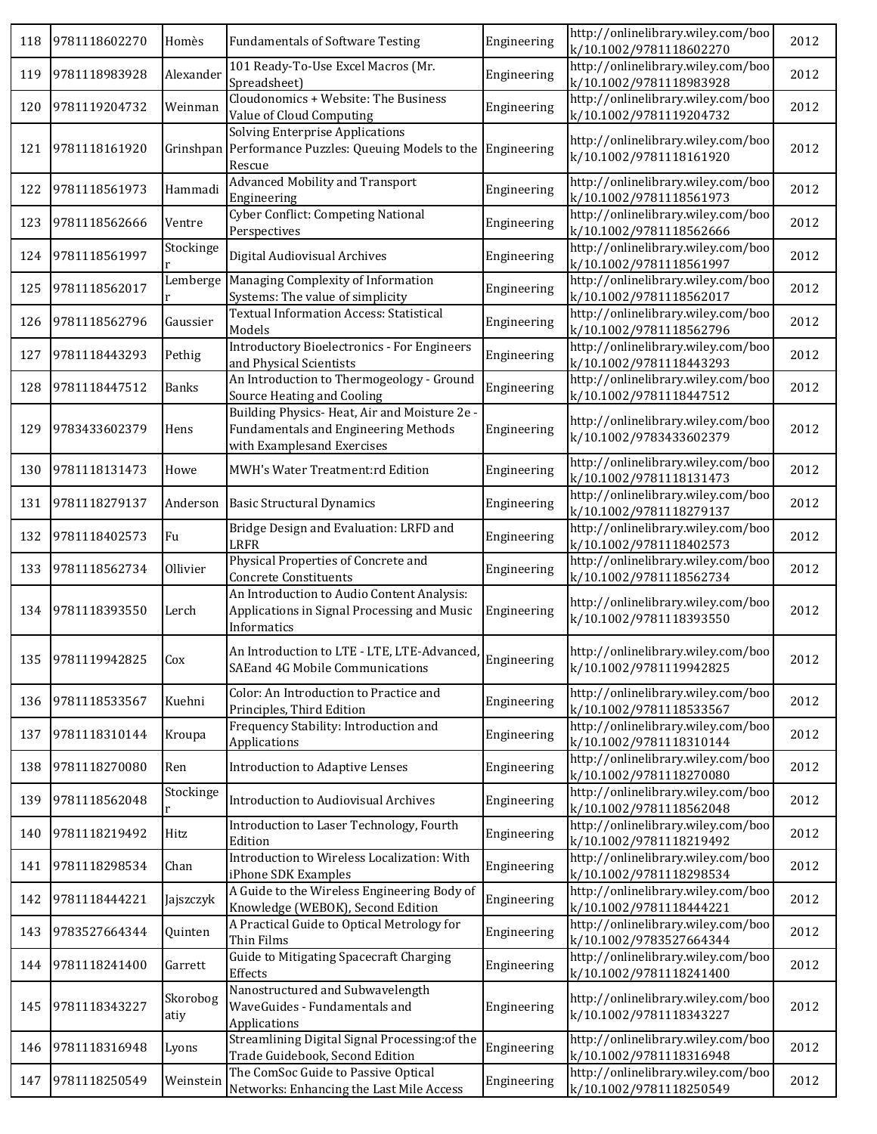| 118 | 9781118602270 | Homès            | <b>Fundamentals of Software Testing</b>                                                                            | Engineering | http://onlinelibrary.wiley.com/boo<br>k/10.1002/9781118602270 | 2012 |
|-----|---------------|------------------|--------------------------------------------------------------------------------------------------------------------|-------------|---------------------------------------------------------------|------|
| 119 | 9781118983928 | Alexander        | 101 Ready-To-Use Excel Macros (Mr.<br>Spreadsheet)                                                                 | Engineering | http://onlinelibrary.wiley.com/boo<br>k/10.1002/9781118983928 | 2012 |
| 120 | 9781119204732 | Weinman          | Cloudonomics + Website: The Business<br>Value of Cloud Computing                                                   | Engineering | http://onlinelibrary.wiley.com/boo<br>k/10.1002/9781119204732 | 2012 |
| 121 | 9781118161920 |                  | <b>Solving Enterprise Applications</b><br>Grinshpan Performance Puzzles: Queuing Models to the<br>Rescue           | Engineering | http://onlinelibrary.wiley.com/boo<br>k/10.1002/9781118161920 | 2012 |
| 122 | 9781118561973 | Hammadi          | Advanced Mobility and Transport<br>Engineering                                                                     | Engineering | http://onlinelibrary.wiley.com/boo<br>k/10.1002/9781118561973 | 2012 |
| 123 | 9781118562666 | Ventre           | Cyber Conflict: Competing National<br>Perspectives                                                                 | Engineering | http://onlinelibrary.wiley.com/boo<br>k/10.1002/9781118562666 | 2012 |
| 124 | 9781118561997 | Stockinge        | Digital Audiovisual Archives                                                                                       | Engineering | http://onlinelibrary.wiley.com/boo<br>k/10.1002/9781118561997 | 2012 |
| 125 | 9781118562017 | Lemberge         | Managing Complexity of Information<br>Systems: The value of simplicity                                             | Engineering | http://onlinelibrary.wiley.com/boo<br>k/10.1002/9781118562017 | 2012 |
| 126 | 9781118562796 | Gaussier         | <b>Textual Information Access: Statistical</b><br>Models                                                           | Engineering | http://onlinelibrary.wiley.com/boo<br>k/10.1002/9781118562796 | 2012 |
| 127 | 9781118443293 | Pethig           | Introductory Bioelectronics - For Engineers<br>and Physical Scientists                                             | Engineering | http://onlinelibrary.wiley.com/boo<br>k/10.1002/9781118443293 | 2012 |
| 128 | 9781118447512 | <b>Banks</b>     | An Introduction to Thermogeology - Ground<br>Source Heating and Cooling                                            | Engineering | http://onlinelibrary.wiley.com/boo<br>k/10.1002/9781118447512 | 2012 |
| 129 | 9783433602379 | Hens             | Building Physics-Heat, Air and Moisture 2e -<br>Fundamentals and Engineering Methods<br>with Examplesand Exercises | Engineering | http://onlinelibrary.wiley.com/boo<br>k/10.1002/9783433602379 | 2012 |
| 130 | 9781118131473 | Howe             | MWH's Water Treatment:rd Edition                                                                                   | Engineering | http://onlinelibrary.wiley.com/boo<br>k/10.1002/9781118131473 | 2012 |
| 131 | 9781118279137 | Anderson         | <b>Basic Structural Dynamics</b>                                                                                   | Engineering | http://onlinelibrary.wiley.com/boo<br>k/10.1002/9781118279137 | 2012 |
| 132 | 9781118402573 | Fu               | Bridge Design and Evaluation: LRFD and<br>LRFR                                                                     | Engineering | http://onlinelibrary.wiley.com/boo<br>k/10.1002/9781118402573 | 2012 |
| 133 | 9781118562734 | Ollivier         | Physical Properties of Concrete and<br>Concrete Constituents                                                       | Engineering | http://onlinelibrary.wiley.com/boo<br>k/10.1002/9781118562734 | 2012 |
| 134 | 9781118393550 | Lerch            | An Introduction to Audio Content Analysis:<br>Applications in Signal Processing and Music<br>Informatics           | Engineering | http://onlinelibrary.wiley.com/boo<br>k/10.1002/9781118393550 | 2012 |
| 135 | 9781119942825 | Cox              | An Introduction to LTE - LTE, LTE-Advanced,<br>SAEand 4G Mobile Communications                                     | Engineering | http://onlinelibrary.wiley.com/boo<br>k/10.1002/9781119942825 | 2012 |
| 136 | 9781118533567 | Kuehni           | Color: An Introduction to Practice and<br>Principles, Third Edition                                                | Engineering | http://onlinelibrary.wiley.com/boo<br>k/10.1002/9781118533567 | 2012 |
| 137 | 9781118310144 | Kroupa           | Frequency Stability: Introduction and<br>Applications                                                              | Engineering | http://onlinelibrary.wiley.com/boo<br>k/10.1002/9781118310144 | 2012 |
| 138 | 9781118270080 | Ren              | <b>Introduction to Adaptive Lenses</b>                                                                             | Engineering | http://onlinelibrary.wiley.com/boo<br>k/10.1002/9781118270080 | 2012 |
| 139 | 9781118562048 | Stockinge<br>r   | <b>Introduction to Audiovisual Archives</b>                                                                        | Engineering | http://onlinelibrary.wiley.com/boo<br>k/10.1002/9781118562048 | 2012 |
| 140 | 9781118219492 | Hitz             | Introduction to Laser Technology, Fourth<br>Edition                                                                | Engineering | http://onlinelibrary.wiley.com/boo<br>k/10.1002/9781118219492 | 2012 |
| 141 | 9781118298534 | Chan             | Introduction to Wireless Localization: With<br>iPhone SDK Examples                                                 | Engineering | http://onlinelibrary.wiley.com/boo<br>k/10.1002/9781118298534 | 2012 |
| 142 | 9781118444221 | Jajszczyk        | A Guide to the Wireless Engineering Body of<br>Knowledge (WEBOK), Second Edition                                   | Engineering | http://onlinelibrary.wiley.com/boo<br>k/10.1002/9781118444221 | 2012 |
| 143 | 9783527664344 | Quinten          | A Practical Guide to Optical Metrology for<br>Thin Films                                                           | Engineering | http://onlinelibrary.wiley.com/boo<br>k/10.1002/9783527664344 | 2012 |
| 144 | 9781118241400 | Garrett          | Guide to Mitigating Spacecraft Charging<br>Effects                                                                 | Engineering | http://onlinelibrary.wiley.com/boo<br>k/10.1002/9781118241400 | 2012 |
| 145 | 9781118343227 | Skorobog<br>atiy | Nanostructured and Subwavelength<br>WaveGuides - Fundamentals and<br>Applications                                  | Engineering | http://onlinelibrary.wiley.com/boo<br>k/10.1002/9781118343227 | 2012 |
| 146 | 9781118316948 | Lyons            | Streamlining Digital Signal Processing: of the<br>Trade Guidebook, Second Edition                                  | Engineering | http://onlinelibrary.wiley.com/boo<br>k/10.1002/9781118316948 | 2012 |
| 147 | 9781118250549 | Weinstein        | The ComSoc Guide to Passive Optical<br>Networks: Enhancing the Last Mile Access                                    | Engineering | http://onlinelibrary.wiley.com/boo<br>k/10.1002/9781118250549 | 2012 |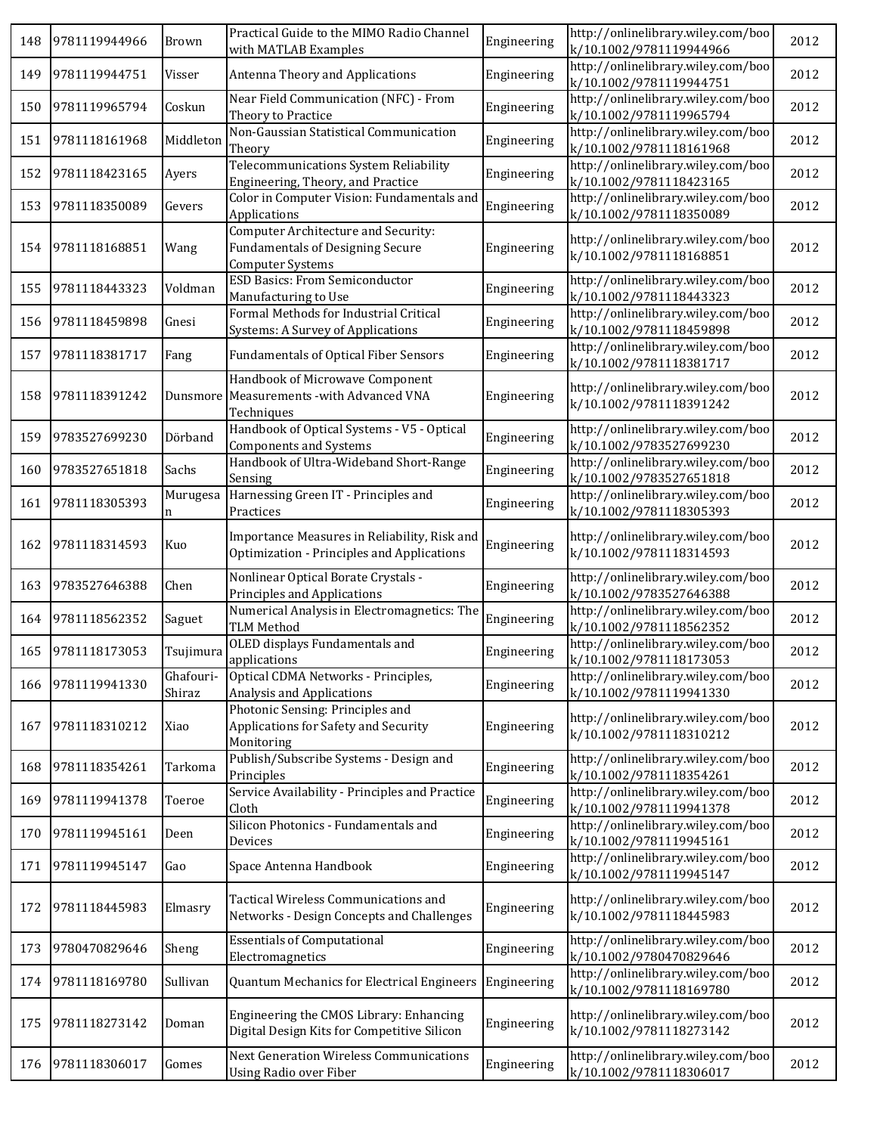| 148 | 9781119944966 | Brown               | Practical Guide to the MIMO Radio Channel<br>with MATLAB Examples                                         | Engineering | http://onlinelibrary.wiley.com/boo<br>k/10.1002/9781119944966 | 2012 |
|-----|---------------|---------------------|-----------------------------------------------------------------------------------------------------------|-------------|---------------------------------------------------------------|------|
| 149 | 9781119944751 | Visser              | Antenna Theory and Applications                                                                           | Engineering | http://onlinelibrary.wiley.com/boo<br>k/10.1002/9781119944751 | 2012 |
| 150 | 9781119965794 | Coskun              | Near Field Communication (NFC) - From<br>Theory to Practice                                               | Engineering | http://onlinelibrary.wiley.com/boo<br>k/10.1002/9781119965794 | 2012 |
| 151 | 9781118161968 | Middleton           | Non-Gaussian Statistical Communication<br>Theory                                                          | Engineering | http://onlinelibrary.wiley.com/boo<br>k/10.1002/9781118161968 | 2012 |
| 152 | 9781118423165 | Ayers               | Telecommunications System Reliability<br>Engineering, Theory, and Practice                                | Engineering | http://onlinelibrary.wiley.com/boo<br>k/10.1002/9781118423165 | 2012 |
| 153 | 9781118350089 | Gevers              | Color in Computer Vision: Fundamentals and<br>Applications                                                | Engineering | http://onlinelibrary.wiley.com/boo<br>k/10.1002/9781118350089 | 2012 |
| 154 | 9781118168851 | Wang                | Computer Architecture and Security:<br><b>Fundamentals of Designing Secure</b><br><b>Computer Systems</b> | Engineering | http://onlinelibrary.wiley.com/boo<br>k/10.1002/9781118168851 | 2012 |
| 155 | 9781118443323 | Voldman             | <b>ESD Basics: From Semiconductor</b><br>Manufacturing to Use                                             | Engineering | http://onlinelibrary.wiley.com/boo<br>k/10.1002/9781118443323 | 2012 |
| 156 | 9781118459898 | Gnesi               | Formal Methods for Industrial Critical<br><b>Systems: A Survey of Applications</b>                        | Engineering | http://onlinelibrary.wiley.com/boo<br>k/10.1002/9781118459898 | 2012 |
| 157 | 9781118381717 | Fang                | <b>Fundamentals of Optical Fiber Sensors</b>                                                              | Engineering | http://onlinelibrary.wiley.com/boo<br>k/10.1002/9781118381717 | 2012 |
| 158 | 9781118391242 |                     | Handbook of Microwave Component<br>Dunsmore Measurements - with Advanced VNA<br>Techniques                | Engineering | http://onlinelibrary.wiley.com/boo<br>k/10.1002/9781118391242 | 2012 |
| 159 | 9783527699230 | Dörband             | Handbook of Optical Systems - V5 - Optical<br><b>Components and Systems</b>                               | Engineering | http://onlinelibrary.wiley.com/boo<br>k/10.1002/9783527699230 | 2012 |
| 160 | 9783527651818 | Sachs               | Handbook of Ultra-Wideband Short-Range<br>Sensing                                                         | Engineering | http://onlinelibrary.wiley.com/boo<br>k/10.1002/9783527651818 | 2012 |
| 161 | 9781118305393 | Murugesa<br>n       | Harnessing Green IT - Principles and<br>Practices                                                         | Engineering | http://onlinelibrary.wiley.com/boo<br>k/10.1002/9781118305393 | 2012 |
| 162 | 9781118314593 | Kuo                 | Importance Measures in Reliability, Risk and<br>Optimization - Principles and Applications                | Engineering | http://onlinelibrary.wiley.com/boo<br>k/10.1002/9781118314593 | 2012 |
| 163 | 9783527646388 | Chen                | Nonlinear Optical Borate Crystals -<br>Principles and Applications                                        | Engineering | http://onlinelibrary.wiley.com/boo<br>k/10.1002/9783527646388 | 2012 |
| 164 | 9781118562352 | Saguet              | Numerical Analysis in Electromagnetics: The<br><b>TLM Method</b>                                          | Engineering | http://onlinelibrary.wiley.com/boo<br>k/10.1002/9781118562352 | 2012 |
| 165 | 9781118173053 | Tsujimura           | OLED displays Fundamentals and<br>applications                                                            | Engineering | http://onlinelibrary.wiley.com/boo<br>k/10.1002/9781118173053 | 2012 |
| 166 | 9781119941330 | Ghafouri-<br>Shiraz | Optical CDMA Networks - Principles,<br>Analysis and Applications                                          | Engineering | http://onlinelibrary.wiley.com/boo<br>k/10.1002/9781119941330 | 2012 |
| 167 | 9781118310212 | Xiao                | Photonic Sensing: Principles and<br>Applications for Safety and Security<br>Monitoring                    | Engineering | http://onlinelibrary.wiley.com/boo<br>k/10.1002/9781118310212 | 2012 |
| 168 | 9781118354261 | Tarkoma             | Publish/Subscribe Systems - Design and<br>Principles                                                      | Engineering | http://onlinelibrary.wiley.com/boo<br>k/10.1002/9781118354261 | 2012 |
| 169 | 9781119941378 | Toeroe              | Service Availability - Principles and Practice<br>Cloth                                                   | Engineering | http://onlinelibrary.wiley.com/boo<br>k/10.1002/9781119941378 | 2012 |
| 170 | 9781119945161 | Deen                | Silicon Photonics - Fundamentals and<br>Devices                                                           | Engineering | http://onlinelibrary.wiley.com/boo<br>k/10.1002/9781119945161 | 2012 |
| 171 | 9781119945147 | Gao                 | Space Antenna Handbook                                                                                    | Engineering | http://onlinelibrary.wiley.com/boo<br>k/10.1002/9781119945147 | 2012 |
| 172 | 9781118445983 | Elmasry             | Tactical Wireless Communications and<br>Networks - Design Concepts and Challenges                         | Engineering | http://onlinelibrary.wiley.com/boo<br>k/10.1002/9781118445983 | 2012 |
| 173 | 9780470829646 | Sheng               | <b>Essentials of Computational</b><br>Electromagnetics                                                    | Engineering | http://onlinelibrary.wiley.com/boo<br>k/10.1002/9780470829646 | 2012 |
| 174 | 9781118169780 | Sullivan            | Quantum Mechanics for Electrical Engineers                                                                | Engineering | http://onlinelibrary.wiley.com/boo<br>k/10.1002/9781118169780 | 2012 |
| 175 | 9781118273142 | Doman               | Engineering the CMOS Library: Enhancing<br>Digital Design Kits for Competitive Silicon                    | Engineering | http://onlinelibrary.wiley.com/boo<br>k/10.1002/9781118273142 | 2012 |
| 176 | 9781118306017 | Gomes               | Next Generation Wireless Communications<br>Using Radio over Fiber                                         | Engineering | http://onlinelibrary.wiley.com/boo<br>k/10.1002/9781118306017 | 2012 |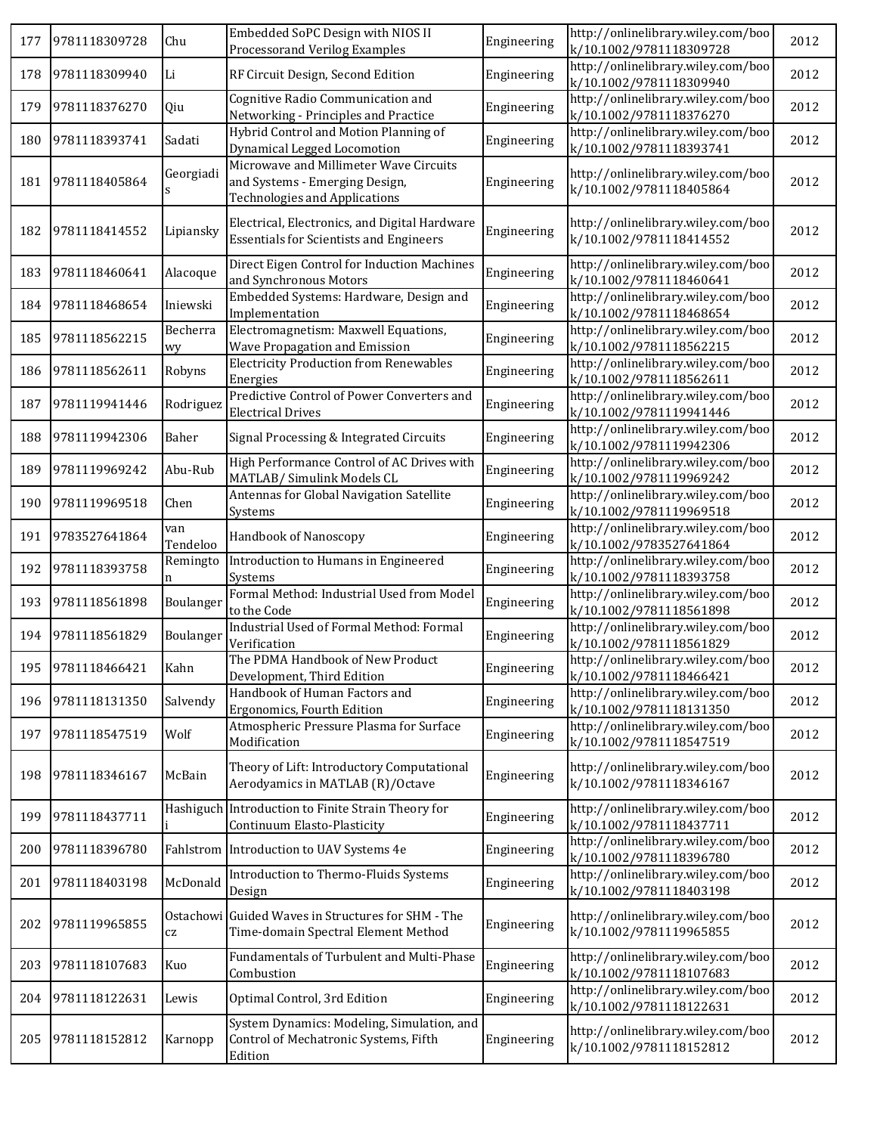| 177 | 9781118309728     | Chu             | Embedded SoPC Design with NIOS II<br>Processorand Verilog Examples                                               | Engineering | http://onlinelibrary.wiley.com/boo<br>k/10.1002/9781118309728 | 2012 |
|-----|-------------------|-----------------|------------------------------------------------------------------------------------------------------------------|-------------|---------------------------------------------------------------|------|
| 178 | 9781118309940     | Li              | RF Circuit Design, Second Edition                                                                                | Engineering | http://onlinelibrary.wiley.com/boo<br>k/10.1002/9781118309940 | 2012 |
| 179 | 9781118376270     | Qiu             | Cognitive Radio Communication and<br>Networking - Principles and Practice                                        | Engineering | http://onlinelibrary.wiley.com/boo<br>k/10.1002/9781118376270 | 2012 |
| 180 | 9781118393741     | Sadati          | Hybrid Control and Motion Planning of<br>Dynamical Legged Locomotion                                             | Engineering | http://onlinelibrary.wiley.com/boo<br>k/10.1002/9781118393741 | 2012 |
| 181 | 9781118405864     | Georgiadi<br>s  | Microwave and Millimeter Wave Circuits<br>and Systems - Emerging Design,<br><b>Technologies and Applications</b> | Engineering | http://onlinelibrary.wiley.com/boo<br>k/10.1002/9781118405864 | 2012 |
| 182 | 9781118414552     | Lipiansky       | Electrical, Electronics, and Digital Hardware<br><b>Essentials for Scientists and Engineers</b>                  | Engineering | http://onlinelibrary.wiley.com/boo<br>k/10.1002/9781118414552 | 2012 |
| 183 | 9781118460641     | Alacoque        | Direct Eigen Control for Induction Machines<br>and Synchronous Motors                                            | Engineering | http://onlinelibrary.wiley.com/boo<br>k/10.1002/9781118460641 | 2012 |
| 184 | 9781118468654     | Iniewski        | Embedded Systems: Hardware, Design and<br>Implementation                                                         | Engineering | http://onlinelibrary.wiley.com/boo<br>k/10.1002/9781118468654 | 2012 |
| 185 | 9781118562215     | Becherra<br>wy  | Electromagnetism: Maxwell Equations,<br>Wave Propagation and Emission                                            | Engineering | http://onlinelibrary.wiley.com/boo<br>k/10.1002/9781118562215 | 2012 |
| 186 | 9781118562611     | Robyns          | <b>Electricity Production from Renewables</b><br>Energies                                                        | Engineering | http://onlinelibrary.wiley.com/boo<br>k/10.1002/9781118562611 | 2012 |
| 187 | 9781119941446     | Rodriguez       | Predictive Control of Power Converters and<br><b>Electrical Drives</b>                                           | Engineering | http://onlinelibrary.wiley.com/boo<br>k/10.1002/9781119941446 | 2012 |
| 188 | 9781119942306     | Baher           | Signal Processing & Integrated Circuits                                                                          | Engineering | http://onlinelibrary.wiley.com/boo<br>k/10.1002/9781119942306 | 2012 |
| 189 | 9781119969242     | Abu-Rub         | High Performance Control of AC Drives with<br>MATLAB/ Simulink Models CL                                         | Engineering | http://onlinelibrary.wiley.com/boo<br>k/10.1002/9781119969242 | 2012 |
| 190 | 9781119969518     | Chen            | Antennas for Global Navigation Satellite<br>Systems                                                              | Engineering | http://onlinelibrary.wiley.com/boo<br>k/10.1002/9781119969518 | 2012 |
| 191 | 9783527641864     | van<br>Tendeloo | Handbook of Nanoscopy                                                                                            | Engineering | http://onlinelibrary.wiley.com/boo<br>k/10.1002/9783527641864 | 2012 |
| 192 | 9781118393758     | Remingto<br>n   | Introduction to Humans in Engineered<br>Systems                                                                  | Engineering | http://onlinelibrary.wiley.com/boo<br>k/10.1002/9781118393758 | 2012 |
| 193 | 9781118561898     | Boulanger       | Formal Method: Industrial Used from Model<br>to the Code                                                         | Engineering | http://onlinelibrary.wiley.com/boo<br>k/10.1002/9781118561898 | 2012 |
| 194 | 9781118561829     | Boulanger       | Industrial Used of Formal Method: Formal<br>Verification                                                         | Engineering | http://onlinelibrary.wiley.com/boo<br>k/10.1002/9781118561829 | 2012 |
|     | 195 9781118466421 | Kahn            | The PDMA Handbook of New Product<br>Development, Third Edition                                                   | Engineering | http://onlinelibrary.wiley.com/boo<br>k/10.1002/9781118466421 | 2012 |
| 196 | 9781118131350     | Salvendy        | Handbook of Human Factors and<br>Ergonomics, Fourth Edition                                                      | Engineering | http://onlinelibrary.wiley.com/boo<br>k/10.1002/9781118131350 | 2012 |
| 197 | 9781118547519     | Wolf            | Atmospheric Pressure Plasma for Surface<br>Modification                                                          | Engineering | http://onlinelibrary.wiley.com/boo<br>k/10.1002/9781118547519 | 2012 |
| 198 | 9781118346167     | McBain          | Theory of Lift: Introductory Computational<br>Aerodyamics in MATLAB (R)/Octave                                   | Engineering | http://onlinelibrary.wiley.com/boo<br>k/10.1002/9781118346167 | 2012 |
| 199 | 9781118437711     |                 | Hashiguch Introduction to Finite Strain Theory for<br>Continuum Elasto-Plasticity                                | Engineering | http://onlinelibrary.wiley.com/boo<br>k/10.1002/9781118437711 | 2012 |
| 200 | 9781118396780     |                 | Fahlstrom Introduction to UAV Systems 4e                                                                         | Engineering | http://onlinelibrary.wiley.com/boo<br>k/10.1002/9781118396780 | 2012 |
| 201 | 9781118403198     | McDonald        | Introduction to Thermo-Fluids Systems<br>Design                                                                  | Engineering | http://onlinelibrary.wiley.com/boo<br>k/10.1002/9781118403198 | 2012 |
| 202 | 9781119965855     | CZ              | Ostachowi Guided Waves in Structures for SHM - The<br>Time-domain Spectral Element Method                        | Engineering | http://onlinelibrary.wiley.com/boo<br>k/10.1002/9781119965855 | 2012 |
| 203 | 9781118107683     | Kuo             | Fundamentals of Turbulent and Multi-Phase<br>Combustion                                                          | Engineering | http://onlinelibrary.wiley.com/boo<br>k/10.1002/9781118107683 | 2012 |
| 204 | 9781118122631     | Lewis           | Optimal Control, 3rd Edition                                                                                     | Engineering | http://onlinelibrary.wiley.com/boo<br>k/10.1002/9781118122631 | 2012 |
| 205 | 9781118152812     | Karnopp         | System Dynamics: Modeling, Simulation, and<br>Control of Mechatronic Systems, Fifth<br>Edition                   | Engineering | http://onlinelibrary.wiley.com/boo<br>k/10.1002/9781118152812 | 2012 |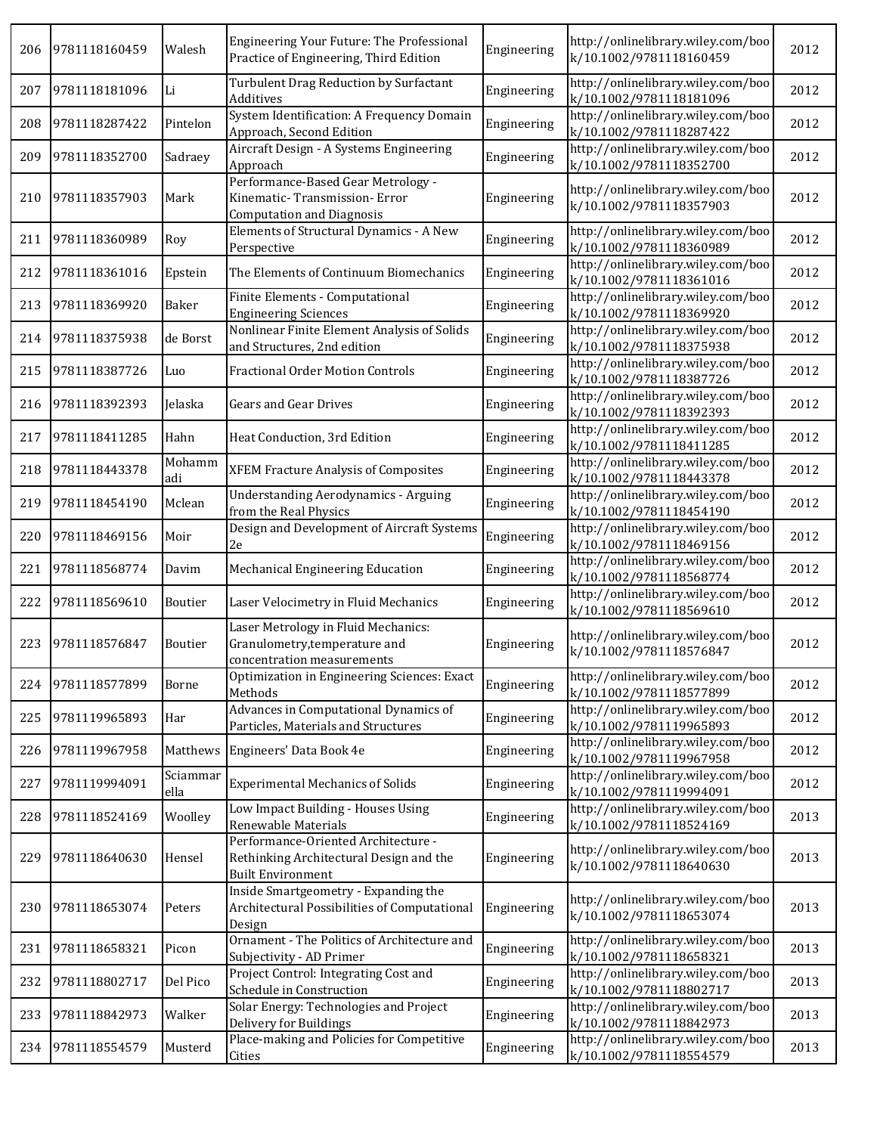| 206 | 9781118160459 | Walesh           | Engineering Your Future: The Professional<br>Practice of Engineering, Third Edition                        | Engineering | http://onlinelibrary.wiley.com/boo<br>k/10.1002/9781118160459 | 2012 |
|-----|---------------|------------------|------------------------------------------------------------------------------------------------------------|-------------|---------------------------------------------------------------|------|
| 207 | 9781118181096 | Li               | Turbulent Drag Reduction by Surfactant<br>Additives                                                        | Engineering | http://onlinelibrary.wiley.com/boo<br>k/10.1002/9781118181096 | 2012 |
| 208 | 9781118287422 | Pintelon         | System Identification: A Frequency Domain<br>Approach, Second Edition                                      | Engineering | http://onlinelibrary.wiley.com/boo<br>k/10.1002/9781118287422 | 2012 |
| 209 | 9781118352700 | Sadraey          | Aircraft Design - A Systems Engineering<br>Approach                                                        | Engineering | http://onlinelibrary.wiley.com/boo<br>k/10.1002/9781118352700 | 2012 |
| 210 | 9781118357903 | Mark             | Performance-Based Gear Metrology -<br>Kinematic-Transmission-Error<br><b>Computation and Diagnosis</b>     | Engineering | http://onlinelibrary.wiley.com/boo<br>k/10.1002/9781118357903 | 2012 |
| 211 | 9781118360989 | Roy              | Elements of Structural Dynamics - A New<br>Perspective                                                     | Engineering | http://onlinelibrary.wiley.com/boo<br>k/10.1002/9781118360989 | 2012 |
| 212 | 9781118361016 | Epstein          | The Elements of Continuum Biomechanics                                                                     | Engineering | http://onlinelibrary.wiley.com/boo<br>k/10.1002/9781118361016 | 2012 |
| 213 | 9781118369920 | Baker            | Finite Elements - Computational<br><b>Engineering Sciences</b>                                             | Engineering | http://onlinelibrary.wiley.com/boo<br>k/10.1002/9781118369920 | 2012 |
| 214 | 9781118375938 | de Borst         | Nonlinear Finite Element Analysis of Solids<br>and Structures, 2nd edition                                 | Engineering | http://onlinelibrary.wiley.com/boo<br>k/10.1002/9781118375938 | 2012 |
| 215 | 9781118387726 | Luo              | <b>Fractional Order Motion Controls</b>                                                                    | Engineering | http://onlinelibrary.wiley.com/boo<br>k/10.1002/9781118387726 | 2012 |
| 216 | 9781118392393 | Jelaska          | Gears and Gear Drives                                                                                      | Engineering | http://onlinelibrary.wiley.com/boo<br>k/10.1002/9781118392393 | 2012 |
| 217 | 9781118411285 | Hahn             | Heat Conduction, 3rd Edition                                                                               | Engineering | http://onlinelibrary.wiley.com/boo<br>k/10.1002/9781118411285 | 2012 |
| 218 | 9781118443378 | Mohamm<br>adi    | XFEM Fracture Analysis of Composites                                                                       | Engineering | http://onlinelibrary.wiley.com/boo<br>k/10.1002/9781118443378 | 2012 |
| 219 | 9781118454190 | Mclean           | <b>Understanding Aerodynamics - Arguing</b><br>from the Real Physics                                       | Engineering | http://onlinelibrary.wiley.com/boo<br>k/10.1002/9781118454190 | 2012 |
| 220 | 9781118469156 | Moir             | Design and Development of Aircraft Systems<br>2e                                                           | Engineering | http://onlinelibrary.wiley.com/boo<br>k/10.1002/9781118469156 | 2012 |
| 221 | 9781118568774 | Davim            | Mechanical Engineering Education                                                                           | Engineering | http://onlinelibrary.wiley.com/boo<br>k/10.1002/9781118568774 | 2012 |
| 222 | 9781118569610 | Boutier          | Laser Velocimetry in Fluid Mechanics                                                                       | Engineering | http://onlinelibrary.wiley.com/boo<br>k/10.1002/9781118569610 | 2012 |
| 223 | 9781118576847 | Boutier          | Laser Metrology in Fluid Mechanics:<br>Granulometry, temperature and<br>concentration measurements         | Engineering | http://onlinelibrary.wiley.com/boo<br>k/10.1002/9781118576847 | 2012 |
| 224 | 9781118577899 | Borne            | Optimization in Engineering Sciences: Exact<br>Methods                                                     | Engineering | http://onlinelibrary.wiley.com/boo<br>k/10.1002/9781118577899 | 2012 |
| 225 | 9781119965893 | Har              | Advances in Computational Dynamics of<br>Particles, Materials and Structures                               | Engineering | http://onlinelibrary.wiley.com/boo<br>k/10.1002/9781119965893 | 2012 |
| 226 | 9781119967958 | Matthews         | Engineers' Data Book 4e                                                                                    | Engineering | http://onlinelibrary.wiley.com/boo<br>k/10.1002/9781119967958 | 2012 |
| 227 | 9781119994091 | Sciammar<br>ella | <b>Experimental Mechanics of Solids</b>                                                                    | Engineering | http://onlinelibrary.wiley.com/boo<br>k/10.1002/9781119994091 | 2012 |
| 228 | 9781118524169 | Woolley          | Low Impact Building - Houses Using<br>Renewable Materials                                                  | Engineering | http://onlinelibrary.wiley.com/boo<br>k/10.1002/9781118524169 | 2013 |
| 229 | 9781118640630 | Hensel           | Performance-Oriented Architecture -<br>Rethinking Architectural Design and the<br><b>Built Environment</b> | Engineering | http://onlinelibrary.wiley.com/boo<br>k/10.1002/9781118640630 | 2013 |
| 230 | 9781118653074 | Peters           | Inside Smartgeometry - Expanding the<br>Architectural Possibilities of Computational<br>Design             | Engineering | http://onlinelibrary.wiley.com/boo<br>k/10.1002/9781118653074 | 2013 |
| 231 | 9781118658321 | Picon            | Ornament - The Politics of Architecture and<br>Subjectivity - AD Primer                                    | Engineering | http://onlinelibrary.wiley.com/boo<br>k/10.1002/9781118658321 | 2013 |
| 232 | 9781118802717 | Del Pico         | Project Control: Integrating Cost and<br>Schedule in Construction                                          | Engineering | http://onlinelibrary.wiley.com/boo<br>k/10.1002/9781118802717 | 2013 |
| 233 | 9781118842973 | Walker           | Solar Energy: Technologies and Project<br>Delivery for Buildings                                           | Engineering | http://onlinelibrary.wiley.com/boo<br>k/10.1002/9781118842973 | 2013 |
| 234 | 9781118554579 | Musterd          | Place-making and Policies for Competitive<br>Cities                                                        | Engineering | http://onlinelibrary.wiley.com/boo<br>k/10.1002/9781118554579 | 2013 |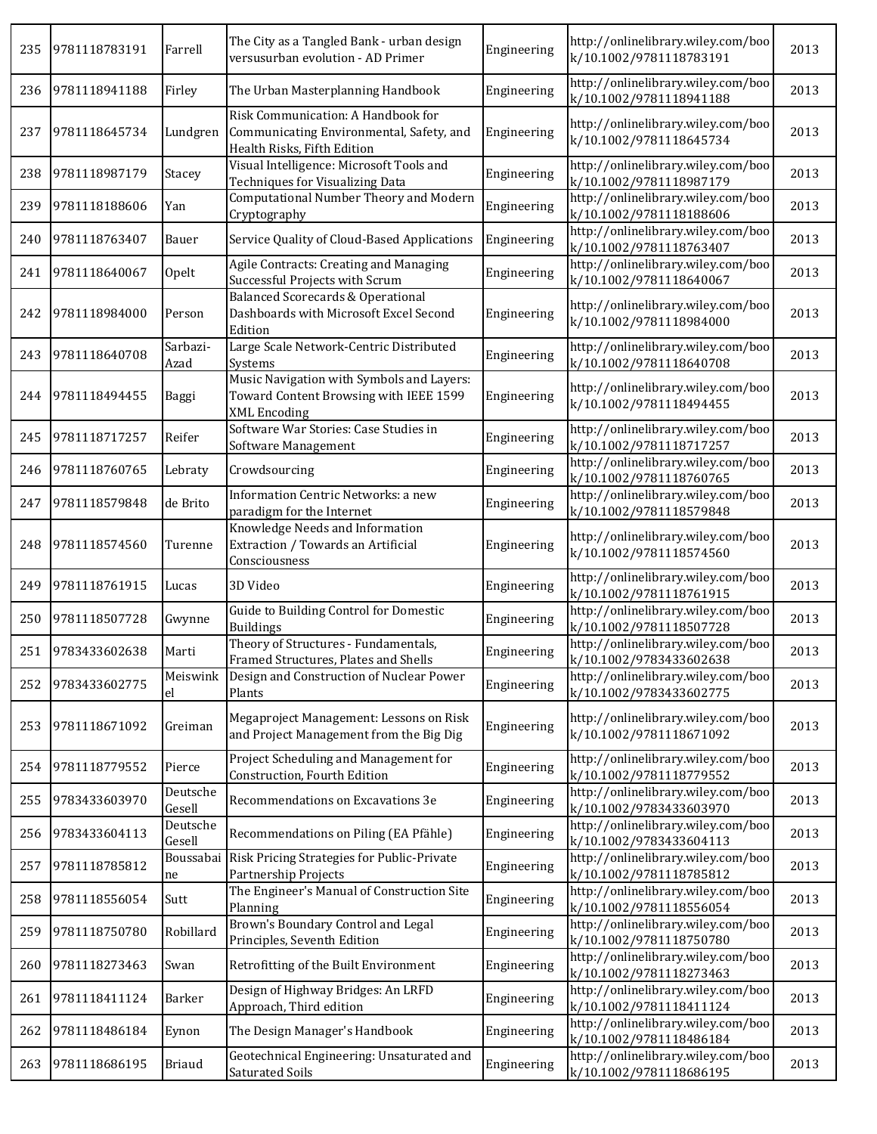| 235 | 9781118783191 | Farrell            | The City as a Tangled Bank - urban design<br>versusurban evolution - AD Primer                                | Engineering | http://onlinelibrary.wiley.com/boo<br>k/10.1002/9781118783191 | 2013 |
|-----|---------------|--------------------|---------------------------------------------------------------------------------------------------------------|-------------|---------------------------------------------------------------|------|
| 236 | 9781118941188 | Firley             | The Urban Masterplanning Handbook                                                                             | Engineering | http://onlinelibrary.wiley.com/boo<br>k/10.1002/9781118941188 | 2013 |
| 237 | 9781118645734 | Lundgren           | Risk Communication: A Handbook for<br>Communicating Environmental, Safety, and<br>Health Risks, Fifth Edition | Engineering | http://onlinelibrary.wiley.com/boo<br>k/10.1002/9781118645734 | 2013 |
| 238 | 9781118987179 | Stacey             | Visual Intelligence: Microsoft Tools and<br>Techniques for Visualizing Data                                   | Engineering | http://onlinelibrary.wiley.com/boo<br>k/10.1002/9781118987179 | 2013 |
| 239 | 9781118188606 | Yan                | Computational Number Theory and Modern<br>Cryptography                                                        | Engineering | http://onlinelibrary.wiley.com/boo<br>k/10.1002/9781118188606 | 2013 |
| 240 | 9781118763407 | Bauer              | Service Quality of Cloud-Based Applications                                                                   | Engineering | http://onlinelibrary.wiley.com/boo<br>k/10.1002/9781118763407 | 2013 |
| 241 | 9781118640067 | Opelt              | Agile Contracts: Creating and Managing<br>Successful Projects with Scrum                                      | Engineering | http://onlinelibrary.wiley.com/boo<br>k/10.1002/9781118640067 | 2013 |
| 242 | 9781118984000 | Person             | <b>Balanced Scorecards &amp; Operational</b><br>Dashboards with Microsoft Excel Second<br>Edition             | Engineering | http://onlinelibrary.wiley.com/boo<br>k/10.1002/9781118984000 | 2013 |
| 243 | 9781118640708 | Sarbazi-<br>Azad   | Large Scale Network-Centric Distributed<br>Systems                                                            | Engineering | http://onlinelibrary.wiley.com/boo<br>k/10.1002/9781118640708 | 2013 |
| 244 | 9781118494455 | Baggi              | Music Navigation with Symbols and Layers:<br>Toward Content Browsing with IEEE 1599<br><b>XML</b> Encoding    | Engineering | http://onlinelibrary.wiley.com/boo<br>k/10.1002/9781118494455 | 2013 |
| 245 | 9781118717257 | Reifer             | Software War Stories: Case Studies in<br>Software Management                                                  | Engineering | http://onlinelibrary.wiley.com/boo<br>k/10.1002/9781118717257 | 2013 |
| 246 | 9781118760765 | Lebraty            | Crowdsourcing                                                                                                 | Engineering | http://onlinelibrary.wiley.com/boo<br>k/10.1002/9781118760765 | 2013 |
| 247 | 9781118579848 | de Brito           | Information Centric Networks: a new<br>paradigm for the Internet                                              | Engineering | http://onlinelibrary.wiley.com/boo<br>k/10.1002/9781118579848 | 2013 |
| 248 | 9781118574560 | Turenne            | Knowledge Needs and Information<br>Extraction / Towards an Artificial<br>Consciousness                        | Engineering | http://onlinelibrary.wiley.com/boo<br>k/10.1002/9781118574560 | 2013 |
| 249 | 9781118761915 | Lucas              | 3D Video                                                                                                      | Engineering | http://onlinelibrary.wiley.com/boo<br>k/10.1002/9781118761915 | 2013 |
| 250 | 9781118507728 | Gwynne             | Guide to Building Control for Domestic<br><b>Buildings</b>                                                    | Engineering | http://onlinelibrary.wiley.com/boo<br>k/10.1002/9781118507728 | 2013 |
| 251 | 9783433602638 | Marti              | Theory of Structures - Fundamentals,<br>Framed Structures, Plates and Shells                                  | Engineering | http://onlinelibrary.wiley.com/boo<br>k/10.1002/9783433602638 | 2013 |
| 252 | 9783433602775 | el                 | Meiswink   Design and Construction of Nuclear Power<br>Plants                                                 | Engineering | http://onlinelibrary.wiley.com/boo<br>k/10.1002/9783433602775 | 2013 |
| 253 | 9781118671092 | Greiman            | Megaproject Management: Lessons on Risk<br>and Project Management from the Big Dig                            | Engineering | http://onlinelibrary.wiley.com/boo<br>k/10.1002/9781118671092 | 2013 |
| 254 | 9781118779552 | Pierce             | Project Scheduling and Management for<br>Construction, Fourth Edition                                         | Engineering | http://onlinelibrary.wiley.com/boo<br>k/10.1002/9781118779552 | 2013 |
| 255 | 9783433603970 | Deutsche<br>Gesell | Recommendations on Excavations 3e                                                                             | Engineering | http://onlinelibrary.wiley.com/boo<br>k/10.1002/9783433603970 | 2013 |
| 256 | 9783433604113 | Deutsche<br>Gesell | Recommendations on Piling (EA Pfähle)                                                                         | Engineering | http://onlinelibrary.wiley.com/boo<br>k/10.1002/9783433604113 | 2013 |
| 257 | 9781118785812 | ne                 | Boussabai Risk Pricing Strategies for Public-Private<br>Partnership Projects                                  | Engineering | http://onlinelibrary.wiley.com/boo<br>k/10.1002/9781118785812 | 2013 |
| 258 | 9781118556054 | Sutt               | The Engineer's Manual of Construction Site<br>Planning                                                        | Engineering | http://onlinelibrary.wiley.com/boo<br>k/10.1002/9781118556054 | 2013 |
| 259 | 9781118750780 | Robillard          | Brown's Boundary Control and Legal<br>Principles, Seventh Edition                                             | Engineering | http://onlinelibrary.wiley.com/boo<br>k/10.1002/9781118750780 | 2013 |
| 260 | 9781118273463 | Swan               | Retrofitting of the Built Environment                                                                         | Engineering | http://onlinelibrary.wiley.com/boo<br>k/10.1002/9781118273463 | 2013 |
| 261 | 9781118411124 | Barker             | Design of Highway Bridges: An LRFD<br>Approach, Third edition                                                 | Engineering | http://onlinelibrary.wiley.com/boo<br>k/10.1002/9781118411124 | 2013 |
| 262 | 9781118486184 | Eynon              | The Design Manager's Handbook                                                                                 | Engineering | http://onlinelibrary.wiley.com/boo<br>k/10.1002/9781118486184 | 2013 |
| 263 | 9781118686195 | <b>Briaud</b>      | Geotechnical Engineering: Unsaturated and<br>Saturated Soils                                                  | Engineering | http://onlinelibrary.wiley.com/boo<br>k/10.1002/9781118686195 | 2013 |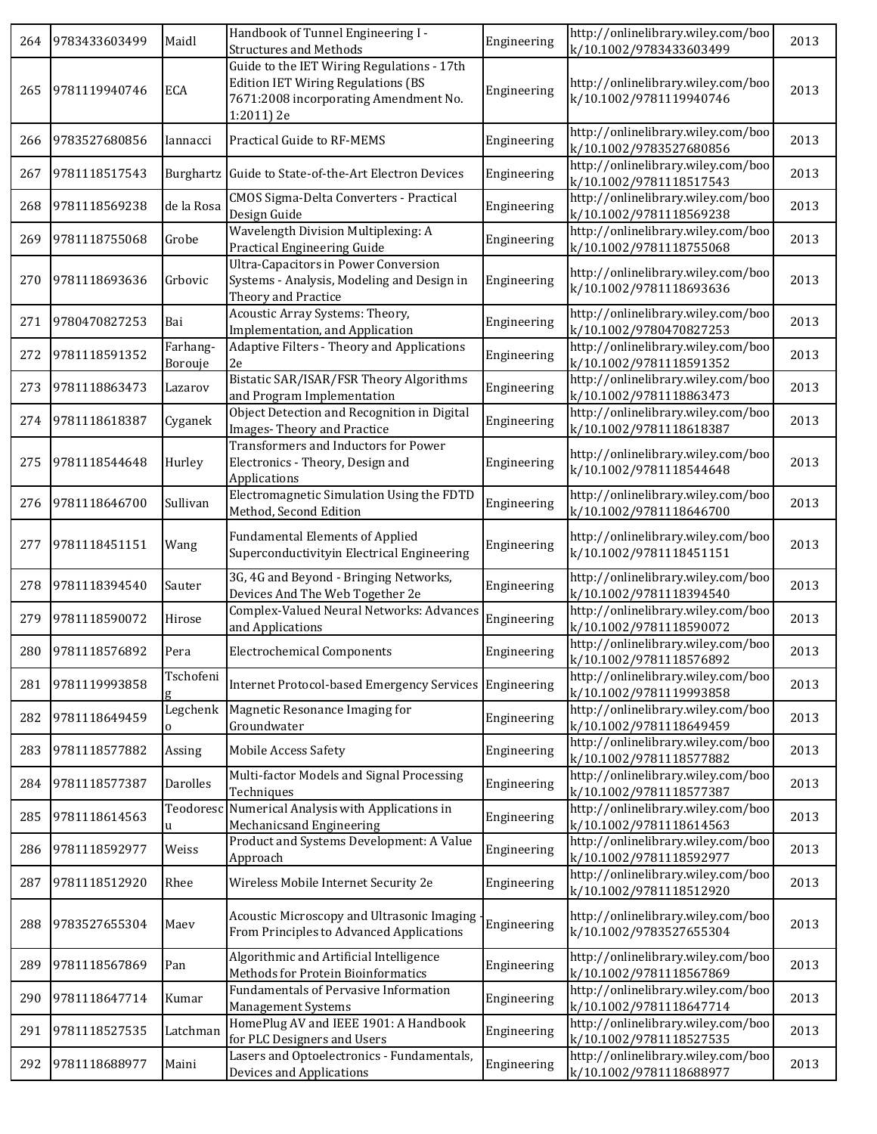| 264 | 9783433603499 | Maidl               | Handbook of Tunnel Engineering I -<br><b>Structures and Methods</b>                                                                            | Engineering | http://onlinelibrary.wiley.com/boo<br>k/10.1002/9783433603499 | 2013 |
|-----|---------------|---------------------|------------------------------------------------------------------------------------------------------------------------------------------------|-------------|---------------------------------------------------------------|------|
| 265 | 9781119940746 | ECA                 | Guide to the IET Wiring Regulations - 17th<br><b>Edition IET Wiring Regulations (BS</b><br>7671:2008 incorporating Amendment No.<br>1:2011) 2e | Engineering | http://onlinelibrary.wiley.com/boo<br>k/10.1002/9781119940746 | 2013 |
| 266 | 9783527680856 | Iannacci            | Practical Guide to RF-MEMS                                                                                                                     | Engineering | http://onlinelibrary.wiley.com/boo<br>k/10.1002/9783527680856 | 2013 |
| 267 | 9781118517543 |                     | Burghartz Guide to State-of-the-Art Electron Devices                                                                                           | Engineering | http://onlinelibrary.wiley.com/boo<br>k/10.1002/9781118517543 | 2013 |
| 268 | 9781118569238 | de la Rosa          | <b>CMOS Sigma-Delta Converters - Practical</b><br>Design Guide                                                                                 | Engineering | http://onlinelibrary.wiley.com/boo<br>k/10.1002/9781118569238 | 2013 |
| 269 | 9781118755068 | Grobe               | <b>Wavelength Division Multiplexing: A</b><br>Practical Engineering Guide                                                                      | Engineering | http://onlinelibrary.wiley.com/boo<br>k/10.1002/9781118755068 | 2013 |
| 270 | 9781118693636 | Grbovic             | <b>Ultra-Capacitors in Power Conversion</b><br>Systems - Analysis, Modeling and Design in<br>Theory and Practice                               | Engineering | http://onlinelibrary.wiley.com/boo<br>k/10.1002/9781118693636 | 2013 |
| 271 | 9780470827253 | Bai                 | Acoustic Array Systems: Theory,<br>Implementation, and Application                                                                             | Engineering | http://onlinelibrary.wiley.com/boo<br>k/10.1002/9780470827253 | 2013 |
| 272 | 9781118591352 | Farhang-<br>Borouje | Adaptive Filters - Theory and Applications<br>2e                                                                                               | Engineering | http://onlinelibrary.wiley.com/boo<br>k/10.1002/9781118591352 | 2013 |
| 273 | 9781118863473 | Lazarov             | Bistatic SAR/ISAR/FSR Theory Algorithms<br>and Program Implementation                                                                          | Engineering | http://onlinelibrary.wiley.com/boo<br>k/10.1002/9781118863473 | 2013 |
| 274 | 9781118618387 | Cyganek             | Object Detection and Recognition in Digital<br>Images-Theory and Practice                                                                      | Engineering | http://onlinelibrary.wiley.com/boo<br>k/10.1002/9781118618387 | 2013 |
| 275 | 9781118544648 | Hurley              | Transformers and Inductors for Power<br>Electronics - Theory, Design and<br>Applications                                                       | Engineering | http://onlinelibrary.wiley.com/boo<br>k/10.1002/9781118544648 | 2013 |
| 276 | 9781118646700 | Sullivan            | Electromagnetic Simulation Using the FDTD<br>Method, Second Edition                                                                            | Engineering | http://onlinelibrary.wiley.com/boo<br>k/10.1002/9781118646700 | 2013 |
| 277 | 9781118451151 | Wang                | <b>Fundamental Elements of Applied</b><br>Superconductivityin Electrical Engineering                                                           | Engineering | http://onlinelibrary.wiley.com/boo<br>k/10.1002/9781118451151 | 2013 |
| 278 | 9781118394540 | Sauter              | 3G, 4G and Beyond - Bringing Networks,<br>Devices And The Web Together 2e                                                                      | Engineering | http://onlinelibrary.wiley.com/boo<br>k/10.1002/9781118394540 | 2013 |
| 279 | 9781118590072 | Hirose              | Complex-Valued Neural Networks: Advances<br>and Applications                                                                                   | Engineering | http://onlinelibrary.wiley.com/boo<br>k/10.1002/9781118590072 | 2013 |
| 280 | 9781118576892 | Pera                | <b>Electrochemical Components</b>                                                                                                              | Engineering | http://onlinelibrary.wiley.com/boo<br>k/10.1002/9781118576892 | 2013 |
| 281 | 9781119993858 | Tschofeni           | Internet Protocol-based Emergency Services Engineering                                                                                         |             | http://onlinelibrary.wiley.com/boo<br>k/10.1002/9781119993858 | 2013 |
| 282 | 9781118649459 | Legchenk<br>0       | Magnetic Resonance Imaging for<br>Groundwater                                                                                                  | Engineering | http://onlinelibrary.wiley.com/boo<br>k/10.1002/9781118649459 | 2013 |
| 283 | 9781118577882 | Assing              | <b>Mobile Access Safety</b>                                                                                                                    | Engineering | http://onlinelibrary.wiley.com/boo<br>k/10.1002/9781118577882 | 2013 |
| 284 | 9781118577387 | Darolles            | Multi-factor Models and Signal Processing<br>Techniques                                                                                        | Engineering | http://onlinelibrary.wiley.com/boo<br>k/10.1002/9781118577387 | 2013 |
| 285 | 9781118614563 | Teodoresc<br>u      | Numerical Analysis with Applications in<br>Mechanicsand Engineering                                                                            | Engineering | http://onlinelibrary.wiley.com/boo<br>k/10.1002/9781118614563 | 2013 |
| 286 | 9781118592977 | Weiss               | Product and Systems Development: A Value<br>Approach                                                                                           | Engineering | http://onlinelibrary.wiley.com/boo<br>k/10.1002/9781118592977 | 2013 |
| 287 | 9781118512920 | Rhee                | Wireless Mobile Internet Security 2e                                                                                                           | Engineering | http://onlinelibrary.wiley.com/boo<br>k/10.1002/9781118512920 | 2013 |
| 288 | 9783527655304 | Maev                | Acoustic Microscopy and Ultrasonic Imaging<br>From Principles to Advanced Applications                                                         | Engineering | http://onlinelibrary.wiley.com/boo<br>k/10.1002/9783527655304 | 2013 |
| 289 | 9781118567869 | Pan                 | Algorithmic and Artificial Intelligence<br>Methods for Protein Bioinformatics                                                                  | Engineering | http://onlinelibrary.wiley.com/boo<br>k/10.1002/9781118567869 | 2013 |
| 290 | 9781118647714 | Kumar               | Fundamentals of Pervasive Information<br>Management Systems                                                                                    | Engineering | http://onlinelibrary.wiley.com/boo<br>k/10.1002/9781118647714 | 2013 |
| 291 | 9781118527535 | Latchman            | HomePlug AV and IEEE 1901: A Handbook<br>for PLC Designers and Users                                                                           | Engineering | http://onlinelibrary.wiley.com/boo<br>k/10.1002/9781118527535 | 2013 |
| 292 | 9781118688977 | Maini               | Lasers and Optoelectronics - Fundamentals,<br>Devices and Applications                                                                         | Engineering | http://onlinelibrary.wiley.com/boo<br>k/10.1002/9781118688977 | 2013 |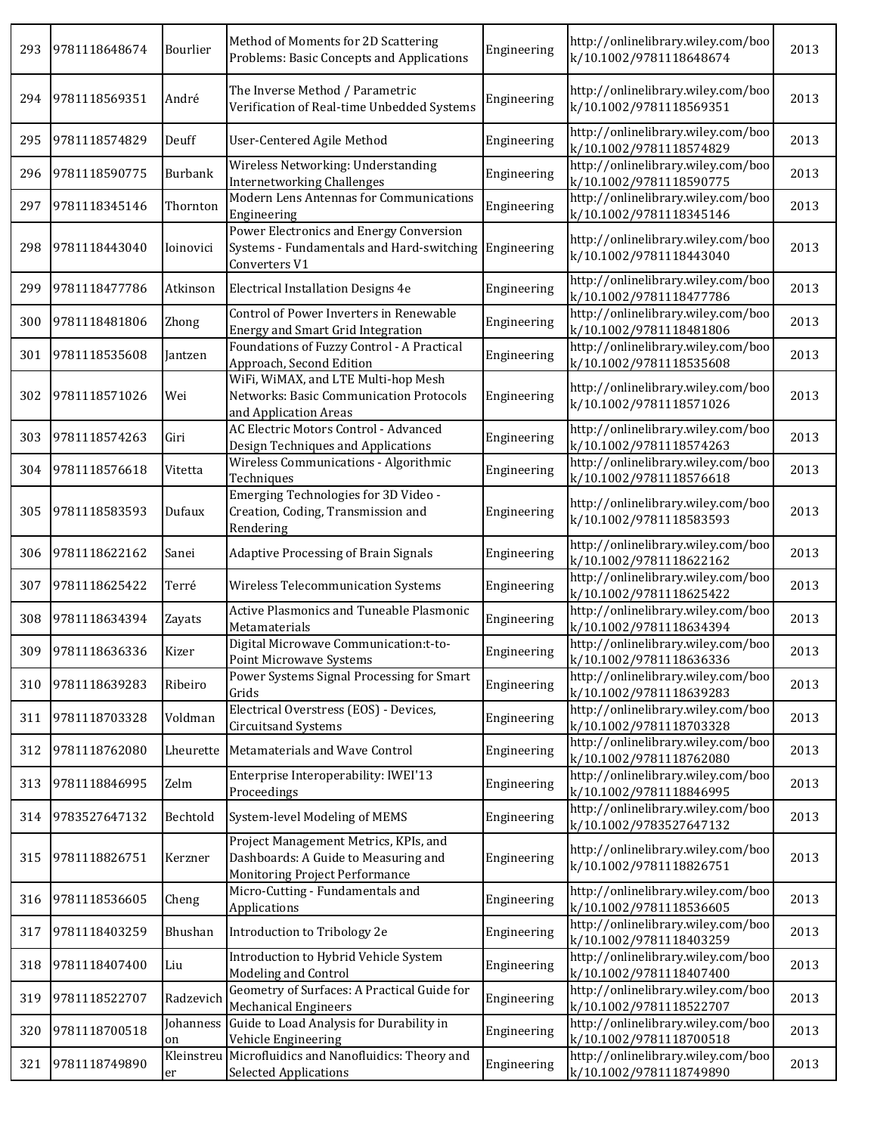| 293 | 9781118648674 | Bourlier         | Method of Moments for 2D Scattering<br>Problems: Basic Concepts and Applications                                | Engineering | http://onlinelibrary.wiley.com/boo<br>k/10.1002/9781118648674 | 2013 |
|-----|---------------|------------------|-----------------------------------------------------------------------------------------------------------------|-------------|---------------------------------------------------------------|------|
| 294 | 9781118569351 | André            | The Inverse Method / Parametric<br>Verification of Real-time Unbedded Systems                                   | Engineering | http://onlinelibrary.wiley.com/boo<br>k/10.1002/9781118569351 | 2013 |
| 295 | 9781118574829 | Deuff            | User-Centered Agile Method                                                                                      | Engineering | http://onlinelibrary.wiley.com/boo<br>k/10.1002/9781118574829 | 2013 |
| 296 | 9781118590775 | Burbank          | Wireless Networking: Understanding<br><b>Internetworking Challenges</b>                                         | Engineering | http://onlinelibrary.wiley.com/boo<br>k/10.1002/9781118590775 | 2013 |
| 297 | 9781118345146 | Thornton         | Modern Lens Antennas for Communications<br>Engineering                                                          | Engineering | http://onlinelibrary.wiley.com/boo<br>k/10.1002/9781118345146 | 2013 |
| 298 | 9781118443040 | Ioinovici        | Power Electronics and Energy Conversion<br>Systems - Fundamentals and Hard-switching<br>Converters V1           | Engineering | http://onlinelibrary.wiley.com/boo<br>k/10.1002/9781118443040 | 2013 |
| 299 | 9781118477786 | Atkinson         | Electrical Installation Designs 4e                                                                              | Engineering | http://onlinelibrary.wiley.com/boo<br>k/10.1002/9781118477786 | 2013 |
| 300 | 9781118481806 | Zhong            | Control of Power Inverters in Renewable<br><b>Energy and Smart Grid Integration</b>                             | Engineering | http://onlinelibrary.wiley.com/boo<br>k/10.1002/9781118481806 | 2013 |
| 301 | 9781118535608 | Jantzen          | Foundations of Fuzzy Control - A Practical<br>Approach, Second Edition                                          | Engineering | http://onlinelibrary.wiley.com/boo<br>k/10.1002/9781118535608 | 2013 |
| 302 | 9781118571026 | Wei              | WiFi, WiMAX, and LTE Multi-hop Mesh<br>Networks: Basic Communication Protocols<br>and Application Areas         | Engineering | http://onlinelibrary.wiley.com/boo<br>k/10.1002/9781118571026 | 2013 |
| 303 | 9781118574263 | Giri             | AC Electric Motors Control - Advanced<br>Design Techniques and Applications                                     | Engineering | http://onlinelibrary.wiley.com/boo<br>k/10.1002/9781118574263 | 2013 |
| 304 | 9781118576618 | Vitetta          | Wireless Communications - Algorithmic<br>Techniques                                                             | Engineering | http://onlinelibrary.wiley.com/boo<br>k/10.1002/9781118576618 | 2013 |
| 305 | 9781118583593 | Dufaux           | Emerging Technologies for 3D Video -<br>Creation, Coding, Transmission and<br>Rendering                         | Engineering | http://onlinelibrary.wiley.com/boo<br>k/10.1002/9781118583593 | 2013 |
| 306 | 9781118622162 | Sanei            | <b>Adaptive Processing of Brain Signals</b>                                                                     | Engineering | http://onlinelibrary.wiley.com/boo<br>k/10.1002/9781118622162 | 2013 |
| 307 | 9781118625422 | Terré            | Wireless Telecommunication Systems                                                                              | Engineering | http://onlinelibrary.wiley.com/boo<br>k/10.1002/9781118625422 | 2013 |
| 308 | 9781118634394 | Zayats           | Active Plasmonics and Tuneable Plasmonic<br>Metamaterials                                                       | Engineering | http://onlinelibrary.wiley.com/boo<br>k/10.1002/9781118634394 | 2013 |
| 309 | 9781118636336 | Kizer            | Digital Microwave Communication:t-to-<br><b>Point Microwave Systems</b>                                         | Engineering | http://onlinelibrary.wiley.com/boo<br>k/10.1002/9781118636336 | 2013 |
| 310 | 9781118639283 | Ribeiro          | Power Systems Signal Processing for Smart<br>Grids                                                              | Engineering | http://onlinelibrary.wiley.com/boo<br>k/10.1002/9781118639283 | 2013 |
| 311 | 9781118703328 | Voldman          | Electrical Overstress (EOS) - Devices,<br><b>Circuitsand Systems</b>                                            | Engineering | http://onlinelibrary.wiley.com/boo<br>k/10.1002/9781118703328 | 2013 |
| 312 | 9781118762080 | Lheurette        | Metamaterials and Wave Control                                                                                  | Engineering | http://onlinelibrary.wiley.com/boo<br>k/10.1002/9781118762080 | 2013 |
| 313 | 9781118846995 | Zelm             | Enterprise Interoperability: IWEI'13<br>Proceedings                                                             | Engineering | http://onlinelibrary.wiley.com/boo<br>k/10.1002/9781118846995 | 2013 |
| 314 | 9783527647132 | Bechtold         | System-level Modeling of MEMS                                                                                   | Engineering | http://onlinelibrary.wiley.com/boo<br>k/10.1002/9783527647132 | 2013 |
| 315 | 9781118826751 | Kerzner          | Project Management Metrics, KPIs, and<br>Dashboards: A Guide to Measuring and<br>Monitoring Project Performance | Engineering | http://onlinelibrary.wiley.com/boo<br>k/10.1002/9781118826751 | 2013 |
| 316 | 9781118536605 | Cheng            | Micro-Cutting - Fundamentals and<br>Applications                                                                | Engineering | http://onlinelibrary.wiley.com/boo<br>k/10.1002/9781118536605 | 2013 |
| 317 | 9781118403259 | Bhushan          | Introduction to Tribology 2e                                                                                    | Engineering | http://onlinelibrary.wiley.com/boo<br>k/10.1002/9781118403259 | 2013 |
| 318 | 9781118407400 | Liu              | Introduction to Hybrid Vehicle System<br>Modeling and Control                                                   | Engineering | http://onlinelibrary.wiley.com/boo<br>k/10.1002/9781118407400 | 2013 |
| 319 | 9781118522707 | Radzevich        | Geometry of Surfaces: A Practical Guide for<br><b>Mechanical Engineers</b>                                      | Engineering | http://onlinelibrary.wiley.com/boo<br>k/10.1002/9781118522707 | 2013 |
| 320 | 9781118700518 | Johanness<br>on  | Guide to Load Analysis for Durability in<br>Vehicle Engineering                                                 | Engineering | http://onlinelibrary.wiley.com/boo<br>k/10.1002/9781118700518 | 2013 |
| 321 | 9781118749890 | Kleinstreu<br>er | Microfluidics and Nanofluidics: Theory and<br><b>Selected Applications</b>                                      | Engineering | http://onlinelibrary.wiley.com/boo<br>k/10.1002/9781118749890 | 2013 |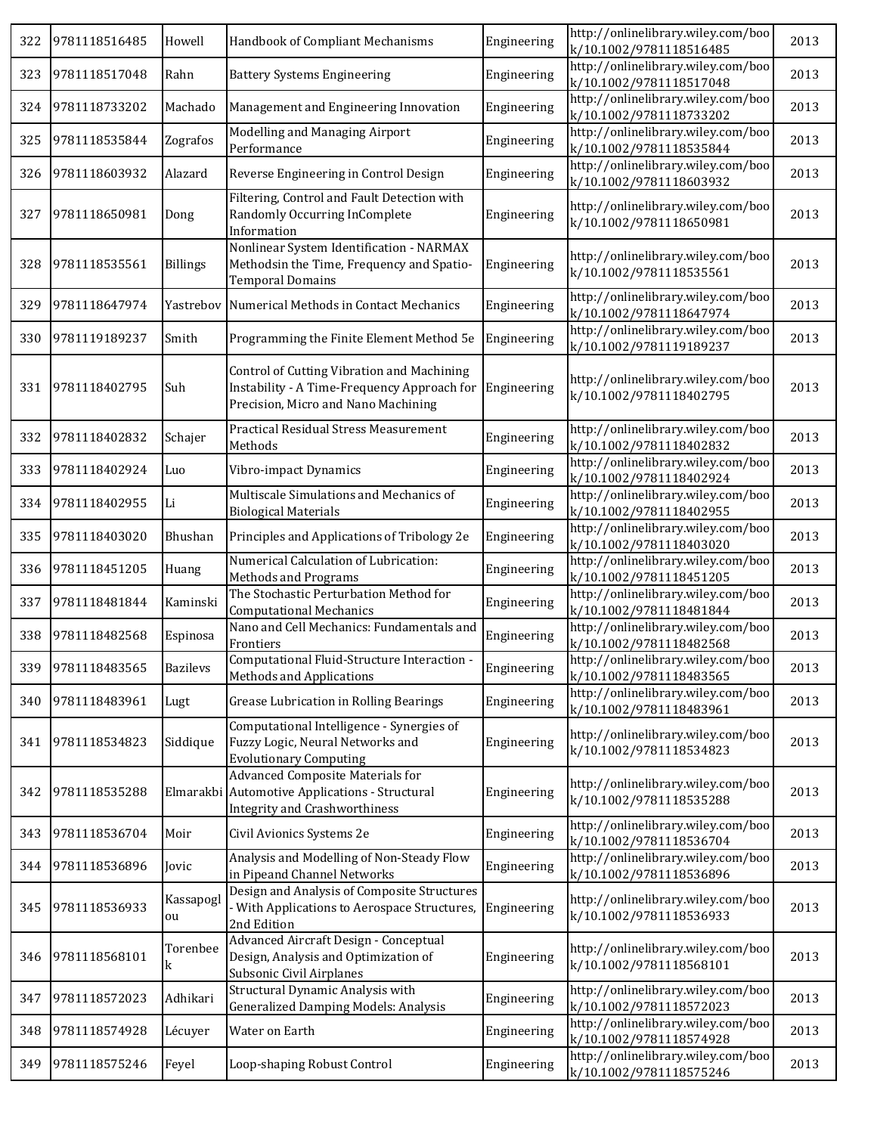| 322 | 9781118516485     | Howell          | Handbook of Compliant Mechanisms                                                                                                 | Engineering | http://onlinelibrary.wiley.com/boo<br>k/10.1002/9781118516485 | 2013 |
|-----|-------------------|-----------------|----------------------------------------------------------------------------------------------------------------------------------|-------------|---------------------------------------------------------------|------|
| 323 | 9781118517048     | Rahn            | <b>Battery Systems Engineering</b>                                                                                               | Engineering | http://onlinelibrary.wiley.com/boo<br>k/10.1002/9781118517048 | 2013 |
| 324 | 9781118733202     | Machado         | Management and Engineering Innovation                                                                                            | Engineering | http://onlinelibrary.wiley.com/boo<br>k/10.1002/9781118733202 | 2013 |
| 325 | 9781118535844     | Zografos        | Modelling and Managing Airport<br>Performance                                                                                    | Engineering | http://onlinelibrary.wiley.com/boo<br>k/10.1002/9781118535844 | 2013 |
| 326 | 9781118603932     | Alazard         | Reverse Engineering in Control Design                                                                                            | Engineering | http://onlinelibrary.wiley.com/boo<br>k/10.1002/9781118603932 | 2013 |
| 327 | 9781118650981     | Dong            | Filtering, Control and Fault Detection with<br>Randomly Occurring InComplete<br>Information                                      | Engineering | http://onlinelibrary.wiley.com/boo<br>k/10.1002/9781118650981 | 2013 |
| 328 | 9781118535561     | <b>Billings</b> | Nonlinear System Identification - NARMAX<br>Methodsin the Time, Frequency and Spatio-<br><b>Temporal Domains</b>                 | Engineering | http://onlinelibrary.wiley.com/boo<br>k/10.1002/9781118535561 | 2013 |
| 329 | 9781118647974     | Yastrebov       | Numerical Methods in Contact Mechanics                                                                                           | Engineering | http://onlinelibrary.wiley.com/boo<br>k/10.1002/9781118647974 | 2013 |
| 330 | 9781119189237     | Smith           | Programming the Finite Element Method 5e                                                                                         | Engineering | http://onlinelibrary.wiley.com/boo<br>k/10.1002/9781119189237 | 2013 |
| 331 | 9781118402795     | Suh             | Control of Cutting Vibration and Machining<br>Instability - A Time-Frequency Approach for<br>Precision, Micro and Nano Machining | Engineering | http://onlinelibrary.wiley.com/boo<br>k/10.1002/9781118402795 | 2013 |
| 332 | 9781118402832     | Schajer         | Practical Residual Stress Measurement<br>Methods                                                                                 | Engineering | http://onlinelibrary.wiley.com/boo<br>k/10.1002/9781118402832 | 2013 |
| 333 | 9781118402924     | Luo             | Vibro-impact Dynamics                                                                                                            | Engineering | http://onlinelibrary.wiley.com/boo<br>k/10.1002/9781118402924 | 2013 |
| 334 | 9781118402955     | Li              | Multiscale Simulations and Mechanics of<br><b>Biological Materials</b>                                                           | Engineering | http://onlinelibrary.wiley.com/boo<br>k/10.1002/9781118402955 | 2013 |
| 335 | 9781118403020     | Bhushan         | Principles and Applications of Tribology 2e                                                                                      | Engineering | http://onlinelibrary.wiley.com/boo<br>k/10.1002/9781118403020 | 2013 |
| 336 | 9781118451205     | Huang           | Numerical Calculation of Lubrication:<br>Methods and Programs                                                                    | Engineering | http://onlinelibrary.wiley.com/boo<br>k/10.1002/9781118451205 | 2013 |
| 337 | 9781118481844     | Kaminski        | The Stochastic Perturbation Method for<br><b>Computational Mechanics</b>                                                         | Engineering | http://onlinelibrary.wiley.com/boo<br>k/10.1002/9781118481844 | 2013 |
| 338 | 9781118482568     | Espinosa        | Nano and Cell Mechanics: Fundamentals and<br>Frontiers                                                                           | Engineering | http://onlinelibrary.wiley.com/boo<br>k/10.1002/9781118482568 | 2013 |
|     | 339 9781118483565 | <b>Bazilevs</b> | Computational Fluid-Structure Interaction -<br>Methods and Applications                                                          | Engineering | http://onlinelibrary.wiley.com/boo<br>k/10.1002/9781118483565 | 2013 |
| 340 | 9781118483961     | Lugt            | Grease Lubrication in Rolling Bearings                                                                                           | Engineering | http://onlinelibrary.wiley.com/boo<br>k/10.1002/9781118483961 | 2013 |
| 341 | 9781118534823     | Siddique        | Computational Intelligence - Synergies of<br>Fuzzy Logic, Neural Networks and<br><b>Evolutionary Computing</b>                   | Engineering | http://onlinelibrary.wiley.com/boo<br>k/10.1002/9781118534823 | 2013 |
| 342 | 9781118535288     | Elmarakbi       | Advanced Composite Materials for<br>Automotive Applications - Structural<br><b>Integrity and Crashworthiness</b>                 | Engineering | http://onlinelibrary.wiley.com/boo<br>k/10.1002/9781118535288 | 2013 |
| 343 | 9781118536704     | Moir            | Civil Avionics Systems 2e                                                                                                        | Engineering | http://onlinelibrary.wiley.com/boo<br>k/10.1002/9781118536704 | 2013 |
| 344 | 9781118536896     | Jovic           | Analysis and Modelling of Non-Steady Flow<br>in Pipeand Channel Networks                                                         | Engineering | http://onlinelibrary.wiley.com/boo<br>k/10.1002/9781118536896 | 2013 |
| 345 | 9781118536933     | Kassapogl<br>ou | Design and Analysis of Composite Structures<br>- With Applications to Aerospace Structures,<br>2nd Edition                       | Engineering | http://onlinelibrary.wiley.com/boo<br>k/10.1002/9781118536933 | 2013 |
| 346 | 9781118568101     | Torenbee<br>k   | Advanced Aircraft Design - Conceptual<br>Design, Analysis and Optimization of<br>Subsonic Civil Airplanes                        | Engineering | http://onlinelibrary.wiley.com/boo<br>k/10.1002/9781118568101 | 2013 |
| 347 | 9781118572023     | Adhikari        | Structural Dynamic Analysis with<br><b>Generalized Damping Models: Analysis</b>                                                  | Engineering | http://onlinelibrary.wiley.com/boo<br>k/10.1002/9781118572023 | 2013 |
| 348 | 9781118574928     | Lécuyer         | Water on Earth                                                                                                                   | Engineering | http://onlinelibrary.wiley.com/boo<br>k/10.1002/9781118574928 | 2013 |
| 349 | 9781118575246     | Feyel           | Loop-shaping Robust Control                                                                                                      | Engineering | http://onlinelibrary.wiley.com/boo<br>k/10.1002/9781118575246 | 2013 |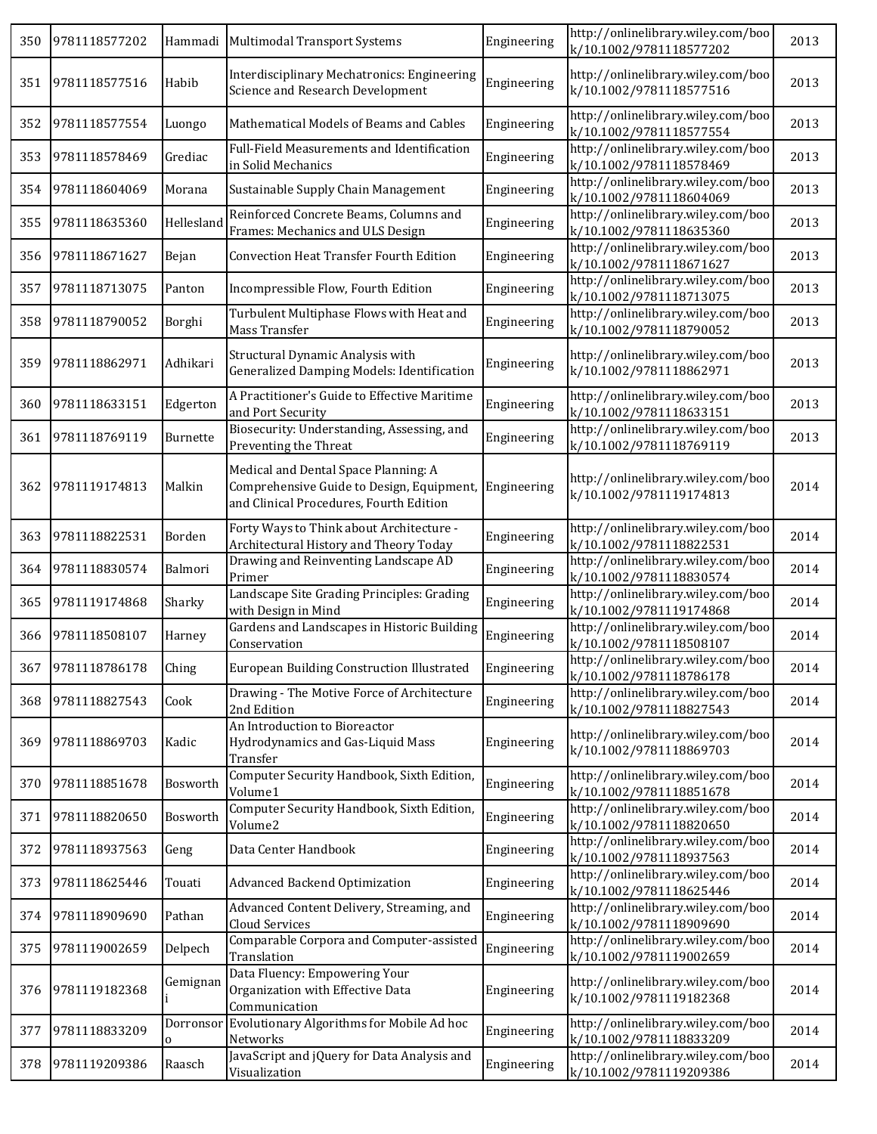| 350 | 9781118577202     |                | Hammadi Multimodal Transport Systems                                                                                         | Engineering | http://onlinelibrary.wiley.com/boo<br>k/10.1002/9781118577202 | 2013 |
|-----|-------------------|----------------|------------------------------------------------------------------------------------------------------------------------------|-------------|---------------------------------------------------------------|------|
| 351 | 9781118577516     | Habib          | Interdisciplinary Mechatronics: Engineering<br>Science and Research Development                                              | Engineering | http://onlinelibrary.wiley.com/boo<br>k/10.1002/9781118577516 | 2013 |
| 352 | 9781118577554     | Luongo         | Mathematical Models of Beams and Cables                                                                                      | Engineering | http://onlinelibrary.wiley.com/boo<br>k/10.1002/9781118577554 | 2013 |
| 353 | 9781118578469     | Grediac        | Full-Field Measurements and Identification<br>in Solid Mechanics                                                             | Engineering | http://onlinelibrary.wiley.com/boo<br>k/10.1002/9781118578469 | 2013 |
| 354 | 9781118604069     | Morana         | Sustainable Supply Chain Management                                                                                          | Engineering | http://onlinelibrary.wiley.com/boo<br>k/10.1002/9781118604069 | 2013 |
| 355 | 9781118635360     | Hellesland     | Reinforced Concrete Beams, Columns and<br>Frames: Mechanics and ULS Design                                                   | Engineering | http://onlinelibrary.wiley.com/boo<br>k/10.1002/9781118635360 | 2013 |
| 356 | 9781118671627     | Bejan          | <b>Convection Heat Transfer Fourth Edition</b>                                                                               | Engineering | http://onlinelibrary.wiley.com/boo<br>k/10.1002/9781118671627 | 2013 |
| 357 | 9781118713075     | Panton         | Incompressible Flow, Fourth Edition                                                                                          | Engineering | http://onlinelibrary.wiley.com/boo<br>k/10.1002/9781118713075 | 2013 |
| 358 | 9781118790052     | Borghi         | Turbulent Multiphase Flows with Heat and<br>Mass Transfer                                                                    | Engineering | http://onlinelibrary.wiley.com/boo<br>k/10.1002/9781118790052 | 2013 |
| 359 | 9781118862971     | Adhikari       | Structural Dynamic Analysis with<br>Generalized Damping Models: Identification                                               | Engineering | http://onlinelibrary.wiley.com/boo<br>k/10.1002/9781118862971 | 2013 |
| 360 | 9781118633151     | Edgerton       | A Practitioner's Guide to Effective Maritime<br>and Port Security                                                            | Engineering | http://onlinelibrary.wiley.com/boo<br>k/10.1002/9781118633151 | 2013 |
| 361 | 9781118769119     | Burnette       | Biosecurity: Understanding, Assessing, and<br>Preventing the Threat                                                          | Engineering | http://onlinelibrary.wiley.com/boo<br>k/10.1002/9781118769119 | 2013 |
| 362 | 9781119174813     | Malkin         | Medical and Dental Space Planning: A<br>Comprehensive Guide to Design, Equipment,<br>and Clinical Procedures, Fourth Edition | Engineering | http://onlinelibrary.wiley.com/boo<br>k/10.1002/9781119174813 | 2014 |
| 363 | 9781118822531     | Borden         | Forty Ways to Think about Architecture -<br>Architectural History and Theory Today                                           | Engineering | http://onlinelibrary.wiley.com/boo<br>k/10.1002/9781118822531 | 2014 |
| 364 | 9781118830574     | Balmori        | Drawing and Reinventing Landscape AD<br>Primer                                                                               | Engineering | http://onlinelibrary.wiley.com/boo<br>k/10.1002/9781118830574 | 2014 |
| 365 | 9781119174868     | Sharky         | Landscape Site Grading Principles: Grading<br>with Design in Mind                                                            | Engineering | http://onlinelibrary.wiley.com/boo<br>k/10.1002/9781119174868 | 2014 |
| 366 | 9781118508107     | Harney         | Gardens and Landscapes in Historic Building<br>Conservation                                                                  | Engineering | http://onlinelibrary.wiley.com/boo<br>k/10.1002/9781118508107 | 2014 |
|     | 367 9781118786178 | Ching          | European Building Construction Illustrated                                                                                   | Engineering | http://onlinelibrary.wiley.com/boo<br>k/10.1002/9781118786178 | 2014 |
| 368 | 9781118827543     | Cook           | Drawing - The Motive Force of Architecture<br>2nd Edition                                                                    | Engineering | http://onlinelibrary.wiley.com/boo<br>k/10.1002/9781118827543 | 2014 |
| 369 | 9781118869703     | Kadic          | An Introduction to Bioreactor<br>Hydrodynamics and Gas-Liquid Mass<br>Transfer                                               | Engineering | http://onlinelibrary.wiley.com/boo<br>k/10.1002/9781118869703 | 2014 |
| 370 | 9781118851678     | Bosworth       | Computer Security Handbook, Sixth Edition,<br>Volume1                                                                        | Engineering | http://onlinelibrary.wiley.com/boo<br>k/10.1002/9781118851678 | 2014 |
| 371 | 9781118820650     | Bosworth       | Computer Security Handbook, Sixth Edition,<br>Volume2                                                                        | Engineering | http://onlinelibrary.wiley.com/boo<br>k/10.1002/9781118820650 | 2014 |
| 372 | 9781118937563     | Geng           | Data Center Handbook                                                                                                         | Engineering | http://onlinelibrary.wiley.com/boo<br>k/10.1002/9781118937563 | 2014 |
| 373 | 9781118625446     | Touati         | Advanced Backend Optimization                                                                                                | Engineering | http://onlinelibrary.wiley.com/boo<br>k/10.1002/9781118625446 | 2014 |
| 374 | 9781118909690     | Pathan         | Advanced Content Delivery, Streaming, and<br>Cloud Services                                                                  | Engineering | http://onlinelibrary.wiley.com/boo<br>k/10.1002/9781118909690 | 2014 |
| 375 | 9781119002659     | Delpech        | Comparable Corpora and Computer-assisted<br>Translation                                                                      | Engineering | http://onlinelibrary.wiley.com/boo<br>k/10.1002/9781119002659 | 2014 |
| 376 | 9781119182368     | Gemignan       | Data Fluency: Empowering Your<br>Organization with Effective Data<br>Communication                                           | Engineering | http://onlinelibrary.wiley.com/boo<br>k/10.1002/9781119182368 | 2014 |
| 377 | 9781118833209     | Dorronsor<br>0 | Evolutionary Algorithms for Mobile Ad hoc<br>Networks                                                                        | Engineering | http://onlinelibrary.wiley.com/boo<br>k/10.1002/9781118833209 | 2014 |
| 378 | 9781119209386     | Raasch         | JavaScript and jQuery for Data Analysis and<br>Visualization                                                                 | Engineering | http://onlinelibrary.wiley.com/boo<br>k/10.1002/9781119209386 | 2014 |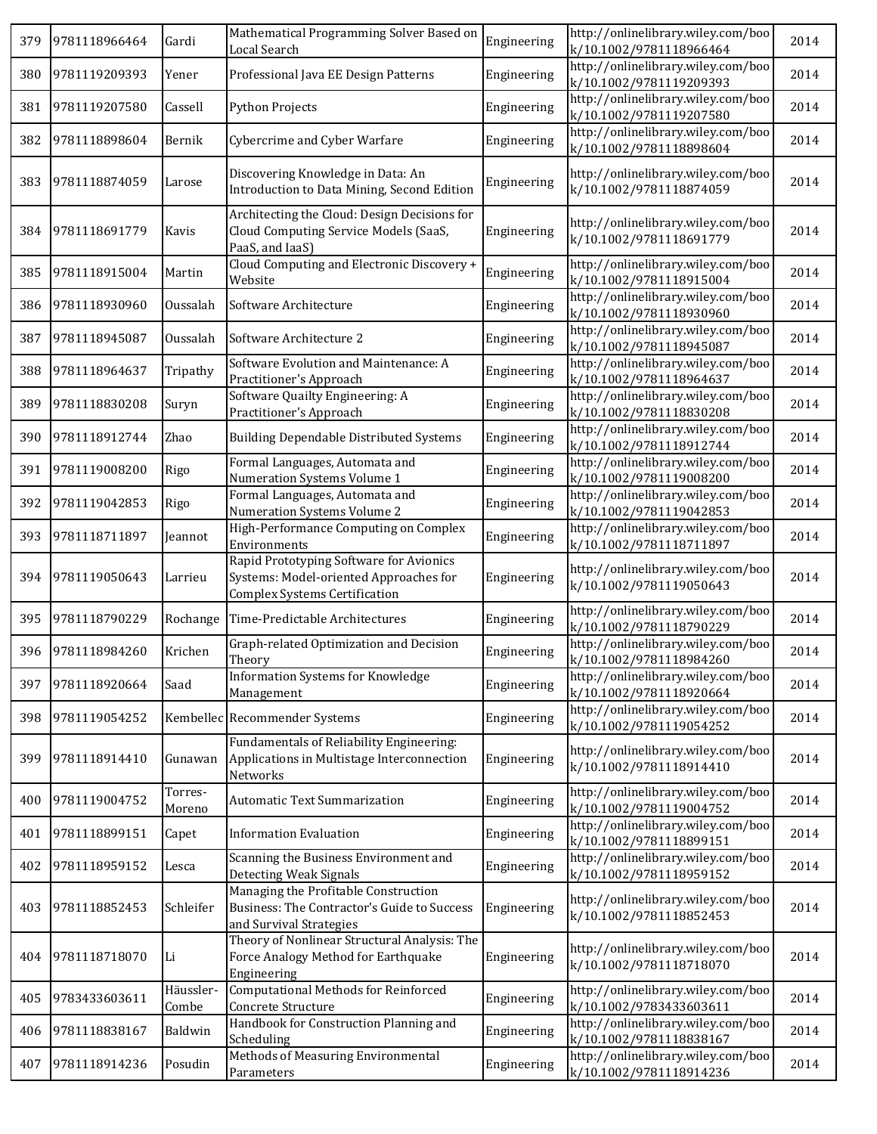| 379 | 9781118966464 | Gardi              | Mathematical Programming Solver Based on<br>Local Search                                                                  | Engineering | http://onlinelibrary.wiley.com/boo<br>k/10.1002/9781118966464 | 2014 |
|-----|---------------|--------------------|---------------------------------------------------------------------------------------------------------------------------|-------------|---------------------------------------------------------------|------|
| 380 | 9781119209393 | Yener              | Professional Java EE Design Patterns                                                                                      | Engineering | http://onlinelibrary.wiley.com/boo<br>k/10.1002/9781119209393 | 2014 |
| 381 | 9781119207580 | Cassell            | <b>Python Projects</b>                                                                                                    | Engineering | http://onlinelibrary.wiley.com/boo<br>k/10.1002/9781119207580 | 2014 |
| 382 | 9781118898604 | Bernik             | Cybercrime and Cyber Warfare                                                                                              | Engineering | http://onlinelibrary.wiley.com/boo<br>k/10.1002/9781118898604 | 2014 |
| 383 | 9781118874059 | Larose             | Discovering Knowledge in Data: An<br>Introduction to Data Mining, Second Edition                                          | Engineering | http://onlinelibrary.wiley.com/boo<br>k/10.1002/9781118874059 | 2014 |
| 384 | 9781118691779 | Kavis              | Architecting the Cloud: Design Decisions for<br>Cloud Computing Service Models (SaaS,<br>PaaS, and IaaS)                  | Engineering | http://onlinelibrary.wiley.com/boo<br>k/10.1002/9781118691779 | 2014 |
| 385 | 9781118915004 | Martin             | Cloud Computing and Electronic Discovery +<br>Website                                                                     | Engineering | http://onlinelibrary.wiley.com/boo<br>k/10.1002/9781118915004 | 2014 |
| 386 | 9781118930960 | Oussalah           | Software Architecture                                                                                                     | Engineering | http://onlinelibrary.wiley.com/boo<br>k/10.1002/9781118930960 | 2014 |
| 387 | 9781118945087 | Oussalah           | Software Architecture 2                                                                                                   | Engineering | http://onlinelibrary.wiley.com/boo<br>k/10.1002/9781118945087 | 2014 |
| 388 | 9781118964637 | Tripathy           | Software Evolution and Maintenance: A<br>Practitioner's Approach                                                          | Engineering | http://onlinelibrary.wiley.com/boo<br>k/10.1002/9781118964637 | 2014 |
| 389 | 9781118830208 | Suryn              | Software Quailty Engineering: A<br>Practitioner's Approach                                                                | Engineering | http://onlinelibrary.wiley.com/boo<br>k/10.1002/9781118830208 | 2014 |
| 390 | 9781118912744 | Zhao               | <b>Building Dependable Distributed Systems</b>                                                                            | Engineering | http://onlinelibrary.wiley.com/boo<br>k/10.1002/9781118912744 | 2014 |
| 391 | 9781119008200 | Rigo               | Formal Languages, Automata and<br>Numeration Systems Volume 1                                                             | Engineering | http://onlinelibrary.wiley.com/boo<br>k/10.1002/9781119008200 | 2014 |
| 392 | 9781119042853 | Rigo               | Formal Languages, Automata and<br>Numeration Systems Volume 2                                                             | Engineering | http://onlinelibrary.wiley.com/boo<br>k/10.1002/9781119042853 | 2014 |
| 393 | 9781118711897 | Jeannot            | High-Performance Computing on Complex<br>Environments                                                                     | Engineering | http://onlinelibrary.wiley.com/boo<br>k/10.1002/9781118711897 | 2014 |
| 394 | 9781119050643 | Larrieu            | Rapid Prototyping Software for Avionics<br>Systems: Model-oriented Approaches for<br><b>Complex Systems Certification</b> | Engineering | http://onlinelibrary.wiley.com/boo<br>k/10.1002/9781119050643 | 2014 |
| 395 | 9781118790229 | Rochange           | Time-Predictable Architectures                                                                                            | Engineering | http://onlinelibrary.wiley.com/boo<br>k/10.1002/9781118790229 | 2014 |
| 396 | 9781118984260 | Krichen            | Graph-related Optimization and Decision<br>Theory                                                                         | Engineering | http://onlinelibrary.wiley.com/boo<br>k/10.1002/9781118984260 | 2014 |
| 397 | 9781118920664 | Saad               | Information Systems for Knowledge<br>Management                                                                           | Engineering | http://onlinelibrary.wiley.com/boo<br>k/10.1002/9781118920664 | 2014 |
| 398 | 9781119054252 |                    | Kembellec Recommender Systems                                                                                             | Engineering | http://onlinelibrary.wiley.com/boo<br>k/10.1002/9781119054252 | 2014 |
| 399 | 9781118914410 | Gunawan            | Fundamentals of Reliability Engineering:<br>Applications in Multistage Interconnection<br>Networks                        | Engineering | http://onlinelibrary.wiley.com/boo<br>k/10.1002/9781118914410 | 2014 |
| 400 | 9781119004752 | Torres-<br>Moreno  | <b>Automatic Text Summarization</b>                                                                                       | Engineering | http://onlinelibrary.wiley.com/boo<br>k/10.1002/9781119004752 | 2014 |
| 401 | 9781118899151 | Capet              | <b>Information Evaluation</b>                                                                                             | Engineering | http://onlinelibrary.wiley.com/boo<br>k/10.1002/9781118899151 | 2014 |
| 402 | 9781118959152 | Lesca              | Scanning the Business Environment and<br><b>Detecting Weak Signals</b>                                                    | Engineering | http://onlinelibrary.wiley.com/boo<br>k/10.1002/9781118959152 | 2014 |
| 403 | 9781118852453 | Schleifer          | Managing the Profitable Construction<br>Business: The Contractor's Guide to Success<br>and Survival Strategies            | Engineering | http://onlinelibrary.wiley.com/boo<br>k/10.1002/9781118852453 | 2014 |
| 404 | 9781118718070 | Li                 | Theory of Nonlinear Structural Analysis: The<br>Force Analogy Method for Earthquake<br>Engineering                        | Engineering | http://onlinelibrary.wiley.com/boo<br>k/10.1002/9781118718070 | 2014 |
| 405 | 9783433603611 | Häussler-<br>Combe | Computational Methods for Reinforced<br>Concrete Structure                                                                | Engineering | http://onlinelibrary.wiley.com/boo<br>k/10.1002/9783433603611 | 2014 |
| 406 | 9781118838167 | Baldwin            | Handbook for Construction Planning and<br>Scheduling                                                                      | Engineering | http://onlinelibrary.wiley.com/boo<br>k/10.1002/9781118838167 | 2014 |
| 407 | 9781118914236 | Posudin            | Methods of Measuring Environmental<br>Parameters                                                                          | Engineering | http://onlinelibrary.wiley.com/boo<br>k/10.1002/9781118914236 | 2014 |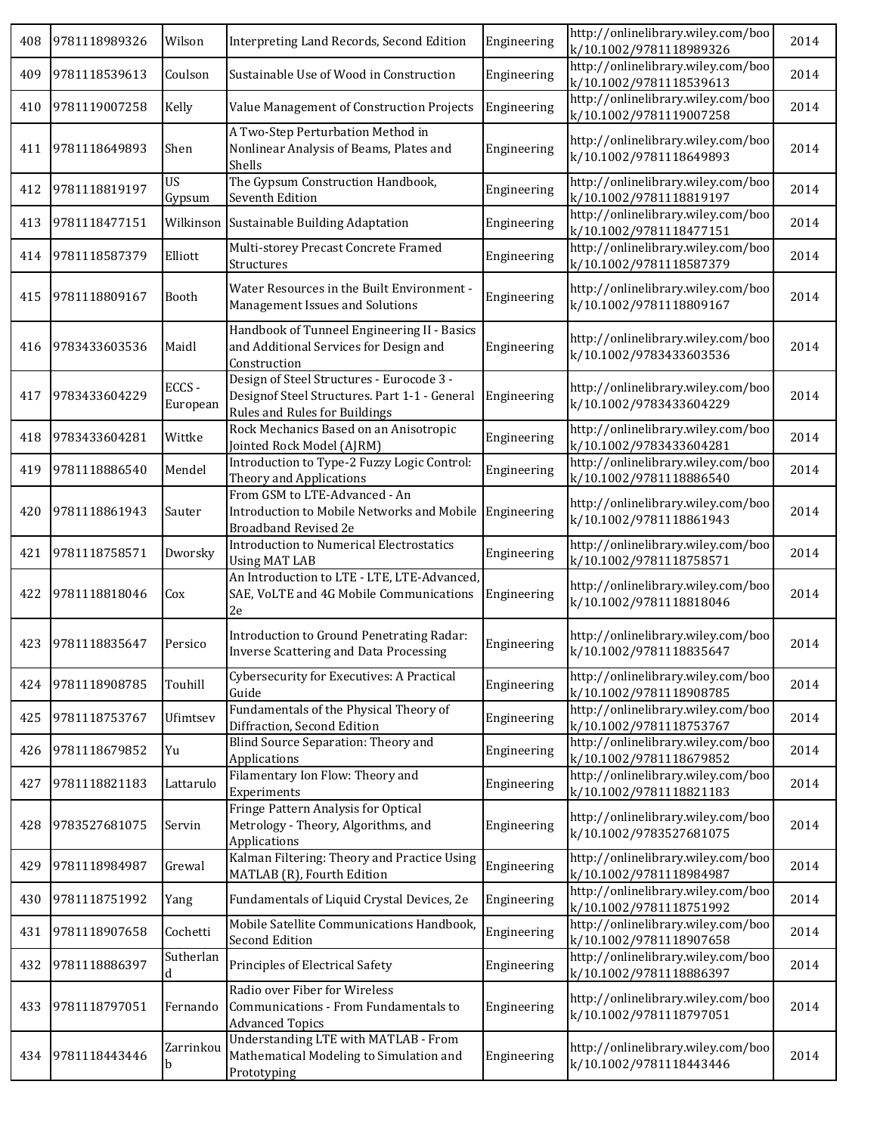| 408 | 9781118989326 | Wilson            | Interpreting Land Records, Second Edition                                                                                   | Engineering | http://onlinelibrary.wiley.com/boo<br>k/10.1002/9781118989326 | 2014 |
|-----|---------------|-------------------|-----------------------------------------------------------------------------------------------------------------------------|-------------|---------------------------------------------------------------|------|
| 409 | 9781118539613 | Coulson           | Sustainable Use of Wood in Construction                                                                                     | Engineering | http://onlinelibrary.wiley.com/boo<br>k/10.1002/9781118539613 | 2014 |
| 410 | 9781119007258 | Kelly             | Value Management of Construction Projects                                                                                   | Engineering | http://onlinelibrary.wiley.com/boo<br>k/10.1002/9781119007258 | 2014 |
| 411 | 9781118649893 | Shen              | A Two-Step Perturbation Method in<br>Nonlinear Analysis of Beams, Plates and<br>Shells                                      | Engineering | http://onlinelibrary.wiley.com/boo<br>k/10.1002/9781118649893 | 2014 |
| 412 | 9781118819197 | US<br>Gypsum      | The Gypsum Construction Handbook,<br>Seventh Edition                                                                        | Engineering | http://onlinelibrary.wiley.com/boo<br>k/10.1002/9781118819197 | 2014 |
| 413 | 9781118477151 |                   | Wilkinson Sustainable Building Adaptation                                                                                   | Engineering | http://onlinelibrary.wiley.com/boo<br>k/10.1002/9781118477151 | 2014 |
| 414 | 9781118587379 | Elliott           | Multi-storey Precast Concrete Framed<br>Structures                                                                          | Engineering | http://onlinelibrary.wiley.com/boo<br>k/10.1002/9781118587379 | 2014 |
| 415 | 9781118809167 | Booth             | Water Resources in the Built Environment -<br>Management Issues and Solutions                                               | Engineering | http://onlinelibrary.wiley.com/boo<br>k/10.1002/9781118809167 | 2014 |
| 416 | 9783433603536 | Maidl             | Handbook of Tunneel Engineering II - Basics<br>and Additional Services for Design and<br>Construction                       | Engineering | http://onlinelibrary.wiley.com/boo<br>k/10.1002/9783433603536 | 2014 |
| 417 | 9783433604229 | ECCS-<br>European | Design of Steel Structures - Eurocode 3 -<br>Designof Steel Structures. Part 1-1 - General<br>Rules and Rules for Buildings | Engineering | http://onlinelibrary.wiley.com/boo<br>k/10.1002/9783433604229 | 2014 |
| 418 | 9783433604281 | Wittke            | Rock Mechanics Based on an Anisotropic<br>Jointed Rock Model (AJRM)                                                         | Engineering | http://onlinelibrary.wiley.com/boo<br>k/10.1002/9783433604281 | 2014 |
| 419 | 9781118886540 | Mendel            | Introduction to Type-2 Fuzzy Logic Control:<br>Theory and Applications                                                      | Engineering | http://onlinelibrary.wiley.com/boo<br>k/10.1002/9781118886540 | 2014 |
| 420 | 9781118861943 | Sauter            | From GSM to LTE-Advanced - An<br>Introduction to Mobile Networks and Mobile<br>Broadband Revised 2e                         | Engineering | http://onlinelibrary.wiley.com/boo<br>k/10.1002/9781118861943 | 2014 |
| 421 | 9781118758571 | Dworsky           | <b>Introduction to Numerical Electrostatics</b><br><b>Using MAT LAB</b>                                                     | Engineering | http://onlinelibrary.wiley.com/boo<br>k/10.1002/9781118758571 | 2014 |
| 422 | 9781118818046 | Cox               | An Introduction to LTE - LTE, LTE-Advanced,<br>SAE, VoLTE and 4G Mobile Communications<br>2e                                | Engineering | http://onlinelibrary.wiley.com/boo<br>k/10.1002/9781118818046 | 2014 |
| 423 | 9781118835647 | Persico           | Introduction to Ground Penetrating Radar:<br>Inverse Scattering and Data Processing                                         | Engineering | http://onlinelibrary.wiley.com/boo<br>k/10.1002/9781118835647 | 2014 |
| 424 | 9781118908785 | Touhill           | Cybersecurity for Executives: A Practical<br>Guide                                                                          | Engineering | http://onlinelibrary.wiley.com/boo<br>k/10.1002/9781118908785 | 2014 |
| 425 | 9781118753767 | Ufimtsev          | Fundamentals of the Physical Theory of<br>Diffraction, Second Edition                                                       | Engineering | http://onlinelibrary.wiley.com/boo<br>k/10.1002/9781118753767 | 2014 |
| 426 | 9781118679852 | Yu                | Blind Source Separation: Theory and<br>Applications                                                                         | Engineering | http://onlinelibrary.wiley.com/boo<br>k/10.1002/9781118679852 | 2014 |
| 427 | 9781118821183 | Lattarulo         | Filamentary Ion Flow: Theory and<br>Experiments                                                                             | Engineering | http://onlinelibrary.wiley.com/boo<br>k/10.1002/9781118821183 | 2014 |
| 428 | 9783527681075 | Servin            | Fringe Pattern Analysis for Optical<br>Metrology - Theory, Algorithms, and<br>Applications                                  | Engineering | http://onlinelibrary.wiley.com/boo<br>k/10.1002/9783527681075 | 2014 |
| 429 | 9781118984987 | Grewal            | Kalman Filtering: Theory and Practice Using<br>MATLAB (R), Fourth Edition                                                   | Engineering | http://onlinelibrary.wiley.com/boo<br>k/10.1002/9781118984987 | 2014 |
| 430 | 9781118751992 | Yang              | Fundamentals of Liquid Crystal Devices, 2e                                                                                  | Engineering | http://onlinelibrary.wiley.com/boo<br>k/10.1002/9781118751992 | 2014 |
| 431 | 9781118907658 | Cochetti          | Mobile Satellite Communications Handbook,<br>Second Edition                                                                 | Engineering | http://onlinelibrary.wiley.com/boo<br>k/10.1002/9781118907658 | 2014 |
| 432 | 9781118886397 | Sutherlan<br>d    | Principles of Electrical Safety                                                                                             | Engineering | http://onlinelibrary.wiley.com/boo<br>k/10.1002/9781118886397 | 2014 |
| 433 | 9781118797051 | Fernando          | Radio over Fiber for Wireless<br>Communications - From Fundamentals to<br><b>Advanced Topics</b>                            | Engineering | http://onlinelibrary.wiley.com/boo<br>k/10.1002/9781118797051 | 2014 |
| 434 | 9781118443446 | Zarrinkou<br>b    | Understanding LTE with MATLAB - From<br>Mathematical Modeling to Simulation and<br>Prototyping                              | Engineering | http://onlinelibrary.wiley.com/boo<br>k/10.1002/9781118443446 | 2014 |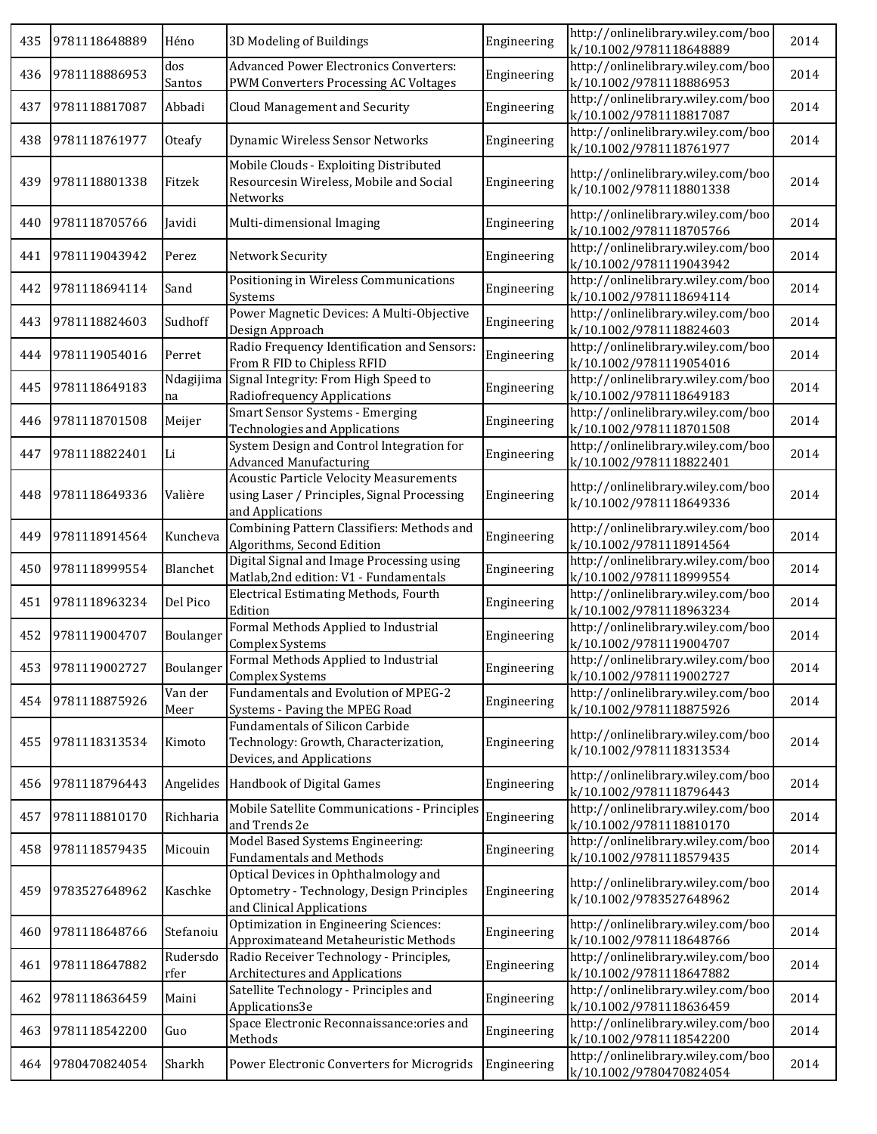| 435 | 9781118648889 | Héno             | 3D Modeling of Buildings                                                                                          | Engineering | http://onlinelibrary.wiley.com/boo<br>k/10.1002/9781118648889                            | 2014 |
|-----|---------------|------------------|-------------------------------------------------------------------------------------------------------------------|-------------|------------------------------------------------------------------------------------------|------|
| 436 | 9781118886953 | dos<br>Santos    | <b>Advanced Power Electronics Converters:</b><br>PWM Converters Processing AC Voltages                            | Engineering | http://onlinelibrary.wiley.com/boo<br>k/10.1002/9781118886953                            | 2014 |
| 437 | 9781118817087 | Abbadi           | Cloud Management and Security                                                                                     | Engineering | http://onlinelibrary.wiley.com/boo                                                       | 2014 |
| 438 | 9781118761977 | Oteafy           | Dynamic Wireless Sensor Networks                                                                                  | Engineering | k/10.1002/9781118817087<br>http://onlinelibrary.wiley.com/boo                            | 2014 |
| 439 | 9781118801338 | Fitzek           | Mobile Clouds - Exploiting Distributed<br>Resourcesin Wireless, Mobile and Social                                 | Engineering | k/10.1002/9781118761977<br>http://onlinelibrary.wiley.com/boo<br>k/10.1002/9781118801338 | 2014 |
| 440 | 9781118705766 | Javidi           | Networks<br>Multi-dimensional Imaging                                                                             | Engineering | http://onlinelibrary.wiley.com/boo<br>k/10.1002/9781118705766                            | 2014 |
| 441 | 9781119043942 | Perez            | Network Security                                                                                                  | Engineering | http://onlinelibrary.wiley.com/boo<br>k/10.1002/9781119043942                            | 2014 |
| 442 | 9781118694114 | Sand             | Positioning in Wireless Communications<br>Systems                                                                 | Engineering | http://onlinelibrary.wiley.com/boo<br>k/10.1002/9781118694114                            | 2014 |
| 443 | 9781118824603 | Sudhoff          | Power Magnetic Devices: A Multi-Objective<br>Design Approach                                                      | Engineering | http://onlinelibrary.wiley.com/boo<br>k/10.1002/9781118824603                            | 2014 |
| 444 | 9781119054016 | Perret           | Radio Frequency Identification and Sensors:<br>From R FID to Chipless RFID                                        | Engineering | http://onlinelibrary.wiley.com/boo<br>k/10.1002/9781119054016                            | 2014 |
| 445 | 9781118649183 | Ndagijima<br>na  | Signal Integrity: From High Speed to<br>Radiofrequency Applications                                               | Engineering | http://onlinelibrary.wiley.com/boo<br>k/10.1002/9781118649183                            | 2014 |
| 446 | 9781118701508 | Meijer           | Smart Sensor Systems - Emerging<br><b>Technologies and Applications</b>                                           | Engineering | http://onlinelibrary.wiley.com/boo<br>k/10.1002/9781118701508                            | 2014 |
| 447 | 9781118822401 | Li               | System Design and Control Integration for<br><b>Advanced Manufacturing</b>                                        | Engineering | http://onlinelibrary.wiley.com/boo<br>k/10.1002/9781118822401                            | 2014 |
| 448 | 9781118649336 | Valière          | <b>Acoustic Particle Velocity Measurements</b><br>using Laser / Principles, Signal Processing<br>and Applications | Engineering | http://onlinelibrary.wiley.com/boo<br>k/10.1002/9781118649336                            | 2014 |
| 449 | 9781118914564 | Kuncheva         | Combining Pattern Classifiers: Methods and<br>Algorithms, Second Edition                                          | Engineering | http://onlinelibrary.wiley.com/boo<br>k/10.1002/9781118914564                            | 2014 |
| 450 | 9781118999554 | Blanchet         | Digital Signal and Image Processing using<br>Matlab, 2nd edition: V1 - Fundamentals                               | Engineering | http://onlinelibrary.wiley.com/boo<br>k/10.1002/9781118999554                            | 2014 |
| 451 | 9781118963234 | Del Pico         | Electrical Estimating Methods, Fourth<br>Edition                                                                  | Engineering | http://onlinelibrary.wiley.com/boo<br>k/10.1002/9781118963234                            | 2014 |
| 452 | 9781119004707 | Boulanger        | Formal Methods Applied to Industrial<br>Complex Systems                                                           | Engineering | http://onlinelibrary.wiley.com/boo<br>k/10.1002/9781119004707                            | 2014 |
| 453 | 9781119002727 | Boulanger        | Formal Methods Applied to Industrial<br>Complex Systems                                                           | Engineering | http://onlinelibrary.wiley.com/boo<br>k/10.1002/9781119002727                            | 2014 |
| 454 | 9781118875926 | Van der<br>Meer  | Fundamentals and Evolution of MPEG-2<br>Systems - Paving the MPEG Road                                            | Engineering | http://onlinelibrary.wiley.com/boo<br>k/10.1002/9781118875926                            | 2014 |
| 455 | 9781118313534 | Kimoto           | <b>Fundamentals of Silicon Carbide</b><br>Technology: Growth, Characterization,<br>Devices, and Applications      | Engineering | http://onlinelibrary.wiley.com/boo<br>k/10.1002/9781118313534                            | 2014 |
| 456 | 9781118796443 | Angelides        | Handbook of Digital Games                                                                                         | Engineering | http://onlinelibrary.wiley.com/boo<br>k/10.1002/9781118796443                            | 2014 |
| 457 | 9781118810170 | Richharia        | Mobile Satellite Communications - Principles<br>and Trends 2e                                                     | Engineering | http://onlinelibrary.wiley.com/boo<br>k/10.1002/9781118810170                            | 2014 |
| 458 | 9781118579435 | Micouin          | Model Based Systems Engineering:<br><b>Fundamentals and Methods</b>                                               | Engineering | http://onlinelibrary.wiley.com/boo<br>k/10.1002/9781118579435                            | 2014 |
| 459 | 9783527648962 | Kaschke          | Optical Devices in Ophthalmology and<br>Optometry - Technology, Design Principles<br>and Clinical Applications    | Engineering | http://onlinelibrary.wiley.com/boo<br>k/10.1002/9783527648962                            | 2014 |
| 460 | 9781118648766 | Stefanoiu        | Optimization in Engineering Sciences:<br>Approximateand Metaheuristic Methods                                     | Engineering | http://onlinelibrary.wiley.com/boo<br>k/10.1002/9781118648766                            | 2014 |
| 461 | 9781118647882 | Rudersdo<br>rfer | Radio Receiver Technology - Principles,<br><b>Architectures and Applications</b>                                  | Engineering | http://onlinelibrary.wiley.com/boo<br>k/10.1002/9781118647882                            | 2014 |
| 462 | 9781118636459 | Maini            | Satellite Technology - Principles and<br>Applications3e                                                           | Engineering | http://onlinelibrary.wiley.com/boo<br>k/10.1002/9781118636459                            | 2014 |
| 463 | 9781118542200 | Guo              | Space Electronic Reconnaissance:ories and<br>Methods                                                              | Engineering | http://onlinelibrary.wiley.com/boo<br>k/10.1002/9781118542200                            | 2014 |
| 464 | 9780470824054 | Sharkh           | Power Electronic Converters for Microgrids                                                                        | Engineering | http://onlinelibrary.wiley.com/boo<br>k/10.1002/9780470824054                            | 2014 |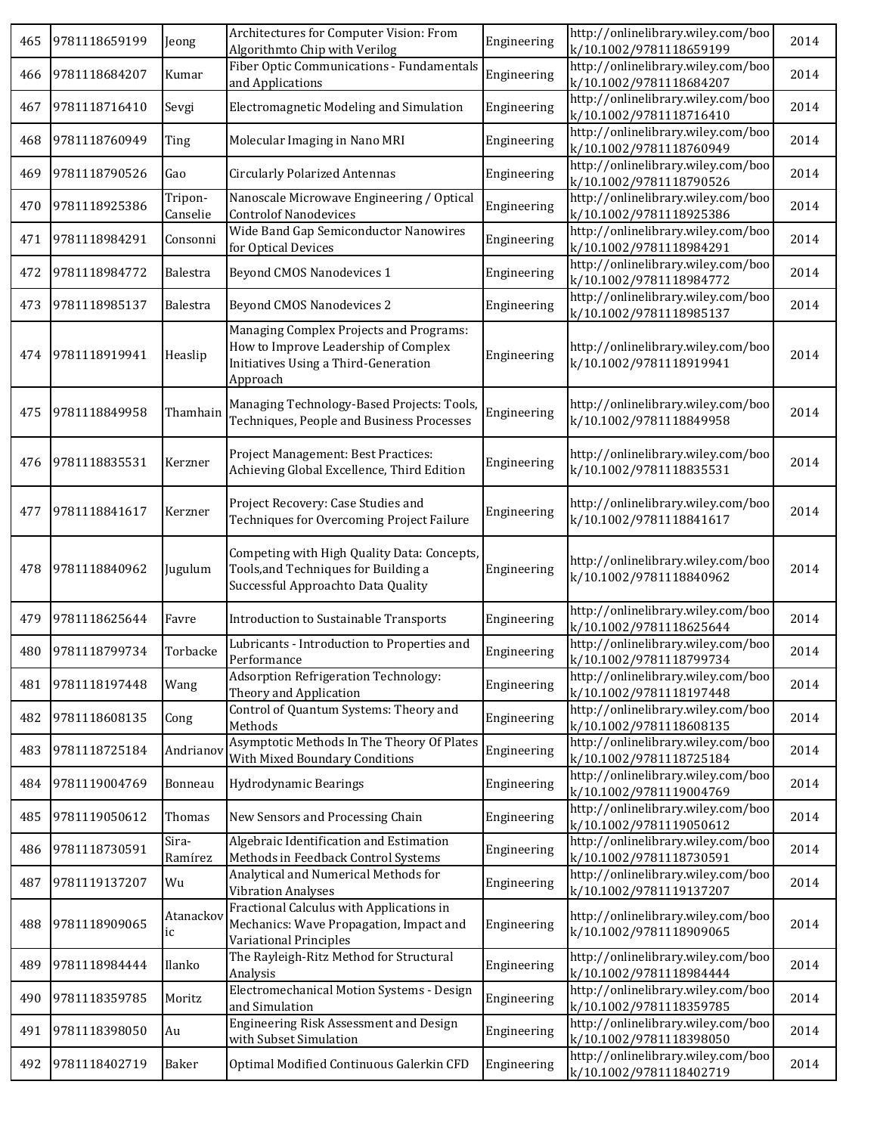| 465 | 9781118659199 | Jeong               | Architectures for Computer Vision: From<br>Algorithmto Chip with Verilog                                                            | Engineering | http://onlinelibrary.wiley.com/boo<br>k/10.1002/9781118659199 | 2014 |
|-----|---------------|---------------------|-------------------------------------------------------------------------------------------------------------------------------------|-------------|---------------------------------------------------------------|------|
| 466 | 9781118684207 | Kumar               | Fiber Optic Communications - Fundamentals<br>and Applications                                                                       | Engineering | http://onlinelibrary.wiley.com/boo<br>k/10.1002/9781118684207 | 2014 |
| 467 | 9781118716410 | Sevgi               | Electromagnetic Modeling and Simulation                                                                                             | Engineering | http://onlinelibrary.wiley.com/boo<br>k/10.1002/9781118716410 | 2014 |
| 468 | 9781118760949 | Ting                | Molecular Imaging in Nano MRI                                                                                                       | Engineering | http://onlinelibrary.wiley.com/boo<br>k/10.1002/9781118760949 | 2014 |
| 469 | 9781118790526 | Gao                 | <b>Circularly Polarized Antennas</b>                                                                                                | Engineering | http://onlinelibrary.wiley.com/boo<br>k/10.1002/9781118790526 | 2014 |
| 470 | 9781118925386 | Tripon-<br>Canselie | Nanoscale Microwave Engineering / Optical<br><b>Controlof Nanodevices</b>                                                           | Engineering | http://onlinelibrary.wiley.com/boo<br>k/10.1002/9781118925386 | 2014 |
| 471 | 9781118984291 | Consonni            | Wide Band Gap Semiconductor Nanowires<br>for Optical Devices                                                                        | Engineering | http://onlinelibrary.wiley.com/boo<br>k/10.1002/9781118984291 | 2014 |
| 472 | 9781118984772 | Balestra            | <b>Beyond CMOS Nanodevices 1</b>                                                                                                    | Engineering | http://onlinelibrary.wiley.com/boo<br>k/10.1002/9781118984772 | 2014 |
| 473 | 9781118985137 | Balestra            | <b>Beyond CMOS Nanodevices 2</b>                                                                                                    | Engineering | http://onlinelibrary.wiley.com/boo<br>k/10.1002/9781118985137 | 2014 |
| 474 | 9781118919941 | Heaslip             | Managing Complex Projects and Programs:<br>How to Improve Leadership of Complex<br>Initiatives Using a Third-Generation<br>Approach | Engineering | http://onlinelibrary.wiley.com/boo<br>k/10.1002/9781118919941 | 2014 |
| 475 | 9781118849958 | Thamhain            | Managing Technology-Based Projects: Tools,<br>Techniques, People and Business Processes                                             | Engineering | http://onlinelibrary.wiley.com/boo<br>k/10.1002/9781118849958 | 2014 |
| 476 | 9781118835531 | Kerzner             | Project Management: Best Practices:<br>Achieving Global Excellence, Third Edition                                                   | Engineering | http://onlinelibrary.wiley.com/boo<br>k/10.1002/9781118835531 | 2014 |
| 477 | 9781118841617 | Kerzner             | Project Recovery: Case Studies and<br>Techniques for Overcoming Project Failure                                                     | Engineering | http://onlinelibrary.wiley.com/boo<br>k/10.1002/9781118841617 | 2014 |
| 478 | 9781118840962 | Jugulum             | Competing with High Quality Data: Concepts,<br>Tools, and Techniques for Building a<br>Successful Approachto Data Quality           | Engineering | http://onlinelibrary.wiley.com/boo<br>k/10.1002/9781118840962 | 2014 |
| 479 | 9781118625644 | Favre               | Introduction to Sustainable Transports                                                                                              | Engineering | http://onlinelibrary.wiley.com/boo<br>k/10.1002/9781118625644 | 2014 |
| 480 | 9781118799734 | Torbacke            | Lubricants - Introduction to Properties and<br>Performance                                                                          | Engineering | http://onlinelibrary.wiley.com/boo<br>k/10.1002/9781118799734 | 2014 |
| 481 | 9781118197448 | Wang                | Adsorption Refrigeration Technology:<br>Theory and Application                                                                      | Engineering | http://onlinelibrary.wiley.com/boo<br>k/10.1002/9781118197448 | 2014 |
| 482 | 9781118608135 | Cong                | Control of Quantum Systems: Theory and<br>Methods                                                                                   | Engineering | http://onlinelibrary.wiley.com/boo<br>k/10.1002/9781118608135 | 2014 |
| 483 | 9781118725184 | Andrianov           | Asymptotic Methods In The Theory Of Plates<br>With Mixed Boundary Conditions                                                        | Engineering | http://onlinelibrary.wiley.com/boo<br>k/10.1002/9781118725184 | 2014 |
| 484 | 9781119004769 | Bonneau             | Hydrodynamic Bearings                                                                                                               | Engineering | http://onlinelibrary.wiley.com/boo<br>k/10.1002/9781119004769 | 2014 |
| 485 | 9781119050612 | Thomas              | New Sensors and Processing Chain                                                                                                    | Engineering | http://onlinelibrary.wiley.com/boo<br>k/10.1002/9781119050612 | 2014 |
| 486 | 9781118730591 | Sira-<br>Ramírez    | Algebraic Identification and Estimation<br>Methods in Feedback Control Systems                                                      | Engineering | http://onlinelibrary.wiley.com/boo<br>k/10.1002/9781118730591 | 2014 |
| 487 | 9781119137207 | Wu                  | Analytical and Numerical Methods for<br><b>Vibration Analyses</b>                                                                   | Engineering | http://onlinelibrary.wiley.com/boo<br>k/10.1002/9781119137207 | 2014 |
| 488 | 9781118909065 | Atanackov<br>ic     | Fractional Calculus with Applications in<br>Mechanics: Wave Propagation, Impact and<br>Variational Principles                       | Engineering | http://onlinelibrary.wiley.com/boo<br>k/10.1002/9781118909065 | 2014 |
| 489 | 9781118984444 | Ilanko              | The Rayleigh-Ritz Method for Structural<br>Analysis                                                                                 | Engineering | http://onlinelibrary.wiley.com/boo<br>k/10.1002/9781118984444 | 2014 |
| 490 | 9781118359785 | Moritz              | Electromechanical Motion Systems - Design<br>and Simulation                                                                         | Engineering | http://onlinelibrary.wiley.com/boo<br>k/10.1002/9781118359785 | 2014 |
| 491 | 9781118398050 | Au                  | Engineering Risk Assessment and Design<br>with Subset Simulation                                                                    | Engineering | http://onlinelibrary.wiley.com/boo<br>k/10.1002/9781118398050 | 2014 |
| 492 | 9781118402719 | Baker               | Optimal Modified Continuous Galerkin CFD                                                                                            | Engineering | http://onlinelibrary.wiley.com/boo<br>k/10.1002/9781118402719 | 2014 |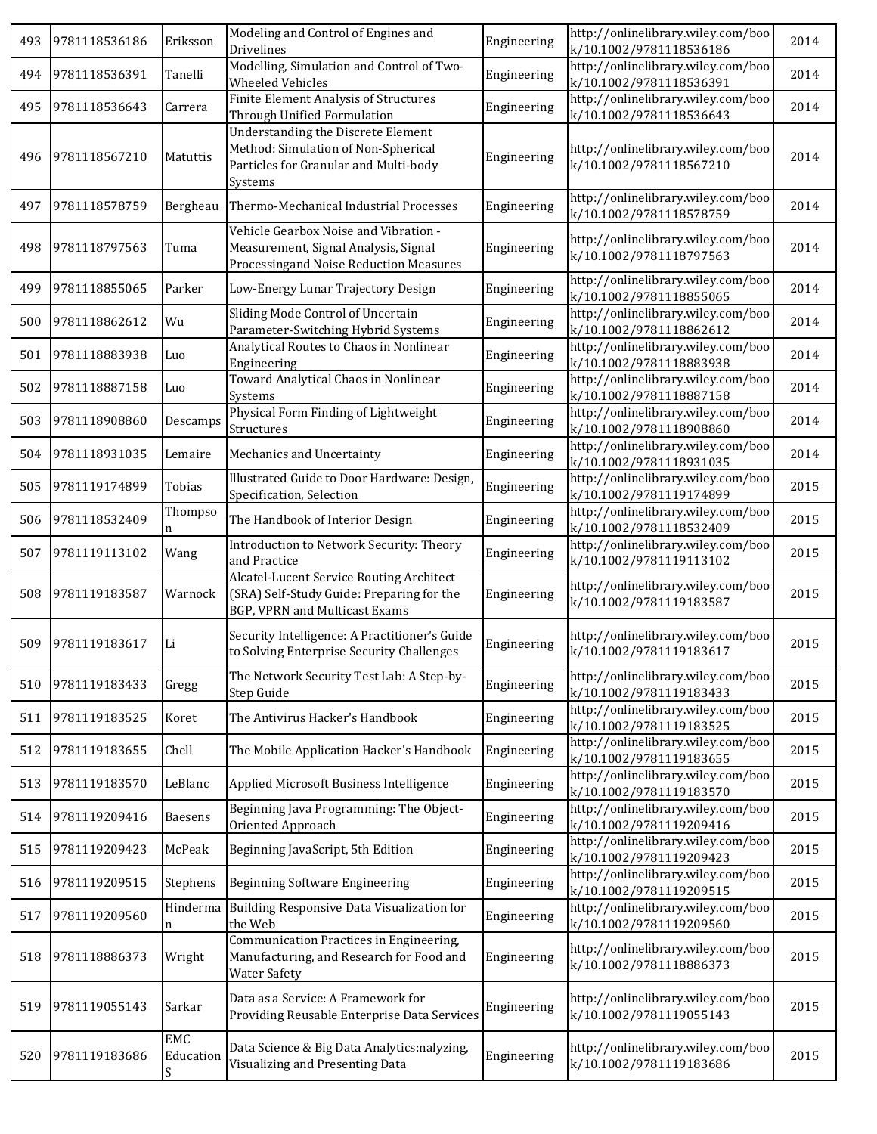| 493 | 9781118536186 | Eriksson         | Modeling and Control of Engines and<br>Drivelines                                                                             | Engineering | http://onlinelibrary.wiley.com/boo<br>k/10.1002/9781118536186 | 2014 |
|-----|---------------|------------------|-------------------------------------------------------------------------------------------------------------------------------|-------------|---------------------------------------------------------------|------|
| 494 | 9781118536391 | Tanelli          | Modelling, Simulation and Control of Two-<br><b>Wheeled Vehicles</b>                                                          | Engineering | http://onlinelibrary.wiley.com/boo<br>k/10.1002/9781118536391 | 2014 |
| 495 | 9781118536643 | Carrera          | Finite Element Analysis of Structures<br>Through Unified Formulation                                                          | Engineering | http://onlinelibrary.wiley.com/boo<br>k/10.1002/9781118536643 | 2014 |
| 496 | 9781118567210 | Matuttis         | Understanding the Discrete Element<br>Method: Simulation of Non-Spherical<br>Particles for Granular and Multi-body<br>Systems | Engineering | http://onlinelibrary.wiley.com/boo<br>k/10.1002/9781118567210 | 2014 |
| 497 | 9781118578759 | Bergheau         | Thermo-Mechanical Industrial Processes                                                                                        | Engineering | http://onlinelibrary.wiley.com/boo<br>k/10.1002/9781118578759 | 2014 |
| 498 | 9781118797563 | Tuma             | Vehicle Gearbox Noise and Vibration -<br>Measurement, Signal Analysis, Signal<br>Processingand Noise Reduction Measures       | Engineering | http://onlinelibrary.wiley.com/boo<br>k/10.1002/9781118797563 | 2014 |
| 499 | 9781118855065 | Parker           | Low-Energy Lunar Trajectory Design                                                                                            | Engineering | http://onlinelibrary.wiley.com/boo<br>k/10.1002/9781118855065 | 2014 |
| 500 | 9781118862612 | Wu               | Sliding Mode Control of Uncertain<br>Parameter-Switching Hybrid Systems                                                       | Engineering | http://onlinelibrary.wiley.com/boo<br>k/10.1002/9781118862612 | 2014 |
| 501 | 9781118883938 | Luo              | Analytical Routes to Chaos in Nonlinear<br>Engineering                                                                        | Engineering | http://onlinelibrary.wiley.com/boo<br>k/10.1002/9781118883938 | 2014 |
| 502 | 9781118887158 | Luo              | Toward Analytical Chaos in Nonlinear<br>Systems                                                                               | Engineering | http://onlinelibrary.wiley.com/boo<br>k/10.1002/9781118887158 | 2014 |
| 503 | 9781118908860 | Descamps         | Physical Form Finding of Lightweight<br>Structures                                                                            | Engineering | http://onlinelibrary.wiley.com/boo<br>k/10.1002/9781118908860 | 2014 |
| 504 | 9781118931035 | Lemaire          | Mechanics and Uncertainty                                                                                                     | Engineering | http://onlinelibrary.wiley.com/boo<br>k/10.1002/9781118931035 | 2014 |
| 505 | 9781119174899 | Tobias           | Illustrated Guide to Door Hardware: Design,<br>Specification, Selection                                                       | Engineering | http://onlinelibrary.wiley.com/boo<br>k/10.1002/9781119174899 | 2015 |
| 506 | 9781118532409 | Thompso<br>n     | The Handbook of Interior Design                                                                                               | Engineering | http://onlinelibrary.wiley.com/boo<br>k/10.1002/9781118532409 | 2015 |
| 507 | 9781119113102 | Wang             | Introduction to Network Security: Theory<br>and Practice                                                                      | Engineering | http://onlinelibrary.wiley.com/boo<br>k/10.1002/9781119113102 | 2015 |
| 508 | 9781119183587 | Warnock          | Alcatel-Lucent Service Routing Architect<br>(SRA) Self-Study Guide: Preparing for the<br><b>BGP, VPRN and Multicast Exams</b> | Engineering | http://onlinelibrary.wiley.com/boo<br>k/10.1002/9781119183587 | 2015 |
| 509 | 9781119183617 | Li               | Security Intelligence: A Practitioner's Guide<br>to Solving Enterprise Security Challenges                                    | Engineering | http://onlinelibrary.wiley.com/boo<br>k/10.1002/9781119183617 | 2015 |
| 510 | 9781119183433 | Gregg            | The Network Security Test Lab: A Step-by-<br>Step Guide                                                                       | Engineering | http://onlinelibrary.wiley.com/boo<br>k/10.1002/9781119183433 | 2015 |
| 511 | 9781119183525 | Koret            | The Antivirus Hacker's Handbook                                                                                               | Engineering | http://onlinelibrary.wiley.com/boo<br>k/10.1002/9781119183525 | 2015 |
| 512 | 9781119183655 | Chell            | The Mobile Application Hacker's Handbook                                                                                      | Engineering | http://onlinelibrary.wiley.com/boo<br>k/10.1002/9781119183655 | 2015 |
| 513 | 9781119183570 | LeBlanc          | Applied Microsoft Business Intelligence                                                                                       | Engineering | http://onlinelibrary.wiley.com/boo<br>k/10.1002/9781119183570 | 2015 |
| 514 | 9781119209416 | Baesens          | Beginning Java Programming: The Object-<br>Oriented Approach                                                                  | Engineering | http://onlinelibrary.wiley.com/boo<br>k/10.1002/9781119209416 | 2015 |
| 515 | 9781119209423 | McPeak           | Beginning JavaScript, 5th Edition                                                                                             | Engineering | http://onlinelibrary.wiley.com/boo<br>k/10.1002/9781119209423 | 2015 |
| 516 | 9781119209515 | Stephens         | Beginning Software Engineering                                                                                                | Engineering | http://onlinelibrary.wiley.com/boo<br>k/10.1002/9781119209515 | 2015 |
| 517 | 9781119209560 | Hinderma<br>n    | Building Responsive Data Visualization for<br>the Web                                                                         | Engineering | http://onlinelibrary.wiley.com/boo<br>k/10.1002/9781119209560 | 2015 |
| 518 | 9781118886373 | Wright           | Communication Practices in Engineering,<br>Manufacturing, and Research for Food and<br><b>Water Safety</b>                    | Engineering | http://onlinelibrary.wiley.com/boo<br>k/10.1002/9781118886373 | 2015 |
| 519 | 9781119055143 | Sarkar           | Data as a Service: A Framework for<br>Providing Reusable Enterprise Data Services                                             | Engineering | http://onlinelibrary.wiley.com/boo<br>k/10.1002/9781119055143 | 2015 |
| 520 | 9781119183686 | EMC<br>Education | Data Science & Big Data Analytics:nalyzing,<br>Visualizing and Presenting Data                                                | Engineering | http://onlinelibrary.wiley.com/boo<br>k/10.1002/9781119183686 | 2015 |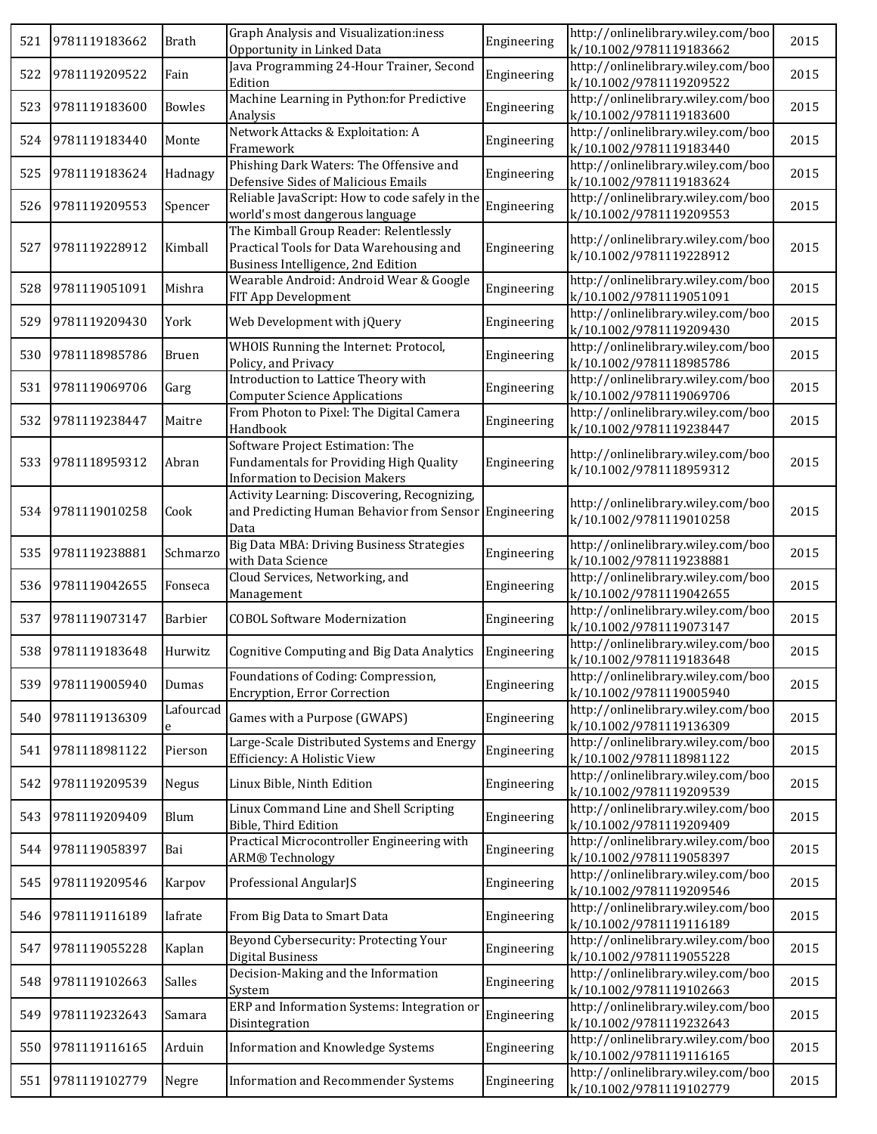| 521 | 9781119183662 | <b>Brath</b>   | Graph Analysis and Visualization:iness<br>Opportunity in Linked Data                                                     | Engineering | http://onlinelibrary.wiley.com/boo<br>k/10.1002/9781119183662 | 2015 |
|-----|---------------|----------------|--------------------------------------------------------------------------------------------------------------------------|-------------|---------------------------------------------------------------|------|
| 522 | 9781119209522 | Fain           | Java Programming 24-Hour Trainer, Second<br>Edition                                                                      | Engineering | http://onlinelibrary.wiley.com/boo<br>k/10.1002/9781119209522 | 2015 |
| 523 | 9781119183600 | <b>Bowles</b>  | Machine Learning in Python: for Predictive<br>Analysis                                                                   | Engineering | http://onlinelibrary.wiley.com/boo<br>k/10.1002/9781119183600 | 2015 |
| 524 | 9781119183440 | Monte          | Network Attacks & Exploitation: A<br>Framework                                                                           | Engineering | http://onlinelibrary.wiley.com/boo<br>k/10.1002/9781119183440 | 2015 |
| 525 | 9781119183624 | Hadnagy        | Phishing Dark Waters: The Offensive and<br>Defensive Sides of Malicious Emails                                           | Engineering | http://onlinelibrary.wiley.com/boo<br>k/10.1002/9781119183624 | 2015 |
| 526 | 9781119209553 | Spencer        | Reliable JavaScript: How to code safely in the<br>world's most dangerous language                                        | Engineering | http://onlinelibrary.wiley.com/boo<br>k/10.1002/9781119209553 | 2015 |
| 527 | 9781119228912 | Kimball        | The Kimball Group Reader: Relentlessly<br>Practical Tools for Data Warehousing and<br>Business Intelligence, 2nd Edition | Engineering | http://onlinelibrary.wiley.com/boo<br>k/10.1002/9781119228912 | 2015 |
| 528 | 9781119051091 | Mishra         | Wearable Android: Android Wear & Google<br>FIT App Development                                                           | Engineering | http://onlinelibrary.wiley.com/boo<br>k/10.1002/9781119051091 | 2015 |
| 529 | 9781119209430 | York           | Web Development with jQuery                                                                                              | Engineering | http://onlinelibrary.wiley.com/boo<br>k/10.1002/9781119209430 | 2015 |
| 530 | 9781118985786 | Bruen          | WHOIS Running the Internet: Protocol,<br>Policy, and Privacy                                                             | Engineering | http://onlinelibrary.wiley.com/boo<br>k/10.1002/9781118985786 | 2015 |
| 531 | 9781119069706 | Garg           | Introduction to Lattice Theory with<br><b>Computer Science Applications</b>                                              | Engineering | http://onlinelibrary.wiley.com/boo<br>k/10.1002/9781119069706 | 2015 |
| 532 | 9781119238447 | Maitre         | From Photon to Pixel: The Digital Camera<br>Handbook                                                                     | Engineering | http://onlinelibrary.wiley.com/boo<br>k/10.1002/9781119238447 | 2015 |
| 533 | 9781118959312 | Abran          | Software Project Estimation: The<br>Fundamentals for Providing High Quality<br><b>Information to Decision Makers</b>     | Engineering | http://onlinelibrary.wiley.com/boo<br>k/10.1002/9781118959312 | 2015 |
| 534 | 9781119010258 | Cook           | Activity Learning: Discovering, Recognizing,<br>and Predicting Human Behavior from Sensor Engineering<br>Data            |             | http://onlinelibrary.wiley.com/boo<br>k/10.1002/9781119010258 | 2015 |
| 535 | 9781119238881 | Schmarzo       | Big Data MBA: Driving Business Strategies<br>with Data Science                                                           | Engineering | http://onlinelibrary.wiley.com/boo<br>k/10.1002/9781119238881 | 2015 |
| 536 | 9781119042655 | Fonseca        | Cloud Services, Networking, and<br>Management                                                                            | Engineering | http://onlinelibrary.wiley.com/boo<br>k/10.1002/9781119042655 | 2015 |
| 537 | 9781119073147 | Barbier        | <b>COBOL Software Modernization</b>                                                                                      | Engineering | http://onlinelibrary.wiley.com/boo<br>k/10.1002/9781119073147 | 2015 |
| 538 | 9781119183648 | Hurwitz        | Cognitive Computing and Big Data Analytics                                                                               | Engineering | http://onlinelibrary.wiley.com/boo<br>k/10.1002/9781119183648 | 2015 |
| 539 | 9781119005940 | Dumas          | Foundations of Coding: Compression,<br><b>Encryption, Error Correction</b>                                               | Engineering | http://onlinelibrary.wiley.com/boo<br>k/10.1002/9781119005940 | 2015 |
| 540 | 9781119136309 | Lafourcad<br>e | Games with a Purpose (GWAPS)                                                                                             | Engineering | http://onlinelibrary.wiley.com/boo<br>k/10.1002/9781119136309 | 2015 |
| 541 | 9781118981122 | Pierson        | Large-Scale Distributed Systems and Energy<br>Efficiency: A Holistic View                                                | Engineering | http://onlinelibrary.wiley.com/boo<br>k/10.1002/9781118981122 | 2015 |
| 542 | 9781119209539 | Negus          | Linux Bible, Ninth Edition                                                                                               | Engineering | http://onlinelibrary.wiley.com/boo<br>k/10.1002/9781119209539 | 2015 |
| 543 | 9781119209409 | Blum           | Linux Command Line and Shell Scripting<br>Bible, Third Edition                                                           | Engineering | http://onlinelibrary.wiley.com/boo<br>k/10.1002/9781119209409 | 2015 |
| 544 | 9781119058397 | Bai            | Practical Microcontroller Engineering with<br><b>ARM® Technology</b>                                                     | Engineering | http://onlinelibrary.wiley.com/boo<br>k/10.1002/9781119058397 | 2015 |
| 545 | 9781119209546 | Karpov         | Professional AngularJS                                                                                                   | Engineering | http://onlinelibrary.wiley.com/boo<br>k/10.1002/9781119209546 | 2015 |
| 546 | 9781119116189 | Iafrate        | From Big Data to Smart Data                                                                                              | Engineering | http://onlinelibrary.wiley.com/boo<br>k/10.1002/9781119116189 | 2015 |
| 547 | 9781119055228 | Kaplan         | Beyond Cybersecurity: Protecting Your<br><b>Digital Business</b>                                                         | Engineering | http://onlinelibrary.wiley.com/boo<br>k/10.1002/9781119055228 | 2015 |
| 548 | 9781119102663 | Salles         | Decision-Making and the Information<br>System                                                                            | Engineering | http://onlinelibrary.wiley.com/boo<br>k/10.1002/9781119102663 | 2015 |
| 549 | 9781119232643 | Samara         | ERP and Information Systems: Integration or<br>Disintegration                                                            | Engineering | http://onlinelibrary.wiley.com/boo<br>k/10.1002/9781119232643 | 2015 |
| 550 | 9781119116165 | Arduin         | Information and Knowledge Systems                                                                                        | Engineering | http://onlinelibrary.wiley.com/boo<br>k/10.1002/9781119116165 | 2015 |
| 551 | 9781119102779 | Negre          | Information and Recommender Systems                                                                                      | Engineering | http://onlinelibrary.wiley.com/boo<br>k/10.1002/9781119102779 | 2015 |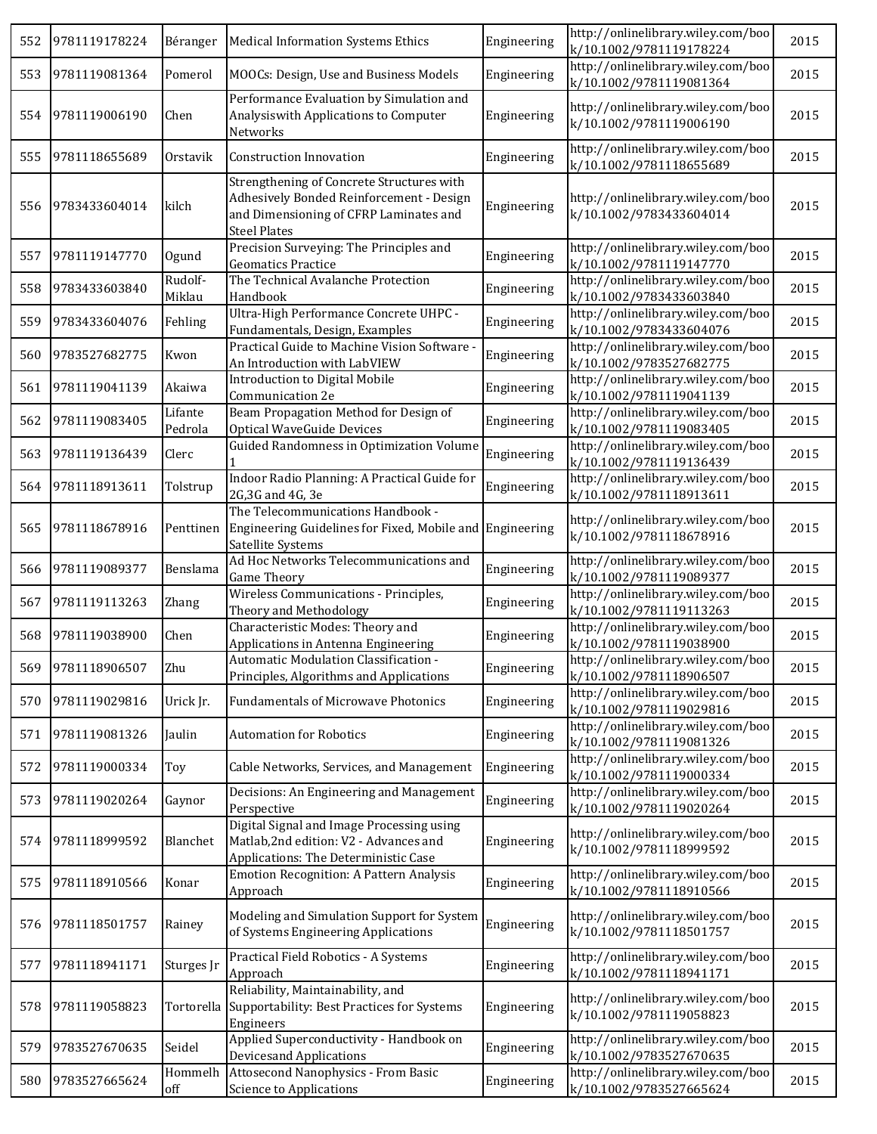| 552 | 9781119178224 | Béranger           | <b>Medical Information Systems Ethics</b>                                                                                                              | Engineering | http://onlinelibrary.wiley.com/boo<br>k/10.1002/9781119178224 | 2015 |
|-----|---------------|--------------------|--------------------------------------------------------------------------------------------------------------------------------------------------------|-------------|---------------------------------------------------------------|------|
| 553 | 9781119081364 | Pomerol            | MOOCs: Design, Use and Business Models                                                                                                                 | Engineering | http://onlinelibrary.wiley.com/boo<br>k/10.1002/9781119081364 | 2015 |
| 554 | 9781119006190 | Chen               | Performance Evaluation by Simulation and<br>Analysiswith Applications to Computer<br>Networks                                                          | Engineering | http://onlinelibrary.wiley.com/boo<br>k/10.1002/9781119006190 | 2015 |
| 555 | 9781118655689 | Orstavik           | Construction Innovation                                                                                                                                | Engineering | http://onlinelibrary.wiley.com/boo<br>k/10.1002/9781118655689 | 2015 |
| 556 | 9783433604014 | kilch              | Strengthening of Concrete Structures with<br>Adhesively Bonded Reinforcement - Design<br>and Dimensioning of CFRP Laminates and<br><b>Steel Plates</b> | Engineering | http://onlinelibrary.wiley.com/boo<br>k/10.1002/9783433604014 | 2015 |
| 557 | 9781119147770 | Ogund              | Precision Surveying: The Principles and<br><b>Geomatics Practice</b>                                                                                   | Engineering | http://onlinelibrary.wiley.com/boo<br>k/10.1002/9781119147770 | 2015 |
| 558 | 9783433603840 | Rudolf-<br>Miklau  | The Technical Avalanche Protection<br>Handbook                                                                                                         | Engineering | http://onlinelibrary.wiley.com/boo<br>k/10.1002/9783433603840 | 2015 |
| 559 | 9783433604076 | Fehling            | Ultra-High Performance Concrete UHPC -<br>Fundamentals, Design, Examples                                                                               | Engineering | http://onlinelibrary.wiley.com/boo<br>k/10.1002/9783433604076 | 2015 |
| 560 | 9783527682775 | Kwon               | Practical Guide to Machine Vision Software -<br>An Introduction with LabVIEW                                                                           | Engineering | http://onlinelibrary.wiley.com/boo<br>k/10.1002/9783527682775 | 2015 |
| 561 | 9781119041139 | Akaiwa             | Introduction to Digital Mobile<br>Communication 2e                                                                                                     | Engineering | http://onlinelibrary.wiley.com/boo<br>k/10.1002/9781119041139 | 2015 |
| 562 | 9781119083405 | Lifante<br>Pedrola | Beam Propagation Method for Design of<br><b>Optical WaveGuide Devices</b>                                                                              | Engineering | http://onlinelibrary.wiley.com/boo<br>k/10.1002/9781119083405 | 2015 |
| 563 | 9781119136439 | Clerc              | Guided Randomness in Optimization Volume                                                                                                               | Engineering | http://onlinelibrary.wiley.com/boo<br>k/10.1002/9781119136439 | 2015 |
| 564 | 9781118913611 | Tolstrup           | Indoor Radio Planning: A Practical Guide for<br>2G, 3G and 4G, 3e                                                                                      | Engineering | http://onlinelibrary.wiley.com/boo<br>k/10.1002/9781118913611 | 2015 |
| 565 | 9781118678916 | Penttinen          | The Telecommunications Handbook -<br>Engineering Guidelines for Fixed, Mobile and<br>Satellite Systems                                                 | Engineering | http://onlinelibrary.wiley.com/boo<br>k/10.1002/9781118678916 | 2015 |
| 566 | 9781119089377 | Benslama           | Ad Hoc Networks Telecommunications and<br><b>Game Theory</b>                                                                                           | Engineering | http://onlinelibrary.wiley.com/boo<br>k/10.1002/9781119089377 | 2015 |
| 567 | 9781119113263 | Zhang              | Wireless Communications - Principles,<br>Theory and Methodology                                                                                        | Engineering | http://onlinelibrary.wiley.com/boo<br>k/10.1002/9781119113263 | 2015 |
| 568 | 9781119038900 | Chen               | Characteristic Modes: Theory and<br>Applications in Antenna Engineering                                                                                | Engineering | http://onlinelibrary.wiley.com/boo<br>k/10.1002/9781119038900 | 2015 |
| 569 | 9781118906507 | Zhu                | Automatic Modulation Classification -<br>Principles, Algorithms and Applications                                                                       | Engineering | http://onlinelibrary.wiley.com/boo<br>k/10.1002/9781118906507 | 2015 |
| 570 | 9781119029816 | Urick Jr.          | <b>Fundamentals of Microwave Photonics</b>                                                                                                             | Engineering | http://onlinelibrary.wiley.com/boo<br>k/10.1002/9781119029816 | 2015 |
| 571 | 9781119081326 | Jaulin             | <b>Automation for Robotics</b>                                                                                                                         | Engineering | http://onlinelibrary.wiley.com/boo<br>k/10.1002/9781119081326 | 2015 |
| 572 | 9781119000334 | Toy                | Cable Networks, Services, and Management                                                                                                               | Engineering | http://onlinelibrary.wiley.com/boo<br>k/10.1002/9781119000334 | 2015 |
| 573 | 9781119020264 | Gaynor             | Decisions: An Engineering and Management<br>Perspective                                                                                                | Engineering | http://onlinelibrary.wiley.com/boo<br>k/10.1002/9781119020264 | 2015 |
| 574 | 9781118999592 | Blanchet           | Digital Signal and Image Processing using<br>Matlab, 2nd edition: V2 - Advances and<br>Applications: The Deterministic Case                            | Engineering | http://onlinelibrary.wiley.com/boo<br>k/10.1002/9781118999592 | 2015 |
| 575 | 9781118910566 | Konar              | <b>Emotion Recognition: A Pattern Analysis</b><br>Approach                                                                                             | Engineering | http://onlinelibrary.wiley.com/boo<br>k/10.1002/9781118910566 | 2015 |
| 576 | 9781118501757 | Rainey             | Modeling and Simulation Support for System<br>of Systems Engineering Applications                                                                      | Engineering | http://onlinelibrary.wiley.com/boo<br>k/10.1002/9781118501757 | 2015 |
| 577 | 9781118941171 | Sturges Jr         | Practical Field Robotics - A Systems<br>Approach                                                                                                       | Engineering | http://onlinelibrary.wiley.com/boo<br>k/10.1002/9781118941171 | 2015 |
| 578 | 9781119058823 | Tortorella         | Reliability, Maintainability, and<br>Supportability: Best Practices for Systems<br>Engineers                                                           | Engineering | http://onlinelibrary.wiley.com/boo<br>k/10.1002/9781119058823 | 2015 |
| 579 | 9783527670635 | Seidel             | Applied Superconductivity - Handbook on<br><b>Devicesand Applications</b>                                                                              | Engineering | http://onlinelibrary.wiley.com/boo<br>k/10.1002/9783527670635 | 2015 |
| 580 | 9783527665624 | Hommelh<br>off     | Attosecond Nanophysics - From Basic<br><b>Science to Applications</b>                                                                                  | Engineering | http://onlinelibrary.wiley.com/boo<br>k/10.1002/9783527665624 | 2015 |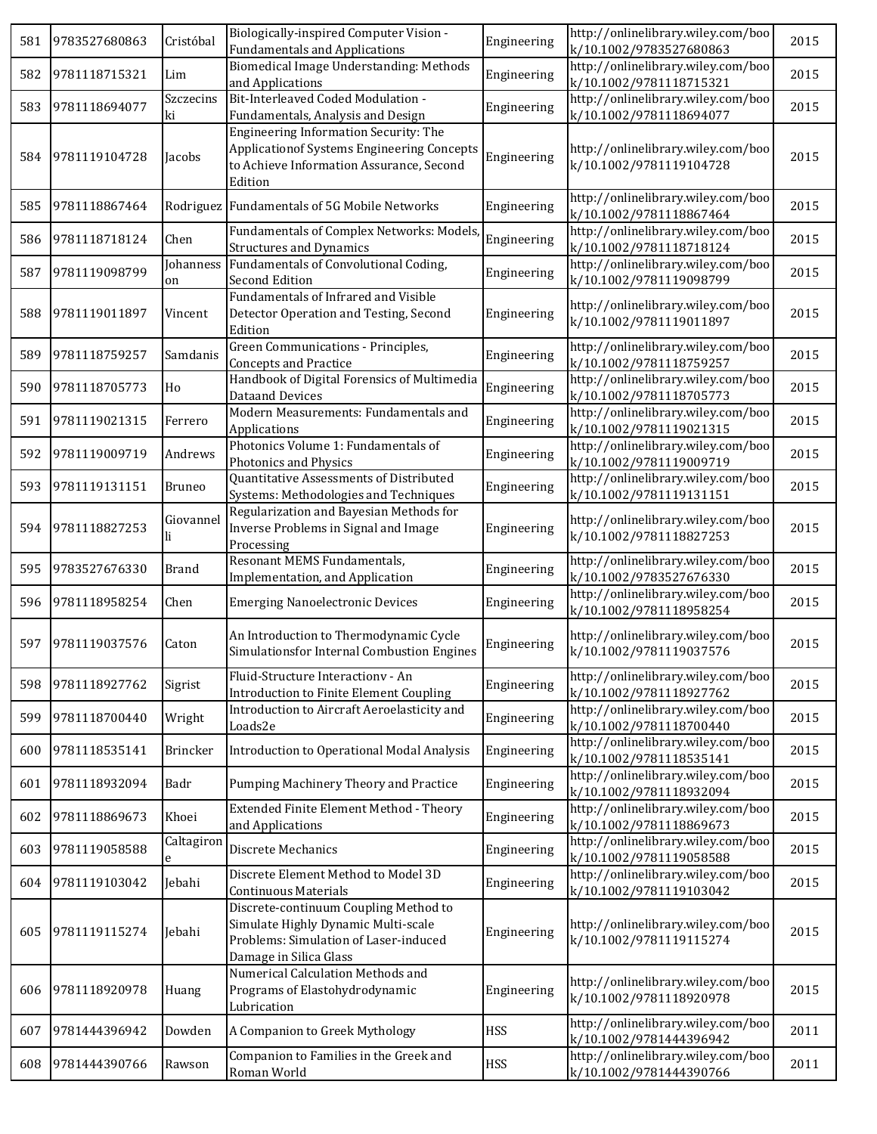| 581 | 9783527680863 | Cristóbal       | Biologically-inspired Computer Vision -<br><b>Fundamentals and Applications</b>                                                                   | Engineering | http://onlinelibrary.wiley.com/boo<br>k/10.1002/9783527680863 | 2015 |
|-----|---------------|-----------------|---------------------------------------------------------------------------------------------------------------------------------------------------|-------------|---------------------------------------------------------------|------|
| 582 | 9781118715321 | Lim             | Biomedical Image Understanding: Methods<br>and Applications                                                                                       | Engineering | http://onlinelibrary.wiley.com/boo<br>k/10.1002/9781118715321 | 2015 |
| 583 | 9781118694077 | Szczecins<br>ki | Bit-Interleaved Coded Modulation -<br>Fundamentals, Analysis and Design                                                                           | Engineering | http://onlinelibrary.wiley.com/boo<br>k/10.1002/9781118694077 | 2015 |
| 584 | 9781119104728 | Jacobs          | Engineering Information Security: The<br><b>Applicationof Systems Engineering Concepts</b><br>to Achieve Information Assurance, Second<br>Edition | Engineering | http://onlinelibrary.wiley.com/boo<br>k/10.1002/9781119104728 | 2015 |
| 585 | 9781118867464 |                 | Rodriguez Fundamentals of 5G Mobile Networks                                                                                                      | Engineering | http://onlinelibrary.wiley.com/boo<br>k/10.1002/9781118867464 | 2015 |
| 586 | 9781118718124 | Chen            | Fundamentals of Complex Networks: Models,<br><b>Structures and Dynamics</b>                                                                       | Engineering | http://onlinelibrary.wiley.com/boo<br>k/10.1002/9781118718124 | 2015 |
| 587 | 9781119098799 | Johanness<br>on | Fundamentals of Convolutional Coding,<br>Second Edition                                                                                           | Engineering | http://onlinelibrary.wiley.com/boo<br>k/10.1002/9781119098799 | 2015 |
| 588 | 9781119011897 | Vincent         | Fundamentals of Infrared and Visible<br>Detector Operation and Testing, Second<br>Edition                                                         | Engineering | http://onlinelibrary.wiley.com/boo<br>k/10.1002/9781119011897 | 2015 |
| 589 | 9781118759257 | Samdanis        | Green Communications - Principles,<br><b>Concepts and Practice</b>                                                                                | Engineering | http://onlinelibrary.wiley.com/boo<br>k/10.1002/9781118759257 | 2015 |
| 590 | 9781118705773 | Ho              | Handbook of Digital Forensics of Multimedia<br><b>Dataand Devices</b>                                                                             | Engineering | http://onlinelibrary.wiley.com/boo<br>k/10.1002/9781118705773 | 2015 |
| 591 | 9781119021315 | Ferrero         | Modern Measurements: Fundamentals and<br>Applications                                                                                             | Engineering | http://onlinelibrary.wiley.com/boo<br>k/10.1002/9781119021315 | 2015 |
| 592 | 9781119009719 | Andrews         | Photonics Volume 1: Fundamentals of<br>Photonics and Physics                                                                                      | Engineering | http://onlinelibrary.wiley.com/boo<br>k/10.1002/9781119009719 | 2015 |
| 593 | 9781119131151 | <b>Bruneo</b>   | Quantitative Assessments of Distributed<br>Systems: Methodologies and Techniques                                                                  | Engineering | http://onlinelibrary.wiley.com/boo<br>k/10.1002/9781119131151 | 2015 |
| 594 | 9781118827253 | Giovannel<br>li | Regularization and Bayesian Methods for<br>Inverse Problems in Signal and Image<br>Processing                                                     | Engineering | http://onlinelibrary.wiley.com/boo<br>k/10.1002/9781118827253 | 2015 |
| 595 | 9783527676330 | <b>Brand</b>    | Resonant MEMS Fundamentals,<br>Implementation, and Application                                                                                    | Engineering | http://onlinelibrary.wiley.com/boo<br>k/10.1002/9783527676330 | 2015 |
| 596 | 9781118958254 | Chen            | <b>Emerging Nanoelectronic Devices</b>                                                                                                            | Engineering | http://onlinelibrary.wiley.com/boo<br>k/10.1002/9781118958254 | 2015 |
| 597 | 9781119037576 | Caton           | An Introduction to Thermodynamic Cycle<br>Simulationsfor Internal Combustion Engines                                                              | Engineering | http://onlinelibrary.wiley.com/boo<br>k/10.1002/9781119037576 | 2015 |
| 598 | 9781118927762 | Sigrist         | Fluid-Structure Interactiony - An<br>Introduction to Finite Element Coupling                                                                      | Engineering | http://onlinelibrary.wiley.com/boo<br>k/10.1002/9781118927762 | 2015 |
| 599 | 9781118700440 | Wright          | Introduction to Aircraft Aeroelasticity and<br>Loads2e                                                                                            | Engineering | http://onlinelibrary.wiley.com/boo<br>k/10.1002/9781118700440 | 2015 |
| 600 | 9781118535141 | Brincker        | Introduction to Operational Modal Analysis                                                                                                        | Engineering | http://onlinelibrary.wiley.com/boo<br>k/10.1002/9781118535141 | 2015 |
| 601 | 9781118932094 | Badr            | Pumping Machinery Theory and Practice                                                                                                             | Engineering | http://onlinelibrary.wiley.com/boo<br>k/10.1002/9781118932094 | 2015 |
| 602 | 9781118869673 | Khoei           | Extended Finite Element Method - Theory<br>and Applications                                                                                       | Engineering | http://onlinelibrary.wiley.com/boo<br>k/10.1002/9781118869673 | 2015 |
| 603 | 9781119058588 | Caltagiron      | Discrete Mechanics                                                                                                                                | Engineering | http://onlinelibrary.wiley.com/boo<br>k/10.1002/9781119058588 | 2015 |
| 604 | 9781119103042 | Jebahi          | Discrete Element Method to Model 3D<br><b>Continuous Materials</b>                                                                                | Engineering | http://onlinelibrary.wiley.com/boo<br>k/10.1002/9781119103042 | 2015 |
| 605 | 9781119115274 | Jebahi          | Discrete-continuum Coupling Method to<br>Simulate Highly Dynamic Multi-scale<br>Problems: Simulation of Laser-induced<br>Damage in Silica Glass   | Engineering | http://onlinelibrary.wiley.com/boo<br>k/10.1002/9781119115274 | 2015 |
| 606 | 9781118920978 | Huang           | Numerical Calculation Methods and<br>Programs of Elastohydrodynamic<br>Lubrication                                                                | Engineering | http://onlinelibrary.wiley.com/boo<br>k/10.1002/9781118920978 | 2015 |
| 607 | 9781444396942 | Dowden          | A Companion to Greek Mythology                                                                                                                    | <b>HSS</b>  | http://onlinelibrary.wiley.com/boo<br>k/10.1002/9781444396942 | 2011 |
| 608 | 9781444390766 | Rawson          | Companion to Families in the Greek and<br>Roman World                                                                                             | <b>HSS</b>  | http://onlinelibrary.wiley.com/boo<br>k/10.1002/9781444390766 | 2011 |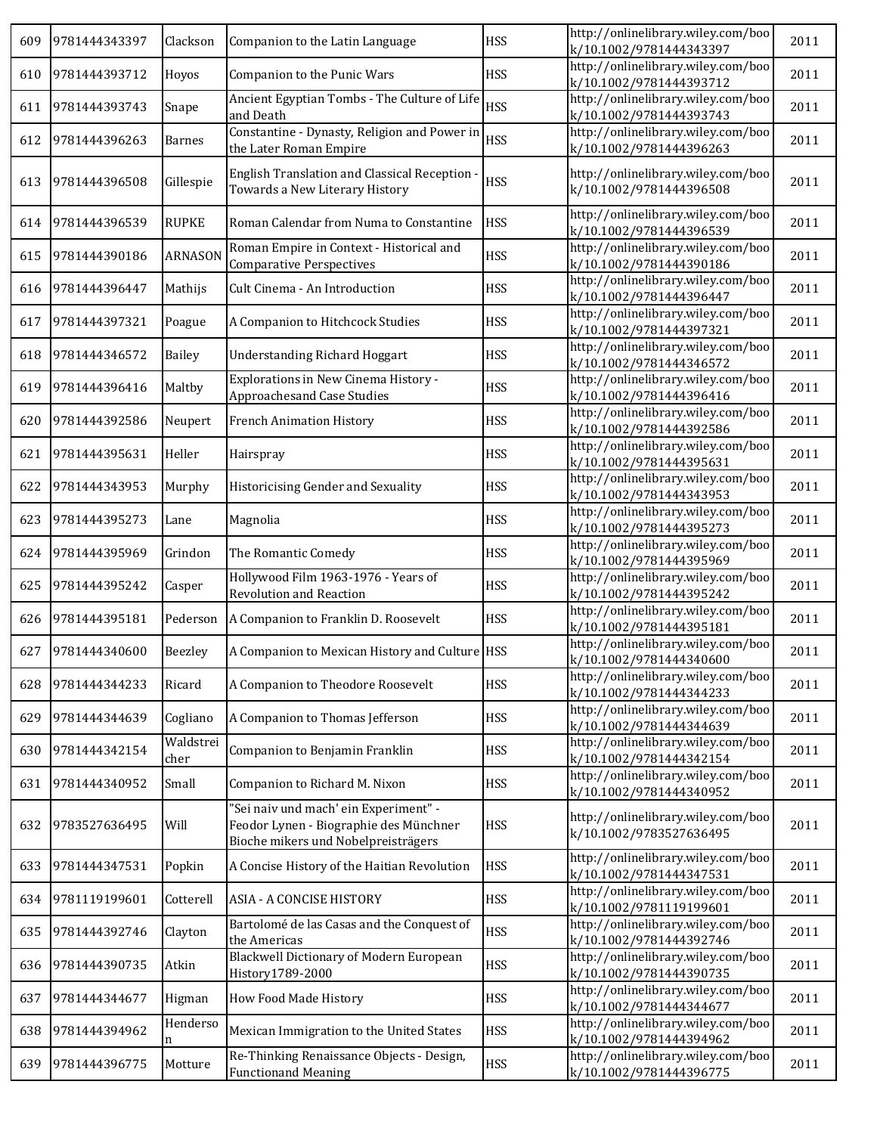| 609 | 9781444343397 | Clackson          | Companion to the Latin Language                                                                                        | <b>HSS</b> | http://onlinelibrary.wiley.com/boo<br>k/10.1002/9781444343397 | 2011 |
|-----|---------------|-------------------|------------------------------------------------------------------------------------------------------------------------|------------|---------------------------------------------------------------|------|
| 610 | 9781444393712 | Hoyos             | Companion to the Punic Wars                                                                                            | <b>HSS</b> | http://onlinelibrary.wiley.com/boo<br>k/10.1002/9781444393712 | 2011 |
| 611 | 9781444393743 | Snape             | Ancient Egyptian Tombs - The Culture of Life<br>and Death                                                              | <b>HSS</b> | http://onlinelibrary.wiley.com/boo<br>k/10.1002/9781444393743 | 2011 |
| 612 | 9781444396263 | <b>Barnes</b>     | Constantine - Dynasty, Religion and Power in<br>the Later Roman Empire                                                 | <b>HSS</b> | http://onlinelibrary.wiley.com/boo<br>k/10.1002/9781444396263 | 2011 |
| 613 | 9781444396508 | Gillespie         | English Translation and Classical Reception -<br>Towards a New Literary History                                        | <b>HSS</b> | http://onlinelibrary.wiley.com/boo<br>k/10.1002/9781444396508 | 2011 |
| 614 | 9781444396539 | <b>RUPKE</b>      | Roman Calendar from Numa to Constantine                                                                                | <b>HSS</b> | http://onlinelibrary.wiley.com/boo<br>k/10.1002/9781444396539 | 2011 |
| 615 | 9781444390186 | <b>ARNASON</b>    | Roman Empire in Context - Historical and<br><b>Comparative Perspectives</b>                                            | <b>HSS</b> | http://onlinelibrary.wiley.com/boo<br>k/10.1002/9781444390186 | 2011 |
| 616 | 9781444396447 | Mathijs           | Cult Cinema - An Introduction                                                                                          | <b>HSS</b> | http://onlinelibrary.wiley.com/boo<br>k/10.1002/9781444396447 | 2011 |
| 617 | 9781444397321 | Poague            | A Companion to Hitchcock Studies                                                                                       | <b>HSS</b> | http://onlinelibrary.wiley.com/boo<br>k/10.1002/9781444397321 | 2011 |
| 618 | 9781444346572 | Bailey            | <b>Understanding Richard Hoggart</b>                                                                                   | <b>HSS</b> | http://onlinelibrary.wiley.com/boo<br>k/10.1002/9781444346572 | 2011 |
| 619 | 9781444396416 | Maltby            | Explorations in New Cinema History -<br><b>Approachesand Case Studies</b>                                              | <b>HSS</b> | http://onlinelibrary.wiley.com/boo<br>k/10.1002/9781444396416 | 2011 |
| 620 | 9781444392586 | Neupert           | <b>French Animation History</b>                                                                                        | <b>HSS</b> | http://onlinelibrary.wiley.com/boo<br>k/10.1002/9781444392586 | 2011 |
| 621 | 9781444395631 | Heller            | Hairspray                                                                                                              | <b>HSS</b> | http://onlinelibrary.wiley.com/boo<br>k/10.1002/9781444395631 | 2011 |
| 622 | 9781444343953 | Murphy            | Historicising Gender and Sexuality                                                                                     | <b>HSS</b> | http://onlinelibrary.wiley.com/boo<br>k/10.1002/9781444343953 | 2011 |
| 623 | 9781444395273 | Lane              | Magnolia                                                                                                               | <b>HSS</b> | http://onlinelibrary.wiley.com/boo<br>k/10.1002/9781444395273 | 2011 |
| 624 | 9781444395969 | Grindon           | The Romantic Comedy                                                                                                    | <b>HSS</b> | http://onlinelibrary.wiley.com/boo<br>k/10.1002/9781444395969 | 2011 |
| 625 | 9781444395242 | Casper            | Hollywood Film 1963-1976 - Years of<br><b>Revolution and Reaction</b>                                                  | <b>HSS</b> | http://onlinelibrary.wiley.com/boo<br>k/10.1002/9781444395242 | 2011 |
| 626 | 9781444395181 | Pederson          | A Companion to Franklin D. Roosevelt                                                                                   | <b>HSS</b> | http://onlinelibrary.wiley.com/boo<br>k/10.1002/9781444395181 | 2011 |
| 627 | 9781444340600 | Beezley           | A Companion to Mexican History and Culture HSS                                                                         |            | http://onlinelibrary.wiley.com/boo<br>k/10.1002/9781444340600 | 2011 |
| 628 | 9781444344233 | Ricard            | A Companion to Theodore Roosevelt                                                                                      | <b>HSS</b> | http://onlinelibrary.wiley.com/boo<br>k/10.1002/9781444344233 | 2011 |
| 629 | 9781444344639 | Cogliano          | A Companion to Thomas Jefferson                                                                                        | <b>HSS</b> | http://onlinelibrary.wiley.com/boo<br>k/10.1002/9781444344639 | 2011 |
| 630 | 9781444342154 | Waldstrei<br>cher | Companion to Benjamin Franklin                                                                                         | <b>HSS</b> | http://onlinelibrary.wiley.com/boo<br>k/10.1002/9781444342154 | 2011 |
| 631 | 9781444340952 | Small             | Companion to Richard M. Nixon                                                                                          | <b>HSS</b> | http://onlinelibrary.wiley.com/boo<br>k/10.1002/9781444340952 | 2011 |
| 632 | 9783527636495 | Will              | "Sei naiv und mach' ein Experiment" -<br>Feodor Lynen - Biographie des Münchner<br>Bioche mikers und Nobelpreisträgers | <b>HSS</b> | http://onlinelibrary.wiley.com/boo<br>k/10.1002/9783527636495 | 2011 |
| 633 | 9781444347531 | Popkin            | A Concise History of the Haitian Revolution                                                                            | <b>HSS</b> | http://onlinelibrary.wiley.com/boo<br>k/10.1002/9781444347531 | 2011 |
| 634 | 9781119199601 | Cotterell         | <b>ASIA - A CONCISE HISTORY</b>                                                                                        | <b>HSS</b> | http://onlinelibrary.wiley.com/boo<br>k/10.1002/9781119199601 | 2011 |
| 635 | 9781444392746 | Clayton           | Bartolomé de las Casas and the Conquest of<br>the Americas                                                             | <b>HSS</b> | http://onlinelibrary.wiley.com/boo<br>k/10.1002/9781444392746 | 2011 |
| 636 | 9781444390735 | Atkin             | <b>Blackwell Dictionary of Modern European</b><br>History1789-2000                                                     | <b>HSS</b> | http://onlinelibrary.wiley.com/boo<br>k/10.1002/9781444390735 | 2011 |
| 637 | 9781444344677 | Higman            | How Food Made History                                                                                                  | <b>HSS</b> | http://onlinelibrary.wiley.com/boo<br>k/10.1002/9781444344677 | 2011 |
| 638 | 9781444394962 | Henderso<br>n     | Mexican Immigration to the United States                                                                               | <b>HSS</b> | http://onlinelibrary.wiley.com/boo<br>k/10.1002/9781444394962 | 2011 |
| 639 | 9781444396775 | Motture           | Re-Thinking Renaissance Objects - Design,<br><b>Functionand Meaning</b>                                                | <b>HSS</b> | http://onlinelibrary.wiley.com/boo<br>k/10.1002/9781444396775 | 2011 |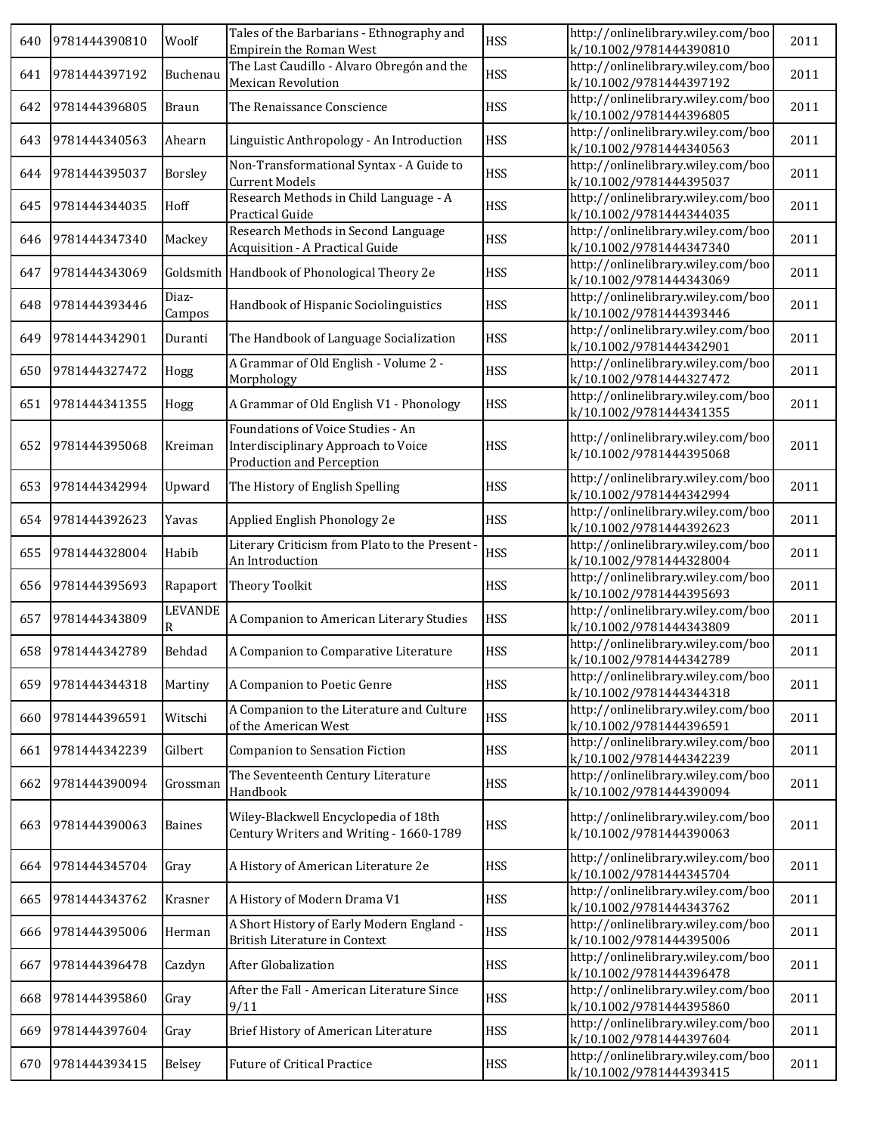| 640 | 9781444390810 | Woolf               | Tales of the Barbarians - Ethnography and<br><b>Empirein the Roman West</b>                                  | <b>HSS</b> | http://onlinelibrary.wiley.com/boo<br>k/10.1002/9781444390810 | 2011 |
|-----|---------------|---------------------|--------------------------------------------------------------------------------------------------------------|------------|---------------------------------------------------------------|------|
| 641 | 9781444397192 | Buchenau            | The Last Caudillo - Alvaro Obregon and the<br><b>Mexican Revolution</b>                                      | <b>HSS</b> | http://onlinelibrary.wiley.com/boo<br>k/10.1002/9781444397192 | 2011 |
| 642 | 9781444396805 | <b>Braun</b>        | The Renaissance Conscience                                                                                   | <b>HSS</b> | http://onlinelibrary.wiley.com/boo<br>k/10.1002/9781444396805 | 2011 |
| 643 | 9781444340563 | Ahearn              | Linguistic Anthropology - An Introduction                                                                    | <b>HSS</b> | http://onlinelibrary.wiley.com/boo<br>k/10.1002/9781444340563 | 2011 |
| 644 | 9781444395037 | Borsley             | Non-Transformational Syntax - A Guide to<br><b>Current Models</b>                                            | <b>HSS</b> | http://onlinelibrary.wiley.com/boo<br>k/10.1002/9781444395037 | 2011 |
| 645 | 9781444344035 | Hoff                | Research Methods in Child Language - A<br>Practical Guide                                                    | <b>HSS</b> | http://onlinelibrary.wiley.com/boo<br>k/10.1002/9781444344035 | 2011 |
| 646 | 9781444347340 | Mackey              | Research Methods in Second Language<br>Acquisition - A Practical Guide                                       | <b>HSS</b> | http://onlinelibrary.wiley.com/boo<br>k/10.1002/9781444347340 | 2011 |
| 647 | 9781444343069 |                     | Goldsmith Handbook of Phonological Theory 2e                                                                 | <b>HSS</b> | http://onlinelibrary.wiley.com/boo<br>k/10.1002/9781444343069 | 2011 |
| 648 | 9781444393446 | Diaz-<br>Campos     | Handbook of Hispanic Sociolinguistics                                                                        | <b>HSS</b> | http://onlinelibrary.wiley.com/boo<br>k/10.1002/9781444393446 | 2011 |
| 649 | 9781444342901 | Duranti             | The Handbook of Language Socialization                                                                       | <b>HSS</b> | http://onlinelibrary.wiley.com/boo<br>k/10.1002/9781444342901 | 2011 |
| 650 | 9781444327472 | Hogg                | A Grammar of Old English - Volume 2 -<br>Morphology                                                          | <b>HSS</b> | http://onlinelibrary.wiley.com/boo<br>k/10.1002/9781444327472 | 2011 |
| 651 | 9781444341355 | Hogg                | A Grammar of Old English V1 - Phonology                                                                      | <b>HSS</b> | http://onlinelibrary.wiley.com/boo<br>k/10.1002/9781444341355 | 2011 |
| 652 | 9781444395068 | Kreiman             | Foundations of Voice Studies - An<br>Interdisciplinary Approach to Voice<br><b>Production and Perception</b> | <b>HSS</b> | http://onlinelibrary.wiley.com/boo<br>k/10.1002/9781444395068 | 2011 |
| 653 | 9781444342994 | Upward              | The History of English Spelling                                                                              | <b>HSS</b> | http://onlinelibrary.wiley.com/boo<br>k/10.1002/9781444342994 | 2011 |
| 654 | 9781444392623 | Yavas               | Applied English Phonology 2e                                                                                 | <b>HSS</b> | http://onlinelibrary.wiley.com/boo<br>k/10.1002/9781444392623 | 2011 |
| 655 | 9781444328004 | Habib               | Literary Criticism from Plato to the Present -<br>An Introduction                                            | <b>HSS</b> | http://onlinelibrary.wiley.com/boo<br>k/10.1002/9781444328004 | 2011 |
| 656 | 9781444395693 | Rapaport            | Theory Toolkit                                                                                               | <b>HSS</b> | http://onlinelibrary.wiley.com/boo<br>k/10.1002/9781444395693 | 2011 |
| 657 | 9781444343809 | <b>LEVANDE</b><br>R | A Companion to American Literary Studies                                                                     | <b>HSS</b> | http://onlinelibrary.wiley.com/boo<br>k/10.1002/9781444343809 | 2011 |
| 658 | 9781444342789 | Behdad              | A Companion to Comparative Literature                                                                        | <b>HSS</b> | http://onlinelibrary.wiley.com/boo<br>k/10.1002/9781444342789 | 2011 |
| 659 | 9781444344318 | Martiny             | A Companion to Poetic Genre                                                                                  | <b>HSS</b> | http://onlinelibrary.wiley.com/boo<br>k/10.1002/9781444344318 | 2011 |
| 660 | 9781444396591 | Witschi             | A Companion to the Literature and Culture<br>of the American West                                            | <b>HSS</b> | http://onlinelibrary.wiley.com/boo<br>k/10.1002/9781444396591 | 2011 |
| 661 | 9781444342239 | Gilbert             | <b>Companion to Sensation Fiction</b>                                                                        | <b>HSS</b> | http://onlinelibrary.wiley.com/boo<br>k/10.1002/9781444342239 | 2011 |
| 662 | 9781444390094 | Grossman            | The Seventeenth Century Literature<br>Handbook                                                               | <b>HSS</b> | http://onlinelibrary.wiley.com/boo<br>k/10.1002/9781444390094 | 2011 |
| 663 | 9781444390063 | <b>Baines</b>       | Wiley-Blackwell Encyclopedia of 18th<br>Century Writers and Writing - 1660-1789                              | <b>HSS</b> | http://onlinelibrary.wiley.com/boo<br>k/10.1002/9781444390063 | 2011 |
| 664 | 9781444345704 | Gray                | A History of American Literature 2e                                                                          | <b>HSS</b> | http://onlinelibrary.wiley.com/boo<br>k/10.1002/9781444345704 | 2011 |
| 665 | 9781444343762 | Krasner             | A History of Modern Drama V1                                                                                 | <b>HSS</b> | http://onlinelibrary.wiley.com/boo<br>k/10.1002/9781444343762 | 2011 |
| 666 | 9781444395006 | Herman              | A Short History of Early Modern England -<br>British Literature in Context                                   | <b>HSS</b> | http://onlinelibrary.wiley.com/boo<br>k/10.1002/9781444395006 | 2011 |
| 667 | 9781444396478 | Cazdyn              | After Globalization                                                                                          | <b>HSS</b> | http://onlinelibrary.wiley.com/boo<br>k/10.1002/9781444396478 | 2011 |
| 668 | 9781444395860 | Gray                | After the Fall - American Literature Since<br>9/11                                                           | <b>HSS</b> | http://onlinelibrary.wiley.com/boo<br>k/10.1002/9781444395860 | 2011 |
| 669 | 9781444397604 | Gray                | Brief History of American Literature                                                                         | <b>HSS</b> | http://onlinelibrary.wiley.com/boo<br>k/10.1002/9781444397604 | 2011 |
| 670 | 9781444393415 | Belsey              | <b>Future of Critical Practice</b>                                                                           | <b>HSS</b> | http://onlinelibrary.wiley.com/boo<br>k/10.1002/9781444393415 | 2011 |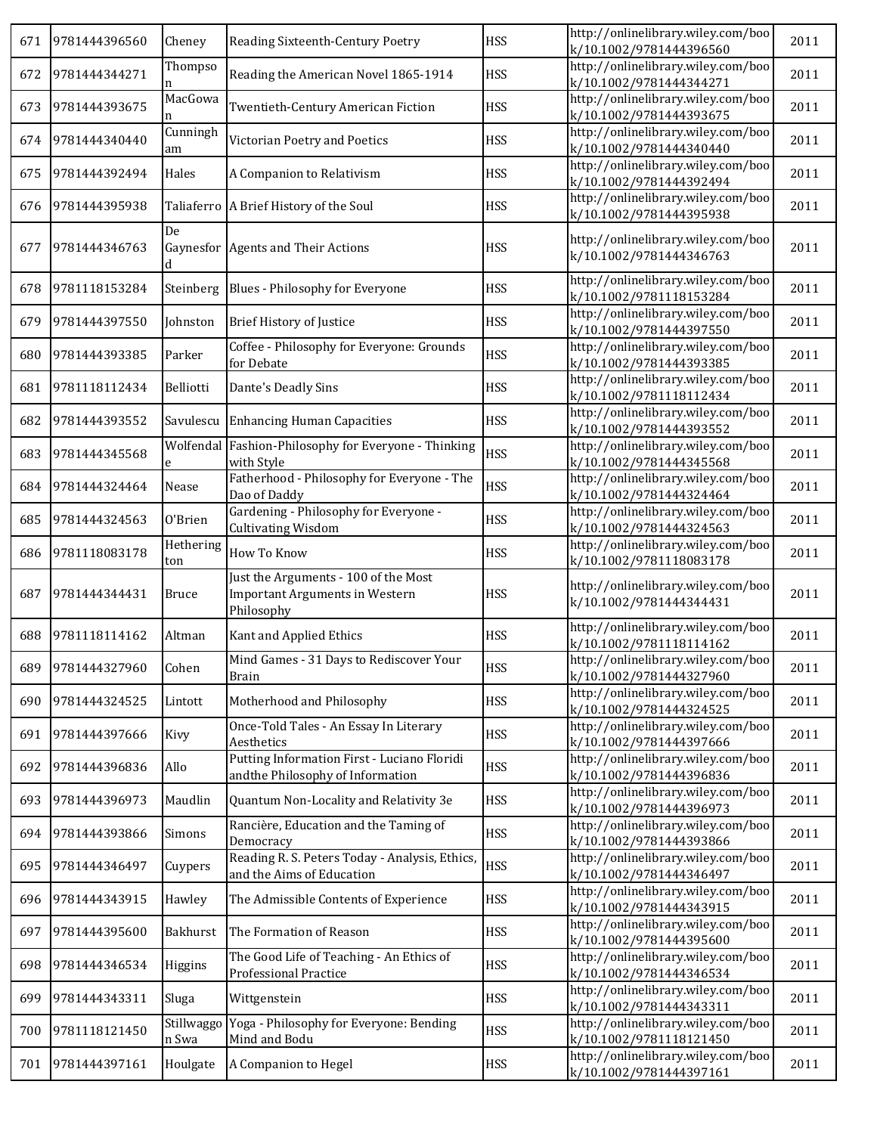| 671 | 9781444396560     | Cheney              | Reading Sixteenth-Century Poetry                                                            | <b>HSS</b> | http://onlinelibrary.wiley.com/boo<br>k/10.1002/9781444396560 | 2011 |
|-----|-------------------|---------------------|---------------------------------------------------------------------------------------------|------------|---------------------------------------------------------------|------|
| 672 | 9781444344271     | Thompso<br>n        | Reading the American Novel 1865-1914                                                        | <b>HSS</b> | http://onlinelibrary.wiley.com/boo<br>k/10.1002/9781444344271 | 2011 |
| 673 | 9781444393675     | MacGowa<br>n        | Twentieth-Century American Fiction                                                          | <b>HSS</b> | http://onlinelibrary.wiley.com/boo<br>k/10.1002/9781444393675 | 2011 |
| 674 | 9781444340440     | Cunningh<br>am      | Victorian Poetry and Poetics                                                                | <b>HSS</b> | http://onlinelibrary.wiley.com/boo<br>k/10.1002/9781444340440 | 2011 |
| 675 | 9781444392494     | Hales               | A Companion to Relativism                                                                   | <b>HSS</b> | http://onlinelibrary.wiley.com/boo<br>k/10.1002/9781444392494 | 2011 |
| 676 | 9781444395938     |                     | Taliaferro   A Brief History of the Soul                                                    | <b>HSS</b> | http://onlinelibrary.wiley.com/boo<br>k/10.1002/9781444395938 | 2011 |
| 677 | 9781444346763     | De<br>d             | Gaynesfor Agents and Their Actions                                                          | <b>HSS</b> | http://onlinelibrary.wiley.com/boo<br>k/10.1002/9781444346763 | 2011 |
| 678 | 9781118153284     | Steinberg           | Blues - Philosophy for Everyone                                                             | <b>HSS</b> | http://onlinelibrary.wiley.com/boo<br>k/10.1002/9781118153284 | 2011 |
| 679 | 9781444397550     | Johnston            | <b>Brief History of Justice</b>                                                             | <b>HSS</b> | http://onlinelibrary.wiley.com/boo<br>k/10.1002/9781444397550 | 2011 |
| 680 | 9781444393385     | Parker              | Coffee - Philosophy for Everyone: Grounds<br>for Debate                                     | <b>HSS</b> | http://onlinelibrary.wiley.com/boo<br>k/10.1002/9781444393385 | 2011 |
| 681 | 9781118112434     | Belliotti           | Dante's Deadly Sins                                                                         | <b>HSS</b> | http://onlinelibrary.wiley.com/boo<br>k/10.1002/9781118112434 | 2011 |
| 682 | 9781444393552     |                     | Savulescu Enhancing Human Capacities                                                        | <b>HSS</b> | http://onlinelibrary.wiley.com/boo<br>k/10.1002/9781444393552 | 2011 |
| 683 | 9781444345568     | e                   | Wolfendal Fashion-Philosophy for Everyone - Thinking<br>with Style                          | <b>HSS</b> | http://onlinelibrary.wiley.com/boo<br>k/10.1002/9781444345568 | 2011 |
| 684 | 9781444324464     | Nease               | Fatherhood - Philosophy for Everyone - The<br>Dao of Daddy                                  | <b>HSS</b> | http://onlinelibrary.wiley.com/boo<br>k/10.1002/9781444324464 | 2011 |
| 685 | 9781444324563     | 0'Brien             | Gardening - Philosophy for Everyone -<br><b>Cultivating Wisdom</b>                          | <b>HSS</b> | http://onlinelibrary.wiley.com/boo<br>k/10.1002/9781444324563 | 2011 |
| 686 | 9781118083178     | Hethering<br>ton    | How To Know                                                                                 | <b>HSS</b> | http://onlinelibrary.wiley.com/boo<br>k/10.1002/9781118083178 | 2011 |
| 687 | 9781444344431     | <b>Bruce</b>        | Just the Arguments - 100 of the Most<br><b>Important Arguments in Western</b><br>Philosophy | <b>HSS</b> | http://onlinelibrary.wiley.com/boo<br>k/10.1002/9781444344431 | 2011 |
| 688 | 9781118114162     | Altman              | Kant and Applied Ethics                                                                     | <b>HSS</b> | http://onlinelibrary.wiley.com/boo<br>k/10.1002/9781118114162 | 2011 |
|     | 689 9781444327960 | Cohen               | Mind Games - 31 Days to Rediscover Your<br><b>Brain</b>                                     | <b>HSS</b> | http://onlinelibrary.wiley.com/boo<br>k/10.1002/9781444327960 | 2011 |
| 690 | 9781444324525     | Lintott             | Motherhood and Philosophy                                                                   | <b>HSS</b> | http://onlinelibrary.wiley.com/boo<br>k/10.1002/9781444324525 | 2011 |
| 691 | 9781444397666     | Kivy                | Once-Told Tales - An Essay In Literary<br>Aesthetics                                        | <b>HSS</b> | http://onlinelibrary.wiley.com/boo<br>k/10.1002/9781444397666 | 2011 |
| 692 | 9781444396836     | Allo                | Putting Information First - Luciano Floridi<br>and the Philosophy of Information            | <b>HSS</b> | http://onlinelibrary.wiley.com/boo<br>k/10.1002/9781444396836 | 2011 |
| 693 | 9781444396973     | Maudlin             | Quantum Non-Locality and Relativity 3e                                                      | <b>HSS</b> | http://onlinelibrary.wiley.com/boo<br>k/10.1002/9781444396973 | 2011 |
| 694 | 9781444393866     | Simons              | Rancière, Education and the Taming of<br>Democracy                                          | <b>HSS</b> | http://onlinelibrary.wiley.com/boo<br>k/10.1002/9781444393866 | 2011 |
| 695 | 9781444346497     | Cuypers             | Reading R. S. Peters Today - Analysis, Ethics,<br>and the Aims of Education                 | <b>HSS</b> | http://onlinelibrary.wiley.com/boo<br>k/10.1002/9781444346497 | 2011 |
| 696 | 9781444343915     | Hawley              | The Admissible Contents of Experience                                                       | <b>HSS</b> | http://onlinelibrary.wiley.com/boo<br>k/10.1002/9781444343915 | 2011 |
| 697 | 9781444395600     | Bakhurst            | The Formation of Reason                                                                     | <b>HSS</b> | http://onlinelibrary.wiley.com/boo<br>k/10.1002/9781444395600 | 2011 |
| 698 | 9781444346534     | Higgins             | The Good Life of Teaching - An Ethics of<br><b>Professional Practice</b>                    | <b>HSS</b> | http://onlinelibrary.wiley.com/boo<br>k/10.1002/9781444346534 | 2011 |
| 699 | 9781444343311     | Sluga               | Wittgenstein                                                                                | <b>HSS</b> | http://onlinelibrary.wiley.com/boo<br>k/10.1002/9781444343311 | 2011 |
| 700 | 9781118121450     | Stillwaggo<br>n Swa | Yoga - Philosophy for Everyone: Bending<br>Mind and Bodu                                    | <b>HSS</b> | http://onlinelibrary.wiley.com/boo<br>k/10.1002/9781118121450 | 2011 |
| 701 | 9781444397161     | Houlgate            | A Companion to Hegel                                                                        | <b>HSS</b> | http://onlinelibrary.wiley.com/boo<br>k/10.1002/9781444397161 | 2011 |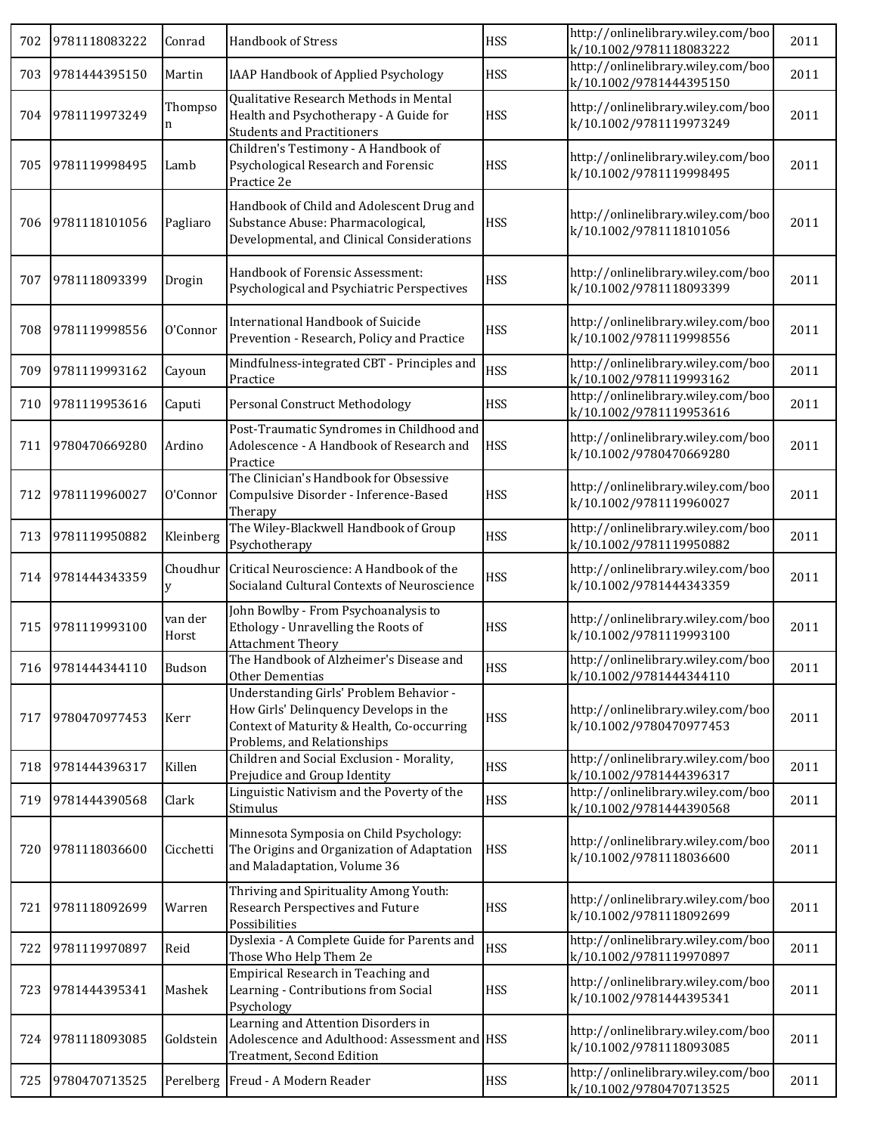| 702 | 9781118083222     | Conrad           | Handbook of Stress                                                                                                                                             | <b>HSS</b> | http://onlinelibrary.wiley.com/boo<br>k/10.1002/9781118083222 | 2011 |
|-----|-------------------|------------------|----------------------------------------------------------------------------------------------------------------------------------------------------------------|------------|---------------------------------------------------------------|------|
| 703 | 9781444395150     | Martin           | IAAP Handbook of Applied Psychology                                                                                                                            | <b>HSS</b> | http://onlinelibrary.wiley.com/boo<br>k/10.1002/9781444395150 | 2011 |
| 704 | 9781119973249     | Thompso<br>n     | Qualitative Research Methods in Mental<br>Health and Psychotherapy - A Guide for<br><b>Students and Practitioners</b>                                          | <b>HSS</b> | http://onlinelibrary.wiley.com/boo<br>k/10.1002/9781119973249 | 2011 |
| 705 | 9781119998495     | Lamb             | Children's Testimony - A Handbook of<br>Psychological Research and Forensic<br>Practice 2e                                                                     | <b>HSS</b> | http://onlinelibrary.wiley.com/boo<br>k/10.1002/9781119998495 | 2011 |
| 706 | 9781118101056     | Pagliaro         | Handbook of Child and Adolescent Drug and<br>Substance Abuse: Pharmacological,<br>Developmental, and Clinical Considerations                                   | <b>HSS</b> | http://onlinelibrary.wiley.com/boo<br>k/10.1002/9781118101056 | 2011 |
| 707 | 9781118093399     | Drogin           | Handbook of Forensic Assessment:<br>Psychological and Psychiatric Perspectives                                                                                 | <b>HSS</b> | http://onlinelibrary.wiley.com/boo<br>k/10.1002/9781118093399 | 2011 |
| 708 | 9781119998556     | O'Connor         | International Handbook of Suicide<br>Prevention - Research, Policy and Practice                                                                                | <b>HSS</b> | http://onlinelibrary.wiley.com/boo<br>k/10.1002/9781119998556 | 2011 |
| 709 | 9781119993162     | Cayoun           | Mindfulness-integrated CBT - Principles and<br>Practice                                                                                                        | <b>HSS</b> | http://onlinelibrary.wiley.com/boo<br>k/10.1002/9781119993162 | 2011 |
| 710 | 9781119953616     | Caputi           | Personal Construct Methodology                                                                                                                                 | <b>HSS</b> | http://onlinelibrary.wiley.com/boo<br>k/10.1002/9781119953616 | 2011 |
| 711 | 9780470669280     | Ardino           | Post-Traumatic Syndromes in Childhood and<br>Adolescence - A Handbook of Research and<br>Practice                                                              | <b>HSS</b> | http://onlinelibrary.wiley.com/boo<br>k/10.1002/9780470669280 | 2011 |
| 712 | 9781119960027     | O'Connor         | The Clinician's Handbook for Obsessive<br>Compulsive Disorder - Inference-Based<br>Therapy                                                                     | <b>HSS</b> | http://onlinelibrary.wiley.com/boo<br>k/10.1002/9781119960027 | 2011 |
| 713 | 9781119950882     | Kleinberg        | The Wiley-Blackwell Handbook of Group<br>Psychotherapy                                                                                                         | <b>HSS</b> | http://onlinelibrary.wiley.com/boo<br>k/10.1002/9781119950882 | 2011 |
| 714 | 9781444343359     | Choudhur<br>У    | Critical Neuroscience: A Handbook of the<br>Socialand Cultural Contexts of Neuroscience                                                                        | <b>HSS</b> | http://onlinelibrary.wiley.com/boo<br>k/10.1002/9781444343359 | 2011 |
| 715 | 9781119993100     | van der<br>Horst | John Bowlby - From Psychoanalysis to<br>Ethology - Unravelling the Roots of<br><b>Attachment Theory</b>                                                        | <b>HSS</b> | http://onlinelibrary.wiley.com/boo<br>k/10.1002/9781119993100 | 2011 |
|     | 716 9781444344110 | <b>Budson</b>    | The Handbook of Alzheimer's Disease and<br>Other Dementias                                                                                                     | <b>HSS</b> | http://onlinelibrary.wiley.com/boo<br>k/10.1002/9781444344110 | 2011 |
| 717 | 9780470977453     | Kerr             | Understanding Girls' Problem Behavior -<br>How Girls' Delinquency Develops in the<br>Context of Maturity & Health, Co-occurring<br>Problems, and Relationships | <b>HSS</b> | http://onlinelibrary.wiley.com/boo<br>k/10.1002/9780470977453 | 2011 |
| 718 | 9781444396317     | Killen           | Children and Social Exclusion - Morality,<br>Prejudice and Group Identity                                                                                      | <b>HSS</b> | http://onlinelibrary.wiley.com/boo<br>k/10.1002/9781444396317 | 2011 |
| 719 | 9781444390568     | Clark            | Linguistic Nativism and the Poverty of the<br>Stimulus                                                                                                         | <b>HSS</b> | http://onlinelibrary.wiley.com/boo<br>k/10.1002/9781444390568 | 2011 |
| 720 | 9781118036600     | Cicchetti        | Minnesota Symposia on Child Psychology:<br>The Origins and Organization of Adaptation<br>and Maladaptation, Volume 36                                          | <b>HSS</b> | http://onlinelibrary.wiley.com/boo<br>k/10.1002/9781118036600 | 2011 |
| 721 | 9781118092699     | Warren           | Thriving and Spirituality Among Youth:<br>Research Perspectives and Future<br>Possibilities                                                                    | <b>HSS</b> | http://onlinelibrary.wiley.com/boo<br>k/10.1002/9781118092699 | 2011 |
| 722 | 9781119970897     | Reid             | Dyslexia - A Complete Guide for Parents and<br>Those Who Help Them 2e                                                                                          | <b>HSS</b> | http://onlinelibrary.wiley.com/boo<br>k/10.1002/9781119970897 | 2011 |
| 723 | 9781444395341     | Mashek           | Empirical Research in Teaching and<br>Learning - Contributions from Social<br>Psychology                                                                       | <b>HSS</b> | http://onlinelibrary.wiley.com/boo<br>k/10.1002/9781444395341 | 2011 |
| 724 | 9781118093085     | Goldstein        | Learning and Attention Disorders in<br>Adolescence and Adulthood: Assessment and HSS<br>Treatment, Second Edition                                              |            | http://onlinelibrary.wiley.com/boo<br>k/10.1002/9781118093085 | 2011 |
| 725 | 9780470713525     |                  | Perelberg   Freud - A Modern Reader                                                                                                                            | <b>HSS</b> | http://onlinelibrary.wiley.com/boo<br>k/10.1002/9780470713525 | 2011 |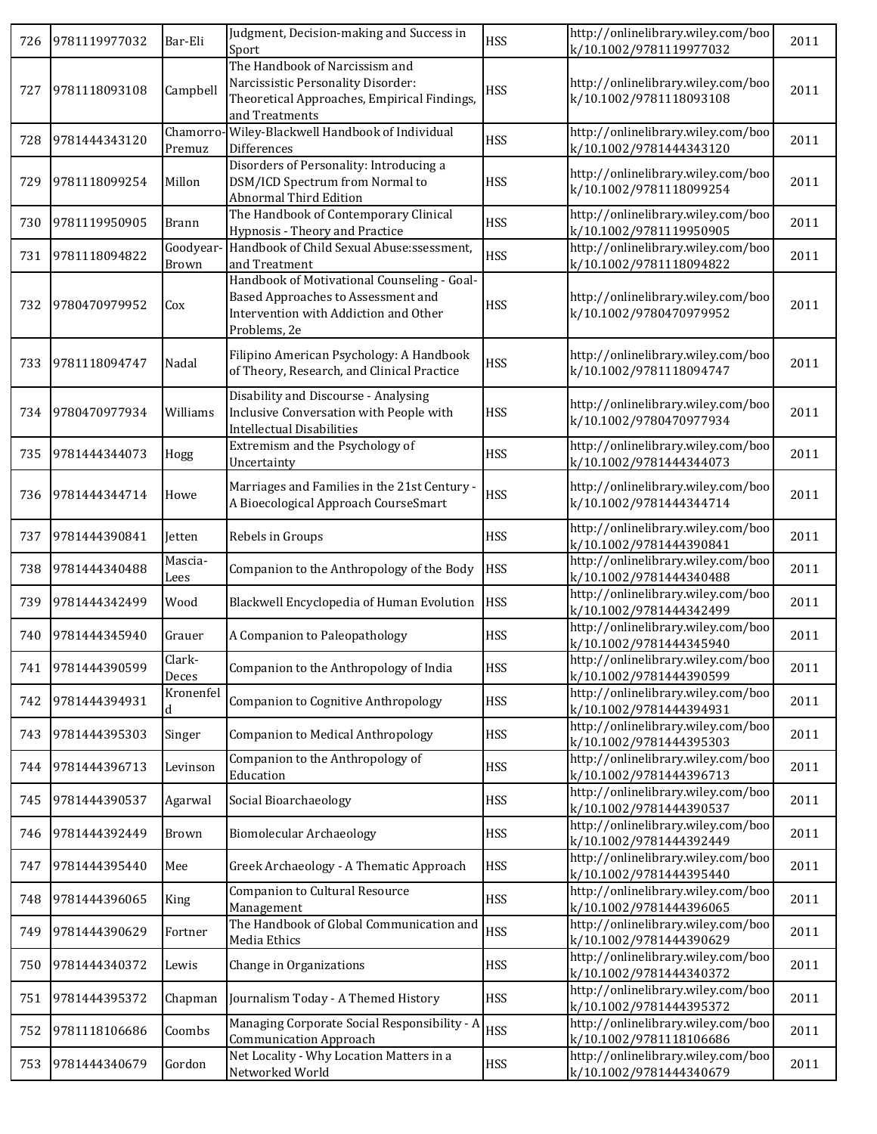| 726 | 9781119977032 | Bar-Eli            | Judgment, Decision-making and Success in<br>Sport                                                                                          | <b>HSS</b> | http://onlinelibrary.wiley.com/boo<br>k/10.1002/9781119977032 | 2011 |
|-----|---------------|--------------------|--------------------------------------------------------------------------------------------------------------------------------------------|------------|---------------------------------------------------------------|------|
| 727 | 9781118093108 | Campbell           | The Handbook of Narcissism and<br>Narcissistic Personality Disorder:<br>Theoretical Approaches, Empirical Findings,<br>and Treatments      | <b>HSS</b> | http://onlinelibrary.wiley.com/boo<br>k/10.1002/9781118093108 | 2011 |
| 728 | 9781444343120 | Chamorro<br>Premuz | Wiley-Blackwell Handbook of Individual<br>Differences                                                                                      | <b>HSS</b> | http://onlinelibrary.wiley.com/boo<br>k/10.1002/9781444343120 | 2011 |
| 729 | 9781118099254 | Millon             | Disorders of Personality: Introducing a<br>DSM/ICD Spectrum from Normal to<br><b>Abnormal Third Edition</b>                                | <b>HSS</b> | http://onlinelibrary.wiley.com/boo<br>k/10.1002/9781118099254 | 2011 |
| 730 | 9781119950905 | <b>Brann</b>       | The Handbook of Contemporary Clinical<br>Hypnosis - Theory and Practice                                                                    | <b>HSS</b> | http://onlinelibrary.wiley.com/boo<br>k/10.1002/9781119950905 | 2011 |
| 731 | 9781118094822 | Goodyear-<br>Brown | Handbook of Child Sexual Abuse:ssessment,<br>and Treatment                                                                                 | <b>HSS</b> | http://onlinelibrary.wiley.com/boo<br>k/10.1002/9781118094822 | 2011 |
| 732 | 9780470979952 | Cox                | Handbook of Motivational Counseling - Goal-<br>Based Approaches to Assessment and<br>Intervention with Addiction and Other<br>Problems, 2e | <b>HSS</b> | http://onlinelibrary.wiley.com/boo<br>k/10.1002/9780470979952 | 2011 |
| 733 | 9781118094747 | Nadal              | Filipino American Psychology: A Handbook<br>of Theory, Research, and Clinical Practice                                                     | <b>HSS</b> | http://onlinelibrary.wiley.com/boo<br>k/10.1002/9781118094747 | 2011 |
| 734 | 9780470977934 | Williams           | Disability and Discourse - Analysing<br>Inclusive Conversation with People with<br><b>Intellectual Disabilities</b>                        | <b>HSS</b> | http://onlinelibrary.wiley.com/boo<br>k/10.1002/9780470977934 | 2011 |
| 735 | 9781444344073 | Hogg               | Extremism and the Psychology of<br>Uncertainty                                                                                             | <b>HSS</b> | http://onlinelibrary.wiley.com/boo<br>k/10.1002/9781444344073 | 2011 |
| 736 | 9781444344714 | Howe               | Marriages and Families in the 21st Century -<br>A Bioecological Approach CourseSmart                                                       | <b>HSS</b> | http://onlinelibrary.wiley.com/boo<br>k/10.1002/9781444344714 | 2011 |
| 737 | 9781444390841 | Jetten             | Rebels in Groups                                                                                                                           | <b>HSS</b> | http://onlinelibrary.wiley.com/boo<br>k/10.1002/9781444390841 | 2011 |
| 738 | 9781444340488 | Mascia-<br>Lees    | Companion to the Anthropology of the Body                                                                                                  | <b>HSS</b> | http://onlinelibrary.wiley.com/boo<br>k/10.1002/9781444340488 | 2011 |
| 739 | 9781444342499 | Wood               | Blackwell Encyclopedia of Human Evolution                                                                                                  | <b>HSS</b> | http://onlinelibrary.wiley.com/boo<br>k/10.1002/9781444342499 | 2011 |
| 740 | 9781444345940 | Grauer             | A Companion to Paleopathology                                                                                                              | <b>HSS</b> | http://onlinelibrary.wiley.com/boo<br>k/10.1002/9781444345940 | 2011 |
| 741 | 9781444390599 | Clark-<br>Deces    | Companion to the Anthropology of India                                                                                                     | <b>HSS</b> | http://onlinelibrary.wiley.com/boo<br>k/10.1002/9781444390599 | 2011 |
| 742 | 9781444394931 | Kronenfel<br>d     | <b>Companion to Cognitive Anthropology</b>                                                                                                 | <b>HSS</b> | http://onlinelibrary.wiley.com/boo<br>k/10.1002/9781444394931 | 2011 |
| 743 | 9781444395303 | Singer             | <b>Companion to Medical Anthropology</b>                                                                                                   | <b>HSS</b> | http://onlinelibrary.wiley.com/boo<br>k/10.1002/9781444395303 | 2011 |
| 744 | 9781444396713 | Levinson           | Companion to the Anthropology of<br>Education                                                                                              | <b>HSS</b> | http://onlinelibrary.wiley.com/boo<br>k/10.1002/9781444396713 | 2011 |
| 745 | 9781444390537 | Agarwal            | Social Bioarchaeology                                                                                                                      | <b>HSS</b> | http://onlinelibrary.wiley.com/boo<br>k/10.1002/9781444390537 | 2011 |
| 746 | 9781444392449 | Brown              | <b>Biomolecular Archaeology</b>                                                                                                            | <b>HSS</b> | http://onlinelibrary.wiley.com/boo<br>k/10.1002/9781444392449 | 2011 |
| 747 | 9781444395440 | Mee                | Greek Archaeology - A Thematic Approach                                                                                                    | <b>HSS</b> | http://onlinelibrary.wiley.com/boo<br>k/10.1002/9781444395440 | 2011 |
| 748 | 9781444396065 | King               | Companion to Cultural Resource<br>Management                                                                                               | <b>HSS</b> | http://onlinelibrary.wiley.com/boo<br>k/10.1002/9781444396065 | 2011 |
| 749 | 9781444390629 | Fortner            | The Handbook of Global Communication and<br>Media Ethics                                                                                   | <b>HSS</b> | http://onlinelibrary.wiley.com/boo<br>k/10.1002/9781444390629 | 2011 |
| 750 | 9781444340372 | Lewis              | Change in Organizations                                                                                                                    | <b>HSS</b> | http://onlinelibrary.wiley.com/boo<br>k/10.1002/9781444340372 | 2011 |
| 751 | 9781444395372 | Chapman            | Journalism Today - A Themed History                                                                                                        | <b>HSS</b> | http://onlinelibrary.wiley.com/boo<br>k/10.1002/9781444395372 | 2011 |
| 752 | 9781118106686 | Coombs             | Managing Corporate Social Responsibility - A<br><b>Communication Approach</b>                                                              | <b>HSS</b> | http://onlinelibrary.wiley.com/boo<br>k/10.1002/9781118106686 | 2011 |
| 753 | 9781444340679 | Gordon             | Net Locality - Why Location Matters in a<br>Networked World                                                                                | <b>HSS</b> | http://onlinelibrary.wiley.com/boo<br>k/10.1002/9781444340679 | 2011 |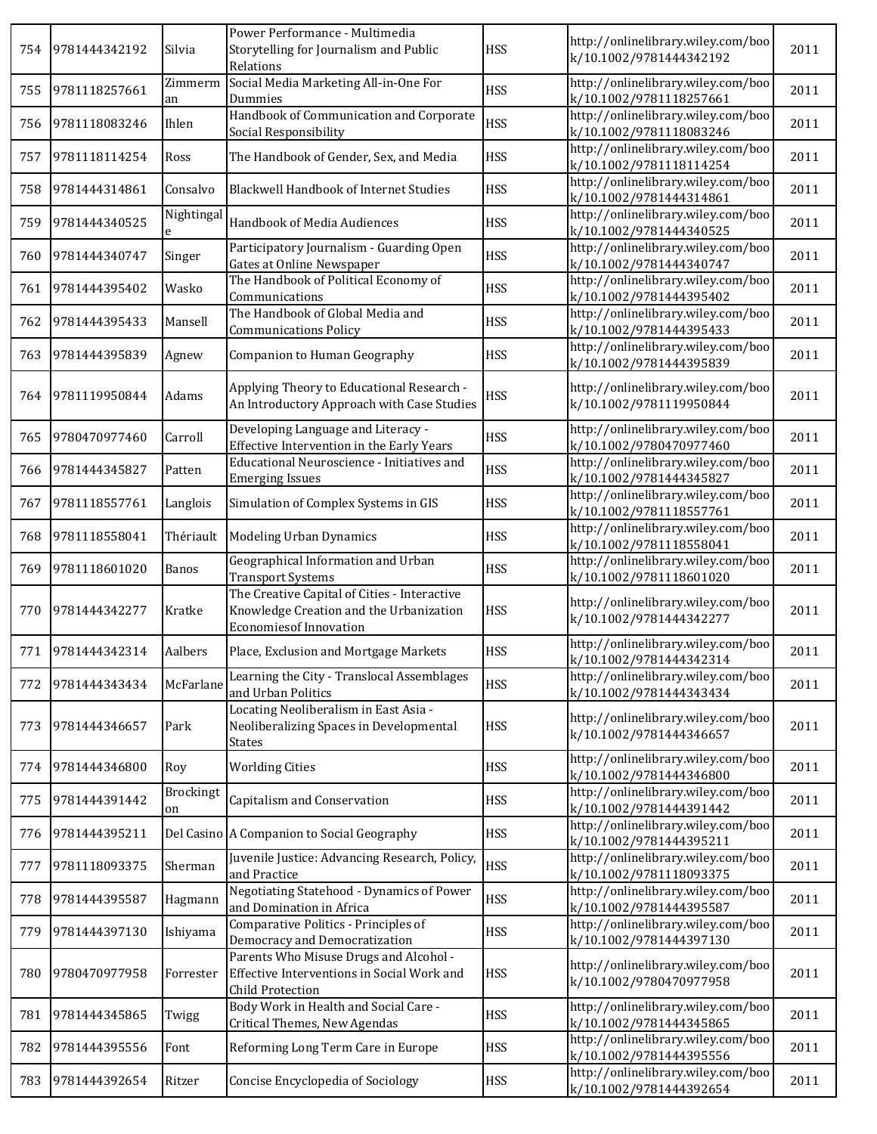| 754 | 9781444342192 | Silvia          | Power Performance - Multimedia<br>Storytelling for Journalism and Public<br>Relations                                    | <b>HSS</b> | http://onlinelibrary.wiley.com/boo<br>k/10.1002/9781444342192 | 2011 |
|-----|---------------|-----------------|--------------------------------------------------------------------------------------------------------------------------|------------|---------------------------------------------------------------|------|
| 755 | 9781118257661 | Zimmerm<br>an   | Social Media Marketing All-in-One For<br>Dummies                                                                         | <b>HSS</b> | http://onlinelibrary.wiley.com/boo<br>k/10.1002/9781118257661 | 2011 |
| 756 | 9781118083246 | Ihlen           | Handbook of Communication and Corporate<br>Social Responsibility                                                         | <b>HSS</b> | http://onlinelibrary.wiley.com/boo<br>k/10.1002/9781118083246 | 2011 |
| 757 | 9781118114254 | Ross            | The Handbook of Gender, Sex, and Media                                                                                   | <b>HSS</b> | http://onlinelibrary.wiley.com/boo<br>k/10.1002/9781118114254 | 2011 |
| 758 | 9781444314861 | Consalvo        | <b>Blackwell Handbook of Internet Studies</b>                                                                            | <b>HSS</b> | http://onlinelibrary.wiley.com/boo<br>k/10.1002/9781444314861 | 2011 |
| 759 | 9781444340525 | Nightingal<br>e | Handbook of Media Audiences                                                                                              | <b>HSS</b> | http://onlinelibrary.wiley.com/boo<br>k/10.1002/9781444340525 | 2011 |
| 760 | 9781444340747 | Singer          | Participatory Journalism - Guarding Open<br>Gates at Online Newspaper                                                    | <b>HSS</b> | http://onlinelibrary.wiley.com/boo<br>k/10.1002/9781444340747 | 2011 |
| 761 | 9781444395402 | Wasko           | The Handbook of Political Economy of<br>Communications                                                                   | <b>HSS</b> | http://onlinelibrary.wiley.com/boo<br>k/10.1002/9781444395402 | 2011 |
| 762 | 9781444395433 | Mansell         | The Handbook of Global Media and<br><b>Communications Policy</b>                                                         | <b>HSS</b> | http://onlinelibrary.wiley.com/boo<br>k/10.1002/9781444395433 | 2011 |
| 763 | 9781444395839 | Agnew           | Companion to Human Geography                                                                                             | <b>HSS</b> | http://onlinelibrary.wiley.com/boo<br>k/10.1002/9781444395839 | 2011 |
| 764 | 9781119950844 | Adams           | Applying Theory to Educational Research -<br>An Introductory Approach with Case Studies                                  | <b>HSS</b> | http://onlinelibrary.wiley.com/boo<br>k/10.1002/9781119950844 | 2011 |
| 765 | 9780470977460 | Carroll         | Developing Language and Literacy -<br>Effective Intervention in the Early Years                                          | <b>HSS</b> | http://onlinelibrary.wiley.com/boo<br>k/10.1002/9780470977460 | 2011 |
| 766 | 9781444345827 | Patten          | Educational Neuroscience - Initiatives and<br><b>Emerging Issues</b>                                                     | <b>HSS</b> | http://onlinelibrary.wiley.com/boo<br>k/10.1002/9781444345827 | 2011 |
| 767 | 9781118557761 | Langlois        | Simulation of Complex Systems in GIS                                                                                     | <b>HSS</b> | http://onlinelibrary.wiley.com/boo<br>k/10.1002/9781118557761 | 2011 |
| 768 | 9781118558041 | Thériault       | Modeling Urban Dynamics                                                                                                  | <b>HSS</b> | http://onlinelibrary.wiley.com/boo<br>k/10.1002/9781118558041 | 2011 |
| 769 | 9781118601020 | Banos           | Geographical Information and Urban<br><b>Transport Systems</b>                                                           | <b>HSS</b> | http://onlinelibrary.wiley.com/boo<br>k/10.1002/9781118601020 | 2011 |
| 770 | 9781444342277 | Kratke          | The Creative Capital of Cities - Interactive<br>Knowledge Creation and the Urbanization<br><b>Economiesof Innovation</b> | <b>HSS</b> | http://onlinelibrary.wiley.com/boo<br>k/10.1002/9781444342277 | 2011 |
| 771 | 9781444342314 | Aalbers         | Place, Exclusion and Mortgage Markets                                                                                    | <b>HSS</b> | http://onlinelibrary.wiley.com/boo<br>k/10.1002/9781444342314 | 2011 |
| 772 | 9781444343434 | McFarlane       | Learning the City - Translocal Assemblages<br>and Urban Politics                                                         | <b>HSS</b> | http://onlinelibrary.wiley.com/boo<br>k/10.1002/9781444343434 | 2011 |
| 773 | 9781444346657 | Park            | Locating Neoliberalism in East Asia -<br>Neoliberalizing Spaces in Developmental<br><b>States</b>                        | <b>HSS</b> | http://onlinelibrary.wiley.com/boo<br>k/10.1002/9781444346657 | 2011 |
| 774 | 9781444346800 | Roy             | <b>Worlding Cities</b>                                                                                                   | <b>HSS</b> | http://onlinelibrary.wiley.com/boo<br>k/10.1002/9781444346800 | 2011 |
| 775 | 9781444391442 | Brockingt<br>on | Capitalism and Conservation                                                                                              | <b>HSS</b> | http://onlinelibrary.wiley.com/boo<br>k/10.1002/9781444391442 | 2011 |
| 776 | 9781444395211 |                 | Del Casino A Companion to Social Geography                                                                               | <b>HSS</b> | http://onlinelibrary.wiley.com/boo<br>k/10.1002/9781444395211 | 2011 |
| 777 | 9781118093375 | Sherman         | Juvenile Justice: Advancing Research, Policy,<br>and Practice                                                            | <b>HSS</b> | http://onlinelibrary.wiley.com/boo<br>k/10.1002/9781118093375 | 2011 |
| 778 | 9781444395587 | Hagmann         | Negotiating Statehood - Dynamics of Power<br>and Domination in Africa                                                    | <b>HSS</b> | http://onlinelibrary.wiley.com/boo<br>k/10.1002/9781444395587 | 2011 |
| 779 | 9781444397130 | Ishiyama        | Comparative Politics - Principles of<br>Democracy and Democratization                                                    | <b>HSS</b> | http://onlinelibrary.wiley.com/boo<br>k/10.1002/9781444397130 | 2011 |
| 780 | 9780470977958 | Forrester       | Parents Who Misuse Drugs and Alcohol -<br>Effective Interventions in Social Work and<br>Child Protection                 | <b>HSS</b> | http://onlinelibrary.wiley.com/boo<br>k/10.1002/9780470977958 | 2011 |
| 781 | 9781444345865 | Twigg           | Body Work in Health and Social Care -<br>Critical Themes, New Agendas                                                    | <b>HSS</b> | http://onlinelibrary.wiley.com/boo<br>k/10.1002/9781444345865 | 2011 |
| 782 | 9781444395556 | Font            | Reforming Long Term Care in Europe                                                                                       | <b>HSS</b> | http://onlinelibrary.wiley.com/boo<br>k/10.1002/9781444395556 | 2011 |
| 783 | 9781444392654 | Ritzer          | Concise Encyclopedia of Sociology                                                                                        | <b>HSS</b> | http://onlinelibrary.wiley.com/boo<br>k/10.1002/9781444392654 | 2011 |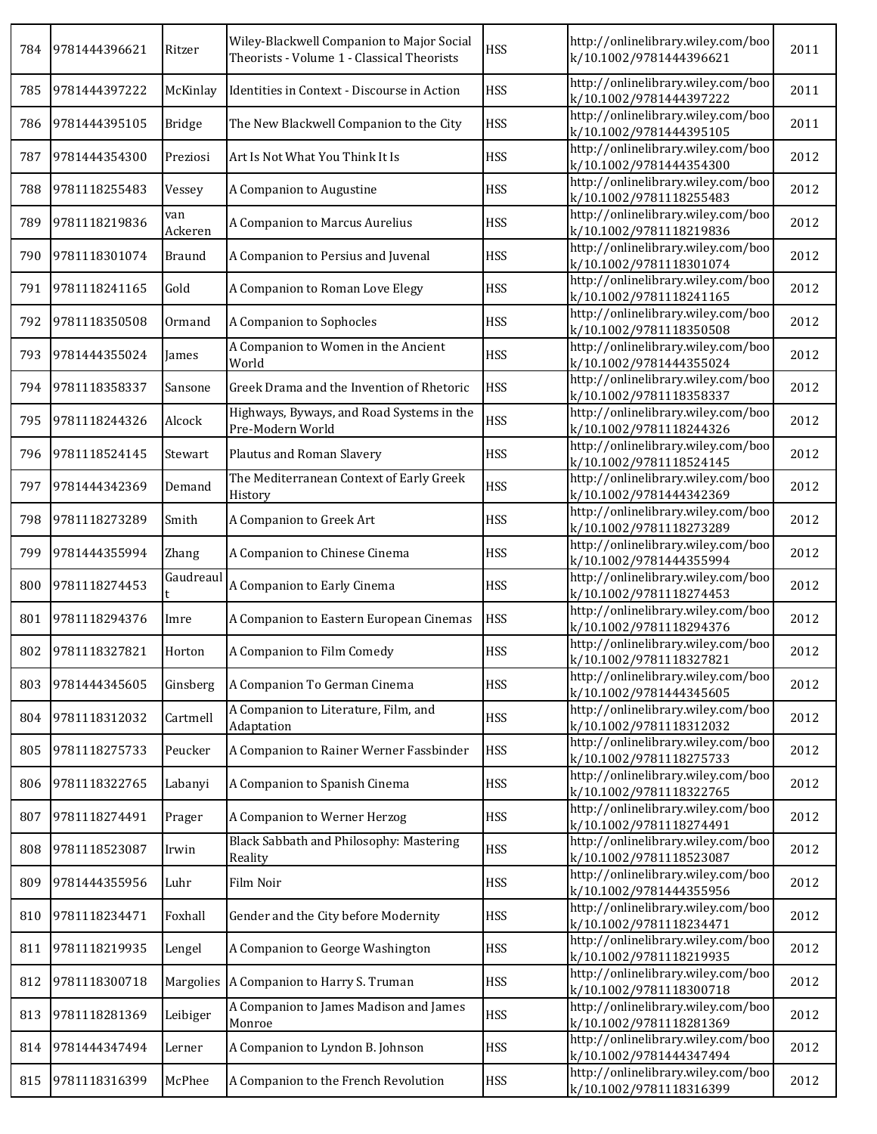| 784 | 9781444396621 | Ritzer         | Wiley-Blackwell Companion to Major Social<br>Theorists - Volume 1 - Classical Theorists | <b>HSS</b> | http://onlinelibrary.wiley.com/boo<br>k/10.1002/9781444396621 | 2011 |
|-----|---------------|----------------|-----------------------------------------------------------------------------------------|------------|---------------------------------------------------------------|------|
| 785 | 9781444397222 | McKinlay       | Identities in Context - Discourse in Action                                             | <b>HSS</b> | http://onlinelibrary.wiley.com/boo<br>k/10.1002/9781444397222 | 2011 |
| 786 | 9781444395105 | <b>Bridge</b>  | The New Blackwell Companion to the City                                                 | <b>HSS</b> | http://onlinelibrary.wiley.com/boo<br>k/10.1002/9781444395105 | 2011 |
| 787 | 9781444354300 | Preziosi       | Art Is Not What You Think It Is                                                         | <b>HSS</b> | http://onlinelibrary.wiley.com/boo<br>k/10.1002/9781444354300 | 2012 |
| 788 | 9781118255483 | Vessey         | A Companion to Augustine                                                                | <b>HSS</b> | http://onlinelibrary.wiley.com/boo<br>k/10.1002/9781118255483 | 2012 |
| 789 | 9781118219836 | van<br>Ackeren | A Companion to Marcus Aurelius                                                          | <b>HSS</b> | http://onlinelibrary.wiley.com/boo<br>k/10.1002/9781118219836 | 2012 |
| 790 | 9781118301074 | <b>Braund</b>  | A Companion to Persius and Juvenal                                                      | <b>HSS</b> | http://onlinelibrary.wiley.com/boo<br>k/10.1002/9781118301074 | 2012 |
| 791 | 9781118241165 | Gold           | A Companion to Roman Love Elegy                                                         | <b>HSS</b> | http://onlinelibrary.wiley.com/boo<br>k/10.1002/9781118241165 | 2012 |
| 792 | 9781118350508 | Ormand         | A Companion to Sophocles                                                                | <b>HSS</b> | http://onlinelibrary.wiley.com/boo<br>k/10.1002/9781118350508 | 2012 |
| 793 | 9781444355024 | James          | A Companion to Women in the Ancient<br>World                                            | <b>HSS</b> | http://onlinelibrary.wiley.com/boo<br>k/10.1002/9781444355024 | 2012 |
| 794 | 9781118358337 | Sansone        | Greek Drama and the Invention of Rhetoric                                               | <b>HSS</b> | http://onlinelibrary.wiley.com/boo<br>k/10.1002/9781118358337 | 2012 |
| 795 | 9781118244326 | Alcock         | Highways, Byways, and Road Systems in the<br>Pre-Modern World                           | <b>HSS</b> | http://onlinelibrary.wiley.com/boo<br>k/10.1002/9781118244326 | 2012 |
| 796 | 9781118524145 | Stewart        | Plautus and Roman Slavery                                                               | <b>HSS</b> | http://onlinelibrary.wiley.com/boo<br>k/10.1002/9781118524145 | 2012 |
| 797 | 9781444342369 | Demand         | The Mediterranean Context of Early Greek<br>History                                     | <b>HSS</b> | http://onlinelibrary.wiley.com/boo<br>k/10.1002/9781444342369 | 2012 |
| 798 | 9781118273289 | Smith          | A Companion to Greek Art                                                                | <b>HSS</b> | http://onlinelibrary.wiley.com/boo<br>k/10.1002/9781118273289 | 2012 |
| 799 | 9781444355994 | Zhang          | A Companion to Chinese Cinema                                                           | <b>HSS</b> | http://onlinelibrary.wiley.com/boo<br>k/10.1002/9781444355994 | 2012 |
| 800 | 9781118274453 | Gaudreaul      | A Companion to Early Cinema                                                             | <b>HSS</b> | http://onlinelibrary.wiley.com/boo<br>k/10.1002/9781118274453 | 2012 |
| 801 | 9781118294376 | Imre           | A Companion to Eastern European Cinemas                                                 | <b>HSS</b> | http://onlinelibrary.wiley.com/boo<br>k/10.1002/9781118294376 | 2012 |
| 802 | 9781118327821 | Horton         | A Companion to Film Comedy                                                              | <b>HSS</b> | http://onlinelibrary.wiley.com/boo<br>k/10.1002/9781118327821 | 2012 |
| 803 | 9781444345605 | Ginsberg       | A Companion To German Cinema                                                            | <b>HSS</b> | http://onlinelibrary.wiley.com/boo<br>k/10.1002/9781444345605 | 2012 |
| 804 | 9781118312032 | Cartmell       | A Companion to Literature, Film, and<br>Adaptation                                      | <b>HSS</b> | http://onlinelibrary.wiley.com/boo<br>k/10.1002/9781118312032 | 2012 |
| 805 | 9781118275733 | Peucker        | A Companion to Rainer Werner Fassbinder                                                 | <b>HSS</b> | http://onlinelibrary.wiley.com/boo<br>k/10.1002/9781118275733 | 2012 |
| 806 | 9781118322765 | Labanyi        | A Companion to Spanish Cinema                                                           | <b>HSS</b> | http://onlinelibrary.wiley.com/boo<br>k/10.1002/9781118322765 | 2012 |
| 807 | 9781118274491 | Prager         | A Companion to Werner Herzog                                                            | <b>HSS</b> | http://onlinelibrary.wiley.com/boo<br>k/10.1002/9781118274491 | 2012 |
| 808 | 9781118523087 | Irwin          | Black Sabbath and Philosophy: Mastering<br>Reality                                      | <b>HSS</b> | http://onlinelibrary.wiley.com/boo<br>k/10.1002/9781118523087 | 2012 |
| 809 | 9781444355956 | Luhr           | Film Noir                                                                               | <b>HSS</b> | http://onlinelibrary.wiley.com/boo<br>k/10.1002/9781444355956 | 2012 |
| 810 | 9781118234471 | Foxhall        | Gender and the City before Modernity                                                    | <b>HSS</b> | http://onlinelibrary.wiley.com/boo<br>k/10.1002/9781118234471 | 2012 |
| 811 | 9781118219935 | Lengel         | A Companion to George Washington                                                        | <b>HSS</b> | http://onlinelibrary.wiley.com/boo<br>k/10.1002/9781118219935 | 2012 |
| 812 | 9781118300718 | Margolies      | A Companion to Harry S. Truman                                                          | <b>HSS</b> | http://onlinelibrary.wiley.com/boo<br>k/10.1002/9781118300718 | 2012 |
| 813 | 9781118281369 | Leibiger       | A Companion to James Madison and James<br>Monroe                                        | <b>HSS</b> | http://onlinelibrary.wiley.com/boo<br>k/10.1002/9781118281369 | 2012 |
| 814 | 9781444347494 | Lerner         | A Companion to Lyndon B. Johnson                                                        | <b>HSS</b> | http://onlinelibrary.wiley.com/boo<br>k/10.1002/9781444347494 | 2012 |
| 815 | 9781118316399 | McPhee         | A Companion to the French Revolution                                                    | <b>HSS</b> | http://onlinelibrary.wiley.com/boo<br>k/10.1002/9781118316399 | 2012 |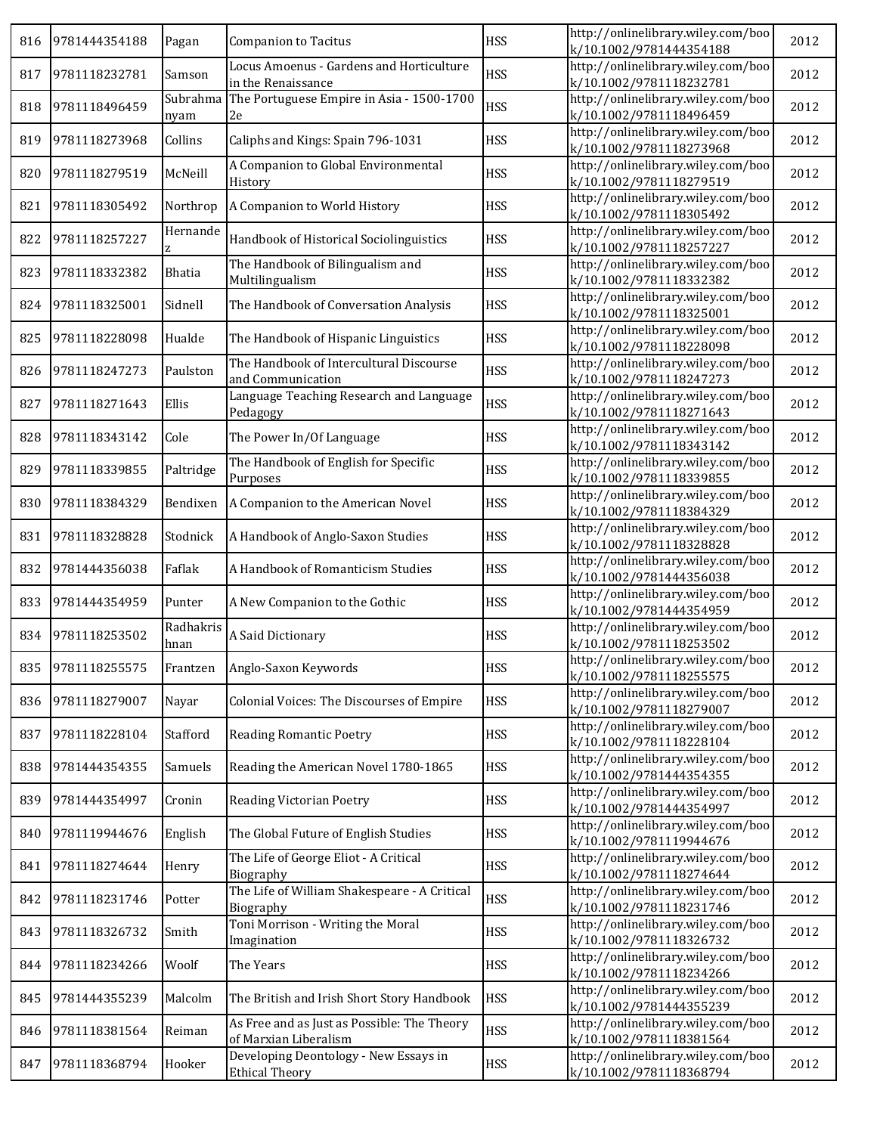| 816 | 9781444354188     | Pagan             | <b>Companion to Tacitus</b>                                          | <b>HSS</b> | http://onlinelibrary.wiley.com/boo<br>k/10.1002/9781444354188 | 2012 |
|-----|-------------------|-------------------|----------------------------------------------------------------------|------------|---------------------------------------------------------------|------|
| 817 | 9781118232781     | Samson            | Locus Amoenus - Gardens and Horticulture<br>in the Renaissance       | <b>HSS</b> | http://onlinelibrary.wiley.com/boo<br>k/10.1002/9781118232781 | 2012 |
| 818 | 9781118496459     | Subrahma<br>nyam  | The Portuguese Empire in Asia - 1500-1700<br>2e                      | <b>HSS</b> | http://onlinelibrary.wiley.com/boo<br>k/10.1002/9781118496459 | 2012 |
| 819 | 9781118273968     | Collins           | Caliphs and Kings: Spain 796-1031                                    | <b>HSS</b> | http://onlinelibrary.wiley.com/boo<br>k/10.1002/9781118273968 | 2012 |
| 820 | 9781118279519     | McNeill           | A Companion to Global Environmental<br>History                       | <b>HSS</b> | http://onlinelibrary.wiley.com/boo<br>k/10.1002/9781118279519 | 2012 |
| 821 | 9781118305492     | Northrop          | A Companion to World History                                         | <b>HSS</b> | http://onlinelibrary.wiley.com/boo<br>k/10.1002/9781118305492 | 2012 |
| 822 | 9781118257227     | Hernande          | Handbook of Historical Sociolinguistics                              | <b>HSS</b> | http://onlinelibrary.wiley.com/boo<br>k/10.1002/9781118257227 | 2012 |
| 823 | 9781118332382     | Bhatia            | The Handbook of Bilingualism and<br>Multilingualism                  | <b>HSS</b> | http://onlinelibrary.wiley.com/boo<br>k/10.1002/9781118332382 | 2012 |
| 824 | 9781118325001     | Sidnell           | The Handbook of Conversation Analysis                                | <b>HSS</b> | http://onlinelibrary.wiley.com/boo<br>k/10.1002/9781118325001 | 2012 |
| 825 | 9781118228098     | Hualde            | The Handbook of Hispanic Linguistics                                 | <b>HSS</b> | http://onlinelibrary.wiley.com/boo<br>k/10.1002/9781118228098 | 2012 |
| 826 | 9781118247273     | Paulston          | The Handbook of Intercultural Discourse<br>and Communication         | <b>HSS</b> | http://onlinelibrary.wiley.com/boo<br>k/10.1002/9781118247273 | 2012 |
| 827 | 9781118271643     | Ellis             | Language Teaching Research and Language<br>Pedagogy                  | <b>HSS</b> | http://onlinelibrary.wiley.com/boo<br>k/10.1002/9781118271643 | 2012 |
| 828 | 9781118343142     | Cole              | The Power In/Of Language                                             | <b>HSS</b> | http://onlinelibrary.wiley.com/boo<br>k/10.1002/9781118343142 | 2012 |
| 829 | 9781118339855     | Paltridge         | The Handbook of English for Specific<br>Purposes                     | <b>HSS</b> | http://onlinelibrary.wiley.com/boo<br>k/10.1002/9781118339855 | 2012 |
| 830 | 9781118384329     | Bendixen          | A Companion to the American Novel                                    | <b>HSS</b> | http://onlinelibrary.wiley.com/boo<br>k/10.1002/9781118384329 | 2012 |
| 831 | 9781118328828     | Stodnick          | A Handbook of Anglo-Saxon Studies                                    | <b>HSS</b> | http://onlinelibrary.wiley.com/boo<br>k/10.1002/9781118328828 | 2012 |
| 832 | 9781444356038     | Faflak            | A Handbook of Romanticism Studies                                    | <b>HSS</b> | http://onlinelibrary.wiley.com/boo<br>k/10.1002/9781444356038 | 2012 |
| 833 | 9781444354959     | Punter            | A New Companion to the Gothic                                        | <b>HSS</b> | http://onlinelibrary.wiley.com/boo<br>k/10.1002/9781444354959 | 2012 |
| 834 | 9781118253502     | Radhakris<br>hnan | A Said Dictionary                                                    | <b>HSS</b> | http://onlinelibrary.wiley.com/boo<br>k/10.1002/9781118253502 | 2012 |
|     | 835 9781118255575 | Frantzen          | Anglo-Saxon Keywords                                                 | <b>HSS</b> | http://onlinelibrary.wiley.com/boo<br>k/10.1002/9781118255575 | 2012 |
| 836 | 9781118279007     | Nayar             | Colonial Voices: The Discourses of Empire                            | <b>HSS</b> | http://onlinelibrary.wiley.com/boo<br>k/10.1002/9781118279007 | 2012 |
| 837 | 9781118228104     | Stafford          | <b>Reading Romantic Poetry</b>                                       | <b>HSS</b> | http://onlinelibrary.wiley.com/boo<br>k/10.1002/9781118228104 | 2012 |
| 838 | 9781444354355     | Samuels           | Reading the American Novel 1780-1865                                 | <b>HSS</b> | http://onlinelibrary.wiley.com/boo<br>k/10.1002/9781444354355 | 2012 |
| 839 | 9781444354997     | Cronin            | Reading Victorian Poetry                                             | <b>HSS</b> | http://onlinelibrary.wiley.com/boo<br>k/10.1002/9781444354997 | 2012 |
| 840 | 9781119944676     | English           | The Global Future of English Studies                                 | <b>HSS</b> | http://onlinelibrary.wiley.com/boo<br>k/10.1002/9781119944676 | 2012 |
| 841 | 9781118274644     | Henry             | The Life of George Eliot - A Critical<br>Biography                   | <b>HSS</b> | http://onlinelibrary.wiley.com/boo<br>k/10.1002/9781118274644 | 2012 |
| 842 | 9781118231746     | Potter            | The Life of William Shakespeare - A Critical<br>Biography            | <b>HSS</b> | http://onlinelibrary.wiley.com/boo<br>k/10.1002/9781118231746 | 2012 |
| 843 | 9781118326732     | Smith             | Toni Morrison - Writing the Moral<br>Imagination                     | <b>HSS</b> | http://onlinelibrary.wiley.com/boo<br>k/10.1002/9781118326732 | 2012 |
| 844 | 9781118234266     | Woolf             | The Years                                                            | <b>HSS</b> | http://onlinelibrary.wiley.com/boo<br>k/10.1002/9781118234266 | 2012 |
| 845 | 9781444355239     | Malcolm           | The British and Irish Short Story Handbook                           | <b>HSS</b> | http://onlinelibrary.wiley.com/boo<br>k/10.1002/9781444355239 | 2012 |
| 846 | 9781118381564     | Reiman            | As Free and as Just as Possible: The Theory<br>of Marxian Liberalism | <b>HSS</b> | http://onlinelibrary.wiley.com/boo<br>k/10.1002/9781118381564 | 2012 |
| 847 | 9781118368794     | Hooker            | Developing Deontology - New Essays in<br><b>Ethical Theory</b>       | <b>HSS</b> | http://onlinelibrary.wiley.com/boo<br>k/10.1002/9781118368794 | 2012 |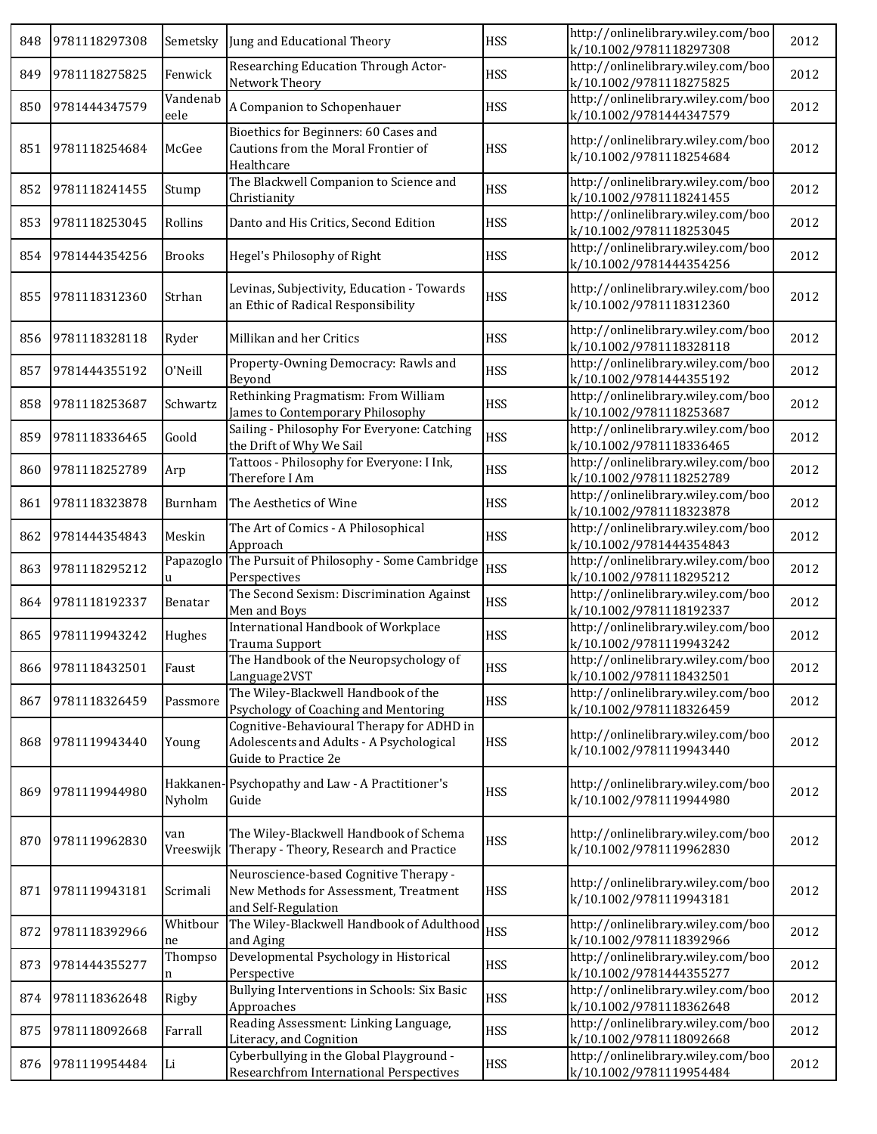| 848 | 9781118297308     | Semetsky            | Jung and Educational Theory                                                                                   | <b>HSS</b> | http://onlinelibrary.wiley.com/boo<br>k/10.1002/9781118297308 | 2012 |
|-----|-------------------|---------------------|---------------------------------------------------------------------------------------------------------------|------------|---------------------------------------------------------------|------|
| 849 | 9781118275825     | Fenwick             | Researching Education Through Actor-<br>Network Theory                                                        | <b>HSS</b> | http://onlinelibrary.wiley.com/boo<br>k/10.1002/9781118275825 | 2012 |
| 850 | 9781444347579     | Vandenab<br>eele    | A Companion to Schopenhauer                                                                                   | <b>HSS</b> | http://onlinelibrary.wiley.com/boo<br>k/10.1002/9781444347579 | 2012 |
| 851 | 9781118254684     | McGee               | Bioethics for Beginners: 60 Cases and<br>Cautions from the Moral Frontier of<br>Healthcare                    | <b>HSS</b> | http://onlinelibrary.wiley.com/boo<br>k/10.1002/9781118254684 | 2012 |
| 852 | 9781118241455     | Stump               | The Blackwell Companion to Science and<br>Christianity                                                        | <b>HSS</b> | http://onlinelibrary.wiley.com/boo<br>k/10.1002/9781118241455 | 2012 |
| 853 | 9781118253045     | Rollins             | Danto and His Critics, Second Edition                                                                         | <b>HSS</b> | http://onlinelibrary.wiley.com/boo<br>k/10.1002/9781118253045 | 2012 |
| 854 | 9781444354256     | <b>Brooks</b>       | Hegel's Philosophy of Right                                                                                   | <b>HSS</b> | http://onlinelibrary.wiley.com/boo<br>k/10.1002/9781444354256 | 2012 |
| 855 | 9781118312360     | Strhan              | Levinas, Subjectivity, Education - Towards<br>an Ethic of Radical Responsibility                              | <b>HSS</b> | http://onlinelibrary.wiley.com/boo<br>k/10.1002/9781118312360 | 2012 |
| 856 | 9781118328118     | Ryder               | Millikan and her Critics                                                                                      | <b>HSS</b> | http://onlinelibrary.wiley.com/boo<br>k/10.1002/9781118328118 | 2012 |
| 857 | 9781444355192     | 0'Neill             | Property-Owning Democracy: Rawls and<br>Beyond                                                                | <b>HSS</b> | http://onlinelibrary.wiley.com/boo<br>k/10.1002/9781444355192 | 2012 |
| 858 | 9781118253687     | Schwartz            | Rethinking Pragmatism: From William<br>James to Contemporary Philosophy                                       | <b>HSS</b> | http://onlinelibrary.wiley.com/boo<br>k/10.1002/9781118253687 | 2012 |
| 859 | 9781118336465     | Goold               | Sailing - Philosophy For Everyone: Catching<br>the Drift of Why We Sail                                       | <b>HSS</b> | http://onlinelibrary.wiley.com/boo<br>k/10.1002/9781118336465 | 2012 |
| 860 | 9781118252789     | Arp                 | Tattoos - Philosophy for Everyone: I Ink,<br>Therefore I Am                                                   | <b>HSS</b> | http://onlinelibrary.wiley.com/boo<br>k/10.1002/9781118252789 | 2012 |
| 861 | 9781118323878     | Burnham             | The Aesthetics of Wine                                                                                        | <b>HSS</b> | http://onlinelibrary.wiley.com/boo<br>k/10.1002/9781118323878 | 2012 |
| 862 | 9781444354843     | Meskin              | The Art of Comics - A Philosophical<br>Approach                                                               | <b>HSS</b> | http://onlinelibrary.wiley.com/boo<br>k/10.1002/9781444354843 | 2012 |
| 863 | 9781118295212     | Papazoglo<br>u      | The Pursuit of Philosophy - Some Cambridge<br>Perspectives                                                    | <b>HSS</b> | http://onlinelibrary.wiley.com/boo<br>k/10.1002/9781118295212 | 2012 |
| 864 | 9781118192337     | Benatar             | The Second Sexism: Discrimination Against<br>Men and Boys                                                     | <b>HSS</b> | http://onlinelibrary.wiley.com/boo<br>k/10.1002/9781118192337 | 2012 |
| 865 | 9781119943242     | Hughes              | International Handbook of Workplace<br><b>Trauma Support</b>                                                  | <b>HSS</b> | http://onlinelibrary.wiley.com/boo<br>k/10.1002/9781119943242 | 2012 |
|     | 866 9781118432501 | Faust               | The Handbook of the Neuropsychology of<br>Language2VST                                                        | <b>HSS</b> | http://onlinelibrary.wiley.com/boo<br>k/10.1002/9781118432501 | 2012 |
| 867 | 9781118326459     | Passmore            | The Wiley-Blackwell Handbook of the<br>Psychology of Coaching and Mentoring                                   | <b>HSS</b> | http://onlinelibrary.wiley.com/boo<br>k/10.1002/9781118326459 | 2012 |
| 868 | 9781119943440     | Young               | Cognitive-Behavioural Therapy for ADHD in<br>Adolescents and Adults - A Psychological<br>Guide to Practice 2e | <b>HSS</b> | http://onlinelibrary.wiley.com/boo<br>k/10.1002/9781119943440 | 2012 |
| 869 | 9781119944980     | Hakkanen-<br>Nyholm | Psychopathy and Law - A Practitioner's<br>Guide                                                               | <b>HSS</b> | http://onlinelibrary.wiley.com/boo<br>k/10.1002/9781119944980 | 2012 |
| 870 | 9781119962830     | van                 | The Wiley-Blackwell Handbook of Schema<br>Vreeswijk Therapy - Theory, Research and Practice                   | <b>HSS</b> | http://onlinelibrary.wiley.com/boo<br>k/10.1002/9781119962830 | 2012 |
| 871 | 9781119943181     | Scrimali            | Neuroscience-based Cognitive Therapy -<br>New Methods for Assessment, Treatment<br>and Self-Regulation        | <b>HSS</b> | http://onlinelibrary.wiley.com/boo<br>k/10.1002/9781119943181 | 2012 |
| 872 | 9781118392966     | Whitbour<br>ne      | The Wiley-Blackwell Handbook of Adulthood<br>and Aging                                                        | <b>HSS</b> | http://onlinelibrary.wiley.com/boo<br>k/10.1002/9781118392966 | 2012 |
| 873 | 9781444355277     | Thompso<br>n        | Developmental Psychology in Historical<br>Perspective                                                         | <b>HSS</b> | http://onlinelibrary.wiley.com/boo<br>k/10.1002/9781444355277 | 2012 |
| 874 | 9781118362648     | Rigby               | Bullying Interventions in Schools: Six Basic<br>Approaches                                                    | <b>HSS</b> | http://onlinelibrary.wiley.com/boo<br>k/10.1002/9781118362648 | 2012 |
| 875 | 9781118092668     | Farrall             | Reading Assessment: Linking Language,<br>Literacy, and Cognition                                              | <b>HSS</b> | http://onlinelibrary.wiley.com/boo<br>k/10.1002/9781118092668 | 2012 |
| 876 | 9781119954484     | Li                  | Cyberbullying in the Global Playground -<br>Researchfrom International Perspectives                           | <b>HSS</b> | http://onlinelibrary.wiley.com/boo<br>k/10.1002/9781119954484 | 2012 |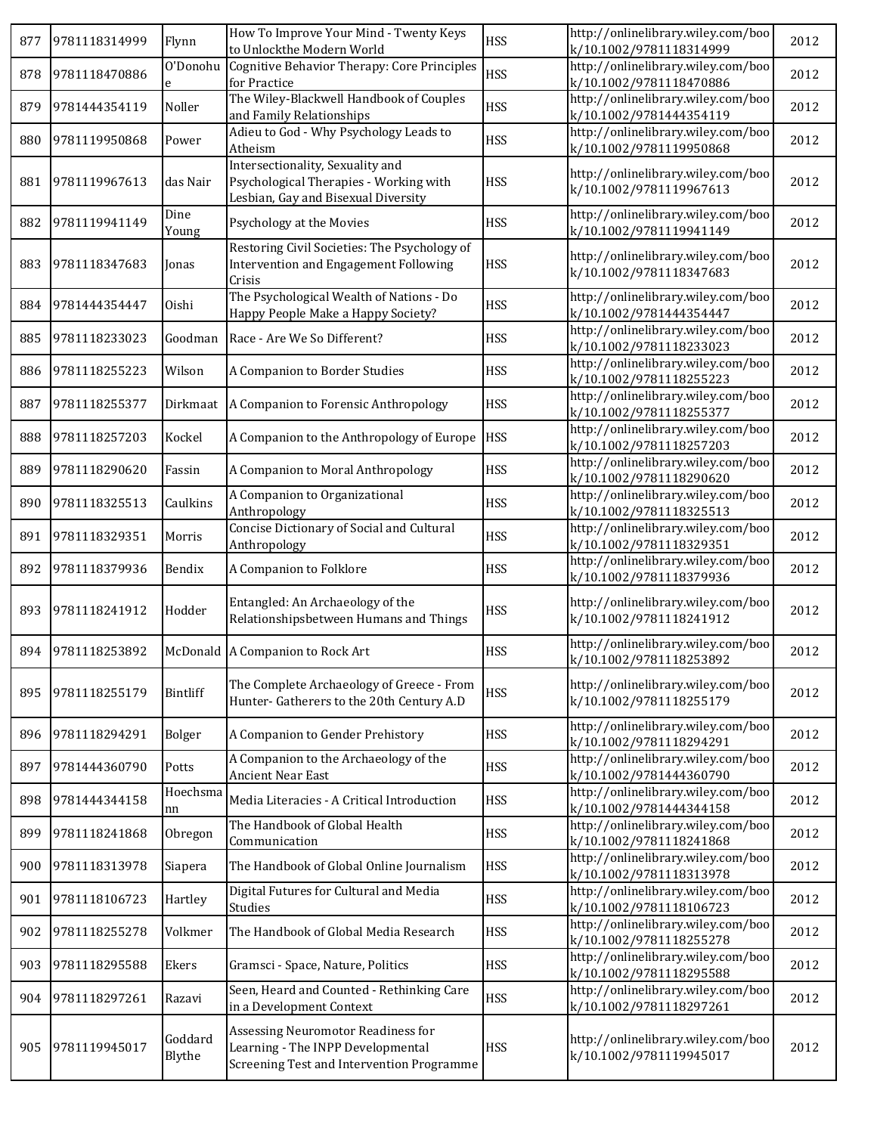| 877 | 9781118314999 | Flynn             | How To Improve Your Mind - Twenty Keys<br>to Unlockthe Modern World                                                  | <b>HSS</b> | http://onlinelibrary.wiley.com/boo<br>k/10.1002/9781118314999 | 2012 |
|-----|---------------|-------------------|----------------------------------------------------------------------------------------------------------------------|------------|---------------------------------------------------------------|------|
| 878 | 9781118470886 | O'Donohu<br>e     | Cognitive Behavior Therapy: Core Principles<br>for Practice                                                          | <b>HSS</b> | http://onlinelibrary.wiley.com/boo<br>k/10.1002/9781118470886 | 2012 |
| 879 | 9781444354119 | Noller            | The Wiley-Blackwell Handbook of Couples<br>and Family Relationships                                                  | <b>HSS</b> | http://onlinelibrary.wiley.com/boo<br>k/10.1002/9781444354119 | 2012 |
| 880 | 9781119950868 | Power             | Adieu to God - Why Psychology Leads to<br>Atheism                                                                    | <b>HSS</b> | http://onlinelibrary.wiley.com/boo<br>k/10.1002/9781119950868 | 2012 |
| 881 | 9781119967613 | das Nair          | Intersectionality, Sexuality and<br>Psychological Therapies - Working with<br>Lesbian, Gay and Bisexual Diversity    | <b>HSS</b> | http://onlinelibrary.wiley.com/boo<br>k/10.1002/9781119967613 | 2012 |
| 882 | 9781119941149 | Dine<br>Young     | Psychology at the Movies                                                                                             | <b>HSS</b> | http://onlinelibrary.wiley.com/boo<br>k/10.1002/9781119941149 | 2012 |
| 883 | 9781118347683 | Jonas             | Restoring Civil Societies: The Psychology of<br>Intervention and Engagement Following<br>Crisis                      | <b>HSS</b> | http://onlinelibrary.wiley.com/boo<br>k/10.1002/9781118347683 | 2012 |
| 884 | 9781444354447 | Oishi             | The Psychological Wealth of Nations - Do<br>Happy People Make a Happy Society?                                       | <b>HSS</b> | http://onlinelibrary.wiley.com/boo<br>k/10.1002/9781444354447 | 2012 |
| 885 | 9781118233023 | Goodman           | Race - Are We So Different?                                                                                          | <b>HSS</b> | http://onlinelibrary.wiley.com/boo<br>k/10.1002/9781118233023 | 2012 |
| 886 | 9781118255223 | Wilson            | A Companion to Border Studies                                                                                        | <b>HSS</b> | http://onlinelibrary.wiley.com/boo<br>k/10.1002/9781118255223 | 2012 |
| 887 | 9781118255377 |                   | Dirkmaat   A Companion to Forensic Anthropology                                                                      | <b>HSS</b> | http://onlinelibrary.wiley.com/boo<br>k/10.1002/9781118255377 | 2012 |
| 888 | 9781118257203 | Kockel            | A Companion to the Anthropology of Europe                                                                            | <b>HSS</b> | http://onlinelibrary.wiley.com/boo<br>k/10.1002/9781118257203 | 2012 |
| 889 | 9781118290620 | Fassin            | A Companion to Moral Anthropology                                                                                    | <b>HSS</b> | http://onlinelibrary.wiley.com/boo<br>k/10.1002/9781118290620 | 2012 |
| 890 | 9781118325513 | Caulkins          | A Companion to Organizational<br>Anthropology                                                                        | <b>HSS</b> | http://onlinelibrary.wiley.com/boo<br>k/10.1002/9781118325513 | 2012 |
| 891 | 9781118329351 | Morris            | Concise Dictionary of Social and Cultural<br>Anthropology                                                            | <b>HSS</b> | http://onlinelibrary.wiley.com/boo<br>k/10.1002/9781118329351 | 2012 |
| 892 | 9781118379936 | Bendix            | A Companion to Folklore                                                                                              | <b>HSS</b> | http://onlinelibrary.wiley.com/boo<br>k/10.1002/9781118379936 | 2012 |
| 893 | 9781118241912 | Hodder            | Entangled: An Archaeology of the<br>Relationshipsbetween Humans and Things                                           | <b>HSS</b> | http://onlinelibrary.wiley.com/boo<br>k/10.1002/9781118241912 | 2012 |
| 894 | 9781118253892 |                   | McDonald A Companion to Rock Art                                                                                     | <b>HSS</b> | http://onlinelibrary.wiley.com/boo<br>k/10.1002/9781118253892 | 2012 |
| 895 | 9781118255179 | Bintliff          | The Complete Archaeology of Greece - From<br>Hunter-Gatherers to the 20th Century A.D                                | <b>HSS</b> | http://onlinelibrary.wiley.com/boo<br>k/10.1002/9781118255179 | 2012 |
| 896 | 9781118294291 | Bolger            | A Companion to Gender Prehistory                                                                                     | <b>HSS</b> | http://onlinelibrary.wiley.com/boo<br>k/10.1002/9781118294291 | 2012 |
| 897 | 9781444360790 | Potts             | A Companion to the Archaeology of the<br><b>Ancient Near East</b>                                                    | <b>HSS</b> | http://onlinelibrary.wiley.com/boo<br>k/10.1002/9781444360790 | 2012 |
| 898 | 9781444344158 | Hoechsma<br>nn    | Media Literacies - A Critical Introduction                                                                           | <b>HSS</b> | http://onlinelibrary.wiley.com/boo<br>k/10.1002/9781444344158 | 2012 |
| 899 | 9781118241868 | Obregon           | The Handbook of Global Health<br>Communication                                                                       | <b>HSS</b> | http://onlinelibrary.wiley.com/boo<br>k/10.1002/9781118241868 | 2012 |
| 900 | 9781118313978 | Siapera           | The Handbook of Global Online Journalism                                                                             | <b>HSS</b> | http://onlinelibrary.wiley.com/boo<br>k/10.1002/9781118313978 | 2012 |
| 901 | 9781118106723 | Hartley           | Digital Futures for Cultural and Media<br>Studies                                                                    | <b>HSS</b> | http://onlinelibrary.wiley.com/boo<br>k/10.1002/9781118106723 | 2012 |
| 902 | 9781118255278 | Volkmer           | The Handbook of Global Media Research                                                                                | <b>HSS</b> | http://onlinelibrary.wiley.com/boo<br>k/10.1002/9781118255278 | 2012 |
| 903 | 9781118295588 | Ekers             | Gramsci - Space, Nature, Politics                                                                                    | <b>HSS</b> | http://onlinelibrary.wiley.com/boo<br>k/10.1002/9781118295588 | 2012 |
| 904 | 9781118297261 | Razavi            | Seen, Heard and Counted - Rethinking Care<br>in a Development Context                                                | <b>HSS</b> | http://onlinelibrary.wiley.com/boo<br>k/10.1002/9781118297261 | 2012 |
| 905 | 9781119945017 | Goddard<br>Blythe | Assessing Neuromotor Readiness for<br>Learning - The INPP Developmental<br>Screening Test and Intervention Programme | <b>HSS</b> | http://onlinelibrary.wiley.com/boo<br>k/10.1002/9781119945017 | 2012 |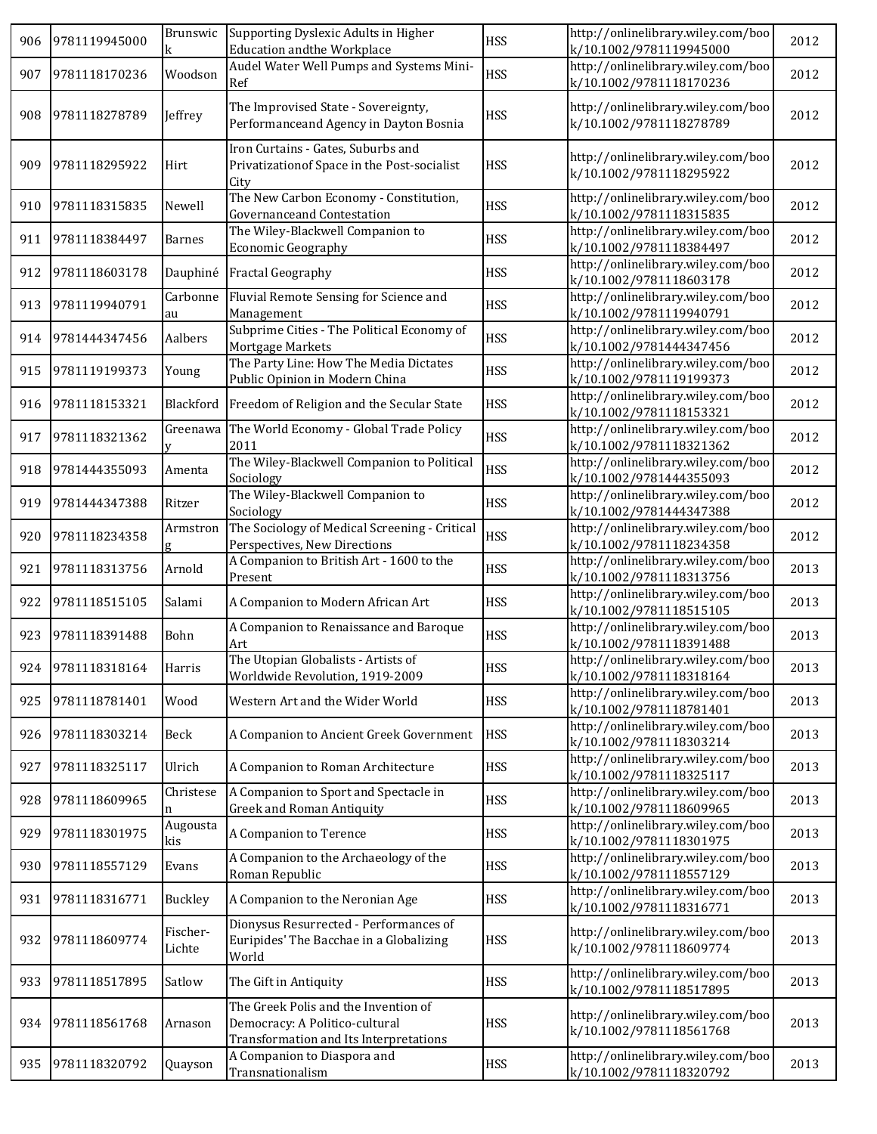| 906 | 9781119945000     |                    | Brunswic Supporting Dyslexic Adults in Higher<br><b>Education andthe Workplace</b>                               | <b>HSS</b> | http://onlinelibrary.wiley.com/boo<br>k/10.1002/9781119945000 | 2012 |
|-----|-------------------|--------------------|------------------------------------------------------------------------------------------------------------------|------------|---------------------------------------------------------------|------|
| 907 | 9781118170236     | Woodson            | Audel Water Well Pumps and Systems Mini-<br>Ref                                                                  | <b>HSS</b> | http://onlinelibrary.wiley.com/boo<br>k/10.1002/9781118170236 | 2012 |
| 908 | 9781118278789     | Jeffrey            | The Improvised State - Sovereignty,<br>Performanceand Agency in Dayton Bosnia                                    | <b>HSS</b> | http://onlinelibrary.wiley.com/boo<br>k/10.1002/9781118278789 | 2012 |
| 909 | 9781118295922     | Hirt               | Iron Curtains - Gates, Suburbs and<br>Privatization of Space in the Post-socialist<br>City                       | <b>HSS</b> | http://onlinelibrary.wiley.com/boo<br>k/10.1002/9781118295922 | 2012 |
| 910 | 9781118315835     | Newell             | The New Carbon Economy - Constitution,<br>Governanceand Contestation                                             | <b>HSS</b> | http://onlinelibrary.wiley.com/boo<br>k/10.1002/9781118315835 | 2012 |
| 911 | 9781118384497     | <b>Barnes</b>      | The Wiley-Blackwell Companion to<br><b>Economic Geography</b>                                                    | <b>HSS</b> | http://onlinelibrary.wiley.com/boo<br>k/10.1002/9781118384497 | 2012 |
| 912 | 9781118603178     | Dauphiné           | <b>Fractal Geography</b>                                                                                         | <b>HSS</b> | http://onlinelibrary.wiley.com/boo<br>k/10.1002/9781118603178 | 2012 |
| 913 | 9781119940791     | Carbonne<br>au     | Fluvial Remote Sensing for Science and<br>Management                                                             | <b>HSS</b> | http://onlinelibrary.wiley.com/boo<br>k/10.1002/9781119940791 | 2012 |
| 914 | 9781444347456     | Aalbers            | Subprime Cities - The Political Economy of<br>Mortgage Markets                                                   | <b>HSS</b> | http://onlinelibrary.wiley.com/boo<br>k/10.1002/9781444347456 | 2012 |
| 915 | 9781119199373     | Young              | The Party Line: How The Media Dictates<br>Public Opinion in Modern China                                         | <b>HSS</b> | http://onlinelibrary.wiley.com/boo<br>k/10.1002/9781119199373 | 2012 |
| 916 | 9781118153321     | Blackford          | Freedom of Religion and the Secular State                                                                        | <b>HSS</b> | http://onlinelibrary.wiley.com/boo<br>k/10.1002/9781118153321 | 2012 |
| 917 | 9781118321362     | Greenawa           | The World Economy - Global Trade Policy<br>2011                                                                  | <b>HSS</b> | http://onlinelibrary.wiley.com/boo<br>k/10.1002/9781118321362 | 2012 |
| 918 | 9781444355093     | Amenta             | The Wiley-Blackwell Companion to Political<br>Sociology                                                          | <b>HSS</b> | http://onlinelibrary.wiley.com/boo<br>k/10.1002/9781444355093 | 2012 |
| 919 | 9781444347388     | Ritzer             | The Wiley-Blackwell Companion to<br>Sociology                                                                    | <b>HSS</b> | http://onlinelibrary.wiley.com/boo<br>k/10.1002/9781444347388 | 2012 |
| 920 | 9781118234358     | Armstron<br>Q.     | The Sociology of Medical Screening - Critical<br>Perspectives, New Directions                                    | <b>HSS</b> | http://onlinelibrary.wiley.com/boo<br>k/10.1002/9781118234358 | 2012 |
| 921 | 9781118313756     | Arnold             | A Companion to British Art - 1600 to the<br>Present                                                              | <b>HSS</b> | http://onlinelibrary.wiley.com/boo<br>k/10.1002/9781118313756 | 2013 |
| 922 | 9781118515105     | Salami             | A Companion to Modern African Art                                                                                | <b>HSS</b> | http://onlinelibrary.wiley.com/boo<br>k/10.1002/9781118515105 | 2013 |
| 923 | 9781118391488     | Bohn               | A Companion to Renaissance and Baroque<br>Art                                                                    | <b>HSS</b> | http://onlinelibrary.wiley.com/boo<br>k/10.1002/9781118391488 | 2013 |
|     | 924 9781118318164 | Harris             | The Utopian Globalists - Artists of<br>Worldwide Revolution, 1919-2009                                           | <b>HSS</b> | http://onlinelibrary.wiley.com/boo<br>k/10.1002/9781118318164 | 2013 |
| 925 | 9781118781401     | Wood               | Western Art and the Wider World                                                                                  | <b>HSS</b> | http://onlinelibrary.wiley.com/boo<br>k/10.1002/9781118781401 | 2013 |
| 926 | 9781118303214     | Beck               | A Companion to Ancient Greek Government                                                                          | <b>HSS</b> | http://onlinelibrary.wiley.com/boo<br>k/10.1002/9781118303214 | 2013 |
| 927 | 9781118325117     | Ulrich             | A Companion to Roman Architecture                                                                                | <b>HSS</b> | http://onlinelibrary.wiley.com/boo<br>k/10.1002/9781118325117 | 2013 |
| 928 | 9781118609965     | Christese<br>n     | A Companion to Sport and Spectacle in<br><b>Greek and Roman Antiquity</b>                                        | <b>HSS</b> | http://onlinelibrary.wiley.com/boo<br>k/10.1002/9781118609965 | 2013 |
| 929 | 9781118301975     | Augousta<br>kis    | A Companion to Terence                                                                                           | <b>HSS</b> | http://onlinelibrary.wiley.com/boo<br>k/10.1002/9781118301975 | 2013 |
| 930 | 9781118557129     | Evans              | A Companion to the Archaeology of the<br>Roman Republic                                                          | <b>HSS</b> | http://onlinelibrary.wiley.com/boo<br>k/10.1002/9781118557129 | 2013 |
| 931 | 9781118316771     | Buckley            | A Companion to the Neronian Age                                                                                  | <b>HSS</b> | http://onlinelibrary.wiley.com/boo<br>k/10.1002/9781118316771 | 2013 |
| 932 | 9781118609774     | Fischer-<br>Lichte | Dionysus Resurrected - Performances of<br>Euripides' The Bacchae in a Globalizing<br>World                       | <b>HSS</b> | http://onlinelibrary.wiley.com/boo<br>k/10.1002/9781118609774 | 2013 |
| 933 | 9781118517895     | Satlow             | The Gift in Antiquity                                                                                            | <b>HSS</b> | http://onlinelibrary.wiley.com/boo<br>k/10.1002/9781118517895 | 2013 |
| 934 | 9781118561768     | Arnason            | The Greek Polis and the Invention of<br>Democracy: A Politico-cultural<br>Transformation and Its Interpretations | <b>HSS</b> | http://onlinelibrary.wiley.com/boo<br>k/10.1002/9781118561768 | 2013 |
| 935 | 9781118320792     | Quayson            | A Companion to Diaspora and<br>Transnationalism                                                                  | <b>HSS</b> | http://onlinelibrary.wiley.com/boo<br>k/10.1002/9781118320792 | 2013 |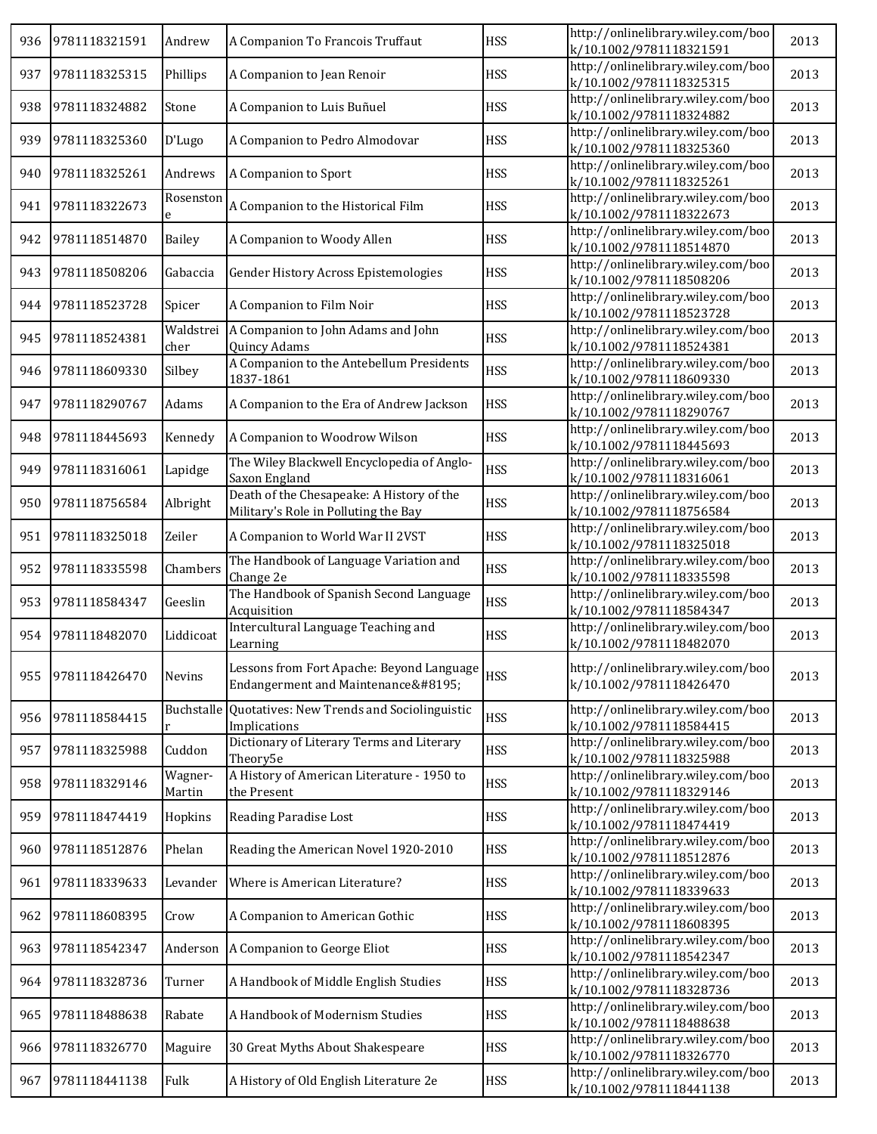| 936 | 9781118321591 | Andrew            | A Companion To Francois Truffaut                                                  | <b>HSS</b> | http://onlinelibrary.wiley.com/boo<br>k/10.1002/9781118321591 | 2013 |
|-----|---------------|-------------------|-----------------------------------------------------------------------------------|------------|---------------------------------------------------------------|------|
| 937 | 9781118325315 | Phillips          | A Companion to Jean Renoir                                                        | <b>HSS</b> | http://onlinelibrary.wiley.com/boo<br>k/10.1002/9781118325315 | 2013 |
| 938 | 9781118324882 | Stone             | A Companion to Luis Buñuel                                                        | <b>HSS</b> | http://onlinelibrary.wiley.com/boo<br>k/10.1002/9781118324882 | 2013 |
| 939 | 9781118325360 | D'Lugo            | A Companion to Pedro Almodovar                                                    | <b>HSS</b> | http://onlinelibrary.wiley.com/boo<br>k/10.1002/9781118325360 | 2013 |
| 940 | 9781118325261 | Andrews           | A Companion to Sport                                                              | <b>HSS</b> | http://onlinelibrary.wiley.com/boo<br>k/10.1002/9781118325261 | 2013 |
| 941 | 9781118322673 | Rosenston<br>e    | A Companion to the Historical Film                                                | <b>HSS</b> | http://onlinelibrary.wiley.com/boo<br>k/10.1002/9781118322673 | 2013 |
| 942 | 9781118514870 | <b>Bailey</b>     | A Companion to Woody Allen                                                        | <b>HSS</b> | http://onlinelibrary.wiley.com/boo<br>k/10.1002/9781118514870 | 2013 |
| 943 | 9781118508206 | Gabaccia          | Gender History Across Epistemologies                                              | <b>HSS</b> | http://onlinelibrary.wiley.com/boo<br>k/10.1002/9781118508206 | 2013 |
| 944 | 9781118523728 | Spicer            | A Companion to Film Noir                                                          | <b>HSS</b> | http://onlinelibrary.wiley.com/boo<br>k/10.1002/9781118523728 | 2013 |
| 945 | 9781118524381 | Waldstrei<br>cher | A Companion to John Adams and John<br>Quincy Adams                                | <b>HSS</b> | http://onlinelibrary.wiley.com/boo<br>k/10.1002/9781118524381 | 2013 |
| 946 | 9781118609330 | Silbey            | A Companion to the Antebellum Presidents<br>1837-1861                             | <b>HSS</b> | http://onlinelibrary.wiley.com/boo<br>k/10.1002/9781118609330 | 2013 |
| 947 | 9781118290767 | Adams             | A Companion to the Era of Andrew Jackson                                          | <b>HSS</b> | http://onlinelibrary.wiley.com/boo<br>k/10.1002/9781118290767 | 2013 |
| 948 | 9781118445693 | Kennedy           | A Companion to Woodrow Wilson                                                     | <b>HSS</b> | http://onlinelibrary.wiley.com/boo<br>k/10.1002/9781118445693 | 2013 |
| 949 | 9781118316061 | Lapidge           | The Wiley Blackwell Encyclopedia of Anglo-<br>Saxon England                       | <b>HSS</b> | http://onlinelibrary.wiley.com/boo<br>k/10.1002/9781118316061 | 2013 |
| 950 | 9781118756584 | Albright          | Death of the Chesapeake: A History of the<br>Military's Role in Polluting the Bay | <b>HSS</b> | http://onlinelibrary.wiley.com/boo<br>k/10.1002/9781118756584 | 2013 |
| 951 | 9781118325018 | Zeiler            | A Companion to World War II 2VST                                                  | <b>HSS</b> | http://onlinelibrary.wiley.com/boo<br>k/10.1002/9781118325018 | 2013 |
| 952 | 9781118335598 | Chambers          | The Handbook of Language Variation and<br>Change 2e                               | <b>HSS</b> | http://onlinelibrary.wiley.com/boo<br>k/10.1002/9781118335598 | 2013 |
| 953 | 9781118584347 | Geeslin           | The Handbook of Spanish Second Language<br>Acquisition                            | <b>HSS</b> | http://onlinelibrary.wiley.com/boo<br>k/10.1002/9781118584347 | 2013 |
| 954 | 9781118482070 | Liddicoat         | Intercultural Language Teaching and<br>Learning                                   | <b>HSS</b> | http://onlinelibrary.wiley.com/boo<br>k/10.1002/9781118482070 | 2013 |
| 955 | 9781118426470 | Nevins            | Lessons from Fort Apache: Beyond Language<br>Endangerment and Maintenance         | <b>HSS</b> | http://onlinelibrary.wiley.com/boo<br>k/10.1002/9781118426470 | 2013 |
| 956 | 9781118584415 | Buchstalle<br>r   | Quotatives: New Trends and Sociolinguistic<br>Implications                        | <b>HSS</b> | http://onlinelibrary.wiley.com/boo<br>k/10.1002/9781118584415 | 2013 |
| 957 | 9781118325988 | Cuddon            | Dictionary of Literary Terms and Literary<br>Theory5e                             | <b>HSS</b> | http://onlinelibrary.wiley.com/boo<br>k/10.1002/9781118325988 | 2013 |
| 958 | 9781118329146 | Wagner-<br>Martin | A History of American Literature - 1950 to<br>the Present                         | <b>HSS</b> | http://onlinelibrary.wiley.com/boo<br>k/10.1002/9781118329146 | 2013 |
| 959 | 9781118474419 | Hopkins           | Reading Paradise Lost                                                             | <b>HSS</b> | http://onlinelibrary.wiley.com/boo<br>k/10.1002/9781118474419 | 2013 |
| 960 | 9781118512876 | Phelan            | Reading the American Novel 1920-2010                                              | <b>HSS</b> | http://onlinelibrary.wiley.com/boo<br>k/10.1002/9781118512876 | 2013 |
| 961 | 9781118339633 | Levander          | Where is American Literature?                                                     | <b>HSS</b> | http://onlinelibrary.wiley.com/boo<br>k/10.1002/9781118339633 | 2013 |
| 962 | 9781118608395 | Crow              | A Companion to American Gothic                                                    | <b>HSS</b> | http://onlinelibrary.wiley.com/boo<br>k/10.1002/9781118608395 | 2013 |
| 963 | 9781118542347 | Anderson          | A Companion to George Eliot                                                       | <b>HSS</b> | http://onlinelibrary.wiley.com/boo<br>k/10.1002/9781118542347 | 2013 |
| 964 | 9781118328736 | Turner            | A Handbook of Middle English Studies                                              | <b>HSS</b> | http://onlinelibrary.wiley.com/boo<br>k/10.1002/9781118328736 | 2013 |
| 965 | 9781118488638 | Rabate            | A Handbook of Modernism Studies                                                   | <b>HSS</b> | http://onlinelibrary.wiley.com/boo<br>k/10.1002/9781118488638 | 2013 |
| 966 | 9781118326770 | Maguire           | 30 Great Myths About Shakespeare                                                  | <b>HSS</b> | http://onlinelibrary.wiley.com/boo<br>k/10.1002/9781118326770 | 2013 |
| 967 | 9781118441138 | Fulk              | A History of Old English Literature 2e                                            | <b>HSS</b> | http://onlinelibrary.wiley.com/boo<br>k/10.1002/9781118441138 | 2013 |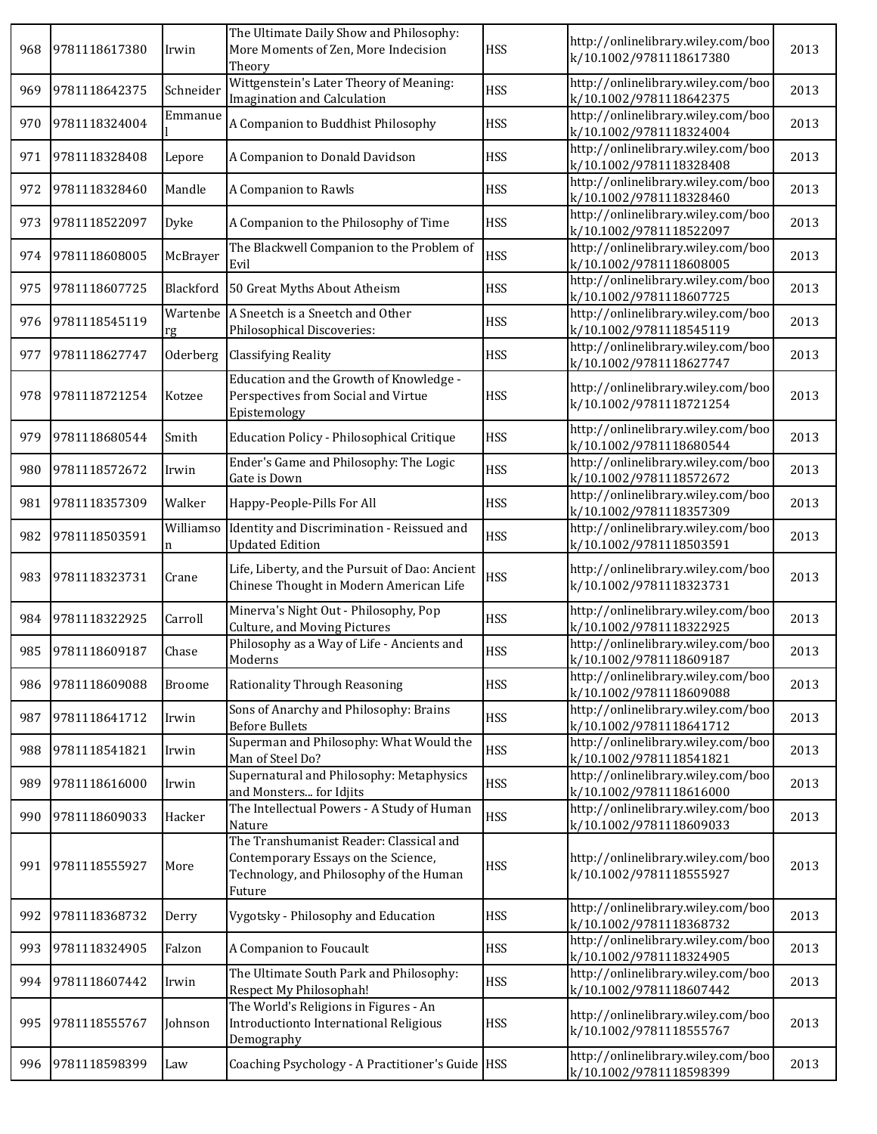| 968 | 9781118617380 | Irwin          | The Ultimate Daily Show and Philosophy:<br>More Moments of Zen, More Indecision<br>Theory                                           | <b>HSS</b> | http://onlinelibrary.wiley.com/boo<br>k/10.1002/9781118617380 | 2013 |
|-----|---------------|----------------|-------------------------------------------------------------------------------------------------------------------------------------|------------|---------------------------------------------------------------|------|
| 969 | 9781118642375 | Schneider      | Wittgenstein's Later Theory of Meaning:<br>Imagination and Calculation                                                              | <b>HSS</b> | http://onlinelibrary.wiley.com/boo<br>k/10.1002/9781118642375 | 2013 |
| 970 | 9781118324004 | Emmanue        | A Companion to Buddhist Philosophy                                                                                                  | <b>HSS</b> | http://onlinelibrary.wiley.com/boo<br>k/10.1002/9781118324004 | 2013 |
| 971 | 9781118328408 | Lepore         | A Companion to Donald Davidson                                                                                                      | <b>HSS</b> | http://onlinelibrary.wiley.com/boo<br>k/10.1002/9781118328408 | 2013 |
| 972 | 9781118328460 | Mandle         | A Companion to Rawls                                                                                                                | <b>HSS</b> | http://onlinelibrary.wiley.com/boo<br>k/10.1002/9781118328460 | 2013 |
| 973 | 9781118522097 | Dyke           | A Companion to the Philosophy of Time                                                                                               | <b>HSS</b> | http://onlinelibrary.wiley.com/boo<br>k/10.1002/9781118522097 | 2013 |
| 974 | 9781118608005 | McBrayer       | The Blackwell Companion to the Problem of<br>Evil                                                                                   | <b>HSS</b> | http://onlinelibrary.wiley.com/boo<br>k/10.1002/9781118608005 | 2013 |
| 975 | 9781118607725 | Blackford      | 50 Great Myths About Atheism                                                                                                        | <b>HSS</b> | http://onlinelibrary.wiley.com/boo<br>k/10.1002/9781118607725 | 2013 |
| 976 | 9781118545119 | Wartenbe<br>rg | A Sneetch is a Sneetch and Other<br>Philosophical Discoveries:                                                                      | <b>HSS</b> | http://onlinelibrary.wiley.com/boo<br>k/10.1002/9781118545119 | 2013 |
| 977 | 9781118627747 | Oderberg       | <b>Classifying Reality</b>                                                                                                          | <b>HSS</b> | http://onlinelibrary.wiley.com/boo<br>k/10.1002/9781118627747 | 2013 |
| 978 | 9781118721254 | Kotzee         | Education and the Growth of Knowledge -<br>Perspectives from Social and Virtue<br>Epistemology                                      | <b>HSS</b> | http://onlinelibrary.wiley.com/boo<br>k/10.1002/9781118721254 | 2013 |
| 979 | 9781118680544 | Smith          | Education Policy - Philosophical Critique                                                                                           | <b>HSS</b> | http://onlinelibrary.wiley.com/boo<br>k/10.1002/9781118680544 | 2013 |
| 980 | 9781118572672 | Irwin          | Ender's Game and Philosophy: The Logic<br>Gate is Down                                                                              | <b>HSS</b> | http://onlinelibrary.wiley.com/boo<br>k/10.1002/9781118572672 | 2013 |
| 981 | 9781118357309 | Walker         | Happy-People-Pills For All                                                                                                          | <b>HSS</b> | http://onlinelibrary.wiley.com/boo<br>k/10.1002/9781118357309 | 2013 |
| 982 | 9781118503591 | Williamso<br>n | Identity and Discrimination - Reissued and<br><b>Updated Edition</b>                                                                | <b>HSS</b> | http://onlinelibrary.wiley.com/boo<br>k/10.1002/9781118503591 | 2013 |
| 983 | 9781118323731 | Crane          | Life, Liberty, and the Pursuit of Dao: Ancient<br>Chinese Thought in Modern American Life                                           | <b>HSS</b> | http://onlinelibrary.wiley.com/boo<br>k/10.1002/9781118323731 | 2013 |
| 984 | 9781118322925 | Carroll        | Minerva's Night Out - Philosophy, Pop<br>Culture, and Moving Pictures                                                               | <b>HSS</b> | http://onlinelibrary.wiley.com/boo<br>k/10.1002/9781118322925 | 2013 |
| 985 | 9781118609187 | Chase          | Philosophy as a Way of Life - Ancients and<br>Moderns                                                                               | <b>HSS</b> | http://onlinelibrary.wiley.com/boo<br>k/10.1002/9781118609187 | 2013 |
| 986 | 9781118609088 | <b>Broome</b>  | Rationality Through Reasoning                                                                                                       | <b>HSS</b> | http://onlinelibrary.wiley.com/boo<br>k/10.1002/9781118609088 | 2013 |
| 987 | 9781118641712 | Irwin          | Sons of Anarchy and Philosophy: Brains<br><b>Before Bullets</b>                                                                     | <b>HSS</b> | http://onlinelibrary.wiley.com/boo<br>k/10.1002/9781118641712 | 2013 |
| 988 | 9781118541821 | Irwin          | Superman and Philosophy: What Would the<br>Man of Steel Do?                                                                         | <b>HSS</b> | http://onlinelibrary.wiley.com/boo<br>k/10.1002/9781118541821 | 2013 |
| 989 | 9781118616000 | Irwin          | Supernatural and Philosophy: Metaphysics<br>and Monsters for Idjits                                                                 | <b>HSS</b> | http://onlinelibrary.wiley.com/boo<br>k/10.1002/9781118616000 | 2013 |
| 990 | 9781118609033 | Hacker         | The Intellectual Powers - A Study of Human<br>Nature                                                                                | <b>HSS</b> | http://onlinelibrary.wiley.com/boo<br>k/10.1002/9781118609033 | 2013 |
| 991 | 9781118555927 | More           | The Transhumanist Reader: Classical and<br>Contemporary Essays on the Science,<br>Technology, and Philosophy of the Human<br>Future | <b>HSS</b> | http://onlinelibrary.wiley.com/boo<br>k/10.1002/9781118555927 | 2013 |
| 992 | 9781118368732 | Derry          | Vygotsky - Philosophy and Education                                                                                                 | <b>HSS</b> | http://onlinelibrary.wiley.com/boo<br>k/10.1002/9781118368732 | 2013 |
| 993 | 9781118324905 | Falzon         | A Companion to Foucault                                                                                                             | <b>HSS</b> | http://onlinelibrary.wiley.com/boo<br>k/10.1002/9781118324905 | 2013 |
| 994 | 9781118607442 | Irwin          | The Ultimate South Park and Philosophy:<br>Respect My Philosophah!                                                                  | <b>HSS</b> | http://onlinelibrary.wiley.com/boo<br>k/10.1002/9781118607442 | 2013 |
| 995 | 9781118555767 | Johnson        | The World's Religions in Figures - An<br>Introductionto International Religious<br>Demography                                       | <b>HSS</b> | http://onlinelibrary.wiley.com/boo<br>k/10.1002/9781118555767 | 2013 |
| 996 | 9781118598399 | Law            | Coaching Psychology - A Practitioner's Guide HSS                                                                                    |            | http://onlinelibrary.wiley.com/boo<br>k/10.1002/9781118598399 | 2013 |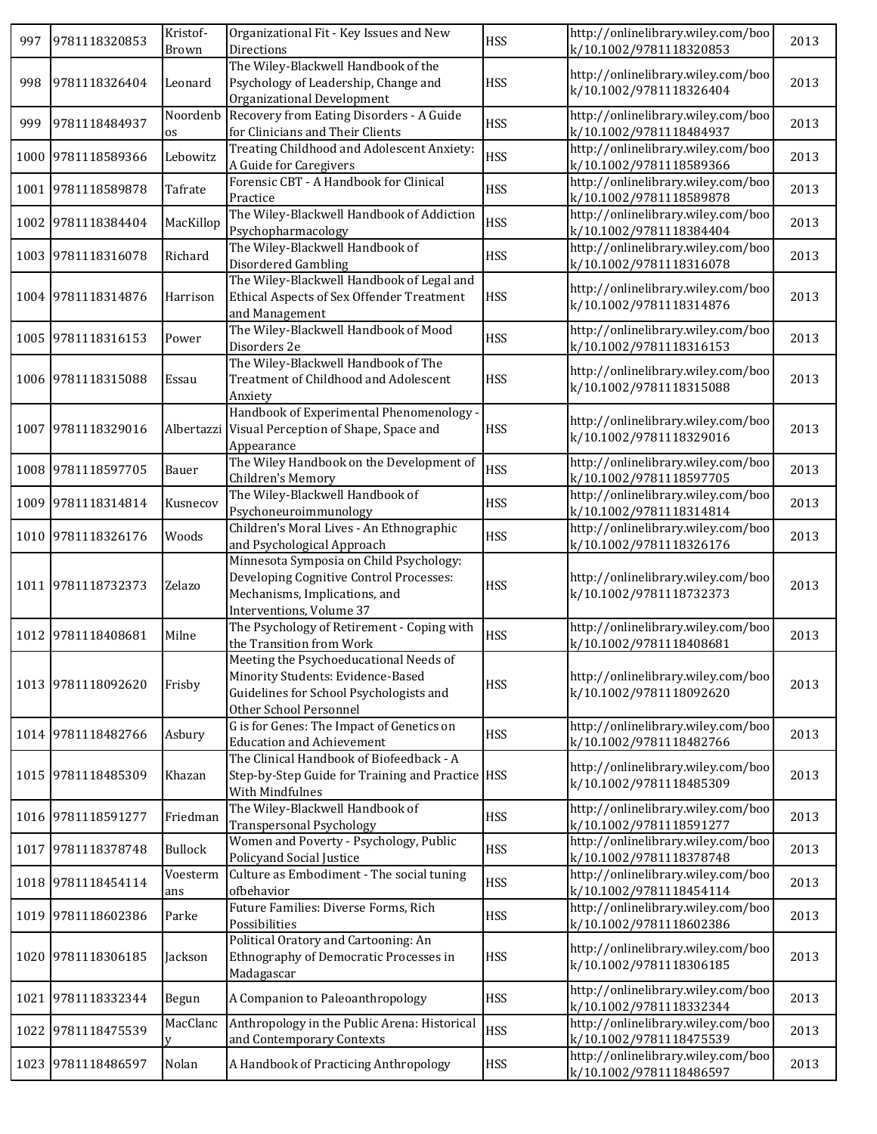| 997 | 9781118320853      | Kristof-<br><b>Brown</b> | Organizational Fit - Key Issues and New<br>Directions                                                                                            | <b>HSS</b> | http://onlinelibrary.wiley.com/boo<br>k/10.1002/9781118320853 | 2013 |
|-----|--------------------|--------------------------|--------------------------------------------------------------------------------------------------------------------------------------------------|------------|---------------------------------------------------------------|------|
| 998 | 9781118326404      | Leonard                  | The Wiley-Blackwell Handbook of the<br>Psychology of Leadership, Change and<br>Organizational Development                                        | <b>HSS</b> | http://onlinelibrary.wiley.com/boo<br>k/10.1002/9781118326404 | 2013 |
| 999 | 9781118484937      | Noordenb<br>os           | Recovery from Eating Disorders - A Guide<br>for Clinicians and Their Clients                                                                     | <b>HSS</b> | http://onlinelibrary.wiley.com/boo<br>k/10.1002/9781118484937 | 2013 |
|     | 1000 9781118589366 | Lebowitz                 | Treating Childhood and Adolescent Anxiety:<br>A Guide for Caregivers                                                                             | <b>HSS</b> | http://onlinelibrary.wiley.com/boo<br>k/10.1002/9781118589366 | 2013 |
|     | 1001 9781118589878 | Tafrate                  | Forensic CBT - A Handbook for Clinical<br>Practice                                                                                               | <b>HSS</b> | http://onlinelibrary.wiley.com/boo<br>k/10.1002/9781118589878 | 2013 |
|     | 1002 9781118384404 | MacKillop                | The Wiley-Blackwell Handbook of Addiction<br>Psychopharmacology                                                                                  | <b>HSS</b> | http://onlinelibrary.wiley.com/boo<br>k/10.1002/9781118384404 | 2013 |
|     | 1003 9781118316078 | Richard                  | The Wiley-Blackwell Handbook of<br>Disordered Gambling                                                                                           | <b>HSS</b> | http://onlinelibrary.wiley.com/boo<br>k/10.1002/9781118316078 | 2013 |
|     | 1004 9781118314876 | Harrison                 | The Wiley-Blackwell Handbook of Legal and<br>Ethical Aspects of Sex Offender Treatment<br>and Management                                         | <b>HSS</b> | http://onlinelibrary.wiley.com/boo<br>k/10.1002/9781118314876 | 2013 |
|     | 1005 9781118316153 | Power                    | The Wiley-Blackwell Handbook of Mood<br>Disorders 2e                                                                                             | <b>HSS</b> | http://onlinelibrary.wiley.com/boo<br>k/10.1002/9781118316153 | 2013 |
|     | 1006 9781118315088 | Essau                    | The Wiley-Blackwell Handbook of The<br>Treatment of Childhood and Adolescent<br>Anxiety                                                          | <b>HSS</b> | http://onlinelibrary.wiley.com/boo<br>k/10.1002/9781118315088 | 2013 |
|     | 1007 9781118329016 |                          | Handbook of Experimental Phenomenology -<br>Albertazzi Visual Perception of Shape, Space and<br>Appearance                                       | <b>HSS</b> | http://onlinelibrary.wiley.com/boo<br>k/10.1002/9781118329016 | 2013 |
|     | 1008 9781118597705 | Bauer                    | The Wiley Handbook on the Development of<br>Children's Memory                                                                                    | <b>HSS</b> | http://onlinelibrary.wiley.com/boo<br>k/10.1002/9781118597705 | 2013 |
|     | 1009 9781118314814 | Kusnecov                 | The Wiley-Blackwell Handbook of<br>Psychoneuroimmunology                                                                                         | <b>HSS</b> | http://onlinelibrary.wiley.com/boo<br>k/10.1002/9781118314814 | 2013 |
|     | 1010 9781118326176 | Woods                    | Children's Moral Lives - An Ethnographic<br>and Psychological Approach                                                                           | <b>HSS</b> | http://onlinelibrary.wiley.com/boo<br>k/10.1002/9781118326176 | 2013 |
|     | 1011 9781118732373 | Zelazo                   | Minnesota Symposia on Child Psychology:<br>Developing Cognitive Control Processes:<br>Mechanisms, Implications, and<br>Interventions, Volume 37  | <b>HSS</b> | http://onlinelibrary.wiley.com/boo<br>k/10.1002/9781118732373 | 2013 |
|     | 1012 9781118408681 | Milne                    | The Psychology of Retirement - Coping with<br>the Transition from Work                                                                           | <b>HSS</b> | http://onlinelibrary.wiley.com/boo<br>k/10.1002/9781118408681 | 2013 |
|     | 1013 9781118092620 | Frisby                   | Meeting the Psychoeducational Needs of<br>Minority Students: Evidence-Based<br>Guidelines for School Psychologists and<br>Other School Personnel | <b>HSS</b> | http://onlinelibrary.wiley.com/boo<br>k/10.1002/9781118092620 | 2013 |
|     | 1014 9781118482766 | Asbury                   | G is for Genes: The Impact of Genetics on<br><b>Education and Achievement</b>                                                                    | <b>HSS</b> | http://onlinelibrary.wiley.com/boo<br>k/10.1002/9781118482766 | 2013 |
|     | 1015 9781118485309 | Khazan                   | The Clinical Handbook of Biofeedback - A<br>Step-by-Step Guide for Training and Practice HSS<br>With Mindfulnes                                  |            | http://onlinelibrary.wiley.com/boo<br>k/10.1002/9781118485309 | 2013 |
|     | 1016 9781118591277 | Friedman                 | The Wiley-Blackwell Handbook of<br><b>Transpersonal Psychology</b>                                                                               | <b>HSS</b> | http://onlinelibrary.wiley.com/boo<br>k/10.1002/9781118591277 | 2013 |
|     | 1017 9781118378748 | Bullock                  | Women and Poverty - Psychology, Public<br>Policyand Social Justice                                                                               | <b>HSS</b> | http://onlinelibrary.wiley.com/boo<br>k/10.1002/9781118378748 | 2013 |
|     | 1018 9781118454114 | Voesterm<br>ans          | Culture as Embodiment - The social tuning<br>ofbehavior                                                                                          | <b>HSS</b> | http://onlinelibrary.wiley.com/boo<br>k/10.1002/9781118454114 | 2013 |
|     | 1019 9781118602386 | Parke                    | Future Families: Diverse Forms, Rich<br>Possibilities                                                                                            | <b>HSS</b> | http://onlinelibrary.wiley.com/boo<br>k/10.1002/9781118602386 | 2013 |
|     | 1020 9781118306185 | Jackson                  | Political Oratory and Cartooning: An<br>Ethnography of Democratic Processes in<br>Madagascar                                                     | <b>HSS</b> | http://onlinelibrary.wiley.com/boo<br>k/10.1002/9781118306185 | 2013 |
|     | 1021 9781118332344 | Begun                    | A Companion to Paleoanthropology                                                                                                                 | <b>HSS</b> | http://onlinelibrary.wiley.com/boo<br>k/10.1002/9781118332344 | 2013 |
|     | 1022 9781118475539 | MacClanc                 | Anthropology in the Public Arena: Historical<br>and Contemporary Contexts                                                                        | <b>HSS</b> | http://onlinelibrary.wiley.com/boo<br>k/10.1002/9781118475539 | 2013 |
|     | 1023 9781118486597 | Nolan                    | A Handbook of Practicing Anthropology                                                                                                            | <b>HSS</b> | http://onlinelibrary.wiley.com/boo<br>k/10.1002/9781118486597 | 2013 |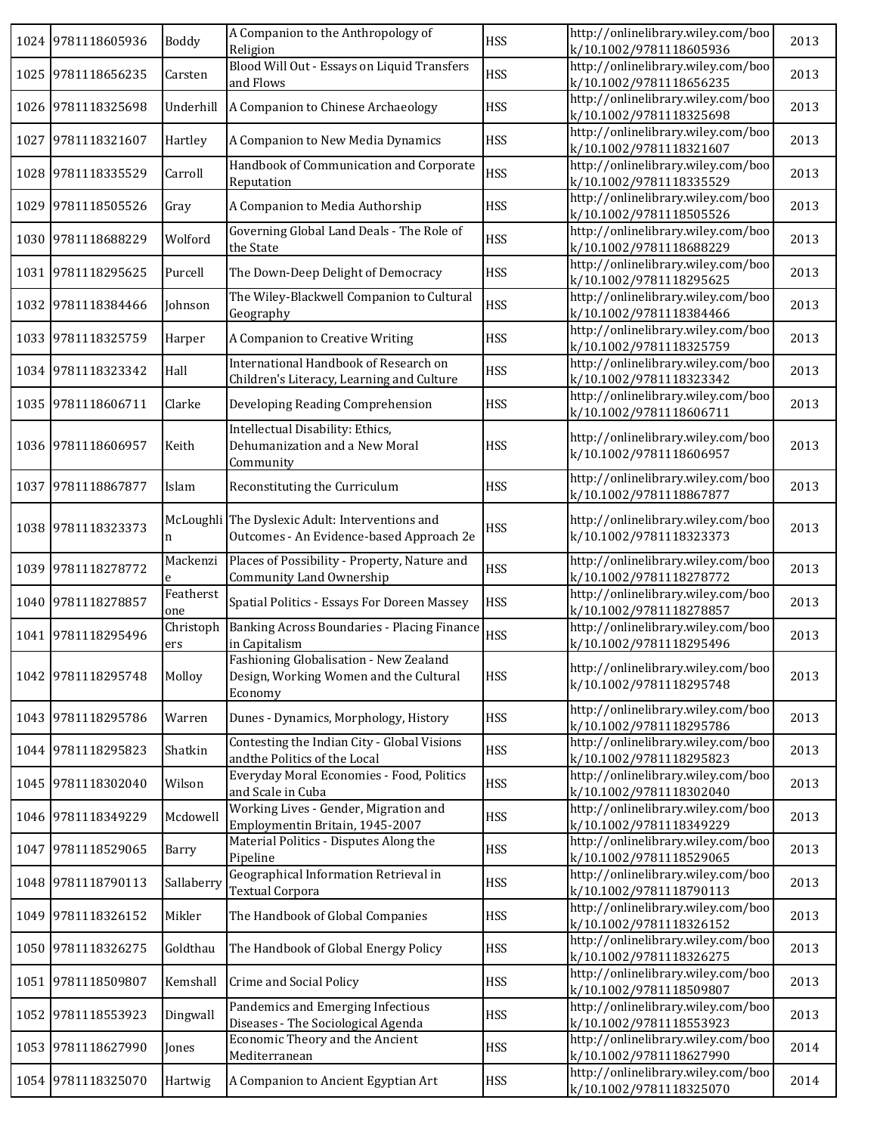|      | 1024 9781118605936 | <b>Boddy</b>     | A Companion to the Anthropology of<br>Religion                                              | <b>HSS</b> | http://onlinelibrary.wiley.com/boo<br>k/10.1002/9781118605936 | 2013 |
|------|--------------------|------------------|---------------------------------------------------------------------------------------------|------------|---------------------------------------------------------------|------|
|      | 1025 9781118656235 | Carsten          | Blood Will Out - Essays on Liquid Transfers<br>and Flows                                    | <b>HSS</b> | http://onlinelibrary.wiley.com/boo<br>k/10.1002/9781118656235 | 2013 |
|      | 1026 9781118325698 | Underhill        | A Companion to Chinese Archaeology                                                          | <b>HSS</b> | http://onlinelibrary.wiley.com/boo<br>k/10.1002/9781118325698 | 2013 |
| 1027 | 9781118321607      | Hartley          | A Companion to New Media Dynamics                                                           | <b>HSS</b> | http://onlinelibrary.wiley.com/boo<br>k/10.1002/9781118321607 | 2013 |
|      | 1028 9781118335529 | Carroll          | Handbook of Communication and Corporate<br>Reputation                                       | <b>HSS</b> | http://onlinelibrary.wiley.com/boo<br>k/10.1002/9781118335529 | 2013 |
|      | 1029 9781118505526 | Gray             | A Companion to Media Authorship                                                             | <b>HSS</b> | http://onlinelibrary.wiley.com/boo<br>k/10.1002/9781118505526 | 2013 |
|      | 1030 9781118688229 | Wolford          | Governing Global Land Deals - The Role of<br>the State                                      | <b>HSS</b> | http://onlinelibrary.wiley.com/boo<br>k/10.1002/9781118688229 | 2013 |
|      | 1031 9781118295625 | Purcell          | The Down-Deep Delight of Democracy                                                          | <b>HSS</b> | http://onlinelibrary.wiley.com/boo<br>k/10.1002/9781118295625 | 2013 |
|      | 1032 9781118384466 | Johnson          | The Wiley-Blackwell Companion to Cultural<br>Geography                                      | <b>HSS</b> | http://onlinelibrary.wiley.com/boo<br>k/10.1002/9781118384466 | 2013 |
|      | 1033 9781118325759 | Harper           | A Companion to Creative Writing                                                             | <b>HSS</b> | http://onlinelibrary.wiley.com/boo<br>k/10.1002/9781118325759 | 2013 |
|      | 1034 9781118323342 | Hall             | International Handbook of Research on<br>Children's Literacy, Learning and Culture          | <b>HSS</b> | http://onlinelibrary.wiley.com/boo<br>k/10.1002/9781118323342 | 2013 |
|      | 1035 9781118606711 | Clarke           | Developing Reading Comprehension                                                            | <b>HSS</b> | http://onlinelibrary.wiley.com/boo<br>k/10.1002/9781118606711 | 2013 |
|      | 1036 9781118606957 | Keith            | Intellectual Disability: Ethics,<br>Dehumanization and a New Moral<br>Community             | <b>HSS</b> | http://onlinelibrary.wiley.com/boo<br>k/10.1002/9781118606957 | 2013 |
|      | 1037 9781118867877 | Islam            | Reconstituting the Curriculum                                                               | <b>HSS</b> | http://onlinelibrary.wiley.com/boo<br>k/10.1002/9781118867877 | 2013 |
|      | 1038 9781118323373 | n                | McLoughli The Dyslexic Adult: Interventions and<br>Outcomes - An Evidence-based Approach 2e | <b>HSS</b> | http://onlinelibrary.wiley.com/boo<br>k/10.1002/9781118323373 | 2013 |
|      | 1039 9781118278772 | Mackenzi<br>e    | Places of Possibility - Property, Nature and<br>Community Land Ownership                    | <b>HSS</b> | http://onlinelibrary.wiley.com/boo<br>k/10.1002/9781118278772 | 2013 |
|      | 1040 9781118278857 | Featherst<br>one | Spatial Politics - Essays For Doreen Massey                                                 | <b>HSS</b> | http://onlinelibrary.wiley.com/boo<br>k/10.1002/9781118278857 | 2013 |
|      | 1041 9781118295496 | Christoph<br>ers | Banking Across Boundaries - Placing Finance<br>in Capitalism                                | <b>HSS</b> | http://onlinelibrary.wiley.com/boo<br>k/10.1002/9781118295496 | 2013 |
|      | 1042 9781118295748 | Molloy           | Fashioning Globalisation - New Zealand<br>Design, Working Women and the Cultural<br>Economy | <b>HSS</b> | http://onlinelibrary.wiley.com/boo<br>k/10.1002/9781118295748 | 2013 |
|      | 1043 9781118295786 | Warren           | Dunes - Dynamics, Morphology, History                                                       | <b>HSS</b> | http://onlinelibrary.wiley.com/boo<br>k/10.1002/9781118295786 | 2013 |
|      | 1044 9781118295823 | Shatkin          | Contesting the Indian City - Global Visions<br>andthe Politics of the Local                 | <b>HSS</b> | http://onlinelibrary.wiley.com/boo<br>k/10.1002/9781118295823 | 2013 |
|      | 1045 9781118302040 | Wilson           | Everyday Moral Economies - Food, Politics<br>and Scale in Cuba                              | <b>HSS</b> | http://onlinelibrary.wiley.com/boo<br>k/10.1002/9781118302040 | 2013 |
|      | 1046 9781118349229 | Mcdowell         | Working Lives - Gender, Migration and<br>Employmentin Britain, 1945-2007                    | <b>HSS</b> | http://onlinelibrary.wiley.com/boo<br>k/10.1002/9781118349229 | 2013 |
|      | 1047 9781118529065 | Barry            | Material Politics - Disputes Along the<br>Pipeline                                          | <b>HSS</b> | http://onlinelibrary.wiley.com/boo<br>k/10.1002/9781118529065 | 2013 |
|      | 1048 9781118790113 | Sallaberry       | Geographical Information Retrieval in<br><b>Textual Corpora</b>                             | <b>HSS</b> | http://onlinelibrary.wiley.com/boo<br>k/10.1002/9781118790113 | 2013 |
|      | 1049 9781118326152 | Mikler           | The Handbook of Global Companies                                                            | <b>HSS</b> | http://onlinelibrary.wiley.com/boo<br>k/10.1002/9781118326152 | 2013 |
|      | 1050 9781118326275 | Goldthau         | The Handbook of Global Energy Policy                                                        | <b>HSS</b> | http://onlinelibrary.wiley.com/boo<br>k/10.1002/9781118326275 | 2013 |
| 1051 | 9781118509807      | Kemshall         | Crime and Social Policy                                                                     | <b>HSS</b> | http://onlinelibrary.wiley.com/boo<br>k/10.1002/9781118509807 | 2013 |
| 1052 | 9781118553923      | Dingwall         | Pandemics and Emerging Infectious<br>Diseases - The Sociological Agenda                     | <b>HSS</b> | http://onlinelibrary.wiley.com/boo<br>k/10.1002/9781118553923 | 2013 |
|      | 1053 9781118627990 | Jones            | Economic Theory and the Ancient<br>Mediterranean                                            | <b>HSS</b> | http://onlinelibrary.wiley.com/boo<br>k/10.1002/9781118627990 | 2014 |
|      | 1054 9781118325070 | Hartwig          | A Companion to Ancient Egyptian Art                                                         | <b>HSS</b> | http://onlinelibrary.wiley.com/boo<br>k/10.1002/9781118325070 | 2014 |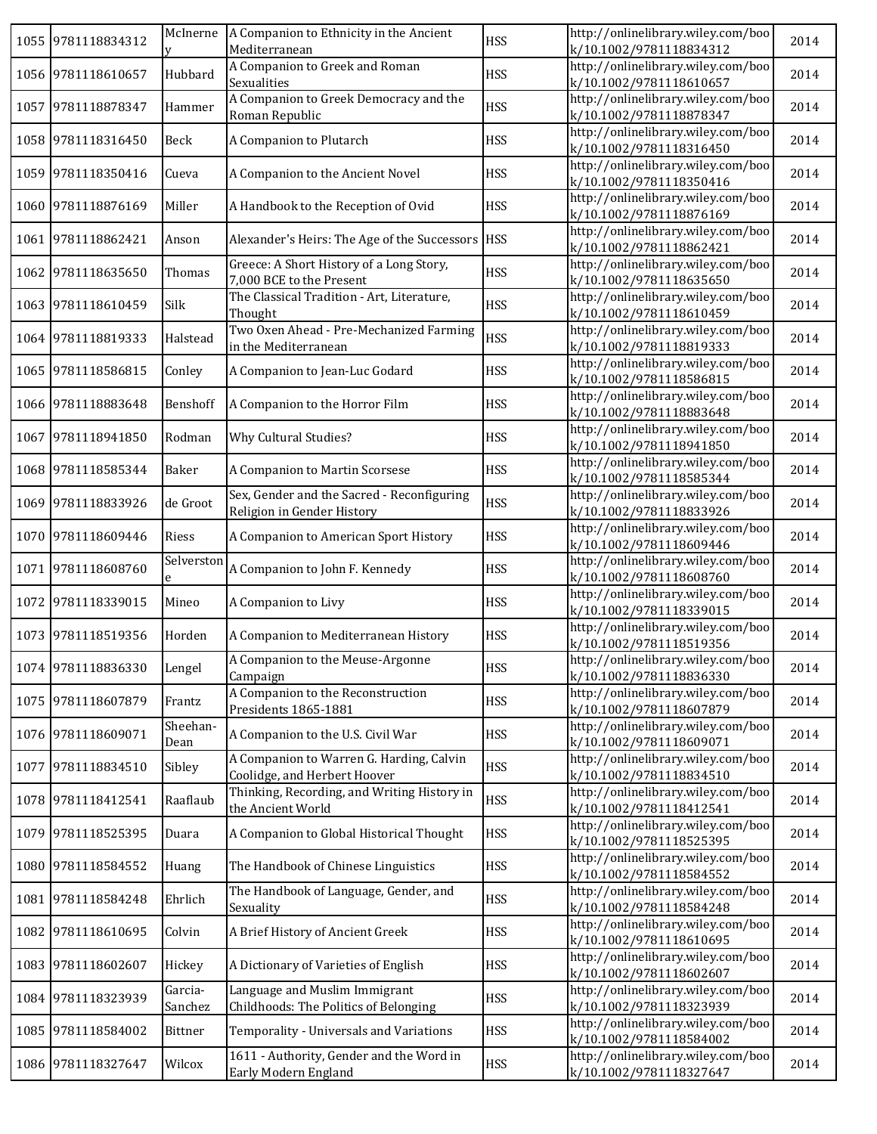|      | 1055 9781118834312 |                    | McInerne   A Companion to Ethnicity in the Ancient<br>Mediterranean      | <b>HSS</b> | http://onlinelibrary.wiley.com/boo<br>k/10.1002/9781118834312 | 2014 |
|------|--------------------|--------------------|--------------------------------------------------------------------------|------------|---------------------------------------------------------------|------|
|      | 1056 9781118610657 | Hubbard            | A Companion to Greek and Roman<br>Sexualities                            | <b>HSS</b> | http://onlinelibrary.wiley.com/boo<br>k/10.1002/9781118610657 | 2014 |
|      | 1057 9781118878347 | Hammer             | A Companion to Greek Democracy and the<br>Roman Republic                 | <b>HSS</b> | http://onlinelibrary.wiley.com/boo<br>k/10.1002/9781118878347 | 2014 |
|      | 1058 9781118316450 | Beck               | A Companion to Plutarch                                                  | <b>HSS</b> | http://onlinelibrary.wiley.com/boo<br>k/10.1002/9781118316450 | 2014 |
|      | 1059 9781118350416 | Cueva              | A Companion to the Ancient Novel                                         | <b>HSS</b> | http://onlinelibrary.wiley.com/boo<br>k/10.1002/9781118350416 | 2014 |
|      | 1060 9781118876169 | Miller             | A Handbook to the Reception of Ovid                                      | <b>HSS</b> | http://onlinelibrary.wiley.com/boo<br>k/10.1002/9781118876169 | 2014 |
|      | 1061 9781118862421 | Anson              | Alexander's Heirs: The Age of the Successors   HSS                       |            | http://onlinelibrary.wiley.com/boo<br>k/10.1002/9781118862421 | 2014 |
|      | 1062 9781118635650 | Thomas             | Greece: A Short History of a Long Story,<br>7,000 BCE to the Present     | <b>HSS</b> | http://onlinelibrary.wiley.com/boo<br>k/10.1002/9781118635650 | 2014 |
|      | 1063 9781118610459 | Silk               | The Classical Tradition - Art, Literature,<br>Thought                    | <b>HSS</b> | http://onlinelibrary.wiley.com/boo<br>k/10.1002/9781118610459 | 2014 |
|      | 1064 9781118819333 | Halstead           | Two Oxen Ahead - Pre-Mechanized Farming<br>in the Mediterranean          | <b>HSS</b> | http://onlinelibrary.wiley.com/boo<br>k/10.1002/9781118819333 | 2014 |
|      | 1065 9781118586815 | Conley             | A Companion to Jean-Luc Godard                                           | <b>HSS</b> | http://onlinelibrary.wiley.com/boo<br>k/10.1002/9781118586815 | 2014 |
|      | 1066 9781118883648 | Benshoff           | A Companion to the Horror Film                                           | <b>HSS</b> | http://onlinelibrary.wiley.com/boo<br>k/10.1002/9781118883648 | 2014 |
|      | 1067 9781118941850 | Rodman             | Why Cultural Studies?                                                    | <b>HSS</b> | http://onlinelibrary.wiley.com/boo<br>k/10.1002/9781118941850 | 2014 |
|      | 1068 9781118585344 | Baker              | A Companion to Martin Scorsese                                           | <b>HSS</b> | http://onlinelibrary.wiley.com/boo<br>k/10.1002/9781118585344 | 2014 |
|      | 1069 9781118833926 | de Groot           | Sex, Gender and the Sacred - Reconfiguring<br>Religion in Gender History | <b>HSS</b> | http://onlinelibrary.wiley.com/boo<br>k/10.1002/9781118833926 | 2014 |
|      | 1070 9781118609446 | Riess              | A Companion to American Sport History                                    | <b>HSS</b> | http://onlinelibrary.wiley.com/boo<br>k/10.1002/9781118609446 | 2014 |
|      | 1071 9781118608760 | Selverston<br>e    | A Companion to John F. Kennedy                                           | <b>HSS</b> | http://onlinelibrary.wiley.com/boo<br>k/10.1002/9781118608760 | 2014 |
|      | 1072 9781118339015 | Mineo              | A Companion to Livy                                                      | <b>HSS</b> | http://onlinelibrary.wiley.com/boo<br>k/10.1002/9781118339015 | 2014 |
|      | 1073 9781118519356 | Horden             | A Companion to Mediterranean History                                     | <b>HSS</b> | http://onlinelibrary.wiley.com/boo<br>k/10.1002/9781118519356 | 2014 |
|      | 1074 9781118836330 | Lengel             | A Companion to the Meuse-Argonne<br>Campaign                             | <b>HSS</b> | http://onlinelibrary.wiley.com/boo<br>k/10.1002/9781118836330 | 2014 |
|      | 1075 9781118607879 | Frantz             | A Companion to the Reconstruction<br>Presidents 1865-1881                | <b>HSS</b> | http://onlinelibrary.wiley.com/boo<br>k/10.1002/9781118607879 | 2014 |
|      | 1076 9781118609071 | Sheehan-<br>Dean   | A Companion to the U.S. Civil War                                        | <b>HSS</b> | http://onlinelibrary.wiley.com/boo<br>k/10.1002/9781118609071 | 2014 |
|      | 1077 9781118834510 | Sibley             | A Companion to Warren G. Harding, Calvin<br>Coolidge, and Herbert Hoover | <b>HSS</b> | http://onlinelibrary.wiley.com/boo<br>k/10.1002/9781118834510 | 2014 |
|      | 1078 9781118412541 | Raaflaub           | Thinking, Recording, and Writing History in<br>the Ancient World         | <b>HSS</b> | http://onlinelibrary.wiley.com/boo<br>k/10.1002/9781118412541 | 2014 |
|      | 1079 9781118525395 | Duara              | A Companion to Global Historical Thought                                 | <b>HSS</b> | http://onlinelibrary.wiley.com/boo<br>k/10.1002/9781118525395 | 2014 |
|      | 1080 9781118584552 | Huang              | The Handbook of Chinese Linguistics                                      | <b>HSS</b> | http://onlinelibrary.wiley.com/boo<br>k/10.1002/9781118584552 | 2014 |
|      | 1081 9781118584248 | Ehrlich            | The Handbook of Language, Gender, and<br>Sexuality                       | <b>HSS</b> | http://onlinelibrary.wiley.com/boo<br>k/10.1002/9781118584248 | 2014 |
| 1082 | 9781118610695      | Colvin             | A Brief History of Ancient Greek                                         | <b>HSS</b> | http://onlinelibrary.wiley.com/boo<br>k/10.1002/9781118610695 | 2014 |
| 1083 | 9781118602607      | Hickey             | A Dictionary of Varieties of English                                     | <b>HSS</b> | http://onlinelibrary.wiley.com/boo<br>k/10.1002/9781118602607 | 2014 |
|      | 1084 9781118323939 | Garcia-<br>Sanchez | Language and Muslim Immigrant<br>Childhoods: The Politics of Belonging   | <b>HSS</b> | http://onlinelibrary.wiley.com/boo<br>k/10.1002/9781118323939 | 2014 |
|      | 1085 9781118584002 | <b>Bittner</b>     | Temporality - Universals and Variations                                  | <b>HSS</b> | http://onlinelibrary.wiley.com/boo<br>k/10.1002/9781118584002 | 2014 |
|      | 1086 9781118327647 | Wilcox             | 1611 - Authority, Gender and the Word in<br>Early Modern England         | <b>HSS</b> | http://onlinelibrary.wiley.com/boo<br>k/10.1002/9781118327647 | 2014 |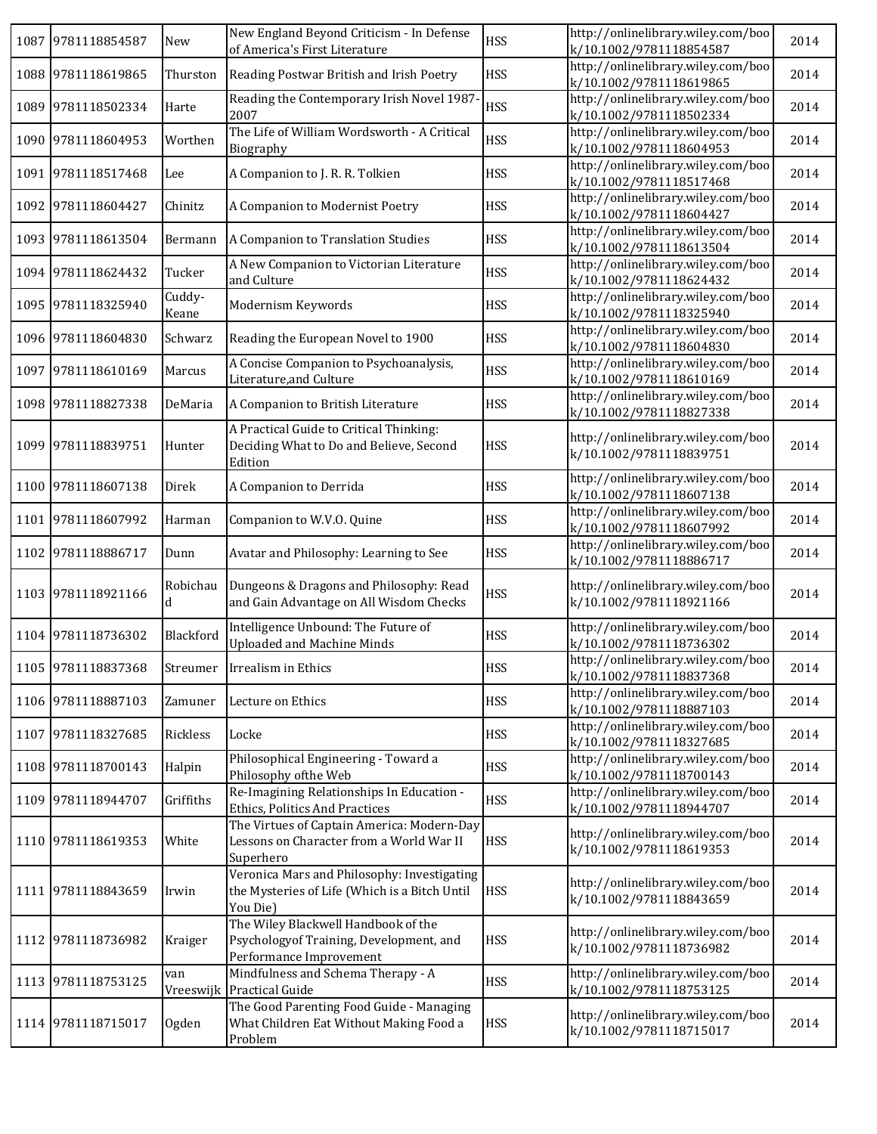| 1087 9781118854587 | New             | New England Beyond Criticism - In Defense<br>of America's First Literature                                | <b>HSS</b> | http://onlinelibrary.wiley.com/boo<br>k/10.1002/9781118854587 | 2014 |
|--------------------|-----------------|-----------------------------------------------------------------------------------------------------------|------------|---------------------------------------------------------------|------|
| 1088 9781118619865 | Thurston        | Reading Postwar British and Irish Poetry                                                                  | <b>HSS</b> | http://onlinelibrary.wiley.com/boo<br>k/10.1002/9781118619865 | 2014 |
| 1089 9781118502334 | Harte           | Reading the Contemporary Irish Novel 1987<br>2007                                                         | <b>HSS</b> | http://onlinelibrary.wiley.com/boo<br>k/10.1002/9781118502334 | 2014 |
| 1090 9781118604953 | Worthen         | The Life of William Wordsworth - A Critical<br>Biography                                                  | <b>HSS</b> | http://onlinelibrary.wiley.com/boo<br>k/10.1002/9781118604953 | 2014 |
| 1091 9781118517468 | Lee             | A Companion to J. R. R. Tolkien                                                                           | <b>HSS</b> | http://onlinelibrary.wiley.com/boo<br>k/10.1002/9781118517468 | 2014 |
| 1092 9781118604427 | Chinitz         | A Companion to Modernist Poetry                                                                           | <b>HSS</b> | http://onlinelibrary.wiley.com/boo<br>k/10.1002/9781118604427 | 2014 |
| 1093 9781118613504 | Bermann         | A Companion to Translation Studies                                                                        | <b>HSS</b> | http://onlinelibrary.wiley.com/boo<br>k/10.1002/9781118613504 | 2014 |
| 1094 9781118624432 | Tucker          | A New Companion to Victorian Literature<br>and Culture                                                    | <b>HSS</b> | http://onlinelibrary.wiley.com/boo<br>k/10.1002/9781118624432 | 2014 |
| 1095 9781118325940 | Cuddy-<br>Keane | Modernism Keywords                                                                                        | <b>HSS</b> | http://onlinelibrary.wiley.com/boo<br>k/10.1002/9781118325940 | 2014 |
| 1096 9781118604830 | Schwarz         | Reading the European Novel to 1900                                                                        | <b>HSS</b> | http://onlinelibrary.wiley.com/boo<br>k/10.1002/9781118604830 | 2014 |
| 1097 9781118610169 | Marcus          | A Concise Companion to Psychoanalysis,<br>Literature, and Culture                                         | <b>HSS</b> | http://onlinelibrary.wiley.com/boo<br>k/10.1002/9781118610169 | 2014 |
| 1098 9781118827338 | DeMaria         | A Companion to British Literature                                                                         | <b>HSS</b> | http://onlinelibrary.wiley.com/boo<br>k/10.1002/9781118827338 | 2014 |
| 1099 9781118839751 | Hunter          | A Practical Guide to Critical Thinking:<br>Deciding What to Do and Believe, Second<br>Edition             | <b>HSS</b> | http://onlinelibrary.wiley.com/boo<br>k/10.1002/9781118839751 | 2014 |
| 1100 9781118607138 | Direk           | A Companion to Derrida                                                                                    | <b>HSS</b> | http://onlinelibrary.wiley.com/boo<br>k/10.1002/9781118607138 | 2014 |
| 1101 9781118607992 | Harman          | Companion to W.V.O. Quine                                                                                 | <b>HSS</b> | http://onlinelibrary.wiley.com/boo<br>k/10.1002/9781118607992 | 2014 |
| 1102 9781118886717 | Dunn            | Avatar and Philosophy: Learning to See                                                                    | <b>HSS</b> | http://onlinelibrary.wiley.com/boo<br>k/10.1002/9781118886717 | 2014 |
| 1103 9781118921166 | Robichau<br>d   | Dungeons & Dragons and Philosophy: Read<br>and Gain Advantage on All Wisdom Checks                        | <b>HSS</b> | http://onlinelibrary.wiley.com/boo<br>k/10.1002/9781118921166 | 2014 |
| 1104 9781118736302 | Blackford       | Intelligence Unbound: The Future of<br><b>Uploaded and Machine Minds</b>                                  | <b>HSS</b> | http://onlinelibrary.wiley.com/boo<br>k/10.1002/9781118736302 | 2014 |
| 1105 9781118837368 |                 | Streumer Irrealism in Ethics                                                                              | <b>HSS</b> | http://onlinelibrary.wiley.com/boo<br>k/10.1002/9781118837368 | 2014 |
| 1106 9781118887103 | Zamuner         | Lecture on Ethics                                                                                         | <b>HSS</b> | http://onlinelibrary.wiley.com/boo<br>k/10.1002/9781118887103 | 2014 |
| 1107 9781118327685 | Rickless        | Locke                                                                                                     | <b>HSS</b> | http://onlinelibrary.wiley.com/boo<br>k/10.1002/9781118327685 | 2014 |
| 1108 9781118700143 | Halpin          | Philosophical Engineering - Toward a<br>Philosophy of the Web                                             | <b>HSS</b> | http://onlinelibrary.wiley.com/boo<br>k/10.1002/9781118700143 | 2014 |
| 1109 9781118944707 | Griffiths       | Re-Imagining Relationships In Education -<br>Ethics, Politics And Practices                               | <b>HSS</b> | http://onlinelibrary.wiley.com/boo<br>k/10.1002/9781118944707 | 2014 |
| 1110 9781118619353 | White           | The Virtues of Captain America: Modern-Day<br>Lessons on Character from a World War II<br>Superhero       | <b>HSS</b> | http://onlinelibrary.wiley.com/boo<br>k/10.1002/9781118619353 | 2014 |
| 1111 9781118843659 | Irwin           | Veronica Mars and Philosophy: Investigating<br>the Mysteries of Life (Which is a Bitch Until<br>You Die)  | <b>HSS</b> | http://onlinelibrary.wiley.com/boo<br>k/10.1002/9781118843659 | 2014 |
| 1112 9781118736982 | Kraiger         | The Wiley Blackwell Handbook of the<br>Psychologyof Training, Development, and<br>Performance Improvement | <b>HSS</b> | http://onlinelibrary.wiley.com/boo<br>k/10.1002/9781118736982 | 2014 |
| 1113 9781118753125 | van             | Mindfulness and Schema Therapy - A<br>Vreeswijk Practical Guide                                           | <b>HSS</b> | http://onlinelibrary.wiley.com/boo<br>k/10.1002/9781118753125 | 2014 |
| 1114 9781118715017 | Ogden           | The Good Parenting Food Guide - Managing<br>What Children Eat Without Making Food a<br>Problem            | <b>HSS</b> | http://onlinelibrary.wiley.com/boo<br>k/10.1002/9781118715017 | 2014 |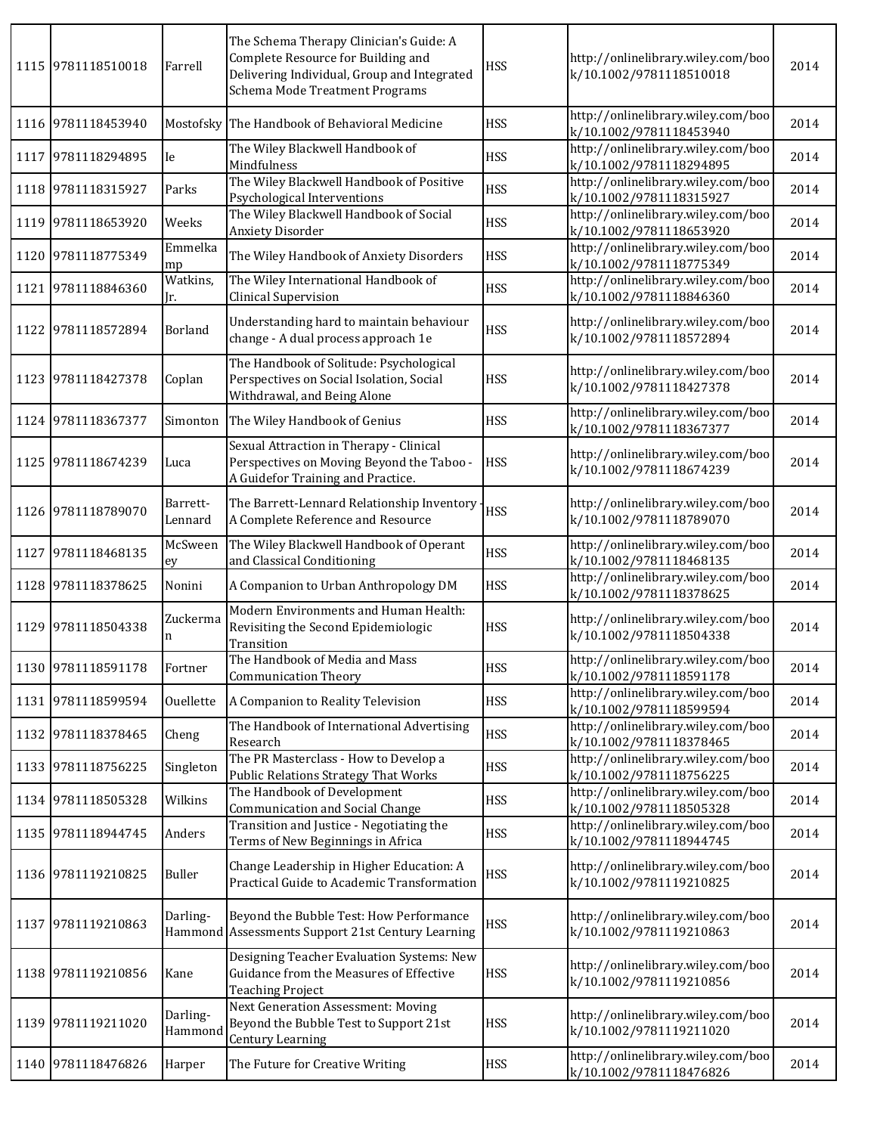| 1115 9781118510018 | Farrell             | The Schema Therapy Clinician's Guide: A<br>Complete Resource for Building and<br>Delivering Individual, Group and Integrated<br>Schema Mode Treatment Programs | <b>HSS</b> | http://onlinelibrary.wiley.com/boo<br>k/10.1002/9781118510018 | 2014 |
|--------------------|---------------------|----------------------------------------------------------------------------------------------------------------------------------------------------------------|------------|---------------------------------------------------------------|------|
| 1116 9781118453940 | Mostofsky           | The Handbook of Behavioral Medicine                                                                                                                            | <b>HSS</b> | http://onlinelibrary.wiley.com/boo<br>k/10.1002/9781118453940 | 2014 |
| 1117 9781118294895 | Ie                  | The Wiley Blackwell Handbook of<br>Mindfulness                                                                                                                 | <b>HSS</b> | http://onlinelibrary.wiley.com/boo<br>k/10.1002/9781118294895 | 2014 |
| 1118 9781118315927 | Parks               | The Wiley Blackwell Handbook of Positive<br>Psychological Interventions                                                                                        | <b>HSS</b> | http://onlinelibrary.wiley.com/boo<br>k/10.1002/9781118315927 | 2014 |
| 1119 9781118653920 | Weeks               | The Wiley Blackwell Handbook of Social<br><b>Anxiety Disorder</b>                                                                                              | <b>HSS</b> | http://onlinelibrary.wiley.com/boo<br>k/10.1002/9781118653920 | 2014 |
| 1120 9781118775349 | Emmelka<br>mp       | The Wiley Handbook of Anxiety Disorders                                                                                                                        | <b>HSS</b> | http://onlinelibrary.wiley.com/boo<br>k/10.1002/9781118775349 | 2014 |
| 1121 9781118846360 | Watkins,<br>Jr.     | The Wiley International Handbook of<br>Clinical Supervision                                                                                                    | <b>HSS</b> | http://onlinelibrary.wiley.com/boo<br>k/10.1002/9781118846360 | 2014 |
| 1122 9781118572894 | Borland             | Understanding hard to maintain behaviour<br>change - A dual process approach 1e                                                                                | <b>HSS</b> | http://onlinelibrary.wiley.com/boo<br>k/10.1002/9781118572894 | 2014 |
| 1123 9781118427378 | Coplan              | The Handbook of Solitude: Psychological<br>Perspectives on Social Isolation, Social<br>Withdrawal, and Being Alone                                             | <b>HSS</b> | http://onlinelibrary.wiley.com/boo<br>k/10.1002/9781118427378 | 2014 |
| 1124 9781118367377 | Simonton            | The Wiley Handbook of Genius                                                                                                                                   | <b>HSS</b> | http://onlinelibrary.wiley.com/boo<br>k/10.1002/9781118367377 | 2014 |
| 1125 9781118674239 | Luca                | Sexual Attraction in Therapy - Clinical<br>Perspectives on Moving Beyond the Taboo -<br>A Guidefor Training and Practice.                                      | <b>HSS</b> | http://onlinelibrary.wiley.com/boo<br>k/10.1002/9781118674239 | 2014 |
| 1126 9781118789070 | Barrett-<br>Lennard | The Barrett-Lennard Relationship Inventory<br>A Complete Reference and Resource                                                                                | <b>HSS</b> | http://onlinelibrary.wiley.com/boo<br>k/10.1002/9781118789070 | 2014 |
| 1127 9781118468135 | McSween<br>ey       | The Wiley Blackwell Handbook of Operant<br>and Classical Conditioning                                                                                          | <b>HSS</b> | http://onlinelibrary.wiley.com/boo<br>k/10.1002/9781118468135 | 2014 |
| 1128 9781118378625 | Nonini              | A Companion to Urban Anthropology DM                                                                                                                           | <b>HSS</b> | http://onlinelibrary.wiley.com/boo<br>k/10.1002/9781118378625 | 2014 |
| 1129 9781118504338 | Zuckerma<br>n       | Modern Environments and Human Health:<br>Revisiting the Second Epidemiologic<br>Transition                                                                     | <b>HSS</b> | http://onlinelibrary.wiley.com/boo<br>k/10.1002/9781118504338 | 2014 |
| 1130 9781118591178 | Fortner             | The Handbook of Media and Mass<br><b>Communication Theory</b>                                                                                                  | <b>HSS</b> | http://onlinelibrary.wiley.com/boo<br>k/10.1002/9781118591178 | 2014 |
| 1131 9781118599594 | Ouellette           | A Companion to Reality Television                                                                                                                              | <b>HSS</b> | http://onlinelibrary.wiley.com/boo<br>k/10.1002/9781118599594 | 2014 |
| 1132 9781118378465 | Cheng               | The Handbook of International Advertising<br>Research                                                                                                          | <b>HSS</b> | http://onlinelibrary.wiley.com/boo<br>k/10.1002/9781118378465 | 2014 |
| 1133 9781118756225 | Singleton           | The PR Masterclass - How to Develop a<br><b>Public Relations Strategy That Works</b>                                                                           | <b>HSS</b> | http://onlinelibrary.wiley.com/boo<br>k/10.1002/9781118756225 | 2014 |
| 1134 9781118505328 | Wilkins             | The Handbook of Development<br>Communication and Social Change                                                                                                 | <b>HSS</b> | http://onlinelibrary.wiley.com/boo<br>k/10.1002/9781118505328 | 2014 |
| 1135 9781118944745 | Anders              | Transition and Justice - Negotiating the<br>Terms of New Beginnings in Africa                                                                                  | <b>HSS</b> | http://onlinelibrary.wiley.com/boo<br>k/10.1002/9781118944745 | 2014 |
| 1136 9781119210825 | Buller              | Change Leadership in Higher Education: A<br>Practical Guide to Academic Transformation                                                                         | HSS        | http://onlinelibrary.wiley.com/boo<br>k/10.1002/9781119210825 | 2014 |
| 1137 9781119210863 | Darling-            | Beyond the Bubble Test: How Performance<br>Hammond Assessments Support 21st Century Learning                                                                   | <b>HSS</b> | http://onlinelibrary.wiley.com/boo<br>k/10.1002/9781119210863 | 2014 |
| 1138 9781119210856 | Kane                | Designing Teacher Evaluation Systems: New<br>Guidance from the Measures of Effective<br><b>Teaching Project</b>                                                | <b>HSS</b> | http://onlinelibrary.wiley.com/boo<br>k/10.1002/9781119210856 | 2014 |
| 1139 9781119211020 | Darling-<br>Hammond | Next Generation Assessment: Moving<br>Beyond the Bubble Test to Support 21st<br>Century Learning                                                               | <b>HSS</b> | http://onlinelibrary.wiley.com/boo<br>k/10.1002/9781119211020 | 2014 |
| 1140 9781118476826 | Harper              | The Future for Creative Writing                                                                                                                                | <b>HSS</b> | http://onlinelibrary.wiley.com/boo<br>k/10.1002/9781118476826 | 2014 |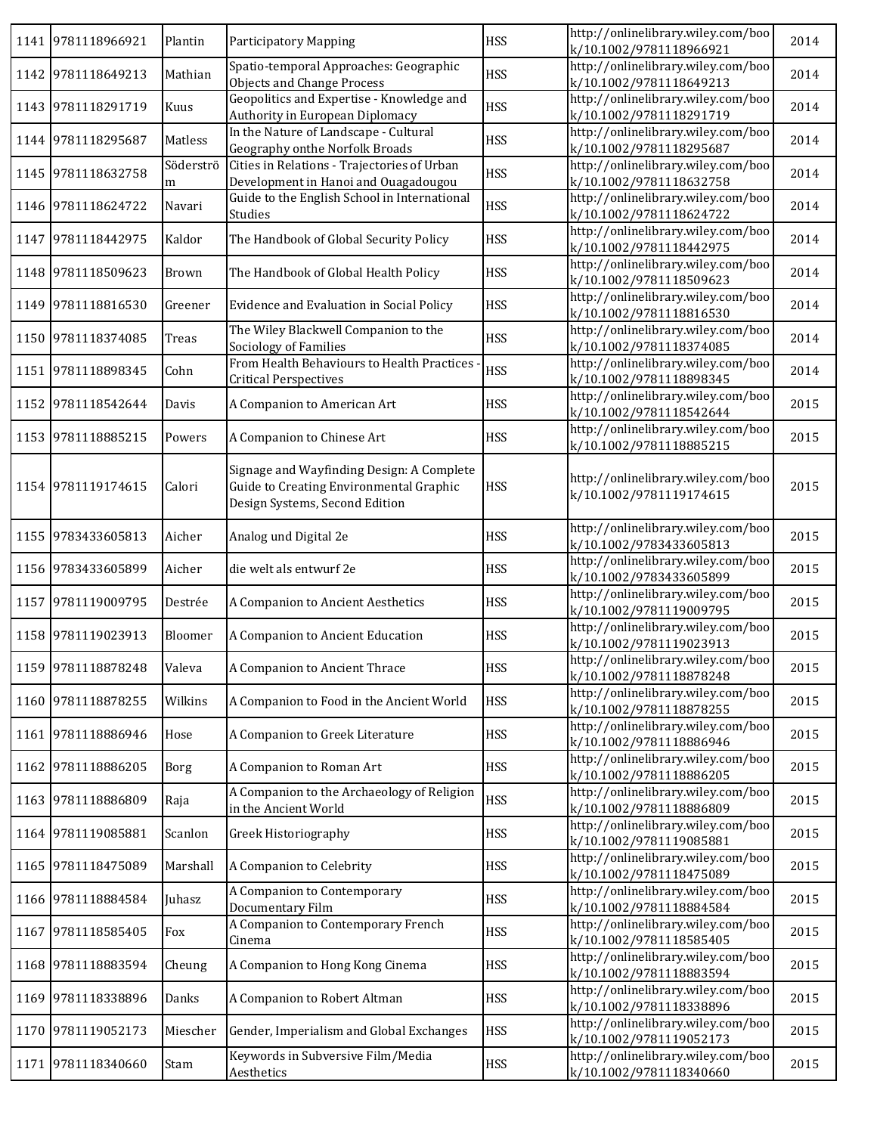|      | 1141 9781118966921 | Plantin        | <b>Participatory Mapping</b>                                                                                           | <b>HSS</b> | http://onlinelibrary.wiley.com/boo<br>k/10.1002/9781118966921 | 2014 |
|------|--------------------|----------------|------------------------------------------------------------------------------------------------------------------------|------------|---------------------------------------------------------------|------|
|      | 1142 9781118649213 | Mathian        | Spatio-temporal Approaches: Geographic<br><b>Objects and Change Process</b>                                            | <b>HSS</b> | http://onlinelibrary.wiley.com/boo<br>k/10.1002/9781118649213 | 2014 |
|      | 1143 9781118291719 | Kuus           | Geopolitics and Expertise - Knowledge and<br>Authority in European Diplomacy                                           | <b>HSS</b> | http://onlinelibrary.wiley.com/boo<br>k/10.1002/9781118291719 | 2014 |
|      | 1144 9781118295687 | Matless        | In the Nature of Landscape - Cultural<br>Geography onthe Norfolk Broads                                                | <b>HSS</b> | http://onlinelibrary.wiley.com/boo<br>k/10.1002/9781118295687 | 2014 |
|      | 1145 9781118632758 | Söderströ<br>m | Cities in Relations - Trajectories of Urban<br>Development in Hanoi and Ouagadougou                                    | <b>HSS</b> | http://onlinelibrary.wiley.com/boo<br>k/10.1002/9781118632758 | 2014 |
|      | 1146 9781118624722 | Navari         | Guide to the English School in International<br>Studies                                                                | <b>HSS</b> | http://onlinelibrary.wiley.com/boo<br>k/10.1002/9781118624722 | 2014 |
|      | 1147 9781118442975 | Kaldor         | The Handbook of Global Security Policy                                                                                 | <b>HSS</b> | http://onlinelibrary.wiley.com/boo<br>k/10.1002/9781118442975 | 2014 |
|      | 1148 9781118509623 | Brown          | The Handbook of Global Health Policy                                                                                   | <b>HSS</b> | http://onlinelibrary.wiley.com/boo<br>k/10.1002/9781118509623 | 2014 |
|      | 1149 9781118816530 | Greener        | Evidence and Evaluation in Social Policy                                                                               | <b>HSS</b> | http://onlinelibrary.wiley.com/boo<br>k/10.1002/9781118816530 | 2014 |
|      | 1150 9781118374085 | Treas          | The Wiley Blackwell Companion to the<br>Sociology of Families                                                          | <b>HSS</b> | http://onlinelibrary.wiley.com/boo<br>k/10.1002/9781118374085 | 2014 |
| 1151 | 9781118898345      | Cohn           | From Health Behaviours to Health Practices<br><b>Critical Perspectives</b>                                             | <b>HSS</b> | http://onlinelibrary.wiley.com/boo<br>k/10.1002/9781118898345 | 2014 |
|      | 1152 9781118542644 | Davis          | A Companion to American Art                                                                                            | <b>HSS</b> | http://onlinelibrary.wiley.com/boo<br>k/10.1002/9781118542644 | 2015 |
|      | 1153 9781118885215 | Powers         | A Companion to Chinese Art                                                                                             | <b>HSS</b> | http://onlinelibrary.wiley.com/boo<br>k/10.1002/9781118885215 | 2015 |
|      | 1154 9781119174615 | Calori         | Signage and Wayfinding Design: A Complete<br>Guide to Creating Environmental Graphic<br>Design Systems, Second Edition | <b>HSS</b> | http://onlinelibrary.wiley.com/boo<br>k/10.1002/9781119174615 | 2015 |
|      | 1155 9783433605813 | Aicher         | Analog und Digital 2e                                                                                                  | <b>HSS</b> | http://onlinelibrary.wiley.com/boo<br>k/10.1002/9783433605813 | 2015 |
|      | 1156 9783433605899 | Aicher         | die welt als entwurf 2e                                                                                                | <b>HSS</b> | http://onlinelibrary.wiley.com/boo<br>k/10.1002/9783433605899 | 2015 |
|      | 1157 9781119009795 | Destrée        | A Companion to Ancient Aesthetics                                                                                      | <b>HSS</b> | http://onlinelibrary.wiley.com/boo<br>k/10.1002/9781119009795 | 2015 |
|      | 1158 9781119023913 | Bloomer        | A Companion to Ancient Education                                                                                       | <b>HSS</b> | http://onlinelibrary.wiley.com/boo<br>k/10.1002/9781119023913 | 2015 |
|      | 1159 9781118878248 | Valeva         | A Companion to Ancient Thrace                                                                                          | <b>HSS</b> | http://onlinelibrary.wiley.com/boo<br>k/10.1002/9781118878248 | 2015 |
|      | 1160 9781118878255 | Wilkins        | A Companion to Food in the Ancient World                                                                               | <b>HSS</b> | http://onlinelibrary.wiley.com/boo<br>k/10.1002/9781118878255 | 2015 |
|      | 1161 9781118886946 | Hose           | A Companion to Greek Literature                                                                                        | <b>HSS</b> | http://onlinelibrary.wiley.com/boo<br>k/10.1002/9781118886946 | 2015 |
|      | 1162 9781118886205 | Borg           | A Companion to Roman Art                                                                                               | <b>HSS</b> | http://onlinelibrary.wiley.com/boo<br>k/10.1002/9781118886205 | 2015 |
|      | 1163 9781118886809 | Raja           | A Companion to the Archaeology of Religion<br>in the Ancient World                                                     | <b>HSS</b> | http://onlinelibrary.wiley.com/boo<br>k/10.1002/9781118886809 | 2015 |
|      | 1164 9781119085881 | Scanlon        | Greek Historiography                                                                                                   | <b>HSS</b> | http://onlinelibrary.wiley.com/boo<br>k/10.1002/9781119085881 | 2015 |
|      | 1165 9781118475089 | Marshall       | A Companion to Celebrity                                                                                               | <b>HSS</b> | http://onlinelibrary.wiley.com/boo<br>k/10.1002/9781118475089 | 2015 |
|      | 1166 9781118884584 | Juhasz         | A Companion to Contemporary<br>Documentary Film                                                                        | <b>HSS</b> | http://onlinelibrary.wiley.com/boo<br>k/10.1002/9781118884584 | 2015 |
| 1167 | 9781118585405      | Fox            | A Companion to Contemporary French<br>Cinema                                                                           | <b>HSS</b> | http://onlinelibrary.wiley.com/boo<br>k/10.1002/9781118585405 | 2015 |
| 1168 | 9781118883594      | Cheung         | A Companion to Hong Kong Cinema                                                                                        | <b>HSS</b> | http://onlinelibrary.wiley.com/boo<br>k/10.1002/9781118883594 | 2015 |
| 1169 | 9781118338896      | Danks          | A Companion to Robert Altman                                                                                           | <b>HSS</b> | http://onlinelibrary.wiley.com/boo<br>k/10.1002/9781118338896 | 2015 |
|      | 1170 9781119052173 | Miescher       | Gender, Imperialism and Global Exchanges                                                                               | <b>HSS</b> | http://onlinelibrary.wiley.com/boo<br>k/10.1002/9781119052173 | 2015 |
|      | 1171 9781118340660 | Stam           | Keywords in Subversive Film/Media<br>Aesthetics                                                                        | <b>HSS</b> | http://onlinelibrary.wiley.com/boo<br>k/10.1002/9781118340660 | 2015 |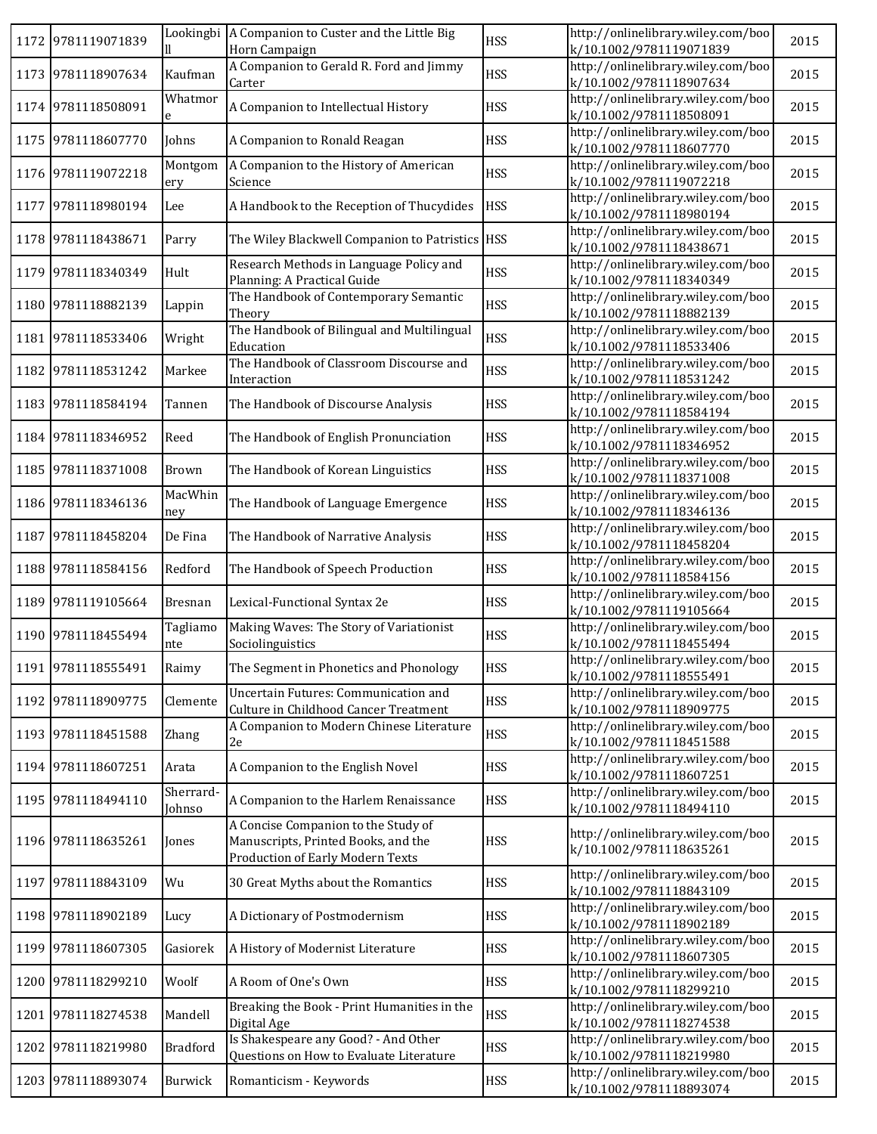|      | 1172 9781119071839 |                     | Lookingbi   A Companion to Custer and the Little Big<br>Horn Campaign                                          | <b>HSS</b> | http://onlinelibrary.wiley.com/boo<br>k/10.1002/9781119071839 | 2015 |
|------|--------------------|---------------------|----------------------------------------------------------------------------------------------------------------|------------|---------------------------------------------------------------|------|
| 1173 | 9781118907634      | Kaufman             | A Companion to Gerald R. Ford and Jimmy<br>Carter                                                              | <b>HSS</b> | http://onlinelibrary.wiley.com/boo<br>k/10.1002/9781118907634 | 2015 |
|      | 1174 9781118508091 | Whatmor             | A Companion to Intellectual History                                                                            | <b>HSS</b> | http://onlinelibrary.wiley.com/boo<br>k/10.1002/9781118508091 | 2015 |
|      | 1175 9781118607770 | Johns               | A Companion to Ronald Reagan                                                                                   | <b>HSS</b> | http://onlinelibrary.wiley.com/boo<br>k/10.1002/9781118607770 | 2015 |
|      | 1176 9781119072218 | Montgom<br>ery      | A Companion to the History of American<br>Science                                                              | <b>HSS</b> | http://onlinelibrary.wiley.com/boo<br>k/10.1002/9781119072218 | 2015 |
| 1177 | 9781118980194      | Lee                 | A Handbook to the Reception of Thucydides                                                                      | <b>HSS</b> | http://onlinelibrary.wiley.com/boo<br>k/10.1002/9781118980194 | 2015 |
|      | 1178 9781118438671 | Parry               | The Wiley Blackwell Companion to Patristics   HSS                                                              |            | http://onlinelibrary.wiley.com/boo<br>k/10.1002/9781118438671 | 2015 |
| 1179 | 9781118340349      | Hult                | Research Methods in Language Policy and<br>Planning: A Practical Guide                                         | <b>HSS</b> | http://onlinelibrary.wiley.com/boo<br>k/10.1002/9781118340349 | 2015 |
| 1180 | 9781118882139      | Lappin              | The Handbook of Contemporary Semantic<br>Theory                                                                | <b>HSS</b> | http://onlinelibrary.wiley.com/boo<br>k/10.1002/9781118882139 | 2015 |
| 1181 | 9781118533406      | Wright              | The Handbook of Bilingual and Multilingual<br>Education                                                        | <b>HSS</b> | http://onlinelibrary.wiley.com/boo<br>k/10.1002/9781118533406 | 2015 |
| 1182 | 9781118531242      | Markee              | The Handbook of Classroom Discourse and<br>Interaction                                                         | <b>HSS</b> | http://onlinelibrary.wiley.com/boo<br>k/10.1002/9781118531242 | 2015 |
| 1183 | 9781118584194      | Tannen              | The Handbook of Discourse Analysis                                                                             | <b>HSS</b> | http://onlinelibrary.wiley.com/boo<br>k/10.1002/9781118584194 | 2015 |
| 1184 | 9781118346952      | Reed                | The Handbook of English Pronunciation                                                                          | <b>HSS</b> | http://onlinelibrary.wiley.com/boo<br>k/10.1002/9781118346952 | 2015 |
|      | 1185 9781118371008 | Brown               | The Handbook of Korean Linguistics                                                                             | <b>HSS</b> | http://onlinelibrary.wiley.com/boo<br>k/10.1002/9781118371008 | 2015 |
|      | 1186 9781118346136 | MacWhin<br>ney      | The Handbook of Language Emergence                                                                             | <b>HSS</b> | http://onlinelibrary.wiley.com/boo<br>k/10.1002/9781118346136 | 2015 |
| 1187 | 9781118458204      | De Fina             | The Handbook of Narrative Analysis                                                                             | <b>HSS</b> | http://onlinelibrary.wiley.com/boo<br>k/10.1002/9781118458204 | 2015 |
| 1188 | 9781118584156      | Redford             | The Handbook of Speech Production                                                                              | <b>HSS</b> | http://onlinelibrary.wiley.com/boo<br>k/10.1002/9781118584156 | 2015 |
| 1189 | 9781119105664      | <b>Bresnan</b>      | Lexical-Functional Syntax 2e                                                                                   | <b>HSS</b> | http://onlinelibrary.wiley.com/boo<br>k/10.1002/9781119105664 | 2015 |
|      | 1190 9781118455494 | Tagliamo<br>nte     | Making Waves: The Story of Variationist<br>Sociolinguistics                                                    | <b>HSS</b> | http://onlinelibrary.wiley.com/boo<br>k/10.1002/9781118455494 | 2015 |
|      | 1191 9781118555491 | Raimy               | The Segment in Phonetics and Phonology                                                                         | <b>HSS</b> | http://onlinelibrary.wiley.com/boo<br>k/10.1002/9781118555491 | 2015 |
|      | 1192 9781118909775 | Clemente            | Uncertain Futures: Communication and<br>Culture in Childhood Cancer Treatment                                  | HSS        | http://onlinelibrary.wiley.com/boo<br>k/10.1002/9781118909775 | 2015 |
|      | 1193 9781118451588 | Zhang               | A Companion to Modern Chinese Literature<br>2e                                                                 | <b>HSS</b> | http://onlinelibrary.wiley.com/boo<br>k/10.1002/9781118451588 | 2015 |
|      | 1194 9781118607251 | Arata               | A Companion to the English Novel                                                                               | <b>HSS</b> | http://onlinelibrary.wiley.com/boo<br>k/10.1002/9781118607251 | 2015 |
|      | 1195 9781118494110 | Sherrard-<br>Johnso | A Companion to the Harlem Renaissance                                                                          | <b>HSS</b> | http://onlinelibrary.wiley.com/boo<br>k/10.1002/9781118494110 | 2015 |
|      | 1196 9781118635261 | Jones               | A Concise Companion to the Study of<br>Manuscripts, Printed Books, and the<br>Production of Early Modern Texts | <b>HSS</b> | http://onlinelibrary.wiley.com/boo<br>k/10.1002/9781118635261 | 2015 |
| 1197 | 9781118843109      | Wu                  | 30 Great Myths about the Romantics                                                                             | <b>HSS</b> | http://onlinelibrary.wiley.com/boo<br>k/10.1002/9781118843109 | 2015 |
|      | 1198 9781118902189 | Lucy                | A Dictionary of Postmodernism                                                                                  | HSS        | http://onlinelibrary.wiley.com/boo<br>k/10.1002/9781118902189 | 2015 |
|      | 1199 9781118607305 | Gasiorek            | A History of Modernist Literature                                                                              | <b>HSS</b> | http://onlinelibrary.wiley.com/boo<br>k/10.1002/9781118607305 | 2015 |
| 1200 | 9781118299210      | Woolf               | A Room of One's Own                                                                                            | <b>HSS</b> | http://onlinelibrary.wiley.com/boo<br>k/10.1002/9781118299210 | 2015 |
| 1201 | 9781118274538      | Mandell             | Breaking the Book - Print Humanities in the<br>Digital Age                                                     | <b>HSS</b> | http://onlinelibrary.wiley.com/boo<br>k/10.1002/9781118274538 | 2015 |
| 1202 | 9781118219980      | <b>Bradford</b>     | Is Shakespeare any Good? - And Other<br>Questions on How to Evaluate Literature                                | <b>HSS</b> | http://onlinelibrary.wiley.com/boo<br>k/10.1002/9781118219980 | 2015 |
| 1203 | 9781118893074      | Burwick             | Romanticism - Keywords                                                                                         | <b>HSS</b> | http://onlinelibrary.wiley.com/boo<br>k/10.1002/9781118893074 | 2015 |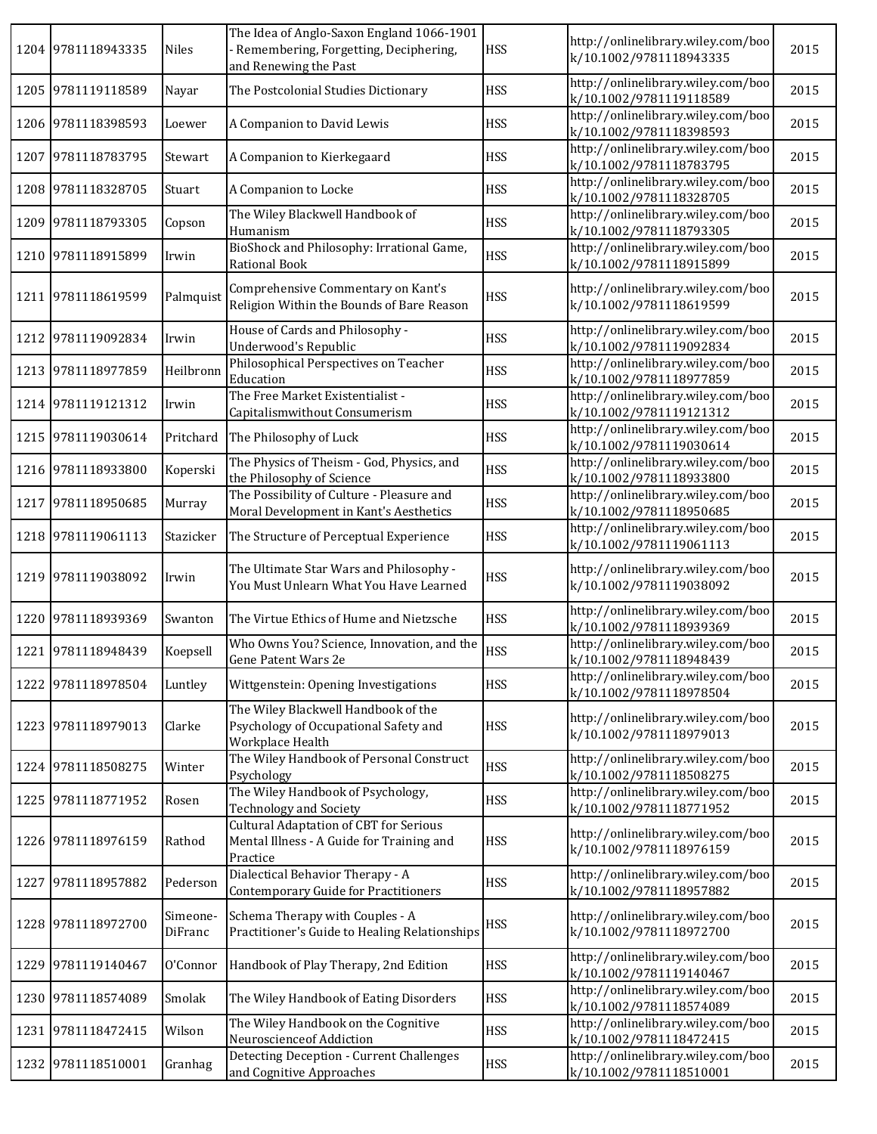|      | 1204 9781118943335 | Niles               | The Idea of Anglo-Saxon England 1066-1901<br>- Remembering, Forgetting, Deciphering,<br>and Renewing the Past | <b>HSS</b> | http://onlinelibrary.wiley.com/boo<br>k/10.1002/9781118943335 | 2015 |
|------|--------------------|---------------------|---------------------------------------------------------------------------------------------------------------|------------|---------------------------------------------------------------|------|
|      | 1205 9781119118589 | Nayar               | The Postcolonial Studies Dictionary                                                                           | <b>HSS</b> | http://onlinelibrary.wiley.com/boo<br>k/10.1002/9781119118589 | 2015 |
|      | 1206 9781118398593 | Loewer              | A Companion to David Lewis                                                                                    | <b>HSS</b> | http://onlinelibrary.wiley.com/boo<br>k/10.1002/9781118398593 | 2015 |
| 1207 | 9781118783795      | Stewart             | A Companion to Kierkegaard                                                                                    | <b>HSS</b> | http://onlinelibrary.wiley.com/boo<br>k/10.1002/9781118783795 | 2015 |
|      | 1208 9781118328705 | Stuart              | A Companion to Locke                                                                                          | <b>HSS</b> | http://onlinelibrary.wiley.com/boo<br>k/10.1002/9781118328705 | 2015 |
|      | 1209 9781118793305 | Copson              | The Wiley Blackwell Handbook of<br>Humanism                                                                   | <b>HSS</b> | http://onlinelibrary.wiley.com/boo<br>k/10.1002/9781118793305 | 2015 |
|      | 1210 9781118915899 | Irwin               | BioShock and Philosophy: Irrational Game,<br>Rational Book                                                    | <b>HSS</b> | http://onlinelibrary.wiley.com/boo<br>k/10.1002/9781118915899 | 2015 |
|      | 1211 9781118619599 | Palmquist           | Comprehensive Commentary on Kant's<br>Religion Within the Bounds of Bare Reason                               | <b>HSS</b> | http://onlinelibrary.wiley.com/boo<br>k/10.1002/9781118619599 | 2015 |
|      | 1212 9781119092834 | Irwin               | House of Cards and Philosophy -<br><b>Underwood's Republic</b>                                                | <b>HSS</b> | http://onlinelibrary.wiley.com/boo<br>k/10.1002/9781119092834 | 2015 |
|      | 1213 9781118977859 | Heilbronn           | Philosophical Perspectives on Teacher<br>Education                                                            | <b>HSS</b> | http://onlinelibrary.wiley.com/boo<br>k/10.1002/9781118977859 | 2015 |
|      | 1214 9781119121312 | Irwin               | The Free Market Existentialist -<br>Capitalismwithout Consumerism                                             | <b>HSS</b> | http://onlinelibrary.wiley.com/boo<br>k/10.1002/9781119121312 | 2015 |
|      | 1215 9781119030614 | Pritchard           | The Philosophy of Luck                                                                                        | <b>HSS</b> | http://onlinelibrary.wiley.com/boo<br>k/10.1002/9781119030614 | 2015 |
|      | 1216 9781118933800 | Koperski            | The Physics of Theism - God, Physics, and<br>the Philosophy of Science                                        | <b>HSS</b> | http://onlinelibrary.wiley.com/boo<br>k/10.1002/9781118933800 | 2015 |
|      | 1217 9781118950685 | Murray              | The Possibility of Culture - Pleasure and<br>Moral Development in Kant's Aesthetics                           | <b>HSS</b> | http://onlinelibrary.wiley.com/boo<br>k/10.1002/9781118950685 | 2015 |
|      | 1218 9781119061113 | Stazicker           | The Structure of Perceptual Experience                                                                        | <b>HSS</b> | http://onlinelibrary.wiley.com/boo<br>k/10.1002/9781119061113 | 2015 |
|      | 1219 9781119038092 | Irwin               | The Ultimate Star Wars and Philosophy -<br>You Must Unlearn What You Have Learned                             | <b>HSS</b> | http://onlinelibrary.wiley.com/boo<br>k/10.1002/9781119038092 | 2015 |
|      | 1220 9781118939369 | Swanton             | The Virtue Ethics of Hume and Nietzsche                                                                       | <b>HSS</b> | http://onlinelibrary.wiley.com/boo<br>k/10.1002/9781118939369 | 2015 |
|      | 1221 9781118948439 | Koepsell            | Who Owns You? Science, Innovation, and the<br>Gene Patent Wars 2e                                             | <b>HSS</b> | http://onlinelibrary.wiley.com/boo<br>k/10.1002/9781118948439 | 2015 |
|      | 1222 9781118978504 | Luntley             | Wittgenstein: Opening Investigations                                                                          | <b>HSS</b> | http://onlinelibrary.wiley.com/boo<br>k/10.1002/9781118978504 | 2015 |
|      | 1223 9781118979013 | Clarke              | The Wiley Blackwell Handbook of the<br>Psychology of Occupational Safety and<br>Workplace Health              | <b>HSS</b> | http://onlinelibrary.wiley.com/boo<br>k/10.1002/9781118979013 | 2015 |
|      | 1224 9781118508275 | Winter              | The Wiley Handbook of Personal Construct<br>Psychology                                                        | <b>HSS</b> | http://onlinelibrary.wiley.com/boo<br>k/10.1002/9781118508275 | 2015 |
|      | 1225 9781118771952 | Rosen               | The Wiley Handbook of Psychology,<br><b>Technology and Society</b>                                            | <b>HSS</b> | http://onlinelibrary.wiley.com/boo<br>k/10.1002/9781118771952 | 2015 |
|      | 1226 9781118976159 | Rathod              | <b>Cultural Adaptation of CBT for Serious</b><br>Mental Illness - A Guide for Training and<br>Practice        | <b>HSS</b> | http://onlinelibrary.wiley.com/boo<br>k/10.1002/9781118976159 | 2015 |
|      | 1227 9781118957882 | Pederson            | Dialectical Behavior Therapy - A<br>Contemporary Guide for Practitioners                                      | <b>HSS</b> | http://onlinelibrary.wiley.com/boo<br>k/10.1002/9781118957882 | 2015 |
|      | 1228 9781118972700 | Simeone-<br>DiFranc | Schema Therapy with Couples - A<br>Practitioner's Guide to Healing Relationships                              | <b>HSS</b> | http://onlinelibrary.wiley.com/boo<br>k/10.1002/9781118972700 | 2015 |
|      | 1229 9781119140467 | O'Connor            | Handbook of Play Therapy, 2nd Edition                                                                         | <b>HSS</b> | http://onlinelibrary.wiley.com/boo<br>k/10.1002/9781119140467 | 2015 |
|      | 1230 9781118574089 | Smolak              | The Wiley Handbook of Eating Disorders                                                                        | <b>HSS</b> | http://onlinelibrary.wiley.com/boo<br>k/10.1002/9781118574089 | 2015 |
|      | 1231 9781118472415 | Wilson              | The Wiley Handbook on the Cognitive<br>Neuroscienceof Addiction                                               | <b>HSS</b> | http://onlinelibrary.wiley.com/boo<br>k/10.1002/9781118472415 | 2015 |
|      | 1232 9781118510001 | Granhag             | <b>Detecting Deception - Current Challenges</b><br>and Cognitive Approaches                                   | <b>HSS</b> | http://onlinelibrary.wiley.com/boo<br>k/10.1002/9781118510001 | 2015 |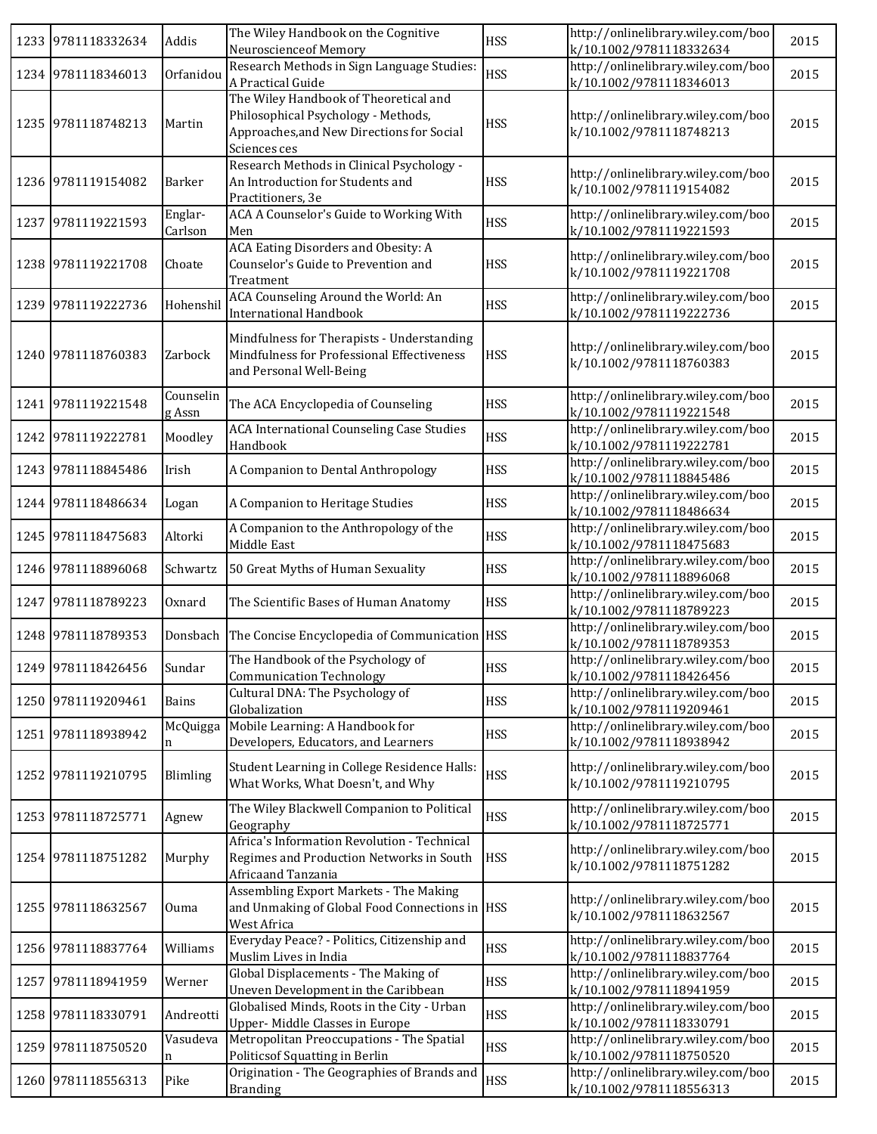|      | 1233 9781118332634 | Addis               | The Wiley Handbook on the Cognitive<br>Neuroscienceof Memory                                                                                                   | <b>HSS</b> | http://onlinelibrary.wiley.com/boo<br>k/10.1002/9781118332634                            | 2015 |
|------|--------------------|---------------------|----------------------------------------------------------------------------------------------------------------------------------------------------------------|------------|------------------------------------------------------------------------------------------|------|
|      | 1234 9781118346013 | Orfanidou           | Research Methods in Sign Language Studies:                                                                                                                     | <b>HSS</b> | http://onlinelibrary.wiley.com/boo                                                       | 2015 |
|      | 1235 9781118748213 | Martin              | A Practical Guide<br>The Wiley Handbook of Theoretical and<br>Philosophical Psychology - Methods,<br>Approaches, and New Directions for Social<br>Sciences ces | <b>HSS</b> | k/10.1002/9781118346013<br>http://onlinelibrary.wiley.com/boo<br>k/10.1002/9781118748213 | 2015 |
|      | 1236 9781119154082 | Barker              | Research Methods in Clinical Psychology -<br>An Introduction for Students and<br>Practitioners, 3e                                                             | <b>HSS</b> | http://onlinelibrary.wiley.com/boo<br>k/10.1002/9781119154082                            | 2015 |
|      | 1237 9781119221593 | Englar-<br>Carlson  | ACA A Counselor's Guide to Working With<br>Men                                                                                                                 | <b>HSS</b> | http://onlinelibrary.wiley.com/boo<br>k/10.1002/9781119221593                            | 2015 |
|      | 1238 9781119221708 | Choate              | ACA Eating Disorders and Obesity: A<br>Counselor's Guide to Prevention and<br>Treatment                                                                        | <b>HSS</b> | http://onlinelibrary.wiley.com/boo<br>k/10.1002/9781119221708                            | 2015 |
|      | 1239 9781119222736 | Hohenshil           | ACA Counseling Around the World: An<br><b>International Handbook</b>                                                                                           | <b>HSS</b> | http://onlinelibrary.wiley.com/boo<br>k/10.1002/9781119222736                            | 2015 |
|      | 1240 9781118760383 | Zarbock             | Mindfulness for Therapists - Understanding<br>Mindfulness for Professional Effectiveness<br>and Personal Well-Being                                            | <b>HSS</b> | http://onlinelibrary.wiley.com/boo<br>k/10.1002/9781118760383                            | 2015 |
|      | 1241 9781119221548 | Counselin<br>g Assn | The ACA Encyclopedia of Counseling                                                                                                                             | <b>HSS</b> | http://onlinelibrary.wiley.com/boo<br>k/10.1002/9781119221548                            | 2015 |
|      | 1242 9781119222781 | Moodley             | <b>ACA International Counseling Case Studies</b><br>Handbook                                                                                                   | <b>HSS</b> | http://onlinelibrary.wiley.com/boo<br>k/10.1002/9781119222781                            | 2015 |
|      | 1243 9781118845486 | Irish               | A Companion to Dental Anthropology                                                                                                                             | <b>HSS</b> | http://onlinelibrary.wiley.com/boo<br>k/10.1002/9781118845486                            | 2015 |
|      | 1244 9781118486634 | Logan               | A Companion to Heritage Studies                                                                                                                                | <b>HSS</b> | http://onlinelibrary.wiley.com/boo<br>k/10.1002/9781118486634                            | 2015 |
|      | 1245 9781118475683 | Altorki             | A Companion to the Anthropology of the<br>Middle East                                                                                                          | <b>HSS</b> | http://onlinelibrary.wiley.com/boo<br>k/10.1002/9781118475683                            | 2015 |
|      | 1246 9781118896068 | Schwartz            | 50 Great Myths of Human Sexuality                                                                                                                              | <b>HSS</b> | http://onlinelibrary.wiley.com/boo<br>k/10.1002/9781118896068                            | 2015 |
|      | 1247 9781118789223 | Oxnard              | The Scientific Bases of Human Anatomy                                                                                                                          | <b>HSS</b> | http://onlinelibrary.wiley.com/boo<br>k/10.1002/9781118789223                            | 2015 |
|      | 1248 9781118789353 |                     | Donsbach The Concise Encyclopedia of Communication HSS                                                                                                         |            | http://onlinelibrary.wiley.com/boo<br>k/10.1002/9781118789353                            | 2015 |
|      | 1249 9781118426456 | Sundar              | The Handbook of the Psychology of<br><b>Communication Technology</b>                                                                                           | <b>HSS</b> | http://onlinelibrary.wiley.com/boo<br>k/10.1002/9781118426456                            | 2015 |
|      | 1250 9781119209461 | Bains               | Cultural DNA: The Psychology of<br>Globalization                                                                                                               | <b>HSS</b> | http://onlinelibrary.wiley.com/boo<br>k/10.1002/9781119209461                            | 2015 |
|      | 1251 9781118938942 | McQuigga<br>n       | Mobile Learning: A Handbook for<br>Developers, Educators, and Learners                                                                                         | <b>HSS</b> | http://onlinelibrary.wiley.com/boo<br>k/10.1002/9781118938942                            | 2015 |
|      | 1252 9781119210795 | Blimling            | Student Learning in College Residence Halls:<br>What Works, What Doesn't, and Why                                                                              | <b>HSS</b> | http://onlinelibrary.wiley.com/boo<br>k/10.1002/9781119210795                            | 2015 |
|      | 1253 9781118725771 | Agnew               | The Wiley Blackwell Companion to Political<br>Geography                                                                                                        | <b>HSS</b> | http://onlinelibrary.wiley.com/boo<br>k/10.1002/9781118725771                            | 2015 |
|      | 1254 9781118751282 | Murphy              | Africa's Information Revolution - Technical<br>Regimes and Production Networks in South<br>Africaand Tanzania                                                  | <b>HSS</b> | http://onlinelibrary.wiley.com/boo<br>k/10.1002/9781118751282                            | 2015 |
|      | 1255 9781118632567 | Ouma                | <b>Assembling Export Markets - The Making</b><br>and Unmaking of Global Food Connections in HSS<br>West Africa                                                 |            | http://onlinelibrary.wiley.com/boo<br>k/10.1002/9781118632567                            | 2015 |
|      | 1256 9781118837764 | Williams            | Everyday Peace? - Politics, Citizenship and<br>Muslim Lives in India                                                                                           | <b>HSS</b> | http://onlinelibrary.wiley.com/boo<br>k/10.1002/9781118837764                            | 2015 |
| 1257 | 9781118941959      | Werner              | Global Displacements - The Making of<br>Uneven Development in the Caribbean                                                                                    | <b>HSS</b> | http://onlinelibrary.wiley.com/boo<br>k/10.1002/9781118941959                            | 2015 |
|      | 1258 9781118330791 | Andreotti           | Globalised Minds, Roots in the City - Urban<br>Upper-Middle Classes in Europe                                                                                  | <b>HSS</b> | http://onlinelibrary.wiley.com/boo<br>k/10.1002/9781118330791                            | 2015 |
|      | 1259 9781118750520 | Vasudeva<br>n       | Metropolitan Preoccupations - The Spatial<br>Politicsof Squatting in Berlin                                                                                    | <b>HSS</b> | http://onlinelibrary.wiley.com/boo<br>k/10.1002/9781118750520                            | 2015 |
|      | 1260 9781118556313 | Pike                | Origination - The Geographies of Brands and<br><b>Branding</b>                                                                                                 | <b>HSS</b> | http://onlinelibrary.wiley.com/boo<br>k/10.1002/9781118556313                            | 2015 |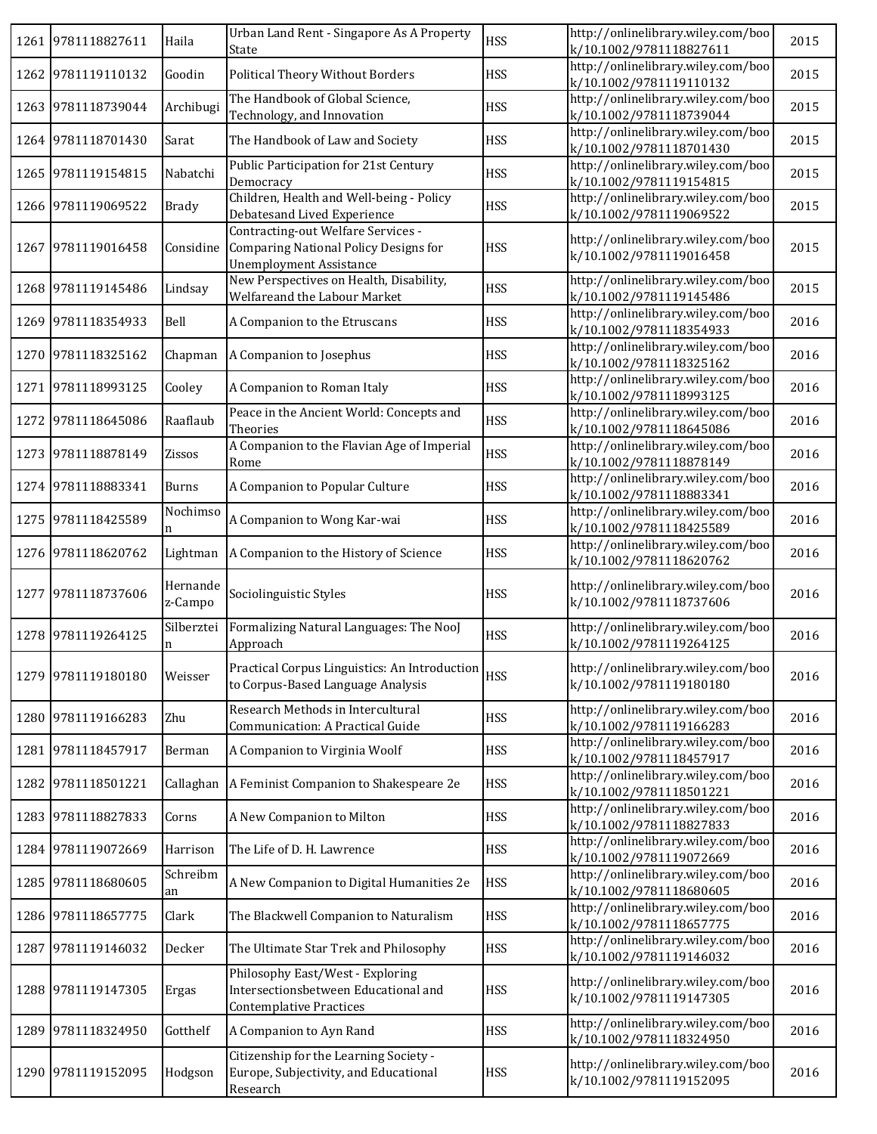|      | 1261 9781118827611 | Haila               | Urban Land Rent - Singapore As A Property<br>State                                                            | <b>HSS</b> | http://onlinelibrary.wiley.com/boo<br>k/10.1002/9781118827611 | 2015 |
|------|--------------------|---------------------|---------------------------------------------------------------------------------------------------------------|------------|---------------------------------------------------------------|------|
|      | 1262 9781119110132 | Goodin              | <b>Political Theory Without Borders</b>                                                                       | <b>HSS</b> | http://onlinelibrary.wiley.com/boo<br>k/10.1002/9781119110132 | 2015 |
|      | 1263 9781118739044 | Archibugi           | The Handbook of Global Science,<br>Technology, and Innovation                                                 | <b>HSS</b> | http://onlinelibrary.wiley.com/boo<br>k/10.1002/9781118739044 | 2015 |
|      | 1264 9781118701430 | Sarat               | The Handbook of Law and Society                                                                               | <b>HSS</b> | http://onlinelibrary.wiley.com/boo<br>k/10.1002/9781118701430 | 2015 |
|      | 1265 9781119154815 | Nabatchi            | Public Participation for 21st Century<br>Democracy                                                            | <b>HSS</b> | http://onlinelibrary.wiley.com/boo<br>k/10.1002/9781119154815 | 2015 |
|      | 1266 9781119069522 | <b>Brady</b>        | Children, Health and Well-being - Policy<br>Debatesand Lived Experience                                       | <b>HSS</b> | http://onlinelibrary.wiley.com/boo<br>k/10.1002/9781119069522 | 2015 |
|      | 1267 9781119016458 | Considine           | Contracting-out Welfare Services -<br>Comparing National Policy Designs for<br><b>Unemployment Assistance</b> | <b>HSS</b> | http://onlinelibrary.wiley.com/boo<br>k/10.1002/9781119016458 | 2015 |
|      | 1268 9781119145486 | Lindsay             | New Perspectives on Health, Disability,<br>Welfareand the Labour Market                                       | <b>HSS</b> | http://onlinelibrary.wiley.com/boo<br>k/10.1002/9781119145486 | 2015 |
|      | 1269 9781118354933 | Bell                | A Companion to the Etruscans                                                                                  | <b>HSS</b> | http://onlinelibrary.wiley.com/boo<br>k/10.1002/9781118354933 | 2016 |
|      | 1270 9781118325162 | Chapman             | A Companion to Josephus                                                                                       | <b>HSS</b> | http://onlinelibrary.wiley.com/boo<br>k/10.1002/9781118325162 | 2016 |
|      | 1271 9781118993125 | Cooley              | A Companion to Roman Italy                                                                                    | <b>HSS</b> | http://onlinelibrary.wiley.com/boo<br>k/10.1002/9781118993125 | 2016 |
| 1272 | 9781118645086      | Raaflaub            | Peace in the Ancient World: Concepts and<br>Theories                                                          | <b>HSS</b> | http://onlinelibrary.wiley.com/boo<br>k/10.1002/9781118645086 | 2016 |
|      | 1273 9781118878149 | Zissos              | A Companion to the Flavian Age of Imperial<br>Rome                                                            | <b>HSS</b> | http://onlinelibrary.wiley.com/boo<br>k/10.1002/9781118878149 | 2016 |
|      | 1274 9781118883341 | <b>Burns</b>        | A Companion to Popular Culture                                                                                | <b>HSS</b> | http://onlinelibrary.wiley.com/boo<br>k/10.1002/9781118883341 | 2016 |
|      | 1275 9781118425589 | Nochimso            | A Companion to Wong Kar-wai                                                                                   | <b>HSS</b> | http://onlinelibrary.wiley.com/boo<br>k/10.1002/9781118425589 | 2016 |
|      | 1276 9781118620762 |                     | Lightman   A Companion to the History of Science                                                              | <b>HSS</b> | http://onlinelibrary.wiley.com/boo<br>k/10.1002/9781118620762 | 2016 |
| 1277 | 9781118737606      | Hernande<br>z-Campo | Sociolinguistic Styles                                                                                        | <b>HSS</b> | http://onlinelibrary.wiley.com/boo<br>k/10.1002/9781118737606 | 2016 |
|      | 1278 9781119264125 | Silberztei<br>n     | Formalizing Natural Languages: The NooJ<br>Approach                                                           | <b>HSS</b> | http://onlinelibrary.wiley.com/boo<br>k/10.1002/9781119264125 | 2016 |
|      | 1279 9781119180180 | Weisser             | Practical Corpus Linguistics: An Introduction<br>to Corpus-Based Language Analysis                            | <b>HSS</b> | http://onlinelibrary.wiley.com/boo<br>k/10.1002/9781119180180 | 2016 |
|      | 1280 9781119166283 | Zhu                 | Research Methods in Intercultural<br>Communication: A Practical Guide                                         | <b>HSS</b> | http://onlinelibrary.wiley.com/boo<br>k/10.1002/9781119166283 | 2016 |
|      | 1281 9781118457917 | Berman              | A Companion to Virginia Woolf                                                                                 | <b>HSS</b> | http://onlinelibrary.wiley.com/boo<br>k/10.1002/9781118457917 | 2016 |
| 1282 | 9781118501221      |                     | Callaghan   A Feminist Companion to Shakespeare 2e                                                            | <b>HSS</b> | http://onlinelibrary.wiley.com/boo<br>k/10.1002/9781118501221 | 2016 |
|      | 1283 9781118827833 | Corns               | A New Companion to Milton                                                                                     | <b>HSS</b> | http://onlinelibrary.wiley.com/boo<br>k/10.1002/9781118827833 | 2016 |
|      | 1284 9781119072669 | Harrison            | The Life of D. H. Lawrence                                                                                    | <b>HSS</b> | http://onlinelibrary.wiley.com/boo<br>k/10.1002/9781119072669 | 2016 |
|      | 1285 9781118680605 | Schreibm<br>an      | A New Companion to Digital Humanities 2e                                                                      | <b>HSS</b> | http://onlinelibrary.wiley.com/boo<br>k/10.1002/9781118680605 | 2016 |
|      | 1286 9781118657775 | Clark               | The Blackwell Companion to Naturalism                                                                         | <b>HSS</b> | http://onlinelibrary.wiley.com/boo<br>k/10.1002/9781118657775 | 2016 |
| 1287 | 9781119146032      | Decker              | The Ultimate Star Trek and Philosophy                                                                         | <b>HSS</b> | http://onlinelibrary.wiley.com/boo<br>k/10.1002/9781119146032 | 2016 |
|      | 1288 9781119147305 | Ergas               | Philosophy East/West - Exploring<br>Intersectionsbetween Educational and<br><b>Contemplative Practices</b>    | <b>HSS</b> | http://onlinelibrary.wiley.com/boo<br>k/10.1002/9781119147305 | 2016 |
| 1289 | 9781118324950      | Gotthelf            | A Companion to Ayn Rand                                                                                       | <b>HSS</b> | http://onlinelibrary.wiley.com/boo<br>k/10.1002/9781118324950 | 2016 |
|      | 1290 9781119152095 | Hodgson             | Citizenship for the Learning Society -<br>Europe, Subjectivity, and Educational<br>Research                   | <b>HSS</b> | http://onlinelibrary.wiley.com/boo<br>k/10.1002/9781119152095 | 2016 |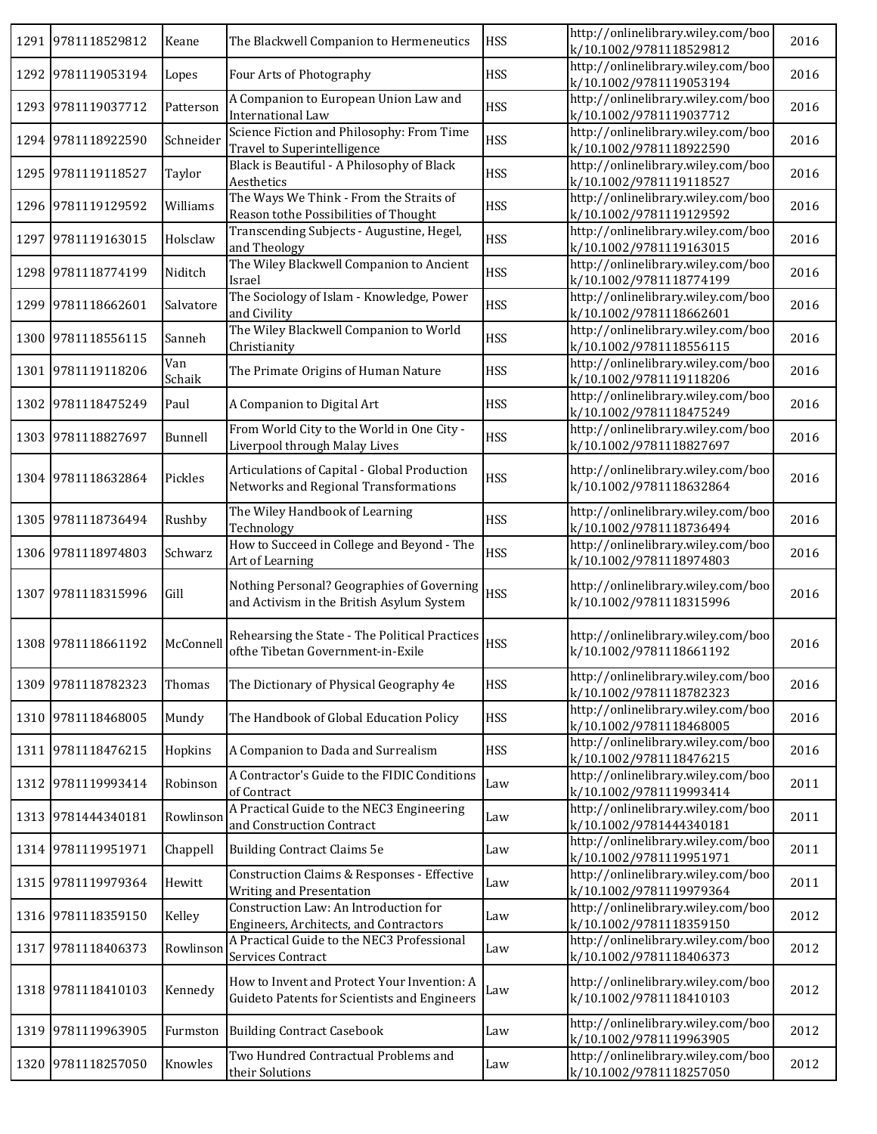|      | 1291 9781118529812 | Keane         | The Blackwell Companion to Hermeneutics                                                     | <b>HSS</b> | http://onlinelibrary.wiley.com/boo<br>k/10.1002/9781118529812 | 2016 |
|------|--------------------|---------------|---------------------------------------------------------------------------------------------|------------|---------------------------------------------------------------|------|
|      | 1292 9781119053194 | Lopes         | Four Arts of Photography                                                                    | <b>HSS</b> | http://onlinelibrary.wiley.com/boo<br>k/10.1002/9781119053194 | 2016 |
|      | 1293 9781119037712 | Patterson     | A Companion to European Union Law and<br>International Law                                  | <b>HSS</b> | http://onlinelibrary.wiley.com/boo<br>k/10.1002/9781119037712 | 2016 |
|      | 1294 9781118922590 | Schneider     | Science Fiction and Philosophy: From Time<br>Travel to Superintelligence                    | <b>HSS</b> | http://onlinelibrary.wiley.com/boo<br>k/10.1002/9781118922590 | 2016 |
|      | 1295 9781119118527 | Taylor        | Black is Beautiful - A Philosophy of Black<br>Aesthetics                                    | <b>HSS</b> | http://onlinelibrary.wiley.com/boo<br>k/10.1002/9781119118527 | 2016 |
|      | 1296 9781119129592 | Williams      | The Ways We Think - From the Straits of<br>Reason tothe Possibilities of Thought            | <b>HSS</b> | http://onlinelibrary.wiley.com/boo<br>k/10.1002/9781119129592 | 2016 |
|      | 1297 9781119163015 | Holsclaw      | Transcending Subjects - Augustine, Hegel,<br>and Theology                                   | <b>HSS</b> | http://onlinelibrary.wiley.com/boo<br>k/10.1002/9781119163015 | 2016 |
|      | 1298 9781118774199 | Niditch       | The Wiley Blackwell Companion to Ancient<br>Israel                                          | <b>HSS</b> | http://onlinelibrary.wiley.com/boo<br>k/10.1002/9781118774199 | 2016 |
|      | 1299 9781118662601 | Salvatore     | The Sociology of Islam - Knowledge, Power<br>and Civility                                   | <b>HSS</b> | http://onlinelibrary.wiley.com/boo<br>k/10.1002/9781118662601 | 2016 |
|      | 1300 9781118556115 | Sanneh        | The Wiley Blackwell Companion to World<br>Christianity                                      | <b>HSS</b> | http://onlinelibrary.wiley.com/boo<br>k/10.1002/9781118556115 | 2016 |
|      | 1301 9781119118206 | Van<br>Schaik | The Primate Origins of Human Nature                                                         | <b>HSS</b> | http://onlinelibrary.wiley.com/boo<br>k/10.1002/9781119118206 | 2016 |
| 1302 | 9781118475249      | Paul          | A Companion to Digital Art                                                                  | <b>HSS</b> | http://onlinelibrary.wiley.com/boo<br>k/10.1002/9781118475249 | 2016 |
|      | 1303 9781118827697 | Bunnell       | From World City to the World in One City -<br>Liverpool through Malay Lives                 | <b>HSS</b> | http://onlinelibrary.wiley.com/boo<br>k/10.1002/9781118827697 | 2016 |
|      | 1304 9781118632864 | Pickles       | Articulations of Capital - Global Production<br>Networks and Regional Transformations       | <b>HSS</b> | http://onlinelibrary.wiley.com/boo<br>k/10.1002/9781118632864 | 2016 |
|      | 1305 9781118736494 | Rushby        | The Wiley Handbook of Learning<br>Technology                                                | <b>HSS</b> | http://onlinelibrary.wiley.com/boo<br>k/10.1002/9781118736494 | 2016 |
|      | 1306 9781118974803 | Schwarz       | How to Succeed in College and Beyond - The<br>Art of Learning                               | <b>HSS</b> | http://onlinelibrary.wiley.com/boo<br>k/10.1002/9781118974803 | 2016 |
| 1307 | 9781118315996      | Gill          | Nothing Personal? Geographies of Governing<br>and Activism in the British Asylum System     | <b>HSS</b> | http://onlinelibrary.wiley.com/boo<br>k/10.1002/9781118315996 | 2016 |
|      | 1308 9781118661192 | McConnell     | Rehearsing the State - The Political Practices<br>ofthe Tibetan Government-in-Exile         | <b>HSS</b> | http://onlinelibrary.wiley.com/boo<br>k/10.1002/9781118661192 | 2016 |
|      | 1309 9781118782323 | Thomas        | The Dictionary of Physical Geography 4e                                                     | <b>HSS</b> | http://onlinelibrary.wiley.com/boo<br>k/10.1002/9781118782323 | 2016 |
|      | 1310 9781118468005 | Mundy         | The Handbook of Global Education Policy                                                     | <b>HSS</b> | http://onlinelibrary.wiley.com/boo<br>k/10.1002/9781118468005 | 2016 |
|      | 1311 9781118476215 | Hopkins       | A Companion to Dada and Surrealism                                                          | <b>HSS</b> | http://onlinelibrary.wiley.com/boo<br>k/10.1002/9781118476215 | 2016 |
|      | 1312 9781119993414 | Robinson      | A Contractor's Guide to the FIDIC Conditions<br>of Contract                                 | Law        | http://onlinelibrary.wiley.com/boo<br>k/10.1002/9781119993414 | 2011 |
|      | 1313 9781444340181 | Rowlinson     | A Practical Guide to the NEC3 Engineering<br>and Construction Contract                      | Law        | http://onlinelibrary.wiley.com/boo<br>k/10.1002/9781444340181 | 2011 |
|      | 1314 9781119951971 | Chappell      | <b>Building Contract Claims 5e</b>                                                          | Law        | http://onlinelibrary.wiley.com/boo<br>k/10.1002/9781119951971 | 2011 |
|      | 1315 9781119979364 | Hewitt        | Construction Claims & Responses - Effective<br>Writing and Presentation                     | Law        | http://onlinelibrary.wiley.com/boo<br>k/10.1002/9781119979364 | 2011 |
|      | 1316 9781118359150 | Kelley        | Construction Law: An Introduction for<br>Engineers, Architects, and Contractors             | Law        | http://onlinelibrary.wiley.com/boo<br>k/10.1002/9781118359150 | 2012 |
| 1317 | 9781118406373      | Rowlinson     | A Practical Guide to the NEC3 Professional<br>Services Contract                             | Law        | http://onlinelibrary.wiley.com/boo<br>k/10.1002/9781118406373 | 2012 |
|      | 1318 9781118410103 | Kennedy       | How to Invent and Protect Your Invention: A<br>Guideto Patents for Scientists and Engineers | Law        | http://onlinelibrary.wiley.com/boo<br>k/10.1002/9781118410103 | 2012 |
| 1319 | 9781119963905      | Furmston      | <b>Building Contract Casebook</b>                                                           | Law        | http://onlinelibrary.wiley.com/boo<br>k/10.1002/9781119963905 | 2012 |
|      | 1320 9781118257050 | Knowles       | Two Hundred Contractual Problems and<br>their Solutions                                     | Law        | http://onlinelibrary.wiley.com/boo<br>k/10.1002/9781118257050 | 2012 |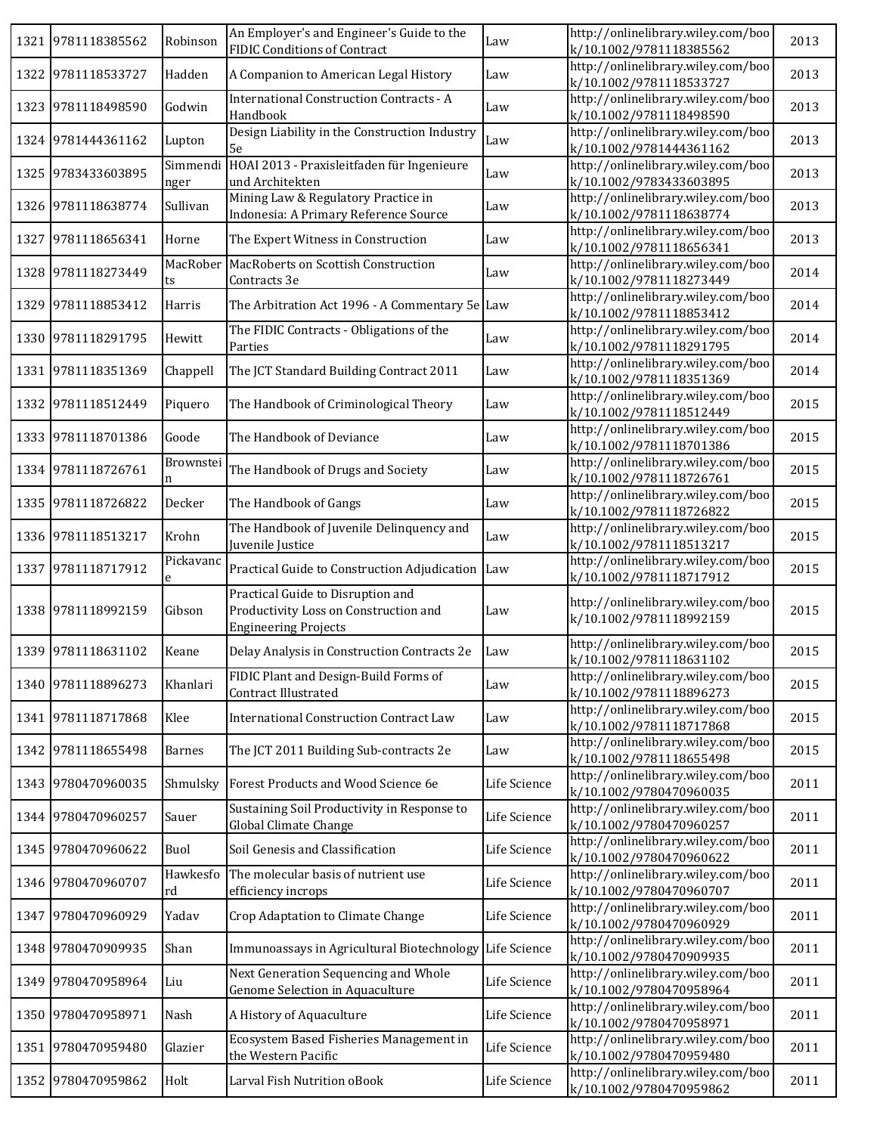|      | 1321 9781118385562 | Robinson         | An Employer's and Engineer's Guide to the<br><b>FIDIC Conditions of Contract</b>                          | Law          | http://onlinelibrary.wiley.com/boo<br>k/10.1002/9781118385562 | 2013 |
|------|--------------------|------------------|-----------------------------------------------------------------------------------------------------------|--------------|---------------------------------------------------------------|------|
|      | 1322 9781118533727 | Hadden           | A Companion to American Legal History                                                                     | Law          | http://onlinelibrary.wiley.com/boo<br>k/10.1002/9781118533727 | 2013 |
|      | 1323 9781118498590 | Godwin           | <b>International Construction Contracts - A</b><br>Handbook                                               | Law          | http://onlinelibrary.wiley.com/boo<br>k/10.1002/9781118498590 | 2013 |
|      | 1324 9781444361162 | Lupton           | Design Liability in the Construction Industry<br>5e                                                       | Law          | http://onlinelibrary.wiley.com/boo<br>k/10.1002/9781444361162 | 2013 |
| 1325 | 9783433603895      | Simmendi<br>nger | HOAI 2013 - Praxisleitfaden für Ingenieure<br>und Architekten                                             | Law          | http://onlinelibrary.wiley.com/boo<br>k/10.1002/9783433603895 | 2013 |
|      | 1326 9781118638774 | Sullivan         | Mining Law & Regulatory Practice in<br>Indonesia: A Primary Reference Source                              | Law          | http://onlinelibrary.wiley.com/boo<br>k/10.1002/9781118638774 | 2013 |
|      | 1327 9781118656341 | Horne            | The Expert Witness in Construction                                                                        | Law          | http://onlinelibrary.wiley.com/boo<br>k/10.1002/9781118656341 | 2013 |
|      | 1328 9781118273449 | MacRober<br>ts   | MacRoberts on Scottish Construction<br>Contracts 3e                                                       | Law          | http://onlinelibrary.wiley.com/boo<br>k/10.1002/9781118273449 | 2014 |
| 1329 | 9781118853412      | Harris           | The Arbitration Act 1996 - A Commentary 5e Law                                                            |              | http://onlinelibrary.wiley.com/boo<br>k/10.1002/9781118853412 | 2014 |
|      | 1330 9781118291795 | Hewitt           | The FIDIC Contracts - Obligations of the<br>Parties                                                       | Law          | http://onlinelibrary.wiley.com/boo<br>k/10.1002/9781118291795 | 2014 |
|      | 1331 9781118351369 | Chappell         | The JCT Standard Building Contract 2011                                                                   | Law          | http://onlinelibrary.wiley.com/boo<br>k/10.1002/9781118351369 | 2014 |
| 1332 | 9781118512449      | Piquero          | The Handbook of Criminological Theory                                                                     | Law          | http://onlinelibrary.wiley.com/boo<br>k/10.1002/9781118512449 | 2015 |
|      | 1333 9781118701386 | Goode            | The Handbook of Deviance                                                                                  | Law          | http://onlinelibrary.wiley.com/boo<br>k/10.1002/9781118701386 | 2015 |
|      | 1334 9781118726761 | Brownstei        | The Handbook of Drugs and Society                                                                         | Law          | http://onlinelibrary.wiley.com/boo<br>k/10.1002/9781118726761 | 2015 |
|      | 1335 9781118726822 | Decker           | The Handbook of Gangs                                                                                     | Law          | http://onlinelibrary.wiley.com/boo<br>k/10.1002/9781118726822 | 2015 |
|      | 1336 9781118513217 | Krohn            | The Handbook of Juvenile Delinquency and<br>Juvenile Justice                                              | Law          | http://onlinelibrary.wiley.com/boo<br>k/10.1002/9781118513217 | 2015 |
| 1337 | 9781118717912      | Pickavanc<br>e   | Practical Guide to Construction Adjudication                                                              | Law          | http://onlinelibrary.wiley.com/boo<br>k/10.1002/9781118717912 | 2015 |
| 1338 | 9781118992159      | Gibson           | Practical Guide to Disruption and<br>Productivity Loss on Construction and<br><b>Engineering Projects</b> | Law          | http://onlinelibrary.wiley.com/boo<br>k/10.1002/9781118992159 | 2015 |
|      | 1339 9781118631102 | Keane            | Delay Analysis in Construction Contracts 2e                                                               | Law          | http://onlinelibrary.wiley.com/boo<br>k/10.1002/9781118631102 | 2015 |
|      | 1340 9781118896273 | Khanlari         | FIDIC Plant and Design-Build Forms of<br>Contract Illustrated                                             | Law          | http://onlinelibrary.wiley.com/boo<br>k/10.1002/9781118896273 | 2015 |
|      | 1341 9781118717868 | Klee             | <b>International Construction Contract Law</b>                                                            | Law          | http://onlinelibrary.wiley.com/boo<br>k/10.1002/9781118717868 | 2015 |
|      | 1342 9781118655498 | <b>Barnes</b>    | The JCT 2011 Building Sub-contracts 2e                                                                    | Law          | http://onlinelibrary.wiley.com/boo<br>k/10.1002/9781118655498 | 2015 |
|      | 1343 9780470960035 | Shmulsky         | Forest Products and Wood Science 6e                                                                       | Life Science | http://onlinelibrary.wiley.com/boo<br>k/10.1002/9780470960035 | 2011 |
|      | 1344 9780470960257 | Sauer            | Sustaining Soil Productivity in Response to<br>Global Climate Change                                      | Life Science | http://onlinelibrary.wiley.com/boo<br>k/10.1002/9780470960257 | 2011 |
|      | 1345 9780470960622 | Buol             | Soil Genesis and Classification                                                                           | Life Science | http://onlinelibrary.wiley.com/boo<br>k/10.1002/9780470960622 | 2011 |
|      | 1346 9780470960707 | Hawkesfo<br>rd   | The molecular basis of nutrient use<br>efficiency incrops                                                 | Life Science | http://onlinelibrary.wiley.com/boo<br>k/10.1002/9780470960707 | 2011 |
| 1347 | 9780470960929      | Yadav            | Crop Adaptation to Climate Change                                                                         | Life Science | http://onlinelibrary.wiley.com/boo<br>k/10.1002/9780470960929 | 2011 |
|      | 1348 9780470909935 | Shan             | Immunoassays in Agricultural Biotechnology                                                                | Life Science | http://onlinelibrary.wiley.com/boo<br>k/10.1002/9780470909935 | 2011 |
| 1349 | 9780470958964      | Liu              | Next Generation Sequencing and Whole<br>Genome Selection in Aquaculture                                   | Life Science | http://onlinelibrary.wiley.com/boo<br>k/10.1002/9780470958964 | 2011 |
| 1350 | 9780470958971      | Nash             | A History of Aquaculture                                                                                  | Life Science | http://onlinelibrary.wiley.com/boo<br>k/10.1002/9780470958971 | 2011 |
|      | 1351 9780470959480 | Glazier          | Ecosystem Based Fisheries Management in<br>the Western Pacific                                            | Life Science | http://onlinelibrary.wiley.com/boo<br>k/10.1002/9780470959480 | 2011 |
| 1352 | 9780470959862      | Holt             | Larval Fish Nutrition oBook                                                                               | Life Science | http://onlinelibrary.wiley.com/boo<br>k/10.1002/9780470959862 | 2011 |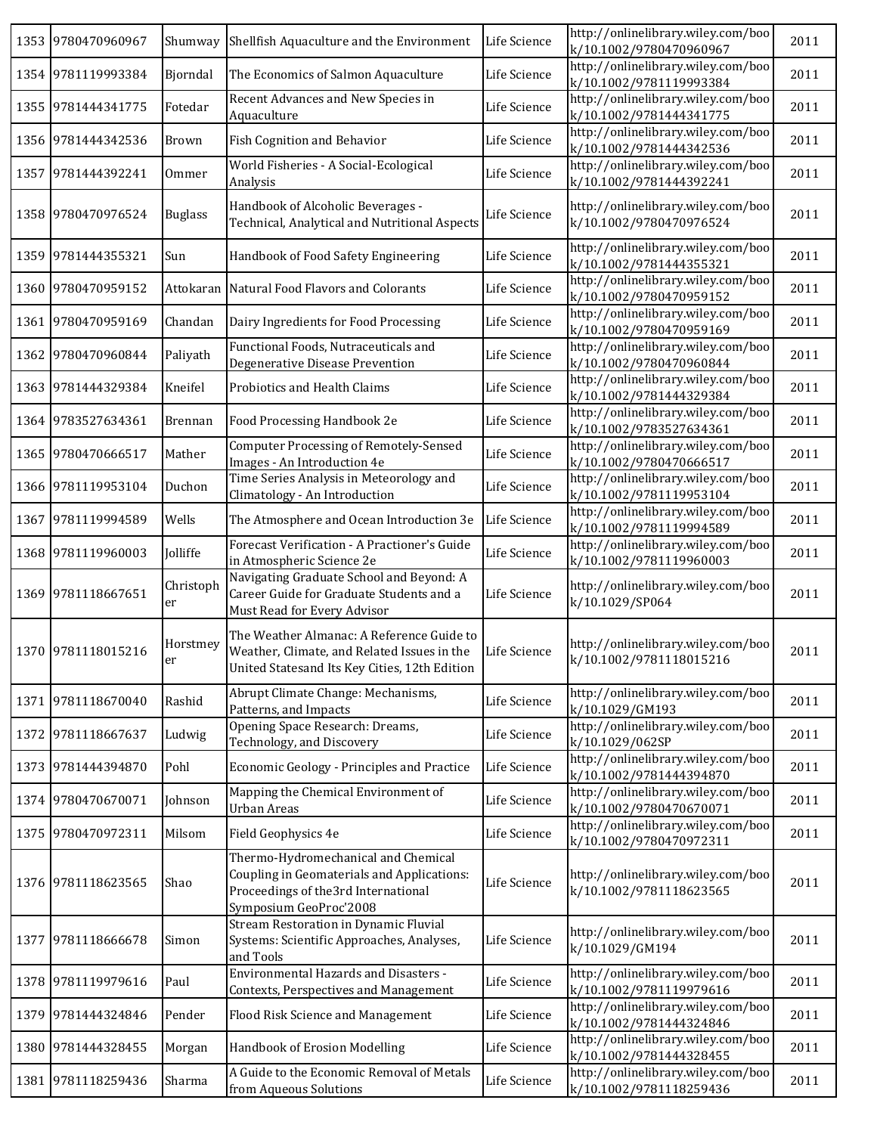|      | 1353 9780470960967 | Shumway         | Shellfish Aquaculture and the Environment                                                                                                           | Life Science | http://onlinelibrary.wiley.com/boo<br>k/10.1002/9780470960967 | 2011 |
|------|--------------------|-----------------|-----------------------------------------------------------------------------------------------------------------------------------------------------|--------------|---------------------------------------------------------------|------|
|      | 1354 9781119993384 | Bjorndal        | The Economics of Salmon Aquaculture                                                                                                                 | Life Science | http://onlinelibrary.wiley.com/boo<br>k/10.1002/9781119993384 | 2011 |
|      | 1355 9781444341775 | Fotedar         | Recent Advances and New Species in<br>Aquaculture                                                                                                   | Life Science | http://onlinelibrary.wiley.com/boo<br>k/10.1002/9781444341775 | 2011 |
|      | 1356 9781444342536 | Brown           | Fish Cognition and Behavior                                                                                                                         | Life Science | http://onlinelibrary.wiley.com/boo<br>k/10.1002/9781444342536 | 2011 |
| 1357 | 9781444392241      | Ommer           | World Fisheries - A Social-Ecological<br>Analysis                                                                                                   | Life Science | http://onlinelibrary.wiley.com/boo<br>k/10.1002/9781444392241 | 2011 |
|      | 1358 9780470976524 | <b>Buglass</b>  | Handbook of Alcoholic Beverages -<br>Technical, Analytical and Nutritional Aspects                                                                  | Life Science | http://onlinelibrary.wiley.com/boo<br>k/10.1002/9780470976524 | 2011 |
|      | 1359 9781444355321 | Sun             | Handbook of Food Safety Engineering                                                                                                                 | Life Science | http://onlinelibrary.wiley.com/boo<br>k/10.1002/9781444355321 | 2011 |
|      | 1360 9780470959152 |                 | Attokaran Natural Food Flavors and Colorants                                                                                                        | Life Science | http://onlinelibrary.wiley.com/boo<br>k/10.1002/9780470959152 | 2011 |
|      | 1361 9780470959169 | Chandan         | Dairy Ingredients for Food Processing                                                                                                               | Life Science | http://onlinelibrary.wiley.com/boo<br>k/10.1002/9780470959169 | 2011 |
| 1362 | 9780470960844      | Paliyath        | Functional Foods, Nutraceuticals and<br>Degenerative Disease Prevention                                                                             | Life Science | http://onlinelibrary.wiley.com/boo<br>k/10.1002/9780470960844 | 2011 |
| 1363 | 9781444329384      | Kneifel         | Probiotics and Health Claims                                                                                                                        | Life Science | http://onlinelibrary.wiley.com/boo<br>k/10.1002/9781444329384 | 2011 |
|      | 1364 9783527634361 | Brennan         | Food Processing Handbook 2e                                                                                                                         | Life Science | http://onlinelibrary.wiley.com/boo<br>k/10.1002/9783527634361 | 2011 |
| 1365 | 9780470666517      | Mather          | Computer Processing of Remotely-Sensed<br>Images - An Introduction 4e                                                                               | Life Science | http://onlinelibrary.wiley.com/boo<br>k/10.1002/9780470666517 | 2011 |
|      | 1366 9781119953104 | Duchon          | Time Series Analysis in Meteorology and<br>Climatology - An Introduction                                                                            | Life Science | http://onlinelibrary.wiley.com/boo<br>k/10.1002/9781119953104 | 2011 |
|      | 1367 9781119994589 | Wells           | The Atmosphere and Ocean Introduction 3e                                                                                                            | Life Science | http://onlinelibrary.wiley.com/boo<br>k/10.1002/9781119994589 | 2011 |
|      | 1368 9781119960003 | Jolliffe        | Forecast Verification - A Practioner's Guide<br>in Atmospheric Science 2e                                                                           | Life Science | http://onlinelibrary.wiley.com/boo<br>k/10.1002/9781119960003 | 2011 |
|      | 1369 9781118667651 | Christoph<br>er | Navigating Graduate School and Beyond: A<br>Career Guide for Graduate Students and a<br>Must Read for Every Advisor                                 | Life Science | http://onlinelibrary.wiley.com/boo<br>k/10.1029/SP064         | 2011 |
|      | 1370 9781118015216 | Horstmey<br>er  | The Weather Almanac: A Reference Guide to<br>Weather, Climate, and Related Issues in the<br>United Statesand Its Key Cities, 12th Edition           | Life Science | http://onlinelibrary.wiley.com/boo<br>k/10.1002/9781118015216 | 2011 |
|      | 1371 9781118670040 | Rashid          | Abrupt Climate Change: Mechanisms,<br>Patterns, and Impacts                                                                                         | Life Science | http://onlinelibrary.wiley.com/boo<br>k/10.1029/GM193         | 2011 |
|      | 1372 9781118667637 | Ludwig          | Opening Space Research: Dreams,<br>Technology, and Discovery                                                                                        | Life Science | http://onlinelibrary.wiley.com/boo<br>k/10.1029/062SP         | 2011 |
|      | 1373 9781444394870 | Pohl            | Economic Geology - Principles and Practice                                                                                                          | Life Science | http://onlinelibrary.wiley.com/boo<br>k/10.1002/9781444394870 | 2011 |
|      | 1374 9780470670071 | Johnson         | Mapping the Chemical Environment of<br>Urban Areas                                                                                                  | Life Science | http://onlinelibrary.wiley.com/boo<br>k/10.1002/9780470670071 | 2011 |
|      | 1375 9780470972311 | Milsom          | Field Geophysics 4e                                                                                                                                 | Life Science | http://onlinelibrary.wiley.com/boo<br>k/10.1002/9780470972311 | 2011 |
|      | 1376 9781118623565 | Shao            | Thermo-Hydromechanical and Chemical<br>Coupling in Geomaterials and Applications:<br>Proceedings of the 3rd International<br>Symposium GeoProc'2008 | Life Science | http://onlinelibrary.wiley.com/boo<br>k/10.1002/9781118623565 | 2011 |
|      | 1377 9781118666678 | Simon           | Stream Restoration in Dynamic Fluvial<br>Systems: Scientific Approaches, Analyses,<br>and Tools                                                     | Life Science | http://onlinelibrary.wiley.com/boo<br>k/10.1029/GM194         | 2011 |
| 1378 | 9781119979616      | Paul            | Environmental Hazards and Disasters -<br>Contexts, Perspectives and Management                                                                      | Life Science | http://onlinelibrary.wiley.com/boo<br>k/10.1002/9781119979616 | 2011 |
| 1379 | 9781444324846      | Pender          | Flood Risk Science and Management                                                                                                                   | Life Science | http://onlinelibrary.wiley.com/boo<br>k/10.1002/9781444324846 | 2011 |
|      | 1380 9781444328455 | Morgan          | Handbook of Erosion Modelling                                                                                                                       | Life Science | http://onlinelibrary.wiley.com/boo<br>k/10.1002/9781444328455 | 2011 |
|      | 1381 9781118259436 | Sharma          | A Guide to the Economic Removal of Metals<br>from Aqueous Solutions                                                                                 | Life Science | http://onlinelibrary.wiley.com/boo<br>k/10.1002/9781118259436 | 2011 |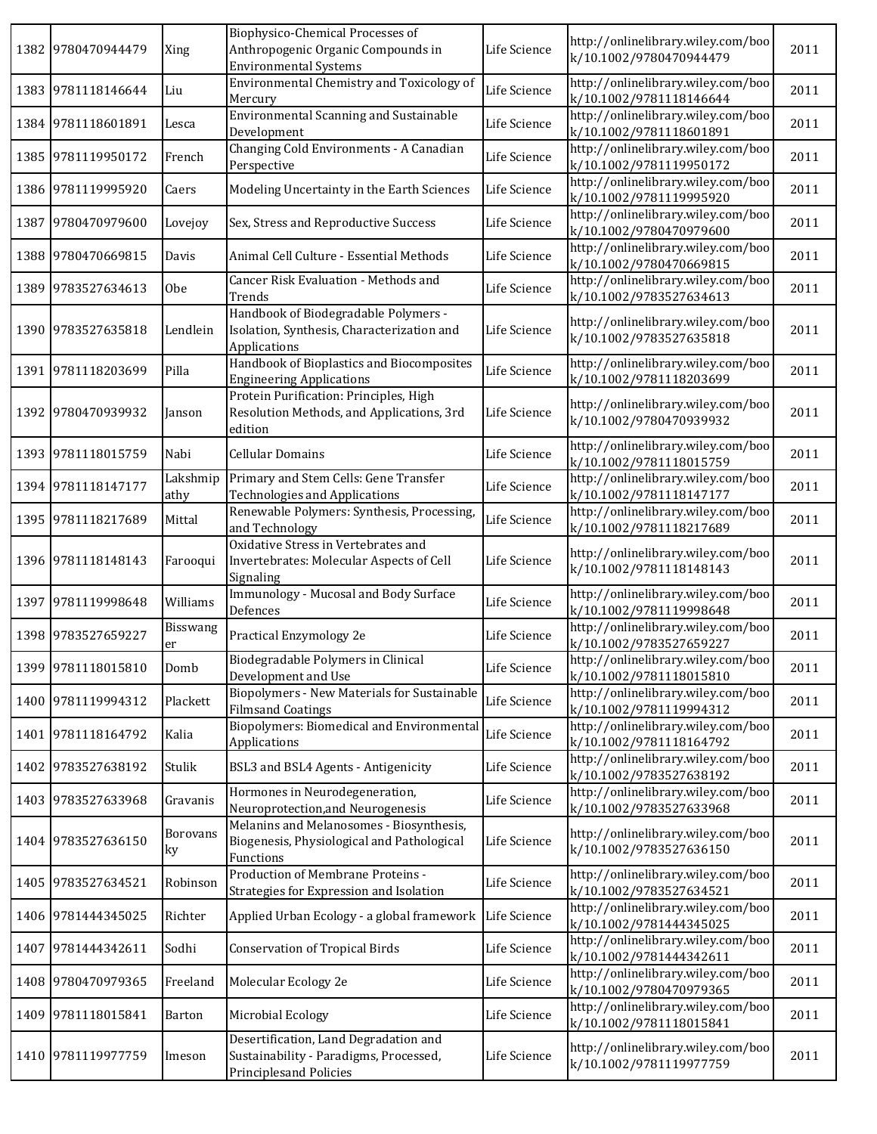| 1382 9780470944479 | Xing                  | Biophysico-Chemical Processes of<br>Anthropogenic Organic Compounds in<br><b>Environmental Systems</b>    | Life Science | http://onlinelibrary.wiley.com/boo<br>k/10.1002/9780470944479 | 2011 |
|--------------------|-----------------------|-----------------------------------------------------------------------------------------------------------|--------------|---------------------------------------------------------------|------|
| 1383 9781118146644 | Liu                   | Environmental Chemistry and Toxicology of<br>Mercury                                                      | Life Science | http://onlinelibrary.wiley.com/boo<br>k/10.1002/9781118146644 | 2011 |
| 1384 9781118601891 | Lesca                 | <b>Environmental Scanning and Sustainable</b><br>Development                                              | Life Science | http://onlinelibrary.wiley.com/boo<br>k/10.1002/9781118601891 | 2011 |
| 1385 9781119950172 | French                | Changing Cold Environments - A Canadian<br>Perspective                                                    | Life Science | http://onlinelibrary.wiley.com/boo<br>k/10.1002/9781119950172 | 2011 |
| 1386 9781119995920 | Caers                 | Modeling Uncertainty in the Earth Sciences                                                                | Life Science | http://onlinelibrary.wiley.com/boo<br>k/10.1002/9781119995920 | 2011 |
| 1387 9780470979600 | Lovejoy               | Sex, Stress and Reproductive Success                                                                      | Life Science | http://onlinelibrary.wiley.com/boo<br>k/10.1002/9780470979600 | 2011 |
| 1388 9780470669815 | Davis                 | Animal Cell Culture - Essential Methods                                                                   | Life Science | http://onlinelibrary.wiley.com/boo<br>k/10.1002/9780470669815 | 2011 |
| 1389 9783527634613 | 0 <sub>be</sub>       | Cancer Risk Evaluation - Methods and<br>Trends                                                            | Life Science | http://onlinelibrary.wiley.com/boo<br>k/10.1002/9783527634613 | 2011 |
| 1390 9783527635818 | Lendlein              | Handbook of Biodegradable Polymers -<br>Isolation, Synthesis, Characterization and<br>Applications        | Life Science | http://onlinelibrary.wiley.com/boo<br>k/10.1002/9783527635818 | 2011 |
| 1391 9781118203699 | Pilla                 | Handbook of Bioplastics and Biocomposites<br><b>Engineering Applications</b>                              | Life Science | http://onlinelibrary.wiley.com/boo<br>k/10.1002/9781118203699 | 2011 |
| 1392 9780470939932 | Janson                | Protein Purification: Principles, High<br>Resolution Methods, and Applications, 3rd<br>edition            | Life Science | http://onlinelibrary.wiley.com/boo<br>k/10.1002/9780470939932 | 2011 |
| 1393 9781118015759 | Nabi                  | <b>Cellular Domains</b>                                                                                   | Life Science | http://onlinelibrary.wiley.com/boo<br>k/10.1002/9781118015759 | 2011 |
| 1394 9781118147177 | Lakshmip<br>athy      | Primary and Stem Cells: Gene Transfer<br><b>Technologies and Applications</b>                             | Life Science | http://onlinelibrary.wiley.com/boo<br>k/10.1002/9781118147177 | 2011 |
| 1395 9781118217689 | Mittal                | Renewable Polymers: Synthesis, Processing,<br>and Technology                                              | Life Science | http://onlinelibrary.wiley.com/boo<br>k/10.1002/9781118217689 | 2011 |
| 1396 9781118148143 | Farooqui              | Oxidative Stress in Vertebrates and<br>Invertebrates: Molecular Aspects of Cell<br>Signaling              | Life Science | http://onlinelibrary.wiley.com/boo<br>k/10.1002/9781118148143 | 2011 |
| 1397 9781119998648 | Williams              | Immunology - Mucosal and Body Surface<br>Defences                                                         | Life Science | http://onlinelibrary.wiley.com/boo<br>k/10.1002/9781119998648 | 2011 |
| 1398 9783527659227 | <b>Bisswang</b><br>er | Practical Enzymology 2e                                                                                   | Life Science | http://onlinelibrary.wiley.com/boo<br>k/10.1002/9783527659227 | 2011 |
| 1399 9781118015810 | Domb                  | Biodegradable Polymers in Clinical<br>Development and Use                                                 | Life Science | http://onlinelibrary.wiley.com/boo<br>k/10.1002/9781118015810 | 2011 |
| 1400 9781119994312 | Plackett              | Biopolymers - New Materials for Sustainable<br><b>Filmsand Coatings</b>                                   | Life Science | http://onlinelibrary.wiley.com/boo<br>k/10.1002/9781119994312 | 2011 |
| 1401 9781118164792 | Kalia                 | Biopolymers: Biomedical and Environmental<br>Applications                                                 | Life Science | http://onlinelibrary.wiley.com/boo<br>k/10.1002/9781118164792 | 2011 |
| 1402 9783527638192 | Stulik                | BSL3 and BSL4 Agents - Antigenicity                                                                       | Life Science | http://onlinelibrary.wiley.com/boo<br>k/10.1002/9783527638192 | 2011 |
| 1403 9783527633968 | Gravanis              | Hormones in Neurodegeneration,<br>Neuroprotection, and Neurogenesis                                       | Life Science | http://onlinelibrary.wiley.com/boo<br>k/10.1002/9783527633968 | 2011 |
| 1404 9783527636150 | <b>Borovans</b><br>ky | Melanins and Melanosomes - Biosynthesis,<br>Biogenesis, Physiological and Pathological<br>Functions       | Life Science | http://onlinelibrary.wiley.com/boo<br>k/10.1002/9783527636150 | 2011 |
| 1405 9783527634521 | Robinson              | Production of Membrane Proteins -<br>Strategies for Expression and Isolation                              | Life Science | http://onlinelibrary.wiley.com/boo<br>k/10.1002/9783527634521 | 2011 |
| 1406 9781444345025 | Richter               | Applied Urban Ecology - a global framework                                                                | Life Science | http://onlinelibrary.wiley.com/boo<br>k/10.1002/9781444345025 | 2011 |
| 1407 9781444342611 | Sodhi                 | <b>Conservation of Tropical Birds</b>                                                                     | Life Science | http://onlinelibrary.wiley.com/boo<br>k/10.1002/9781444342611 | 2011 |
| 1408 9780470979365 | Freeland              | Molecular Ecology 2e                                                                                      | Life Science | http://onlinelibrary.wiley.com/boo<br>k/10.1002/9780470979365 | 2011 |
| 1409 9781118015841 | Barton                | Microbial Ecology                                                                                         | Life Science | http://onlinelibrary.wiley.com/boo<br>k/10.1002/9781118015841 | 2011 |
| 1410 9781119977759 | Imeson                | Desertification, Land Degradation and<br>Sustainability - Paradigms, Processed,<br>Principlesand Policies | Life Science | http://onlinelibrary.wiley.com/boo<br>k/10.1002/9781119977759 | 2011 |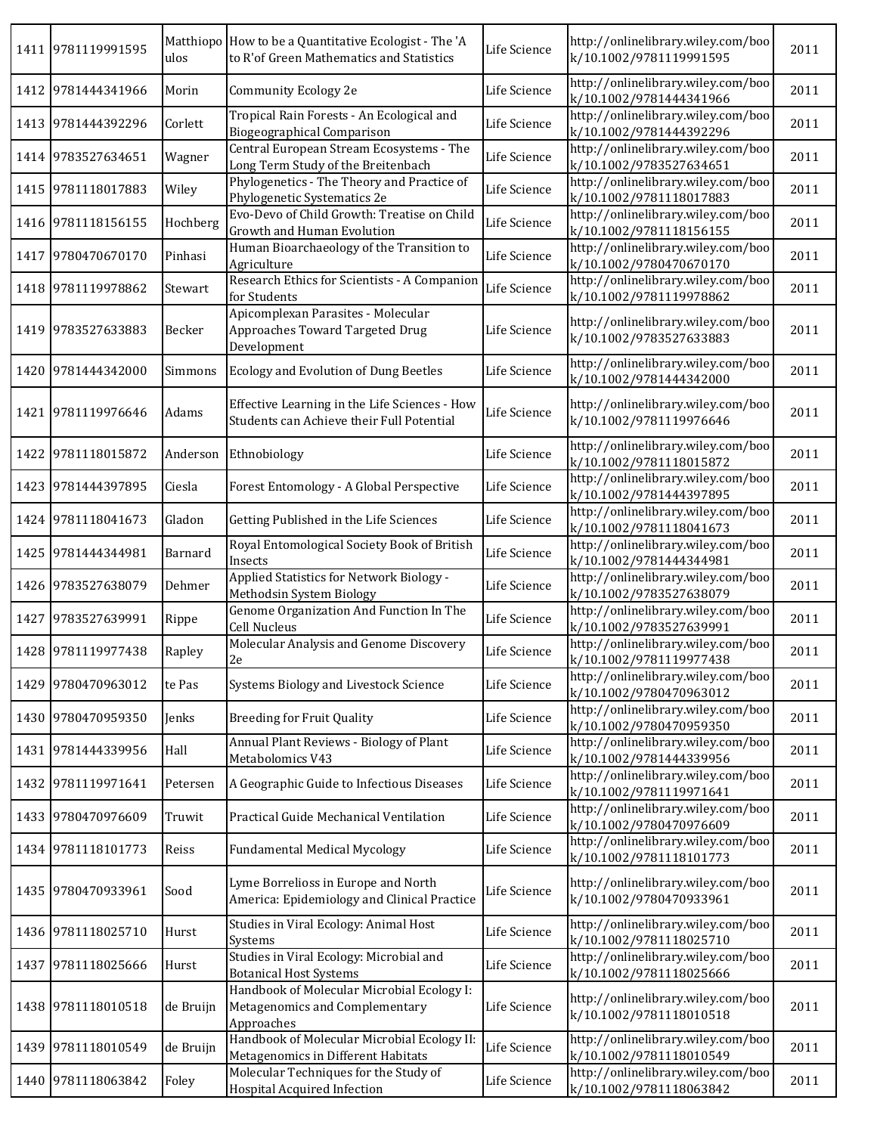|      | 1411 9781119991595 | ulos      | Matthiopo How to be a Quantitative Ecologist - The 'A<br>to R'of Green Mathematics and Statistics | Life Science | http://onlinelibrary.wiley.com/boo<br>k/10.1002/9781119991595 | 2011 |
|------|--------------------|-----------|---------------------------------------------------------------------------------------------------|--------------|---------------------------------------------------------------|------|
|      | 1412 9781444341966 | Morin     | Community Ecology 2e                                                                              | Life Science | http://onlinelibrary.wiley.com/boo<br>k/10.1002/9781444341966 | 2011 |
|      | 1413 9781444392296 | Corlett   | Tropical Rain Forests - An Ecological and<br><b>Biogeographical Comparison</b>                    | Life Science | http://onlinelibrary.wiley.com/boo<br>k/10.1002/9781444392296 | 2011 |
|      | 1414 9783527634651 | Wagner    | Central European Stream Ecosystems - The<br>Long Term Study of the Breitenbach                    | Life Science | http://onlinelibrary.wiley.com/boo<br>k/10.1002/9783527634651 | 2011 |
|      | 1415 9781118017883 | Wiley     | Phylogenetics - The Theory and Practice of<br>Phylogenetic Systematics 2e                         | Life Science | http://onlinelibrary.wiley.com/boo<br>k/10.1002/9781118017883 | 2011 |
|      | 1416 9781118156155 | Hochberg  | Evo-Devo of Child Growth: Treatise on Child<br>Growth and Human Evolution                         | Life Science | http://onlinelibrary.wiley.com/boo<br>k/10.1002/9781118156155 | 2011 |
|      | 1417 9780470670170 | Pinhasi   | Human Bioarchaeology of the Transition to<br>Agriculture                                          | Life Science | http://onlinelibrary.wiley.com/boo<br>k/10.1002/9780470670170 | 2011 |
|      | 1418 9781119978862 | Stewart   | Research Ethics for Scientists - A Companion<br>for Students                                      | Life Science | http://onlinelibrary.wiley.com/boo<br>k/10.1002/9781119978862 | 2011 |
|      | 1419 9783527633883 | Becker    | Apicomplexan Parasites - Molecular<br>Approaches Toward Targeted Drug<br>Development              | Life Science | http://onlinelibrary.wiley.com/boo<br>k/10.1002/9783527633883 | 2011 |
|      | 1420 9781444342000 | Simmons   | Ecology and Evolution of Dung Beetles                                                             | Life Science | http://onlinelibrary.wiley.com/boo<br>k/10.1002/9781444342000 | 2011 |
| 1421 | 9781119976646      | Adams     | Effective Learning in the Life Sciences - How<br>Students can Achieve their Full Potential        | Life Science | http://onlinelibrary.wiley.com/boo<br>k/10.1002/9781119976646 | 2011 |
|      | 1422 9781118015872 |           | Anderson Ethnobiology                                                                             | Life Science | http://onlinelibrary.wiley.com/boo<br>k/10.1002/9781118015872 | 2011 |
|      | 1423 9781444397895 | Ciesla    | Forest Entomology - A Global Perspective                                                          | Life Science | http://onlinelibrary.wiley.com/boo<br>k/10.1002/9781444397895 | 2011 |
|      | 1424 9781118041673 | Gladon    | Getting Published in the Life Sciences                                                            | Life Science | http://onlinelibrary.wiley.com/boo<br>k/10.1002/9781118041673 | 2011 |
|      | 1425 9781444344981 | Barnard   | Royal Entomological Society Book of British<br>Insects                                            | Life Science | http://onlinelibrary.wiley.com/boo<br>k/10.1002/9781444344981 | 2011 |
|      | 1426 9783527638079 | Dehmer    | Applied Statistics for Network Biology -<br><b>Methodsin System Biology</b>                       | Life Science | http://onlinelibrary.wiley.com/boo<br>k/10.1002/9783527638079 | 2011 |
| 1427 | 9783527639991      | Rippe     | Genome Organization And Function In The<br>Cell Nucleus                                           | Life Science | http://onlinelibrary.wiley.com/boo<br>k/10.1002/9783527639991 | 2011 |
|      | 1428 9781119977438 | Rapley    | Molecular Analysis and Genome Discovery<br>$2\mathrm{e}$                                          | Life Science | http://onlinelibrary.wiley.com/boo<br>k/10.1002/9781119977438 | 2011 |
|      | 1429 9780470963012 | te Pas    | Systems Biology and Livestock Science                                                             | Life Science | http://onlinelibrary.wiley.com/boo<br>k/10.1002/9780470963012 | 2011 |
|      | 1430 9780470959350 | Jenks     | <b>Breeding for Fruit Quality</b>                                                                 | Life Science | http://onlinelibrary.wiley.com/boo<br>k/10.1002/9780470959350 | 2011 |
|      | 1431 9781444339956 | Hall      | Annual Plant Reviews - Biology of Plant<br>Metabolomics V43                                       | Life Science | http://onlinelibrary.wiley.com/boo<br>k/10.1002/9781444339956 | 2011 |
|      | 1432 9781119971641 | Petersen  | A Geographic Guide to Infectious Diseases                                                         | Life Science | http://onlinelibrary.wiley.com/boo<br>k/10.1002/9781119971641 | 2011 |
|      | 1433 9780470976609 | Truwit    | Practical Guide Mechanical Ventilation                                                            | Life Science | http://onlinelibrary.wiley.com/boo<br>k/10.1002/9780470976609 | 2011 |
|      | 1434 9781118101773 | Reiss     | Fundamental Medical Mycology                                                                      | Life Science | http://onlinelibrary.wiley.com/boo<br>k/10.1002/9781118101773 | 2011 |
|      | 1435 9780470933961 | Sood      | Lyme Borrelioss in Europe and North<br>America: Epidemiology and Clinical Practice                | Life Science | http://onlinelibrary.wiley.com/boo<br>k/10.1002/9780470933961 | 2011 |
|      | 1436 9781118025710 | Hurst     | Studies in Viral Ecology: Animal Host<br>Systems                                                  | Life Science | http://onlinelibrary.wiley.com/boo<br>k/10.1002/9781118025710 | 2011 |
| 1437 | 9781118025666      | Hurst     | Studies in Viral Ecology: Microbial and<br><b>Botanical Host Systems</b>                          | Life Science | http://onlinelibrary.wiley.com/boo<br>k/10.1002/9781118025666 | 2011 |
|      | 1438 9781118010518 | de Bruijn | Handbook of Molecular Microbial Ecology I:<br>Metagenomics and Complementary<br>Approaches        | Life Science | http://onlinelibrary.wiley.com/boo<br>k/10.1002/9781118010518 | 2011 |
|      | 1439 9781118010549 | de Bruijn | Handbook of Molecular Microbial Ecology II:<br>Metagenomics in Different Habitats                 | Life Science | http://onlinelibrary.wiley.com/boo<br>k/10.1002/9781118010549 | 2011 |
|      | 1440 9781118063842 | Foley     | Molecular Techniques for the Study of<br>Hospital Acquired Infection                              | Life Science | http://onlinelibrary.wiley.com/boo<br>k/10.1002/9781118063842 | 2011 |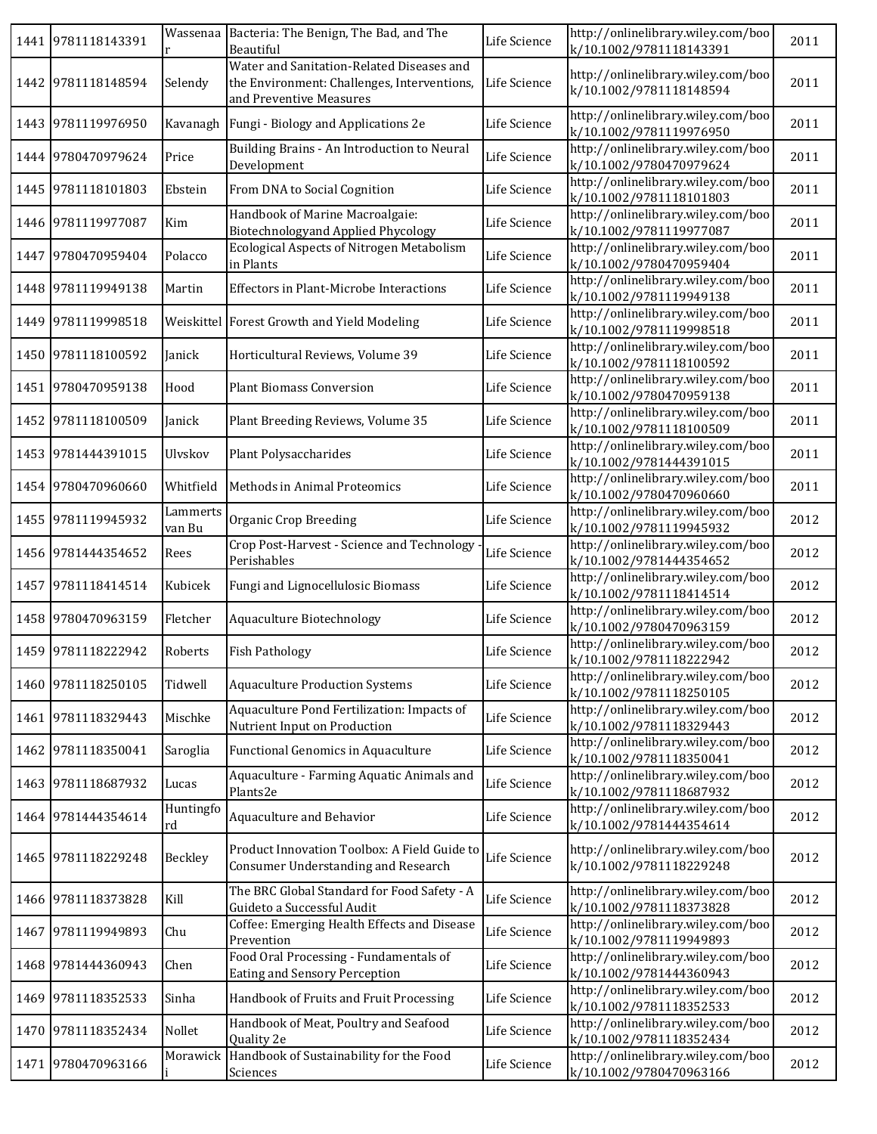|      | 1441 9781118143391 |                    | Wassenaa Bacteria: The Benign, The Bad, and The<br>Beautiful                                                        | Life Science | http://onlinelibrary.wiley.com/boo<br>k/10.1002/9781118143391 | 2011 |
|------|--------------------|--------------------|---------------------------------------------------------------------------------------------------------------------|--------------|---------------------------------------------------------------|------|
|      | 1442 9781118148594 | Selendy            | Water and Sanitation-Related Diseases and<br>the Environment: Challenges, Interventions,<br>and Preventive Measures | Life Science | http://onlinelibrary.wiley.com/boo<br>k/10.1002/9781118148594 | 2011 |
|      | 1443 9781119976950 | Kavanagh           | Fungi - Biology and Applications 2e                                                                                 | Life Science | http://onlinelibrary.wiley.com/boo<br>k/10.1002/9781119976950 | 2011 |
|      | 1444 9780470979624 | Price              | Building Brains - An Introduction to Neural<br>Development                                                          | Life Science | http://onlinelibrary.wiley.com/boo<br>k/10.1002/9780470979624 | 2011 |
|      | 1445 9781118101803 | Ebstein            | From DNA to Social Cognition                                                                                        | Life Science | http://onlinelibrary.wiley.com/boo<br>k/10.1002/9781118101803 | 2011 |
|      | 1446 9781119977087 | Kim                | Handbook of Marine Macroalgaie:<br><b>Biotechnologyand Applied Phycology</b>                                        | Life Science | http://onlinelibrary.wiley.com/boo<br>k/10.1002/9781119977087 | 2011 |
|      | 1447 9780470959404 | Polacco            | Ecological Aspects of Nitrogen Metabolism<br>in Plants                                                              | Life Science | http://onlinelibrary.wiley.com/boo<br>k/10.1002/9780470959404 | 2011 |
|      | 1448 9781119949138 | Martin             | <b>Effectors in Plant-Microbe Interactions</b>                                                                      | Life Science | http://onlinelibrary.wiley.com/boo<br>k/10.1002/9781119949138 | 2011 |
| 1449 | 9781119998518      |                    | Weiskittel Forest Growth and Yield Modeling                                                                         | Life Science | http://onlinelibrary.wiley.com/boo<br>k/10.1002/9781119998518 | 2011 |
| 1450 | 9781118100592      | Janick             | Horticultural Reviews, Volume 39                                                                                    | Life Science | http://onlinelibrary.wiley.com/boo<br>k/10.1002/9781118100592 | 2011 |
|      | 1451 9780470959138 | Hood               | <b>Plant Biomass Conversion</b>                                                                                     | Life Science | http://onlinelibrary.wiley.com/boo<br>k/10.1002/9780470959138 | 2011 |
| 1452 | 9781118100509      | Janick             | Plant Breeding Reviews, Volume 35                                                                                   | Life Science | http://onlinelibrary.wiley.com/boo<br>k/10.1002/9781118100509 | 2011 |
|      | 1453 9781444391015 | Ulvskov            | Plant Polysaccharides                                                                                               | Life Science | http://onlinelibrary.wiley.com/boo<br>k/10.1002/9781444391015 | 2011 |
|      | 1454 9780470960660 | Whitfield          | Methods in Animal Proteomics                                                                                        | Life Science | http://onlinelibrary.wiley.com/boo<br>k/10.1002/9780470960660 | 2011 |
|      | 1455 9781119945932 | Lammerts<br>van Bu | Organic Crop Breeding                                                                                               | Life Science | http://onlinelibrary.wiley.com/boo<br>k/10.1002/9781119945932 | 2012 |
|      | 1456 9781444354652 | Rees               | Crop Post-Harvest - Science and Technology<br>Perishables                                                           | Life Science | http://onlinelibrary.wiley.com/boo<br>k/10.1002/9781444354652 | 2012 |
| 1457 | 9781118414514      | Kubicek            | Fungi and Lignocellulosic Biomass                                                                                   | Life Science | http://onlinelibrary.wiley.com/boo<br>k/10.1002/9781118414514 | 2012 |
|      | 1458 9780470963159 | Fletcher           | Aquaculture Biotechnology                                                                                           | Life Science | http://onlinelibrary.wiley.com/boo<br>k/10.1002/9780470963159 | 2012 |
|      | 1459 9781118222942 | Roberts            | <b>Fish Pathology</b>                                                                                               | Life Science | http://onlinelibrary.wiley.com/boo<br>k/10.1002/9781118222942 | 2012 |
|      | 1460 9781118250105 | Tidwell            | <b>Aquaculture Production Systems</b>                                                                               | Life Science | http://onlinelibrary.wiley.com/boo<br>k/10.1002/9781118250105 | 2012 |
|      | 1461 9781118329443 | Mischke            | Aquaculture Pond Fertilization: Impacts of<br>Nutrient Input on Production                                          | Life Science | http://onlinelibrary.wiley.com/boo<br>k/10.1002/9781118329443 | 2012 |
|      | 1462 9781118350041 | Saroglia           | Functional Genomics in Aquaculture                                                                                  | Life Science | http://onlinelibrary.wiley.com/boo<br>k/10.1002/9781118350041 | 2012 |
|      | 1463 9781118687932 | Lucas              | Aquaculture - Farming Aquatic Animals and<br>Plants2e                                                               | Life Science | http://onlinelibrary.wiley.com/boo<br>k/10.1002/9781118687932 | 2012 |
| 1464 | 9781444354614      | Huntingfo<br>rd    | Aquaculture and Behavior                                                                                            | Life Science | http://onlinelibrary.wiley.com/boo<br>k/10.1002/9781444354614 | 2012 |
|      | 1465 9781118229248 | Beckley            | Product Innovation Toolbox: A Field Guide to<br>Consumer Understanding and Research                                 | Life Science | http://onlinelibrary.wiley.com/boo<br>k/10.1002/9781118229248 | 2012 |
|      | 1466 9781118373828 | Kill               | The BRC Global Standard for Food Safety - A<br>Guideto a Successful Audit                                           | Life Science | http://onlinelibrary.wiley.com/boo<br>k/10.1002/9781118373828 | 2012 |
| 1467 | 9781119949893      | Chu                | Coffee: Emerging Health Effects and Disease<br>Prevention                                                           | Life Science | http://onlinelibrary.wiley.com/boo<br>k/10.1002/9781119949893 | 2012 |
| 1468 | 9781444360943      | Chen               | Food Oral Processing - Fundamentals of<br>Eating and Sensory Perception                                             | Life Science | http://onlinelibrary.wiley.com/boo<br>k/10.1002/9781444360943 | 2012 |
| 1469 | 9781118352533      | Sinha              | Handbook of Fruits and Fruit Processing                                                                             | Life Science | http://onlinelibrary.wiley.com/boo<br>k/10.1002/9781118352533 | 2012 |
| 1470 | 9781118352434      | Nollet             | Handbook of Meat, Poultry and Seafood<br>Quality 2e                                                                 | Life Science | http://onlinelibrary.wiley.com/boo<br>k/10.1002/9781118352434 | 2012 |
|      | 1471 9780470963166 | Morawick           | Handbook of Sustainability for the Food<br>Sciences                                                                 | Life Science | http://onlinelibrary.wiley.com/boo<br>k/10.1002/9780470963166 | 2012 |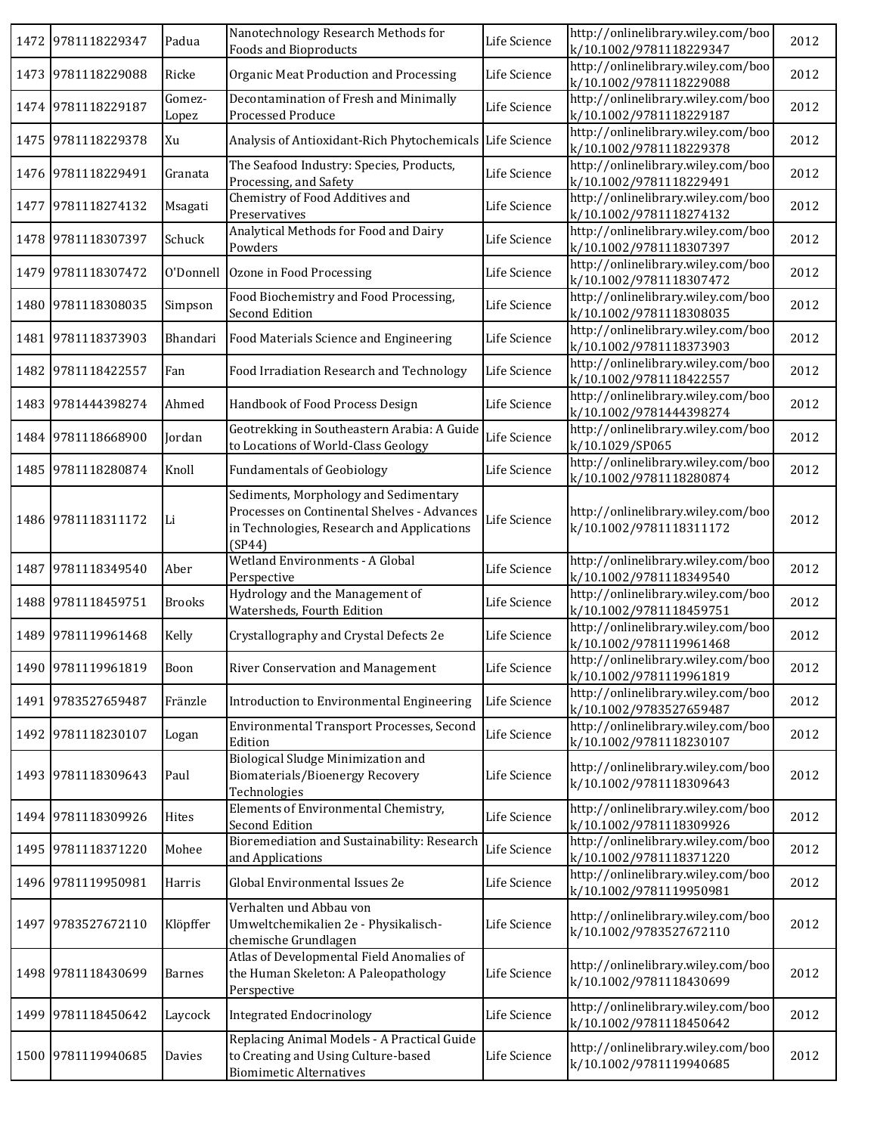|      | 1472 9781118229347 | Padua           | Nanotechnology Research Methods for<br>Foods and Bioproducts                                                                                 | Life Science | http://onlinelibrary.wiley.com/boo<br>k/10.1002/9781118229347 | 2012 |
|------|--------------------|-----------------|----------------------------------------------------------------------------------------------------------------------------------------------|--------------|---------------------------------------------------------------|------|
|      | 1473 9781118229088 | Ricke           | Organic Meat Production and Processing                                                                                                       | Life Science | http://onlinelibrary.wiley.com/boo<br>k/10.1002/9781118229088 | 2012 |
|      | 1474 9781118229187 | Gomez-<br>Lopez | Decontamination of Fresh and Minimally<br>Processed Produce                                                                                  | Life Science | http://onlinelibrary.wiley.com/boo<br>k/10.1002/9781118229187 | 2012 |
|      | 1475 9781118229378 | Xu              | Analysis of Antioxidant-Rich Phytochemicals                                                                                                  | Life Science | http://onlinelibrary.wiley.com/boo<br>k/10.1002/9781118229378 | 2012 |
|      | 1476 9781118229491 | Granata         | The Seafood Industry: Species, Products,<br>Processing, and Safety                                                                           | Life Science | http://onlinelibrary.wiley.com/boo<br>k/10.1002/9781118229491 | 2012 |
|      | 1477 9781118274132 | Msagati         | Chemistry of Food Additives and<br>Preservatives                                                                                             | Life Science | http://onlinelibrary.wiley.com/boo<br>k/10.1002/9781118274132 | 2012 |
|      | 1478 9781118307397 | Schuck          | Analytical Methods for Food and Dairy<br>Powders                                                                                             | Life Science | http://onlinelibrary.wiley.com/boo<br>k/10.1002/9781118307397 | 2012 |
| 1479 | 9781118307472      | O'Donnell       | Ozone in Food Processing                                                                                                                     | Life Science | http://onlinelibrary.wiley.com/boo<br>k/10.1002/9781118307472 | 2012 |
|      | 1480 9781118308035 | Simpson         | Food Biochemistry and Food Processing,<br>Second Edition                                                                                     | Life Science | http://onlinelibrary.wiley.com/boo<br>k/10.1002/9781118308035 | 2012 |
|      | 1481 9781118373903 | Bhandari        | Food Materials Science and Engineering                                                                                                       | Life Science | http://onlinelibrary.wiley.com/boo<br>k/10.1002/9781118373903 | 2012 |
| 1482 | 9781118422557      | Fan             | Food Irradiation Research and Technology                                                                                                     | Life Science | http://onlinelibrary.wiley.com/boo<br>k/10.1002/9781118422557 | 2012 |
|      | 1483 9781444398274 | Ahmed           | Handbook of Food Process Design                                                                                                              | Life Science | http://onlinelibrary.wiley.com/boo<br>k/10.1002/9781444398274 | 2012 |
|      | 1484 9781118668900 | Jordan          | Geotrekking in Southeastern Arabia: A Guide<br>to Locations of World-Class Geology                                                           | Life Science | http://onlinelibrary.wiley.com/boo<br>k/10.1029/SP065         | 2012 |
|      | 1485 9781118280874 | Knoll           | <b>Fundamentals of Geobiology</b>                                                                                                            | Life Science | http://onlinelibrary.wiley.com/boo<br>k/10.1002/9781118280874 | 2012 |
|      | 1486 9781118311172 | Li              | Sediments, Morphology and Sedimentary<br>Processes on Continental Shelves - Advances<br>in Technologies, Research and Applications<br>(SP44) | Life Science | http://onlinelibrary.wiley.com/boo<br>k/10.1002/9781118311172 | 2012 |
| 1487 | 9781118349540      | Aber            | Wetland Environments - A Global                                                                                                              | Life Science | http://onlinelibrary.wiley.com/boo                            | 2012 |
|      |                    |                 | Perspective                                                                                                                                  |              | k/10.1002/9781118349540                                       |      |
|      | 1488 9781118459751 | <b>Brooks</b>   | Hydrology and the Management of<br>Watersheds, Fourth Edition                                                                                | Life Science | http://onlinelibrary.wiley.com/boo<br>k/10.1002/9781118459751 | 2012 |
|      | 1489 9781119961468 | Kelly           | Crystallography and Crystal Defects 2e                                                                                                       | Life Science | http://onlinelibrary.wiley.com/boo<br>k/10.1002/9781119961468 | 2012 |
|      | 1490 9781119961819 | Boon            | River Conservation and Management                                                                                                            | Life Science | http://onlinelibrary.wiley.com/boo<br>k/10.1002/9781119961819 | 2012 |
|      | 1491 9783527659487 | Fränzle         | Introduction to Environmental Engineering                                                                                                    | Life Science | http://onlinelibrary.wiley.com/boo<br>k/10.1002/9783527659487 | 2012 |
|      | 1492 9781118230107 | Logan           | Environmental Transport Processes, Second<br>Edition                                                                                         | Life Science | http://onlinelibrary.wiley.com/boo<br>k/10.1002/9781118230107 | 2012 |
|      | 1493 9781118309643 | Paul            | Biological Sludge Minimization and<br>Biomaterials/Bioenergy Recovery<br>Technologies                                                        | Life Science | http://onlinelibrary.wiley.com/boo<br>k/10.1002/9781118309643 | 2012 |
|      | 1494 9781118309926 | Hites           | Elements of Environmental Chemistry,<br><b>Second Edition</b>                                                                                | Life Science | http://onlinelibrary.wiley.com/boo<br>k/10.1002/9781118309926 | 2012 |
|      | 1495 9781118371220 | Mohee           | <b>Bioremediation and Sustainability: Research</b><br>and Applications                                                                       | Life Science | http://onlinelibrary.wiley.com/boo<br>k/10.1002/9781118371220 | 2012 |
|      | 1496 9781119950981 | Harris          | Global Environmental Issues 2e                                                                                                               | Life Science | http://onlinelibrary.wiley.com/boo<br>k/10.1002/9781119950981 | 2012 |
|      | 1497 9783527672110 | Klöpffer        | Verhalten und Abbau von<br>Umweltchemikalien 2e - Physikalisch-<br>chemische Grundlagen                                                      | Life Science | http://onlinelibrary.wiley.com/boo<br>k/10.1002/9783527672110 | 2012 |
|      | 1498 9781118430699 | <b>Barnes</b>   | Atlas of Developmental Field Anomalies of<br>the Human Skeleton: A Paleopathology<br>Perspective                                             | Life Science | http://onlinelibrary.wiley.com/boo<br>k/10.1002/9781118430699 | 2012 |
|      | 1499 9781118450642 | Laycock         | <b>Integrated Endocrinology</b><br>Replacing Animal Models - A Practical Guide                                                               | Life Science | http://onlinelibrary.wiley.com/boo<br>k/10.1002/9781118450642 | 2012 |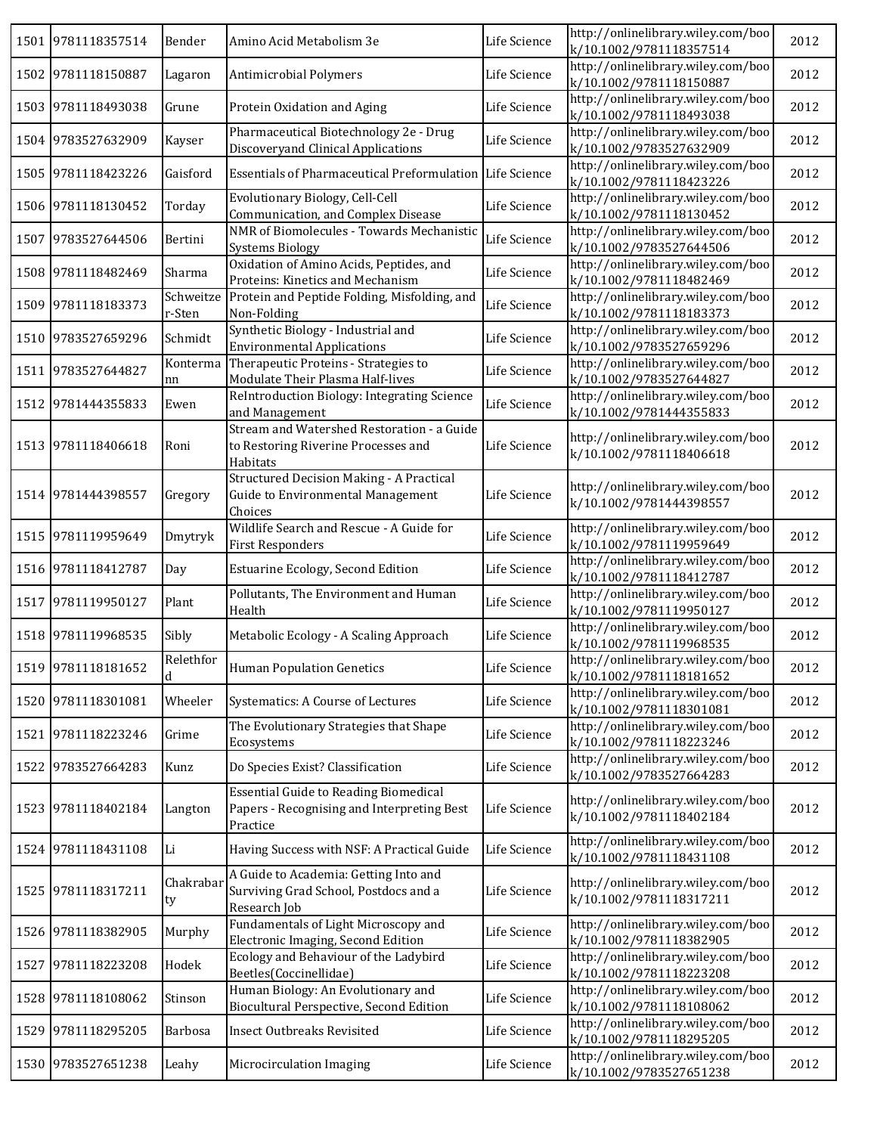|      | 1501 9781118357514 | Bender              | Amino Acid Metabolism 3e                                                                               | Life Science | http://onlinelibrary.wiley.com/boo<br>k/10.1002/9781118357514 | 2012 |
|------|--------------------|---------------------|--------------------------------------------------------------------------------------------------------|--------------|---------------------------------------------------------------|------|
|      | 1502 9781118150887 | Lagaron             | Antimicrobial Polymers                                                                                 | Life Science | http://onlinelibrary.wiley.com/boo<br>k/10.1002/9781118150887 | 2012 |
|      | 1503 9781118493038 | Grune               | Protein Oxidation and Aging                                                                            | Life Science | http://onlinelibrary.wiley.com/boo<br>k/10.1002/9781118493038 | 2012 |
|      | 1504 9783527632909 | Kayser              | Pharmaceutical Biotechnology 2e - Drug<br>Discoveryand Clinical Applications                           | Life Science | http://onlinelibrary.wiley.com/boo<br>k/10.1002/9783527632909 | 2012 |
|      | 1505 9781118423226 | Gaisford            | <b>Essentials of Pharmaceutical Preformulation</b>                                                     | Life Science | http://onlinelibrary.wiley.com/boo<br>k/10.1002/9781118423226 | 2012 |
|      | 1506 9781118130452 | Torday              | Evolutionary Biology, Cell-Cell<br>Communication, and Complex Disease                                  | Life Science | http://onlinelibrary.wiley.com/boo<br>k/10.1002/9781118130452 | 2012 |
|      | 1507 9783527644506 | Bertini             | NMR of Biomolecules - Towards Mechanistic<br><b>Systems Biology</b>                                    | Life Science | http://onlinelibrary.wiley.com/boo<br>k/10.1002/9783527644506 | 2012 |
|      | 1508 9781118482469 | Sharma              | Oxidation of Amino Acids, Peptides, and<br>Proteins: Kinetics and Mechanism                            | Life Science | http://onlinelibrary.wiley.com/boo<br>k/10.1002/9781118482469 | 2012 |
|      | 1509 9781118183373 | Schweitze<br>r-Sten | Protein and Peptide Folding, Misfolding, and<br>Non-Folding                                            | Life Science | http://onlinelibrary.wiley.com/boo<br>k/10.1002/9781118183373 | 2012 |
|      | 1510 9783527659296 | Schmidt             | Synthetic Biology - Industrial and<br><b>Environmental Applications</b>                                | Life Science | http://onlinelibrary.wiley.com/boo<br>k/10.1002/9783527659296 | 2012 |
| 1511 | 9783527644827      | Konterma<br>nn      | Therapeutic Proteins - Strategies to<br>Modulate Their Plasma Half-lives                               | Life Science | http://onlinelibrary.wiley.com/boo<br>k/10.1002/9783527644827 | 2012 |
|      | 1512 9781444355833 | Ewen                | ReIntroduction Biology: Integrating Science<br>and Management                                          | Life Science | http://onlinelibrary.wiley.com/boo<br>k/10.1002/9781444355833 | 2012 |
|      | 1513 9781118406618 | Roni                | Stream and Watershed Restoration - a Guide<br>to Restoring Riverine Processes and<br>Habitats          | Life Science | http://onlinelibrary.wiley.com/boo<br>k/10.1002/9781118406618 | 2012 |
|      | 1514 9781444398557 | Gregory             | Structured Decision Making - A Practical<br>Guide to Environmental Management<br>Choices               | Life Science | http://onlinelibrary.wiley.com/boo<br>k/10.1002/9781444398557 | 2012 |
|      | 1515 9781119959649 | Dmytryk             | Wildlife Search and Rescue - A Guide for<br><b>First Responders</b>                                    | Life Science | http://onlinelibrary.wiley.com/boo<br>k/10.1002/9781119959649 | 2012 |
|      | 1516 9781118412787 | Day                 | <b>Estuarine Ecology, Second Edition</b>                                                               | Life Science | http://onlinelibrary.wiley.com/boo<br>k/10.1002/9781118412787 | 2012 |
|      | 1517 9781119950127 | Plant               | Pollutants, The Environment and Human<br>Health                                                        | Life Science | http://onlinelibrary.wiley.com/boo<br>k/10.1002/9781119950127 | 2012 |
|      | 1518 9781119968535 | Sibly               | Metabolic Ecology - A Scaling Approach                                                                 | Life Science | http://onlinelibrary.wiley.com/boo<br>k/10.1002/9781119968535 | 2012 |
|      | 1519 9781118181652 | Relethfor<br>d      | <b>Human Population Genetics</b>                                                                       | Life Science | http://onlinelibrary.wiley.com/boo<br>k/10.1002/9781118181652 | 2012 |
|      | 1520 9781118301081 | Wheeler             | Systematics: A Course of Lectures                                                                      | Life Science | http://onlinelibrary.wiley.com/boo<br>k/10.1002/9781118301081 | 2012 |
|      | 1521 9781118223246 | Grime               | The Evolutionary Strategies that Shape<br>Ecosystems                                                   | Life Science | http://onlinelibrary.wiley.com/boo<br>k/10.1002/9781118223246 | 2012 |
|      | 1522 9783527664283 | Kunz                | Do Species Exist? Classification                                                                       | Life Science | http://onlinelibrary.wiley.com/boo<br>k/10.1002/9783527664283 | 2012 |
|      | 1523 9781118402184 | Langton             | <b>Essential Guide to Reading Biomedical</b><br>Papers - Recognising and Interpreting Best<br>Practice | Life Science | http://onlinelibrary.wiley.com/boo<br>k/10.1002/9781118402184 | 2012 |
|      | 1524 9781118431108 | Li                  | Having Success with NSF: A Practical Guide                                                             | Life Science | http://onlinelibrary.wiley.com/boo<br>k/10.1002/9781118431108 | 2012 |
|      | 1525 9781118317211 | Chakrabar<br>ty     | A Guide to Academia: Getting Into and<br>Surviving Grad School, Postdocs and a<br>Research Job         | Life Science | http://onlinelibrary.wiley.com/boo<br>k/10.1002/9781118317211 | 2012 |
|      | 1526 9781118382905 | Murphy              | Fundamentals of Light Microscopy and<br>Electronic Imaging, Second Edition                             | Life Science | http://onlinelibrary.wiley.com/boo<br>k/10.1002/9781118382905 | 2012 |
| 1527 | 9781118223208      | Hodek               | Ecology and Behaviour of the Ladybird<br>Beetles(Coccinellidae)                                        | Life Science | http://onlinelibrary.wiley.com/boo<br>k/10.1002/9781118223208 | 2012 |
|      | 1528 9781118108062 | Stinson             | Human Biology: An Evolutionary and<br>Biocultural Perspective, Second Edition                          | Life Science | http://onlinelibrary.wiley.com/boo<br>k/10.1002/9781118108062 | 2012 |
|      | 1529 9781118295205 | <b>Barbosa</b>      | Insect Outbreaks Revisited                                                                             | Life Science | http://onlinelibrary.wiley.com/boo<br>k/10.1002/9781118295205 | 2012 |
|      | 1530 9783527651238 | Leahy               | Microcirculation Imaging                                                                               | Life Science | http://onlinelibrary.wiley.com/boo<br>k/10.1002/9783527651238 | 2012 |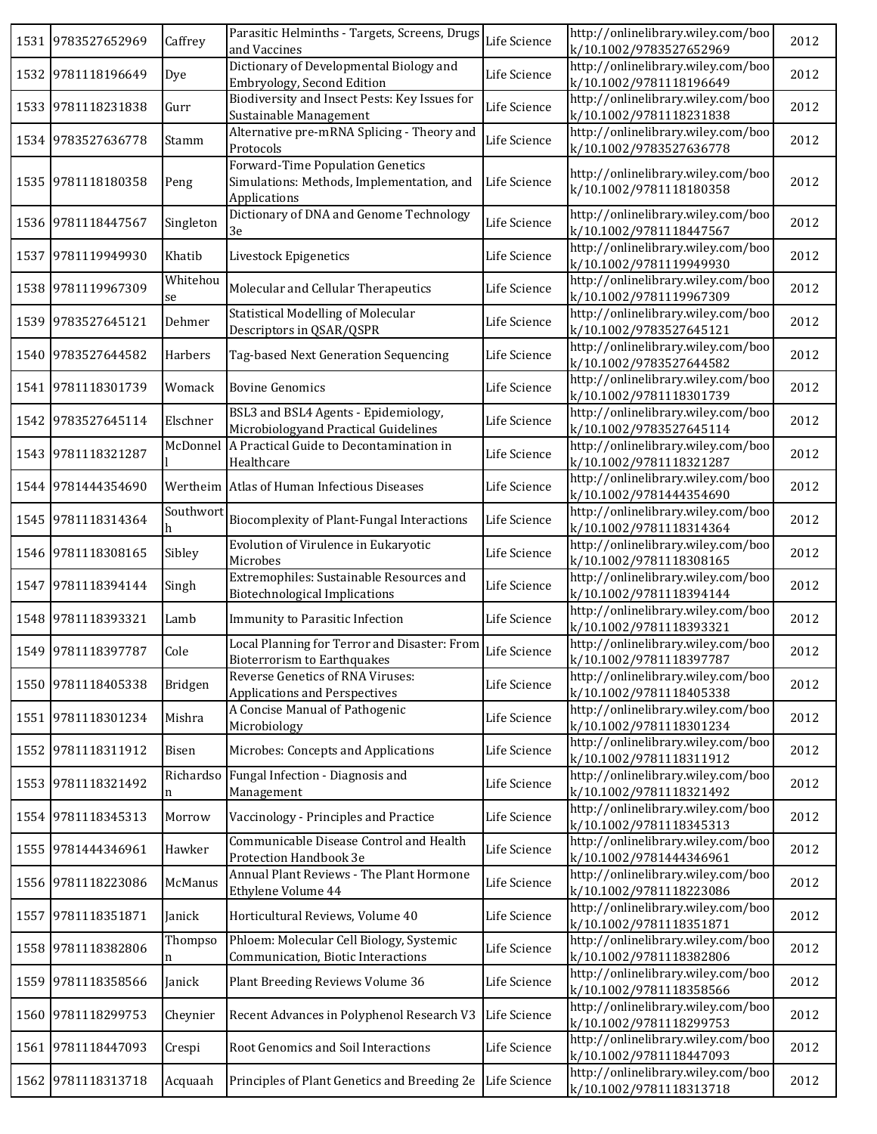|      | 1531 9783527652969 | Caffrey        | Parasitic Helminths - Targets, Screens, Drugs<br>and Vaccines                                 | Life Science | http://onlinelibrary.wiley.com/boo<br>k/10.1002/9783527652969 | 2012 |
|------|--------------------|----------------|-----------------------------------------------------------------------------------------------|--------------|---------------------------------------------------------------|------|
|      | 1532 9781118196649 | Dye            | Dictionary of Developmental Biology and<br>Embryology, Second Edition                         | Life Science | http://onlinelibrary.wiley.com/boo<br>k/10.1002/9781118196649 | 2012 |
|      | 1533 9781118231838 | Gurr           | Biodiversity and Insect Pests: Key Issues for<br>Sustainable Management                       | Life Science | http://onlinelibrary.wiley.com/boo<br>k/10.1002/9781118231838 | 2012 |
|      | 1534 9783527636778 | Stamm          | Alternative pre-mRNA Splicing - Theory and<br>Protocols                                       | Life Science | http://onlinelibrary.wiley.com/boo<br>k/10.1002/9783527636778 | 2012 |
| 1535 | 9781118180358      | Peng           | Forward-Time Population Genetics<br>Simulations: Methods, Implementation, and<br>Applications | Life Science | http://onlinelibrary.wiley.com/boo<br>k/10.1002/9781118180358 | 2012 |
|      | 1536 9781118447567 | Singleton      | Dictionary of DNA and Genome Technology<br>3e                                                 | Life Science | http://onlinelibrary.wiley.com/boo<br>k/10.1002/9781118447567 | 2012 |
|      | 1537 9781119949930 | Khatib         | Livestock Epigenetics                                                                         | Life Science | http://onlinelibrary.wiley.com/boo<br>k/10.1002/9781119949930 | 2012 |
|      | 1538 9781119967309 | Whitehou<br>se | Molecular and Cellular Therapeutics                                                           | Life Science | http://onlinelibrary.wiley.com/boo<br>k/10.1002/9781119967309 | 2012 |
| 1539 | 9783527645121      | Dehmer         | Statistical Modelling of Molecular<br>Descriptors in QSAR/QSPR                                | Life Science | http://onlinelibrary.wiley.com/boo<br>k/10.1002/9783527645121 | 2012 |
|      | 1540 9783527644582 | Harbers        | Tag-based Next Generation Sequencing                                                          | Life Science | http://onlinelibrary.wiley.com/boo<br>k/10.1002/9783527644582 | 2012 |
|      | 1541 9781118301739 | Womack         | <b>Bovine Genomics</b>                                                                        | Life Science | http://onlinelibrary.wiley.com/boo<br>k/10.1002/9781118301739 | 2012 |
| 1542 | 9783527645114      | Elschner       | BSL3 and BSL4 Agents - Epidemiology,<br>Microbiologyand Practical Guidelines                  | Life Science | http://onlinelibrary.wiley.com/boo<br>k/10.1002/9783527645114 | 2012 |
|      | 1543 9781118321287 |                | McDonnel A Practical Guide to Decontamination in<br>Healthcare                                | Life Science | http://onlinelibrary.wiley.com/boo<br>k/10.1002/9781118321287 | 2012 |
|      | 1544 9781444354690 |                | Wertheim Atlas of Human Infectious Diseases                                                   | Life Science | http://onlinelibrary.wiley.com/boo<br>k/10.1002/9781444354690 | 2012 |
|      | 1545 9781118314364 | Southwort      | <b>Biocomplexity of Plant-Fungal Interactions</b>                                             | Life Science | http://onlinelibrary.wiley.com/boo<br>k/10.1002/9781118314364 | 2012 |
|      | 1546 9781118308165 | Sibley         | Evolution of Virulence in Eukaryotic<br>Microbes                                              | Life Science | http://onlinelibrary.wiley.com/boo<br>k/10.1002/9781118308165 | 2012 |
| 1547 | 9781118394144      | Singh          | Extremophiles: Sustainable Resources and<br><b>Biotechnological Implications</b>              | Life Science | http://onlinelibrary.wiley.com/boo<br>k/10.1002/9781118394144 | 2012 |
|      | 1548 9781118393321 | Lamb           | Immunity to Parasitic Infection                                                               | Life Science | http://onlinelibrary.wiley.com/boo<br>k/10.1002/9781118393321 | 2012 |
|      | 1549 9781118397787 | Cole           | Local Planning for Terror and Disaster: From<br>Bioterrorism to Earthquakes                   | Life Science | http://onlinelibrary.wiley.com/boo<br>k/10.1002/9781118397787 | 2012 |
|      | 1550 9781118405338 | Bridgen        | Reverse Genetics of RNA Viruses:<br><b>Applications and Perspectives</b>                      | Life Science | http://onlinelibrary.wiley.com/boo<br>k/10.1002/9781118405338 | 2012 |
|      | 1551 9781118301234 | Mishra         | A Concise Manual of Pathogenic<br>Microbiology                                                | Life Science | http://onlinelibrary.wiley.com/boo<br>k/10.1002/9781118301234 | 2012 |
| 1552 | 9781118311912      | Bisen          | Microbes: Concepts and Applications                                                           | Life Science | http://onlinelibrary.wiley.com/boo<br>k/10.1002/9781118311912 | 2012 |
|      | 1553 9781118321492 | Richardso<br>n | Fungal Infection - Diagnosis and<br>Management                                                | Life Science | http://onlinelibrary.wiley.com/boo<br>k/10.1002/9781118321492 | 2012 |
|      | 1554 9781118345313 | Morrow         | Vaccinology - Principles and Practice                                                         | Life Science | http://onlinelibrary.wiley.com/boo<br>k/10.1002/9781118345313 | 2012 |
|      | 1555 9781444346961 | Hawker         | Communicable Disease Control and Health<br>Protection Handbook 3e                             | Life Science | http://onlinelibrary.wiley.com/boo<br>k/10.1002/9781444346961 | 2012 |
|      | 1556 9781118223086 | McManus        | Annual Plant Reviews - The Plant Hormone<br>Ethylene Volume 44                                | Life Science | http://onlinelibrary.wiley.com/boo<br>k/10.1002/9781118223086 | 2012 |
| 1557 | 9781118351871      | Janick         | Horticultural Reviews, Volume 40                                                              | Life Science | http://onlinelibrary.wiley.com/boo<br>k/10.1002/9781118351871 | 2012 |
| 1558 | 9781118382806      | Thompso<br>n   | Phloem: Molecular Cell Biology, Systemic<br>Communication, Biotic Interactions                | Life Science | http://onlinelibrary.wiley.com/boo<br>k/10.1002/9781118382806 | 2012 |
| 1559 | 9781118358566      | Janick         | Plant Breeding Reviews Volume 36                                                              | Life Science | http://onlinelibrary.wiley.com/boo<br>k/10.1002/9781118358566 | 2012 |
| 1560 | 9781118299753      | Cheynier       | Recent Advances in Polyphenol Research V3                                                     | Life Science | http://onlinelibrary.wiley.com/boo<br>k/10.1002/9781118299753 | 2012 |
|      | 1561 9781118447093 | Crespi         | Root Genomics and Soil Interactions                                                           | Life Science | http://onlinelibrary.wiley.com/boo<br>k/10.1002/9781118447093 | 2012 |
|      | 1562 9781118313718 | Acquaah        | Principles of Plant Genetics and Breeding 2e                                                  | Life Science | http://onlinelibrary.wiley.com/boo<br>k/10.1002/9781118313718 | 2012 |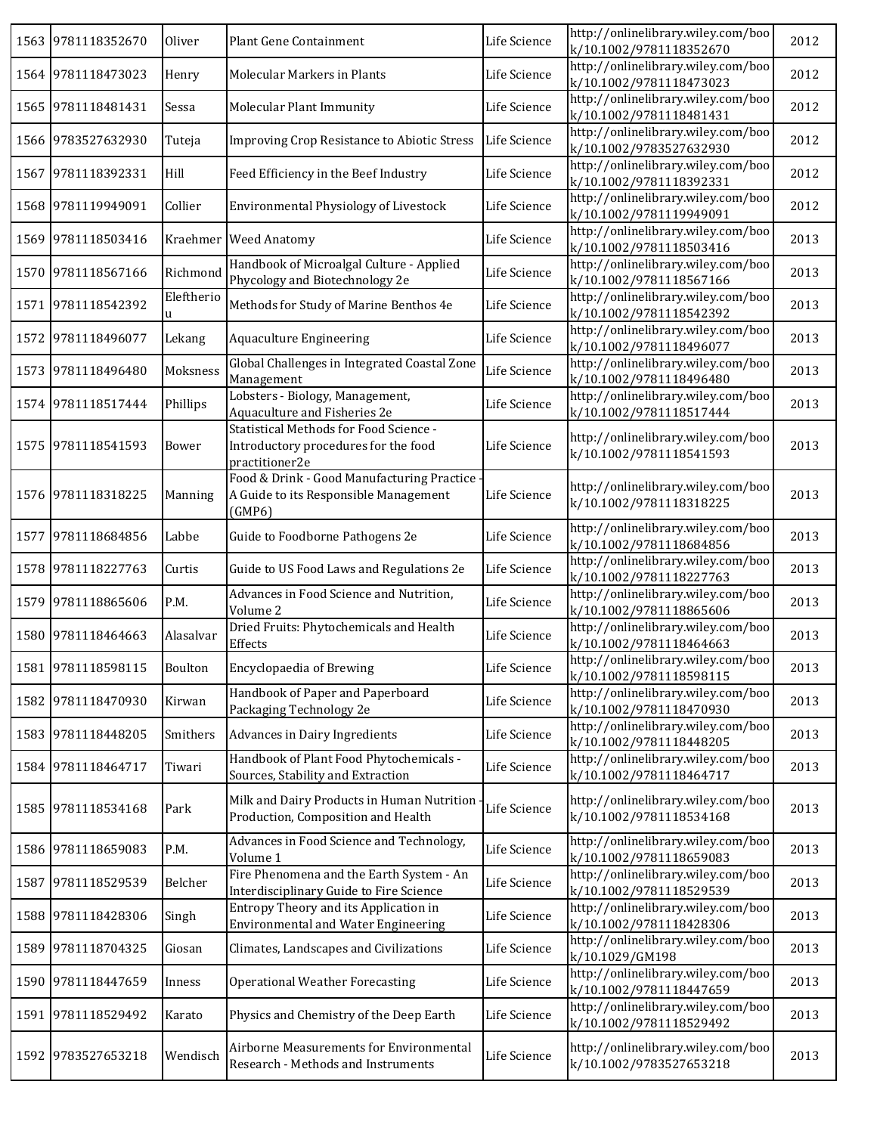|      | 1563 9781118352670 | Oliver          | Plant Gene Containment                                                                           | Life Science | http://onlinelibrary.wiley.com/boo<br>k/10.1002/9781118352670 | 2012 |
|------|--------------------|-----------------|--------------------------------------------------------------------------------------------------|--------------|---------------------------------------------------------------|------|
|      | 1564 9781118473023 | Henry           | Molecular Markers in Plants                                                                      | Life Science | http://onlinelibrary.wiley.com/boo<br>k/10.1002/9781118473023 | 2012 |
|      | 1565 9781118481431 | Sessa           | Molecular Plant Immunity                                                                         | Life Science | http://onlinelibrary.wiley.com/boo<br>k/10.1002/9781118481431 | 2012 |
|      | 1566 9783527632930 | Tuteja          | Improving Crop Resistance to Abiotic Stress                                                      | Life Science | http://onlinelibrary.wiley.com/boo<br>k/10.1002/9783527632930 | 2012 |
| 1567 | 9781118392331      | Hill            | Feed Efficiency in the Beef Industry                                                             | Life Science | http://onlinelibrary.wiley.com/boo<br>k/10.1002/9781118392331 | 2012 |
|      | 1568 9781119949091 | Collier         | Environmental Physiology of Livestock                                                            | Life Science | http://onlinelibrary.wiley.com/boo<br>k/10.1002/9781119949091 | 2012 |
|      | 1569 9781118503416 |                 | Kraehmer Weed Anatomy                                                                            | Life Science | http://onlinelibrary.wiley.com/boo<br>k/10.1002/9781118503416 | 2013 |
|      | 1570 9781118567166 | Richmond        | Handbook of Microalgal Culture - Applied<br>Phycology and Biotechnology 2e                       | Life Science | http://onlinelibrary.wiley.com/boo<br>k/10.1002/9781118567166 | 2013 |
| 1571 | 9781118542392      | Eleftherio<br>u | Methods for Study of Marine Benthos 4e                                                           | Life Science | http://onlinelibrary.wiley.com/boo<br>k/10.1002/9781118542392 | 2013 |
| 1572 | 9781118496077      | Lekang          | Aquaculture Engineering                                                                          | Life Science | http://onlinelibrary.wiley.com/boo<br>k/10.1002/9781118496077 | 2013 |
| 1573 | 9781118496480      | Moksness        | Global Challenges in Integrated Coastal Zone<br>Management                                       | Life Science | http://onlinelibrary.wiley.com/boo<br>k/10.1002/9781118496480 | 2013 |
|      | 1574 9781118517444 | Phillips        | Lobsters - Biology, Management,<br>Aquaculture and Fisheries 2e                                  | Life Science | http://onlinelibrary.wiley.com/boo<br>k/10.1002/9781118517444 | 2013 |
|      | 1575 9781118541593 | Bower           | Statistical Methods for Food Science -<br>Introductory procedures for the food<br>practitioner2e | Life Science | http://onlinelibrary.wiley.com/boo<br>k/10.1002/9781118541593 | 2013 |
|      | 1576 9781118318225 | <b>Manning</b>  | Food & Drink - Good Manufacturing Practice<br>A Guide to its Responsible Management<br>(GMP6)    | Life Science | http://onlinelibrary.wiley.com/boo<br>k/10.1002/9781118318225 | 2013 |
| 1577 | 9781118684856      | Labbe           | Guide to Foodborne Pathogens 2e                                                                  | Life Science | http://onlinelibrary.wiley.com/boo<br>k/10.1002/9781118684856 | 2013 |
|      | 1578 9781118227763 | Curtis          | Guide to US Food Laws and Regulations 2e                                                         | Life Science | http://onlinelibrary.wiley.com/boo<br>k/10.1002/9781118227763 | 2013 |
|      | 1579 9781118865606 | P.M.            | Advances in Food Science and Nutrition,<br>Volume 2                                              | Life Science | http://onlinelibrary.wiley.com/boo<br>k/10.1002/9781118865606 | 2013 |
|      | 1580 9781118464663 | Alasalvar       | Dried Fruits: Phytochemicals and Health<br>Effects                                               | Life Science | http://onlinelibrary.wiley.com/boo<br>k/10.1002/9781118464663 | 2013 |
|      | 1581 9781118598115 | Boulton         | Encyclopaedia of Brewing                                                                         | Life Science | http://onlinelibrary.wiley.com/boo<br>k/10.1002/9781118598115 | 2013 |
|      | 1582 9781118470930 | Kirwan          | Handbook of Paper and Paperboard<br>Packaging Technology 2e                                      | Life Science | http://onlinelibrary.wiley.com/boo<br>k/10.1002/9781118470930 | 2013 |
|      | 1583 9781118448205 | Smithers        | Advances in Dairy Ingredients                                                                    | Life Science | http://onlinelibrary.wiley.com/boo<br>k/10.1002/9781118448205 | 2013 |
|      | 1584 9781118464717 | Tiwari          | Handbook of Plant Food Phytochemicals -<br>Sources, Stability and Extraction                     | Life Science | http://onlinelibrary.wiley.com/boo<br>k/10.1002/9781118464717 | 2013 |
|      | 1585 9781118534168 | Park            | Milk and Dairy Products in Human Nutrition<br>Production, Composition and Health                 | Life Science | http://onlinelibrary.wiley.com/boo<br>k/10.1002/9781118534168 | 2013 |
|      | 1586 9781118659083 | P.M.            | Advances in Food Science and Technology,<br>Volume 1                                             | Life Science | http://onlinelibrary.wiley.com/boo<br>k/10.1002/9781118659083 | 2013 |
| 1587 | 9781118529539      | Belcher         | Fire Phenomena and the Earth System - An<br>Interdisciplinary Guide to Fire Science              | Life Science | http://onlinelibrary.wiley.com/boo<br>k/10.1002/9781118529539 | 2013 |
| 1588 | 9781118428306      | Singh           | Entropy Theory and its Application in<br><b>Environmental and Water Engineering</b>              | Life Science | http://onlinelibrary.wiley.com/boo<br>k/10.1002/9781118428306 | 2013 |
| 1589 | 9781118704325      | Giosan          | Climates, Landscapes and Civilizations                                                           | Life Science | http://onlinelibrary.wiley.com/boo<br>k/10.1029/GM198         | 2013 |
| 1590 | 9781118447659      | Inness          | <b>Operational Weather Forecasting</b>                                                           | Life Science | http://onlinelibrary.wiley.com/boo<br>k/10.1002/9781118447659 | 2013 |
|      | 1591 9781118529492 | Karato          | Physics and Chemistry of the Deep Earth                                                          | Life Science | http://onlinelibrary.wiley.com/boo<br>k/10.1002/9781118529492 | 2013 |
|      | 1592 9783527653218 | Wendisch        | Airborne Measurements for Environmental<br>Research - Methods and Instruments                    | Life Science | http://onlinelibrary.wiley.com/boo<br>k/10.1002/9783527653218 | 2013 |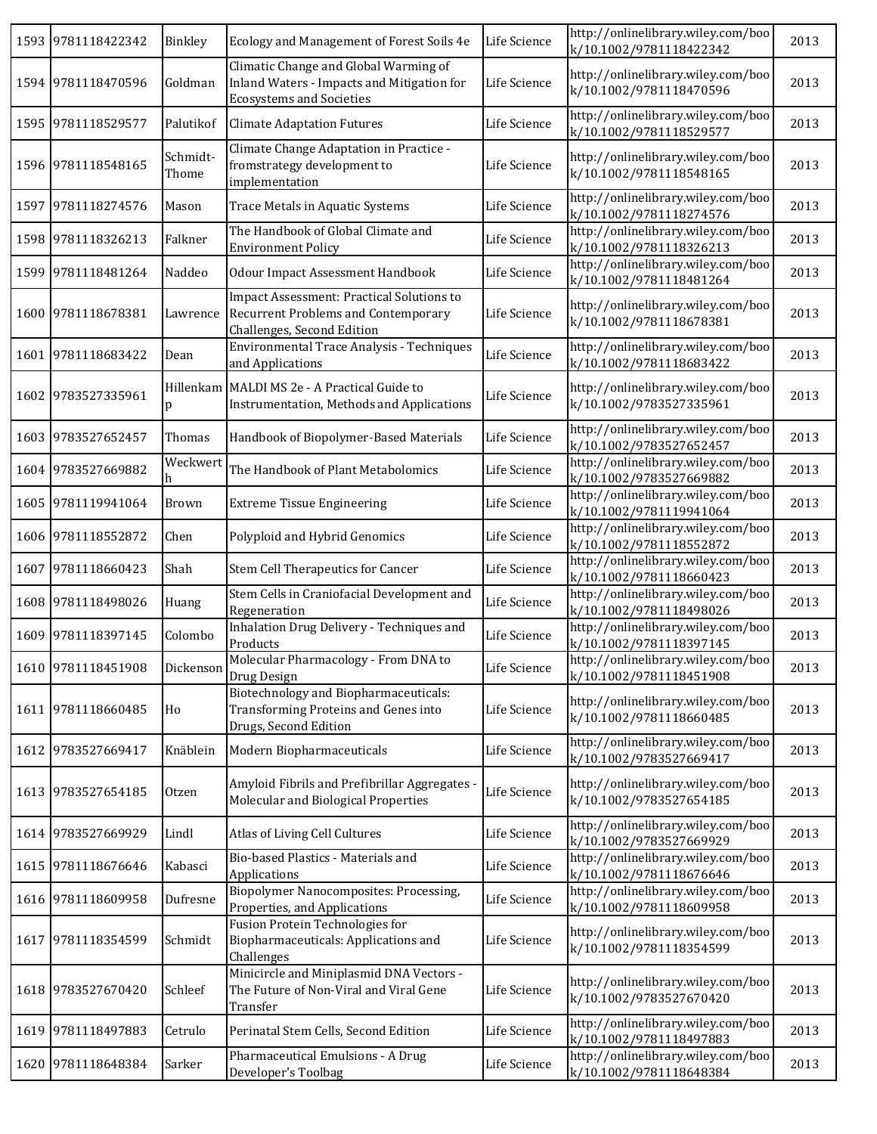|      | 1593 9781118422342 | Binkley           | Ecology and Management of Forest Soils 4e                                                                              | Life Science | http://onlinelibrary.wiley.com/boo<br>k/10.1002/9781118422342 | 2013 |
|------|--------------------|-------------------|------------------------------------------------------------------------------------------------------------------------|--------------|---------------------------------------------------------------|------|
|      | 1594 9781118470596 | Goldman           | Climatic Change and Global Warming of<br>Inland Waters - Impacts and Mitigation for<br><b>Ecosystems and Societies</b> | Life Science | http://onlinelibrary.wiley.com/boo<br>k/10.1002/9781118470596 | 2013 |
|      | 1595 9781118529577 | Palutikof         | <b>Climate Adaptation Futures</b>                                                                                      | Life Science | http://onlinelibrary.wiley.com/boo<br>k/10.1002/9781118529577 | 2013 |
|      | 1596 9781118548165 | Schmidt-<br>Thome | Climate Change Adaptation in Practice -<br>fromstrategy development to<br>implementation                               | Life Science | http://onlinelibrary.wiley.com/boo<br>k/10.1002/9781118548165 | 2013 |
|      | 1597 9781118274576 | Mason             | Trace Metals in Aquatic Systems                                                                                        | Life Science | http://onlinelibrary.wiley.com/boo<br>k/10.1002/9781118274576 | 2013 |
|      | 1598 9781118326213 | Falkner           | The Handbook of Global Climate and<br><b>Environment Policy</b>                                                        | Life Science | http://onlinelibrary.wiley.com/boo<br>k/10.1002/9781118326213 | 2013 |
|      | 1599 9781118481264 | Naddeo            | <b>Odour Impact Assessment Handbook</b>                                                                                | Life Science | http://onlinelibrary.wiley.com/boo<br>k/10.1002/9781118481264 | 2013 |
|      | 1600 9781118678381 | Lawrence          | Impact Assessment: Practical Solutions to<br><b>Recurrent Problems and Contemporary</b><br>Challenges, Second Edition  | Life Science | http://onlinelibrary.wiley.com/boo<br>k/10.1002/9781118678381 | 2013 |
| 1601 | 9781118683422      | Dean              | Environmental Trace Analysis - Techniques<br>and Applications                                                          | Life Science | http://onlinelibrary.wiley.com/boo<br>k/10.1002/9781118683422 | 2013 |
|      | 1602 9783527335961 | Hillenkam<br>p    | MALDI MS 2e - A Practical Guide to<br>Instrumentation, Methods and Applications                                        | Life Science | http://onlinelibrary.wiley.com/boo<br>k/10.1002/9783527335961 | 2013 |
|      | 1603 9783527652457 | Thomas            | Handbook of Biopolymer-Based Materials                                                                                 | Life Science | http://onlinelibrary.wiley.com/boo<br>k/10.1002/9783527652457 | 2013 |
|      | 1604 9783527669882 | Weckwert<br>h     | The Handbook of Plant Metabolomics                                                                                     | Life Science | http://onlinelibrary.wiley.com/boo<br>k/10.1002/9783527669882 | 2013 |
|      | 1605 9781119941064 | Brown             | <b>Extreme Tissue Engineering</b>                                                                                      | Life Science | http://onlinelibrary.wiley.com/boo<br>k/10.1002/9781119941064 | 2013 |
|      | 1606 9781118552872 | Chen              | Polyploid and Hybrid Genomics                                                                                          | Life Science | http://onlinelibrary.wiley.com/boo<br>k/10.1002/9781118552872 | 2013 |
| 1607 | 9781118660423      | Shah              | Stem Cell Therapeutics for Cancer                                                                                      | Life Science | http://onlinelibrary.wiley.com/boo<br>k/10.1002/9781118660423 | 2013 |
|      | 1608 9781118498026 | Huang             | Stem Cells in Craniofacial Development and<br>Regeneration                                                             | Life Science | http://onlinelibrary.wiley.com/boo<br>k/10.1002/9781118498026 | 2013 |
|      | 1609 9781118397145 | Colombo           | Inhalation Drug Delivery - Techniques and<br>Products                                                                  | Life Science | http://onlinelibrary.wiley.com/boo<br>k/10.1002/9781118397145 | 2013 |
|      | 1610 9781118451908 | Dickenson         | Molecular Pharmacology - From DNA to<br>Drug Design                                                                    | Life Science | http://onlinelibrary.wiley.com/boo<br>k/10.1002/9781118451908 | 2013 |
|      | 1611 9781118660485 | Ho                | Biotechnology and Biopharmaceuticals:<br>Transforming Proteins and Genes into<br>Drugs, Second Edition                 | Life Science | http://onlinelibrary.wiley.com/boo<br>k/10.1002/9781118660485 | 2013 |
|      | 1612 9783527669417 | Knäblein          | Modern Biopharmaceuticals                                                                                              | Life Science | http://onlinelibrary.wiley.com/boo<br>k/10.1002/9783527669417 | 2013 |
|      | 1613 9783527654185 | Otzen             | Amyloid Fibrils and Prefibrillar Aggregates -<br>Molecular and Biological Properties                                   | Life Science | http://onlinelibrary.wiley.com/boo<br>k/10.1002/9783527654185 | 2013 |
|      | 1614 9783527669929 | Lindl             | Atlas of Living Cell Cultures                                                                                          | Life Science | http://onlinelibrary.wiley.com/boo<br>k/10.1002/9783527669929 | 2013 |
|      | 1615 9781118676646 | Kabasci           | Bio-based Plastics - Materials and<br>Applications                                                                     | Life Science | http://onlinelibrary.wiley.com/boo<br>k/10.1002/9781118676646 | 2013 |
|      | 1616 9781118609958 | Dufresne          | Biopolymer Nanocomposites: Processing,<br>Properties, and Applications                                                 | Life Science | http://onlinelibrary.wiley.com/boo<br>k/10.1002/9781118609958 | 2013 |
|      | 1617 9781118354599 | Schmidt           | Fusion Protein Technologies for<br>Biopharmaceuticals: Applications and<br>Challenges                                  | Life Science | http://onlinelibrary.wiley.com/boo<br>k/10.1002/9781118354599 | 2013 |
|      | 1618 9783527670420 | Schleef           | Minicircle and Miniplasmid DNA Vectors -<br>The Future of Non-Viral and Viral Gene<br>Transfer                         | Life Science | http://onlinelibrary.wiley.com/boo<br>k/10.1002/9783527670420 | 2013 |
|      | 1619 9781118497883 | Cetrulo           | Perinatal Stem Cells, Second Edition                                                                                   | Life Science | http://onlinelibrary.wiley.com/boo<br>k/10.1002/9781118497883 | 2013 |
|      | 1620 9781118648384 | Sarker            | Pharmaceutical Emulsions - A Drug<br>Developer's Toolbag                                                               | Life Science | http://onlinelibrary.wiley.com/boo<br>k/10.1002/9781118648384 | 2013 |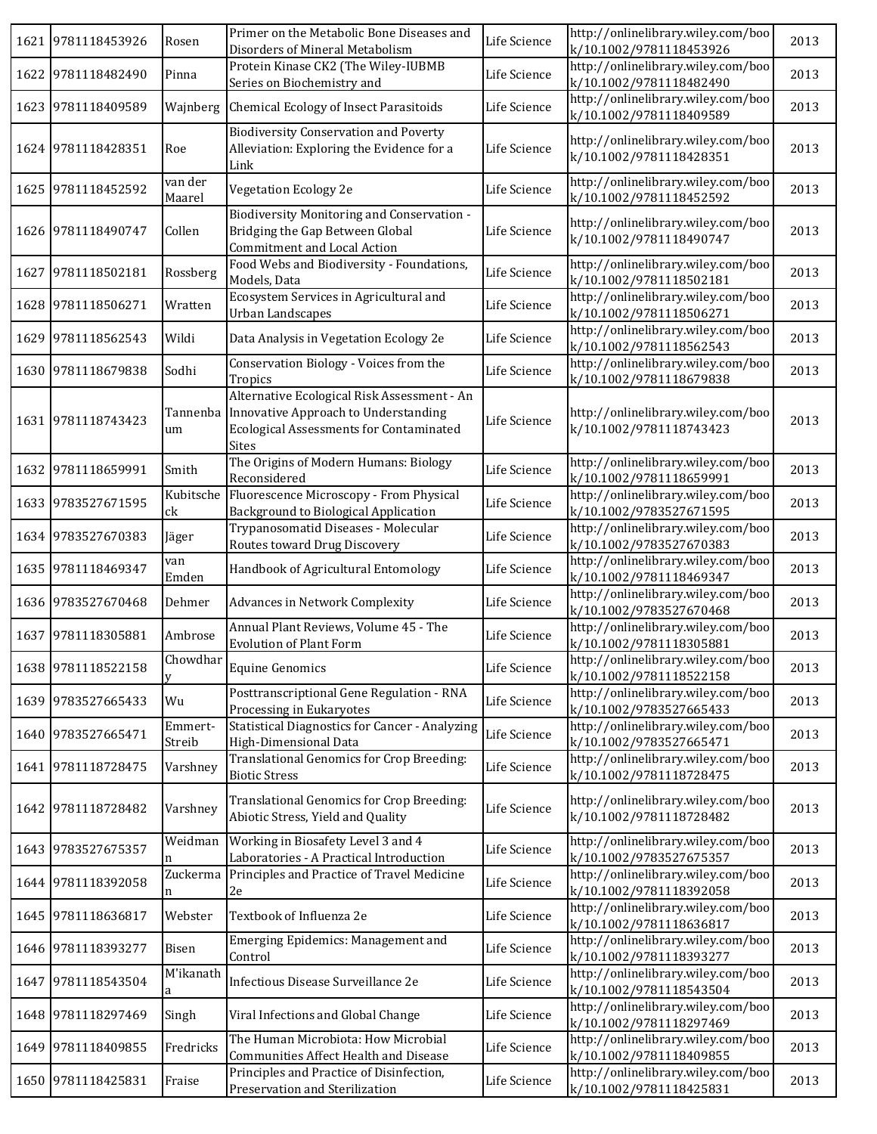|      | 1621 9781118453926 | Rosen             | Primer on the Metabolic Bone Diseases and<br>Disorders of Mineral Metabolism                                                                          | Life Science | http://onlinelibrary.wiley.com/boo<br>k/10.1002/9781118453926 | 2013 |
|------|--------------------|-------------------|-------------------------------------------------------------------------------------------------------------------------------------------------------|--------------|---------------------------------------------------------------|------|
|      | 1622 9781118482490 | Pinna             | Protein Kinase CK2 (The Wiley-IUBMB<br>Series on Biochemistry and                                                                                     | Life Science | http://onlinelibrary.wiley.com/boo<br>k/10.1002/9781118482490 | 2013 |
|      | 1623 9781118409589 | Wajnberg          | Chemical Ecology of Insect Parasitoids                                                                                                                | Life Science | http://onlinelibrary.wiley.com/boo<br>k/10.1002/9781118409589 | 2013 |
|      | 1624 9781118428351 | Roe               | <b>Biodiversity Conservation and Poverty</b><br>Alleviation: Exploring the Evidence for a<br>Link                                                     | Life Science | http://onlinelibrary.wiley.com/boo<br>k/10.1002/9781118428351 | 2013 |
|      | 1625 9781118452592 | van der<br>Maarel | Vegetation Ecology 2e                                                                                                                                 | Life Science | http://onlinelibrary.wiley.com/boo<br>k/10.1002/9781118452592 | 2013 |
|      | 1626 9781118490747 | Collen            | Biodiversity Monitoring and Conservation -<br>Bridging the Gap Between Global<br>Commitment and Local Action                                          | Life Science | http://onlinelibrary.wiley.com/boo<br>k/10.1002/9781118490747 | 2013 |
| 1627 | 9781118502181      | Rossberg          | Food Webs and Biodiversity - Foundations,<br>Models, Data                                                                                             | Life Science | http://onlinelibrary.wiley.com/boo<br>k/10.1002/9781118502181 | 2013 |
|      | 1628 9781118506271 | Wratten           | Ecosystem Services in Agricultural and<br>Urban Landscapes                                                                                            | Life Science | http://onlinelibrary.wiley.com/boo<br>k/10.1002/9781118506271 | 2013 |
|      | 1629 9781118562543 | Wildi             | Data Analysis in Vegetation Ecology 2e                                                                                                                | Life Science | http://onlinelibrary.wiley.com/boo<br>k/10.1002/9781118562543 | 2013 |
|      | 1630 9781118679838 | Sodhi             | Conservation Biology - Voices from the<br>Tropics                                                                                                     | Life Science | http://onlinelibrary.wiley.com/boo<br>k/10.1002/9781118679838 | 2013 |
|      | 1631 9781118743423 | Tannenba<br>um    | Alternative Ecological Risk Assessment - An<br>Innovative Approach to Understanding<br><b>Ecological Assessments for Contaminated</b><br><b>Sites</b> | Life Science | http://onlinelibrary.wiley.com/boo<br>k/10.1002/9781118743423 | 2013 |
|      | 1632 9781118659991 | Smith             | The Origins of Modern Humans: Biology<br>Reconsidered                                                                                                 | Life Science | http://onlinelibrary.wiley.com/boo<br>k/10.1002/9781118659991 | 2013 |
|      | 1633 9783527671595 | Kubitsche<br>ck   | Fluorescence Microscopy - From Physical<br>Background to Biological Application                                                                       | Life Science | http://onlinelibrary.wiley.com/boo<br>k/10.1002/9783527671595 | 2013 |
|      | 1634 9783527670383 | Jäger             | Trypanosomatid Diseases - Molecular<br>Routes toward Drug Discovery                                                                                   | Life Science | http://onlinelibrary.wiley.com/boo<br>k/10.1002/9783527670383 | 2013 |
|      | 1635 9781118469347 | van<br>Emden      | Handbook of Agricultural Entomology                                                                                                                   | Life Science | http://onlinelibrary.wiley.com/boo<br>k/10.1002/9781118469347 | 2013 |
|      | 1636 9783527670468 | Dehmer            | Advances in Network Complexity                                                                                                                        | Life Science | http://onlinelibrary.wiley.com/boo<br>k/10.1002/9783527670468 | 2013 |
|      | 1637 9781118305881 | Ambrose           | Annual Plant Reviews, Volume 45 - The<br><b>Evolution of Plant Form</b>                                                                               | Life Science | http://onlinelibrary.wiley.com/boo<br>k/10.1002/9781118305881 | 2013 |
|      | 1638 9781118522158 | Chowdhar<br>V     | $\label{eq:equi} \textbf{E} \textbf{quine Genomics}$                                                                                                  | Life Science | http://onlinelibrary.wiley.com/boo<br>k/10.1002/9781118522158 | 2013 |
|      | 1639 9783527665433 | Wu                | Posttranscriptional Gene Regulation - RNA<br>Processing in Eukaryotes                                                                                 | Life Science | http://onlinelibrary.wiley.com/boo<br>k/10.1002/9783527665433 | 2013 |
|      | 1640 9783527665471 | Emmert-<br>Streib | <b>Statistical Diagnostics for Cancer - Analyzing</b><br>High-Dimensional Data                                                                        | Life Science | http://onlinelibrary.wiley.com/boo<br>k/10.1002/9783527665471 | 2013 |
|      | 1641 9781118728475 | Varshney          | Translational Genomics for Crop Breeding:<br><b>Biotic Stress</b>                                                                                     | Life Science | http://onlinelibrary.wiley.com/boo<br>k/10.1002/9781118728475 | 2013 |
|      | 1642 9781118728482 | Varshney          | Translational Genomics for Crop Breeding:<br>Abiotic Stress, Yield and Quality                                                                        | Life Science | http://onlinelibrary.wiley.com/boo<br>k/10.1002/9781118728482 | 2013 |
|      | 1643 9783527675357 | Weidman           | Working in Biosafety Level 3 and 4<br>Laboratories - A Practical Introduction                                                                         | Life Science | http://onlinelibrary.wiley.com/boo<br>k/10.1002/9783527675357 | 2013 |
|      | 1644 9781118392058 | Zuckerma          | Principles and Practice of Travel Medicine<br>2e                                                                                                      | Life Science | http://onlinelibrary.wiley.com/boo<br>k/10.1002/9781118392058 | 2013 |
|      | 1645 9781118636817 | Webster           | Textbook of Influenza 2e                                                                                                                              | Life Science | http://onlinelibrary.wiley.com/boo<br>k/10.1002/9781118636817 | 2013 |
|      | 1646 9781118393277 | Bisen             | Emerging Epidemics: Management and<br>Control                                                                                                         | Life Science | http://onlinelibrary.wiley.com/boo<br>k/10.1002/9781118393277 | 2013 |
| 1647 | 9781118543504      | M'ikanath<br>a    | Infectious Disease Surveillance 2e                                                                                                                    | Life Science | http://onlinelibrary.wiley.com/boo<br>k/10.1002/9781118543504 | 2013 |
|      | 1648 9781118297469 | Singh             | Viral Infections and Global Change                                                                                                                    | Life Science | http://onlinelibrary.wiley.com/boo<br>k/10.1002/9781118297469 | 2013 |
|      | 1649 9781118409855 | Fredricks         | The Human Microbiota: How Microbial<br>Communities Affect Health and Disease                                                                          | Life Science | http://onlinelibrary.wiley.com/boo<br>k/10.1002/9781118409855 | 2013 |
|      | 1650 9781118425831 | Fraise            | Principles and Practice of Disinfection,<br>Preservation and Sterilization                                                                            | Life Science | http://onlinelibrary.wiley.com/boo<br>k/10.1002/9781118425831 | 2013 |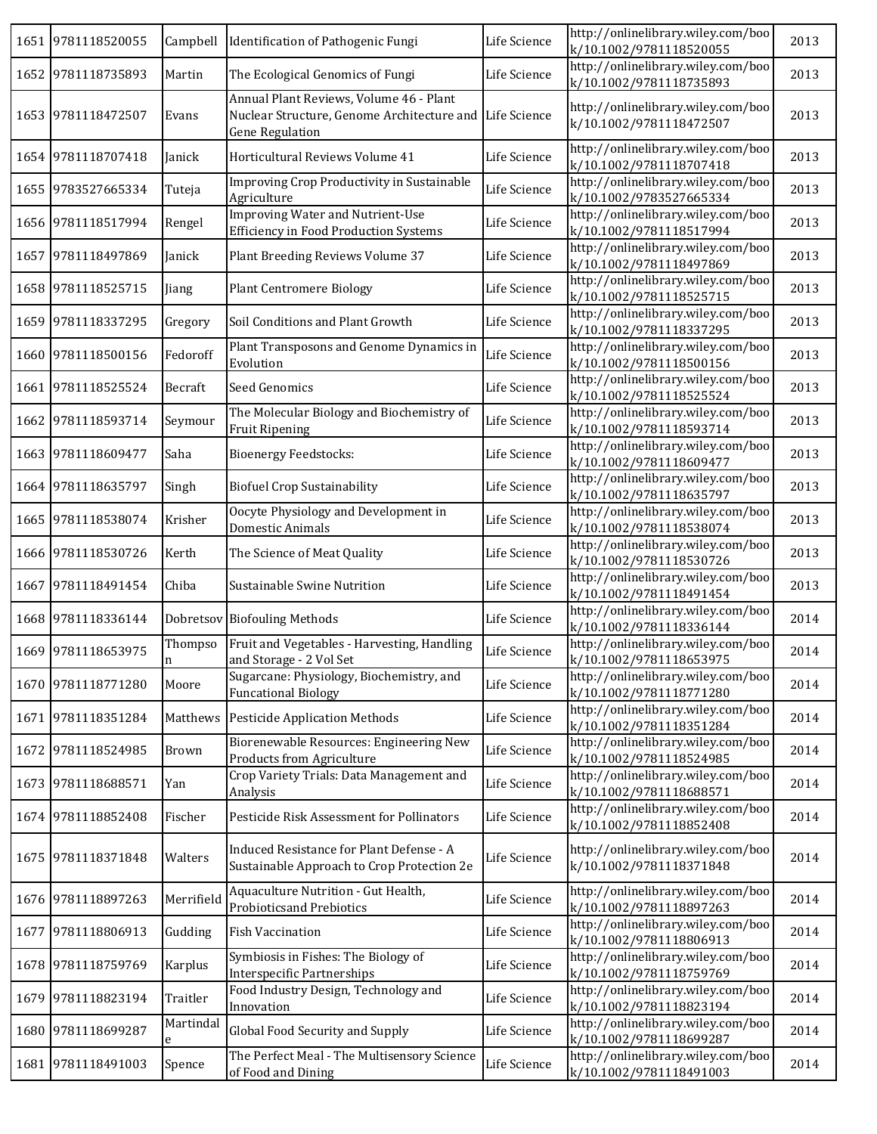|      | 1651 9781118520055 | Campbell       | Identification of Pathogenic Fungi                                                                              | Life Science | http://onlinelibrary.wiley.com/boo<br>k/10.1002/9781118520055 | 2013 |
|------|--------------------|----------------|-----------------------------------------------------------------------------------------------------------------|--------------|---------------------------------------------------------------|------|
|      | 1652 9781118735893 | Martin         | The Ecological Genomics of Fungi                                                                                | Life Science | http://onlinelibrary.wiley.com/boo<br>k/10.1002/9781118735893 | 2013 |
| 1653 | 9781118472507      | Evans          | Annual Plant Reviews, Volume 46 - Plant<br>Nuclear Structure, Genome Architecture and<br><b>Gene Regulation</b> | Life Science | http://onlinelibrary.wiley.com/boo<br>k/10.1002/9781118472507 | 2013 |
|      | 1654 9781118707418 | Janick         | Horticultural Reviews Volume 41                                                                                 | Life Science | http://onlinelibrary.wiley.com/boo<br>k/10.1002/9781118707418 | 2013 |
|      | 1655 9783527665334 | Tuteja         | Improving Crop Productivity in Sustainable<br>Agriculture                                                       | Life Science | http://onlinelibrary.wiley.com/boo<br>k/10.1002/9783527665334 | 2013 |
|      | 1656 9781118517994 | Rengel         | <b>Improving Water and Nutrient-Use</b><br><b>Efficiency in Food Production Systems</b>                         | Life Science | http://onlinelibrary.wiley.com/boo<br>k/10.1002/9781118517994 | 2013 |
|      | 1657 9781118497869 | Janick         | Plant Breeding Reviews Volume 37                                                                                | Life Science | http://onlinelibrary.wiley.com/boo<br>k/10.1002/9781118497869 | 2013 |
|      | 1658 9781118525715 | Jiang          | <b>Plant Centromere Biology</b>                                                                                 | Life Science | http://onlinelibrary.wiley.com/boo<br>k/10.1002/9781118525715 | 2013 |
|      | 1659 9781118337295 | Gregory        | Soil Conditions and Plant Growth                                                                                | Life Science | http://onlinelibrary.wiley.com/boo<br>k/10.1002/9781118337295 | 2013 |
| 1660 | 9781118500156      | Fedoroff       | Plant Transposons and Genome Dynamics in<br>Evolution                                                           | Life Science | http://onlinelibrary.wiley.com/boo<br>k/10.1002/9781118500156 | 2013 |
| 1661 | 9781118525524      | Becraft        | Seed Genomics                                                                                                   | Life Science | http://onlinelibrary.wiley.com/boo<br>k/10.1002/9781118525524 | 2013 |
| 1662 | 9781118593714      | Seymour        | The Molecular Biology and Biochemistry of<br><b>Fruit Ripening</b>                                              | Life Science | http://onlinelibrary.wiley.com/boo<br>k/10.1002/9781118593714 | 2013 |
|      | 1663 9781118609477 | Saha           | <b>Bioenergy Feedstocks:</b>                                                                                    | Life Science | http://onlinelibrary.wiley.com/boo<br>k/10.1002/9781118609477 | 2013 |
|      | 1664 9781118635797 | Singh          | <b>Biofuel Crop Sustainability</b>                                                                              | Life Science | http://onlinelibrary.wiley.com/boo<br>k/10.1002/9781118635797 | 2013 |
|      | 1665 9781118538074 | Krisher        | Oocyte Physiology and Development in<br><b>Domestic Animals</b>                                                 | Life Science | http://onlinelibrary.wiley.com/boo<br>k/10.1002/9781118538074 | 2013 |
| 1666 | 9781118530726      | Kerth          | The Science of Meat Quality                                                                                     | Life Science | http://onlinelibrary.wiley.com/boo<br>k/10.1002/9781118530726 | 2013 |
| 1667 | 9781118491454      | Chiba          | Sustainable Swine Nutrition                                                                                     | Life Science | http://onlinelibrary.wiley.com/boo<br>k/10.1002/9781118491454 | 2013 |
| 1668 | 9781118336144      |                | Dobretsov Biofouling Methods                                                                                    | Life Science | http://onlinelibrary.wiley.com/boo<br>k/10.1002/9781118336144 | 2014 |
|      | 1669 9781118653975 | Thompso<br>n   | Fruit and Vegetables - Harvesting, Handling<br>and Storage - 2 Vol Set                                          | Life Science | http://onlinelibrary.wiley.com/boo<br>k/10.1002/9781118653975 | 2014 |
|      | 1670 9781118771280 | Moore          | Sugarcane: Physiology, Biochemistry, and<br><b>Funcational Biology</b>                                          | Life Science | http://onlinelibrary.wiley.com/boo<br>k/10.1002/9781118771280 | 2014 |
|      | 1671 9781118351284 |                | Matthews Pesticide Application Methods                                                                          | Life Science | http://onlinelibrary.wiley.com/boo<br>k/10.1002/9781118351284 | 2014 |
| 1672 | 9781118524985      | Brown          | Biorenewable Resources: Engineering New<br>Products from Agriculture                                            | Life Science | http://onlinelibrary.wiley.com/boo<br>k/10.1002/9781118524985 | 2014 |
|      | 1673 9781118688571 | Yan            | Crop Variety Trials: Data Management and<br>Analysis                                                            | Life Science | http://onlinelibrary.wiley.com/boo<br>k/10.1002/9781118688571 | 2014 |
|      | 1674 9781118852408 | Fischer        | Pesticide Risk Assessment for Pollinators                                                                       | Life Science | http://onlinelibrary.wiley.com/boo<br>k/10.1002/9781118852408 | 2014 |
| 1675 | 9781118371848      | Walters        | Induced Resistance for Plant Defense - A<br>Sustainable Approach to Crop Protection 2e                          | Life Science | http://onlinelibrary.wiley.com/boo<br>k/10.1002/9781118371848 | 2014 |
|      | 1676 9781118897263 | Merrifield     | Aquaculture Nutrition - Gut Health,<br>Probioticsand Prebiotics                                                 | Life Science | http://onlinelibrary.wiley.com/boo<br>k/10.1002/9781118897263 | 2014 |
| 1677 | 9781118806913      | Gudding        | <b>Fish Vaccination</b>                                                                                         | Life Science | http://onlinelibrary.wiley.com/boo<br>k/10.1002/9781118806913 | 2014 |
| 1678 | 9781118759769      | Karplus        | Symbiosis in Fishes: The Biology of<br><b>Interspecific Partnerships</b>                                        | Life Science | http://onlinelibrary.wiley.com/boo<br>k/10.1002/9781118759769 | 2014 |
| 1679 | 9781118823194      | Traitler       | Food Industry Design, Technology and<br>Innovation                                                              | Life Science | http://onlinelibrary.wiley.com/boo<br>k/10.1002/9781118823194 | 2014 |
| 1680 | 9781118699287      | Martindal<br>e | Global Food Security and Supply                                                                                 | Life Science | http://onlinelibrary.wiley.com/boo<br>k/10.1002/9781118699287 | 2014 |
|      | 1681 9781118491003 | Spence         | The Perfect Meal - The Multisensory Science<br>of Food and Dining                                               | Life Science | http://onlinelibrary.wiley.com/boo<br>k/10.1002/9781118491003 | 2014 |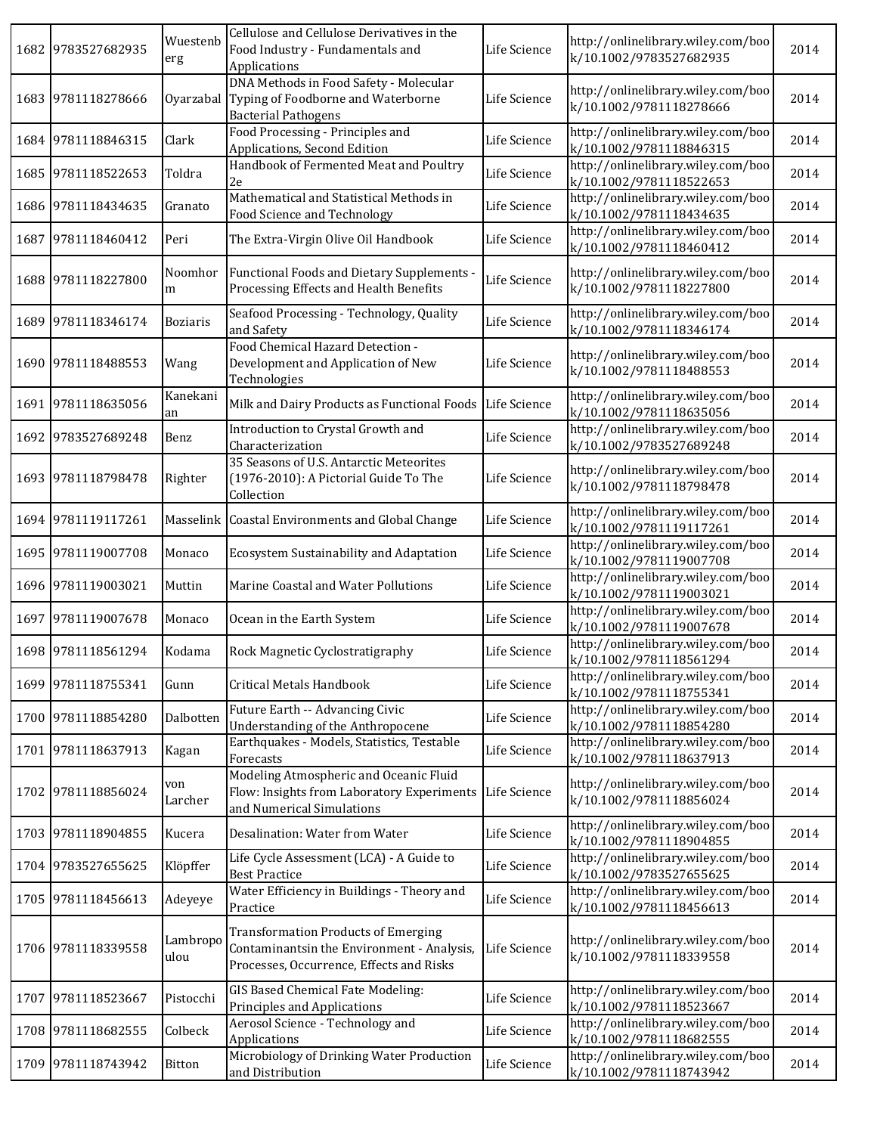| 1682 | 9783527682935      | Wuestenb<br>erg  | Cellulose and Cellulose Derivatives in the<br>Food Industry - Fundamentals and<br>Applications                                       | Life Science | http://onlinelibrary.wiley.com/boo<br>k/10.1002/9783527682935 | 2014 |
|------|--------------------|------------------|--------------------------------------------------------------------------------------------------------------------------------------|--------------|---------------------------------------------------------------|------|
|      | 1683 9781118278666 | Oyarzabal        | DNA Methods in Food Safety - Molecular<br>Typing of Foodborne and Waterborne<br><b>Bacterial Pathogens</b>                           | Life Science | http://onlinelibrary.wiley.com/boo<br>k/10.1002/9781118278666 | 2014 |
|      | 1684 9781118846315 | Clark            | Food Processing - Principles and<br>Applications, Second Edition                                                                     | Life Science | http://onlinelibrary.wiley.com/boo<br>k/10.1002/9781118846315 | 2014 |
|      | 1685 9781118522653 | Toldra           | Handbook of Fermented Meat and Poultry<br>2e                                                                                         | Life Science | http://onlinelibrary.wiley.com/boo<br>k/10.1002/9781118522653 | 2014 |
|      | 1686 9781118434635 | Granato          | Mathematical and Statistical Methods in<br>Food Science and Technology                                                               | Life Science | http://onlinelibrary.wiley.com/boo<br>k/10.1002/9781118434635 | 2014 |
| 1687 | 9781118460412      | Peri             | The Extra-Virgin Olive Oil Handbook                                                                                                  | Life Science | http://onlinelibrary.wiley.com/boo<br>k/10.1002/9781118460412 | 2014 |
|      | 1688 9781118227800 | Noomhor<br>m     | Functional Foods and Dietary Supplements -<br>Processing Effects and Health Benefits                                                 | Life Science | http://onlinelibrary.wiley.com/boo<br>k/10.1002/9781118227800 | 2014 |
| 1689 | 9781118346174      | <b>Boziaris</b>  | Seafood Processing - Technology, Quality<br>and Safety                                                                               | Life Science | http://onlinelibrary.wiley.com/boo<br>k/10.1002/9781118346174 | 2014 |
| 1690 | 9781118488553      | Wang             | Food Chemical Hazard Detection -<br>Development and Application of New<br>Technologies                                               | Life Science | http://onlinelibrary.wiley.com/boo<br>k/10.1002/9781118488553 | 2014 |
|      | 1691 9781118635056 | Kanekani<br>an   | Milk and Dairy Products as Functional Foods                                                                                          | Life Science | http://onlinelibrary.wiley.com/boo<br>k/10.1002/9781118635056 | 2014 |
|      | 1692 9783527689248 | Benz             | Introduction to Crystal Growth and<br>Characterization                                                                               | Life Science | http://onlinelibrary.wiley.com/boo<br>k/10.1002/9783527689248 | 2014 |
|      | 1693 9781118798478 | Righter          | 35 Seasons of U.S. Antarctic Meteorites<br>(1976-2010): A Pictorial Guide To The<br>Collection                                       | Life Science | http://onlinelibrary.wiley.com/boo<br>k/10.1002/9781118798478 | 2014 |
|      | 1694 9781119117261 |                  | Masselink   Coastal Environments and Global Change                                                                                   | Life Science | http://onlinelibrary.wiley.com/boo<br>k/10.1002/9781119117261 | 2014 |
|      | 1695 9781119007708 | Monaco           | Ecosystem Sustainability and Adaptation                                                                                              | Life Science | http://onlinelibrary.wiley.com/boo<br>k/10.1002/9781119007708 | 2014 |
|      | 1696 9781119003021 | Muttin           | Marine Coastal and Water Pollutions                                                                                                  | Life Science | http://onlinelibrary.wiley.com/boo<br>k/10.1002/9781119003021 | 2014 |
|      | 1697 9781119007678 | Monaco           | Ocean in the Earth System                                                                                                            | Life Science | http://onlinelibrary.wiley.com/boo<br>k/10.1002/9781119007678 | 2014 |
|      | 1698 9781118561294 | Kodama           | Rock Magnetic Cyclostratigraphy                                                                                                      | Life Science | http://onlinelibrary.wiley.com/boo<br>k/10.1002/9781118561294 | 2014 |
|      | 1699 9781118755341 | Gunn             | Critical Metals Handbook                                                                                                             | Life Science | http://onlinelibrary.wiley.com/boo<br>k/10.1002/9781118755341 | 2014 |
|      | 1700 9781118854280 | Dalbotten        | Future Earth -- Advancing Civic<br>Understanding of the Anthropocene                                                                 | Life Science | http://onlinelibrary.wiley.com/boo<br>k/10.1002/9781118854280 | 2014 |
|      | 1701 9781118637913 | Kagan            | Earthquakes - Models, Statistics, Testable<br>Forecasts                                                                              | Life Science | http://onlinelibrary.wiley.com/boo<br>k/10.1002/9781118637913 | 2014 |
| 1702 | 9781118856024      | von<br>Larcher   | Modeling Atmospheric and Oceanic Fluid<br>Flow: Insights from Laboratory Experiments<br>and Numerical Simulations                    | Life Science | http://onlinelibrary.wiley.com/boo<br>k/10.1002/9781118856024 | 2014 |
|      | 1703 9781118904855 | Kucera           | Desalination: Water from Water                                                                                                       | Life Science | http://onlinelibrary.wiley.com/boo<br>k/10.1002/9781118904855 | 2014 |
|      | 1704 9783527655625 | Klöpffer         | Life Cycle Assessment (LCA) - A Guide to<br><b>Best Practice</b>                                                                     | Life Science | http://onlinelibrary.wiley.com/boo<br>k/10.1002/9783527655625 | 2014 |
|      | 1705 9781118456613 | Adeyeye          | Water Efficiency in Buildings - Theory and<br>Practice                                                                               | Life Science | http://onlinelibrary.wiley.com/boo<br>k/10.1002/9781118456613 | 2014 |
|      | 1706 9781118339558 | Lambropo<br>ulou | <b>Transformation Products of Emerging</b><br>Contaminantsin the Environment - Analysis,<br>Processes, Occurrence, Effects and Risks | Life Science | http://onlinelibrary.wiley.com/boo<br>k/10.1002/9781118339558 | 2014 |
| 1707 | 9781118523667      | Pistocchi        | GIS Based Chemical Fate Modeling:<br>Principles and Applications                                                                     | Life Science | http://onlinelibrary.wiley.com/boo<br>k/10.1002/9781118523667 | 2014 |
|      | 1708 9781118682555 | Colbeck          | Aerosol Science - Technology and<br>Applications                                                                                     | Life Science | http://onlinelibrary.wiley.com/boo<br>k/10.1002/9781118682555 | 2014 |
| 1709 | 9781118743942      | Bitton           | Microbiology of Drinking Water Production<br>and Distribution                                                                        | Life Science | http://onlinelibrary.wiley.com/boo<br>k/10.1002/9781118743942 | 2014 |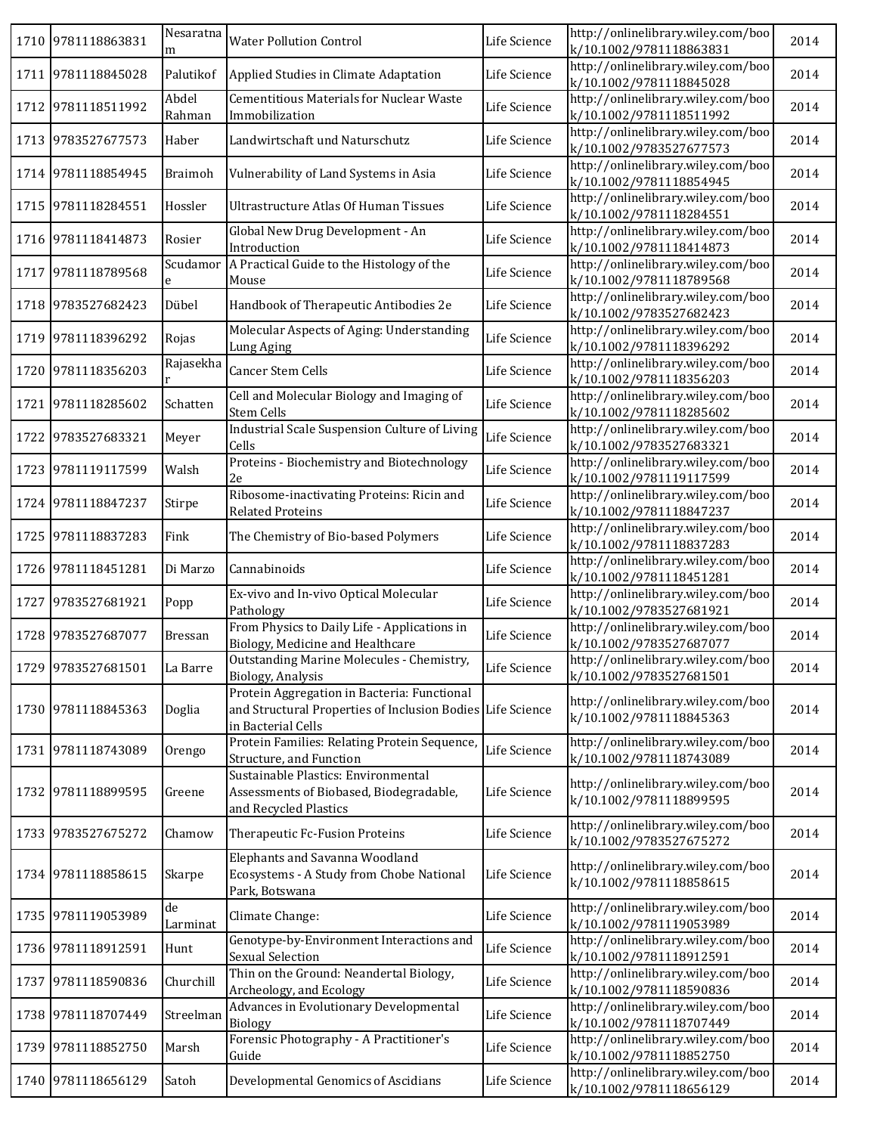|      | 1710 9781118863831 | Nesaratna<br>m  | <b>Water Pollution Control</b>                                                                                                  | Life Science | http://onlinelibrary.wiley.com/boo<br>k/10.1002/9781118863831 | 2014 |
|------|--------------------|-----------------|---------------------------------------------------------------------------------------------------------------------------------|--------------|---------------------------------------------------------------|------|
| 1711 | 9781118845028      | Palutikof       | Applied Studies in Climate Adaptation                                                                                           | Life Science | http://onlinelibrary.wiley.com/boo<br>k/10.1002/9781118845028 | 2014 |
| 1712 | 9781118511992      | Abdel<br>Rahman | <b>Cementitious Materials for Nuclear Waste</b><br>Immobilization                                                               | Life Science | http://onlinelibrary.wiley.com/boo<br>k/10.1002/9781118511992 | 2014 |
| 1713 | 9783527677573      | Haber           | Landwirtschaft und Naturschutz                                                                                                  | Life Science | http://onlinelibrary.wiley.com/boo<br>k/10.1002/9783527677573 | 2014 |
|      | 1714 9781118854945 | <b>Braimoh</b>  | Vulnerability of Land Systems in Asia                                                                                           | Life Science | http://onlinelibrary.wiley.com/boo<br>k/10.1002/9781118854945 | 2014 |
| 1715 | 9781118284551      | Hossler         | <b>Ultrastructure Atlas Of Human Tissues</b>                                                                                    | Life Science | http://onlinelibrary.wiley.com/boo<br>k/10.1002/9781118284551 | 2014 |
|      | 1716 9781118414873 | Rosier          | Global New Drug Development - An<br>Introduction                                                                                | Life Science | http://onlinelibrary.wiley.com/boo<br>k/10.1002/9781118414873 | 2014 |
| 1717 | 9781118789568      | Scudamor        | A Practical Guide to the Histology of the<br>Mouse                                                                              | Life Science | http://onlinelibrary.wiley.com/boo<br>k/10.1002/9781118789568 | 2014 |
| 1718 | 9783527682423      | Dübel           | Handbook of Therapeutic Antibodies 2e                                                                                           | Life Science | http://onlinelibrary.wiley.com/boo<br>k/10.1002/9783527682423 | 2014 |
| 1719 | 9781118396292      | Rojas           | Molecular Aspects of Aging: Understanding<br>Lung Aging                                                                         | Life Science | http://onlinelibrary.wiley.com/boo<br>k/10.1002/9781118396292 | 2014 |
| 1720 | 9781118356203      | Rajasekha       | Cancer Stem Cells                                                                                                               | Life Science | http://onlinelibrary.wiley.com/boo<br>k/10.1002/9781118356203 | 2014 |
| 1721 | 9781118285602      | Schatten        | Cell and Molecular Biology and Imaging of<br><b>Stem Cells</b>                                                                  | Life Science | http://onlinelibrary.wiley.com/boo<br>k/10.1002/9781118285602 | 2014 |
| 1722 | 9783527683321      | Meyer           | Industrial Scale Suspension Culture of Living<br>Cells                                                                          | Life Science | http://onlinelibrary.wiley.com/boo<br>k/10.1002/9783527683321 | 2014 |
| 1723 | 9781119117599      | Walsh           | Proteins - Biochemistry and Biotechnology<br>2e                                                                                 | Life Science | http://onlinelibrary.wiley.com/boo<br>k/10.1002/9781119117599 | 2014 |
|      | 1724 9781118847237 | Stirpe          | Ribosome-inactivating Proteins: Ricin and<br><b>Related Proteins</b>                                                            | Life Science | http://onlinelibrary.wiley.com/boo<br>k/10.1002/9781118847237 | 2014 |
| 1725 | 9781118837283      | Fink            | The Chemistry of Bio-based Polymers                                                                                             | Life Science | http://onlinelibrary.wiley.com/boo<br>k/10.1002/9781118837283 | 2014 |
| 1726 | 9781118451281      | Di Marzo        | Cannabinoids                                                                                                                    | Life Science | http://onlinelibrary.wiley.com/boo<br>k/10.1002/9781118451281 | 2014 |
| 1727 | 9783527681921      | Popp            | Ex-vivo and In-vivo Optical Molecular<br>Pathology                                                                              | Life Science | http://onlinelibrary.wiley.com/boo<br>k/10.1002/9783527681921 | 2014 |
| 1728 | 9783527687077      | <b>Bressan</b>  | From Physics to Daily Life - Applications in<br>Biology, Medicine and Healthcare                                                | Life Science | http://onlinelibrary.wiley.com/boo<br>k/10.1002/9783527687077 | 2014 |
|      | 1729 9783527681501 | La Barre        | Outstanding Marine Molecules - Chemistry,<br>Biology, Analysis                                                                  | Life Science | http://onlinelibrary.wiley.com/boo<br>k/10.1002/9783527681501 | 2014 |
| 1730 | 9781118845363      | Doglia          | Protein Aggregation in Bacteria: Functional<br>and Structural Properties of Inclusion Bodies Life Science<br>in Bacterial Cells |              | http://onlinelibrary.wiley.com/boo<br>k/10.1002/9781118845363 | 2014 |
| 1731 | 9781118743089      | Orengo          | Protein Families: Relating Protein Sequence,<br>Structure, and Function                                                         | Life Science | http://onlinelibrary.wiley.com/boo<br>k/10.1002/9781118743089 | 2014 |
| 1732 | 9781118899595      | Greene          | Sustainable Plastics: Environmental<br>Assessments of Biobased, Biodegradable,<br>and Recycled Plastics                         | Life Science | http://onlinelibrary.wiley.com/boo<br>k/10.1002/9781118899595 | 2014 |
| 1733 | 9783527675272      | Chamow          | Therapeutic Fc-Fusion Proteins                                                                                                  | Life Science | http://onlinelibrary.wiley.com/boo<br>k/10.1002/9783527675272 | 2014 |
| 1734 | 9781118858615      | Skarpe          | Elephants and Savanna Woodland<br>Ecosystems - A Study from Chobe National<br>Park, Botswana                                    | Life Science | http://onlinelibrary.wiley.com/boo<br>k/10.1002/9781118858615 | 2014 |
| 1735 | 9781119053989      | de<br>Larminat  | Climate Change:                                                                                                                 | Life Science | http://onlinelibrary.wiley.com/boo<br>k/10.1002/9781119053989 | 2014 |
|      | 1736 9781118912591 | Hunt            | Genotype-by-Environment Interactions and<br><b>Sexual Selection</b>                                                             | Life Science | http://onlinelibrary.wiley.com/boo<br>k/10.1002/9781118912591 | 2014 |
| 1737 | 9781118590836      | Churchill       | Thin on the Ground: Neandertal Biology,<br>Archeology, and Ecology                                                              | Life Science | http://onlinelibrary.wiley.com/boo<br>k/10.1002/9781118590836 | 2014 |
| 1738 | 9781118707449      | Streelman       | Advances in Evolutionary Developmental<br><b>Biology</b>                                                                        | Life Science | http://onlinelibrary.wiley.com/boo<br>k/10.1002/9781118707449 | 2014 |
| 1739 | 9781118852750      | Marsh           | Forensic Photography - A Practitioner's<br>Guide                                                                                | Life Science | http://onlinelibrary.wiley.com/boo<br>k/10.1002/9781118852750 | 2014 |
| 1740 | 9781118656129      | Satoh           | Developmental Genomics of Ascidians                                                                                             | Life Science | http://onlinelibrary.wiley.com/boo<br>k/10.1002/9781118656129 | 2014 |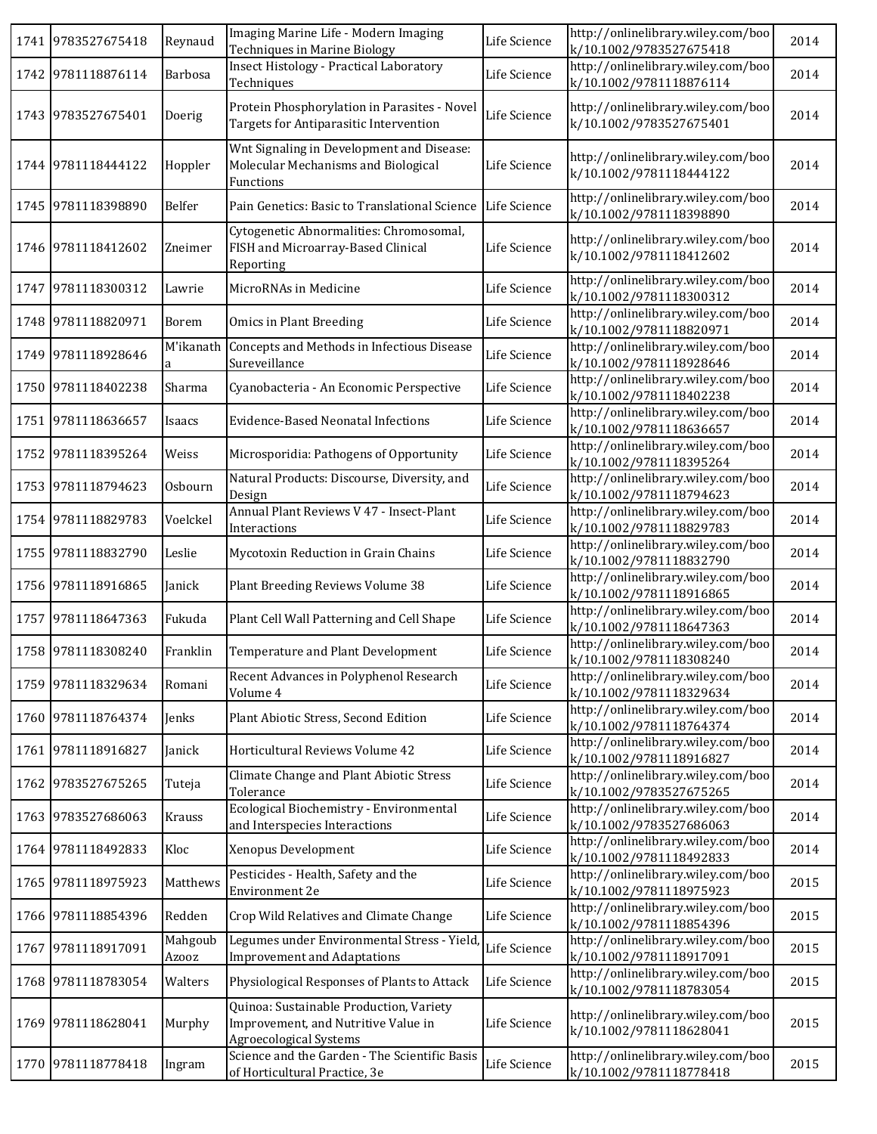|      | 1741 9783527675418 | Reynaud                 | Imaging Marine Life - Modern Imaging<br><b>Techniques in Marine Biology</b>                                     | Life Science | http://onlinelibrary.wiley.com/boo<br>k/10.1002/9783527675418 | 2014 |
|------|--------------------|-------------------------|-----------------------------------------------------------------------------------------------------------------|--------------|---------------------------------------------------------------|------|
|      | 1742 9781118876114 | Barbosa                 | Insect Histology - Practical Laboratory<br>Techniques                                                           | Life Science | http://onlinelibrary.wiley.com/boo<br>k/10.1002/9781118876114 | 2014 |
|      | 1743 9783527675401 | Doerig                  | Protein Phosphorylation in Parasites - Novel<br>Targets for Antiparasitic Intervention                          | Life Science | http://onlinelibrary.wiley.com/boo<br>k/10.1002/9783527675401 | 2014 |
|      | 1744 9781118444122 | Hoppler                 | Wnt Signaling in Development and Disease:<br>Molecular Mechanisms and Biological<br>Functions                   | Life Science | http://onlinelibrary.wiley.com/boo<br>k/10.1002/9781118444122 | 2014 |
|      | 1745 9781118398890 | Belfer                  | Pain Genetics: Basic to Translational Science                                                                   | Life Science | http://onlinelibrary.wiley.com/boo<br>k/10.1002/9781118398890 | 2014 |
|      | 1746 9781118412602 | Zneimer                 | Cytogenetic Abnormalities: Chromosomal,<br>FISH and Microarray-Based Clinical<br>Reporting                      | Life Science | http://onlinelibrary.wiley.com/boo<br>k/10.1002/9781118412602 | 2014 |
|      | 1747 9781118300312 | Lawrie                  | MicroRNAs in Medicine                                                                                           | Life Science | http://onlinelibrary.wiley.com/boo<br>k/10.1002/9781118300312 | 2014 |
|      | 1748 9781118820971 | Borem                   | <b>Omics in Plant Breeding</b>                                                                                  | Life Science | http://onlinelibrary.wiley.com/boo<br>k/10.1002/9781118820971 | 2014 |
|      | 1749 9781118928646 | M'ikanath<br>a          | Concepts and Methods in Infectious Disease<br>Sureveillance                                                     | Life Science | http://onlinelibrary.wiley.com/boo<br>k/10.1002/9781118928646 | 2014 |
|      | 1750 9781118402238 | Sharma                  | Cyanobacteria - An Economic Perspective                                                                         | Life Science | http://onlinelibrary.wiley.com/boo<br>k/10.1002/9781118402238 | 2014 |
|      | 1751 9781118636657 | Isaacs                  | Evidence-Based Neonatal Infections                                                                              | Life Science | http://onlinelibrary.wiley.com/boo<br>k/10.1002/9781118636657 | 2014 |
|      | 1752 9781118395264 | Weiss                   | Microsporidia: Pathogens of Opportunity                                                                         | Life Science | http://onlinelibrary.wiley.com/boo<br>k/10.1002/9781118395264 | 2014 |
|      | 1753 9781118794623 | Osbourn                 | Natural Products: Discourse, Diversity, and<br>Design                                                           | Life Science | http://onlinelibrary.wiley.com/boo<br>k/10.1002/9781118794623 | 2014 |
|      | 1754 9781118829783 | Voelckel                | Annual Plant Reviews V 47 - Insect-Plant<br>Interactions                                                        | Life Science | http://onlinelibrary.wiley.com/boo<br>k/10.1002/9781118829783 | 2014 |
|      | 1755 9781118832790 | Leslie                  | Mycotoxin Reduction in Grain Chains                                                                             | Life Science | http://onlinelibrary.wiley.com/boo<br>k/10.1002/9781118832790 | 2014 |
|      | 1756 9781118916865 | Janick                  | Plant Breeding Reviews Volume 38                                                                                | Life Science | http://onlinelibrary.wiley.com/boo<br>k/10.1002/9781118916865 | 2014 |
|      | 1757 9781118647363 | Fukuda                  | Plant Cell Wall Patterning and Cell Shape                                                                       | Life Science | http://onlinelibrary.wiley.com/boo<br>k/10.1002/9781118647363 | 2014 |
|      | 1758 9781118308240 | Franklin                | Temperature and Plant Development                                                                               | Life Science | http://onlinelibrary.wiley.com/boo<br>k/10.1002/9781118308240 | 2014 |
|      | 1759 9781118329634 | Romani                  | Recent Advances in Polyphenol Research<br>Volume 4                                                              | Life Science | http://onlinelibrary.wiley.com/boo<br>k/10.1002/9781118329634 | 2014 |
|      | 1760 9781118764374 | Jenks                   | Plant Abiotic Stress, Second Edition                                                                            | Life Science | http://onlinelibrary.wiley.com/boo<br>k/10.1002/9781118764374 | 2014 |
|      | 1761 9781118916827 | Janick                  | Horticultural Reviews Volume 42                                                                                 | Life Science | http://onlinelibrary.wiley.com/boo<br>k/10.1002/9781118916827 | 2014 |
|      | 1762 9783527675265 | Tuteja                  | Climate Change and Plant Abiotic Stress<br>Tolerance                                                            | Life Science | http://onlinelibrary.wiley.com/boo<br>k/10.1002/9783527675265 | 2014 |
|      | 1763 9783527686063 | Krauss                  | Ecological Biochemistry - Environmental<br>and Interspecies Interactions                                        | Life Science | http://onlinelibrary.wiley.com/boo<br>k/10.1002/9783527686063 | 2014 |
|      | 1764 9781118492833 | Kloc                    | Xenopus Development                                                                                             | Life Science | http://onlinelibrary.wiley.com/boo<br>k/10.1002/9781118492833 | 2014 |
|      | 1765 9781118975923 | Matthews                | Pesticides - Health, Safety and the<br>Environment 2e                                                           | Life Science | http://onlinelibrary.wiley.com/boo<br>k/10.1002/9781118975923 | 2015 |
|      | 1766 9781118854396 | Redden                  | Crop Wild Relatives and Climate Change                                                                          | Life Science | http://onlinelibrary.wiley.com/boo<br>k/10.1002/9781118854396 | 2015 |
| 1767 | 9781118917091      | Mahgoub<br><b>Azooz</b> | Legumes under Environmental Stress - Yield<br><b>Improvement and Adaptations</b>                                | Life Science | http://onlinelibrary.wiley.com/boo<br>k/10.1002/9781118917091 | 2015 |
|      | 1768 9781118783054 | Walters                 | Physiological Responses of Plants to Attack                                                                     | Life Science | http://onlinelibrary.wiley.com/boo<br>k/10.1002/9781118783054 | 2015 |
|      | 1769 9781118628041 | Murphy                  | Quinoa: Sustainable Production, Variety<br>Improvement, and Nutritive Value in<br><b>Agroecological Systems</b> | Life Science | http://onlinelibrary.wiley.com/boo<br>k/10.1002/9781118628041 | 2015 |
|      | 1770 9781118778418 | Ingram                  | Science and the Garden - The Scientific Basis<br>of Horticultural Practice, 3e                                  | Life Science | http://onlinelibrary.wiley.com/boo<br>k/10.1002/9781118778418 | 2015 |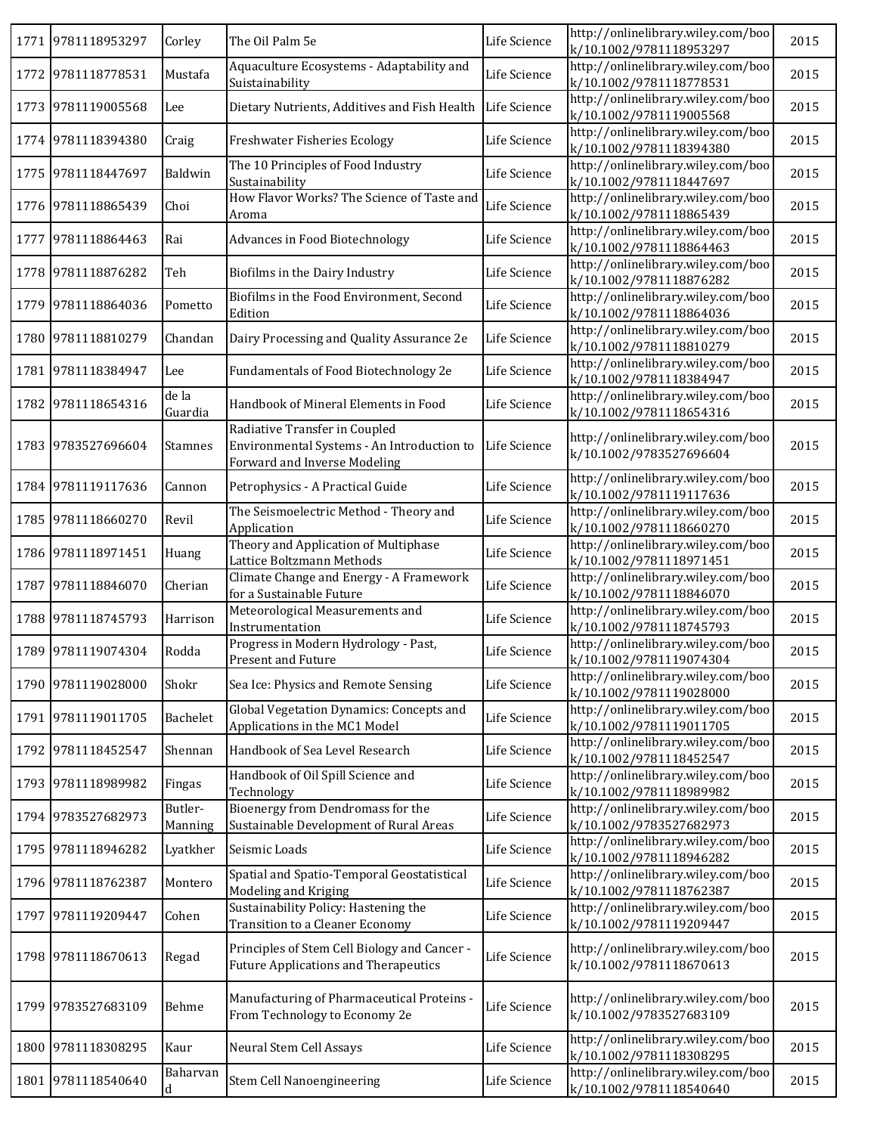|      | 1771 9781118953297 | Corley             | The Oil Palm 5e                                                                                             | Life Science | http://onlinelibrary.wiley.com/boo<br>k/10.1002/9781118953297 | 2015 |
|------|--------------------|--------------------|-------------------------------------------------------------------------------------------------------------|--------------|---------------------------------------------------------------|------|
|      | 1772 9781118778531 | Mustafa            | Aquaculture Ecosystems - Adaptability and<br>Suistainability                                                | Life Science | http://onlinelibrary.wiley.com/boo<br>k/10.1002/9781118778531 | 2015 |
|      | 1773 9781119005568 | Lee                | Dietary Nutrients, Additives and Fish Health                                                                | Life Science | http://onlinelibrary.wiley.com/boo<br>k/10.1002/9781119005568 | 2015 |
|      | 1774 9781118394380 | Craig              | Freshwater Fisheries Ecology                                                                                | Life Science | http://onlinelibrary.wiley.com/boo<br>k/10.1002/9781118394380 | 2015 |
|      | 1775 9781118447697 | Baldwin            | The 10 Principles of Food Industry<br>Sustainability                                                        | Life Science | http://onlinelibrary.wiley.com/boo<br>k/10.1002/9781118447697 | 2015 |
|      | 1776 9781118865439 | Choi               | How Flavor Works? The Science of Taste and<br>Aroma                                                         | Life Science | http://onlinelibrary.wiley.com/boo<br>k/10.1002/9781118865439 | 2015 |
|      | 1777 9781118864463 | Rai                | Advances in Food Biotechnology                                                                              | Life Science | http://onlinelibrary.wiley.com/boo<br>k/10.1002/9781118864463 | 2015 |
|      | 1778 9781118876282 | Teh                | Biofilms in the Dairy Industry                                                                              | Life Science | http://onlinelibrary.wiley.com/boo<br>k/10.1002/9781118876282 | 2015 |
| 1779 | 9781118864036      | Pometto            | Biofilms in the Food Environment, Second<br>Edition                                                         | Life Science | http://onlinelibrary.wiley.com/boo<br>k/10.1002/9781118864036 | 2015 |
|      | 1780 9781118810279 | Chandan            | Dairy Processing and Quality Assurance 2e                                                                   | Life Science | http://onlinelibrary.wiley.com/boo<br>k/10.1002/9781118810279 | 2015 |
| 1781 | 9781118384947      | Lee                | Fundamentals of Food Biotechnology 2e                                                                       | Life Science | http://onlinelibrary.wiley.com/boo<br>k/10.1002/9781118384947 | 2015 |
| 1782 | 9781118654316      | de la<br>Guardia   | Handbook of Mineral Elements in Food                                                                        | Life Science | http://onlinelibrary.wiley.com/boo<br>k/10.1002/9781118654316 | 2015 |
|      | 1783 9783527696604 | <b>Stamnes</b>     | Radiative Transfer in Coupled<br>Environmental Systems - An Introduction to<br>Forward and Inverse Modeling | Life Science | http://onlinelibrary.wiley.com/boo<br>k/10.1002/9783527696604 | 2015 |
|      | 1784 9781119117636 | Cannon             | Petrophysics - A Practical Guide                                                                            | Life Science | http://onlinelibrary.wiley.com/boo<br>k/10.1002/9781119117636 | 2015 |
|      | 1785 9781118660270 | Revil              | The Seismoelectric Method - Theory and<br>Application                                                       | Life Science | http://onlinelibrary.wiley.com/boo<br>k/10.1002/9781118660270 | 2015 |
|      | 1786 9781118971451 | Huang              | Theory and Application of Multiphase<br>Lattice Boltzmann Methods                                           | Life Science | http://onlinelibrary.wiley.com/boo<br>k/10.1002/9781118971451 | 2015 |
|      | 1787 9781118846070 | Cherian            | Climate Change and Energy - A Framework<br>for a Sustainable Future                                         | Life Science | http://onlinelibrary.wiley.com/boo<br>k/10.1002/9781118846070 | 2015 |
|      | 1788 9781118745793 | Harrison           | Meteorological Measurements and<br>Instrumentation                                                          | Life Science | http://onlinelibrary.wiley.com/boo<br>k/10.1002/9781118745793 | 2015 |
|      | 1789 9781119074304 | Rodda              | Progress in Modern Hydrology - Past,<br>Present and Future                                                  | Life Science | http://onlinelibrary.wiley.com/boo<br>k/10.1002/9781119074304 | 2015 |
|      | 1790 9781119028000 | Shokr              | Sea Ice: Physics and Remote Sensing                                                                         | Life Science | http://onlinelibrary.wiley.com/boo<br>k/10.1002/9781119028000 | 2015 |
|      | 1791 9781119011705 | Bachelet           | Global Vegetation Dynamics: Concepts and<br>Applications in the MC1 Model                                   | Life Science | http://onlinelibrary.wiley.com/boo<br>k/10.1002/9781119011705 | 2015 |
|      | 1792 9781118452547 | Shennan            | Handbook of Sea Level Research                                                                              | Life Science | http://onlinelibrary.wiley.com/boo<br>k/10.1002/9781118452547 | 2015 |
|      | 1793 9781118989982 | Fingas             | Handbook of Oil Spill Science and<br>Technology                                                             | Life Science | http://onlinelibrary.wiley.com/boo<br>k/10.1002/9781118989982 | 2015 |
|      | 1794 9783527682973 | Butler-<br>Manning | Bioenergy from Dendromass for the<br>Sustainable Development of Rural Areas                                 | Life Science | http://onlinelibrary.wiley.com/boo<br>k/10.1002/9783527682973 | 2015 |
|      | 1795 9781118946282 | Lyatkher           | Seismic Loads                                                                                               | Life Science | http://onlinelibrary.wiley.com/boo<br>k/10.1002/9781118946282 | 2015 |
|      | 1796 9781118762387 | Montero            | Spatial and Spatio-Temporal Geostatistical<br>Modeling and Kriging                                          | Life Science | http://onlinelibrary.wiley.com/boo<br>k/10.1002/9781118762387 | 2015 |
|      | 1797 9781119209447 | Cohen              | Sustainability Policy: Hastening the<br>Transition to a Cleaner Economy                                     | Life Science | http://onlinelibrary.wiley.com/boo<br>k/10.1002/9781119209447 | 2015 |
|      | 1798 9781118670613 | Regad              | Principles of Stem Cell Biology and Cancer -<br><b>Future Applications and Therapeutics</b>                 | Life Science | http://onlinelibrary.wiley.com/boo<br>k/10.1002/9781118670613 | 2015 |
|      | 1799 9783527683109 | Behme              | Manufacturing of Pharmaceutical Proteins -<br>From Technology to Economy 2e                                 | Life Science | http://onlinelibrary.wiley.com/boo<br>k/10.1002/9783527683109 | 2015 |
|      | 1800 9781118308295 | Kaur               | Neural Stem Cell Assays                                                                                     | Life Science | http://onlinelibrary.wiley.com/boo<br>k/10.1002/9781118308295 | 2015 |
|      | 1801 9781118540640 | Baharvan<br>d      | Stem Cell Nanoengineering                                                                                   | Life Science | http://onlinelibrary.wiley.com/boo<br>k/10.1002/9781118540640 | 2015 |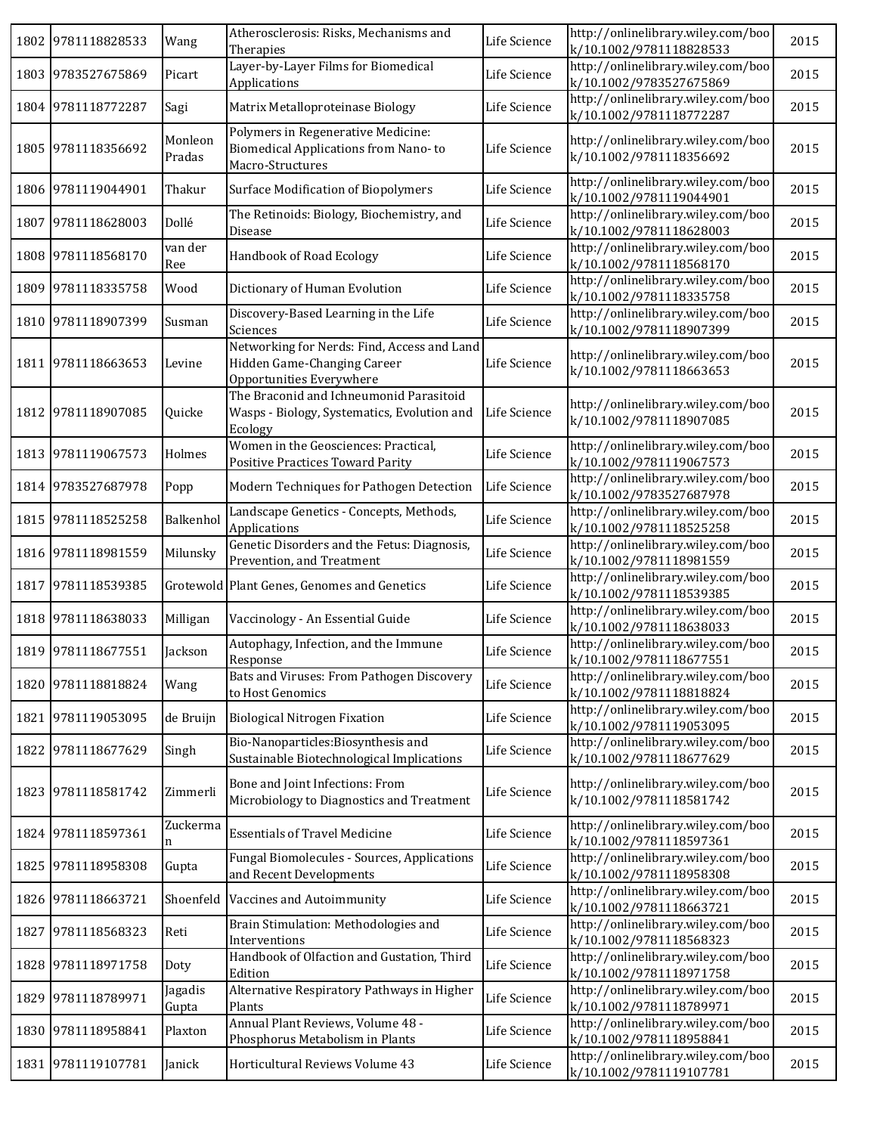| 1802 9781118828533 | Wang              | Atherosclerosis: Risks, Mechanisms and<br>Therapies                                                    | Life Science | http://onlinelibrary.wiley.com/boo<br>k/10.1002/9781118828533 | 2015 |
|--------------------|-------------------|--------------------------------------------------------------------------------------------------------|--------------|---------------------------------------------------------------|------|
| 1803 9783527675869 | Picart            | Layer-by-Layer Films for Biomedical<br>Applications                                                    | Life Science | http://onlinelibrary.wiley.com/boo<br>k/10.1002/9783527675869 | 2015 |
| 1804 9781118772287 | Sagi              | Matrix Metalloproteinase Biology                                                                       | Life Science | http://onlinelibrary.wiley.com/boo<br>k/10.1002/9781118772287 | 2015 |
| 1805 9781118356692 | Monleon<br>Pradas | Polymers in Regenerative Medicine:<br>Biomedical Applications from Nano-to<br>Macro-Structures         | Life Science | http://onlinelibrary.wiley.com/boo<br>k/10.1002/9781118356692 | 2015 |
| 1806 9781119044901 | Thakur            | <b>Surface Modification of Biopolymers</b>                                                             | Life Science | http://onlinelibrary.wiley.com/boo<br>k/10.1002/9781119044901 | 2015 |
| 1807 9781118628003 | Dollé             | The Retinoids: Biology, Biochemistry, and<br>Disease                                                   | Life Science | http://onlinelibrary.wiley.com/boo<br>k/10.1002/9781118628003 | 2015 |
| 1808 9781118568170 | van der<br>Ree    | Handbook of Road Ecology                                                                               | Life Science | http://onlinelibrary.wiley.com/boo<br>k/10.1002/9781118568170 | 2015 |
| 1809 9781118335758 | Wood              | Dictionary of Human Evolution                                                                          | Life Science | http://onlinelibrary.wiley.com/boo<br>k/10.1002/9781118335758 | 2015 |
| 1810 9781118907399 | Susman            | Discovery-Based Learning in the Life<br>Sciences                                                       | Life Science | http://onlinelibrary.wiley.com/boo<br>k/10.1002/9781118907399 | 2015 |
| 1811 9781118663653 | Levine            | Networking for Nerds: Find, Access and Land<br>Hidden Game-Changing Career<br>Opportunities Everywhere | Life Science | http://onlinelibrary.wiley.com/boo<br>k/10.1002/9781118663653 | 2015 |
| 1812 9781118907085 | Quicke            | The Braconid and Ichneumonid Parasitoid<br>Wasps - Biology, Systematics, Evolution and<br>Ecology      | Life Science | http://onlinelibrary.wiley.com/boo<br>k/10.1002/9781118907085 | 2015 |
| 1813 9781119067573 | Holmes            | Women in the Geosciences: Practical,<br>Positive Practices Toward Parity                               | Life Science | http://onlinelibrary.wiley.com/boo<br>k/10.1002/9781119067573 | 2015 |
| 1814 9783527687978 | Popp              | Modern Techniques for Pathogen Detection                                                               | Life Science | http://onlinelibrary.wiley.com/boo<br>k/10.1002/9783527687978 | 2015 |
| 1815 9781118525258 | Balkenhol         | Landscape Genetics - Concepts, Methods,<br>Applications                                                | Life Science | http://onlinelibrary.wiley.com/boo<br>k/10.1002/9781118525258 | 2015 |
| 1816 9781118981559 | Milunsky          | Genetic Disorders and the Fetus: Diagnosis,<br>Prevention, and Treatment                               | Life Science | http://onlinelibrary.wiley.com/boo<br>k/10.1002/9781118981559 | 2015 |
| 1817 9781118539385 |                   | Grotewold Plant Genes, Genomes and Genetics                                                            | Life Science | http://onlinelibrary.wiley.com/boo<br>k/10.1002/9781118539385 | 2015 |
| 1818 9781118638033 | Milligan          | Vaccinology - An Essential Guide                                                                       | Life Science | http://onlinelibrary.wiley.com/boo<br>k/10.1002/9781118638033 | 2015 |
| 1819 9781118677551 | Jackson           | Autophagy, Infection, and the Immune<br>Response                                                       | Life Science | http://onlinelibrary.wiley.com/boo<br>k/10.1002/9781118677551 | 2015 |
| 1820 9781118818824 | Wang              | Bats and Viruses: From Pathogen Discovery<br>to Host Genomics                                          | Life Science | http://onlinelibrary.wiley.com/boo<br>k/10.1002/9781118818824 | 2015 |
| 1821 9781119053095 | de Bruijn         | <b>Biological Nitrogen Fixation</b>                                                                    | Life Science | http://onlinelibrary.wiley.com/boo<br>k/10.1002/9781119053095 | 2015 |
| 1822 9781118677629 | Singh             | Bio-Nanoparticles: Biosynthesis and<br>Sustainable Biotechnological Implications                       | Life Science | http://onlinelibrary.wiley.com/boo<br>k/10.1002/9781118677629 | 2015 |
| 1823 9781118581742 | Zimmerli          | Bone and Joint Infections: From<br>Microbiology to Diagnostics and Treatment                           | Life Science | http://onlinelibrary.wiley.com/boo<br>k/10.1002/9781118581742 | 2015 |
| 1824 9781118597361 | Zuckerma<br>n     | <b>Essentials of Travel Medicine</b>                                                                   | Life Science | http://onlinelibrary.wiley.com/boo<br>k/10.1002/9781118597361 | 2015 |
| 1825 9781118958308 | Gupta             | Fungal Biomolecules - Sources, Applications<br>and Recent Developments                                 | Life Science | http://onlinelibrary.wiley.com/boo<br>k/10.1002/9781118958308 | 2015 |
| 1826 9781118663721 |                   | Shoenfeld Vaccines and Autoimmunity                                                                    | Life Science | http://onlinelibrary.wiley.com/boo<br>k/10.1002/9781118663721 | 2015 |
| 1827 9781118568323 | Reti              | Brain Stimulation: Methodologies and<br>Interventions                                                  | Life Science | http://onlinelibrary.wiley.com/boo<br>k/10.1002/9781118568323 | 2015 |
| 1828 9781118971758 | Doty              | Handbook of Olfaction and Gustation, Third<br>Edition                                                  | Life Science | http://onlinelibrary.wiley.com/boo<br>k/10.1002/9781118971758 | 2015 |
| 1829 9781118789971 | Jagadis<br>Gupta  | Alternative Respiratory Pathways in Higher<br>Plants                                                   | Life Science | http://onlinelibrary.wiley.com/boo<br>k/10.1002/9781118789971 | 2015 |
| 1830 9781118958841 | Plaxton           | Annual Plant Reviews, Volume 48 -<br>Phosphorus Metabolism in Plants                                   | Life Science | http://onlinelibrary.wiley.com/boo<br>k/10.1002/9781118958841 | 2015 |
| 1831 9781119107781 | Janick            | Horticultural Reviews Volume 43                                                                        | Life Science | http://onlinelibrary.wiley.com/boo<br>k/10.1002/9781119107781 | 2015 |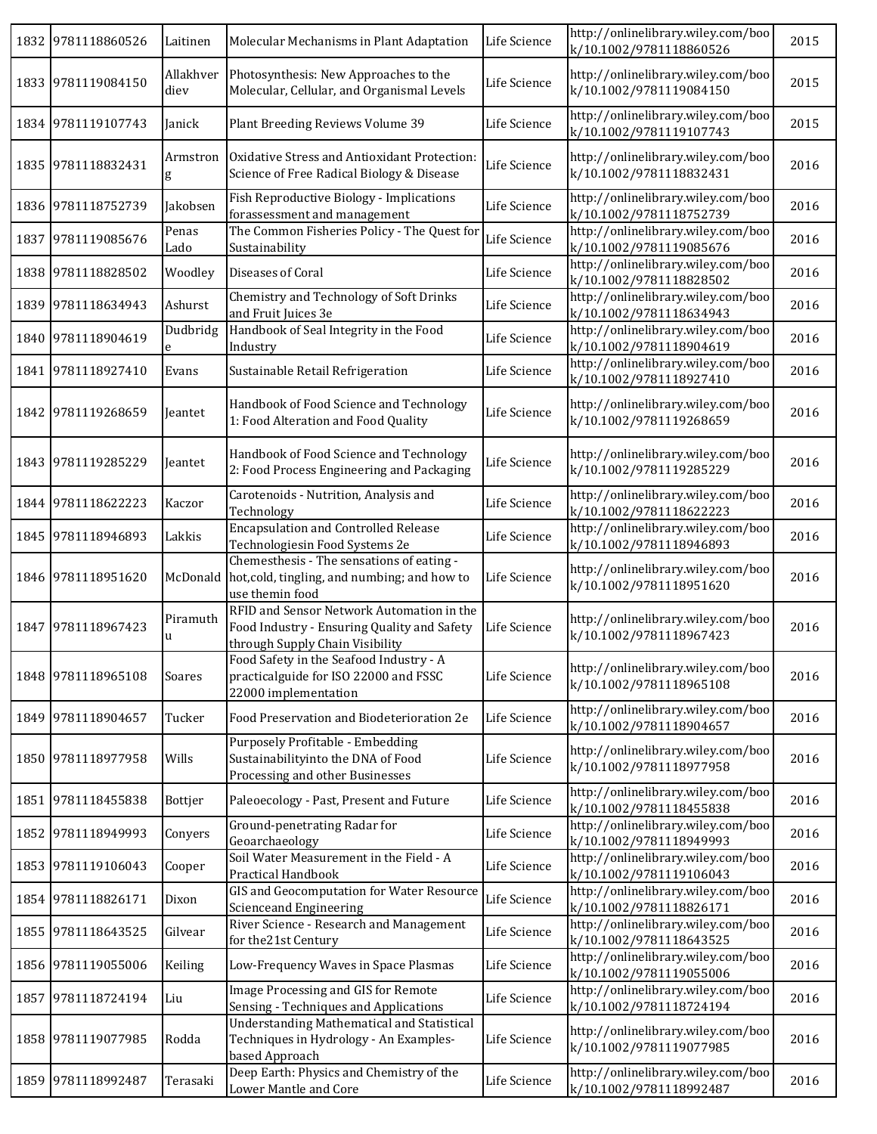|      | 1832 9781118860526 | Laitinen          | Molecular Mechanisms in Plant Adaptation                                                                                    | Life Science | http://onlinelibrary.wiley.com/boo<br>k/10.1002/9781118860526 | 2015 |
|------|--------------------|-------------------|-----------------------------------------------------------------------------------------------------------------------------|--------------|---------------------------------------------------------------|------|
|      | 1833 9781119084150 | Allakhver<br>diev | Photosynthesis: New Approaches to the<br>Molecular, Cellular, and Organismal Levels                                         | Life Science | http://onlinelibrary.wiley.com/boo<br>k/10.1002/9781119084150 | 2015 |
|      | 1834 9781119107743 | Janick            | Plant Breeding Reviews Volume 39                                                                                            | Life Science | http://onlinelibrary.wiley.com/boo<br>k/10.1002/9781119107743 | 2015 |
|      | 1835 9781118832431 | Armstron<br>g     | Oxidative Stress and Antioxidant Protection:<br>Science of Free Radical Biology & Disease                                   | Life Science | http://onlinelibrary.wiley.com/boo<br>k/10.1002/9781118832431 | 2016 |
|      | 1836 9781118752739 | Jakobsen          | Fish Reproductive Biology - Implications<br>forassessment and management                                                    | Life Science | http://onlinelibrary.wiley.com/boo<br>k/10.1002/9781118752739 | 2016 |
|      | 1837 9781119085676 | Penas<br>Lado     | The Common Fisheries Policy - The Quest for<br>Sustainability                                                               | Life Science | http://onlinelibrary.wiley.com/boo<br>k/10.1002/9781119085676 | 2016 |
|      | 1838 9781118828502 | Woodley           | Diseases of Coral                                                                                                           | Life Science | http://onlinelibrary.wiley.com/boo<br>k/10.1002/9781118828502 | 2016 |
|      | 1839 9781118634943 | Ashurst           | Chemistry and Technology of Soft Drinks<br>and Fruit Juices 3e                                                              | Life Science | http://onlinelibrary.wiley.com/boo<br>k/10.1002/9781118634943 | 2016 |
|      | 1840 9781118904619 | Dudbridg<br>e     | Handbook of Seal Integrity in the Food<br>Industry                                                                          | Life Science | http://onlinelibrary.wiley.com/boo<br>k/10.1002/9781118904619 | 2016 |
|      | 1841 9781118927410 | Evans             | Sustainable Retail Refrigeration                                                                                            | Life Science | http://onlinelibrary.wiley.com/boo<br>k/10.1002/9781118927410 | 2016 |
|      | 1842 9781119268659 | Jeantet           | Handbook of Food Science and Technology<br>1: Food Alteration and Food Quality                                              | Life Science | http://onlinelibrary.wiley.com/boo<br>k/10.1002/9781119268659 | 2016 |
|      | 1843 9781119285229 | Jeantet           | Handbook of Food Science and Technology<br>2: Food Process Engineering and Packaging                                        | Life Science | http://onlinelibrary.wiley.com/boo<br>k/10.1002/9781119285229 | 2016 |
|      | 1844 9781118622223 | Kaczor            | Carotenoids - Nutrition, Analysis and<br>Technology                                                                         | Life Science | http://onlinelibrary.wiley.com/boo<br>k/10.1002/9781118622223 | 2016 |
|      | 1845 9781118946893 | Lakkis            | <b>Encapsulation and Controlled Release</b><br>Technologiesin Food Systems 2e                                               | Life Science | http://onlinelibrary.wiley.com/boo<br>k/10.1002/9781118946893 | 2016 |
|      | 1846 9781118951620 | McDonald          | Chemesthesis - The sensations of eating -<br>hot, cold, tingling, and numbing; and how to<br>use themin food                | Life Science | http://onlinelibrary.wiley.com/boo<br>k/10.1002/9781118951620 | 2016 |
|      | 1847 9781118967423 | Piramuth<br>u     | RFID and Sensor Network Automation in the<br>Food Industry - Ensuring Quality and Safety<br>through Supply Chain Visibility | Life Science | http://onlinelibrary.wiley.com/boo<br>k/10.1002/9781118967423 | 2016 |
|      | 1848 9781118965108 | Soares            | Food Safety in the Seafood Industry - A<br>practicalguide for ISO 22000 and FSSC<br>22000 implementation                    | Life Science | http://onlinelibrary.wiley.com/boo<br>k/10.1002/9781118965108 | 2016 |
|      | 1849 9781118904657 | Tucker            | Food Preservation and Biodeterioration 2e                                                                                   | Life Science | http://onlinelibrary.wiley.com/boo<br>k/10.1002/9781118904657 | 2016 |
|      | 1850 9781118977958 | Wills             | Purposely Profitable - Embedding<br>Sustainabilityinto the DNA of Food<br>Processing and other Businesses                   | Life Science | http://onlinelibrary.wiley.com/boo<br>k/10.1002/9781118977958 | 2016 |
|      | 1851 9781118455838 | Bottjer           | Paleoecology - Past, Present and Future                                                                                     | Life Science | http://onlinelibrary.wiley.com/boo<br>k/10.1002/9781118455838 | 2016 |
|      | 1852 9781118949993 | Conyers           | Ground-penetrating Radar for<br>Geoarchaeology                                                                              | Life Science | http://onlinelibrary.wiley.com/boo<br>k/10.1002/9781118949993 | 2016 |
|      | 1853 9781119106043 | Cooper            | Soil Water Measurement in the Field - A<br>Practical Handbook                                                               | Life Science | http://onlinelibrary.wiley.com/boo<br>k/10.1002/9781119106043 | 2016 |
|      | 1854 9781118826171 | Dixon             | GIS and Geocomputation for Water Resource<br><b>Scienceand Engineering</b>                                                  | Life Science | http://onlinelibrary.wiley.com/boo<br>k/10.1002/9781118826171 | 2016 |
|      | 1855 9781118643525 | Gilvear           | River Science - Research and Management<br>for the 21st Century                                                             | Life Science | http://onlinelibrary.wiley.com/boo<br>k/10.1002/9781118643525 | 2016 |
|      | 1856 9781119055006 | Keiling           | Low-Frequency Waves in Space Plasmas                                                                                        | Life Science | http://onlinelibrary.wiley.com/boo<br>k/10.1002/9781119055006 | 2016 |
| 1857 | 9781118724194      | Liu               | Image Processing and GIS for Remote<br>Sensing - Techniques and Applications                                                | Life Science | http://onlinelibrary.wiley.com/boo<br>k/10.1002/9781118724194 | 2016 |
|      | 1858 9781119077985 | Rodda             | <b>Understanding Mathematical and Statistical</b><br>Techniques in Hydrology - An Examples-<br>based Approach               | Life Science | http://onlinelibrary.wiley.com/boo<br>k/10.1002/9781119077985 | 2016 |
|      | 1859 9781118992487 | Terasaki          | Deep Earth: Physics and Chemistry of the<br>Lower Mantle and Core                                                           | Life Science | http://onlinelibrary.wiley.com/boo<br>k/10.1002/9781118992487 | 2016 |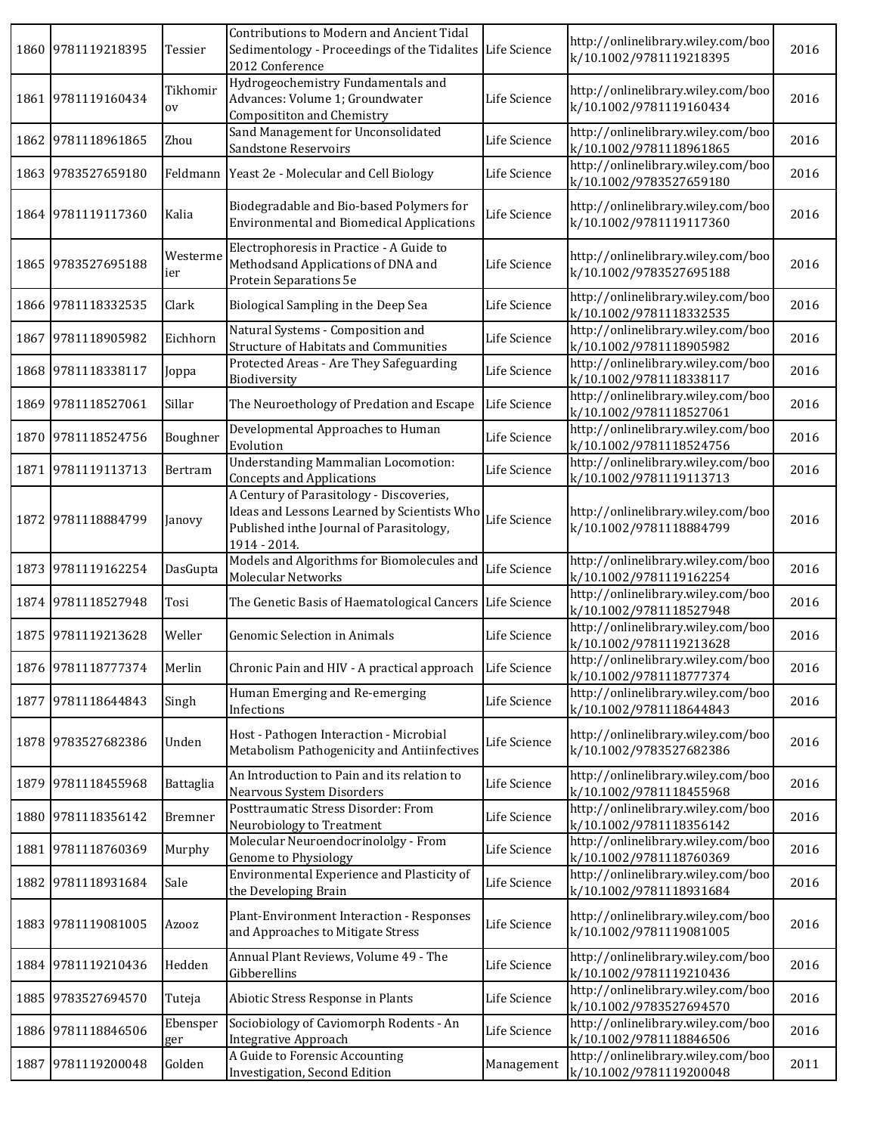| 1860 | 9781119218395      | Tessier               | Contributions to Modern and Ancient Tidal<br>Sedimentology - Proceedings of the Tidalites Life Science<br>2012 Conference                           |              | http://onlinelibrary.wiley.com/boo<br>k/10.1002/9781119218395 | 2016 |
|------|--------------------|-----------------------|-----------------------------------------------------------------------------------------------------------------------------------------------------|--------------|---------------------------------------------------------------|------|
| 1861 | 9781119160434      | Tikhomir<br><b>OV</b> | Hydrogeochemistry Fundamentals and<br>Advances: Volume 1; Groundwater<br><b>Composititon and Chemistry</b>                                          | Life Science | http://onlinelibrary.wiley.com/boo<br>k/10.1002/9781119160434 | 2016 |
| 1862 | 9781118961865      | Zhou                  | Sand Management for Unconsolidated<br>Sandstone Reservoirs                                                                                          | Life Science | http://onlinelibrary.wiley.com/boo<br>k/10.1002/9781118961865 | 2016 |
| 1863 | 9783527659180      |                       | Feldmann   Yeast 2e - Molecular and Cell Biology                                                                                                    | Life Science | http://onlinelibrary.wiley.com/boo<br>k/10.1002/9783527659180 | 2016 |
|      | 1864 9781119117360 | Kalia                 | Biodegradable and Bio-based Polymers for<br><b>Environmental and Biomedical Applications</b>                                                        | Life Science | http://onlinelibrary.wiley.com/boo<br>k/10.1002/9781119117360 | 2016 |
| 1865 | 9783527695188      | Westerme<br>ier       | Electrophoresis in Practice - A Guide to<br>Methodsand Applications of DNA and<br>Protein Separations 5e                                            | Life Science | http://onlinelibrary.wiley.com/boo<br>k/10.1002/9783527695188 | 2016 |
|      | 1866 9781118332535 | Clark                 | Biological Sampling in the Deep Sea                                                                                                                 | Life Science | http://onlinelibrary.wiley.com/boo<br>k/10.1002/9781118332535 | 2016 |
| 1867 | 9781118905982      | Eichhorn              | Natural Systems - Composition and<br><b>Structure of Habitats and Communities</b>                                                                   | Life Science | http://onlinelibrary.wiley.com/boo<br>k/10.1002/9781118905982 | 2016 |
| 1868 | 9781118338117      | Joppa                 | Protected Areas - Are They Safeguarding<br>Biodiversity                                                                                             | Life Science | http://onlinelibrary.wiley.com/boo<br>k/10.1002/9781118338117 | 2016 |
|      | 1869 9781118527061 | Sillar                | The Neuroethology of Predation and Escape                                                                                                           | Life Science | http://onlinelibrary.wiley.com/boo<br>k/10.1002/9781118527061 | 2016 |
|      | 1870 9781118524756 | Boughner              | Developmental Approaches to Human<br>Evolution                                                                                                      | Life Science | http://onlinelibrary.wiley.com/boo<br>k/10.1002/9781118524756 | 2016 |
|      | 1871 9781119113713 | Bertram               | <b>Understanding Mammalian Locomotion:</b><br><b>Concepts and Applications</b>                                                                      | Life Science | http://onlinelibrary.wiley.com/boo<br>k/10.1002/9781119113713 | 2016 |
|      | 1872 9781118884799 | Janovy                | A Century of Parasitology - Discoveries,<br>Ideas and Lessons Learned by Scientists Who<br>Published inthe Journal of Parasitology,<br>1914 - 2014. | Life Science | http://onlinelibrary.wiley.com/boo<br>k/10.1002/9781118884799 | 2016 |
| 1873 | 9781119162254      | DasGupta              | Models and Algorithms for Biomolecules and<br>Molecular Networks                                                                                    | Life Science | http://onlinelibrary.wiley.com/boo<br>k/10.1002/9781119162254 | 2016 |
|      | 1874 9781118527948 | Tosi                  | The Genetic Basis of Haematological Cancers                                                                                                         | Life Science | http://onlinelibrary.wiley.com/boo<br>k/10.1002/9781118527948 | 2016 |
|      | 1875 9781119213628 | Weller                | Genomic Selection in Animals                                                                                                                        | Life Science | http://onlinelibrary.wiley.com/boo<br>k/10.1002/9781119213628 | 2016 |
|      | 1876 9781118777374 | Merlin                | Chronic Pain and HIV - A practical approach Life Science                                                                                            |              | http://onlinelibrary.wiley.com/boo<br>k/10.1002/9781118777374 | 2016 |
|      | 1877 9781118644843 | Singh                 | Human Emerging and Re-emerging<br>Infections                                                                                                        | Life Science | http://onlinelibrary.wiley.com/boo<br>k/10.1002/9781118644843 | 2016 |
|      | 1878 9783527682386 | Unden                 | Host - Pathogen Interaction - Microbial<br>Metabolism Pathogenicity and Antiinfectives                                                              | Life Science | http://onlinelibrary.wiley.com/boo<br>k/10.1002/9783527682386 | 2016 |
| 1879 | 9781118455968      | Battaglia             | An Introduction to Pain and its relation to<br>Nearvous System Disorders                                                                            | Life Science | http://onlinelibrary.wiley.com/boo<br>k/10.1002/9781118455968 | 2016 |
|      | 1880 9781118356142 | Bremner               | Posttraumatic Stress Disorder: From<br>Neurobiology to Treatment                                                                                    | Life Science | http://onlinelibrary.wiley.com/boo<br>k/10.1002/9781118356142 | 2016 |
|      | 1881 9781118760369 | Murphy                | Molecular Neuroendocrinololgy - From<br>Genome to Physiology                                                                                        | Life Science | http://onlinelibrary.wiley.com/boo<br>k/10.1002/9781118760369 | 2016 |
|      | 1882 9781118931684 | Sale                  | Environmental Experience and Plasticity of<br>the Developing Brain                                                                                  | Life Science | http://onlinelibrary.wiley.com/boo<br>k/10.1002/9781118931684 | 2016 |
|      | 1883 9781119081005 | Azooz                 | Plant-Environment Interaction - Responses<br>and Approaches to Mitigate Stress                                                                      | Life Science | http://onlinelibrary.wiley.com/boo<br>k/10.1002/9781119081005 | 2016 |
|      | 1884 9781119210436 | Hedden                | Annual Plant Reviews, Volume 49 - The<br>Gibberellins                                                                                               | Life Science | http://onlinelibrary.wiley.com/boo<br>k/10.1002/9781119210436 | 2016 |
| 1885 | 9783527694570      | Tuteja                | Abiotic Stress Response in Plants                                                                                                                   | Life Science | http://onlinelibrary.wiley.com/boo<br>k/10.1002/9783527694570 | 2016 |
|      | 1886 9781118846506 | Ebensper<br>ger       | Sociobiology of Caviomorph Rodents - An<br><b>Integrative Approach</b>                                                                              | Life Science | http://onlinelibrary.wiley.com/boo<br>k/10.1002/9781118846506 | 2016 |
| 1887 | 9781119200048      | Golden                | A Guide to Forensic Accounting<br>Investigation, Second Edition                                                                                     | Management   | http://onlinelibrary.wiley.com/boo<br>k/10.1002/9781119200048 | 2011 |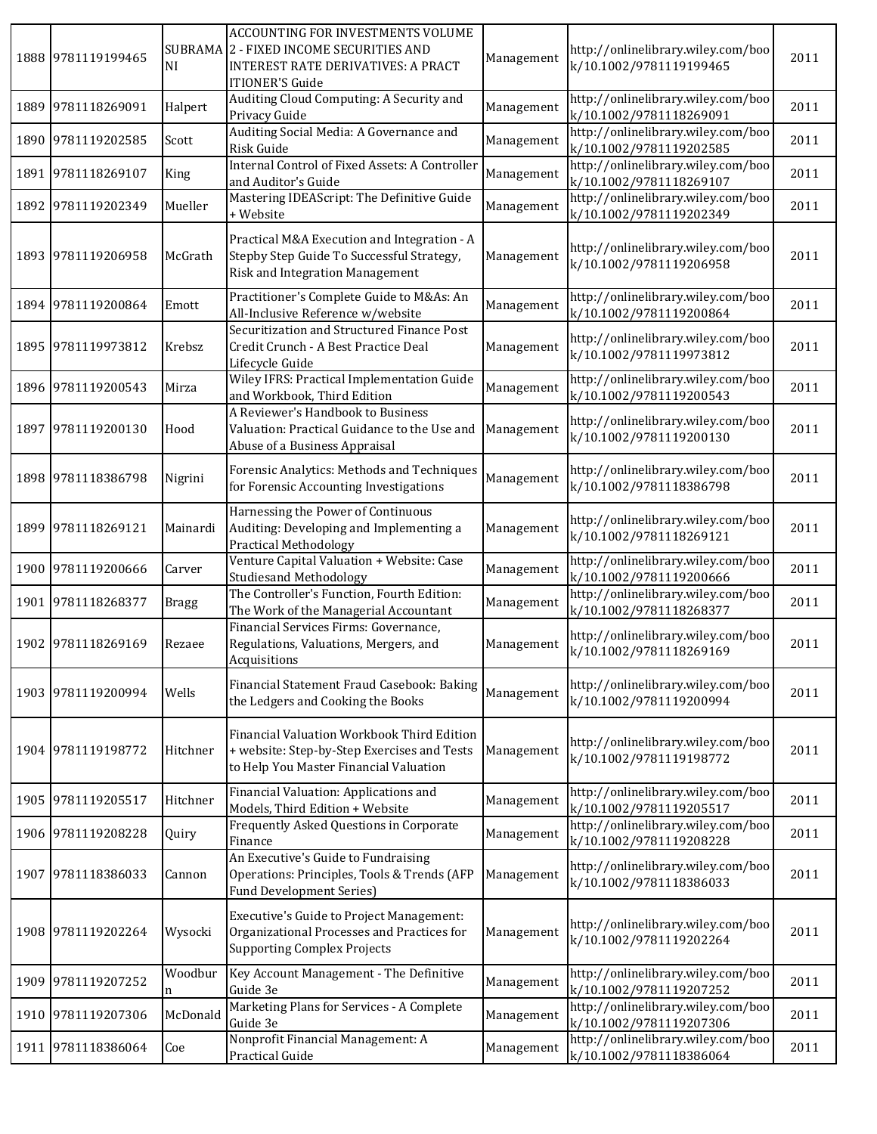| 1888 9781119199465 | <b>NI</b>    | ACCOUNTING FOR INVESTMENTS VOLUME<br>SUBRAMA 2 - FIXED INCOME SECURITIES AND<br><b>INTEREST RATE DERIVATIVES: A PRACT</b><br><b>ITIONER'S Guide</b> | Management | http://onlinelibrary.wiley.com/boo<br>k/10.1002/9781119199465 | 2011 |
|--------------------|--------------|-----------------------------------------------------------------------------------------------------------------------------------------------------|------------|---------------------------------------------------------------|------|
| 1889 9781118269091 | Halpert      | Auditing Cloud Computing: A Security and<br>Privacy Guide                                                                                           | Management | http://onlinelibrary.wiley.com/boo<br>k/10.1002/9781118269091 | 2011 |
| 1890 9781119202585 | Scott        | Auditing Social Media: A Governance and<br>Risk Guide                                                                                               | Management | http://onlinelibrary.wiley.com/boo<br>k/10.1002/9781119202585 | 2011 |
| 1891 9781118269107 | King         | Internal Control of Fixed Assets: A Controller<br>and Auditor's Guide                                                                               | Management | http://onlinelibrary.wiley.com/boo<br>k/10.1002/9781118269107 | 2011 |
| 1892 9781119202349 | Mueller      | Mastering IDEAScript: The Definitive Guide<br>+ Website                                                                                             | Management | http://onlinelibrary.wiley.com/boo<br>k/10.1002/9781119202349 | 2011 |
| 1893 9781119206958 | McGrath      | Practical M&A Execution and Integration - A<br>Stepby Step Guide To Successful Strategy,<br>Risk and Integration Management                         | Management | http://onlinelibrary.wiley.com/boo<br>k/10.1002/9781119206958 | 2011 |
| 1894 9781119200864 | Emott        | Practitioner's Complete Guide to M&As: An<br>All-Inclusive Reference w/website                                                                      | Management | http://onlinelibrary.wiley.com/boo<br>k/10.1002/9781119200864 | 2011 |
| 1895 9781119973812 | Krebsz       | Securitization and Structured Finance Post<br>Credit Crunch - A Best Practice Deal<br>Lifecycle Guide                                               | Management | http://onlinelibrary.wiley.com/boo<br>k/10.1002/9781119973812 | 2011 |
| 1896 9781119200543 | Mirza        | Wiley IFRS: Practical Implementation Guide<br>and Workbook, Third Edition                                                                           | Management | http://onlinelibrary.wiley.com/boo<br>k/10.1002/9781119200543 | 2011 |
| 1897 9781119200130 | Hood         | A Reviewer's Handbook to Business<br>Valuation: Practical Guidance to the Use and<br>Abuse of a Business Appraisal                                  | Management | http://onlinelibrary.wiley.com/boo<br>k/10.1002/9781119200130 | 2011 |
| 1898 9781118386798 | Nigrini      | Forensic Analytics: Methods and Techniques<br>for Forensic Accounting Investigations                                                                | Management | http://onlinelibrary.wiley.com/boo<br>k/10.1002/9781118386798 | 2011 |
| 1899 9781118269121 | Mainardi     | Harnessing the Power of Continuous<br>Auditing: Developing and Implementing a<br><b>Practical Methodology</b>                                       | Management | http://onlinelibrary.wiley.com/boo<br>k/10.1002/9781118269121 | 2011 |
| 1900 9781119200666 | Carver       | Venture Capital Valuation + Website: Case<br><b>Studiesand Methodology</b>                                                                          | Management | http://onlinelibrary.wiley.com/boo<br>k/10.1002/9781119200666 | 2011 |
| 1901 9781118268377 | <b>Bragg</b> | The Controller's Function, Fourth Edition:<br>The Work of the Managerial Accountant                                                                 | Management | http://onlinelibrary.wiley.com/boo<br>k/10.1002/9781118268377 | 2011 |
| 1902 9781118269169 | Rezaee       | Financial Services Firms: Governance,<br>Regulations, Valuations, Mergers, and<br>Acquisitions                                                      | Management | http://onlinelibrary.wiley.com/boo<br>k/10.1002/9781118269169 | 2011 |
| 1903 9781119200994 | Wells        | Financial Statement Fraud Casebook: Baking<br>the Ledgers and Cooking the Books                                                                     | Management | http://onlinelibrary.wiley.com/boo<br>k/10.1002/9781119200994 | 2011 |
| 1904 9781119198772 | Hitchner     | Financial Valuation Workbook Third Edition<br>+ website: Step-by-Step Exercises and Tests<br>to Help You Master Financial Valuation                 | Management | http://onlinelibrary.wiley.com/boo<br>k/10.1002/9781119198772 | 2011 |
| 1905 9781119205517 | Hitchner     | Financial Valuation: Applications and<br>Models, Third Edition + Website                                                                            | Management | http://onlinelibrary.wiley.com/boo<br>k/10.1002/9781119205517 | 2011 |
| 1906 9781119208228 | Quiry        | Frequently Asked Questions in Corporate<br>Finance                                                                                                  | Management | http://onlinelibrary.wiley.com/boo<br>k/10.1002/9781119208228 | 2011 |
| 1907 9781118386033 | Cannon       | An Executive's Guide to Fundraising<br>Operations: Principles, Tools & Trends (AFP<br><b>Fund Development Series)</b>                               | Management | http://onlinelibrary.wiley.com/boo<br>k/10.1002/9781118386033 | 2011 |
| 1908 9781119202264 | Wysocki      | Executive's Guide to Project Management:<br>Organizational Processes and Practices for<br><b>Supporting Complex Projects</b>                        | Management | http://onlinelibrary.wiley.com/boo<br>k/10.1002/9781119202264 | 2011 |
| 1909 9781119207252 | Woodbur<br>n | Key Account Management - The Definitive<br>Guide 3e                                                                                                 | Management | http://onlinelibrary.wiley.com/boo<br>k/10.1002/9781119207252 | 2011 |
| 1910 9781119207306 | McDonald     | Marketing Plans for Services - A Complete<br>Guide 3e                                                                                               | Management | http://onlinelibrary.wiley.com/boo<br>k/10.1002/9781119207306 | 2011 |
| 1911 9781118386064 | Coe          | Nonprofit Financial Management: A<br>Practical Guide                                                                                                | Management | http://onlinelibrary.wiley.com/boo<br>k/10.1002/9781118386064 | 2011 |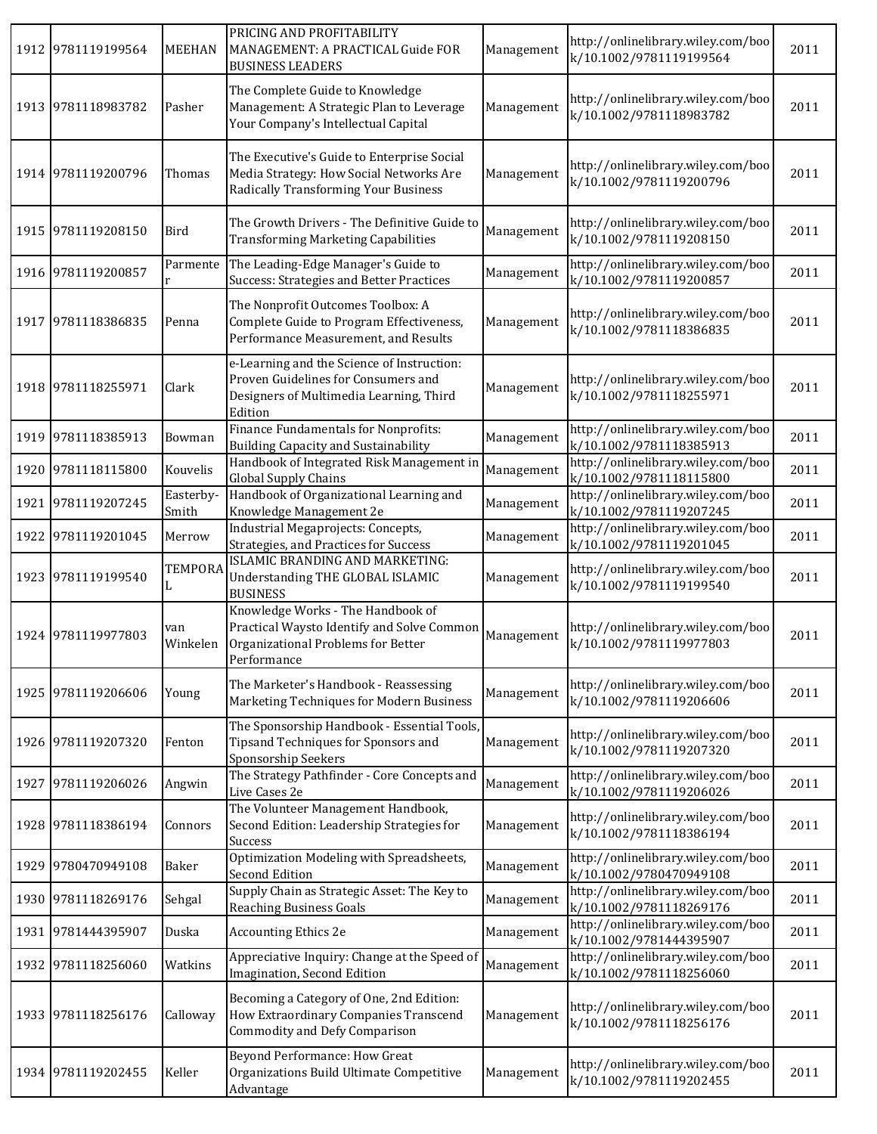| 1912 9781119199564 | <b>MEEHAN</b>       | PRICING AND PROFITABILITY<br>MANAGEMENT: A PRACTICAL Guide FOR<br><b>BUSINESS LEADERS</b>                                               | Management | http://onlinelibrary.wiley.com/boo<br>k/10.1002/9781119199564 | 2011 |
|--------------------|---------------------|-----------------------------------------------------------------------------------------------------------------------------------------|------------|---------------------------------------------------------------|------|
| 1913 9781118983782 | Pasher              | The Complete Guide to Knowledge<br>Management: A Strategic Plan to Leverage<br>Your Company's Intellectual Capital                      | Management | http://onlinelibrary.wiley.com/boo<br>k/10.1002/9781118983782 | 2011 |
| 1914 9781119200796 | Thomas              | The Executive's Guide to Enterprise Social<br>Media Strategy: How Social Networks Are<br><b>Radically Transforming Your Business</b>    | Management | http://onlinelibrary.wiley.com/boo<br>k/10.1002/9781119200796 | 2011 |
| 1915 9781119208150 | Bird                | The Growth Drivers - The Definitive Guide to<br><b>Transforming Marketing Capabilities</b>                                              | Management | http://onlinelibrary.wiley.com/boo<br>k/10.1002/9781119208150 | 2011 |
| 1916 9781119200857 | Parmente            | The Leading-Edge Manager's Guide to<br>Success: Strategies and Better Practices                                                         | Management | http://onlinelibrary.wiley.com/boo<br>k/10.1002/9781119200857 | 2011 |
| 1917 9781118386835 | Penna               | The Nonprofit Outcomes Toolbox: A<br>Complete Guide to Program Effectiveness,<br>Performance Measurement, and Results                   | Management | http://onlinelibrary.wiley.com/boo<br>k/10.1002/9781118386835 | 2011 |
| 1918 9781118255971 | Clark               | e-Learning and the Science of Instruction:<br>Proven Guidelines for Consumers and<br>Designers of Multimedia Learning, Third<br>Edition | Management | http://onlinelibrary.wiley.com/boo<br>k/10.1002/9781118255971 | 2011 |
| 1919 9781118385913 | Bowman              | Finance Fundamentals for Nonprofits:<br>Building Capacity and Sustainability                                                            | Management | http://onlinelibrary.wiley.com/boo<br>k/10.1002/9781118385913 | 2011 |
| 1920 9781118115800 | Kouvelis            | Handbook of Integrated Risk Management in<br>Global Supply Chains                                                                       | Management | http://onlinelibrary.wiley.com/boo<br>k/10.1002/9781118115800 | 2011 |
| 1921 9781119207245 | Easterby-<br>Smith  | Handbook of Organizational Learning and<br>Knowledge Management 2e                                                                      | Management | http://onlinelibrary.wiley.com/boo<br>k/10.1002/9781119207245 | 2011 |
| 1922 9781119201045 | Merrow              | Industrial Megaprojects: Concepts,<br>Strategies, and Practices for Success                                                             | Management | http://onlinelibrary.wiley.com/boo<br>k/10.1002/9781119201045 | 2011 |
| 1923 9781119199540 | <b>TEMPORA</b><br>L | ISLAMIC BRANDING AND MARKETING:<br>Understanding THE GLOBAL ISLAMIC<br><b>BUSINESS</b>                                                  | Management | http://onlinelibrary.wiley.com/boo<br>k/10.1002/9781119199540 | 2011 |
| 1924 9781119977803 | van<br>Winkelen     | Knowledge Works - The Handbook of<br>Practical Waysto Identify and Solve Common<br>Organizational Problems for Better<br>Performance    | Management | http://onlinelibrary.wiley.com/boo<br>k/10.1002/9781119977803 | 2011 |
| 1925 9781119206606 | Young               | The Marketer's Handbook - Reassessing<br>Marketing Techniques for Modern Business                                                       | Management | http://onlinelibrary.wiley.com/boo<br>k/10.1002/9781119206606 | 2011 |
| 1926 9781119207320 | Fenton              | The Sponsorship Handbook - Essential Tools,<br>Tipsand Techniques for Sponsors and<br>Sponsorship Seekers                               | Management | http://onlinelibrary.wiley.com/boo<br>k/10.1002/9781119207320 | 2011 |
| 1927 9781119206026 | Angwin              | The Strategy Pathfinder - Core Concepts and<br>Live Cases 2e                                                                            | Management | http://onlinelibrary.wiley.com/boo<br>k/10.1002/9781119206026 | 2011 |
| 1928 9781118386194 | Connors             | The Volunteer Management Handbook,<br>Second Edition: Leadership Strategies for<br>Success                                              | Management | http://onlinelibrary.wiley.com/boo<br>k/10.1002/9781118386194 | 2011 |
| 1929 9780470949108 | Baker               | Optimization Modeling with Spreadsheets,<br>Second Edition                                                                              | Management | http://onlinelibrary.wiley.com/boo<br>k/10.1002/9780470949108 | 2011 |
| 1930 9781118269176 | Sehgal              | Supply Chain as Strategic Asset: The Key to<br><b>Reaching Business Goals</b>                                                           | Management | http://onlinelibrary.wiley.com/boo<br>k/10.1002/9781118269176 | 2011 |
| 1931 9781444395907 | Duska               | Accounting Ethics 2e                                                                                                                    | Management | http://onlinelibrary.wiley.com/boo<br>k/10.1002/9781444395907 | 2011 |
| 1932 9781118256060 | Watkins             | Appreciative Inquiry: Change at the Speed of<br>Imagination, Second Edition                                                             | Management | http://onlinelibrary.wiley.com/boo<br>k/10.1002/9781118256060 | 2011 |
| 1933 9781118256176 | Calloway            | Becoming a Category of One, 2nd Edition:<br>How Extraordinary Companies Transcend<br>Commodity and Defy Comparison                      | Management | http://onlinelibrary.wiley.com/boo<br>k/10.1002/9781118256176 | 2011 |
| 1934 9781119202455 | Keller              | Beyond Performance: How Great<br>Organizations Build Ultimate Competitive<br>Advantage                                                  | Management | http://onlinelibrary.wiley.com/boo<br>k/10.1002/9781119202455 | 2011 |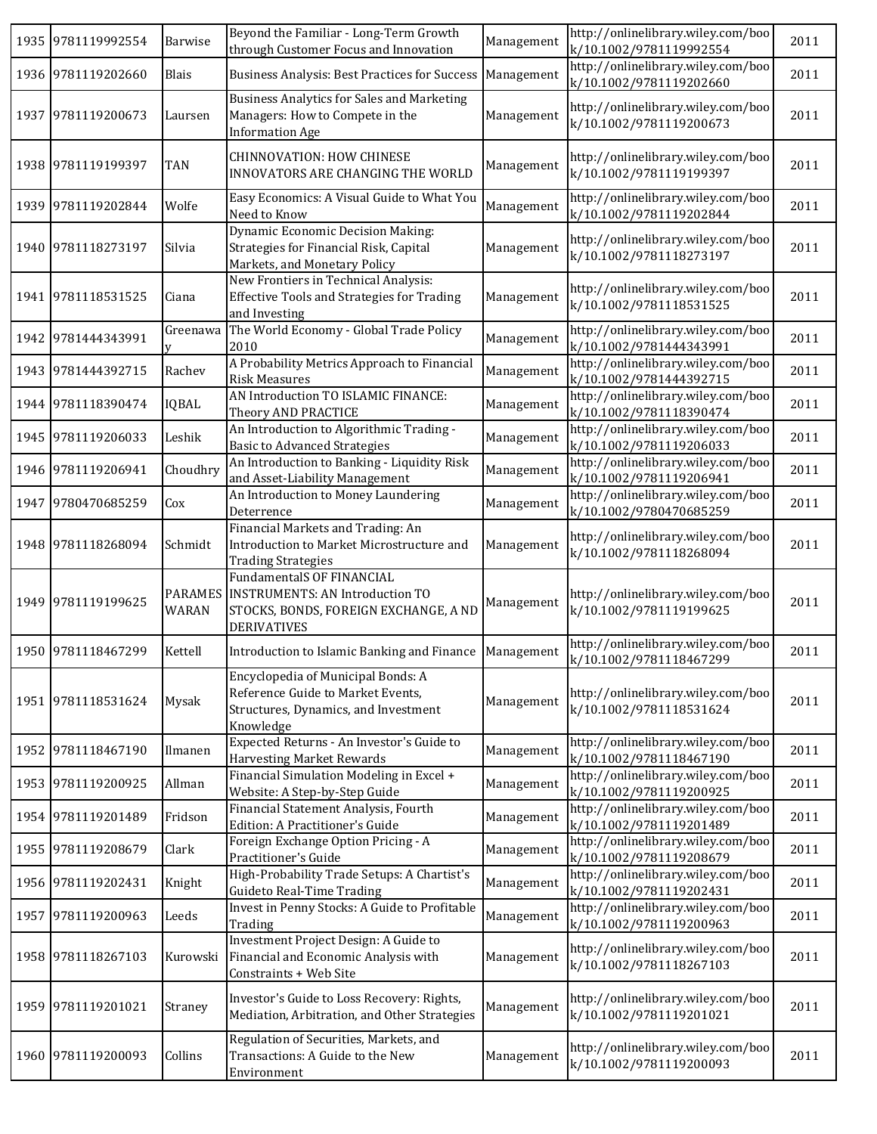| 1935 9781119992554 | Barwise                 | Beyond the Familiar - Long-Term Growth<br>through Customer Focus and Innovation                                                           | Management | http://onlinelibrary.wiley.com/boo<br>k/10.1002/9781119992554 | 2011 |
|--------------------|-------------------------|-------------------------------------------------------------------------------------------------------------------------------------------|------------|---------------------------------------------------------------|------|
| 1936 9781119202660 | Blais                   | <b>Business Analysis: Best Practices for Success</b>                                                                                      | Management | http://onlinelibrary.wiley.com/boo<br>k/10.1002/9781119202660 | 2011 |
| 1937 9781119200673 | Laursen                 | <b>Business Analytics for Sales and Marketing</b><br>Managers: How to Compete in the<br><b>Information Age</b>                            | Management | http://onlinelibrary.wiley.com/boo<br>k/10.1002/9781119200673 | 2011 |
| 1938 9781119199397 | <b>TAN</b>              | <b>CHINNOVATION: HOW CHINESE</b><br>INNOVATORS ARE CHANGING THE WORLD                                                                     | Management | http://onlinelibrary.wiley.com/boo<br>k/10.1002/9781119199397 | 2011 |
| 1939 9781119202844 | Wolfe                   | Easy Economics: A Visual Guide to What You<br>Need to Know                                                                                | Management | http://onlinelibrary.wiley.com/boo<br>k/10.1002/9781119202844 | 2011 |
| 1940 9781118273197 | Silvia                  | Dynamic Economic Decision Making:<br>Strategies for Financial Risk, Capital<br>Markets, and Monetary Policy                               | Management | http://onlinelibrary.wiley.com/boo<br>k/10.1002/9781118273197 | 2011 |
| 1941 9781118531525 | Ciana                   | New Frontiers in Technical Analysis:<br><b>Effective Tools and Strategies for Trading</b><br>and Investing                                | Management | http://onlinelibrary.wiley.com/boo<br>k/10.1002/9781118531525 | 2011 |
| 1942 9781444343991 | Greenawa                | The World Economy - Global Trade Policy<br>2010                                                                                           | Management | http://onlinelibrary.wiley.com/boo<br>k/10.1002/9781444343991 | 2011 |
| 1943 9781444392715 | Rachev                  | A Probability Metrics Approach to Financial<br><b>Risk Measures</b>                                                                       | Management | http://onlinelibrary.wiley.com/boo<br>k/10.1002/9781444392715 | 2011 |
| 1944 9781118390474 | <b>IQBAL</b>            | AN Introduction TO ISLAMIC FINANCE:<br>Theory AND PRACTICE                                                                                | Management | http://onlinelibrary.wiley.com/boo<br>k/10.1002/9781118390474 | 2011 |
| 1945 9781119206033 | Leshik                  | An Introduction to Algorithmic Trading -<br><b>Basic to Advanced Strategies</b>                                                           | Management | http://onlinelibrary.wiley.com/boo<br>k/10.1002/9781119206033 | 2011 |
| 1946 9781119206941 | Choudhry                | An Introduction to Banking - Liquidity Risk<br>and Asset-Liability Management                                                             | Management | http://onlinelibrary.wiley.com/boo<br>k/10.1002/9781119206941 | 2011 |
| 1947 9780470685259 | Cox                     | An Introduction to Money Laundering<br>Deterrence                                                                                         | Management | http://onlinelibrary.wiley.com/boo<br>k/10.1002/9780470685259 | 2011 |
| 1948 9781118268094 | Schmidt                 | Financial Markets and Trading: An<br>Introduction to Market Microstructure and<br><b>Trading Strategies</b>                               | Management | http://onlinelibrary.wiley.com/boo<br>k/10.1002/9781118268094 | 2011 |
| 1949 9781119199625 | <b>PARAMES</b><br>WARAN | <b>FundamentalS OF FINANCIAL</b><br><b>INSTRUMENTS: AN Introduction TO</b><br>STOCKS, BONDS, FOREIGN EXCHANGE, A ND<br><b>DERIVATIVES</b> | Management | http://onlinelibrary.wiley.com/boo<br>k/10.1002/9781119199625 | 2011 |
| 1950 9781118467299 | Kettell                 | Introduction to Islamic Banking and Finance                                                                                               | Management | http://onlinelibrary.wiley.com/boo<br>k/10.1002/9781118467299 | 2011 |
| 1951 9781118531624 | Mysak                   | Encyclopedia of Municipal Bonds: A<br>Reference Guide to Market Events,<br>Structures, Dynamics, and Investment<br>Knowledge              | Management | http://onlinelibrary.wiley.com/boo<br>k/10.1002/9781118531624 | 2011 |
| 1952 9781118467190 | Ilmanen                 | Expected Returns - An Investor's Guide to<br><b>Harvesting Market Rewards</b>                                                             | Management | http://onlinelibrary.wiley.com/boo<br>k/10.1002/9781118467190 | 2011 |
| 1953 9781119200925 | Allman                  | Financial Simulation Modeling in Excel +<br>Website: A Step-by-Step Guide                                                                 | Management | http://onlinelibrary.wiley.com/boo<br>k/10.1002/9781119200925 | 2011 |
| 1954 9781119201489 | Fridson                 | Financial Statement Analysis, Fourth<br>Edition: A Practitioner's Guide                                                                   | Management | http://onlinelibrary.wiley.com/boo<br>k/10.1002/9781119201489 | 2011 |
| 1955 9781119208679 | Clark                   | Foreign Exchange Option Pricing - A<br>Practitioner's Guide                                                                               | Management | http://onlinelibrary.wiley.com/boo<br>k/10.1002/9781119208679 | 2011 |
| 1956 9781119202431 | Knight                  | High-Probability Trade Setups: A Chartist's<br>Guideto Real-Time Trading                                                                  | Management | http://onlinelibrary.wiley.com/boo<br>k/10.1002/9781119202431 | 2011 |
| 1957 9781119200963 | Leeds                   | Invest in Penny Stocks: A Guide to Profitable<br>Trading                                                                                  | Management | http://onlinelibrary.wiley.com/boo<br>k/10.1002/9781119200963 | 2011 |
| 1958 9781118267103 | Kurowski                | Investment Project Design: A Guide to<br>Financial and Economic Analysis with<br>Constraints + Web Site                                   | Management | http://onlinelibrary.wiley.com/boo<br>k/10.1002/9781118267103 | 2011 |
| 1959 9781119201021 | Straney                 | Investor's Guide to Loss Recovery: Rights,<br>Mediation, Arbitration, and Other Strategies                                                | Management | http://onlinelibrary.wiley.com/boo<br>k/10.1002/9781119201021 | 2011 |
| 1960 9781119200093 | Collins                 | Regulation of Securities, Markets, and<br>Transactions: A Guide to the New<br>Environment                                                 | Management | http://onlinelibrary.wiley.com/boo<br>k/10.1002/9781119200093 | 2011 |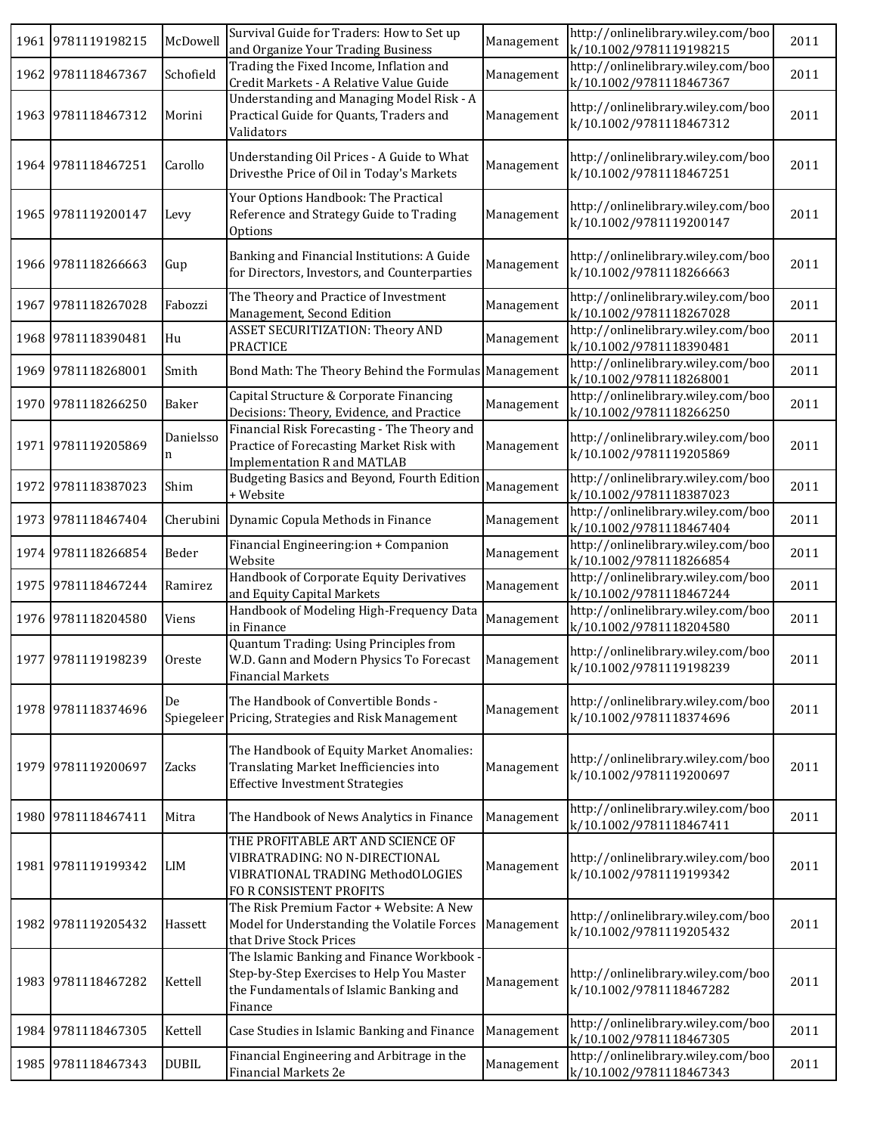|      | 1961 9781119198215 | McDowell       | Survival Guide for Traders: How to Set up<br>and Organize Your Trading Business                                                               | Management | http://onlinelibrary.wiley.com/boo<br>k/10.1002/9781119198215 | 2011 |
|------|--------------------|----------------|-----------------------------------------------------------------------------------------------------------------------------------------------|------------|---------------------------------------------------------------|------|
|      | 1962 9781118467367 | Schofield      | Trading the Fixed Income, Inflation and<br>Credit Markets - A Relative Value Guide                                                            | Management | http://onlinelibrary.wiley.com/boo<br>k/10.1002/9781118467367 | 2011 |
|      | 1963 9781118467312 | Morini         | Understanding and Managing Model Risk - A<br>Practical Guide for Quants, Traders and<br>Validators                                            | Management | http://onlinelibrary.wiley.com/boo<br>k/10.1002/9781118467312 | 2011 |
|      | 1964 9781118467251 | Carollo        | Understanding Oil Prices - A Guide to What<br>Drivesthe Price of Oil in Today's Markets                                                       | Management | http://onlinelibrary.wiley.com/boo<br>k/10.1002/9781118467251 | 2011 |
|      | 1965 9781119200147 | Levy           | Your Options Handbook: The Practical<br>Reference and Strategy Guide to Trading<br>Options                                                    | Management | http://onlinelibrary.wiley.com/boo<br>k/10.1002/9781119200147 | 2011 |
|      | 1966 9781118266663 | Gup            | Banking and Financial Institutions: A Guide<br>for Directors, Investors, and Counterparties                                                   | Management | http://onlinelibrary.wiley.com/boo<br>k/10.1002/9781118266663 | 2011 |
|      | 1967 9781118267028 | Fabozzi        | The Theory and Practice of Investment<br>Management, Second Edition                                                                           | Management | http://onlinelibrary.wiley.com/boo<br>k/10.1002/9781118267028 | 2011 |
|      | 1968 9781118390481 | Hu             | ASSET SECURITIZATION: Theory AND<br><b>PRACTICE</b>                                                                                           | Management | http://onlinelibrary.wiley.com/boo<br>k/10.1002/9781118390481 | 2011 |
| 1969 | 9781118268001      | Smith          | Bond Math: The Theory Behind the Formulas Management                                                                                          |            | http://onlinelibrary.wiley.com/boo<br>k/10.1002/9781118268001 | 2011 |
|      | 1970 9781118266250 | Baker          | Capital Structure & Corporate Financing<br>Decisions: Theory, Evidence, and Practice                                                          | Management | http://onlinelibrary.wiley.com/boo<br>k/10.1002/9781118266250 | 2011 |
|      | 1971 9781119205869 | Danielsso<br>n | Financial Risk Forecasting - The Theory and<br>Practice of Forecasting Market Risk with<br><b>Implementation R and MATLAB</b>                 | Management | http://onlinelibrary.wiley.com/boo<br>k/10.1002/9781119205869 | 2011 |
|      | 1972 9781118387023 | Shim           | Budgeting Basics and Beyond, Fourth Edition<br>+ Website                                                                                      | Management | http://onlinelibrary.wiley.com/boo<br>k/10.1002/9781118387023 | 2011 |
|      | 1973 9781118467404 |                | Cherubini Dynamic Copula Methods in Finance                                                                                                   | Management | http://onlinelibrary.wiley.com/boo<br>k/10.1002/9781118467404 | 2011 |
|      | 1974 9781118266854 | Beder          | Financial Engineering:ion + Companion<br>Website                                                                                              | Management | http://onlinelibrary.wiley.com/boo<br>k/10.1002/9781118266854 | 2011 |
|      | 1975 9781118467244 | Ramirez        | Handbook of Corporate Equity Derivatives<br>and Equity Capital Markets                                                                        | Management | http://onlinelibrary.wiley.com/boo<br>k/10.1002/9781118467244 | 2011 |
|      | 1976 9781118204580 | Viens          | Handbook of Modeling High-Frequency Data<br>in Finance                                                                                        | Management | http://onlinelibrary.wiley.com/boo<br>k/10.1002/9781118204580 | 2011 |
|      | 1977 9781119198239 | Oreste         | Quantum Trading: Using Principles from<br>W.D. Gann and Modern Physics To Forecast<br><b>Financial Markets</b>                                | Management | http://onlinelibrary.wiley.com/boo<br>k/10.1002/9781119198239 | 2011 |
|      | 1978 9781118374696 | De             | The Handbook of Convertible Bonds -<br>Spiegeleer Pricing, Strategies and Risk Management                                                     | Management | http://onlinelibrary.wiley.com/boo<br>k/10.1002/9781118374696 | 2011 |
|      | 1979 9781119200697 | Zacks          | The Handbook of Equity Market Anomalies:<br>Translating Market Inefficiencies into<br><b>Effective Investment Strategies</b>                  | Management | http://onlinelibrary.wiley.com/boo<br>k/10.1002/9781119200697 | 2011 |
|      | 1980 9781118467411 | Mitra          | The Handbook of News Analytics in Finance                                                                                                     | Management | http://onlinelibrary.wiley.com/boo<br>k/10.1002/9781118467411 | 2011 |
|      | 1981 9781119199342 | $_{\rm LIM}$   | THE PROFITABLE ART AND SCIENCE OF<br>VIBRATRADING: NO N-DIRECTIONAL<br>VIBRATIONAL TRADING MethodOLOGIES<br>FOR CONSISTENT PROFITS            | Management | http://onlinelibrary.wiley.com/boo<br>k/10.1002/9781119199342 | 2011 |
|      | 1982 9781119205432 | Hassett        | The Risk Premium Factor + Website: A New<br>Model for Understanding the Volatile Forces<br>that Drive Stock Prices                            | Management | http://onlinelibrary.wiley.com/boo<br>k/10.1002/9781119205432 | 2011 |
|      | 1983 9781118467282 | Kettell        | The Islamic Banking and Finance Workbook -<br>Step-by-Step Exercises to Help You Master<br>the Fundamentals of Islamic Banking and<br>Finance | Management | http://onlinelibrary.wiley.com/boo<br>k/10.1002/9781118467282 | 2011 |
|      | 1984 9781118467305 | Kettell        | Case Studies in Islamic Banking and Finance                                                                                                   | Management | http://onlinelibrary.wiley.com/boo<br>k/10.1002/9781118467305 | 2011 |
|      | 1985 9781118467343 | <b>DUBIL</b>   | Financial Engineering and Arbitrage in the<br>Financial Markets 2e                                                                            | Management | http://onlinelibrary.wiley.com/boo<br>k/10.1002/9781118467343 | 2011 |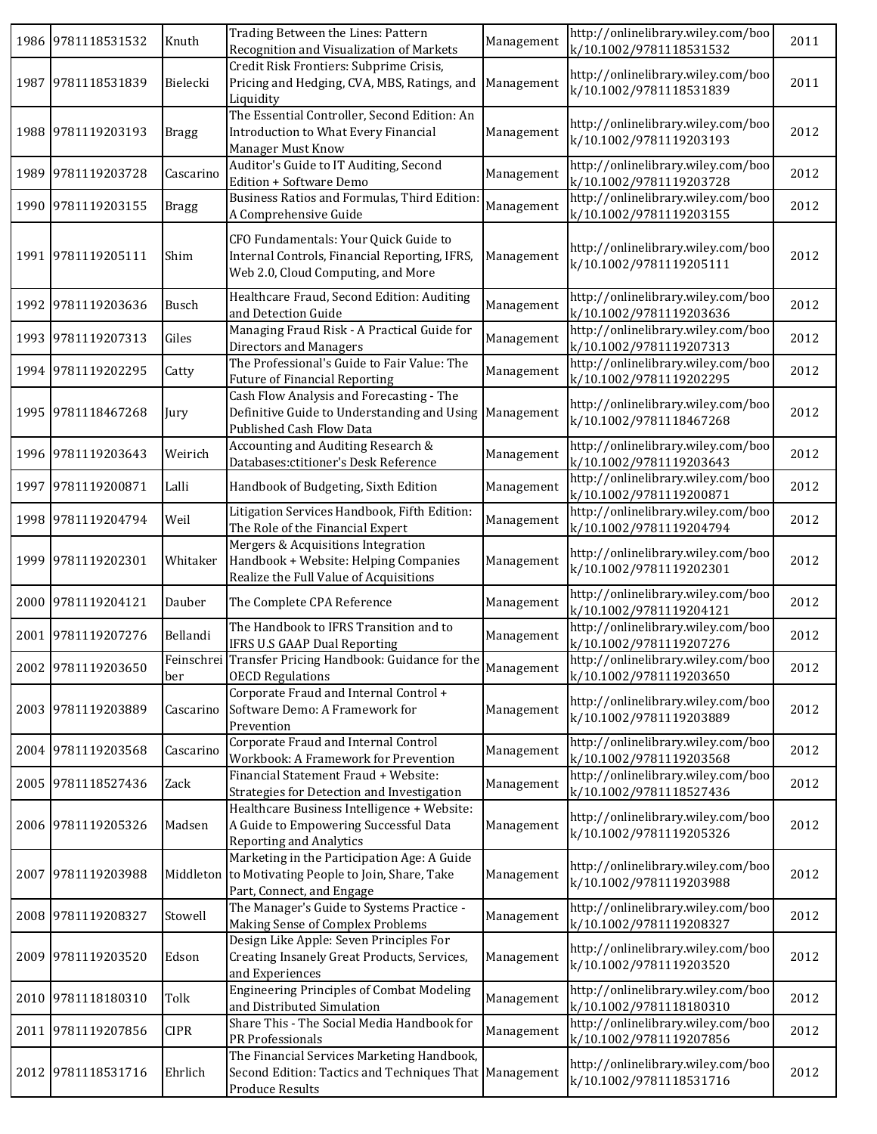| 1986 9781118531532 | Knuth        | Trading Between the Lines: Pattern<br>Recognition and Visualization of Markets                                                  | Management | http://onlinelibrary.wiley.com/boo<br>k/10.1002/9781118531532 | 2011 |
|--------------------|--------------|---------------------------------------------------------------------------------------------------------------------------------|------------|---------------------------------------------------------------|------|
| 1987 9781118531839 | Bielecki     | Credit Risk Frontiers: Subprime Crisis,<br>Pricing and Hedging, CVA, MBS, Ratings, and<br>Liquidity                             | Management | http://onlinelibrary.wiley.com/boo<br>k/10.1002/9781118531839 | 2011 |
| 1988 9781119203193 | <b>Bragg</b> | The Essential Controller, Second Edition: An<br>Introduction to What Every Financial<br>Manager Must Know                       | Management | http://onlinelibrary.wiley.com/boo<br>k/10.1002/9781119203193 | 2012 |
| 1989 9781119203728 | Cascarino    | Auditor's Guide to IT Auditing, Second<br>Edition + Software Demo                                                               | Management | http://onlinelibrary.wiley.com/boo<br>k/10.1002/9781119203728 | 2012 |
| 1990 9781119203155 | <b>Bragg</b> | Business Ratios and Formulas, Third Edition<br>A Comprehensive Guide                                                            | Management | http://onlinelibrary.wiley.com/boo<br>k/10.1002/9781119203155 | 2012 |
| 1991 9781119205111 | Shim         | CFO Fundamentals: Your Quick Guide to<br>Internal Controls, Financial Reporting, IFRS,<br>Web 2.0, Cloud Computing, and More    | Management | http://onlinelibrary.wiley.com/boo<br>k/10.1002/9781119205111 | 2012 |
| 1992 9781119203636 | Busch        | Healthcare Fraud, Second Edition: Auditing<br>and Detection Guide                                                               | Management | http://onlinelibrary.wiley.com/boo<br>k/10.1002/9781119203636 | 2012 |
| 1993 9781119207313 | Giles        | Managing Fraud Risk - A Practical Guide for<br>Directors and Managers                                                           | Management | http://onlinelibrary.wiley.com/boo<br>k/10.1002/9781119207313 | 2012 |
| 1994 9781119202295 | Catty        | The Professional's Guide to Fair Value: The<br><b>Future of Financial Reporting</b>                                             | Management | http://onlinelibrary.wiley.com/boo<br>k/10.1002/9781119202295 | 2012 |
| 1995 9781118467268 | Jury         | Cash Flow Analysis and Forecasting - The<br>Definitive Guide to Understanding and Using Management<br>Published Cash Flow Data  |            | http://onlinelibrary.wiley.com/boo<br>k/10.1002/9781118467268 | 2012 |
| 1996 9781119203643 | Weirich      | Accounting and Auditing Research &<br>Databases: ctitioner's Desk Reference                                                     | Management | http://onlinelibrary.wiley.com/boo<br>k/10.1002/9781119203643 | 2012 |
| 1997 9781119200871 | Lalli        | Handbook of Budgeting, Sixth Edition                                                                                            | Management | http://onlinelibrary.wiley.com/boo<br>k/10.1002/9781119200871 | 2012 |
| 1998 9781119204794 | Weil         | Litigation Services Handbook, Fifth Edition:<br>The Role of the Financial Expert                                                | Management | http://onlinelibrary.wiley.com/boo<br>k/10.1002/9781119204794 | 2012 |
| 1999 9781119202301 | Whitaker     | Mergers & Acquisitions Integration<br>Handbook + Website: Helping Companies<br>Realize the Full Value of Acquisitions           | Management | http://onlinelibrary.wiley.com/boo<br>k/10.1002/9781119202301 | 2012 |
| 2000 9781119204121 | Dauber       | The Complete CPA Reference                                                                                                      | Management | http://onlinelibrary.wiley.com/boo<br>k/10.1002/9781119204121 | 2012 |
| 2001 9781119207276 | Bellandi     | The Handbook to IFRS Transition and to<br><b>IFRS U.S GAAP Dual Reporting</b>                                                   | Management | http://onlinelibrary.wiley.com/boo<br>k/10.1002/9781119207276 | 2012 |
| 2002 9781119203650 | ber          | Feinschrei Transfer Pricing Handbook: Guidance for the<br><b>OECD Regulations</b>                                               | Management | http://onlinelibrary.wiley.com/boo<br>k/10.1002/9781119203650 | 2012 |
| 2003 9781119203889 | Cascarino    | Corporate Fraud and Internal Control +<br>Software Demo: A Framework for<br>Prevention                                          | Management | http://onlinelibrary.wiley.com/boo<br>k/10.1002/9781119203889 | 2012 |
| 2004 9781119203568 | Cascarino    | Corporate Fraud and Internal Control<br>Workbook: A Framework for Prevention                                                    | Management | http://onlinelibrary.wiley.com/boo<br>k/10.1002/9781119203568 | 2012 |
| 2005 9781118527436 | Zack         | Financial Statement Fraud + Website:<br>Strategies for Detection and Investigation                                              | Management | http://onlinelibrary.wiley.com/boo<br>k/10.1002/9781118527436 | 2012 |
| 2006 9781119205326 | Madsen       | Healthcare Business Intelligence + Website:<br>A Guide to Empowering Successful Data<br>Reporting and Analytics                 | Management | http://onlinelibrary.wiley.com/boo<br>k/10.1002/9781119205326 | 2012 |
| 2007 9781119203988 |              | Marketing in the Participation Age: A Guide<br>Middleton to Motivating People to Join, Share, Take<br>Part, Connect, and Engage | Management | http://onlinelibrary.wiley.com/boo<br>k/10.1002/9781119203988 | 2012 |
| 2008 9781119208327 | Stowell      | The Manager's Guide to Systems Practice -<br>Making Sense of Complex Problems                                                   | Management | http://onlinelibrary.wiley.com/boo<br>k/10.1002/9781119208327 | 2012 |
| 2009 9781119203520 | Edson        | Design Like Apple: Seven Principles For<br>Creating Insanely Great Products, Services,<br>and Experiences                       | Management | http://onlinelibrary.wiley.com/boo<br>k/10.1002/9781119203520 | 2012 |
| 2010 9781118180310 | Tolk         | <b>Engineering Principles of Combat Modeling</b><br>and Distributed Simulation                                                  | Management | http://onlinelibrary.wiley.com/boo<br>k/10.1002/9781118180310 | 2012 |
| 2011 9781119207856 | <b>CIPR</b>  | Share This - The Social Media Handbook for<br>PR Professionals                                                                  | Management | http://onlinelibrary.wiley.com/boo<br>k/10.1002/9781119207856 | 2012 |
| 2012 9781118531716 | Ehrlich      | The Financial Services Marketing Handbook,<br>Second Edition: Tactics and Techniques That Management<br><b>Produce Results</b>  |            | http://onlinelibrary.wiley.com/boo<br>k/10.1002/9781118531716 | 2012 |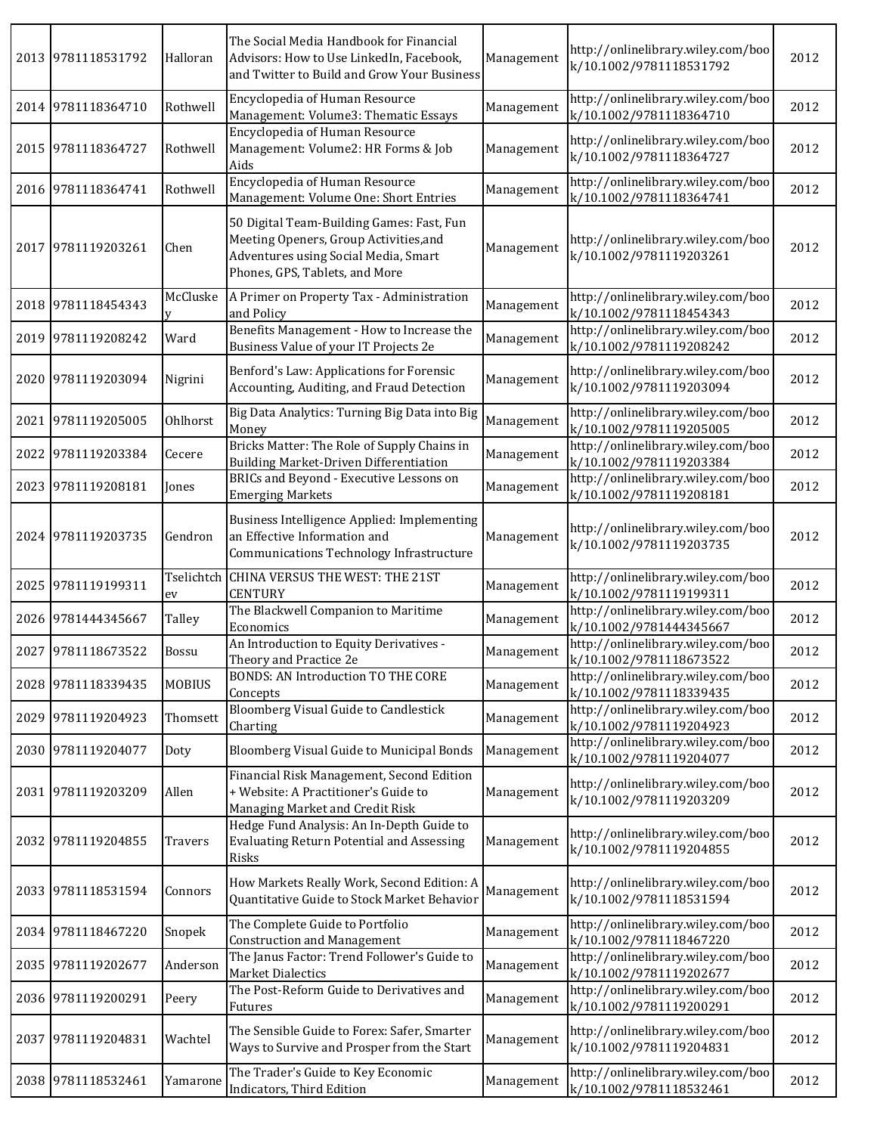|      | 2013 9781118531792 | Halloran      | The Social Media Handbook for Financial<br>Advisors: How to Use LinkedIn, Facebook,<br>and Twitter to Build and Grow Your Business                            | Management | http://onlinelibrary.wiley.com/boo<br>k/10.1002/9781118531792 | 2012 |
|------|--------------------|---------------|---------------------------------------------------------------------------------------------------------------------------------------------------------------|------------|---------------------------------------------------------------|------|
|      | 2014 9781118364710 | Rothwell      | Encyclopedia of Human Resource<br>Management: Volume3: Thematic Essays                                                                                        | Management | http://onlinelibrary.wiley.com/boo<br>k/10.1002/9781118364710 | 2012 |
|      | 2015 9781118364727 | Rothwell      | Encyclopedia of Human Resource<br>Management: Volume2: HR Forms & Job<br>Aids                                                                                 | Management | http://onlinelibrary.wiley.com/boo<br>k/10.1002/9781118364727 | 2012 |
|      | 2016 9781118364741 | Rothwell      | Encyclopedia of Human Resource<br>Management: Volume One: Short Entries                                                                                       | Management | http://onlinelibrary.wiley.com/boo<br>k/10.1002/9781118364741 | 2012 |
|      | 2017 9781119203261 | Chen          | 50 Digital Team-Building Games: Fast, Fun<br>Meeting Openers, Group Activities, and<br>Adventures using Social Media, Smart<br>Phones, GPS, Tablets, and More | Management | http://onlinelibrary.wiley.com/boo<br>k/10.1002/9781119203261 | 2012 |
|      | 2018 9781118454343 | McCluske      | A Primer on Property Tax - Administration<br>and Policy                                                                                                       | Management | http://onlinelibrary.wiley.com/boo<br>k/10.1002/9781118454343 | 2012 |
|      | 2019 9781119208242 | Ward          | Benefits Management - How to Increase the<br>Business Value of your IT Projects 2e                                                                            | Management | http://onlinelibrary.wiley.com/boo<br>k/10.1002/9781119208242 | 2012 |
|      | 2020 9781119203094 | Nigrini       | Benford's Law: Applications for Forensic<br>Accounting, Auditing, and Fraud Detection                                                                         | Management | http://onlinelibrary.wiley.com/boo<br>k/10.1002/9781119203094 | 2012 |
|      | 2021 9781119205005 | Ohlhorst      | Big Data Analytics: Turning Big Data into Big<br>Money                                                                                                        | Management | http://onlinelibrary.wiley.com/boo<br>k/10.1002/9781119205005 | 2012 |
|      | 2022 9781119203384 | Cecere        | Bricks Matter: The Role of Supply Chains in<br>Building Market-Driven Differentiation                                                                         | Management | http://onlinelibrary.wiley.com/boo<br>k/10.1002/9781119203384 | 2012 |
|      | 2023 9781119208181 | Jones         | BRICs and Beyond - Executive Lessons on<br><b>Emerging Markets</b>                                                                                            | Management | http://onlinelibrary.wiley.com/boo<br>k/10.1002/9781119208181 | 2012 |
|      | 2024 9781119203735 | Gendron       | Business Intelligence Applied: Implementing<br>an Effective Information and<br>Communications Technology Infrastructure                                       | Management | http://onlinelibrary.wiley.com/boo<br>k/10.1002/9781119203735 | 2012 |
|      | 2025 9781119199311 | Tselichtch    | CHINA VERSUS THE WEST: THE 21ST<br><b>CENTURY</b>                                                                                                             | Management | http://onlinelibrary.wiley.com/boo<br>k/10.1002/9781119199311 | 2012 |
|      |                    | ev            |                                                                                                                                                               |            |                                                               |      |
|      | 2026 9781444345667 | Talley        | The Blackwell Companion to Maritime<br>Economics                                                                                                              | Management | http://onlinelibrary.wiley.com/boo<br>k/10.1002/9781444345667 | 2012 |
|      | 2027 9781118673522 | <b>Bossu</b>  | An Introduction to Equity Derivatives -<br>Theory and Practice 2e                                                                                             | Management | http://onlinelibrary.wiley.com/boo<br>k/10.1002/9781118673522 | 2012 |
|      | 2028 9781118339435 | <b>MOBIUS</b> | <b>BONDS: AN Introduction TO THE CORE</b><br>Concepts                                                                                                         | Management | http://onlinelibrary.wiley.com/boo<br>k/10.1002/9781118339435 | 2012 |
|      | 2029 9781119204923 | Thomsett      | Bloomberg Visual Guide to Candlestick<br>Charting                                                                                                             | Management | http://onlinelibrary.wiley.com/boo<br>k/10.1002/9781119204923 | 2012 |
|      | 2030 9781119204077 | Doty          | Bloomberg Visual Guide to Municipal Bonds                                                                                                                     | Management | http://onlinelibrary.wiley.com/boo<br>k/10.1002/9781119204077 | 2012 |
|      | 2031 9781119203209 | Allen         | Financial Risk Management, Second Edition<br>+ Website: A Practitioner's Guide to<br>Managing Market and Credit Risk                                          | Management | http://onlinelibrary.wiley.com/boo<br>k/10.1002/9781119203209 | 2012 |
|      | 2032 9781119204855 | Travers       | Hedge Fund Analysis: An In-Depth Guide to<br><b>Evaluating Return Potential and Assessing</b><br>Risks                                                        | Management | http://onlinelibrary.wiley.com/boo<br>k/10.1002/9781119204855 | 2012 |
|      | 2033 9781118531594 | Connors       | How Markets Really Work, Second Edition: A<br>Quantitative Guide to Stock Market Behavior                                                                     | Management | http://onlinelibrary.wiley.com/boo<br>k/10.1002/9781118531594 | 2012 |
|      | 2034 9781118467220 | Snopek        | The Complete Guide to Portfolio<br><b>Construction and Management</b>                                                                                         | Management | http://onlinelibrary.wiley.com/boo<br>k/10.1002/9781118467220 | 2012 |
| 2035 | 9781119202677      | Anderson      | The Janus Factor: Trend Follower's Guide to<br>Market Dialectics                                                                                              | Management | http://onlinelibrary.wiley.com/boo<br>k/10.1002/9781119202677 | 2012 |
|      | 2036 9781119200291 | Peery         | The Post-Reform Guide to Derivatives and<br>Futures                                                                                                           | Management | http://onlinelibrary.wiley.com/boo<br>k/10.1002/9781119200291 | 2012 |
|      | 2037 9781119204831 | Wachtel       | The Sensible Guide to Forex: Safer, Smarter<br>Ways to Survive and Prosper from the Start                                                                     | Management | http://onlinelibrary.wiley.com/boo<br>k/10.1002/9781119204831 | 2012 |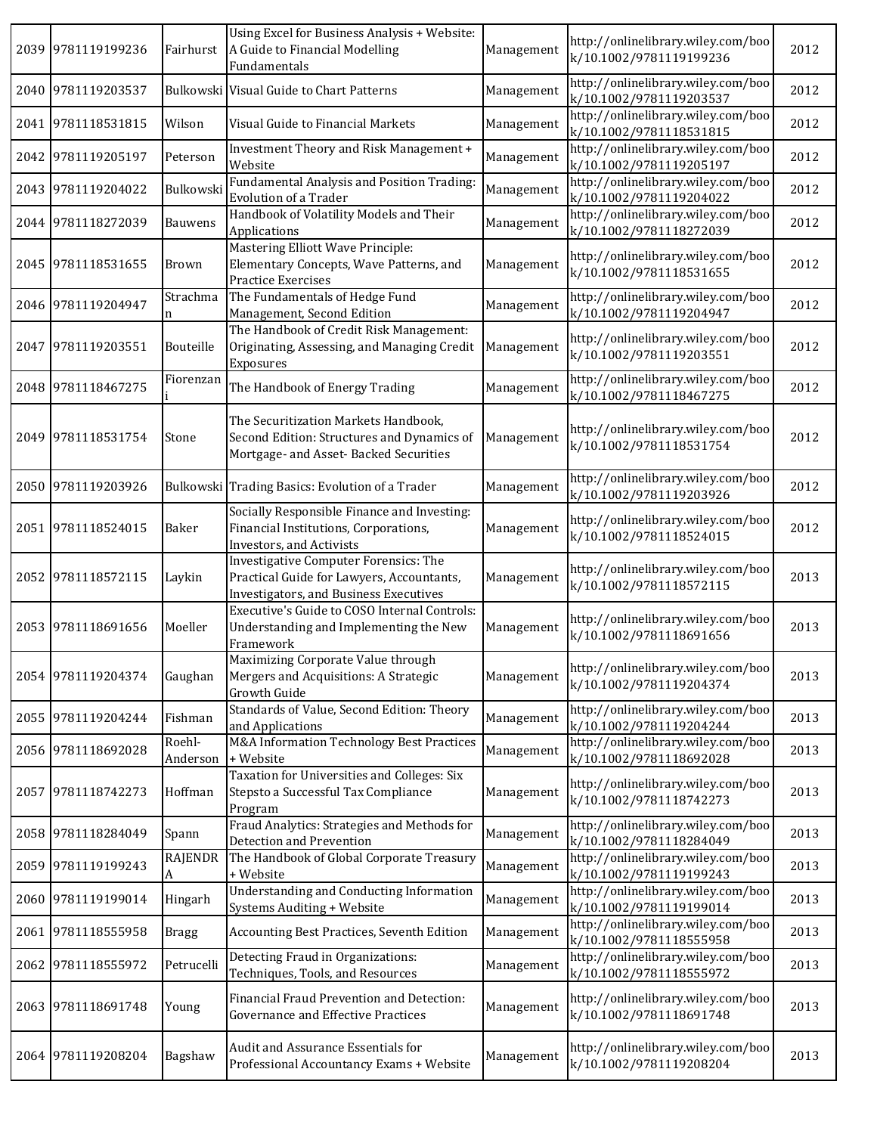|      | 2039 9781119199236 | Fairhurst          | Using Excel for Business Analysis + Website:<br>A Guide to Financial Modelling<br>Fundamentals                               | Management | http://onlinelibrary.wiley.com/boo<br>k/10.1002/9781119199236 | 2012 |
|------|--------------------|--------------------|------------------------------------------------------------------------------------------------------------------------------|------------|---------------------------------------------------------------|------|
|      | 2040 9781119203537 |                    | Bulkowski Visual Guide to Chart Patterns                                                                                     | Management | http://onlinelibrary.wiley.com/boo<br>k/10.1002/9781119203537 | 2012 |
|      | 2041 9781118531815 | Wilson             | Visual Guide to Financial Markets                                                                                            | Management | http://onlinelibrary.wiley.com/boo<br>k/10.1002/9781118531815 | 2012 |
|      | 2042 9781119205197 | Peterson           | Investment Theory and Risk Management +<br>Website                                                                           | Management | http://onlinelibrary.wiley.com/boo<br>k/10.1002/9781119205197 | 2012 |
|      | 2043 9781119204022 | Bulkowski          | Fundamental Analysis and Position Trading:<br><b>Evolution of a Trader</b>                                                   | Management | http://onlinelibrary.wiley.com/boo<br>k/10.1002/9781119204022 | 2012 |
|      | 2044 9781118272039 | <b>Bauwens</b>     | Handbook of Volatility Models and Their<br>Applications                                                                      | Management | http://onlinelibrary.wiley.com/boo<br>k/10.1002/9781118272039 | 2012 |
|      | 2045 9781118531655 | <b>Brown</b>       | Mastering Elliott Wave Principle:<br>Elementary Concepts, Wave Patterns, and<br>Practice Exercises                           | Management | http://onlinelibrary.wiley.com/boo<br>k/10.1002/9781118531655 | 2012 |
|      | 2046 9781119204947 | Strachma<br>n      | The Fundamentals of Hedge Fund<br>Management, Second Edition                                                                 | Management | http://onlinelibrary.wiley.com/boo<br>k/10.1002/9781119204947 | 2012 |
| 2047 | 9781119203551      | Bouteille          | The Handbook of Credit Risk Management:<br>Originating, Assessing, and Managing Credit<br>Exposures                          | Management | http://onlinelibrary.wiley.com/boo<br>k/10.1002/9781119203551 | 2012 |
|      | 2048 9781118467275 | Fiorenzan          | The Handbook of Energy Trading                                                                                               | Management | http://onlinelibrary.wiley.com/boo<br>k/10.1002/9781118467275 | 2012 |
|      | 2049 9781118531754 | Stone              | The Securitization Markets Handbook,<br>Second Edition: Structures and Dynamics of<br>Mortgage- and Asset- Backed Securities | Management | http://onlinelibrary.wiley.com/boo<br>k/10.1002/9781118531754 | 2012 |
|      | 2050 9781119203926 |                    | Bulkowski Trading Basics: Evolution of a Trader                                                                              | Management | http://onlinelibrary.wiley.com/boo<br>k/10.1002/9781119203926 | 2012 |
|      | 2051 9781118524015 | Baker              | Socially Responsible Finance and Investing:<br>Financial Institutions, Corporations,<br>Investors, and Activists             | Management | http://onlinelibrary.wiley.com/boo<br>k/10.1002/9781118524015 | 2012 |
| 2052 | 9781118572115      | Laykin             | Investigative Computer Forensics: The<br>Practical Guide for Lawyers, Accountants,<br>Investigators, and Business Executives | Management | http://onlinelibrary.wiley.com/boo<br>k/10.1002/9781118572115 | 2013 |
|      | 2053 9781118691656 | Moeller            | Executive's Guide to COSO Internal Controls:<br>Understanding and Implementing the New<br>Framework                          | Management | http://onlinelibrary.wiley.com/boo<br>k/10.1002/9781118691656 | 2013 |
|      | 2054 9781119204374 | Gaughan            | Maximizing Corporate Value through<br>Mergers and Acquisitions: A Strategic<br>Growth Guide                                  | Management | http://onlinelibrary.wiley.com/boo<br>k/10.1002/9781119204374 | 2013 |
|      | 2055 9781119204244 | Fishman            | Standards of Value, Second Edition: Theory<br>and Applications                                                               | Management | http://onlinelibrary.wiley.com/boo<br>k/10.1002/9781119204244 | 2013 |
|      | 2056 9781118692028 | Roehl-<br>Anderson | M&A Information Technology Best Practices<br>+ Website                                                                       | Management | http://onlinelibrary.wiley.com/boo<br>k/10.1002/9781118692028 | 2013 |
| 2057 | 9781118742273      | Hoffman            | Taxation for Universities and Colleges: Six<br>Stepsto a Successful Tax Compliance<br>Program                                | Management | http://onlinelibrary.wiley.com/boo<br>k/10.1002/9781118742273 | 2013 |
|      | 2058 9781118284049 | Spann              | Fraud Analytics: Strategies and Methods for<br>Detection and Prevention                                                      | Management | http://onlinelibrary.wiley.com/boo<br>k/10.1002/9781118284049 | 2013 |
|      | 2059 9781119199243 | RAJENDR<br>A       | The Handbook of Global Corporate Treasury<br>+ Website                                                                       | Management | http://onlinelibrary.wiley.com/boo<br>k/10.1002/9781119199243 | 2013 |
|      | 2060 9781119199014 | Hingarh            | <b>Understanding and Conducting Information</b><br>Systems Auditing + Website                                                | Management | http://onlinelibrary.wiley.com/boo<br>k/10.1002/9781119199014 | 2013 |
| 2061 | 9781118555958      | <b>Bragg</b>       | Accounting Best Practices, Seventh Edition                                                                                   | Management | http://onlinelibrary.wiley.com/boo<br>k/10.1002/9781118555958 | 2013 |
| 2062 | 9781118555972      | Petrucelli         | Detecting Fraud in Organizations:<br>Techniques, Tools, and Resources                                                        | Management | http://onlinelibrary.wiley.com/boo<br>k/10.1002/9781118555972 | 2013 |
|      | 2063 9781118691748 | Young              | Financial Fraud Prevention and Detection:<br>Governance and Effective Practices                                              | Management | http://onlinelibrary.wiley.com/boo<br>k/10.1002/9781118691748 | 2013 |
|      | 2064 9781119208204 | Bagshaw            | Audit and Assurance Essentials for<br>Professional Accountancy Exams + Website                                               | Management | http://onlinelibrary.wiley.com/boo<br>k/10.1002/9781119208204 | 2013 |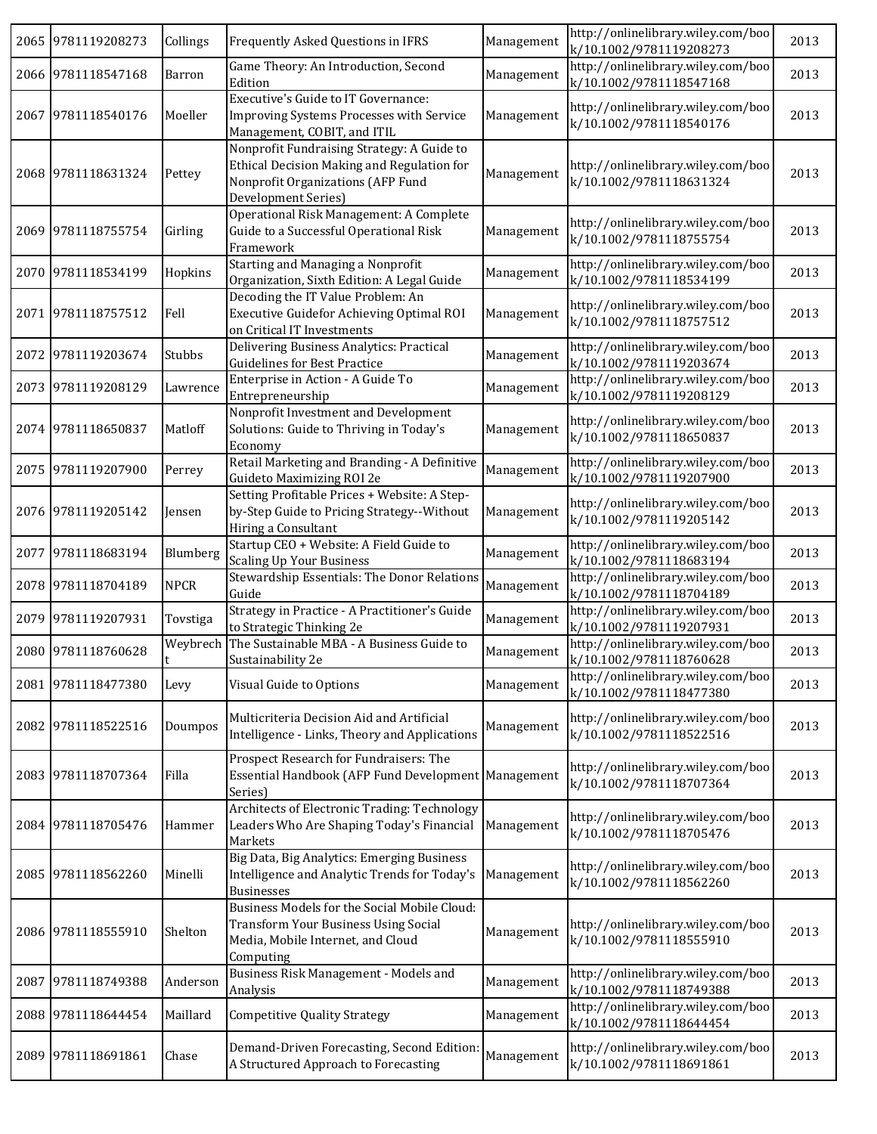|      | 2065 9781119208273 | Collings    | Frequently Asked Questions in IFRS                                                                                                                   | Management | http://onlinelibrary.wiley.com/boo<br>k/10.1002/9781119208273 | 2013 |
|------|--------------------|-------------|------------------------------------------------------------------------------------------------------------------------------------------------------|------------|---------------------------------------------------------------|------|
|      | 2066 9781118547168 | Barron      | Game Theory: An Introduction, Second<br>Edition                                                                                                      | Management | http://onlinelibrary.wiley.com/boo<br>k/10.1002/9781118547168 | 2013 |
|      | 2067 9781118540176 | Moeller     | Executive's Guide to IT Governance:<br>Improving Systems Processes with Service<br>Management, COBIT, and ITIL                                       | Management | http://onlinelibrary.wiley.com/boo<br>k/10.1002/9781118540176 | 2013 |
|      | 2068 9781118631324 | Pettey      | Nonprofit Fundraising Strategy: A Guide to<br>Ethical Decision Making and Regulation for<br>Nonprofit Organizations (AFP Fund<br>Development Series) | Management | http://onlinelibrary.wiley.com/boo<br>k/10.1002/9781118631324 | 2013 |
|      | 2069 9781118755754 | Girling     | Operational Risk Management: A Complete<br>Guide to a Successful Operational Risk<br>Framework                                                       | Management | http://onlinelibrary.wiley.com/boo<br>k/10.1002/9781118755754 | 2013 |
|      | 2070 9781118534199 | Hopkins     | Starting and Managing a Nonprofit<br>Organization, Sixth Edition: A Legal Guide                                                                      | Management | http://onlinelibrary.wiley.com/boo<br>k/10.1002/9781118534199 | 2013 |
|      | 2071 9781118757512 | Fell        | Decoding the IT Value Problem: An<br>Executive Guidefor Achieving Optimal ROI<br>on Critical IT Investments                                          | Management | http://onlinelibrary.wiley.com/boo<br>k/10.1002/9781118757512 | 2013 |
|      | 2072 9781119203674 | Stubbs      | Delivering Business Analytics: Practical<br><b>Guidelines for Best Practice</b>                                                                      | Management | http://onlinelibrary.wiley.com/boo<br>k/10.1002/9781119203674 | 2013 |
|      | 2073 9781119208129 | Lawrence    | Enterprise in Action - A Guide To<br>Entrepreneurship                                                                                                | Management | http://onlinelibrary.wiley.com/boo<br>k/10.1002/9781119208129 | 2013 |
|      | 2074 9781118650837 | Matloff     | Nonprofit Investment and Development<br>Solutions: Guide to Thriving in Today's<br>Economy                                                           | Management | http://onlinelibrary.wiley.com/boo<br>k/10.1002/9781118650837 | 2013 |
|      | 2075 9781119207900 | Perrey      | Retail Marketing and Branding - A Definitive<br>Guideto Maximizing ROI 2e                                                                            | Management | http://onlinelibrary.wiley.com/boo<br>k/10.1002/9781119207900 | 2013 |
|      | 2076 9781119205142 | Jensen      | Setting Profitable Prices + Website: A Step-<br>by-Step Guide to Pricing Strategy--Without<br>Hiring a Consultant                                    | Management | http://onlinelibrary.wiley.com/boo<br>k/10.1002/9781119205142 | 2013 |
|      | 2077 9781118683194 | Blumberg    | Startup CEO + Website: A Field Guide to<br><b>Scaling Up Your Business</b>                                                                           | Management | http://onlinelibrary.wiley.com/boo<br>k/10.1002/9781118683194 | 2013 |
|      | 2078 9781118704189 | <b>NPCR</b> | Stewardship Essentials: The Donor Relations<br>Guide                                                                                                 | Management | http://onlinelibrary.wiley.com/boo<br>k/10.1002/9781118704189 | 2013 |
|      | 2079 9781119207931 | Tovstiga    | Strategy in Practice - A Practitioner's Guide<br>to Strategic Thinking 2e                                                                            | Management | http://onlinelibrary.wiley.com/boo<br>k/10.1002/9781119207931 | 2013 |
|      | 2080 9781118760628 | Weybrech    | The Sustainable MBA - A Business Guide to<br>Sustainability 2e                                                                                       | Management | http://onlinelibrary.wiley.com/boo<br>k/10.1002/9781118760628 | 2013 |
|      | 2081 9781118477380 | Levy        | Visual Guide to Options                                                                                                                              | Management | http://onlinelibrary.wiley.com/boo<br>k/10.1002/9781118477380 | 2013 |
|      | 2082 9781118522516 | Doumpos     | Multicriteria Decision Aid and Artificial<br>Intelligence - Links, Theory and Applications                                                           | Management | http://onlinelibrary.wiley.com/boo<br>k/10.1002/9781118522516 | 2013 |
|      | 2083 9781118707364 | Filla       | Prospect Research for Fundraisers: The<br>Essential Handbook (AFP Fund Development Management<br>Series)                                             |            | http://onlinelibrary.wiley.com/boo<br>k/10.1002/9781118707364 | 2013 |
|      | 2084 9781118705476 | Hammer      | Architects of Electronic Trading: Technology<br>Leaders Who Are Shaping Today's Financial<br>Markets                                                 | Management | http://onlinelibrary.wiley.com/boo<br>k/10.1002/9781118705476 | 2013 |
|      | 2085 9781118562260 | Minelli     | Big Data, Big Analytics: Emerging Business<br>Intelligence and Analytic Trends for Today's<br>Businesses                                             | Management | http://onlinelibrary.wiley.com/boo<br>k/10.1002/9781118562260 | 2013 |
|      | 2086 9781118555910 | Shelton     | Business Models for the Social Mobile Cloud:<br>Transform Your Business Using Social<br>Media, Mobile Internet, and Cloud<br>Computing               | Management | http://onlinelibrary.wiley.com/boo<br>k/10.1002/9781118555910 | 2013 |
| 2087 | 9781118749388      | Anderson    | Business Risk Management - Models and<br>Analysis                                                                                                    | Management | http://onlinelibrary.wiley.com/boo<br>k/10.1002/9781118749388 | 2013 |
|      | 2088 9781118644454 | Maillard    | <b>Competitive Quality Strategy</b>                                                                                                                  | Management | http://onlinelibrary.wiley.com/boo<br>k/10.1002/9781118644454 | 2013 |
|      | 2089 9781118691861 | Chase       | Demand-Driven Forecasting, Second Edition:<br>A Structured Approach to Forecasting                                                                   | Management | http://onlinelibrary.wiley.com/boo<br>k/10.1002/9781118691861 | 2013 |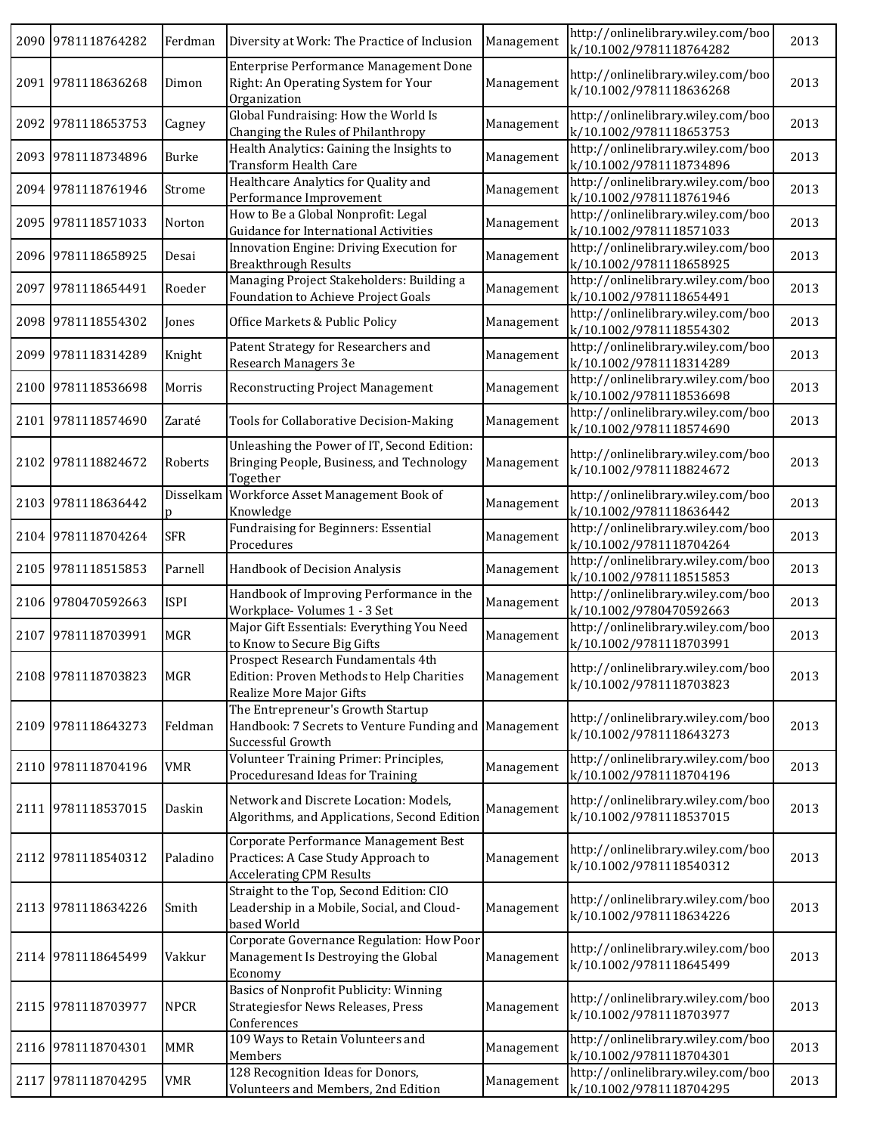| 2090 9781118764282 | Ferdman     | Diversity at Work: The Practice of Inclusion                                                                    | Management | http://onlinelibrary.wiley.com/boo<br>k/10.1002/9781118764282 | 2013 |
|--------------------|-------------|-----------------------------------------------------------------------------------------------------------------|------------|---------------------------------------------------------------|------|
| 2091 9781118636268 | Dimon       | Enterprise Performance Management Done<br>Right: An Operating System for Your<br>Organization                   | Management | http://onlinelibrary.wiley.com/boo<br>k/10.1002/9781118636268 | 2013 |
| 2092 9781118653753 | Cagney      | Global Fundraising: How the World Is<br>Changing the Rules of Philanthropy                                      | Management | http://onlinelibrary.wiley.com/boo<br>k/10.1002/9781118653753 | 2013 |
| 2093 9781118734896 | Burke       | Health Analytics: Gaining the Insights to<br>Transform Health Care                                              | Management | http://onlinelibrary.wiley.com/boo<br>k/10.1002/9781118734896 | 2013 |
| 2094 9781118761946 | Strome      | Healthcare Analytics for Quality and<br>Performance Improvement                                                 | Management | http://onlinelibrary.wiley.com/boo<br>k/10.1002/9781118761946 | 2013 |
| 2095 9781118571033 | Norton      | How to Be a Global Nonprofit: Legal<br>Guidance for International Activities                                    | Management | http://onlinelibrary.wiley.com/boo<br>k/10.1002/9781118571033 | 2013 |
| 2096 9781118658925 | Desai       | Innovation Engine: Driving Execution for<br><b>Breakthrough Results</b>                                         | Management | http://onlinelibrary.wiley.com/boo<br>k/10.1002/9781118658925 | 2013 |
| 2097 9781118654491 | Roeder      | Managing Project Stakeholders: Building a<br>Foundation to Achieve Project Goals                                | Management | http://onlinelibrary.wiley.com/boo<br>k/10.1002/9781118654491 | 2013 |
| 2098 9781118554302 | Jones       | Office Markets & Public Policy                                                                                  | Management | http://onlinelibrary.wiley.com/boo<br>k/10.1002/9781118554302 | 2013 |
| 2099 9781118314289 | Knight      | Patent Strategy for Researchers and<br>Research Managers 3e                                                     | Management | http://onlinelibrary.wiley.com/boo<br>k/10.1002/9781118314289 | 2013 |
| 2100 9781118536698 | Morris      | <b>Reconstructing Project Management</b>                                                                        | Management | http://onlinelibrary.wiley.com/boo<br>k/10.1002/9781118536698 | 2013 |
| 2101 9781118574690 | Zaraté      | Tools for Collaborative Decision-Making                                                                         | Management | http://onlinelibrary.wiley.com/boo<br>k/10.1002/9781118574690 | 2013 |
| 2102 9781118824672 | Roberts     | Unleashing the Power of IT, Second Edition:<br>Bringing People, Business, and Technology<br>Together            | Management | http://onlinelibrary.wiley.com/boo<br>k/10.1002/9781118824672 | 2013 |
| 2103 9781118636442 | Disselkam   | Workforce Asset Management Book of<br>Knowledge                                                                 | Management | http://onlinelibrary.wiley.com/boo<br>k/10.1002/9781118636442 | 2013 |
| 2104 9781118704264 | <b>SFR</b>  | Fundraising for Beginners: Essential<br>Procedures                                                              | Management | http://onlinelibrary.wiley.com/boo<br>k/10.1002/9781118704264 | 2013 |
| 2105 9781118515853 | Parnell     | Handbook of Decision Analysis                                                                                   | Management | http://onlinelibrary.wiley.com/boo<br>k/10.1002/9781118515853 | 2013 |
| 2106 9780470592663 | <b>ISPI</b> | Handbook of Improving Performance in the<br>Workplace-Volumes 1 - 3 Set                                         | Management | http://onlinelibrary.wiley.com/boo<br>k/10.1002/9780470592663 | 2013 |
| 2107 9781118703991 | MGR         | Major Gift Essentials: Everything You Need<br>to Know to Secure Big Gifts                                       | Management | http://onlinelibrary.wiley.com/boo<br>k/10.1002/9781118703991 | 2013 |
| 2108 9781118703823 | MGR         | Prospect Research Fundamentals 4th<br>Edition: Proven Methods to Help Charities<br>Realize More Major Gifts     | Management | http://onlinelibrary.wiley.com/boo<br>k/10.1002/9781118703823 | 2013 |
| 2109 9781118643273 | Feldman     | The Entrepreneur's Growth Startup<br>Handbook: 7 Secrets to Venture Funding and<br>Successful Growth            | Management | http://onlinelibrary.wiley.com/boo<br>k/10.1002/9781118643273 | 2013 |
| 2110 9781118704196 | <b>VMR</b>  | Volunteer Training Primer: Principles,<br>Proceduresand Ideas for Training                                      | Management | http://onlinelibrary.wiley.com/boo<br>k/10.1002/9781118704196 | 2013 |
| 2111 9781118537015 | Daskin      | Network and Discrete Location: Models,<br>Algorithms, and Applications, Second Edition                          | Management | http://onlinelibrary.wiley.com/boo<br>k/10.1002/9781118537015 | 2013 |
| 2112 9781118540312 | Paladino    | Corporate Performance Management Best<br>Practices: A Case Study Approach to<br><b>Accelerating CPM Results</b> | Management | http://onlinelibrary.wiley.com/boo<br>k/10.1002/9781118540312 | 2013 |
| 2113 9781118634226 | Smith       | Straight to the Top, Second Edition: CIO<br>Leadership in a Mobile, Social, and Cloud-<br>based World           | Management | http://onlinelibrary.wiley.com/boo<br>k/10.1002/9781118634226 | 2013 |
| 2114 9781118645499 | Vakkur      | Corporate Governance Regulation: How Poor<br>Management Is Destroying the Global<br>Economy                     | Management | http://onlinelibrary.wiley.com/boo<br>k/10.1002/9781118645499 | 2013 |
| 2115 9781118703977 | <b>NPCR</b> | Basics of Nonprofit Publicity: Winning<br><b>Strategiesfor News Releases, Press</b><br>Conferences              | Management | http://onlinelibrary.wiley.com/boo<br>k/10.1002/9781118703977 | 2013 |
| 2116 9781118704301 | MMR         | 109 Ways to Retain Volunteers and<br>Members                                                                    | Management | http://onlinelibrary.wiley.com/boo<br>k/10.1002/9781118704301 | 2013 |
| 2117 9781118704295 | <b>VMR</b>  | 128 Recognition Ideas for Donors,<br>Volunteers and Members, 2nd Edition                                        | Management | http://onlinelibrary.wiley.com/boo<br>k/10.1002/9781118704295 | 2013 |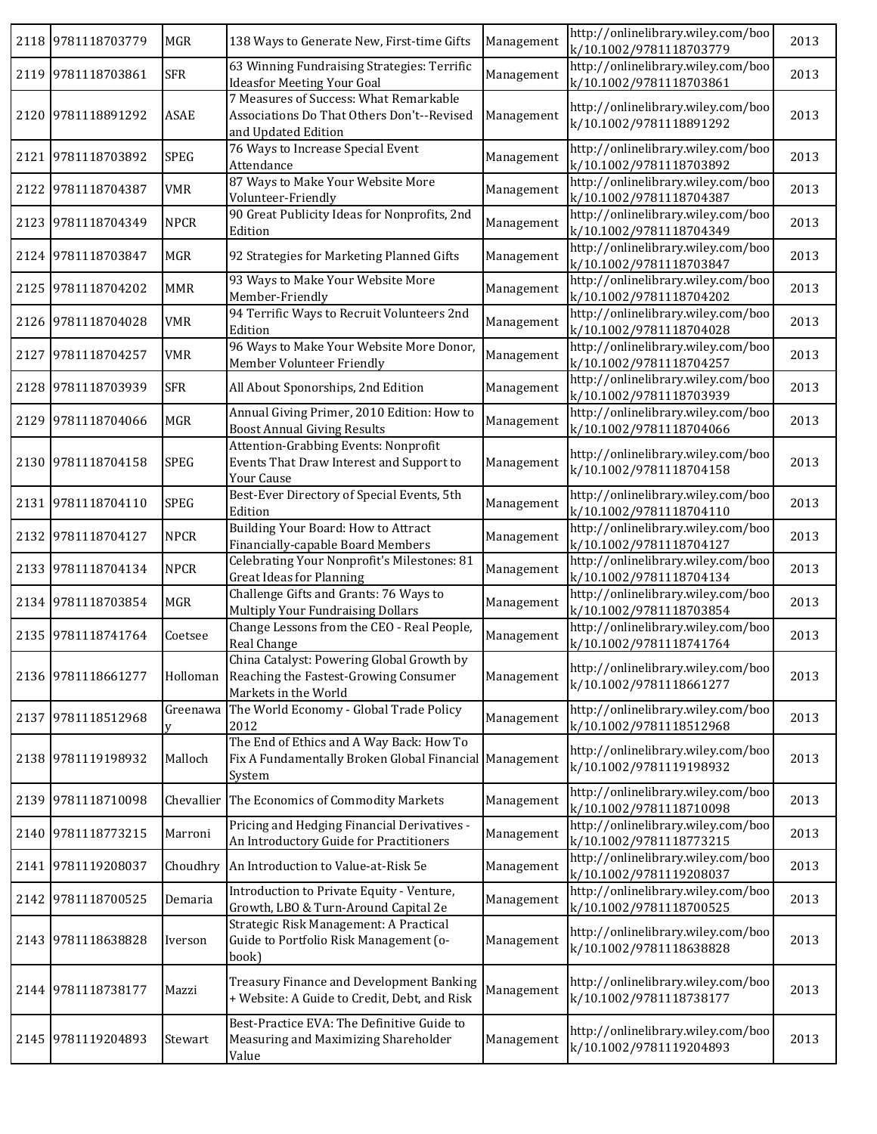|      | 2118 9781118703779 | MGR         | 138 Ways to Generate New, First-time Gifts                                                                          | Management | http://onlinelibrary.wiley.com/boo<br>k/10.1002/9781118703779 | 2013 |
|------|--------------------|-------------|---------------------------------------------------------------------------------------------------------------------|------------|---------------------------------------------------------------|------|
|      | 2119 9781118703861 | <b>SFR</b>  | 63 Winning Fundraising Strategies: Terrific<br><b>Ideasfor Meeting Your Goal</b>                                    | Management | http://onlinelibrary.wiley.com/boo<br>k/10.1002/9781118703861 | 2013 |
|      | 2120 9781118891292 | ASAE        | 7 Measures of Success: What Remarkable<br>Associations Do That Others Don't--Revised<br>and Updated Edition         | Management | http://onlinelibrary.wiley.com/boo<br>k/10.1002/9781118891292 | 2013 |
|      | 2121 9781118703892 | SPEG        | 76 Ways to Increase Special Event<br>Attendance                                                                     | Management | http://onlinelibrary.wiley.com/boo<br>k/10.1002/9781118703892 | 2013 |
| 2122 | 9781118704387      | <b>VMR</b>  | 87 Ways to Make Your Website More<br>Volunteer-Friendly                                                             | Management | http://onlinelibrary.wiley.com/boo<br>k/10.1002/9781118704387 | 2013 |
|      | 2123 9781118704349 | <b>NPCR</b> | 90 Great Publicity Ideas for Nonprofits, 2nd<br>Edition                                                             | Management | http://onlinelibrary.wiley.com/boo<br>k/10.1002/9781118704349 | 2013 |
|      | 2124 9781118703847 | MGR         | 92 Strategies for Marketing Planned Gifts                                                                           | Management | http://onlinelibrary.wiley.com/boo<br>k/10.1002/9781118703847 | 2013 |
|      | 2125 9781118704202 | <b>MMR</b>  | 93 Ways to Make Your Website More<br>Member-Friendly                                                                | Management | http://onlinelibrary.wiley.com/boo<br>k/10.1002/9781118704202 | 2013 |
|      | 2126 9781118704028 | <b>VMR</b>  | 94 Terrific Ways to Recruit Volunteers 2nd<br>Edition                                                               | Management | http://onlinelibrary.wiley.com/boo<br>k/10.1002/9781118704028 | 2013 |
| 2127 | 9781118704257      | <b>VMR</b>  | 96 Ways to Make Your Website More Donor,<br>Member Volunteer Friendly                                               | Management | http://onlinelibrary.wiley.com/boo<br>k/10.1002/9781118704257 | 2013 |
| 2128 | 9781118703939      | <b>SFR</b>  | All About Sponorships, 2nd Edition                                                                                  | Management | http://onlinelibrary.wiley.com/boo<br>k/10.1002/9781118703939 | 2013 |
|      | 2129 9781118704066 | <b>MGR</b>  | Annual Giving Primer, 2010 Edition: How to<br><b>Boost Annual Giving Results</b>                                    | Management | http://onlinelibrary.wiley.com/boo<br>k/10.1002/9781118704066 | 2013 |
|      | 2130 9781118704158 | <b>SPEG</b> | Attention-Grabbing Events: Nonprofit<br>Events That Draw Interest and Support to<br>Your Cause                      | Management | http://onlinelibrary.wiley.com/boo<br>k/10.1002/9781118704158 | 2013 |
|      | 2131 9781118704110 | <b>SPEG</b> | Best-Ever Directory of Special Events, 5th<br>Edition                                                               | Management | http://onlinelibrary.wiley.com/boo<br>k/10.1002/9781118704110 | 2013 |
| 2132 | 9781118704127      | <b>NPCR</b> | Building Your Board: How to Attract<br>Financially-capable Board Members                                            | Management | http://onlinelibrary.wiley.com/boo<br>k/10.1002/9781118704127 | 2013 |
|      | 2133 9781118704134 | <b>NPCR</b> | <b>Celebrating Your Nonprofit's Milestones: 81</b><br><b>Great Ideas for Planning</b>                               | Management | http://onlinelibrary.wiley.com/boo<br>k/10.1002/9781118704134 | 2013 |
|      | 2134 9781118703854 | MGR         | Challenge Gifts and Grants: 76 Ways to<br>Multiply Your Fundraising Dollars                                         | Management | http://onlinelibrary.wiley.com/boo<br>k/10.1002/9781118703854 | 2013 |
|      | 2135 9781118741764 | Coetsee     | Change Lessons from the CEO - Real People,<br>Real Change                                                           | Management | http://onlinelibrary.wiley.com/boo<br>k/10.1002/9781118741764 | 2013 |
|      | 2136 9781118661277 |             | China Catalyst: Powering Global Growth by<br>Holloman Reaching the Fastest-Growing Consumer<br>Markets in the World | Management | http://onlinelibrary.wiley.com/boo<br>k/10.1002/9781118661277 | 2013 |
|      | 2137 9781118512968 | Greenawa    | The World Economy - Global Trade Policy<br>2012                                                                     | Management | http://onlinelibrary.wiley.com/boo<br>k/10.1002/9781118512968 | 2013 |
|      | 2138 9781119198932 | Malloch     | The End of Ethics and A Way Back: How To<br>Fix A Fundamentally Broken Global Financial Management<br>System        |            | http://onlinelibrary.wiley.com/boo<br>k/10.1002/9781119198932 | 2013 |
| 2139 | 9781118710098      |             | Chevallier The Economics of Commodity Markets                                                                       | Management | http://onlinelibrary.wiley.com/boo<br>k/10.1002/9781118710098 | 2013 |
|      | 2140 9781118773215 | Marroni     | Pricing and Hedging Financial Derivatives -<br>An Introductory Guide for Practitioners                              | Management | http://onlinelibrary.wiley.com/boo<br>k/10.1002/9781118773215 | 2013 |
|      | 2141 9781119208037 |             | Choudhry An Introduction to Value-at-Risk 5e                                                                        | Management | http://onlinelibrary.wiley.com/boo<br>k/10.1002/9781119208037 | 2013 |
|      | 2142 9781118700525 | Demaria     | Introduction to Private Equity - Venture,<br>Growth, LBO & Turn-Around Capital 2e                                   | Management | http://onlinelibrary.wiley.com/boo<br>k/10.1002/9781118700525 | 2013 |
|      | 2143 9781118638828 | Iverson     | Strategic Risk Management: A Practical<br>Guide to Portfolio Risk Management (o-<br>book)                           | Management | http://onlinelibrary.wiley.com/boo<br>k/10.1002/9781118638828 | 2013 |
|      | 2144 9781118738177 | Mazzi       | Treasury Finance and Development Banking<br>+ Website: A Guide to Credit, Debt, and Risk                            | Management | http://onlinelibrary.wiley.com/boo<br>k/10.1002/9781118738177 | 2013 |
|      | 2145 9781119204893 | Stewart     | Best-Practice EVA: The Definitive Guide to<br>Measuring and Maximizing Shareholder<br>Value                         | Management | http://onlinelibrary.wiley.com/boo<br>k/10.1002/9781119204893 | 2013 |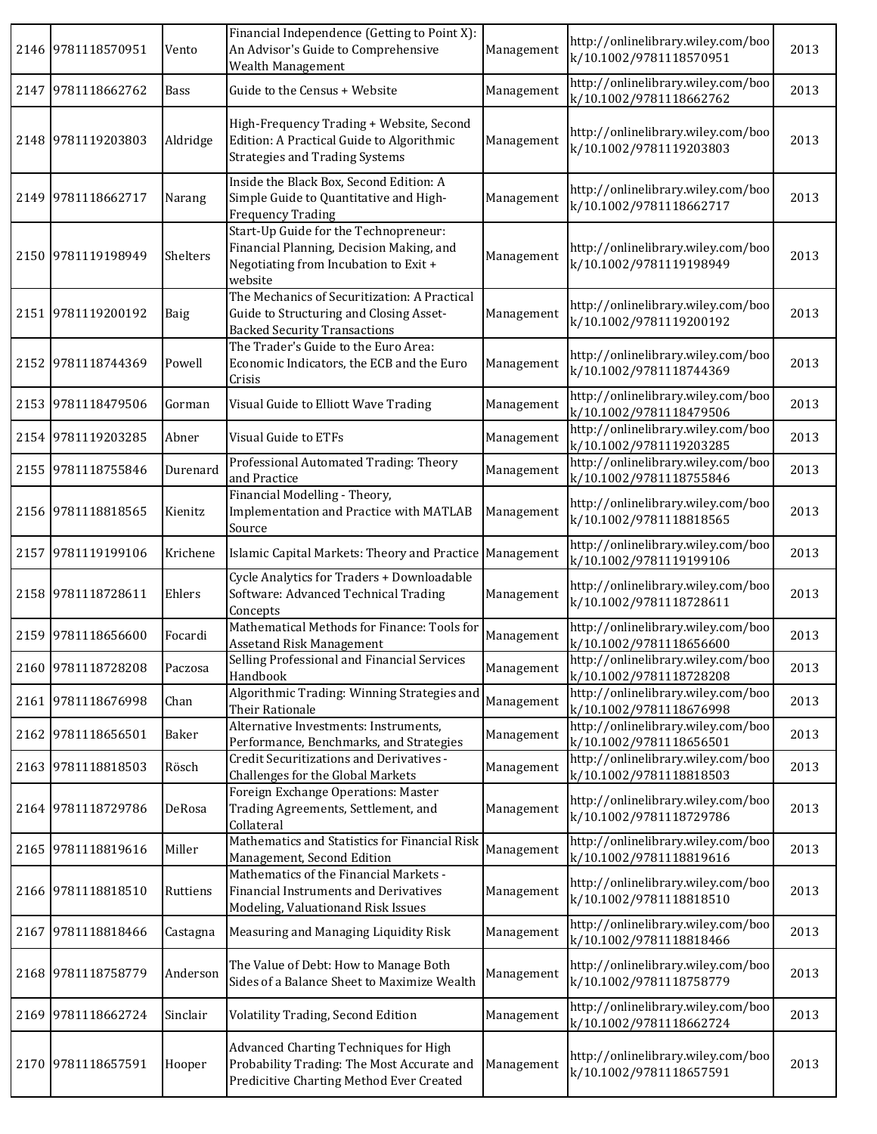| 2146 9781118570951 | Vento       | Financial Independence (Getting to Point X):<br>An Advisor's Guide to Comprehensive<br>Wealth Management                              | Management | http://onlinelibrary.wiley.com/boo<br>k/10.1002/9781118570951 | 2013 |
|--------------------|-------------|---------------------------------------------------------------------------------------------------------------------------------------|------------|---------------------------------------------------------------|------|
| 2147 9781118662762 | <b>Bass</b> | Guide to the Census + Website                                                                                                         | Management | http://onlinelibrary.wiley.com/boo<br>k/10.1002/9781118662762 | 2013 |
| 2148 9781119203803 | Aldridge    | High-Frequency Trading + Website, Second<br>Edition: A Practical Guide to Algorithmic<br><b>Strategies and Trading Systems</b>        | Management | http://onlinelibrary.wiley.com/boo<br>k/10.1002/9781119203803 | 2013 |
| 2149 9781118662717 | Narang      | Inside the Black Box, Second Edition: A<br>Simple Guide to Quantitative and High-<br><b>Frequency Trading</b>                         | Management | http://onlinelibrary.wiley.com/boo<br>k/10.1002/9781118662717 | 2013 |
| 2150 9781119198949 | Shelters    | Start-Up Guide for the Technopreneur:<br>Financial Planning, Decision Making, and<br>Negotiating from Incubation to Exit +<br>website | Management | http://onlinelibrary.wiley.com/boo<br>k/10.1002/9781119198949 | 2013 |
| 2151 9781119200192 | Baig        | The Mechanics of Securitization: A Practical<br>Guide to Structuring and Closing Asset-<br><b>Backed Security Transactions</b>        | Management | http://onlinelibrary.wiley.com/boo<br>k/10.1002/9781119200192 | 2013 |
| 2152 9781118744369 | Powell      | The Trader's Guide to the Euro Area:<br>Economic Indicators, the ECB and the Euro<br>Crisis                                           | Management | http://onlinelibrary.wiley.com/boo<br>k/10.1002/9781118744369 | 2013 |
| 2153 9781118479506 | Gorman      | Visual Guide to Elliott Wave Trading                                                                                                  | Management | http://onlinelibrary.wiley.com/boo<br>k/10.1002/9781118479506 | 2013 |
| 2154 9781119203285 | Abner       | Visual Guide to ETFs                                                                                                                  | Management | http://onlinelibrary.wiley.com/boo<br>k/10.1002/9781119203285 | 2013 |
| 2155 9781118755846 | Durenard    | Professional Automated Trading: Theory<br>and Practice                                                                                | Management | http://onlinelibrary.wiley.com/boo<br>k/10.1002/9781118755846 | 2013 |
| 2156 9781118818565 | Kienitz     | Financial Modelling - Theory,<br>Implementation and Practice with MATLAB<br>Source                                                    | Management | http://onlinelibrary.wiley.com/boo<br>k/10.1002/9781118818565 | 2013 |
| 2157 9781119199106 | Krichene    | Islamic Capital Markets: Theory and Practice                                                                                          | Management | http://onlinelibrary.wiley.com/boo<br>k/10.1002/9781119199106 | 2013 |
| 2158 9781118728611 | Ehlers      | Cycle Analytics for Traders + Downloadable<br>Software: Advanced Technical Trading<br>Concepts                                        | Management | http://onlinelibrary.wiley.com/boo<br>k/10.1002/9781118728611 | 2013 |
| 2159 9781118656600 | Focardi     | Mathematical Methods for Finance: Tools for<br><b>Assetand Risk Management</b>                                                        | Management | http://onlinelibrary.wiley.com/boo<br>k/10.1002/9781118656600 | 2013 |
| 2160 9781118728208 | Paczosa     | Selling Professional and Financial Services<br>Handbook                                                                               | Management | http://onlinelibrary.wiley.com/boo<br>k/10.1002/9781118728208 | 2013 |
| 2161 9781118676998 | Chan        | Algorithmic Trading: Winning Strategies and<br>Their Rationale                                                                        | Management | http://onlinelibrary.wiley.com/boo<br>k/10.1002/9781118676998 | 2013 |
| 2162 9781118656501 | Baker       | Alternative Investments: Instruments,<br>Performance, Benchmarks, and Strategies                                                      | Management | http://onlinelibrary.wiley.com/boo<br>k/10.1002/9781118656501 | 2013 |
| 2163 9781118818503 | Rösch       | <b>Credit Securitizations and Derivatives -</b><br><b>Challenges for the Global Markets</b>                                           | Management | http://onlinelibrary.wiley.com/boo<br>k/10.1002/9781118818503 | 2013 |
| 2164 9781118729786 | DeRosa      | Foreign Exchange Operations: Master<br>Trading Agreements, Settlement, and<br>Collateral                                              | Management | http://onlinelibrary.wiley.com/boo<br>k/10.1002/9781118729786 | 2013 |
| 2165 9781118819616 | Miller      | Mathematics and Statistics for Financial Risk<br>Management, Second Edition                                                           | Management | http://onlinelibrary.wiley.com/boo<br>k/10.1002/9781118819616 | 2013 |
| 2166 9781118818510 | Ruttiens    | Mathematics of the Financial Markets -<br>Financial Instruments and Derivatives<br>Modeling, Valuationand Risk Issues                 | Management | http://onlinelibrary.wiley.com/boo<br>k/10.1002/9781118818510 | 2013 |
| 2167 9781118818466 | Castagna    | Measuring and Managing Liquidity Risk                                                                                                 | Management | http://onlinelibrary.wiley.com/boo<br>k/10.1002/9781118818466 | 2013 |
| 2168 9781118758779 | Anderson    | The Value of Debt: How to Manage Both<br>Sides of a Balance Sheet to Maximize Wealth                                                  | Management | http://onlinelibrary.wiley.com/boo<br>k/10.1002/9781118758779 | 2013 |
| 2169 9781118662724 | Sinclair    | Volatility Trading, Second Edition                                                                                                    | Management | http://onlinelibrary.wiley.com/boo<br>k/10.1002/9781118662724 | 2013 |
| 2170 9781118657591 | Hooper      | Advanced Charting Techniques for High<br>Probability Trading: The Most Accurate and<br>Predicitive Charting Method Ever Created       | Management | http://onlinelibrary.wiley.com/boo<br>k/10.1002/9781118657591 | 2013 |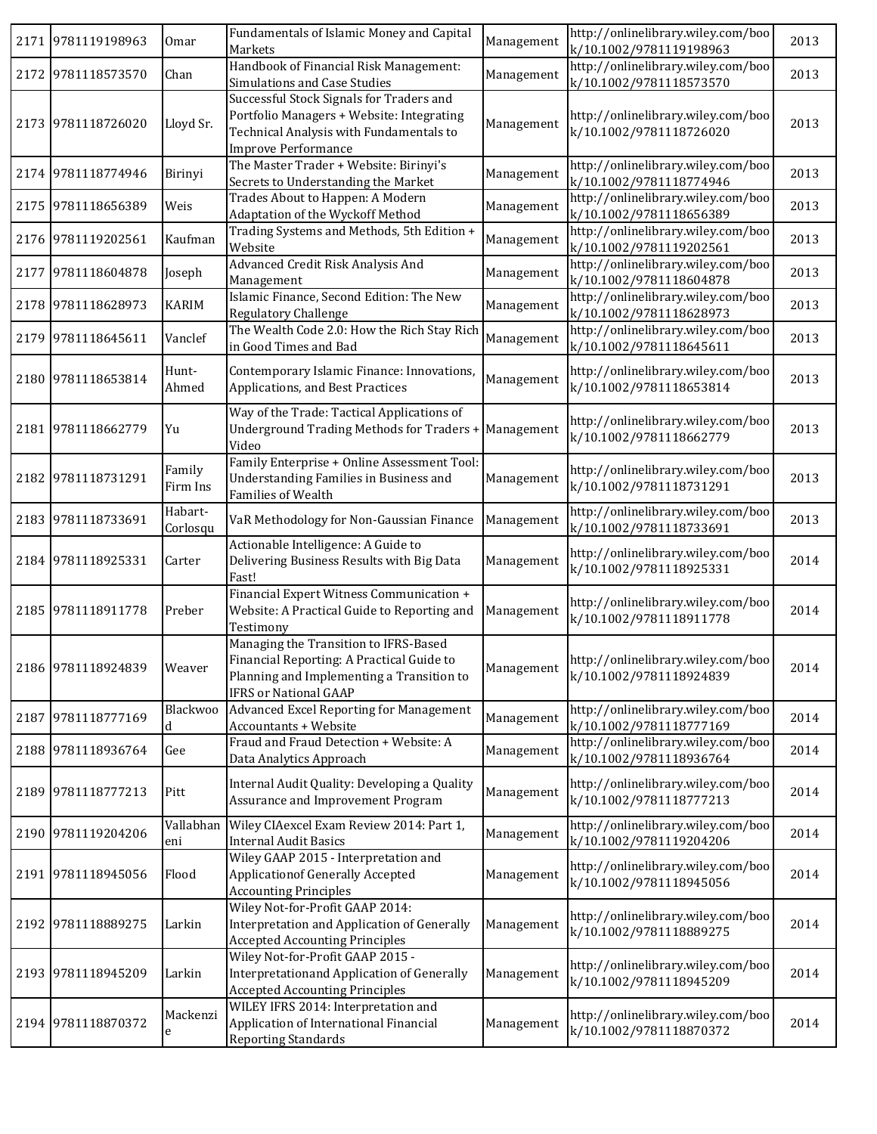|      | 2171 9781119198963 | Omar                | Fundamentals of Islamic Money and Capital<br>Markets                                                                                                            | Management | http://onlinelibrary.wiley.com/boo<br>k/10.1002/9781119198963 | 2013 |
|------|--------------------|---------------------|-----------------------------------------------------------------------------------------------------------------------------------------------------------------|------------|---------------------------------------------------------------|------|
|      | 2172 9781118573570 | Chan                | Handbook of Financial Risk Management:<br>Simulations and Case Studies                                                                                          | Management | http://onlinelibrary.wiley.com/boo<br>k/10.1002/9781118573570 | 2013 |
|      | 2173 9781118726020 | Lloyd Sr.           | Successful Stock Signals for Traders and<br>Portfolio Managers + Website: Integrating<br>Technical Analysis with Fundamentals to<br><b>Improve Performance</b>  | Management | http://onlinelibrary.wiley.com/boo<br>k/10.1002/9781118726020 | 2013 |
|      | 2174 9781118774946 | Birinyi             | The Master Trader + Website: Birinyi's<br>Secrets to Understanding the Market                                                                                   | Management | http://onlinelibrary.wiley.com/boo<br>k/10.1002/9781118774946 | 2013 |
|      | 2175 9781118656389 | Weis                | Trades About to Happen: A Modern<br>Adaptation of the Wyckoff Method                                                                                            | Management | http://onlinelibrary.wiley.com/boo<br>k/10.1002/9781118656389 | 2013 |
|      | 2176 9781119202561 | Kaufman             | Trading Systems and Methods, 5th Edition +<br>Website                                                                                                           | Management | http://onlinelibrary.wiley.com/boo<br>k/10.1002/9781119202561 | 2013 |
| 2177 | 9781118604878      | Joseph              | Advanced Credit Risk Analysis And<br>Management                                                                                                                 | Management | http://onlinelibrary.wiley.com/boo<br>k/10.1002/9781118604878 | 2013 |
|      | 2178 9781118628973 | <b>KARIM</b>        | Islamic Finance, Second Edition: The New<br>Regulatory Challenge                                                                                                | Management | http://onlinelibrary.wiley.com/boo<br>k/10.1002/9781118628973 | 2013 |
| 2179 | 9781118645611      | Vanclef             | The Wealth Code 2.0: How the Rich Stay Rich<br>in Good Times and Bad                                                                                            | Management | http://onlinelibrary.wiley.com/boo<br>k/10.1002/9781118645611 | 2013 |
| 2180 | 9781118653814      | Hunt-<br>Ahmed      | Contemporary Islamic Finance: Innovations,<br>Applications, and Best Practices                                                                                  | Management | http://onlinelibrary.wiley.com/boo<br>k/10.1002/9781118653814 | 2013 |
|      | 2181 9781118662779 | Yu                  | Way of the Trade: Tactical Applications of<br>Underground Trading Methods for Traders +<br>Video                                                                | Management | http://onlinelibrary.wiley.com/boo<br>k/10.1002/9781118662779 | 2013 |
| 2182 | 9781118731291      | Family<br>Firm Ins  | Family Enterprise + Online Assessment Tool:<br>Understanding Families in Business and<br>Families of Wealth                                                     | Management | http://onlinelibrary.wiley.com/boo<br>k/10.1002/9781118731291 | 2013 |
|      | 2183 9781118733691 | Habart-<br>Corlosqu | VaR Methodology for Non-Gaussian Finance                                                                                                                        | Management | http://onlinelibrary.wiley.com/boo<br>k/10.1002/9781118733691 | 2013 |
|      | 2184 9781118925331 | Carter              | Actionable Intelligence: A Guide to<br>Delivering Business Results with Big Data<br>Fast!                                                                       | Management | http://onlinelibrary.wiley.com/boo<br>k/10.1002/9781118925331 | 2014 |
|      | 2185 9781118911778 | Preber              | Financial Expert Witness Communication +<br>Website: A Practical Guide to Reporting and<br>Testimony                                                            | Management | http://onlinelibrary.wiley.com/boo<br>k/10.1002/9781118911778 | 2014 |
|      | 2186 9781118924839 | Weaver              | Managing the Transition to IFRS-Based<br>Financial Reporting: A Practical Guide to<br>Planning and Implementing a Transition to<br><b>IFRS or National GAAP</b> | Management | http://onlinelibrary.wiley.com/boo<br>k/10.1002/9781118924839 | 2014 |
|      | 2187 9781118777169 | Blackwoo<br>d       | Advanced Excel Reporting for Management<br>Accountants + Website                                                                                                | Management | http://onlinelibrary.wiley.com/boo<br>k/10.1002/9781118777169 | 2014 |
|      | 2188 9781118936764 | Gee                 | Fraud and Fraud Detection + Website: A<br>Data Analytics Approach                                                                                               | Management | http://onlinelibrary.wiley.com/boo<br>k/10.1002/9781118936764 | 2014 |
| 2189 | 9781118777213      | Pitt                | Internal Audit Quality: Developing a Quality<br>Assurance and Improvement Program                                                                               | Management | http://onlinelibrary.wiley.com/boo<br>k/10.1002/9781118777213 | 2014 |
|      | 2190 9781119204206 | Vallabhan<br>eni    | Wiley CIAexcel Exam Review 2014: Part 1,<br><b>Internal Audit Basics</b>                                                                                        | Management | http://onlinelibrary.wiley.com/boo<br>k/10.1002/9781119204206 | 2014 |
|      | 2191 9781118945056 | Flood               | Wiley GAAP 2015 - Interpretation and<br>Applicationof Generally Accepted<br><b>Accounting Principles</b>                                                        | Management | http://onlinelibrary.wiley.com/boo<br>k/10.1002/9781118945056 | 2014 |
|      | 2192 9781118889275 | Larkin              | Wiley Not-for-Profit GAAP 2014:<br>Interpretation and Application of Generally<br><b>Accepted Accounting Principles</b>                                         | Management | http://onlinelibrary.wiley.com/boo<br>k/10.1002/9781118889275 | 2014 |
|      | 2193 9781118945209 | Larkin              | Wiley Not-for-Profit GAAP 2015 -<br>Interpretationand Application of Generally<br><b>Accepted Accounting Principles</b>                                         | Management | http://onlinelibrary.wiley.com/boo<br>k/10.1002/9781118945209 | 2014 |
| 2194 | 9781118870372      | Mackenzi<br>e       | WILEY IFRS 2014: Interpretation and<br>Application of International Financial<br><b>Reporting Standards</b>                                                     | Management | http://onlinelibrary.wiley.com/boo<br>k/10.1002/9781118870372 | 2014 |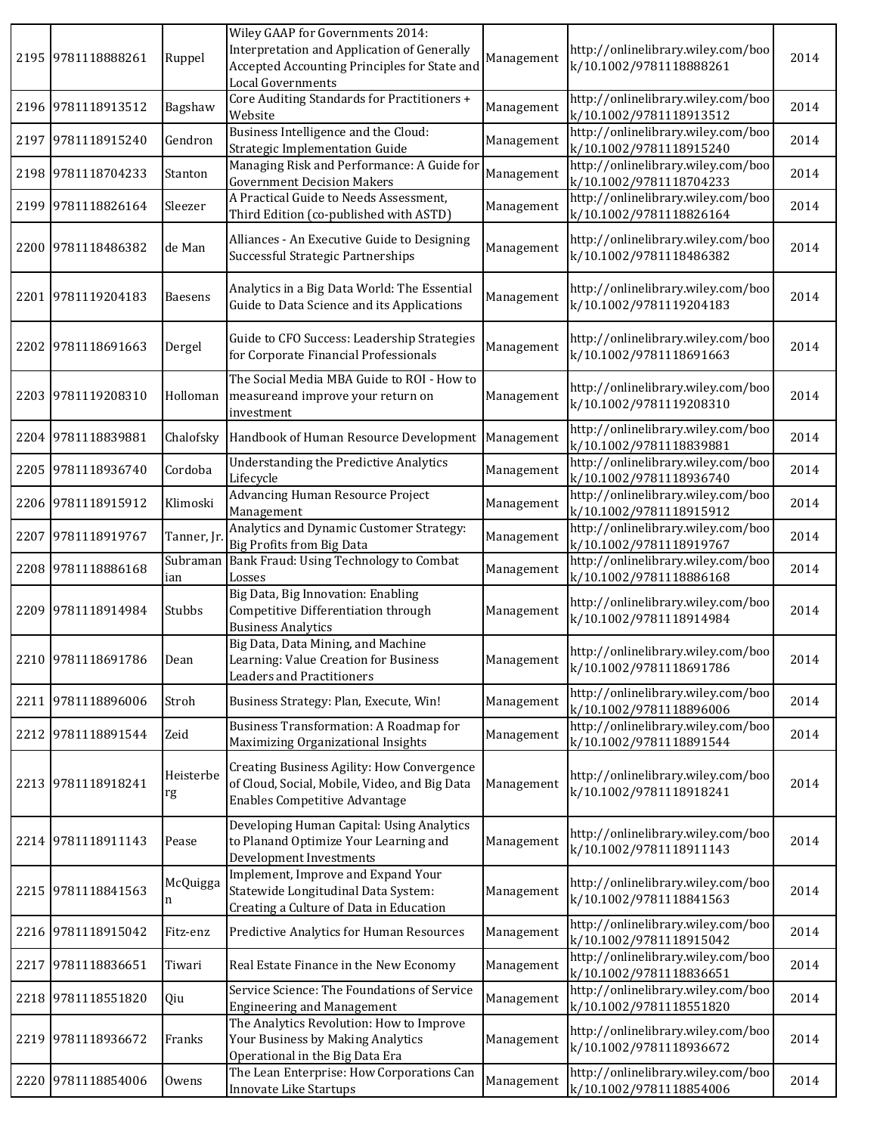|      | 2195 9781118888261 | Ruppel          | Wiley GAAP for Governments 2014:<br>Interpretation and Application of Generally<br>Accepted Accounting Principles for State and<br><b>Local Governments</b> | Management | http://onlinelibrary.wiley.com/boo<br>k/10.1002/9781118888261 | 2014 |
|------|--------------------|-----------------|-------------------------------------------------------------------------------------------------------------------------------------------------------------|------------|---------------------------------------------------------------|------|
|      | 2196 9781118913512 | Bagshaw         | Core Auditing Standards for Practitioners +<br>Website                                                                                                      | Management | http://onlinelibrary.wiley.com/boo<br>k/10.1002/9781118913512 | 2014 |
| 2197 | 9781118915240      | Gendron         | Business Intelligence and the Cloud:<br><b>Strategic Implementation Guide</b>                                                                               | Management | http://onlinelibrary.wiley.com/boo<br>k/10.1002/9781118915240 | 2014 |
|      | 2198 9781118704233 | Stanton         | Managing Risk and Performance: A Guide for<br><b>Government Decision Makers</b>                                                                             | Management | http://onlinelibrary.wiley.com/boo<br>k/10.1002/9781118704233 | 2014 |
|      | 2199 9781118826164 | Sleezer         | A Practical Guide to Needs Assessment,<br>Third Edition (co-published with ASTD)                                                                            | Management | http://onlinelibrary.wiley.com/boo<br>k/10.1002/9781118826164 | 2014 |
|      | 2200 9781118486382 | de Man          | Alliances - An Executive Guide to Designing<br>Successful Strategic Partnerships                                                                            | Management | http://onlinelibrary.wiley.com/boo<br>k/10.1002/9781118486382 | 2014 |
|      | 2201 9781119204183 | <b>Baesens</b>  | Analytics in a Big Data World: The Essential<br>Guide to Data Science and its Applications                                                                  | Management | http://onlinelibrary.wiley.com/boo<br>k/10.1002/9781119204183 | 2014 |
|      | 2202 9781118691663 | Dergel          | Guide to CFO Success: Leadership Strategies<br>for Corporate Financial Professionals                                                                        | Management | http://onlinelibrary.wiley.com/boo<br>k/10.1002/9781118691663 | 2014 |
|      | 2203 9781119208310 | Holloman        | The Social Media MBA Guide to ROI - How to<br>measureand improve your return on<br>investment                                                               | Management | http://onlinelibrary.wiley.com/boo<br>k/10.1002/9781119208310 | 2014 |
|      | 2204 9781118839881 | Chalofsky       | Handbook of Human Resource Development                                                                                                                      | Management | http://onlinelibrary.wiley.com/boo<br>k/10.1002/9781118839881 | 2014 |
|      | 2205 9781118936740 | Cordoba         | <b>Understanding the Predictive Analytics</b><br>Lifecycle                                                                                                  | Management | http://onlinelibrary.wiley.com/boo<br>k/10.1002/9781118936740 | 2014 |
|      | 2206 9781118915912 | Klimoski        | <b>Advancing Human Resource Project</b><br>Management                                                                                                       | Management | http://onlinelibrary.wiley.com/boo<br>k/10.1002/9781118915912 | 2014 |
| 2207 | 9781118919767      | Tanner, Jr.     | Analytics and Dynamic Customer Strategy:<br><b>Big Profits from Big Data</b>                                                                                | Management | http://onlinelibrary.wiley.com/boo<br>k/10.1002/9781118919767 | 2014 |
|      | 2208 9781118886168 | Subraman<br>ian | Bank Fraud: Using Technology to Combat<br>Losses                                                                                                            | Management | http://onlinelibrary.wiley.com/boo<br>k/10.1002/9781118886168 | 2014 |
|      | 2209 9781118914984 | Stubbs          | Big Data, Big Innovation: Enabling<br>Competitive Differentiation through<br><b>Business Analytics</b>                                                      | Management | http://onlinelibrary.wiley.com/boo<br>k/10.1002/9781118914984 | 2014 |
|      | 2210 9781118691786 | Dean            | Big Data, Data Mining, and Machine<br>Learning: Value Creation for Business<br><b>Leaders and Practitioners</b>                                             | Management | http://onlinelibrary.wiley.com/boo<br>k/10.1002/9781118691786 | 2014 |
|      | 2211 9781118896006 | Stroh           | Business Strategy: Plan, Execute, Win!                                                                                                                      | Management | http://onlinelibrary.wiley.com/boo<br>k/10.1002/9781118896006 | 2014 |
|      | 2212 9781118891544 | Zeid            | Business Transformation: A Roadmap for<br>Maximizing Organizational Insights                                                                                | Management | http://onlinelibrary.wiley.com/boo<br>k/10.1002/9781118891544 | 2014 |
|      | 2213 9781118918241 | Heisterbe<br>rg | Creating Business Agility: How Convergence<br>of Cloud, Social, Mobile, Video, and Big Data<br><b>Enables Competitive Advantage</b>                         | Management | http://onlinelibrary.wiley.com/boo<br>k/10.1002/9781118918241 | 2014 |
|      | 2214 9781118911143 | Pease           | Developing Human Capital: Using Analytics<br>to Planand Optimize Your Learning and<br>Development Investments                                               | Management | http://onlinelibrary.wiley.com/boo<br>k/10.1002/9781118911143 | 2014 |
|      | 2215 9781118841563 | McQuigga<br>n   | Implement, Improve and Expand Your<br>Statewide Longitudinal Data System:<br>Creating a Culture of Data in Education                                        | Management | http://onlinelibrary.wiley.com/boo<br>k/10.1002/9781118841563 | 2014 |
|      | 2216 9781118915042 | Fitz-enz        | Predictive Analytics for Human Resources                                                                                                                    | Management | http://onlinelibrary.wiley.com/boo<br>k/10.1002/9781118915042 | 2014 |
| 2217 | 9781118836651      | Tiwari          | Real Estate Finance in the New Economy                                                                                                                      | Management | http://onlinelibrary.wiley.com/boo<br>k/10.1002/9781118836651 | 2014 |
|      | 2218 9781118551820 | Qiu             | Service Science: The Foundations of Service<br><b>Engineering and Management</b>                                                                            | Management | http://onlinelibrary.wiley.com/boo<br>k/10.1002/9781118551820 | 2014 |
|      | 2219 9781118936672 | Franks          | The Analytics Revolution: How to Improve<br>Your Business by Making Analytics<br>Operational in the Big Data Era                                            | Management | http://onlinelibrary.wiley.com/boo<br>k/10.1002/9781118936672 | 2014 |
|      | 2220 9781118854006 | Owens           | The Lean Enterprise: How Corporations Can<br>Innovate Like Startups                                                                                         | Management | http://onlinelibrary.wiley.com/boo<br>k/10.1002/9781118854006 | 2014 |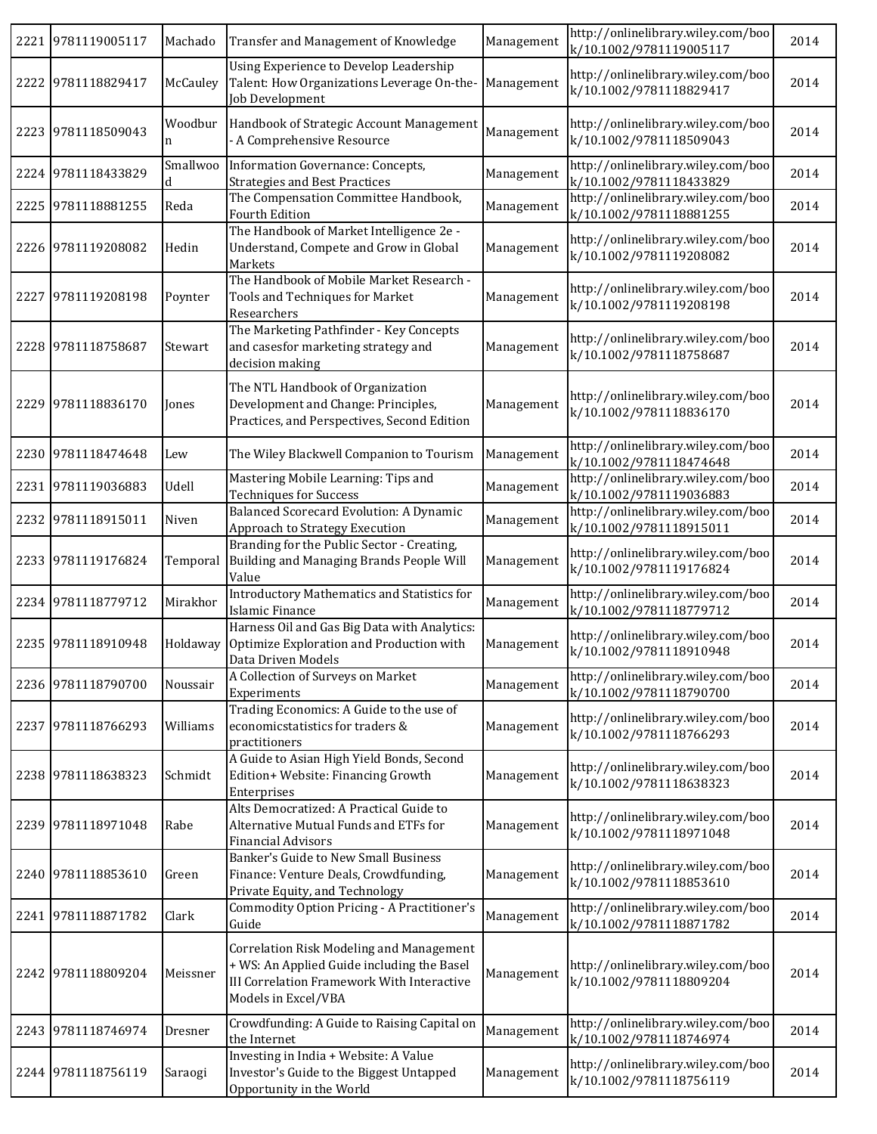| 2221 9781119005117 | Machado       | Transfer and Management of Knowledge                                                                                                                        | Management | http://onlinelibrary.wiley.com/boo<br>k/10.1002/9781119005117 | 2014 |
|--------------------|---------------|-------------------------------------------------------------------------------------------------------------------------------------------------------------|------------|---------------------------------------------------------------|------|
| 2222 9781118829417 | McCauley      | Using Experience to Develop Leadership<br>Talent: How Organizations Leverage On-the-<br>Job Development                                                     | Management | http://onlinelibrary.wiley.com/boo<br>k/10.1002/9781118829417 | 2014 |
| 2223 9781118509043 | Woodbur<br>n  | Handbook of Strategic Account Management<br>- A Comprehensive Resource                                                                                      | Management | http://onlinelibrary.wiley.com/boo<br>k/10.1002/9781118509043 | 2014 |
| 2224 9781118433829 | Smallwoo<br>d | Information Governance: Concepts,<br><b>Strategies and Best Practices</b>                                                                                   | Management | http://onlinelibrary.wiley.com/boo<br>k/10.1002/9781118433829 | 2014 |
| 2225 9781118881255 | Reda          | The Compensation Committee Handbook,<br><b>Fourth Edition</b>                                                                                               | Management | http://onlinelibrary.wiley.com/boo<br>k/10.1002/9781118881255 | 2014 |
| 2226 9781119208082 | Hedin         | The Handbook of Market Intelligence 2e -<br>Understand, Compete and Grow in Global<br>Markets                                                               | Management | http://onlinelibrary.wiley.com/boo<br>k/10.1002/9781119208082 | 2014 |
| 2227 9781119208198 | Poynter       | The Handbook of Mobile Market Research -<br>Tools and Techniques for Market<br>Researchers                                                                  | Management | http://onlinelibrary.wiley.com/boo<br>k/10.1002/9781119208198 | 2014 |
| 2228 9781118758687 | Stewart       | The Marketing Pathfinder - Key Concepts<br>and casesfor marketing strategy and<br>decision making                                                           | Management | http://onlinelibrary.wiley.com/boo<br>k/10.1002/9781118758687 | 2014 |
| 2229 9781118836170 | Jones         | The NTL Handbook of Organization<br>Development and Change: Principles,<br>Practices, and Perspectives, Second Edition                                      | Management | http://onlinelibrary.wiley.com/boo<br>k/10.1002/9781118836170 | 2014 |
| 2230 9781118474648 | Lew           | The Wiley Blackwell Companion to Tourism                                                                                                                    | Management | http://onlinelibrary.wiley.com/boo<br>k/10.1002/9781118474648 | 2014 |
| 2231 9781119036883 | Udell         | Mastering Mobile Learning: Tips and<br><b>Techniques for Success</b>                                                                                        | Management | http://onlinelibrary.wiley.com/boo<br>k/10.1002/9781119036883 | 2014 |
| 2232 9781118915011 | Niven         | <b>Balanced Scorecard Evolution: A Dynamic</b><br>Approach to Strategy Execution                                                                            | Management | http://onlinelibrary.wiley.com/boo<br>k/10.1002/9781118915011 | 2014 |
| 2233 9781119176824 | Temporal      | Branding for the Public Sector - Creating,<br>Building and Managing Brands People Will<br>Value                                                             | Management | http://onlinelibrary.wiley.com/boo<br>k/10.1002/9781119176824 | 2014 |
| 2234 9781118779712 | Mirakhor      | <b>Introductory Mathematics and Statistics for</b><br>Islamic Finance                                                                                       | Management | http://onlinelibrary.wiley.com/boo<br>k/10.1002/9781118779712 | 2014 |
| 2235 9781118910948 | Holdaway      | Harness Oil and Gas Big Data with Analytics:<br>Optimize Exploration and Production with<br>Data Driven Models                                              | Management | http://onlinelibrary.wiley.com/boo<br>k/10.1002/9781118910948 | 2014 |
| 2236 9781118790700 | Noussair      | A Collection of Surveys on Market<br>Experiments                                                                                                            | Management | http://onlinelibrary.wiley.com/boo<br>k/10.1002/9781118790700 | 2014 |
| 2237 9781118766293 | Williams      | Trading Economics: A Guide to the use of<br>economicstatistics for traders &<br>practitioners                                                               | Management | http://onlinelibrary.wiley.com/boo<br>k/10.1002/9781118766293 | 2014 |
| 2238 9781118638323 | Schmidt       | A Guide to Asian High Yield Bonds, Second<br>Edition+ Website: Financing Growth<br>Enterprises                                                              | Management | http://onlinelibrary.wiley.com/boo<br>k/10.1002/9781118638323 | 2014 |
| 2239 9781118971048 | Rabe          | Alts Democratized: A Practical Guide to<br>Alternative Mutual Funds and ETFs for<br><b>Financial Advisors</b>                                               | Management | http://onlinelibrary.wiley.com/boo<br>k/10.1002/9781118971048 | 2014 |
| 2240 9781118853610 | Green         | Banker's Guide to New Small Business<br>Finance: Venture Deals, Crowdfunding,<br>Private Equity, and Technology                                             | Management | http://onlinelibrary.wiley.com/boo<br>k/10.1002/9781118853610 | 2014 |
| 2241 9781118871782 | Clark         | <b>Commodity Option Pricing - A Practitioner's</b><br>Guide                                                                                                 | Management | http://onlinelibrary.wiley.com/boo<br>k/10.1002/9781118871782 | 2014 |
| 2242 9781118809204 | Meissner      | Correlation Risk Modeling and Management<br>+ WS: An Applied Guide including the Basel<br>III Correlation Framework With Interactive<br>Models in Excel/VBA | Management | http://onlinelibrary.wiley.com/boo<br>k/10.1002/9781118809204 | 2014 |
| 2243 9781118746974 | Dresner       | Crowdfunding: A Guide to Raising Capital on<br>the Internet                                                                                                 | Management | http://onlinelibrary.wiley.com/boo<br>k/10.1002/9781118746974 | 2014 |
| 2244 9781118756119 | Saraogi       | Investing in India + Website: A Value<br>Investor's Guide to the Biggest Untapped<br>Opportunity in the World                                               | Management | http://onlinelibrary.wiley.com/boo<br>k/10.1002/9781118756119 | 2014 |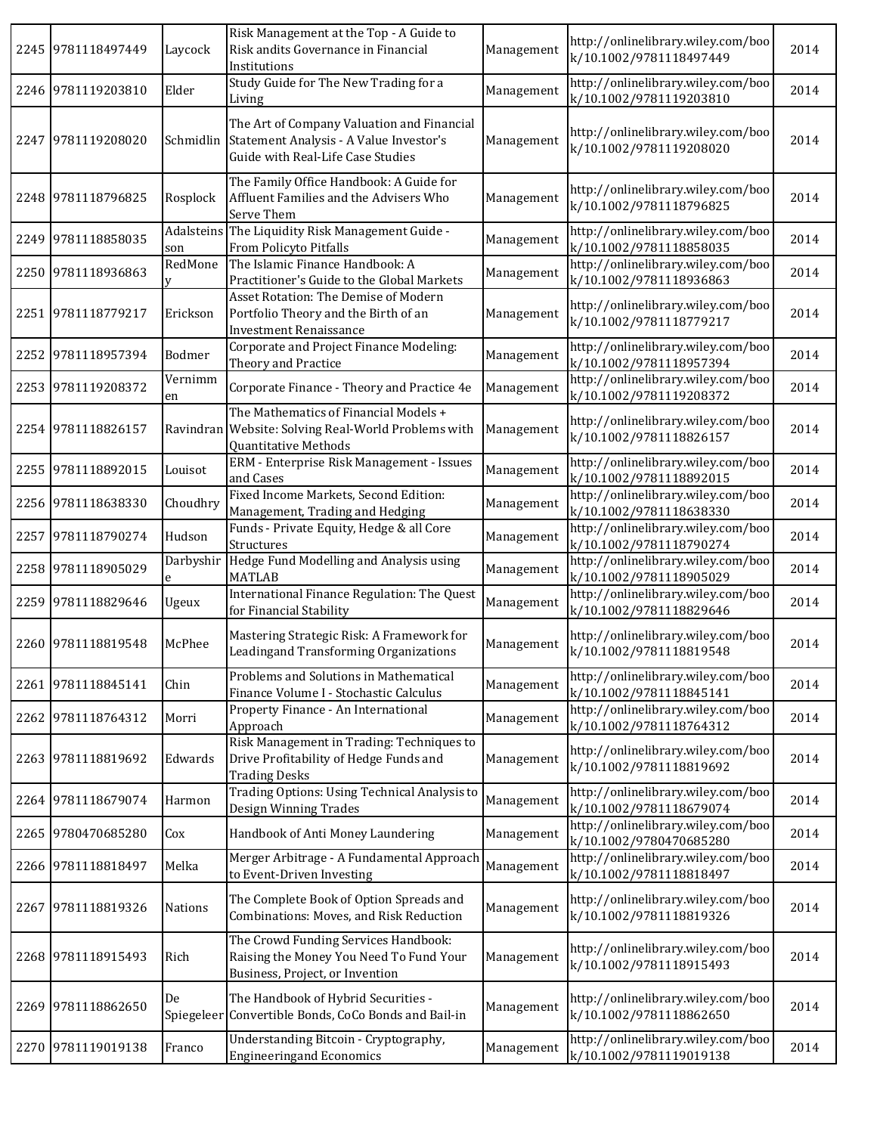|      | 2245 9781118497449 | Laycock        | Risk Management at the Top - A Guide to<br>Risk andits Governance in Financial<br>Institutions                                       | Management | http://onlinelibrary.wiley.com/boo<br>k/10.1002/9781118497449 | 2014 |
|------|--------------------|----------------|--------------------------------------------------------------------------------------------------------------------------------------|------------|---------------------------------------------------------------|------|
|      | 2246 9781119203810 | Elder          | Study Guide for The New Trading for a<br>Living                                                                                      | Management | http://onlinelibrary.wiley.com/boo<br>k/10.1002/9781119203810 | 2014 |
|      | 2247 9781119208020 |                | The Art of Company Valuation and Financial<br>Schmidlin Statement Analysis - A Value Investor's<br>Guide with Real-Life Case Studies | Management | http://onlinelibrary.wiley.com/boo<br>k/10.1002/9781119208020 | 2014 |
|      | 2248 9781118796825 | Rosplock       | The Family Office Handbook: A Guide for<br>Affluent Families and the Advisers Who<br>Serve Them                                      | Management | http://onlinelibrary.wiley.com/boo<br>k/10.1002/9781118796825 | 2014 |
|      | 2249 9781118858035 | son            | Adalsteins The Liquidity Risk Management Guide -<br>From Policyto Pitfalls                                                           | Management | http://onlinelibrary.wiley.com/boo<br>k/10.1002/9781118858035 | 2014 |
|      | 2250 9781118936863 | RedMone        | The Islamic Finance Handbook: A<br>Practitioner's Guide to the Global Markets                                                        | Management | http://onlinelibrary.wiley.com/boo<br>k/10.1002/9781118936863 | 2014 |
|      | 2251 9781118779217 | Erickson       | Asset Rotation: The Demise of Modern<br>Portfolio Theory and the Birth of an<br><b>Investment Renaissance</b>                        | Management | http://onlinelibrary.wiley.com/boo<br>k/10.1002/9781118779217 | 2014 |
|      | 2252 9781118957394 | Bodmer         | Corporate and Project Finance Modeling:<br>Theory and Practice                                                                       | Management | http://onlinelibrary.wiley.com/boo<br>k/10.1002/9781118957394 | 2014 |
|      | 2253 9781119208372 | Vernimm<br>en  | Corporate Finance - Theory and Practice 4e                                                                                           | Management | http://onlinelibrary.wiley.com/boo<br>k/10.1002/9781119208372 | 2014 |
|      | 2254 9781118826157 |                | The Mathematics of Financial Models +<br>Ravindran Website: Solving Real-World Problems with<br>Quantitative Methods                 | Management | http://onlinelibrary.wiley.com/boo<br>k/10.1002/9781118826157 | 2014 |
|      | 2255 9781118892015 | Louisot        | ERM - Enterprise Risk Management - Issues<br>and Cases                                                                               | Management | http://onlinelibrary.wiley.com/boo<br>k/10.1002/9781118892015 | 2014 |
|      | 2256 9781118638330 | Choudhry       | Fixed Income Markets, Second Edition:<br>Management, Trading and Hedging                                                             | Management | http://onlinelibrary.wiley.com/boo<br>k/10.1002/9781118638330 | 2014 |
| 2257 | 9781118790274      | Hudson         | Funds - Private Equity, Hedge & all Core<br>Structures                                                                               | Management | http://onlinelibrary.wiley.com/boo<br>k/10.1002/9781118790274 | 2014 |
|      | 2258 9781118905029 | Darbyshir<br>e | Hedge Fund Modelling and Analysis using<br><b>MATLAB</b>                                                                             | Management | http://onlinelibrary.wiley.com/boo<br>k/10.1002/9781118905029 | 2014 |
|      | 2259 9781118829646 | Ugeux          | International Finance Regulation: The Quest<br>for Financial Stability                                                               | Management | http://onlinelibrary.wiley.com/boo<br>k/10.1002/9781118829646 | 2014 |
|      | 2260 9781118819548 | McPhee         | Mastering Strategic Risk: A Framework for<br>Leadingand Transforming Organizations                                                   | Management | http://onlinelibrary.wiley.com/boo<br>k/10.1002/9781118819548 | 2014 |
|      | 2261 9781118845141 | Chin           | Problems and Solutions in Mathematical<br>Finance Volume I - Stochastic Calculus                                                     | Management | http://onlinelibrary.wiley.com/boo<br>k/10.1002/9781118845141 | 2014 |
|      | 2262 9781118764312 | Morri          | Property Finance - An International<br>Approach                                                                                      | Management | http://onlinelibrary.wiley.com/boo<br>k/10.1002/9781118764312 | 2014 |
|      | 2263 9781118819692 | Edwards        | Risk Management in Trading: Techniques to<br>Drive Profitability of Hedge Funds and<br><b>Trading Desks</b>                          | Management | http://onlinelibrary.wiley.com/boo<br>k/10.1002/9781118819692 | 2014 |
|      | 2264 9781118679074 | Harmon         | Trading Options: Using Technical Analysis to<br>Design Winning Trades                                                                | Management | http://onlinelibrary.wiley.com/boo<br>k/10.1002/9781118679074 | 2014 |
|      | 2265 9780470685280 | Cox            | Handbook of Anti Money Laundering                                                                                                    | Management | http://onlinelibrary.wiley.com/boo<br>k/10.1002/9780470685280 | 2014 |
|      | 2266 9781118818497 | Melka          | Merger Arbitrage - A Fundamental Approach<br>to Event-Driven Investing                                                               | Management | http://onlinelibrary.wiley.com/boo<br>k/10.1002/9781118818497 | 2014 |
|      | 2267 9781118819326 | Nations        | The Complete Book of Option Spreads and<br>Combinations: Moves, and Risk Reduction                                                   | Management | http://onlinelibrary.wiley.com/boo<br>k/10.1002/9781118819326 | 2014 |
|      | 2268 9781118915493 | Rich           | The Crowd Funding Services Handbook:<br>Raising the Money You Need To Fund Your<br>Business, Project, or Invention                   | Management | http://onlinelibrary.wiley.com/boo<br>k/10.1002/9781118915493 | 2014 |
|      | 2269 9781118862650 | De             | The Handbook of Hybrid Securities -<br>Spiegeleer Convertible Bonds, CoCo Bonds and Bail-in                                          | Management | http://onlinelibrary.wiley.com/boo<br>k/10.1002/9781118862650 | 2014 |
|      | 2270 9781119019138 | Franco         | Understanding Bitcoin - Cryptography,<br><b>Engineeringand Economics</b>                                                             | Management | http://onlinelibrary.wiley.com/boo<br>k/10.1002/9781119019138 | 2014 |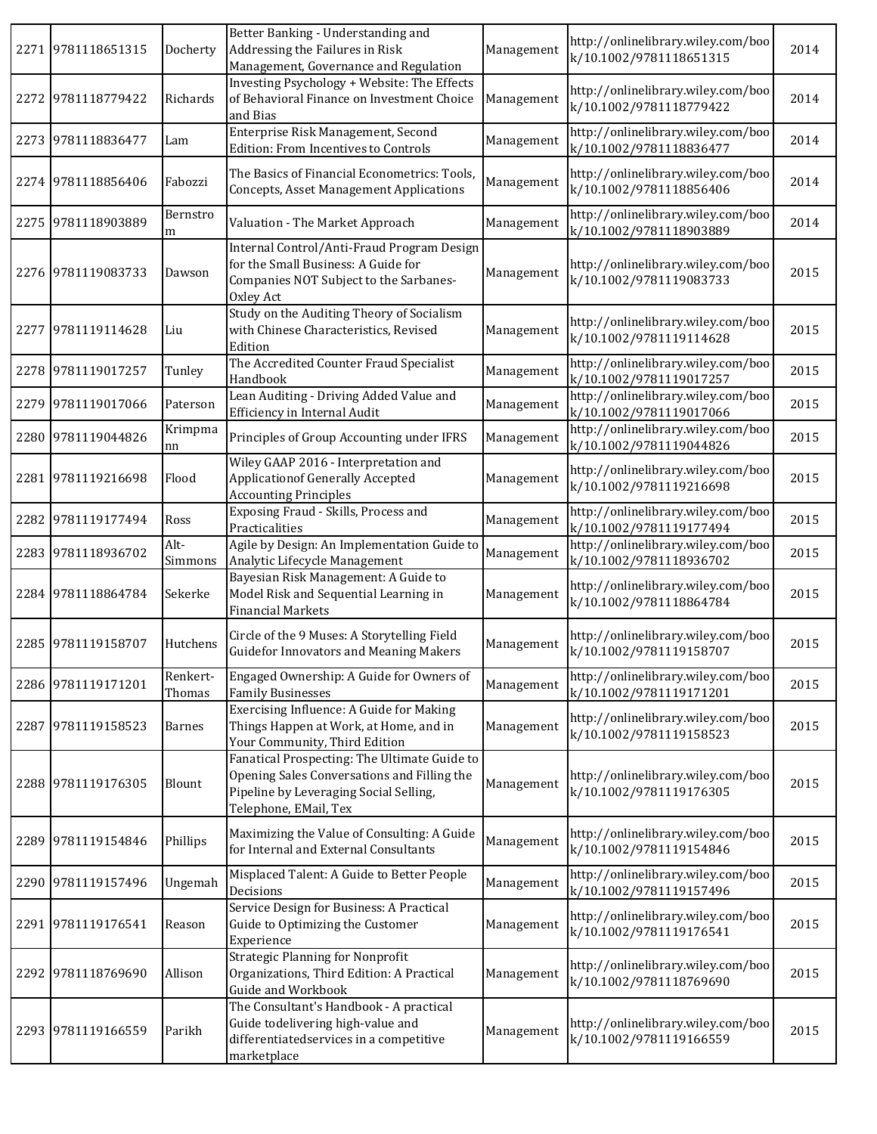| 2271 9781118651315 | Docherty           | Better Banking - Understanding and<br>Addressing the Failures in Risk<br>Management, Governance and Regulation                                                 | Management | http://onlinelibrary.wiley.com/boo<br>k/10.1002/9781118651315 | 2014 |
|--------------------|--------------------|----------------------------------------------------------------------------------------------------------------------------------------------------------------|------------|---------------------------------------------------------------|------|
| 2272 9781118779422 | Richards           | Investing Psychology + Website: The Effects<br>of Behavioral Finance on Investment Choice<br>and Bias                                                          | Management | http://onlinelibrary.wiley.com/boo<br>k/10.1002/9781118779422 | 2014 |
| 2273 9781118836477 | Lam                | Enterprise Risk Management, Second<br>Edition: From Incentives to Controls                                                                                     | Management | http://onlinelibrary.wiley.com/boo<br>k/10.1002/9781118836477 | 2014 |
| 2274 9781118856406 | Fabozzi            | The Basics of Financial Econometrics: Tools,<br><b>Concepts, Asset Management Applications</b>                                                                 | Management | http://onlinelibrary.wiley.com/boo<br>k/10.1002/9781118856406 | 2014 |
| 2275 9781118903889 | Bernstro<br>m      | Valuation - The Market Approach                                                                                                                                | Management | http://onlinelibrary.wiley.com/boo<br>k/10.1002/9781118903889 | 2014 |
| 2276 9781119083733 | Dawson             | Internal Control/Anti-Fraud Program Design<br>for the Small Business: A Guide for<br>Companies NOT Subject to the Sarbanes-<br>Oxley Act                       | Management | http://onlinelibrary.wiley.com/boo<br>k/10.1002/9781119083733 | 2015 |
| 2277 9781119114628 | Liu                | Study on the Auditing Theory of Socialism<br>with Chinese Characteristics, Revised<br>Edition                                                                  | Management | http://onlinelibrary.wiley.com/boo<br>k/10.1002/9781119114628 | 2015 |
| 2278 9781119017257 | Tunley             | The Accredited Counter Fraud Specialist<br>Handbook                                                                                                            | Management | http://onlinelibrary.wiley.com/boo<br>k/10.1002/9781119017257 | 2015 |
| 2279 9781119017066 | Paterson           | Lean Auditing - Driving Added Value and<br>Efficiency in Internal Audit                                                                                        | Management | http://onlinelibrary.wiley.com/boo<br>k/10.1002/9781119017066 | 2015 |
| 2280 9781119044826 | Krimpma<br>nn      | Principles of Group Accounting under IFRS                                                                                                                      | Management | http://onlinelibrary.wiley.com/boo<br>k/10.1002/9781119044826 | 2015 |
| 2281 9781119216698 | Flood              | Wiley GAAP 2016 - Interpretation and<br><b>Applicationof Generally Accepted</b><br><b>Accounting Principles</b>                                                | Management | http://onlinelibrary.wiley.com/boo<br>k/10.1002/9781119216698 | 2015 |
| 2282 9781119177494 | Ross               | Exposing Fraud - Skills, Process and<br>Practicalities                                                                                                         | Management | http://onlinelibrary.wiley.com/boo<br>k/10.1002/9781119177494 | 2015 |
| 2283 9781118936702 | Alt-<br>Simmons    | Agile by Design: An Implementation Guide to<br>Analytic Lifecycle Management                                                                                   | Management | http://onlinelibrary.wiley.com/boo<br>k/10.1002/9781118936702 | 2015 |
| 2284 9781118864784 | Sekerke            | Bayesian Risk Management: A Guide to<br>Model Risk and Sequential Learning in<br><b>Financial Markets</b>                                                      | Management | http://onlinelibrary.wiley.com/boo<br>k/10.1002/9781118864784 | 2015 |
| 2285 9781119158707 | Hutchens           | Circle of the 9 Muses: A Storytelling Field<br><b>Guidefor Innovators and Meaning Makers</b>                                                                   | Management | http://onlinelibrary.wiley.com/boo<br>k/10.1002/9781119158707 | 2015 |
| 2286 9781119171201 | Renkert-<br>Thomas | Engaged Ownership: A Guide for Owners of<br><b>Family Businesses</b>                                                                                           | Management | http://onlinelibrary.wiley.com/boo<br>k/10.1002/9781119171201 | 2015 |
| 2287 9781119158523 | <b>Barnes</b>      | Exercising Influence: A Guide for Making<br>Things Happen at Work, at Home, and in<br>Your Community, Third Edition                                            | Management | http://onlinelibrary.wiley.com/boo<br>k/10.1002/9781119158523 | 2015 |
| 2288 9781119176305 | Blount             | Fanatical Prospecting: The Ultimate Guide to<br>Opening Sales Conversations and Filling the<br>Pipeline by Leveraging Social Selling,<br>Telephone, EMail, Tex | Management | http://onlinelibrary.wiley.com/boo<br>k/10.1002/9781119176305 | 2015 |
| 2289 9781119154846 | Phillips           | Maximizing the Value of Consulting: A Guide<br>for Internal and External Consultants                                                                           | Management | http://onlinelibrary.wiley.com/boo<br>k/10.1002/9781119154846 | 2015 |
| 2290 9781119157496 | Ungemah            | Misplaced Talent: A Guide to Better People<br>Decisions                                                                                                        | Management | http://onlinelibrary.wiley.com/boo<br>k/10.1002/9781119157496 | 2015 |
| 2291 9781119176541 | Reason             | Service Design for Business: A Practical<br>Guide to Optimizing the Customer<br>Experience                                                                     | Management | http://onlinelibrary.wiley.com/boo<br>k/10.1002/9781119176541 | 2015 |
| 2292 9781118769690 | Allison            | <b>Strategic Planning for Nonprofit</b><br>Organizations, Third Edition: A Practical<br>Guide and Workbook                                                     | Management | http://onlinelibrary.wiley.com/boo<br>k/10.1002/9781118769690 | 2015 |
| 2293 9781119166559 | Parikh             | The Consultant's Handbook - A practical<br>Guide todelivering high-value and<br>differentiatedservices in a competitive<br>marketplace                         | Management | http://onlinelibrary.wiley.com/boo<br>k/10.1002/9781119166559 | 2015 |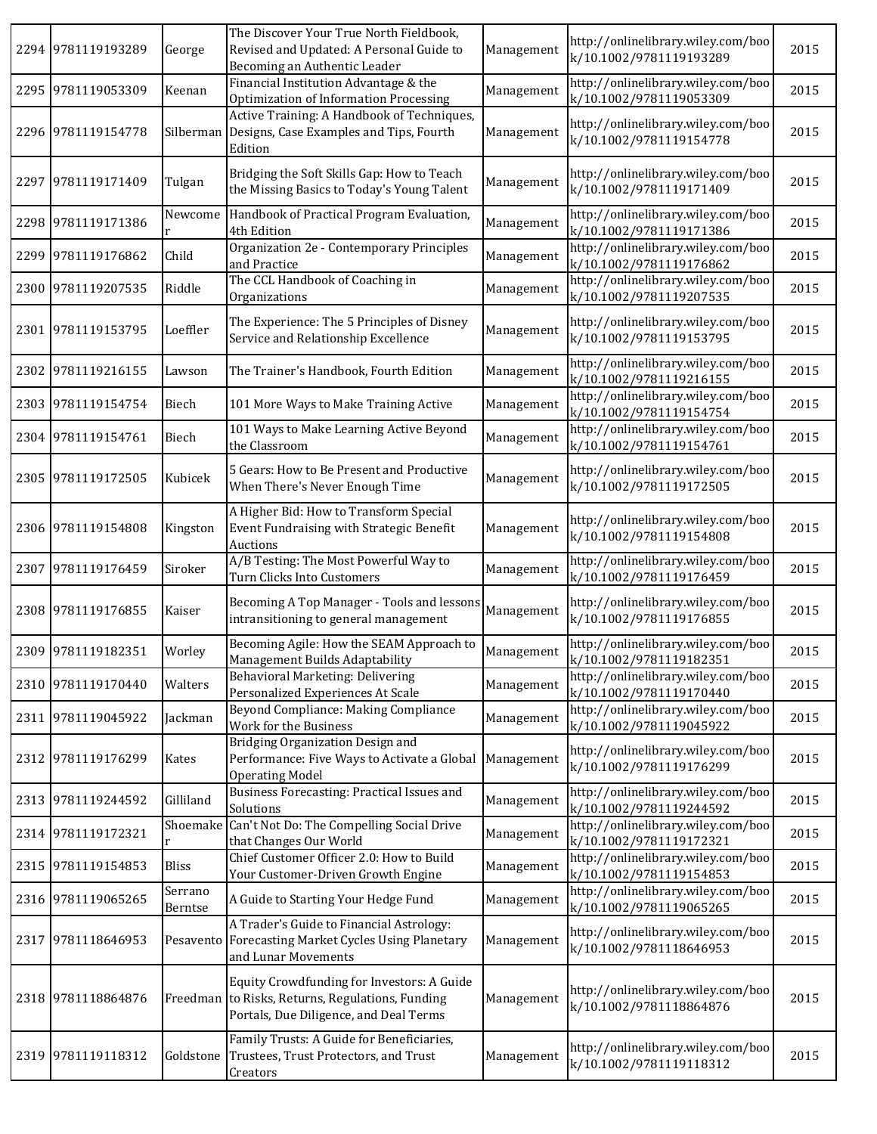|      | 2294 9781119193289 | George             | The Discover Your True North Fieldbook,<br>Revised and Updated: A Personal Guide to<br>Becoming an Authentic Leader                      | Management | http://onlinelibrary.wiley.com/boo<br>k/10.1002/9781119193289 | 2015 |
|------|--------------------|--------------------|------------------------------------------------------------------------------------------------------------------------------------------|------------|---------------------------------------------------------------|------|
|      | 2295 9781119053309 | Keenan             | Financial Institution Advantage & the<br>Optimization of Information Processing                                                          | Management | http://onlinelibrary.wiley.com/boo<br>k/10.1002/9781119053309 | 2015 |
|      | 2296 9781119154778 | Silberman          | Active Training: A Handbook of Techniques,<br>Designs, Case Examples and Tips, Fourth<br>Edition                                         | Management | http://onlinelibrary.wiley.com/boo<br>k/10.1002/9781119154778 | 2015 |
|      | 2297 9781119171409 | Tulgan             | Bridging the Soft Skills Gap: How to Teach<br>the Missing Basics to Today's Young Talent                                                 | Management | http://onlinelibrary.wiley.com/boo<br>k/10.1002/9781119171409 | 2015 |
|      | 2298 9781119171386 | Newcome            | Handbook of Practical Program Evaluation,<br>4th Edition                                                                                 | Management | http://onlinelibrary.wiley.com/boo<br>k/10.1002/9781119171386 | 2015 |
|      | 2299 9781119176862 | Child              | Organization 2e - Contemporary Principles<br>and Practice                                                                                | Management | http://onlinelibrary.wiley.com/boo<br>k/10.1002/9781119176862 | 2015 |
|      | 2300 9781119207535 | Riddle             | The CCL Handbook of Coaching in<br>Organizations                                                                                         | Management | http://onlinelibrary.wiley.com/boo<br>k/10.1002/9781119207535 | 2015 |
|      | 2301 9781119153795 | Loeffler           | The Experience: The 5 Principles of Disney<br>Service and Relationship Excellence                                                        | Management | http://onlinelibrary.wiley.com/boo<br>k/10.1002/9781119153795 | 2015 |
| 2302 | 9781119216155      | Lawson             | The Trainer's Handbook, Fourth Edition                                                                                                   | Management | http://onlinelibrary.wiley.com/boo<br>k/10.1002/9781119216155 | 2015 |
|      | 2303 9781119154754 | Biech              | 101 More Ways to Make Training Active                                                                                                    | Management | http://onlinelibrary.wiley.com/boo<br>k/10.1002/9781119154754 | 2015 |
|      | 2304 9781119154761 | Biech              | 101 Ways to Make Learning Active Beyond<br>the Classroom                                                                                 | Management | http://onlinelibrary.wiley.com/boo<br>k/10.1002/9781119154761 | 2015 |
|      | 2305 9781119172505 | Kubicek            | 5 Gears: How to Be Present and Productive<br>When There's Never Enough Time                                                              | Management | http://onlinelibrary.wiley.com/boo<br>k/10.1002/9781119172505 | 2015 |
|      | 2306 9781119154808 | Kingston           | A Higher Bid: How to Transform Special<br>Event Fundraising with Strategic Benefit<br>Auctions                                           | Management | http://onlinelibrary.wiley.com/boo<br>k/10.1002/9781119154808 | 2015 |
| 2307 | 9781119176459      | Siroker            | A/B Testing: The Most Powerful Way to<br>Turn Clicks Into Customers                                                                      | Management | http://onlinelibrary.wiley.com/boo<br>k/10.1002/9781119176459 | 2015 |
|      | 2308 9781119176855 | Kaiser             | Becoming A Top Manager - Tools and lessons<br>intransitioning to general management                                                      | Management | http://onlinelibrary.wiley.com/boo<br>k/10.1002/9781119176855 | 2015 |
|      | 2309 9781119182351 | Worley             | Becoming Agile: How the SEAM Approach to<br>Management Builds Adaptability                                                               | Management | http://onlinelibrary.wiley.com/boo<br>k/10.1002/9781119182351 | 2015 |
|      | 2310 9781119170440 | Walters            | Behavioral Marketing: Delivering<br>Personalized Experiences At Scale                                                                    | Management | http://onlinelibrary.wiley.com/boo<br>k/10.1002/9781119170440 | 2015 |
|      | 2311 9781119045922 | Jackman            | Beyond Compliance: Making Compliance<br>Work for the Business                                                                            | Management | http://onlinelibrary.wiley.com/boo<br>k/10.1002/9781119045922 | 2015 |
|      | 2312 9781119176299 | Kates              | Bridging Organization Design and<br>Performance: Five Ways to Activate a Global<br><b>Operating Model</b>                                | Management | http://onlinelibrary.wiley.com/boo<br>k/10.1002/9781119176299 | 2015 |
|      | 2313 9781119244592 | Gilliland          | Business Forecasting: Practical Issues and<br>Solutions                                                                                  | Management | http://onlinelibrary.wiley.com/boo<br>k/10.1002/9781119244592 | 2015 |
|      | 2314 9781119172321 | Shoemake           | Can't Not Do: The Compelling Social Drive<br>that Changes Our World                                                                      | Management | http://onlinelibrary.wiley.com/boo<br>k/10.1002/9781119172321 | 2015 |
|      | 2315 9781119154853 | <b>Bliss</b>       | Chief Customer Officer 2.0: How to Build<br>Your Customer-Driven Growth Engine                                                           | Management | http://onlinelibrary.wiley.com/boo<br>k/10.1002/9781119154853 | 2015 |
|      | 2316 9781119065265 | Serrano<br>Berntse | A Guide to Starting Your Hedge Fund                                                                                                      | Management | http://onlinelibrary.wiley.com/boo<br>k/10.1002/9781119065265 | 2015 |
|      | 2317 9781118646953 |                    | A Trader's Guide to Financial Astrology:<br>Pesavento Forecasting Market Cycles Using Planetary<br>and Lunar Movements                   | Management | http://onlinelibrary.wiley.com/boo<br>k/10.1002/9781118646953 | 2015 |
|      | 2318 9781118864876 |                    | Equity Crowdfunding for Investors: A Guide<br>Freedman to Risks, Returns, Regulations, Funding<br>Portals, Due Diligence, and Deal Terms | Management | http://onlinelibrary.wiley.com/boo<br>k/10.1002/9781118864876 | 2015 |
|      | 2319 9781119118312 | Goldstone          | Family Trusts: A Guide for Beneficiaries,<br>Trustees, Trust Protectors, and Trust<br>Creators                                           | Management | http://onlinelibrary.wiley.com/boo<br>k/10.1002/9781119118312 | 2015 |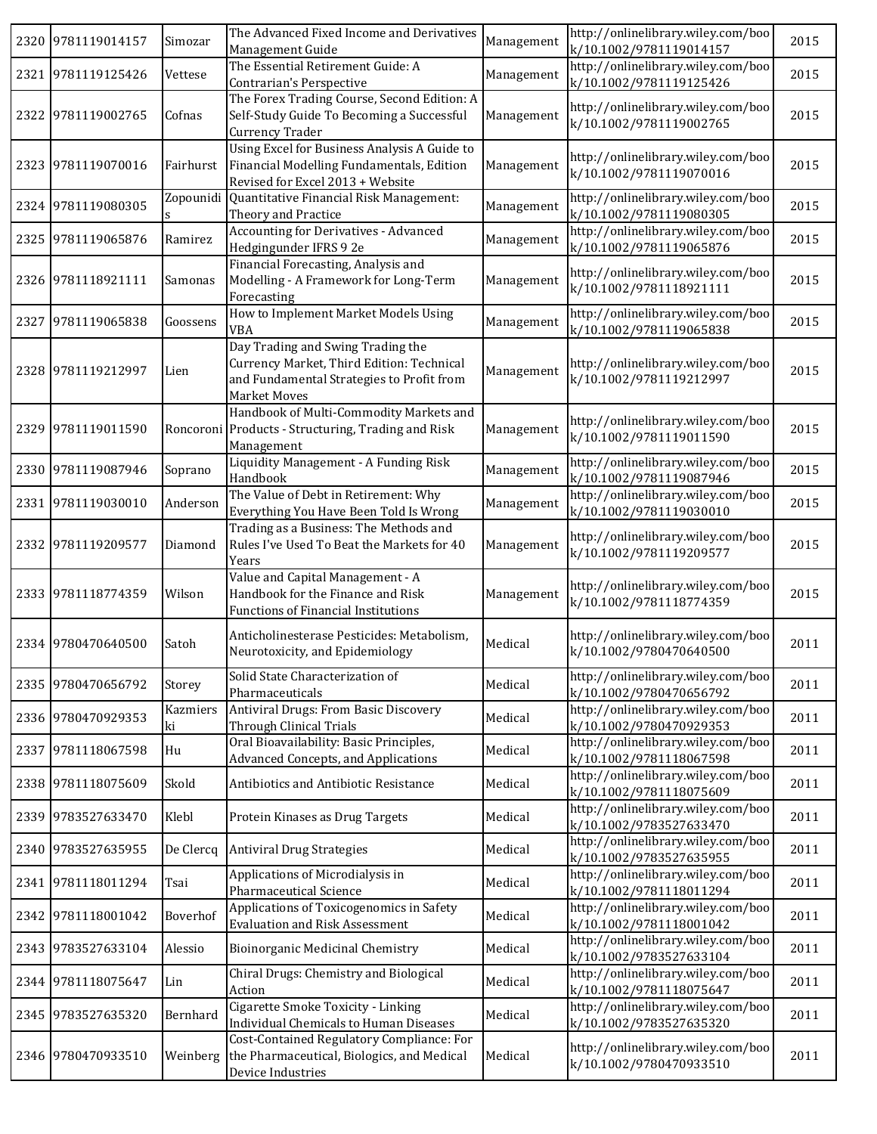|      | 2320 9781119014157 | Simozar        | The Advanced Fixed Income and Derivatives<br>Management Guide                                                                               | Management | http://onlinelibrary.wiley.com/boo<br>k/10.1002/9781119014157 | 2015 |
|------|--------------------|----------------|---------------------------------------------------------------------------------------------------------------------------------------------|------------|---------------------------------------------------------------|------|
|      | 2321 9781119125426 | Vettese        | The Essential Retirement Guide: A<br>Contrarian's Perspective                                                                               | Management | http://onlinelibrary.wiley.com/boo<br>k/10.1002/9781119125426 | 2015 |
|      | 2322 9781119002765 | Cofnas         | The Forex Trading Course, Second Edition: A<br>Self-Study Guide To Becoming a Successful<br>Currency Trader                                 | Management | http://onlinelibrary.wiley.com/boo<br>k/10.1002/9781119002765 | 2015 |
|      | 2323 9781119070016 | Fairhurst      | Using Excel for Business Analysis A Guide to<br>Financial Modelling Fundamentals, Edition<br>Revised for Excel 2013 + Website               | Management | http://onlinelibrary.wiley.com/boo<br>k/10.1002/9781119070016 | 2015 |
|      | 2324 9781119080305 |                | Zopounidi Quantitative Financial Risk Management:<br>Theory and Practice                                                                    | Management | http://onlinelibrary.wiley.com/boo<br>k/10.1002/9781119080305 | 2015 |
|      | 2325 9781119065876 | Ramirez        | <b>Accounting for Derivatives - Advanced</b><br>Hedgingunder IFRS 9 2e                                                                      | Management | http://onlinelibrary.wiley.com/boo<br>k/10.1002/9781119065876 | 2015 |
|      | 2326 9781118921111 | Samonas        | Financial Forecasting, Analysis and<br>Modelling - A Framework for Long-Term<br>Forecasting                                                 | Management | http://onlinelibrary.wiley.com/boo<br>k/10.1002/9781118921111 | 2015 |
| 2327 | 9781119065838      | Goossens       | How to Implement Market Models Using<br><b>VBA</b>                                                                                          | Management | http://onlinelibrary.wiley.com/boo<br>k/10.1002/9781119065838 | 2015 |
|      | 2328 9781119212997 | Lien           | Day Trading and Swing Trading the<br>Currency Market, Third Edition: Technical<br>and Fundamental Strategies to Profit from<br>Market Moves | Management | http://onlinelibrary.wiley.com/boo<br>k/10.1002/9781119212997 | 2015 |
|      | 2329 9781119011590 |                | Handbook of Multi-Commodity Markets and<br>Roncoroni Products - Structuring, Trading and Risk<br>Management                                 | Management | http://onlinelibrary.wiley.com/boo<br>k/10.1002/9781119011590 | 2015 |
|      | 2330 9781119087946 | Soprano        | Liquidity Management - A Funding Risk<br>Handbook                                                                                           | Management | http://onlinelibrary.wiley.com/boo<br>k/10.1002/9781119087946 | 2015 |
|      | 2331 9781119030010 | Anderson       | The Value of Debt in Retirement: Why<br>Everything You Have Been Told Is Wrong                                                              | Management | http://onlinelibrary.wiley.com/boo<br>k/10.1002/9781119030010 | 2015 |
|      | 2332 9781119209577 | Diamond        | Trading as a Business: The Methods and<br>Rules I've Used To Beat the Markets for 40<br>Years                                               | Management | http://onlinelibrary.wiley.com/boo<br>k/10.1002/9781119209577 | 2015 |
|      | 2333 9781118774359 | Wilson         | Value and Capital Management - A<br>Handbook for the Finance and Risk<br><b>Functions of Financial Institutions</b>                         | Management | http://onlinelibrary.wiley.com/boo<br>k/10.1002/9781118774359 | 2015 |
|      | 2334 9780470640500 | Satoh          | Anticholinesterase Pesticides: Metabolism,<br>Neurotoxicity, and Epidemiology                                                               | Medical    | http://onlinelibrary.wiley.com/boo<br>k/10.1002/9780470640500 | 2011 |
|      | 2335 9780470656792 | Storey         | Solid State Characterization of<br>Pharmaceuticals                                                                                          | Medical    | http://onlinelibrary.wiley.com/boo<br>k/10.1002/9780470656792 | 2011 |
|      | 2336 9780470929353 | Kazmiers<br>ki | Antiviral Drugs: From Basic Discovery<br>Through Clinical Trials                                                                            | Medical    | http://onlinelibrary.wiley.com/boo<br>k/10.1002/9780470929353 | 2011 |
|      | 2337 9781118067598 | Hu             | Oral Bioavailability: Basic Principles,<br>Advanced Concepts, and Applications                                                              | Medical    | http://onlinelibrary.wiley.com/boo<br>k/10.1002/9781118067598 | 2011 |
|      | 2338 9781118075609 | Skold          | Antibiotics and Antibiotic Resistance                                                                                                       | Medical    | http://onlinelibrary.wiley.com/boo<br>k/10.1002/9781118075609 | 2011 |
|      | 2339 9783527633470 | Klebl          | Protein Kinases as Drug Targets                                                                                                             | Medical    | http://onlinelibrary.wiley.com/boo<br>k/10.1002/9783527633470 | 2011 |
|      | 2340 9783527635955 | De Clercq      | <b>Antiviral Drug Strategies</b>                                                                                                            | Medical    | http://onlinelibrary.wiley.com/boo<br>k/10.1002/9783527635955 | 2011 |
|      | 2341 9781118011294 | Tsai           | Applications of Microdialysis in<br>Pharmaceutical Science                                                                                  | Medical    | http://onlinelibrary.wiley.com/boo<br>k/10.1002/9781118011294 | 2011 |
| 2342 | 9781118001042      | Boverhof       | Applications of Toxicogenomics in Safety<br><b>Evaluation and Risk Assessment</b>                                                           | Medical    | http://onlinelibrary.wiley.com/boo<br>k/10.1002/9781118001042 | 2011 |
|      | 2343 9783527633104 | Alessio        | Bioinorganic Medicinal Chemistry                                                                                                            | Medical    | http://onlinelibrary.wiley.com/boo<br>k/10.1002/9783527633104 | 2011 |
|      | 2344 9781118075647 | Lin            | Chiral Drugs: Chemistry and Biological<br>Action                                                                                            | Medical    | http://onlinelibrary.wiley.com/boo<br>k/10.1002/9781118075647 | 2011 |
|      | 2345 9783527635320 | Bernhard       | Cigarette Smoke Toxicity - Linking<br>Individual Chemicals to Human Diseases                                                                | Medical    | http://onlinelibrary.wiley.com/boo<br>k/10.1002/9783527635320 | 2011 |
|      | 2346 9780470933510 | Weinberg       | Cost-Contained Regulatory Compliance: For<br>the Pharmaceutical, Biologics, and Medical<br>Device Industries                                | Medical    | http://onlinelibrary.wiley.com/boo<br>k/10.1002/9780470933510 | 2011 |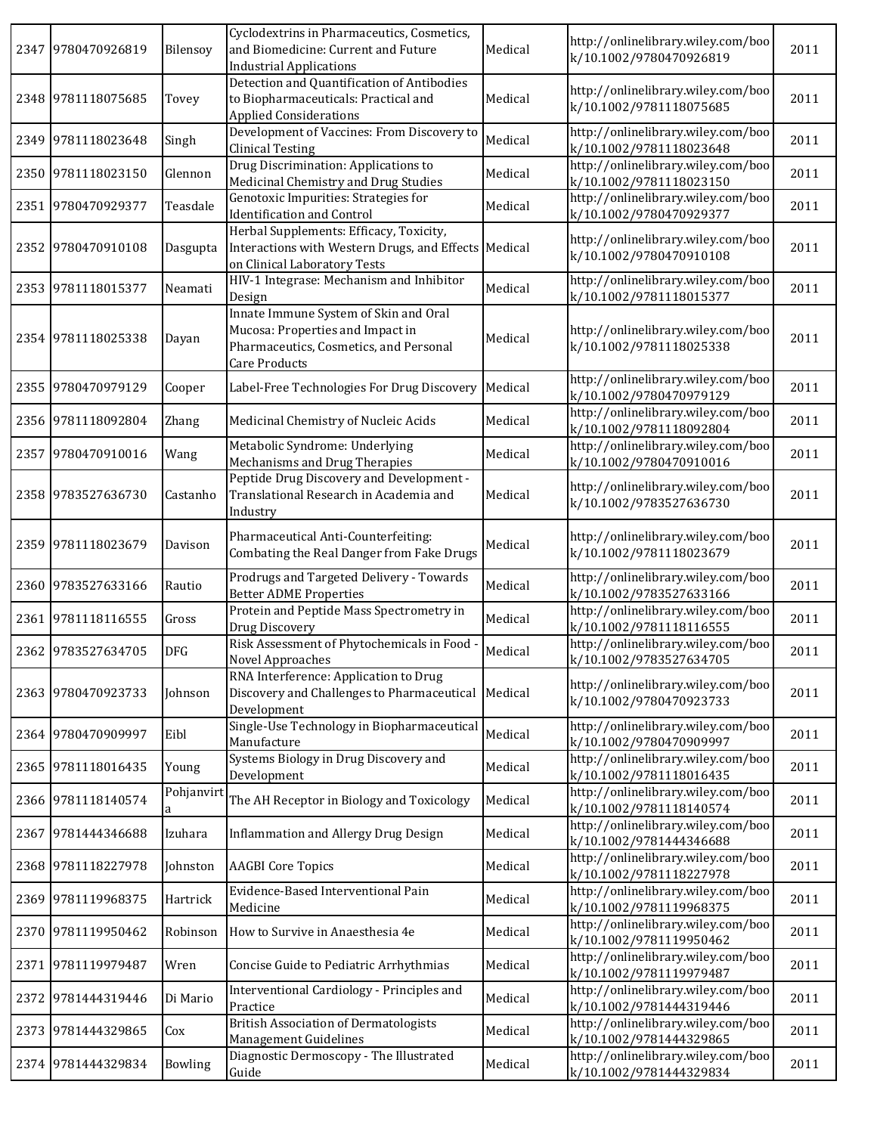| 2347 9780470926819 | Bilensoy        | Cyclodextrins in Pharmaceutics, Cosmetics,<br>and Biomedicine: Current and Future<br><b>Industrial Applications</b>                  | Medical | http://onlinelibrary.wiley.com/boo<br>k/10.1002/9780470926819 | 2011 |
|--------------------|-----------------|--------------------------------------------------------------------------------------------------------------------------------------|---------|---------------------------------------------------------------|------|
| 2348 9781118075685 | Tovey           | Detection and Quantification of Antibodies<br>to Biopharmaceuticals: Practical and<br><b>Applied Considerations</b>                  | Medical | http://onlinelibrary.wiley.com/boo<br>k/10.1002/9781118075685 | 2011 |
| 2349 9781118023648 | Singh           | Development of Vaccines: From Discovery to<br><b>Clinical Testing</b>                                                                | Medical | http://onlinelibrary.wiley.com/boo<br>k/10.1002/9781118023648 | 2011 |
| 2350 9781118023150 | Glennon         | Drug Discrimination: Applications to<br>Medicinal Chemistry and Drug Studies                                                         | Medical | http://onlinelibrary.wiley.com/boo<br>k/10.1002/9781118023150 | 2011 |
| 2351 9780470929377 | Teasdale        | Genotoxic Impurities: Strategies for<br><b>Identification and Control</b>                                                            | Medical | http://onlinelibrary.wiley.com/boo<br>k/10.1002/9780470929377 | 2011 |
| 2352 9780470910108 | Dasgupta        | Herbal Supplements: Efficacy, Toxicity,<br>Interactions with Western Drugs, and Effects Medical<br>on Clinical Laboratory Tests      |         | http://onlinelibrary.wiley.com/boo<br>k/10.1002/9780470910108 | 2011 |
| 2353 9781118015377 | Neamati         | HIV-1 Integrase: Mechanism and Inhibitor<br>Design                                                                                   | Medical | http://onlinelibrary.wiley.com/boo<br>k/10.1002/9781118015377 | 2011 |
| 2354 9781118025338 | Dayan           | Innate Immune System of Skin and Oral<br>Mucosa: Properties and Impact in<br>Pharmaceutics, Cosmetics, and Personal<br>Care Products | Medical | http://onlinelibrary.wiley.com/boo<br>k/10.1002/9781118025338 | 2011 |
| 2355 9780470979129 | Cooper          | Label-Free Technologies For Drug Discovery                                                                                           | Medical | http://onlinelibrary.wiley.com/boo<br>k/10.1002/9780470979129 | 2011 |
| 2356 9781118092804 | Zhang           | Medicinal Chemistry of Nucleic Acids                                                                                                 | Medical | http://onlinelibrary.wiley.com/boo<br>k/10.1002/9781118092804 | 2011 |
| 2357 9780470910016 | Wang            | Metabolic Syndrome: Underlying<br>Mechanisms and Drug Therapies                                                                      | Medical | http://onlinelibrary.wiley.com/boo<br>k/10.1002/9780470910016 | 2011 |
| 2358 9783527636730 | Castanho        | Peptide Drug Discovery and Development -<br>Translational Research in Academia and<br>Industry                                       | Medical | http://onlinelibrary.wiley.com/boo<br>k/10.1002/9783527636730 | 2011 |
| 2359 9781118023679 | Davison         | Pharmaceutical Anti-Counterfeiting:<br>Combating the Real Danger from Fake Drugs                                                     | Medical | http://onlinelibrary.wiley.com/boo<br>k/10.1002/9781118023679 | 2011 |
| 2360 9783527633166 | Rautio          | Prodrugs and Targeted Delivery - Towards<br><b>Better ADME Properties</b>                                                            | Medical | http://onlinelibrary.wiley.com/boo<br>k/10.1002/9783527633166 | 2011 |
| 2361 9781118116555 | Gross           | Protein and Peptide Mass Spectrometry in<br>Drug Discovery                                                                           | Medical | http://onlinelibrary.wiley.com/boo<br>k/10.1002/9781118116555 | 2011 |
| 2362 9783527634705 | <b>DFG</b>      | Risk Assessment of Phytochemicals in Food<br>Novel Approaches                                                                        | Medical | http://onlinelibrary.wiley.com/boo<br>k/10.1002/9783527634705 | 2011 |
| 2363 9780470923733 | Johnson         | RNA Interference: Application to Drug<br>Discovery and Challenges to Pharmaceutical<br>Development                                   | Medical | http://onlinelibrary.wiley.com/boo<br>k/10.1002/9780470923733 | 2011 |
| 2364 9780470909997 | Eibl            | Single-Use Technology in Biopharmaceutical<br>Manufacture                                                                            | Medical | http://onlinelibrary.wiley.com/boo<br>k/10.1002/9780470909997 | 2011 |
| 2365 9781118016435 | Young           | Systems Biology in Drug Discovery and<br>Development                                                                                 | Medical | http://onlinelibrary.wiley.com/boo<br>k/10.1002/9781118016435 | 2011 |
| 2366 9781118140574 | Pohjanvirt<br>a | The AH Receptor in Biology and Toxicology                                                                                            | Medical | http://onlinelibrary.wiley.com/boo<br>k/10.1002/9781118140574 | 2011 |
| 2367 9781444346688 | Izuhara         | <b>Inflammation and Allergy Drug Design</b>                                                                                          | Medical | http://onlinelibrary.wiley.com/boo<br>k/10.1002/9781444346688 | 2011 |
| 2368 9781118227978 | Johnston        | <b>AAGBI Core Topics</b>                                                                                                             | Medical | http://onlinelibrary.wiley.com/boo<br>k/10.1002/9781118227978 | 2011 |
| 2369 9781119968375 | Hartrick        | Evidence-Based Interventional Pain<br>Medicine                                                                                       | Medical | http://onlinelibrary.wiley.com/boo<br>k/10.1002/9781119968375 | 2011 |
| 2370 9781119950462 | Robinson        | How to Survive in Anaesthesia 4e                                                                                                     | Medical | http://onlinelibrary.wiley.com/boo<br>k/10.1002/9781119950462 | 2011 |
| 2371 9781119979487 | Wren            | Concise Guide to Pediatric Arrhythmias                                                                                               | Medical | http://onlinelibrary.wiley.com/boo<br>k/10.1002/9781119979487 | 2011 |
| 2372 9781444319446 | Di Mario        | Interventional Cardiology - Principles and<br>Practice                                                                               | Medical | http://onlinelibrary.wiley.com/boo<br>k/10.1002/9781444319446 | 2011 |
| 2373 9781444329865 | Cox             | <b>British Association of Dermatologists</b><br>Management Guidelines                                                                | Medical | http://onlinelibrary.wiley.com/boo<br>k/10.1002/9781444329865 | 2011 |
| 2374 9781444329834 | Bowling         | Diagnostic Dermoscopy - The Illustrated<br>Guide                                                                                     | Medical | http://onlinelibrary.wiley.com/boo<br>k/10.1002/9781444329834 | 2011 |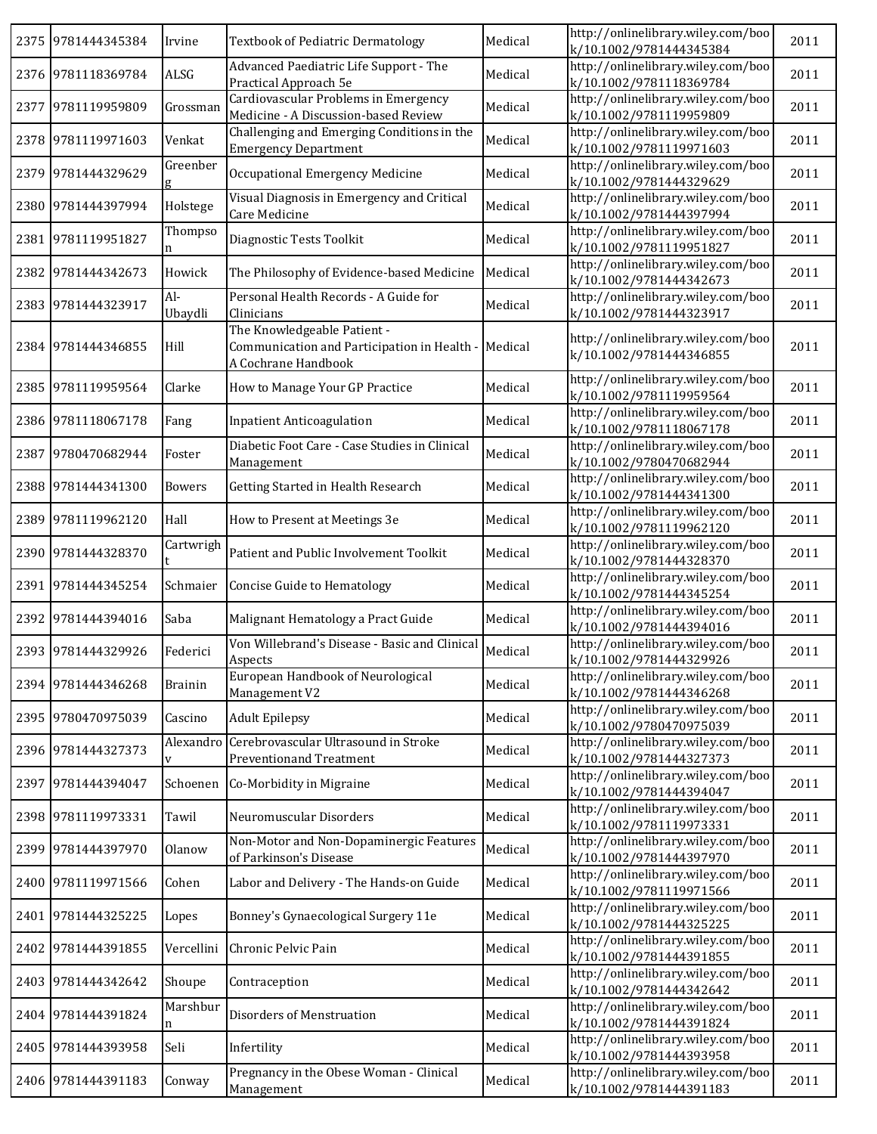|      | 2375 9781444345384 | Irvine                   | <b>Textbook of Pediatric Dermatology</b>                                                          | Medical | http://onlinelibrary.wiley.com/boo<br>k/10.1002/9781444345384 | 2011 |
|------|--------------------|--------------------------|---------------------------------------------------------------------------------------------------|---------|---------------------------------------------------------------|------|
|      | 2376 9781118369784 | ALSG                     | Advanced Paediatric Life Support - The<br>Practical Approach 5e                                   | Medical | http://onlinelibrary.wiley.com/boo<br>k/10.1002/9781118369784 | 2011 |
| 2377 | 9781119959809      | Grossman                 | Cardiovascular Problems in Emergency<br>Medicine - A Discussion-based Review                      | Medical | http://onlinelibrary.wiley.com/boo<br>k/10.1002/9781119959809 | 2011 |
|      | 2378 9781119971603 | Venkat                   | Challenging and Emerging Conditions in the<br><b>Emergency Department</b>                         | Medical | http://onlinelibrary.wiley.com/boo<br>k/10.1002/9781119971603 | 2011 |
| 2379 | 9781444329629      | Greenber<br>g            | Occupational Emergency Medicine                                                                   | Medical | http://onlinelibrary.wiley.com/boo<br>k/10.1002/9781444329629 | 2011 |
|      | 2380 9781444397994 | Holstege                 | Visual Diagnosis in Emergency and Critical<br>Care Medicine                                       | Medical | http://onlinelibrary.wiley.com/boo<br>k/10.1002/9781444397994 | 2011 |
|      | 2381 9781119951827 | Thompso                  | Diagnostic Tests Toolkit                                                                          | Medical | http://onlinelibrary.wiley.com/boo<br>k/10.1002/9781119951827 | 2011 |
|      | 2382 9781444342673 | Howick                   | The Philosophy of Evidence-based Medicine                                                         | Medical | http://onlinelibrary.wiley.com/boo<br>k/10.1002/9781444342673 | 2011 |
|      | 2383 9781444323917 | $Al-$<br>Ubaydli         | Personal Health Records - A Guide for<br>Clinicians                                               | Medical | http://onlinelibrary.wiley.com/boo<br>k/10.1002/9781444323917 | 2011 |
|      | 2384 9781444346855 | Hill                     | The Knowledgeable Patient -<br>Communication and Participation in Health -<br>A Cochrane Handbook | Medical | http://onlinelibrary.wiley.com/boo<br>k/10.1002/9781444346855 | 2011 |
| 2385 | 9781119959564      | Clarke                   | How to Manage Your GP Practice                                                                    | Medical | http://onlinelibrary.wiley.com/boo<br>k/10.1002/9781119959564 | 2011 |
|      | 2386 9781118067178 | Fang                     | <b>Inpatient Anticoagulation</b>                                                                  | Medical | http://onlinelibrary.wiley.com/boo<br>k/10.1002/9781118067178 | 2011 |
| 2387 | 9780470682944      | Foster                   | Diabetic Foot Care - Case Studies in Clinical<br>Management                                       | Medical | http://onlinelibrary.wiley.com/boo<br>k/10.1002/9780470682944 | 2011 |
|      | 2388 9781444341300 | <b>Bowers</b>            | Getting Started in Health Research                                                                | Medical | http://onlinelibrary.wiley.com/boo<br>k/10.1002/9781444341300 | 2011 |
|      | 2389 9781119962120 | Hall                     | How to Present at Meetings 3e                                                                     | Medical | http://onlinelibrary.wiley.com/boo<br>k/10.1002/9781119962120 | 2011 |
|      | 2390 9781444328370 | Cartwrigh                | Patient and Public Involvement Toolkit                                                            | Medical | http://onlinelibrary.wiley.com/boo<br>k/10.1002/9781444328370 | 2011 |
|      | 2391 9781444345254 | Schmaier                 | Concise Guide to Hematology                                                                       | Medical | http://onlinelibrary.wiley.com/boo<br>k/10.1002/9781444345254 | 2011 |
|      | 2392 9781444394016 | Saba                     | Malignant Hematology a Pract Guide                                                                | Medical | http://onlinelibrary.wiley.com/boo<br>k/10.1002/9781444394016 | 2011 |
|      | 2393 9781444329926 | Federici                 | Von Willebrand's Disease - Basic and Clinical<br>Aspects                                          | Medical | http://onlinelibrary.wiley.com/boo<br>k/10.1002/9781444329926 | 2011 |
|      | 2394 9781444346268 | <b>Brainin</b>           | European Handbook of Neurological<br>Management V2                                                | Medical | http://onlinelibrary.wiley.com/boo<br>k/10.1002/9781444346268 | 2011 |
|      | 2395 9780470975039 | Cascino                  | <b>Adult Epilepsy</b>                                                                             | Medical | http://onlinelibrary.wiley.com/boo<br>k/10.1002/9780470975039 | 2011 |
|      | 2396 9781444327373 | Alexandro<br>$\mathbf V$ | Cerebrovascular Ultrasound in Stroke<br><b>Preventionand Treatment</b>                            | Medical | http://onlinelibrary.wiley.com/boo<br>k/10.1002/9781444327373 | 2011 |
|      | 2397 9781444394047 | Schoenen                 | Co-Morbidity in Migraine                                                                          | Medical | http://onlinelibrary.wiley.com/boo<br>k/10.1002/9781444394047 | 2011 |
|      | 2398 9781119973331 | Tawil                    | Neuromuscular Disorders                                                                           | Medical | http://onlinelibrary.wiley.com/boo<br>k/10.1002/9781119973331 | 2011 |
|      | 2399 9781444397970 | Olanow                   | Non-Motor and Non-Dopaminergic Features<br>of Parkinson's Disease                                 | Medical | http://onlinelibrary.wiley.com/boo<br>k/10.1002/9781444397970 | 2011 |
|      | 2400 9781119971566 | Cohen                    | Labor and Delivery - The Hands-on Guide                                                           | Medical | http://onlinelibrary.wiley.com/boo<br>k/10.1002/9781119971566 | 2011 |
|      | 2401 9781444325225 | Lopes                    | Bonney's Gynaecological Surgery 11e                                                               | Medical | http://onlinelibrary.wiley.com/boo<br>k/10.1002/9781444325225 | 2011 |
| 2402 | 9781444391855      | Vercellini               | Chronic Pelvic Pain                                                                               | Medical | http://onlinelibrary.wiley.com/boo<br>k/10.1002/9781444391855 | 2011 |
| 2403 | 9781444342642      | Shoupe                   | Contraception                                                                                     | Medical | http://onlinelibrary.wiley.com/boo<br>k/10.1002/9781444342642 | 2011 |
| 2404 | 9781444391824      | Marshbur<br>n            | Disorders of Menstruation                                                                         | Medical | http://onlinelibrary.wiley.com/boo<br>k/10.1002/9781444391824 | 2011 |
|      | 2405 9781444393958 | Seli                     | Infertility                                                                                       | Medical | http://onlinelibrary.wiley.com/boo<br>k/10.1002/9781444393958 | 2011 |
|      | 2406 9781444391183 | Conway                   | Pregnancy in the Obese Woman - Clinical<br>Management                                             | Medical | http://onlinelibrary.wiley.com/boo<br>k/10.1002/9781444391183 | 2011 |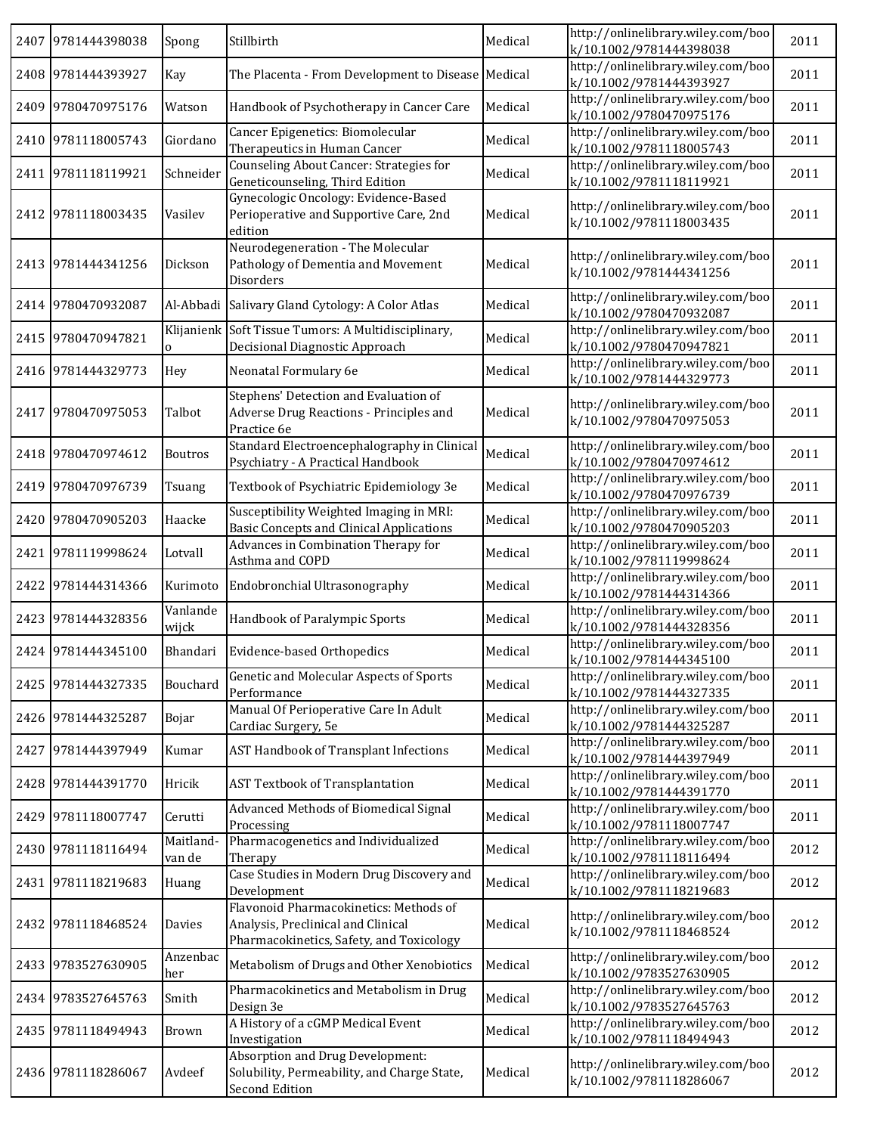|      | 2407 9781444398038 | Spong               | Stillbirth                                                                                                               | Medical | http://onlinelibrary.wiley.com/boo<br>k/10.1002/9781444398038 | 2011 |
|------|--------------------|---------------------|--------------------------------------------------------------------------------------------------------------------------|---------|---------------------------------------------------------------|------|
|      | 2408 9781444393927 | Kay                 | The Placenta - From Development to Disease Medical                                                                       |         | http://onlinelibrary.wiley.com/boo<br>k/10.1002/9781444393927 | 2011 |
|      | 2409 9780470975176 | Watson              | Handbook of Psychotherapy in Cancer Care                                                                                 | Medical | http://onlinelibrary.wiley.com/boo<br>k/10.1002/9780470975176 | 2011 |
| 2410 | 9781118005743      | Giordano            | Cancer Epigenetics: Biomolecular<br>Therapeutics in Human Cancer                                                         | Medical | http://onlinelibrary.wiley.com/boo<br>k/10.1002/9781118005743 | 2011 |
|      | 2411 9781118119921 | Schneider           | Counseling About Cancer: Strategies for<br>Geneticounseling, Third Edition                                               | Medical | http://onlinelibrary.wiley.com/boo<br>k/10.1002/9781118119921 | 2011 |
| 2412 | 9781118003435      | Vasilev             | Gynecologic Oncology: Evidence-Based<br>Perioperative and Supportive Care, 2nd<br>edition                                | Medical | http://onlinelibrary.wiley.com/boo<br>k/10.1002/9781118003435 | 2011 |
|      | 2413 9781444341256 | Dickson             | Neurodegeneration - The Molecular<br>Pathology of Dementia and Movement<br>Disorders                                     | Medical | http://onlinelibrary.wiley.com/boo<br>k/10.1002/9781444341256 | 2011 |
|      | 2414 9780470932087 |                     | Al-Abbadi Salivary Gland Cytology: A Color Atlas                                                                         | Medical | http://onlinelibrary.wiley.com/boo<br>k/10.1002/9780470932087 | 2011 |
|      | 2415 9780470947821 | $\mathbf{O}$        | Klijanienk Soft Tissue Tumors: A Multidisciplinary,<br>Decisional Diagnostic Approach                                    | Medical | http://onlinelibrary.wiley.com/boo<br>k/10.1002/9780470947821 | 2011 |
|      | 2416 9781444329773 | Hey                 | Neonatal Formulary 6e                                                                                                    | Medical | http://onlinelibrary.wiley.com/boo<br>k/10.1002/9781444329773 | 2011 |
|      | 2417 9780470975053 | Talbot              | Stephens' Detection and Evaluation of<br>Adverse Drug Reactions - Principles and<br>Practice 6e                          | Medical | http://onlinelibrary.wiley.com/boo<br>k/10.1002/9780470975053 | 2011 |
|      | 2418 9780470974612 | Boutros             | Standard Electroencephalography in Clinical<br>Psychiatry - A Practical Handbook                                         | Medical | http://onlinelibrary.wiley.com/boo<br>k/10.1002/9780470974612 | 2011 |
|      | 2419 9780470976739 | Tsuang              | Textbook of Psychiatric Epidemiology 3e                                                                                  | Medical | http://onlinelibrary.wiley.com/boo<br>k/10.1002/9780470976739 | 2011 |
|      | 2420 9780470905203 | Haacke              | Susceptibility Weighted Imaging in MRI:<br><b>Basic Concepts and Clinical Applications</b>                               | Medical | http://onlinelibrary.wiley.com/boo<br>k/10.1002/9780470905203 | 2011 |
|      | 2421 9781119998624 | Lotvall             | Advances in Combination Therapy for<br>Asthma and COPD                                                                   | Medical | http://onlinelibrary.wiley.com/boo<br>k/10.1002/9781119998624 | 2011 |
| 2422 | 9781444314366      | Kurimoto            | Endobronchial Ultrasonography                                                                                            | Medical | http://onlinelibrary.wiley.com/boo<br>k/10.1002/9781444314366 | 2011 |
| 2423 | 9781444328356      | Vanlande<br>wijck   | Handbook of Paralympic Sports                                                                                            | Medical | http://onlinelibrary.wiley.com/boo<br>k/10.1002/9781444328356 | 2011 |
|      | 2424 9781444345100 | Bhandari            | Evidence-based Orthopedics                                                                                               | Medical | http://onlinelibrary.wiley.com/boo<br>k/10.1002/9781444345100 | 2011 |
|      | 2425 9781444327335 | Bouchard            | Genetic and Molecular Aspects of Sports<br>Performance                                                                   | Medical | http://onlinelibrary.wiley.com/boo<br>k/10.1002/9781444327335 | 2011 |
|      | 2426 9781444325287 | Bojar               | Manual Of Perioperative Care In Adult<br>Cardiac Surgery, 5e                                                             | Medical | http://onlinelibrary.wiley.com/boo<br>k/10.1002/9781444325287 | 2011 |
| 2427 | 9781444397949      | Kumar               | AST Handbook of Transplant Infections                                                                                    | Medical | http://onlinelibrary.wiley.com/boo<br>k/10.1002/9781444397949 | 2011 |
|      | 2428 9781444391770 | Hricik              | <b>AST Textbook of Transplantation</b>                                                                                   | Medical | http://onlinelibrary.wiley.com/boo<br>k/10.1002/9781444391770 | 2011 |
| 2429 | 9781118007747      | Cerutti             | Advanced Methods of Biomedical Signal<br>Processing                                                                      | Medical | http://onlinelibrary.wiley.com/boo<br>k/10.1002/9781118007747 | 2011 |
|      | 2430 9781118116494 | Maitland-<br>van de | Pharmacogenetics and Individualized<br>Therapy                                                                           | Medical | http://onlinelibrary.wiley.com/boo<br>k/10.1002/9781118116494 | 2012 |
|      | 2431 9781118219683 | Huang               | Case Studies in Modern Drug Discovery and<br>Development                                                                 | Medical | http://onlinelibrary.wiley.com/boo<br>k/10.1002/9781118219683 | 2012 |
|      | 2432 9781118468524 | Davies              | Flavonoid Pharmacokinetics: Methods of<br>Analysis, Preclinical and Clinical<br>Pharmacokinetics, Safety, and Toxicology | Medical | http://onlinelibrary.wiley.com/boo<br>k/10.1002/9781118468524 | 2012 |
| 2433 | 9783527630905      | Anzenbac<br>her     | Metabolism of Drugs and Other Xenobiotics                                                                                | Medical | http://onlinelibrary.wiley.com/boo<br>k/10.1002/9783527630905 | 2012 |
| 2434 | 9783527645763      | Smith               | Pharmacokinetics and Metabolism in Drug<br>Design 3e                                                                     | Medical | http://onlinelibrary.wiley.com/boo<br>k/10.1002/9783527645763 | 2012 |
|      | 2435 9781118494943 | Brown               | A History of a cGMP Medical Event<br>Investigation                                                                       | Medical | http://onlinelibrary.wiley.com/boo<br>k/10.1002/9781118494943 | 2012 |
|      | 2436 9781118286067 | Avdeef              | Absorption and Drug Development:<br>Solubility, Permeability, and Charge State,<br>Second Edition                        | Medical | http://onlinelibrary.wiley.com/boo<br>k/10.1002/9781118286067 | 2012 |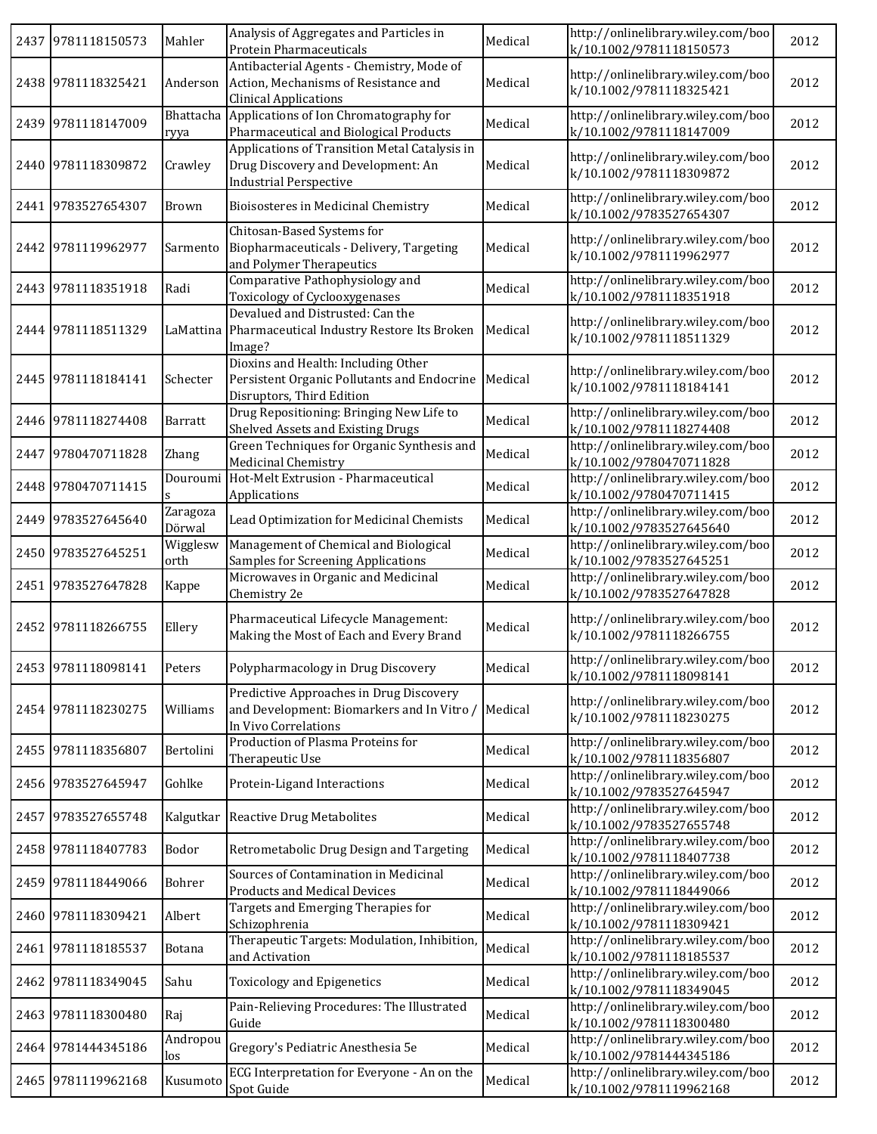| 2437 9781118150573 | Mahler             | Analysis of Aggregates and Particles in<br>Protein Pharmaceuticals                                                   | Medical | http://onlinelibrary.wiley.com/boo<br>k/10.1002/9781118150573 | 2012 |
|--------------------|--------------------|----------------------------------------------------------------------------------------------------------------------|---------|---------------------------------------------------------------|------|
| 2438 9781118325421 | Anderson           | Antibacterial Agents - Chemistry, Mode of<br>Action, Mechanisms of Resistance and<br><b>Clinical Applications</b>    | Medical | http://onlinelibrary.wiley.com/boo<br>k/10.1002/9781118325421 | 2012 |
| 2439 9781118147009 | Bhattacha<br>ryya  | Applications of Ion Chromatography for<br>Pharmaceutical and Biological Products                                     | Medical | http://onlinelibrary.wiley.com/boo<br>k/10.1002/9781118147009 | 2012 |
| 2440 9781118309872 | Crawley            | Applications of Transition Metal Catalysis in<br>Drug Discovery and Development: An<br><b>Industrial Perspective</b> | Medical | http://onlinelibrary.wiley.com/boo<br>k/10.1002/9781118309872 | 2012 |
| 2441 9783527654307 | Brown              | Bioisosteres in Medicinal Chemistry                                                                                  | Medical | http://onlinelibrary.wiley.com/boo<br>k/10.1002/9783527654307 | 2012 |
| 2442 9781119962977 | Sarmento           | Chitosan-Based Systems for<br>Biopharmaceuticals - Delivery, Targeting<br>and Polymer Therapeutics                   | Medical | http://onlinelibrary.wiley.com/boo<br>k/10.1002/9781119962977 | 2012 |
| 2443 9781118351918 | Radi               | Comparative Pathophysiology and<br>Toxicology of Cyclooxygenases                                                     | Medical | http://onlinelibrary.wiley.com/boo<br>k/10.1002/9781118351918 | 2012 |
| 2444 9781118511329 | LaMattina          | Devalued and Distrusted: Can the<br>Pharmaceutical Industry Restore Its Broken<br>Image?                             | Medical | http://onlinelibrary.wiley.com/boo<br>k/10.1002/9781118511329 | 2012 |
| 2445 9781118184141 | Schecter           | Dioxins and Health: Including Other<br>Persistent Organic Pollutants and Endocrine<br>Disruptors, Third Edition      | Medical | http://onlinelibrary.wiley.com/boo<br>k/10.1002/9781118184141 | 2012 |
| 2446 9781118274408 | Barratt            | Drug Repositioning: Bringing New Life to<br>Shelved Assets and Existing Drugs                                        | Medical | http://onlinelibrary.wiley.com/boo<br>k/10.1002/9781118274408 | 2012 |
| 2447 9780470711828 | Zhang              | Green Techniques for Organic Synthesis and<br>Medicinal Chemistry                                                    | Medical | http://onlinelibrary.wiley.com/boo<br>k/10.1002/9780470711828 | 2012 |
| 2448 9780470711415 | Douroumi           | Hot-Melt Extrusion - Pharmaceutical<br>Applications                                                                  | Medical | http://onlinelibrary.wiley.com/boo<br>k/10.1002/9780470711415 | 2012 |
| 2449 9783527645640 | Zaragoza<br>Dörwal | Lead Optimization for Medicinal Chemists                                                                             | Medical | http://onlinelibrary.wiley.com/boo<br>k/10.1002/9783527645640 | 2012 |
| 2450 9783527645251 | Wigglesw<br>orth   | Management of Chemical and Biological<br><b>Samples for Screening Applications</b>                                   | Medical | http://onlinelibrary.wiley.com/boo<br>k/10.1002/9783527645251 | 2012 |
| 2451 9783527647828 | Kappe              | Microwaves in Organic and Medicinal<br>Chemistry 2e                                                                  | Medical | http://onlinelibrary.wiley.com/boo<br>k/10.1002/9783527647828 | 2012 |
| 2452 9781118266755 | Ellery             | Pharmaceutical Lifecycle Management:<br>Making the Most of Each and Every Brand                                      | Medical | http://onlinelibrary.wiley.com/boo<br>k/10.1002/9781118266755 | 2012 |
| 2453 9781118098141 | Peters             | Polypharmacology in Drug Discovery                                                                                   | Medical | http://onlinelibrary.wiley.com/boo<br>k/10.1002/9781118098141 | 2012 |
| 2454 9781118230275 | Williams           | Predictive Approaches in Drug Discovery<br>and Development: Biomarkers and In Vitro /<br>In Vivo Correlations        | Medical | http://onlinelibrary.wiley.com/boo<br>k/10.1002/9781118230275 | 2012 |
| 2455 9781118356807 | Bertolini          | Production of Plasma Proteins for<br>Therapeutic Use                                                                 | Medical | http://onlinelibrary.wiley.com/boo<br>k/10.1002/9781118356807 | 2012 |
| 2456 9783527645947 | Gohlke             | Protein-Ligand Interactions                                                                                          | Medical | http://onlinelibrary.wiley.com/boo<br>k/10.1002/9783527645947 | 2012 |
| 2457 9783527655748 |                    | Kalgutkar Reactive Drug Metabolites                                                                                  | Medical | http://onlinelibrary.wiley.com/boo<br>k/10.1002/9783527655748 | 2012 |
| 2458 9781118407783 | Bodor              | Retrometabolic Drug Design and Targeting                                                                             | Medical | http://onlinelibrary.wiley.com/boo<br>k/10.1002/9781118407738 | 2012 |
| 2459 9781118449066 | Bohrer             | Sources of Contamination in Medicinal<br><b>Products and Medical Devices</b>                                         | Medical | http://onlinelibrary.wiley.com/boo<br>k/10.1002/9781118449066 | 2012 |
| 2460 9781118309421 | Albert             | Targets and Emerging Therapies for<br>Schizophrenia                                                                  | Medical | http://onlinelibrary.wiley.com/boo<br>k/10.1002/9781118309421 | 2012 |
| 2461 9781118185537 | Botana             | Therapeutic Targets: Modulation, Inhibition,<br>and Activation                                                       | Medical | http://onlinelibrary.wiley.com/boo<br>k/10.1002/9781118185537 | 2012 |
| 2462 9781118349045 | Sahu               | <b>Toxicology and Epigenetics</b>                                                                                    | Medical | http://onlinelibrary.wiley.com/boo<br>k/10.1002/9781118349045 | 2012 |
| 2463 9781118300480 | Raj                | Pain-Relieving Procedures: The Illustrated<br>Guide                                                                  | Medical | http://onlinelibrary.wiley.com/boo<br>k/10.1002/9781118300480 | 2012 |
| 2464 9781444345186 | Andropou<br>los    | Gregory's Pediatric Anesthesia 5e                                                                                    | Medical | http://onlinelibrary.wiley.com/boo<br>k/10.1002/9781444345186 | 2012 |
| 2465 9781119962168 | Kusumoto           | ECG Interpretation for Everyone - An on the<br>Spot Guide                                                            | Medical | http://onlinelibrary.wiley.com/boo<br>k/10.1002/9781119962168 | 2012 |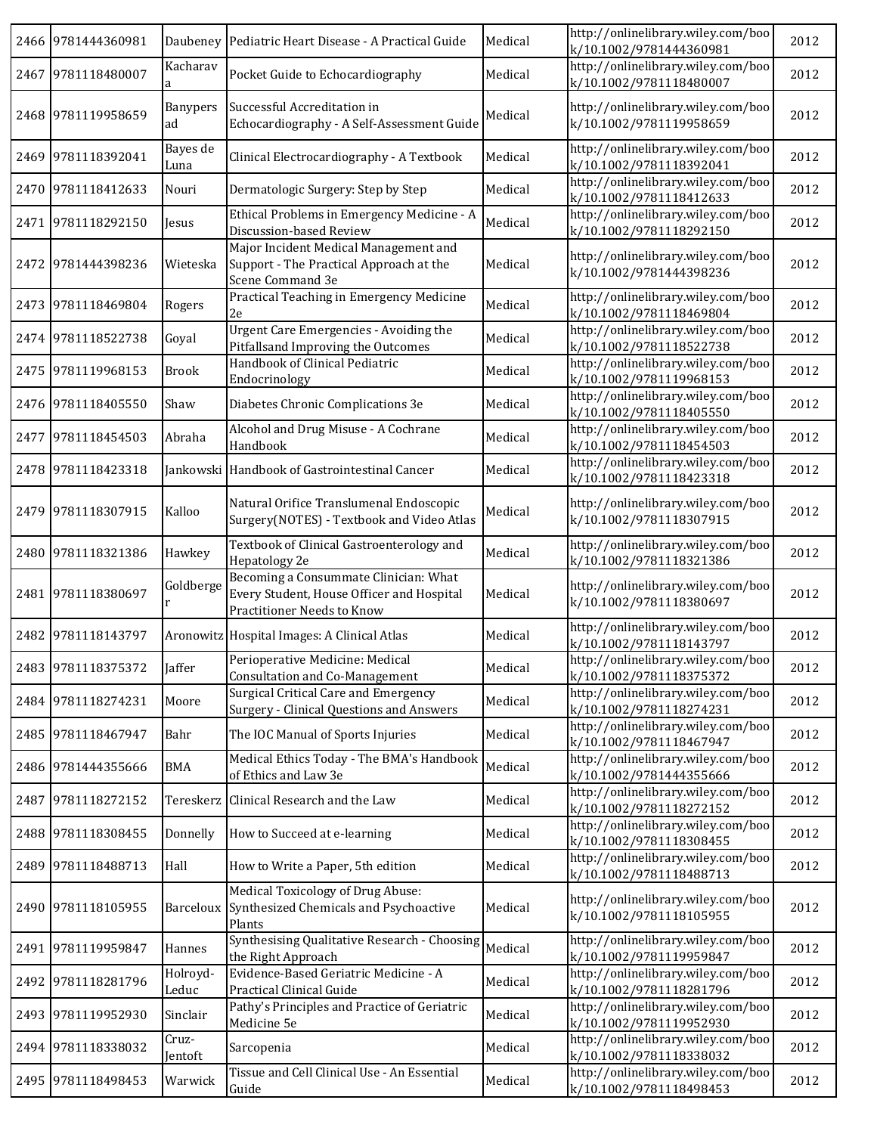|      | 2466 9781444360981 |                   | Daubeney Pediatric Heart Disease - A Practical Guide                                                             | Medical | http://onlinelibrary.wiley.com/boo<br>k/10.1002/9781444360981 | 2012 |
|------|--------------------|-------------------|------------------------------------------------------------------------------------------------------------------|---------|---------------------------------------------------------------|------|
|      | 2467 9781118480007 | Kacharav          | Pocket Guide to Echocardiography                                                                                 | Medical | http://onlinelibrary.wiley.com/boo<br>k/10.1002/9781118480007 | 2012 |
|      | 2468 9781119958659 | Banypers<br>ad    | Successful Accreditation in<br>Echocardiography - A Self-Assessment Guide                                        | Medical | http://onlinelibrary.wiley.com/boo<br>k/10.1002/9781119958659 | 2012 |
|      | 2469 9781118392041 | Bayes de<br>Luna  | Clinical Electrocardiography - A Textbook                                                                        | Medical | http://onlinelibrary.wiley.com/boo<br>k/10.1002/9781118392041 | 2012 |
|      | 2470 9781118412633 | Nouri             | Dermatologic Surgery: Step by Step                                                                               | Medical | http://onlinelibrary.wiley.com/boo<br>k/10.1002/9781118412633 | 2012 |
| 2471 | 9781118292150      | Jesus             | Ethical Problems in Emergency Medicine - A<br>Discussion-based Review                                            | Medical | http://onlinelibrary.wiley.com/boo<br>k/10.1002/9781118292150 | 2012 |
| 2472 | 9781444398236      | Wieteska          | Major Incident Medical Management and<br>Support - The Practical Approach at the<br>Scene Command 3e             | Medical | http://onlinelibrary.wiley.com/boo<br>k/10.1002/9781444398236 | 2012 |
|      | 2473 9781118469804 | Rogers            | Practical Teaching in Emergency Medicine<br>2e                                                                   | Medical | http://onlinelibrary.wiley.com/boo<br>k/10.1002/9781118469804 | 2012 |
|      | 2474 9781118522738 | Goyal             | Urgent Care Emergencies - Avoiding the<br>Pitfallsand Improving the Outcomes                                     | Medical | http://onlinelibrary.wiley.com/boo<br>k/10.1002/9781118522738 | 2012 |
| 2475 | 9781119968153      | <b>Brook</b>      | Handbook of Clinical Pediatric<br>Endocrinology                                                                  | Medical | http://onlinelibrary.wiley.com/boo<br>k/10.1002/9781119968153 | 2012 |
| 2476 | 9781118405550      | Shaw              | Diabetes Chronic Complications 3e                                                                                | Medical | http://onlinelibrary.wiley.com/boo<br>k/10.1002/9781118405550 | 2012 |
| 2477 | 9781118454503      | Abraha            | Alcohol and Drug Misuse - A Cochrane<br>Handbook                                                                 | Medical | http://onlinelibrary.wiley.com/boo<br>k/10.1002/9781118454503 | 2012 |
|      | 2478 9781118423318 |                   | Jankowski Handbook of Gastrointestinal Cancer                                                                    | Medical | http://onlinelibrary.wiley.com/boo<br>k/10.1002/9781118423318 | 2012 |
| 2479 | 9781118307915      | Kalloo            | Natural Orifice Translumenal Endoscopic<br>Surgery (NOTES) - Textbook and Video Atlas                            | Medical | http://onlinelibrary.wiley.com/boo<br>k/10.1002/9781118307915 | 2012 |
|      | 2480 9781118321386 | Hawkey            | Textbook of Clinical Gastroenterology and<br>Hepatology 2e                                                       | Medical | http://onlinelibrary.wiley.com/boo<br>k/10.1002/9781118321386 | 2012 |
|      | 2481 9781118380697 | Goldberge         | Becoming a Consummate Clinician: What<br>Every Student, House Officer and Hospital<br>Practitioner Needs to Know | Medical | http://onlinelibrary.wiley.com/boo<br>k/10.1002/9781118380697 | 2012 |
| 2482 | 9781118143797      |                   | Aronowitz Hospital Images: A Clinical Atlas                                                                      | Medical | http://onlinelibrary.wiley.com/boo<br>k/10.1002/9781118143797 | 2012 |
|      | 2483 9781118375372 | Jaffer            | Perioperative Medicine: Medical<br>Consultation and Co-Management                                                | Medical | http://onlinelibrary.wiley.com/boo<br>k/10.1002/9781118375372 | 2012 |
|      | 2484 9781118274231 | Moore             | Surgical Critical Care and Emergency<br>Surgery - Clinical Questions and Answers                                 | Medical | http://onlinelibrary.wiley.com/boo<br>k/10.1002/9781118274231 | 2012 |
|      | 2485 9781118467947 | Bahr              | The IOC Manual of Sports Injuries                                                                                | Medical | http://onlinelibrary.wiley.com/boo<br>k/10.1002/9781118467947 | 2012 |
|      | 2486 9781444355666 | <b>BMA</b>        | Medical Ethics Today - The BMA's Handbook<br>of Ethics and Law 3e                                                | Medical | http://onlinelibrary.wiley.com/boo<br>k/10.1002/9781444355666 | 2012 |
| 2487 | 9781118272152      | Tereskerz         | Clinical Research and the Law                                                                                    | Medical | http://onlinelibrary.wiley.com/boo<br>k/10.1002/9781118272152 | 2012 |
|      | 2488 9781118308455 | Donnelly          | How to Succeed at e-learning                                                                                     | Medical | http://onlinelibrary.wiley.com/boo<br>k/10.1002/9781118308455 | 2012 |
| 2489 | 9781118488713      | Hall              | How to Write a Paper, 5th edition                                                                                | Medical | http://onlinelibrary.wiley.com/boo<br>k/10.1002/9781118488713 | 2012 |
|      | 2490 9781118105955 |                   | Medical Toxicology of Drug Abuse:<br>Barceloux Synthesized Chemicals and Psychoactive<br>Plants                  | Medical | http://onlinelibrary.wiley.com/boo<br>k/10.1002/9781118105955 | 2012 |
|      | 2491 9781119959847 | Hannes            | Synthesising Qualitative Research - Choosing<br>the Right Approach                                               | Medical | http://onlinelibrary.wiley.com/boo<br>k/10.1002/9781119959847 | 2012 |
| 2492 | 9781118281796      | Holroyd-<br>Leduc | Evidence-Based Geriatric Medicine - A<br>Practical Clinical Guide                                                | Medical | http://onlinelibrary.wiley.com/boo<br>k/10.1002/9781118281796 | 2012 |
| 2493 | 9781119952930      | Sinclair          | Pathy's Principles and Practice of Geriatric<br>Medicine 5e                                                      | Medical | http://onlinelibrary.wiley.com/boo<br>k/10.1002/9781119952930 | 2012 |
| 2494 | 9781118338032      | Cruz-<br>Jentoft  | Sarcopenia                                                                                                       | Medical | http://onlinelibrary.wiley.com/boo<br>k/10.1002/9781118338032 | 2012 |
|      | 2495 9781118498453 | Warwick           | Tissue and Cell Clinical Use - An Essential<br>Guide                                                             | Medical | http://onlinelibrary.wiley.com/boo<br>k/10.1002/9781118498453 | 2012 |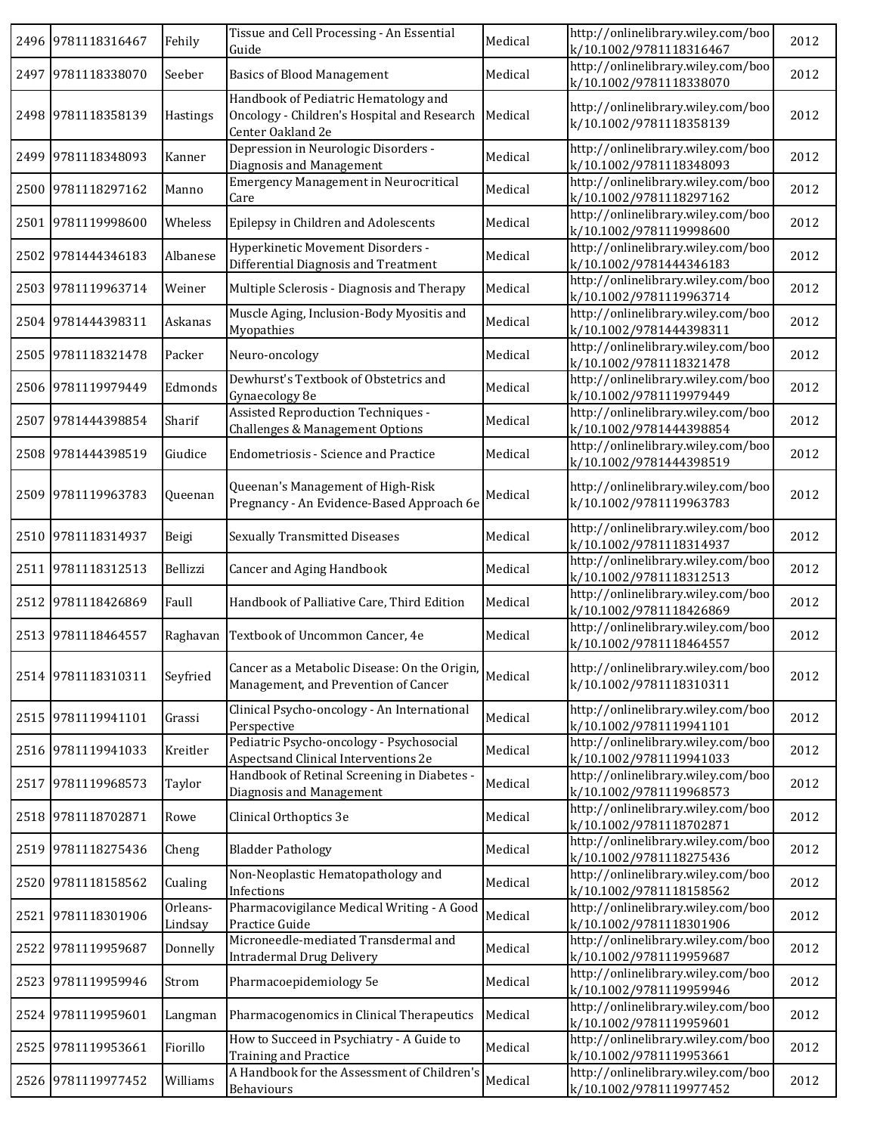|      | 2496 9781118316467 | Fehily              | Tissue and Cell Processing - An Essential<br>Guide                                                       | Medical | http://onlinelibrary.wiley.com/boo<br>k/10.1002/9781118316467 | 2012 |
|------|--------------------|---------------------|----------------------------------------------------------------------------------------------------------|---------|---------------------------------------------------------------|------|
|      | 2497 9781118338070 | Seeber              | <b>Basics of Blood Management</b>                                                                        | Medical | http://onlinelibrary.wiley.com/boo<br>k/10.1002/9781118338070 | 2012 |
|      | 2498 9781118358139 | Hastings            | Handbook of Pediatric Hematology and<br>Oncology - Children's Hospital and Research<br>Center Oakland 2e | Medical | http://onlinelibrary.wiley.com/boo<br>k/10.1002/9781118358139 | 2012 |
|      | 2499 9781118348093 | Kanner              | Depression in Neurologic Disorders -<br>Diagnosis and Management                                         | Medical | http://onlinelibrary.wiley.com/boo<br>k/10.1002/9781118348093 | 2012 |
|      | 2500 9781118297162 | Manno               | <b>Emergency Management in Neurocritical</b><br>Care                                                     | Medical | http://onlinelibrary.wiley.com/boo<br>k/10.1002/9781118297162 | 2012 |
| 2501 | 9781119998600      | Wheless             | Epilepsy in Children and Adolescents                                                                     | Medical | http://onlinelibrary.wiley.com/boo<br>k/10.1002/9781119998600 | 2012 |
|      | 2502 9781444346183 | Albanese            | Hyperkinetic Movement Disorders -<br>Differential Diagnosis and Treatment                                | Medical | http://onlinelibrary.wiley.com/boo<br>k/10.1002/9781444346183 | 2012 |
|      | 2503 9781119963714 | Weiner              | Multiple Sclerosis - Diagnosis and Therapy                                                               | Medical | http://onlinelibrary.wiley.com/boo<br>k/10.1002/9781119963714 | 2012 |
|      | 2504 9781444398311 | Askanas             | Muscle Aging, Inclusion-Body Myositis and<br>Myopathies                                                  | Medical | http://onlinelibrary.wiley.com/boo<br>k/10.1002/9781444398311 | 2012 |
| 2505 | 9781118321478      | Packer              | Neuro-oncology                                                                                           | Medical | http://onlinelibrary.wiley.com/boo<br>k/10.1002/9781118321478 | 2012 |
| 2506 | 9781119979449      | Edmonds             | Dewhurst's Textbook of Obstetrics and<br>Gynaecology 8e                                                  | Medical | http://onlinelibrary.wiley.com/boo<br>k/10.1002/9781119979449 | 2012 |
| 2507 | 9781444398854      | Sharif              | Assisted Reproduction Techniques -<br>Challenges & Management Options                                    | Medical | http://onlinelibrary.wiley.com/boo<br>k/10.1002/9781444398854 | 2012 |
|      | 2508 9781444398519 | Giudice             | <b>Endometriosis - Science and Practice</b>                                                              | Medical | http://onlinelibrary.wiley.com/boo<br>k/10.1002/9781444398519 | 2012 |
| 2509 | 9781119963783      | Queenan             | Queenan's Management of High-Risk<br>Pregnancy - An Evidence-Based Approach 6e                           | Medical | http://onlinelibrary.wiley.com/boo<br>k/10.1002/9781119963783 | 2012 |
|      | 2510 9781118314937 | Beigi               | <b>Sexually Transmitted Diseases</b>                                                                     | Medical | http://onlinelibrary.wiley.com/boo<br>k/10.1002/9781118314937 | 2012 |
|      | 2511 9781118312513 | Bellizzi            | Cancer and Aging Handbook                                                                                | Medical | http://onlinelibrary.wiley.com/boo<br>k/10.1002/9781118312513 | 2012 |
|      | 2512 9781118426869 | Faull               | Handbook of Palliative Care, Third Edition                                                               | Medical | http://onlinelibrary.wiley.com/boo<br>k/10.1002/9781118426869 | 2012 |
|      | 2513 9781118464557 | Raghavan            | Textbook of Uncommon Cancer, 4e                                                                          | Medical | http://onlinelibrary.wiley.com/boo<br>k/10.1002/9781118464557 | 2012 |
|      | 2514 9781118310311 | Seyfried            | Cancer as a Metabolic Disease: On the Origin,<br>Management, and Prevention of Cancer                    | Medical | http://onlinelibrary.wiley.com/boo<br>k/10.1002/9781118310311 | 2012 |
|      | 2515 9781119941101 | Grassi              | Clinical Psycho-oncology - An International<br>Perspective                                               | Medical | http://onlinelibrary.wiley.com/boo<br>k/10.1002/9781119941101 | 2012 |
|      | 2516 9781119941033 | Kreitler            | Pediatric Psycho-oncology - Psychosocial<br>Aspectsand Clinical Interventions 2e                         | Medical | http://onlinelibrary.wiley.com/boo<br>k/10.1002/9781119941033 | 2012 |
|      | 2517 9781119968573 | Taylor              | Handbook of Retinal Screening in Diabetes -<br>Diagnosis and Management                                  | Medical | http://onlinelibrary.wiley.com/boo<br>k/10.1002/9781119968573 | 2012 |
|      | 2518 9781118702871 | Rowe                | Clinical Orthoptics 3e                                                                                   | Medical | http://onlinelibrary.wiley.com/boo<br>k/10.1002/9781118702871 | 2012 |
| 2519 | 9781118275436      | Cheng               | <b>Bladder Pathology</b>                                                                                 | Medical | http://onlinelibrary.wiley.com/boo<br>k/10.1002/9781118275436 | 2012 |
|      | 2520 9781118158562 | Cualing             | Non-Neoplastic Hematopathology and<br>Infections                                                         | Medical | http://onlinelibrary.wiley.com/boo<br>k/10.1002/9781118158562 | 2012 |
|      | 2521 9781118301906 | Orleans-<br>Lindsay | Pharmacovigilance Medical Writing - A Good<br>Practice Guide                                             | Medical | http://onlinelibrary.wiley.com/boo<br>k/10.1002/9781118301906 | 2012 |
| 2522 | 9781119959687      | Donnelly            | Microneedle-mediated Transdermal and<br><b>Intradermal Drug Delivery</b>                                 | Medical | http://onlinelibrary.wiley.com/boo<br>k/10.1002/9781119959687 | 2012 |
| 2523 | 9781119959946      | Strom               | Pharmacoepidemiology 5e                                                                                  | Medical | http://onlinelibrary.wiley.com/boo<br>k/10.1002/9781119959946 | 2012 |
|      | 2524 9781119959601 | Langman             | Pharmacogenomics in Clinical Therapeutics                                                                | Medical | http://onlinelibrary.wiley.com/boo<br>k/10.1002/9781119959601 | 2012 |
| 2525 | 9781119953661      | Fiorillo            | How to Succeed in Psychiatry - A Guide to<br><b>Training and Practice</b>                                | Medical | http://onlinelibrary.wiley.com/boo<br>k/10.1002/9781119953661 | 2012 |
|      | 2526 9781119977452 | Williams            | A Handbook for the Assessment of Children's<br>Behaviours                                                | Medical | http://onlinelibrary.wiley.com/boo<br>k/10.1002/9781119977452 | 2012 |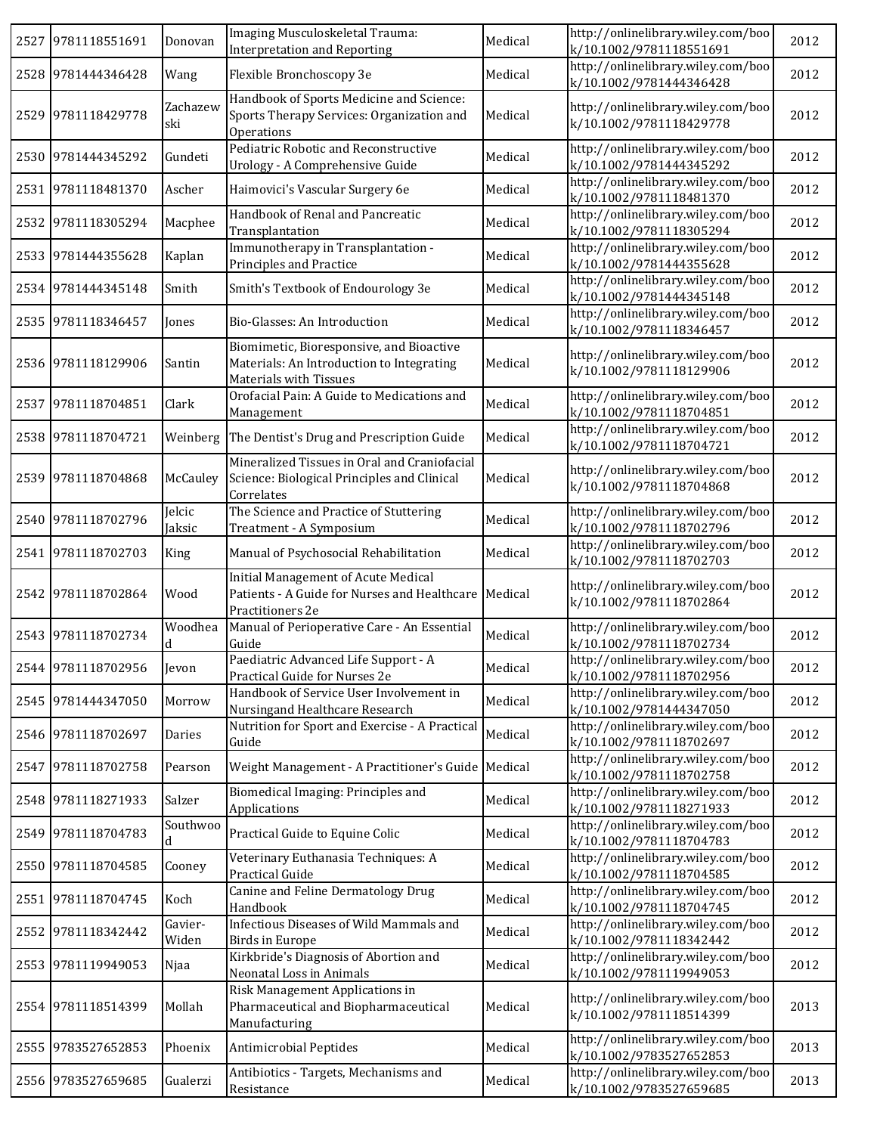| 2527 9781118551691 | Donovan          | Imaging Musculoskeletal Trauma:<br><b>Interpretation and Reporting</b>                                          | Medical | http://onlinelibrary.wiley.com/boo<br>k/10.1002/9781118551691 | 2012 |
|--------------------|------------------|-----------------------------------------------------------------------------------------------------------------|---------|---------------------------------------------------------------|------|
| 2528 9781444346428 | Wang             | Flexible Bronchoscopy 3e                                                                                        | Medical | http://onlinelibrary.wiley.com/boo<br>k/10.1002/9781444346428 | 2012 |
| 2529 9781118429778 | Zachazew<br>ski  | Handbook of Sports Medicine and Science:<br>Sports Therapy Services: Organization and<br>Operations             | Medical | http://onlinelibrary.wiley.com/boo<br>k/10.1002/9781118429778 | 2012 |
| 2530 9781444345292 | Gundeti          | Pediatric Robotic and Reconstructive<br>Urology - A Comprehensive Guide                                         | Medical | http://onlinelibrary.wiley.com/boo<br>k/10.1002/9781444345292 | 2012 |
| 2531 9781118481370 | Ascher           | Haimovici's Vascular Surgery 6e                                                                                 | Medical | http://onlinelibrary.wiley.com/boo<br>k/10.1002/9781118481370 | 2012 |
| 2532 9781118305294 | Macphee          | Handbook of Renal and Pancreatic<br>Transplantation                                                             | Medical | http://onlinelibrary.wiley.com/boo<br>k/10.1002/9781118305294 | 2012 |
| 2533 9781444355628 | Kaplan           | Immunotherapy in Transplantation -<br>Principles and Practice                                                   | Medical | http://onlinelibrary.wiley.com/boo<br>k/10.1002/9781444355628 | 2012 |
| 2534 9781444345148 | Smith            | Smith's Textbook of Endourology 3e                                                                              | Medical | http://onlinelibrary.wiley.com/boo<br>k/10.1002/9781444345148 | 2012 |
| 2535 9781118346457 | Jones            | Bio-Glasses: An Introduction                                                                                    | Medical | http://onlinelibrary.wiley.com/boo<br>k/10.1002/9781118346457 | 2012 |
| 2536 9781118129906 | Santin           | Biomimetic, Bioresponsive, and Bioactive<br>Materials: An Introduction to Integrating<br>Materials with Tissues | Medical | http://onlinelibrary.wiley.com/boo<br>k/10.1002/9781118129906 | 2012 |
| 2537 9781118704851 | Clark            | Orofacial Pain: A Guide to Medications and<br>Management                                                        | Medical | http://onlinelibrary.wiley.com/boo<br>k/10.1002/9781118704851 | 2012 |
| 2538 9781118704721 |                  | Weinberg The Dentist's Drug and Prescription Guide                                                              | Medical | http://onlinelibrary.wiley.com/boo<br>k/10.1002/9781118704721 | 2012 |
| 2539 9781118704868 | McCauley         | Mineralized Tissues in Oral and Craniofacial<br>Science: Biological Principles and Clinical<br>Correlates       | Medical | http://onlinelibrary.wiley.com/boo<br>k/10.1002/9781118704868 | 2012 |
| 2540 9781118702796 | Jelcic<br>Jaksic | The Science and Practice of Stuttering<br>Treatment - A Symposium                                               | Medical | http://onlinelibrary.wiley.com/boo<br>k/10.1002/9781118702796 | 2012 |
| 2541 9781118702703 | King             | Manual of Psychosocial Rehabilitation                                                                           | Medical | http://onlinelibrary.wiley.com/boo<br>k/10.1002/9781118702703 | 2012 |
| 2542 9781118702864 | Wood             | <b>Initial Management of Acute Medical</b><br>Patients - A Guide for Nurses and Healthcare<br>Practitioners 2e  | Medical | http://onlinelibrary.wiley.com/boo<br>k/10.1002/9781118702864 | 2012 |
| 2543 9781118702734 | Woodhea<br>d     | Manual of Perioperative Care - An Essential<br>Guide                                                            | Medical | http://onlinelibrary.wiley.com/boo<br>k/10.1002/9781118702734 | 2012 |
| 2544 9781118702956 | Jevon            | Paediatric Advanced Life Support - A<br>Practical Guide for Nurses 2e                                           | Medical | http://onlinelibrary.wiley.com/boo<br>k/10.1002/9781118702956 | 2012 |
| 2545 9781444347050 | Morrow           | Handbook of Service User Involvement in<br>Nursingand Healthcare Research                                       | Medical | http://onlinelibrary.wiley.com/boo<br>k/10.1002/9781444347050 | 2012 |
| 2546 9781118702697 | Daries           | Nutrition for Sport and Exercise - A Practical<br>Guide                                                         | Medical | http://onlinelibrary.wiley.com/boo<br>k/10.1002/9781118702697 | 2012 |
| 2547 9781118702758 | Pearson          | Weight Management - A Practitioner's Guide                                                                      | Medical | http://onlinelibrary.wiley.com/boo<br>k/10.1002/9781118702758 | 2012 |
| 2548 9781118271933 | Salzer           | Biomedical Imaging: Principles and<br>Applications                                                              | Medical | http://onlinelibrary.wiley.com/boo<br>k/10.1002/9781118271933 | 2012 |
| 2549 9781118704783 | Southwoo<br>d    | Practical Guide to Equine Colic                                                                                 | Medical | http://onlinelibrary.wiley.com/boo<br>k/10.1002/9781118704783 | 2012 |
| 2550 9781118704585 | Cooney           | Veterinary Euthanasia Techniques: A<br>Practical Guide                                                          | Medical | http://onlinelibrary.wiley.com/boo<br>k/10.1002/9781118704585 | 2012 |
| 2551 9781118704745 | Koch             | Canine and Feline Dermatology Drug<br>Handbook                                                                  | Medical | http://onlinelibrary.wiley.com/boo<br>k/10.1002/9781118704745 | 2012 |
| 2552 9781118342442 | Gavier-<br>Widen | Infectious Diseases of Wild Mammals and<br><b>Birds in Europe</b>                                               | Medical | http://onlinelibrary.wiley.com/boo<br>k/10.1002/9781118342442 | 2012 |
| 2553 9781119949053 | Njaa             | Kirkbride's Diagnosis of Abortion and<br>Neonatal Loss in Animals                                               | Medical | http://onlinelibrary.wiley.com/boo<br>k/10.1002/9781119949053 | 2012 |
| 2554 9781118514399 | Mollah           | Risk Management Applications in<br>Pharmaceutical and Biopharmaceutical<br>Manufacturing                        | Medical | http://onlinelibrary.wiley.com/boo<br>k/10.1002/9781118514399 | 2013 |
| 2555 9783527652853 | Phoenix          | Antimicrobial Peptides                                                                                          | Medical | http://onlinelibrary.wiley.com/boo<br>k/10.1002/9783527652853 | 2013 |
| 2556 9783527659685 | Gualerzi         | Antibiotics - Targets, Mechanisms and<br>Resistance                                                             | Medical | http://onlinelibrary.wiley.com/boo<br>k/10.1002/9783527659685 | 2013 |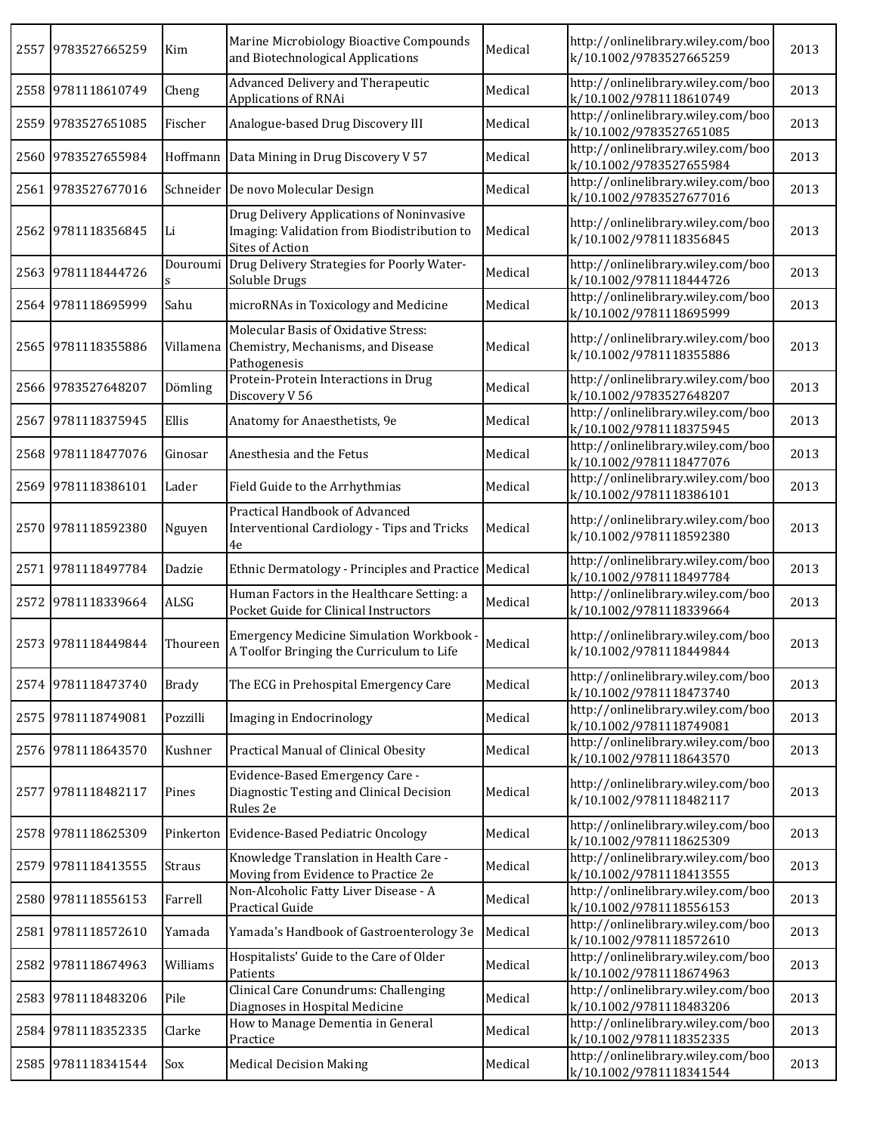|      | 2557 9783527665259 | Kim          | Marine Microbiology Bioactive Compounds<br>and Biotechnological Applications                                | Medical | http://onlinelibrary.wiley.com/boo<br>k/10.1002/9783527665259 | 2013 |
|------|--------------------|--------------|-------------------------------------------------------------------------------------------------------------|---------|---------------------------------------------------------------|------|
|      | 2558 9781118610749 | Cheng        | Advanced Delivery and Therapeutic<br>Applications of RNAi                                                   | Medical | http://onlinelibrary.wiley.com/boo<br>k/10.1002/9781118610749 | 2013 |
|      | 2559 9783527651085 | Fischer      | Analogue-based Drug Discovery III                                                                           | Medical | http://onlinelibrary.wiley.com/boo<br>k/10.1002/9783527651085 | 2013 |
|      | 2560 9783527655984 |              | Hoffmann   Data Mining in Drug Discovery V 57                                                               | Medical | http://onlinelibrary.wiley.com/boo<br>k/10.1002/9783527655984 | 2013 |
|      | 2561 9783527677016 |              | Schneider De novo Molecular Design                                                                          | Medical | http://onlinelibrary.wiley.com/boo<br>k/10.1002/9783527677016 | 2013 |
|      | 2562 9781118356845 | Li           | Drug Delivery Applications of Noninvasive<br>Imaging: Validation from Biodistribution to<br>Sites of Action | Medical | http://onlinelibrary.wiley.com/boo<br>k/10.1002/9781118356845 | 2013 |
|      | 2563 9781118444726 |              | Douroumi Drug Delivery Strategies for Poorly Water-<br>Soluble Drugs                                        | Medical | http://onlinelibrary.wiley.com/boo<br>k/10.1002/9781118444726 | 2013 |
|      | 2564 9781118695999 | Sahu         | microRNAs in Toxicology and Medicine                                                                        | Medical | http://onlinelibrary.wiley.com/boo<br>k/10.1002/9781118695999 | 2013 |
|      | 2565 9781118355886 | Villamena    | Molecular Basis of Oxidative Stress:<br>Chemistry, Mechanisms, and Disease<br>Pathogenesis                  | Medical | http://onlinelibrary.wiley.com/boo<br>k/10.1002/9781118355886 | 2013 |
|      | 2566 9783527648207 | Dömling      | Protein-Protein Interactions in Drug<br>Discovery V 56                                                      | Medical | http://onlinelibrary.wiley.com/boo<br>k/10.1002/9783527648207 | 2013 |
|      | 2567 9781118375945 | Ellis        | Anatomy for Anaesthetists, 9e                                                                               | Medical | http://onlinelibrary.wiley.com/boo<br>k/10.1002/9781118375945 | 2013 |
|      | 2568 9781118477076 | Ginosar      | Anesthesia and the Fetus                                                                                    | Medical | http://onlinelibrary.wiley.com/boo<br>k/10.1002/9781118477076 | 2013 |
|      | 2569 9781118386101 | Lader        | Field Guide to the Arrhythmias                                                                              | Medical | http://onlinelibrary.wiley.com/boo<br>k/10.1002/9781118386101 | 2013 |
|      | 2570 9781118592380 | Nguyen       | Practical Handbook of Advanced<br>Interventional Cardiology - Tips and Tricks<br>4e                         | Medical | http://onlinelibrary.wiley.com/boo<br>k/10.1002/9781118592380 | 2013 |
|      | 2571 9781118497784 | Dadzie       | Ethnic Dermatology - Principles and Practice                                                                | Medical | http://onlinelibrary.wiley.com/boo<br>k/10.1002/9781118497784 | 2013 |
|      | 2572 9781118339664 | ALSG         | Human Factors in the Healthcare Setting: a<br>Pocket Guide for Clinical Instructors                         | Medical | http://onlinelibrary.wiley.com/boo<br>k/10.1002/9781118339664 | 2013 |
|      | 2573 9781118449844 | Thoureen     | Emergency Medicine Simulation Workbook -<br>A Toolfor Bringing the Curriculum to Life                       | Medical | http://onlinelibrary.wiley.com/boo<br>k/10.1002/9781118449844 | 2013 |
|      | 2574 9781118473740 | <b>Brady</b> | The ECG in Prehospital Emergency Care                                                                       | Medical | http://onlinelibrary.wiley.com/boo<br>k/10.1002/9781118473740 | 2013 |
|      | 2575 9781118749081 | Pozzilli     | Imaging in Endocrinology                                                                                    | Medical | http://onlinelibrary.wiley.com/boo<br>k/10.1002/9781118749081 | 2013 |
|      | 2576 9781118643570 | Kushner      | Practical Manual of Clinical Obesity                                                                        | Medical | http://onlinelibrary.wiley.com/boo<br>k/10.1002/9781118643570 | 2013 |
|      | 2577 9781118482117 | Pines        | Evidence-Based Emergency Care -<br>Diagnostic Testing and Clinical Decision<br>Rules 2e                     | Medical | http://onlinelibrary.wiley.com/boo<br>k/10.1002/9781118482117 | 2013 |
|      | 2578 9781118625309 |              | Pinkerton Evidence-Based Pediatric Oncology                                                                 | Medical | http://onlinelibrary.wiley.com/boo<br>k/10.1002/9781118625309 | 2013 |
|      | 2579 9781118413555 | Straus       | Knowledge Translation in Health Care -<br>Moving from Evidence to Practice 2e                               | Medical | http://onlinelibrary.wiley.com/boo<br>k/10.1002/9781118413555 | 2013 |
|      | 2580 9781118556153 | Farrell      | Non-Alcoholic Fatty Liver Disease - A<br>Practical Guide                                                    | Medical | http://onlinelibrary.wiley.com/boo<br>k/10.1002/9781118556153 | 2013 |
| 2581 | 9781118572610      | Yamada       | Yamada's Handbook of Gastroenterology 3e                                                                    | Medical | http://onlinelibrary.wiley.com/boo<br>k/10.1002/9781118572610 | 2013 |
| 2582 | 9781118674963      | Williams     | Hospitalists' Guide to the Care of Older<br>Patients                                                        | Medical | http://onlinelibrary.wiley.com/boo<br>k/10.1002/9781118674963 | 2013 |
|      | 2583 9781118483206 | Pile         | Clinical Care Conundrums: Challenging<br>Diagnoses in Hospital Medicine                                     | Medical | http://onlinelibrary.wiley.com/boo<br>k/10.1002/9781118483206 | 2013 |
|      | 2584 9781118352335 | Clarke       | How to Manage Dementia in General<br>Practice                                                               | Medical | http://onlinelibrary.wiley.com/boo<br>k/10.1002/9781118352335 | 2013 |
|      | 2585 9781118341544 | Sox          | <b>Medical Decision Making</b>                                                                              | Medical | http://onlinelibrary.wiley.com/boo<br>k/10.1002/9781118341544 | 2013 |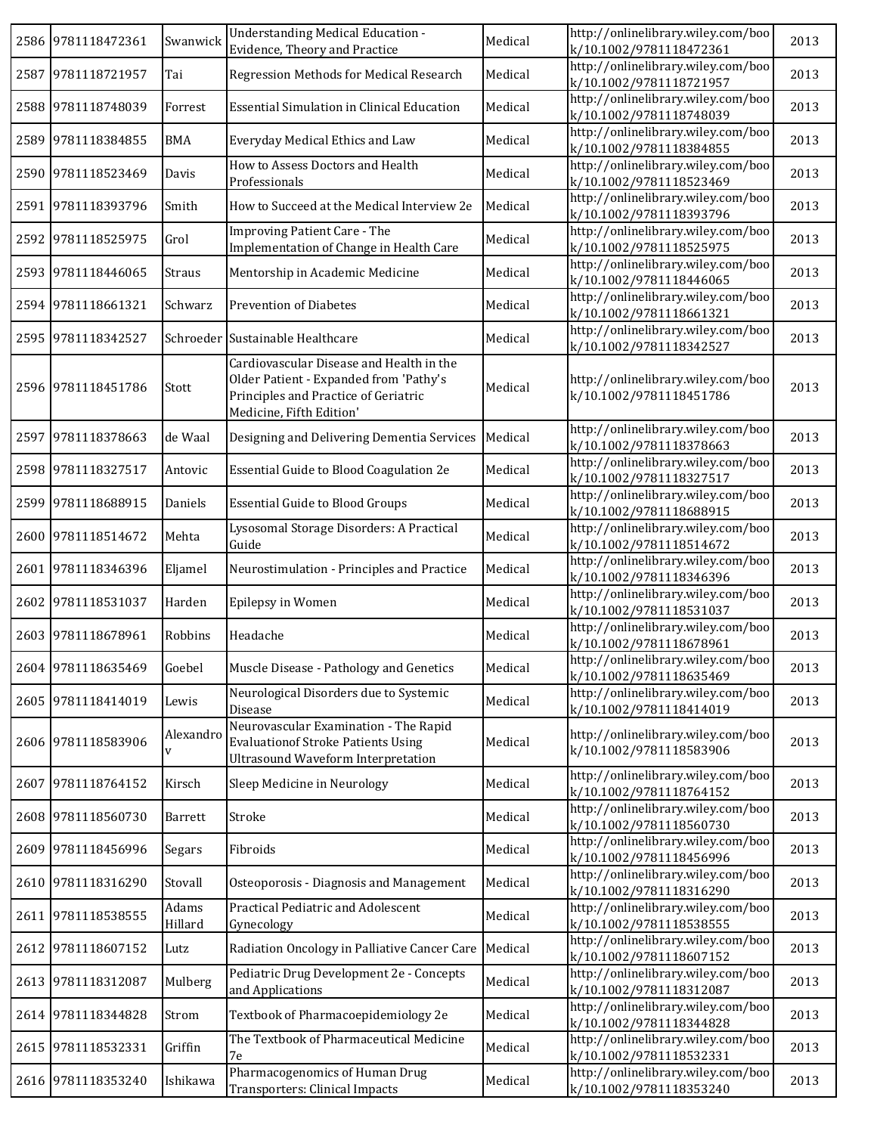|      | 2586 9781118472361 | Swanwick         | <b>Understanding Medical Education -</b><br>Evidence, Theory and Practice                                                                              | Medical | http://onlinelibrary.wiley.com/boo<br>k/10.1002/9781118472361 | 2013 |
|------|--------------------|------------------|--------------------------------------------------------------------------------------------------------------------------------------------------------|---------|---------------------------------------------------------------|------|
|      | 2587 9781118721957 | Tai              | Regression Methods for Medical Research                                                                                                                | Medical | http://onlinelibrary.wiley.com/boo<br>k/10.1002/9781118721957 | 2013 |
|      | 2588 9781118748039 | Forrest          | Essential Simulation in Clinical Education                                                                                                             | Medical | http://onlinelibrary.wiley.com/boo<br>k/10.1002/9781118748039 | 2013 |
| 2589 | 9781118384855      | <b>BMA</b>       | Everyday Medical Ethics and Law                                                                                                                        | Medical | http://onlinelibrary.wiley.com/boo<br>k/10.1002/9781118384855 | 2013 |
|      | 2590 9781118523469 | Davis            | How to Assess Doctors and Health<br>Professionals                                                                                                      | Medical | http://onlinelibrary.wiley.com/boo<br>k/10.1002/9781118523469 | 2013 |
|      | 2591 9781118393796 | Smith            | How to Succeed at the Medical Interview 2e                                                                                                             | Medical | http://onlinelibrary.wiley.com/boo<br>k/10.1002/9781118393796 | 2013 |
|      | 2592 9781118525975 | Grol             | <b>Improving Patient Care - The</b><br>Implementation of Change in Health Care                                                                         | Medical | http://onlinelibrary.wiley.com/boo<br>k/10.1002/9781118525975 | 2013 |
|      | 2593 9781118446065 | Straus           | Mentorship in Academic Medicine                                                                                                                        | Medical | http://onlinelibrary.wiley.com/boo<br>k/10.1002/9781118446065 | 2013 |
|      | 2594 9781118661321 | Schwarz          | <b>Prevention of Diabetes</b>                                                                                                                          | Medical | http://onlinelibrary.wiley.com/boo<br>k/10.1002/9781118661321 | 2013 |
|      | 2595 9781118342527 |                  | Schroeder Sustainable Healthcare                                                                                                                       | Medical | http://onlinelibrary.wiley.com/boo<br>k/10.1002/9781118342527 | 2013 |
|      | 2596 9781118451786 | Stott            | Cardiovascular Disease and Health in the<br>Older Patient - Expanded from 'Pathy's<br>Principles and Practice of Geriatric<br>Medicine, Fifth Edition' | Medical | http://onlinelibrary.wiley.com/boo<br>k/10.1002/9781118451786 | 2013 |
|      | 2597 9781118378663 | de Waal          | Designing and Delivering Dementia Services                                                                                                             | Medical | http://onlinelibrary.wiley.com/boo<br>k/10.1002/9781118378663 | 2013 |
|      | 2598 9781118327517 | Antovic          | Essential Guide to Blood Coagulation 2e                                                                                                                | Medical | http://onlinelibrary.wiley.com/boo<br>k/10.1002/9781118327517 | 2013 |
|      | 2599 9781118688915 | Daniels          | <b>Essential Guide to Blood Groups</b>                                                                                                                 | Medical | http://onlinelibrary.wiley.com/boo<br>k/10.1002/9781118688915 | 2013 |
|      | 2600 9781118514672 | Mehta            | Lysosomal Storage Disorders: A Practical<br>Guide                                                                                                      | Medical | http://onlinelibrary.wiley.com/boo<br>k/10.1002/9781118514672 | 2013 |
|      | 2601 9781118346396 | Eljamel          | Neurostimulation - Principles and Practice                                                                                                             | Medical | http://onlinelibrary.wiley.com/boo<br>k/10.1002/9781118346396 | 2013 |
| 2602 | 9781118531037      | Harden           | Epilepsy in Women                                                                                                                                      | Medical | http://onlinelibrary.wiley.com/boo<br>k/10.1002/9781118531037 | 2013 |
|      | 2603 9781118678961 | Robbins          | Headache                                                                                                                                               | Medical | http://onlinelibrary.wiley.com/boo<br>k/10.1002/9781118678961 | 2013 |
|      | 2604 9781118635469 | Goebel           | Muscle Disease - Pathology and Genetics                                                                                                                | Medical | http://onlinelibrary.wiley.com/boo<br>k/10.1002/9781118635469 | 2013 |
|      | 2605 9781118414019 | Lewis            | Neurological Disorders due to Systemic<br>Disease                                                                                                      | Medical | http://onlinelibrary.wiley.com/boo<br>k/10.1002/9781118414019 | 2013 |
|      | 2606 9781118583906 | Alexandro<br>V   | Neurovascular Examination - The Rapid<br><b>Evaluationof Stroke Patients Using</b><br><b>Ultrasound Waveform Interpretation</b>                        | Medical | http://onlinelibrary.wiley.com/boo<br>k/10.1002/9781118583906 | 2013 |
| 2607 | 9781118764152      | Kirsch           | Sleep Medicine in Neurology                                                                                                                            | Medical | http://onlinelibrary.wiley.com/boo<br>k/10.1002/9781118764152 | 2013 |
|      | 2608 9781118560730 | Barrett          | Stroke                                                                                                                                                 | Medical | http://onlinelibrary.wiley.com/boo<br>k/10.1002/9781118560730 | 2013 |
|      | 2609 9781118456996 | Segars           | Fibroids                                                                                                                                               | Medical | http://onlinelibrary.wiley.com/boo<br>k/10.1002/9781118456996 | 2013 |
|      | 2610 9781118316290 | Stovall          | Osteoporosis - Diagnosis and Management                                                                                                                | Medical | http://onlinelibrary.wiley.com/boo<br>k/10.1002/9781118316290 | 2013 |
|      | 2611 9781118538555 | Adams<br>Hillard | Practical Pediatric and Adolescent<br>Gynecology                                                                                                       | Medical | http://onlinelibrary.wiley.com/boo<br>k/10.1002/9781118538555 | 2013 |
| 2612 | 9781118607152      | Lutz             | Radiation Oncology in Palliative Cancer Care                                                                                                           | Medical | http://onlinelibrary.wiley.com/boo<br>k/10.1002/9781118607152 | 2013 |
| 2613 | 9781118312087      | Mulberg          | Pediatric Drug Development 2e - Concepts<br>and Applications                                                                                           | Medical | http://onlinelibrary.wiley.com/boo<br>k/10.1002/9781118312087 | 2013 |
| 2614 | 9781118344828      | Strom            | Textbook of Pharmacoepidemiology 2e                                                                                                                    | Medical | http://onlinelibrary.wiley.com/boo<br>k/10.1002/9781118344828 | 2013 |
|      | 2615 9781118532331 | Griffin          | The Textbook of Pharmaceutical Medicine<br>7e                                                                                                          | Medical | http://onlinelibrary.wiley.com/boo<br>k/10.1002/9781118532331 | 2013 |
|      | 2616 9781118353240 | Ishikawa         | Pharmacogenomics of Human Drug<br>Transporters: Clinical Impacts                                                                                       | Medical | http://onlinelibrary.wiley.com/boo<br>k/10.1002/9781118353240 | 2013 |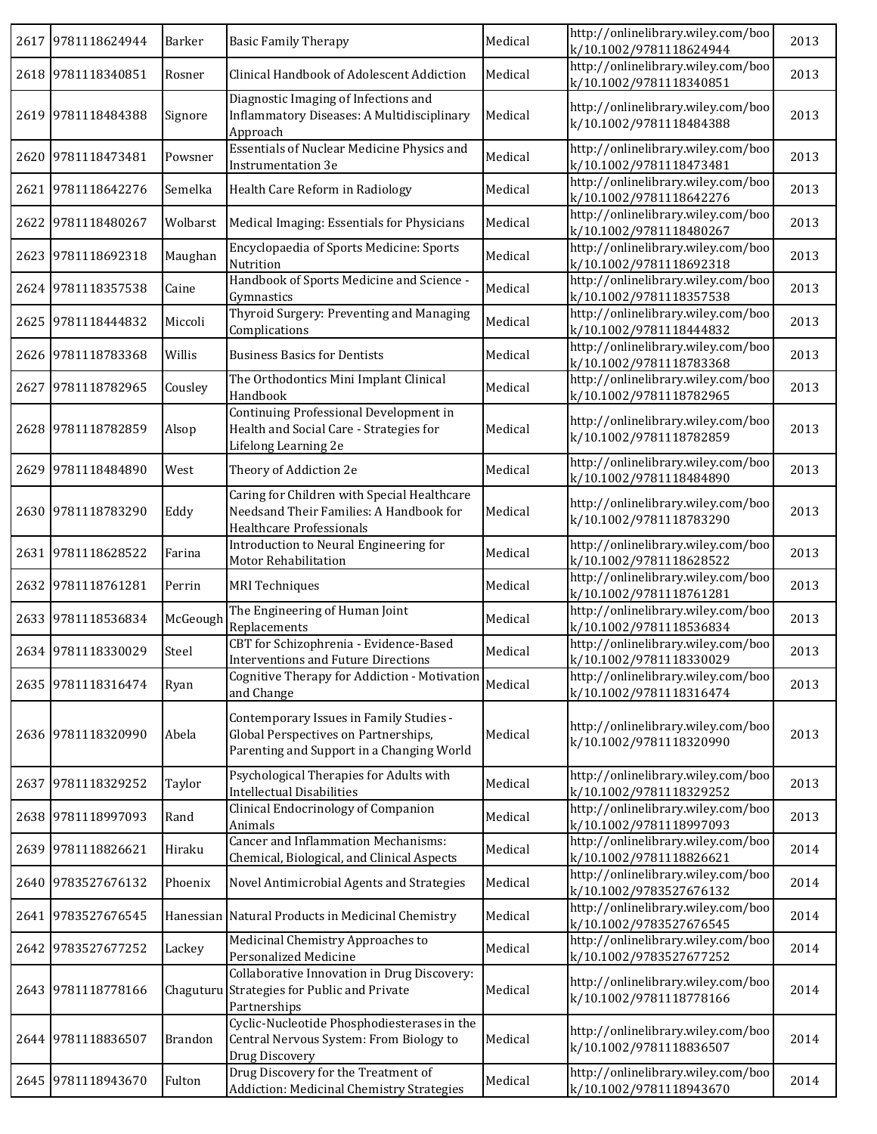|      | 2617 9781118624944 | Barker         | <b>Basic Family Therapy</b>                                                                                                  | Medical | http://onlinelibrary.wiley.com/boo<br>k/10.1002/9781118624944 | 2013 |
|------|--------------------|----------------|------------------------------------------------------------------------------------------------------------------------------|---------|---------------------------------------------------------------|------|
|      | 2618 9781118340851 | Rosner         | Clinical Handbook of Adolescent Addiction                                                                                    | Medical | http://onlinelibrary.wiley.com/boo<br>k/10.1002/9781118340851 | 2013 |
|      | 2619 9781118484388 | Signore        | Diagnostic Imaging of Infections and<br>Inflammatory Diseases: A Multidisciplinary<br>Approach                               | Medical | http://onlinelibrary.wiley.com/boo<br>k/10.1002/9781118484388 | 2013 |
|      | 2620 9781118473481 | Powsner        | Essentials of Nuclear Medicine Physics and<br>Instrumentation 3e                                                             | Medical | http://onlinelibrary.wiley.com/boo<br>k/10.1002/9781118473481 | 2013 |
|      | 2621 9781118642276 | Semelka        | Health Care Reform in Radiology                                                                                              | Medical | http://onlinelibrary.wiley.com/boo<br>k/10.1002/9781118642276 | 2013 |
|      | 2622 9781118480267 | Wolbarst       | Medical Imaging: Essentials for Physicians                                                                                   | Medical | http://onlinelibrary.wiley.com/boo<br>k/10.1002/9781118480267 | 2013 |
|      | 2623 9781118692318 | Maughan        | Encyclopaedia of Sports Medicine: Sports<br>Nutrition                                                                        | Medical | http://onlinelibrary.wiley.com/boo<br>k/10.1002/9781118692318 | 2013 |
|      | 2624 9781118357538 | Caine          | Handbook of Sports Medicine and Science -<br>Gymnastics                                                                      | Medical | http://onlinelibrary.wiley.com/boo<br>k/10.1002/9781118357538 | 2013 |
|      | 2625 9781118444832 | Miccoli        | Thyroid Surgery: Preventing and Managing<br>Complications                                                                    | Medical | http://onlinelibrary.wiley.com/boo<br>k/10.1002/9781118444832 | 2013 |
|      | 2626 9781118783368 | Willis         | <b>Business Basics for Dentists</b>                                                                                          | Medical | http://onlinelibrary.wiley.com/boo<br>k/10.1002/9781118783368 | 2013 |
| 2627 | 9781118782965      | Cousley        | The Orthodontics Mini Implant Clinical<br>Handbook                                                                           | Medical | http://onlinelibrary.wiley.com/boo<br>k/10.1002/9781118782965 | 2013 |
|      | 2628 9781118782859 | Alsop          | Continuing Professional Development in<br>Health and Social Care - Strategies for<br>Lifelong Learning 2e                    | Medical | http://onlinelibrary.wiley.com/boo<br>k/10.1002/9781118782859 | 2013 |
|      | 2629 9781118484890 | West           | Theory of Addiction 2e                                                                                                       | Medical | http://onlinelibrary.wiley.com/boo<br>k/10.1002/9781118484890 | 2013 |
|      | 2630 9781118783290 | Eddy           | Caring for Children with Special Healthcare<br>Needsand Their Families: A Handbook for<br>Healthcare Professionals           | Medical | http://onlinelibrary.wiley.com/boo<br>k/10.1002/9781118783290 | 2013 |
|      | 2631 9781118628522 | Farina         | Introduction to Neural Engineering for<br>Motor Rehabilitation                                                               | Medical | http://onlinelibrary.wiley.com/boo<br>k/10.1002/9781118628522 | 2013 |
|      | 2632 9781118761281 | Perrin         | <b>MRI</b> Techniques                                                                                                        | Medical | http://onlinelibrary.wiley.com/boo<br>k/10.1002/9781118761281 | 2013 |
|      | 2633 9781118536834 | McGeough       | The Engineering of Human Joint<br>Replacements                                                                               | Medical | http://onlinelibrary.wiley.com/boo<br>k/10.1002/9781118536834 | 2013 |
|      | 2634 9781118330029 | Steel          | CBT for Schizophrenia - Evidence-Based<br>Interventions and Future Directions                                                | Medical | http://onlinelibrary.wiley.com/boo<br>k/10.1002/9781118330029 | 2013 |
|      | 2635 9781118316474 | Ryan           | Cognitive Therapy for Addiction - Motivation<br>and Change                                                                   | Medical | http://onlinelibrary.wiley.com/boo<br>k/10.1002/9781118316474 | 2013 |
|      | 2636 9781118320990 | Abela          | Contemporary Issues in Family Studies -<br>Global Perspectives on Partnerships,<br>Parenting and Support in a Changing World | Medical | http://onlinelibrary.wiley.com/boo<br>k/10.1002/9781118320990 | 2013 |
|      | 2637 9781118329252 | Taylor         | Psychological Therapies for Adults with<br><b>Intellectual Disabilities</b>                                                  | Medical | http://onlinelibrary.wiley.com/boo<br>k/10.1002/9781118329252 | 2013 |
|      | 2638 9781118997093 | Rand           | Clinical Endocrinology of Companion<br>Animals                                                                               | Medical | http://onlinelibrary.wiley.com/boo<br>k/10.1002/9781118997093 | 2013 |
|      | 2639 9781118826621 | Hiraku         | <b>Cancer and Inflammation Mechanisms:</b><br>Chemical, Biological, and Clinical Aspects                                     | Medical | http://onlinelibrary.wiley.com/boo<br>k/10.1002/9781118826621 | 2014 |
|      | 2640 9783527676132 | Phoenix        | Novel Antimicrobial Agents and Strategies                                                                                    | Medical | http://onlinelibrary.wiley.com/boo<br>k/10.1002/9783527676132 | 2014 |
|      | 2641 9783527676545 |                | Hanessian Natural Products in Medicinal Chemistry                                                                            | Medical | http://onlinelibrary.wiley.com/boo<br>k/10.1002/9783527676545 | 2014 |
|      | 2642 9783527677252 | Lackey         | Medicinal Chemistry Approaches to<br>Personalized Medicine                                                                   | Medical | http://onlinelibrary.wiley.com/boo<br>k/10.1002/9783527677252 | 2014 |
|      | 2643 9781118778166 | Chaguturu      | Collaborative Innovation in Drug Discovery:<br>Strategies for Public and Private<br>Partnerships                             | Medical | http://onlinelibrary.wiley.com/boo<br>k/10.1002/9781118778166 | 2014 |
|      | 2644 9781118836507 | <b>Brandon</b> | Cyclic-Nucleotide Phosphodiesterases in the<br>Central Nervous System: From Biology to<br>Drug Discovery                     | Medical | http://onlinelibrary.wiley.com/boo<br>k/10.1002/9781118836507 | 2014 |
|      | 2645 9781118943670 | Fulton         | Drug Discovery for the Treatment of<br>Addiction: Medicinal Chemistry Strategies                                             | Medical | http://onlinelibrary.wiley.com/boo<br>k/10.1002/9781118943670 | 2014 |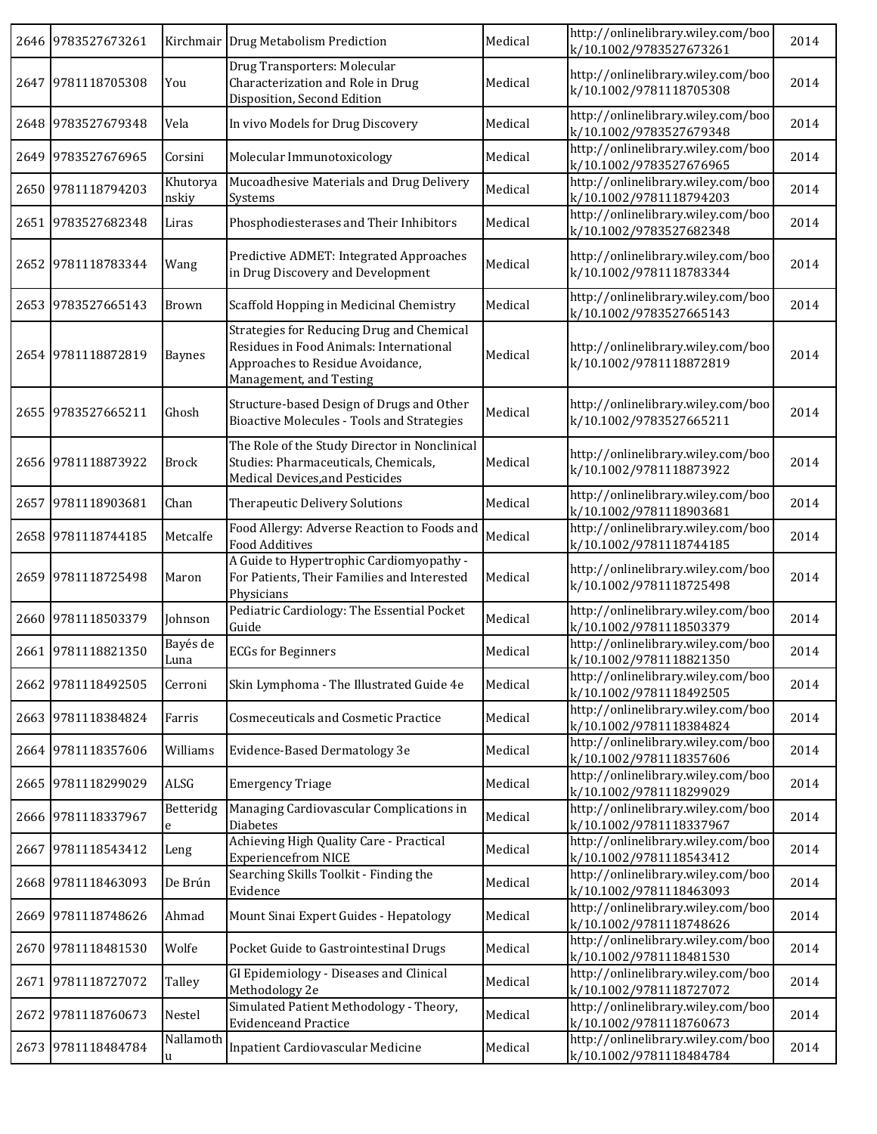| 2646 9783527673261 |                   | Kirchmair Drug Metabolism Prediction                                                                                                                | Medical | http://onlinelibrary.wiley.com/boo<br>k/10.1002/9783527673261 | 2014 |
|--------------------|-------------------|-----------------------------------------------------------------------------------------------------------------------------------------------------|---------|---------------------------------------------------------------|------|
| 2647 9781118705308 | You               | Drug Transporters: Molecular<br>Characterization and Role in Drug<br>Disposition, Second Edition                                                    | Medical | http://onlinelibrary.wiley.com/boo<br>k/10.1002/9781118705308 | 2014 |
| 2648 9783527679348 | Vela              | In vivo Models for Drug Discovery                                                                                                                   | Medical | http://onlinelibrary.wiley.com/boo<br>k/10.1002/9783527679348 | 2014 |
| 2649 9783527676965 | Corsini           | Molecular Immunotoxicology                                                                                                                          | Medical | http://onlinelibrary.wiley.com/boo<br>k/10.1002/9783527676965 | 2014 |
| 2650 9781118794203 | Khutorya<br>nskiy | Mucoadhesive Materials and Drug Delivery<br>Systems                                                                                                 | Medical | http://onlinelibrary.wiley.com/boo<br>k/10.1002/9781118794203 | 2014 |
| 2651 9783527682348 | Liras             | Phosphodiesterases and Their Inhibitors                                                                                                             | Medical | http://onlinelibrary.wiley.com/boo<br>k/10.1002/9783527682348 | 2014 |
| 2652 9781118783344 | Wang              | Predictive ADMET: Integrated Approaches<br>in Drug Discovery and Development                                                                        | Medical | http://onlinelibrary.wiley.com/boo<br>k/10.1002/9781118783344 | 2014 |
| 2653 9783527665143 | Brown             | Scaffold Hopping in Medicinal Chemistry                                                                                                             | Medical | http://onlinelibrary.wiley.com/boo<br>k/10.1002/9783527665143 | 2014 |
| 2654 9781118872819 | <b>Baynes</b>     | Strategies for Reducing Drug and Chemical<br>Residues in Food Animals: International<br>Approaches to Residue Avoidance,<br>Management, and Testing | Medical | http://onlinelibrary.wiley.com/boo<br>k/10.1002/9781118872819 | 2014 |
| 2655 9783527665211 | Ghosh             | Structure-based Design of Drugs and Other<br><b>Bioactive Molecules - Tools and Strategies</b>                                                      | Medical | http://onlinelibrary.wiley.com/boo<br>k/10.1002/9783527665211 | 2014 |
| 2656 9781118873922 | <b>Brock</b>      | The Role of the Study Director in Nonclinical<br>Studies: Pharmaceuticals, Chemicals,<br>Medical Devices, and Pesticides                            | Medical | http://onlinelibrary.wiley.com/boo<br>k/10.1002/9781118873922 | 2014 |
| 2657 9781118903681 | Chan              | Therapeutic Delivery Solutions                                                                                                                      | Medical | http://onlinelibrary.wiley.com/boo<br>k/10.1002/9781118903681 | 2014 |
| 2658 9781118744185 | Metcalfe          | Food Allergy: Adverse Reaction to Foods and<br><b>Food Additives</b>                                                                                | Medical | http://onlinelibrary.wiley.com/boo<br>k/10.1002/9781118744185 | 2014 |
| 2659 9781118725498 | Maron             | A Guide to Hypertrophic Cardiomyopathy -<br>For Patients, Their Families and Interested<br>Physicians                                               | Medical | http://onlinelibrary.wiley.com/boo<br>k/10.1002/9781118725498 | 2014 |
| 2660 9781118503379 | Johnson           | Pediatric Cardiology: The Essential Pocket<br>Guide                                                                                                 | Medical | http://onlinelibrary.wiley.com/boo<br>k/10.1002/9781118503379 | 2014 |
| 2661 9781118821350 | Bayés de<br>Luna  | <b>ECGs for Beginners</b>                                                                                                                           | Medical | http://onlinelibrary.wiley.com/boo<br>k/10.1002/9781118821350 | 2014 |
| 2662 9781118492505 | Cerroni           | Skin Lymphoma - The Illustrated Guide 4e                                                                                                            | Medical | http://onlinelibrary.wiley.com/boo<br>k/10.1002/9781118492505 | 2014 |
| 2663 9781118384824 | Farris            | <b>Cosmeceuticals and Cosmetic Practice</b>                                                                                                         | Medical | http://onlinelibrary.wiley.com/boo<br>k/10.1002/9781118384824 | 2014 |
| 2664 9781118357606 | Williams          | Evidence-Based Dermatology 3e                                                                                                                       | Medical | http://onlinelibrary.wiley.com/boo<br>k/10.1002/9781118357606 | 2014 |
| 2665 9781118299029 | ALSG              | <b>Emergency Triage</b>                                                                                                                             | Medical | http://onlinelibrary.wiley.com/boo<br>k/10.1002/9781118299029 | 2014 |
| 2666 9781118337967 | Betteridg<br>e    | Managing Cardiovascular Complications in<br>Diabetes                                                                                                | Medical | http://onlinelibrary.wiley.com/boo<br>k/10.1002/9781118337967 | 2014 |
| 2667 9781118543412 | Leng              | Achieving High Quality Care - Practical<br><b>Experiencefrom NICE</b>                                                                               | Medical | http://onlinelibrary.wiley.com/boo<br>k/10.1002/9781118543412 | 2014 |
| 2668 9781118463093 | De Brún           | Searching Skills Toolkit - Finding the<br>Evidence                                                                                                  | Medical | http://onlinelibrary.wiley.com/boo<br>k/10.1002/9781118463093 | 2014 |
| 2669 9781118748626 | Ahmad             | Mount Sinai Expert Guides - Hepatology                                                                                                              | Medical | http://onlinelibrary.wiley.com/boo<br>k/10.1002/9781118748626 | 2014 |
| 2670 9781118481530 | Wolfe             | Pocket Guide to Gastrointestinal Drugs                                                                                                              | Medical | http://onlinelibrary.wiley.com/boo<br>k/10.1002/9781118481530 | 2014 |
| 2671 9781118727072 | Talley            | GI Epidemiology - Diseases and Clinical<br>Methodology 2e                                                                                           | Medical | http://onlinelibrary.wiley.com/boo<br>k/10.1002/9781118727072 | 2014 |
| 2672 9781118760673 | Nestel            | Simulated Patient Methodology - Theory,<br><b>Evidenceand Practice</b>                                                                              | Medical | http://onlinelibrary.wiley.com/boo<br>k/10.1002/9781118760673 | 2014 |
| 2673 9781118484784 | Nallamoth<br>u    | Inpatient Cardiovascular Medicine                                                                                                                   | Medical | http://onlinelibrary.wiley.com/boo<br>k/10.1002/9781118484784 | 2014 |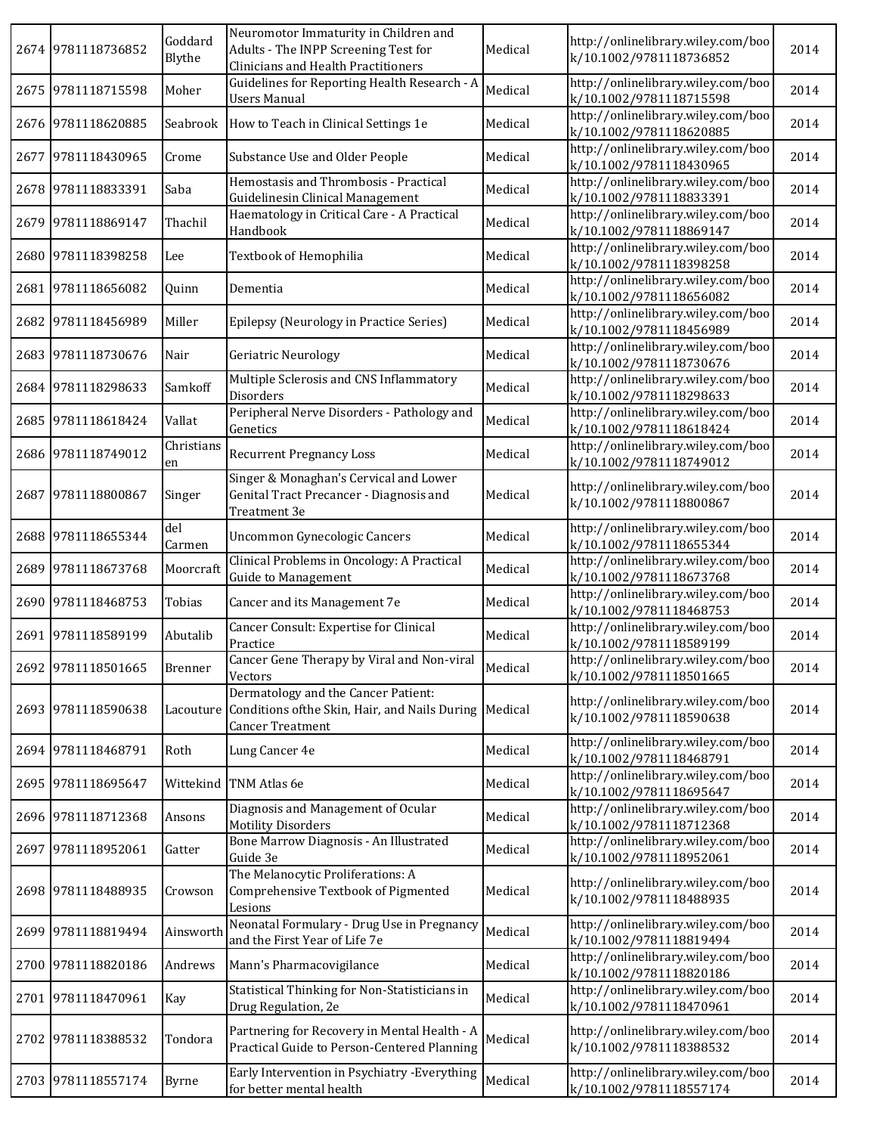|      | 2674 9781118736852 | Goddard<br>Blythe | Neuromotor Immaturity in Children and<br>Adults - The INPP Screening Test for<br><b>Clinicians and Health Practitioners</b> | Medical | http://onlinelibrary.wiley.com/boo<br>k/10.1002/9781118736852 | 2014 |
|------|--------------------|-------------------|-----------------------------------------------------------------------------------------------------------------------------|---------|---------------------------------------------------------------|------|
|      | 2675 9781118715598 | Moher             | Guidelines for Reporting Health Research - A<br><b>Users Manual</b>                                                         | Medical | http://onlinelibrary.wiley.com/boo<br>k/10.1002/9781118715598 | 2014 |
|      | 2676 9781118620885 | Seabrook          | How to Teach in Clinical Settings 1e                                                                                        | Medical | http://onlinelibrary.wiley.com/boo<br>k/10.1002/9781118620885 | 2014 |
| 2677 | 9781118430965      | Crome             | Substance Use and Older People                                                                                              | Medical | http://onlinelibrary.wiley.com/boo<br>k/10.1002/9781118430965 | 2014 |
|      | 2678 9781118833391 | Saba              | Hemostasis and Thrombosis - Practical<br>Guidelinesin Clinical Management                                                   | Medical | http://onlinelibrary.wiley.com/boo<br>k/10.1002/9781118833391 | 2014 |
| 2679 | 9781118869147      | Thachil           | Haematology in Critical Care - A Practical<br>Handbook                                                                      | Medical | http://onlinelibrary.wiley.com/boo<br>k/10.1002/9781118869147 | 2014 |
|      | 2680 9781118398258 | Lee               | Textbook of Hemophilia                                                                                                      | Medical | http://onlinelibrary.wiley.com/boo<br>k/10.1002/9781118398258 | 2014 |
| 2681 | 9781118656082      | Quinn             | Dementia                                                                                                                    | Medical | http://onlinelibrary.wiley.com/boo<br>k/10.1002/9781118656082 | 2014 |
| 2682 | 9781118456989      | Miller            | Epilepsy (Neurology in Practice Series)                                                                                     | Medical | http://onlinelibrary.wiley.com/boo<br>k/10.1002/9781118456989 | 2014 |
| 2683 | 9781118730676      | Nair              | Geriatric Neurology                                                                                                         | Medical | http://onlinelibrary.wiley.com/boo<br>k/10.1002/9781118730676 | 2014 |
|      | 2684 9781118298633 | Samkoff           | Multiple Sclerosis and CNS Inflammatory<br>Disorders                                                                        | Medical | http://onlinelibrary.wiley.com/boo<br>k/10.1002/9781118298633 | 2014 |
|      | 2685 9781118618424 | Vallat            | Peripheral Nerve Disorders - Pathology and<br>Genetics                                                                      | Medical | http://onlinelibrary.wiley.com/boo<br>k/10.1002/9781118618424 | 2014 |
|      | 2686 9781118749012 | Christians<br>en  | <b>Recurrent Pregnancy Loss</b>                                                                                             | Medical | http://onlinelibrary.wiley.com/boo<br>k/10.1002/9781118749012 | 2014 |
| 2687 | 9781118800867      | Singer            | Singer & Monaghan's Cervical and Lower<br>Genital Tract Precancer - Diagnosis and<br>Treatment 3e                           | Medical | http://onlinelibrary.wiley.com/boo<br>k/10.1002/9781118800867 | 2014 |
|      | 2688 9781118655344 | del<br>Carmen     | Uncommon Gynecologic Cancers                                                                                                | Medical | http://onlinelibrary.wiley.com/boo<br>k/10.1002/9781118655344 | 2014 |
| 2689 | 9781118673768      | Moorcraft         | Clinical Problems in Oncology: A Practical<br><b>Guide to Management</b>                                                    | Medical | http://onlinelibrary.wiley.com/boo<br>k/10.1002/9781118673768 | 2014 |
|      | 2690 9781118468753 | Tobias            | Cancer and its Management 7e                                                                                                | Medical | http://onlinelibrary.wiley.com/boo<br>k/10.1002/9781118468753 | 2014 |
|      | 2691 9781118589199 | Abutalib          | Cancer Consult: Expertise for Clinical<br>Practice                                                                          | Medical | http://onlinelibrary.wiley.com/boo<br>k/10.1002/9781118589199 | 2014 |
|      | 2692 9781118501665 | Brenner           | Cancer Gene Therapy by Viral and Non-viral<br>Vectors                                                                       | Medical | http://onlinelibrary.wiley.com/boo<br>k/10.1002/9781118501665 | 2014 |
|      | 2693 9781118590638 | Lacouture         | Dermatology and the Cancer Patient:<br>Conditions of the Skin, Hair, and Nails During<br><b>Cancer Treatment</b>            | Medical | http://onlinelibrary.wiley.com/boo<br>k/10.1002/9781118590638 | 2014 |
|      | 2694 9781118468791 | Roth              | Lung Cancer 4e                                                                                                              | Medical | http://onlinelibrary.wiley.com/boo<br>k/10.1002/9781118468791 | 2014 |
|      | 2695 9781118695647 |                   | Wittekind TNM Atlas 6e                                                                                                      | Medical | http://onlinelibrary.wiley.com/boo<br>k/10.1002/9781118695647 | 2014 |
|      | 2696 9781118712368 | Ansons            | Diagnosis and Management of Ocular<br><b>Motility Disorders</b>                                                             | Medical | http://onlinelibrary.wiley.com/boo<br>k/10.1002/9781118712368 | 2014 |
|      | 2697 9781118952061 | Gatter            | Bone Marrow Diagnosis - An Illustrated<br>Guide 3e                                                                          | Medical | http://onlinelibrary.wiley.com/boo<br>k/10.1002/9781118952061 | 2014 |
|      | 2698 9781118488935 | Crowson           | The Melanocytic Proliferations: A<br>Comprehensive Textbook of Pigmented<br>Lesions                                         | Medical | http://onlinelibrary.wiley.com/boo<br>k/10.1002/9781118488935 | 2014 |
| 2699 | 9781118819494      | Ainsworth         | Neonatal Formulary - Drug Use in Pregnancy<br>and the First Year of Life 7e                                                 | Medical | http://onlinelibrary.wiley.com/boo<br>k/10.1002/9781118819494 | 2014 |
|      | 2700 9781118820186 | Andrews           | Mann's Pharmacovigilance                                                                                                    | Medical | http://onlinelibrary.wiley.com/boo<br>k/10.1002/9781118820186 | 2014 |
|      | 2701 9781118470961 | Kay               | Statistical Thinking for Non-Statisticians in<br>Drug Regulation, 2e                                                        | Medical | http://onlinelibrary.wiley.com/boo<br>k/10.1002/9781118470961 | 2014 |
| 2702 | 9781118388532      | Tondora           | Partnering for Recovery in Mental Health - A<br>Practical Guide to Person-Centered Planning                                 | Medical | http://onlinelibrary.wiley.com/boo<br>k/10.1002/9781118388532 | 2014 |
|      | 2703 9781118557174 | Byrne             | Early Intervention in Psychiatry - Everything<br>for better mental health                                                   | Medical | http://onlinelibrary.wiley.com/boo<br>k/10.1002/9781118557174 | 2014 |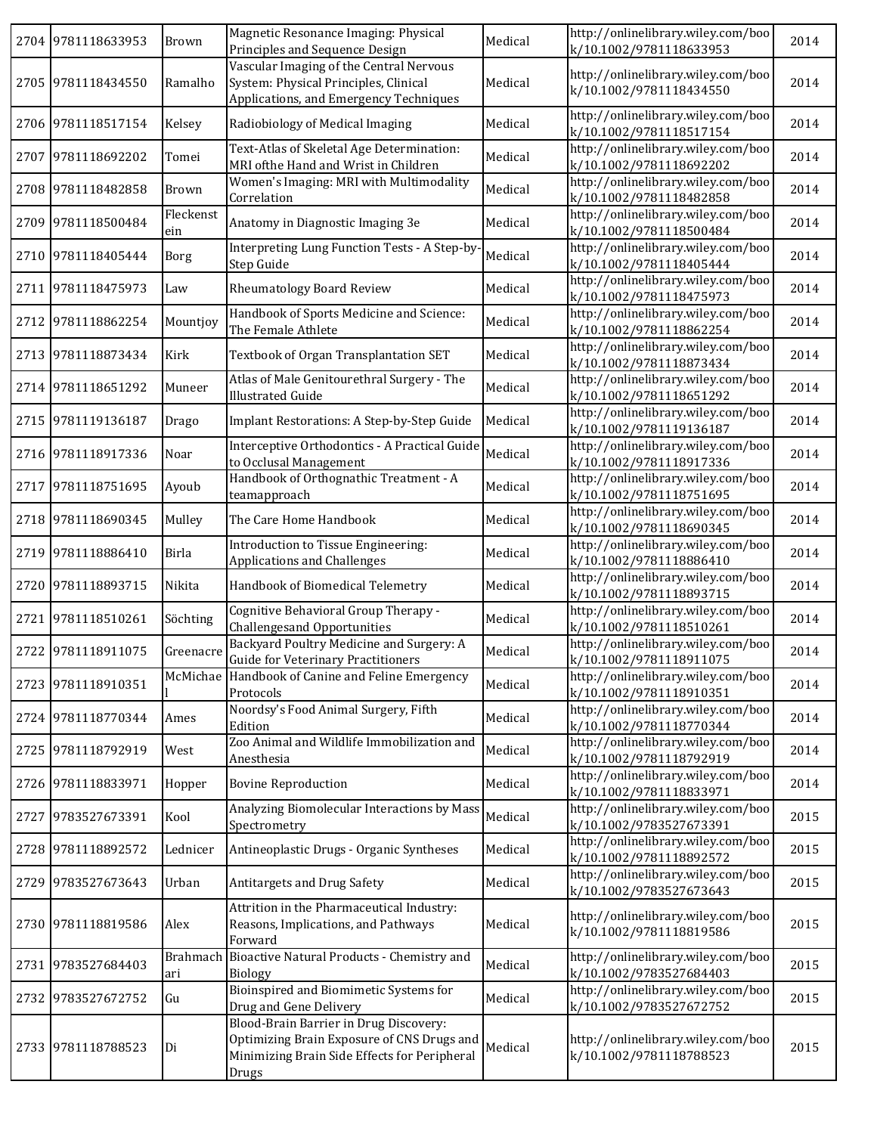|      | 2704 9781118633953 | <b>Brown</b>     | Magnetic Resonance Imaging: Physical<br>Principles and Sequence Design                                                                        | Medical | http://onlinelibrary.wiley.com/boo<br>k/10.1002/9781118633953 | 2014 |
|------|--------------------|------------------|-----------------------------------------------------------------------------------------------------------------------------------------------|---------|---------------------------------------------------------------|------|
|      | 2705 9781118434550 | Ramalho          | Vascular Imaging of the Central Nervous<br>System: Physical Principles, Clinical<br>Applications, and Emergency Techniques                    | Medical | http://onlinelibrary.wiley.com/boo<br>k/10.1002/9781118434550 | 2014 |
|      | 2706 9781118517154 | Kelsey           | Radiobiology of Medical Imaging                                                                                                               | Medical | http://onlinelibrary.wiley.com/boo<br>k/10.1002/9781118517154 | 2014 |
| 2707 | 9781118692202      | Tomei            | Text-Atlas of Skeletal Age Determination:<br>MRI ofthe Hand and Wrist in Children                                                             | Medical | http://onlinelibrary.wiley.com/boo<br>k/10.1002/9781118692202 | 2014 |
|      | 2708 9781118482858 | <b>Brown</b>     | Women's Imaging: MRI with Multimodality<br>Correlation                                                                                        | Medical | http://onlinelibrary.wiley.com/boo<br>k/10.1002/9781118482858 | 2014 |
| 2709 | 9781118500484      | Fleckenst<br>ein | Anatomy in Diagnostic Imaging 3e                                                                                                              | Medical | http://onlinelibrary.wiley.com/boo<br>k/10.1002/9781118500484 | 2014 |
|      | 2710 9781118405444 | <b>Borg</b>      | Interpreting Lung Function Tests - A Step-by<br>Step Guide                                                                                    | Medical | http://onlinelibrary.wiley.com/boo<br>k/10.1002/9781118405444 | 2014 |
| 2711 | 9781118475973      | Law              | <b>Rheumatology Board Review</b>                                                                                                              | Medical | http://onlinelibrary.wiley.com/boo<br>k/10.1002/9781118475973 | 2014 |
| 2712 | 9781118862254      | Mountjoy         | Handbook of Sports Medicine and Science:<br>The Female Athlete                                                                                | Medical | http://onlinelibrary.wiley.com/boo<br>k/10.1002/9781118862254 | 2014 |
| 2713 | 9781118873434      | Kirk             | Textbook of Organ Transplantation SET                                                                                                         | Medical | http://onlinelibrary.wiley.com/boo<br>k/10.1002/9781118873434 | 2014 |
|      | 2714 9781118651292 | Muneer           | Atlas of Male Genitourethral Surgery - The<br><b>Illustrated Guide</b>                                                                        | Medical | http://onlinelibrary.wiley.com/boo<br>k/10.1002/9781118651292 | 2014 |
|      | 2715 9781119136187 | Drago            | Implant Restorations: A Step-by-Step Guide                                                                                                    | Medical | http://onlinelibrary.wiley.com/boo<br>k/10.1002/9781119136187 | 2014 |
|      | 2716 9781118917336 | Noar             | Interceptive Orthodontics - A Practical Guide<br>to Occlusal Management                                                                       | Medical | http://onlinelibrary.wiley.com/boo<br>k/10.1002/9781118917336 | 2014 |
|      | 2717 9781118751695 | Ayoub            | Handbook of Orthognathic Treatment - A<br>teamapproach                                                                                        | Medical | http://onlinelibrary.wiley.com/boo<br>k/10.1002/9781118751695 | 2014 |
|      | 2718 9781118690345 | Mulley           | The Care Home Handbook                                                                                                                        | Medical | http://onlinelibrary.wiley.com/boo<br>k/10.1002/9781118690345 | 2014 |
|      | 2719 9781118886410 | Birla            | Introduction to Tissue Engineering:<br><b>Applications and Challenges</b>                                                                     | Medical | http://onlinelibrary.wiley.com/boo<br>k/10.1002/9781118886410 | 2014 |
|      | 2720 9781118893715 | Nikita           | Handbook of Biomedical Telemetry                                                                                                              | Medical | http://onlinelibrary.wiley.com/boo<br>k/10.1002/9781118893715 | 2014 |
|      | 2721 9781118510261 | Söchting         | Cognitive Behavioral Group Therapy -<br><b>Challengesand Opportunities</b>                                                                    | Medical | http://onlinelibrary.wiley.com/boo<br>k/10.1002/9781118510261 | 2014 |
|      | 2722 9781118911075 | Greenacre        | Backyard Poultry Medicine and Surgery: A<br><b>Guide for Veterinary Practitioners</b>                                                         | Medical | http://onlinelibrary.wiley.com/boo<br>k/10.1002/9781118911075 | 2014 |
|      | 2723 9781118910351 |                  | McMichae Handbook of Canine and Feline Emergency<br>Protocols                                                                                 | Medical | http://onlinelibrary.wiley.com/boo<br>k/10.1002/9781118910351 | 2014 |
|      | 2724 9781118770344 | Ames             | Noordsy's Food Animal Surgery, Fifth<br>Edition                                                                                               | Medical | http://onlinelibrary.wiley.com/boo<br>k/10.1002/9781118770344 | 2014 |
|      | 2725 9781118792919 | West             | Zoo Animal and Wildlife Immobilization and<br>Anesthesia                                                                                      | Medical | http://onlinelibrary.wiley.com/boo<br>k/10.1002/9781118792919 | 2014 |
|      | 2726 9781118833971 | Hopper           | <b>Bovine Reproduction</b>                                                                                                                    | Medical | http://onlinelibrary.wiley.com/boo<br>k/10.1002/9781118833971 | 2014 |
| 2727 | 9783527673391      | Kool             | Analyzing Biomolecular Interactions by Mass<br>Spectrometry                                                                                   | Medical | http://onlinelibrary.wiley.com/boo<br>k/10.1002/9783527673391 | 2015 |
|      | 2728 9781118892572 | Lednicer         | Antineoplastic Drugs - Organic Syntheses                                                                                                      | Medical | http://onlinelibrary.wiley.com/boo<br>k/10.1002/9781118892572 | 2015 |
|      | 2729 9783527673643 | Urban            | Antitargets and Drug Safety                                                                                                                   | Medical | http://onlinelibrary.wiley.com/boo<br>k/10.1002/9783527673643 | 2015 |
|      | 2730 9781118819586 | Alex             | Attrition in the Pharmaceutical Industry:<br>Reasons, Implications, and Pathways<br>Forward                                                   | Medical | http://onlinelibrary.wiley.com/boo<br>k/10.1002/9781118819586 | 2015 |
| 2731 | 9783527684403      | Brahmach<br>ari  | Bioactive Natural Products - Chemistry and<br><b>Biology</b>                                                                                  | Medical | http://onlinelibrary.wiley.com/boo<br>k/10.1002/9783527684403 | 2015 |
| 2732 | 9783527672752      | Gu               | Bioinspired and Biomimetic Systems for<br>Drug and Gene Delivery                                                                              | Medical | http://onlinelibrary.wiley.com/boo<br>k/10.1002/9783527672752 | 2015 |
|      | 2733 9781118788523 | Di               | Blood-Brain Barrier in Drug Discovery:<br>Optimizing Brain Exposure of CNS Drugs and<br>Minimizing Brain Side Effects for Peripheral<br>Drugs | Medical | http://onlinelibrary.wiley.com/boo<br>k/10.1002/9781118788523 | 2015 |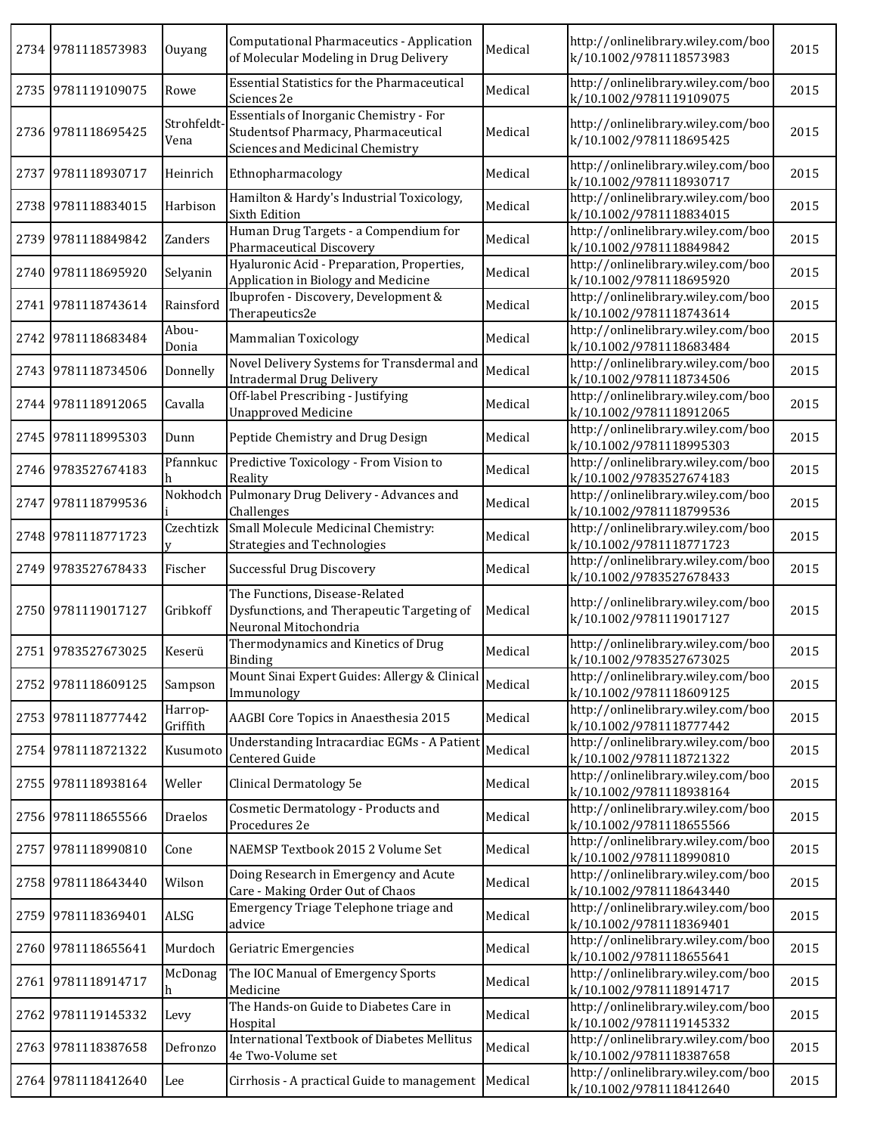|      | 2734 9781118573983 | Ouyang              | Computational Pharmaceutics - Application<br>of Molecular Modeling in Drug Delivery                                       | Medical | http://onlinelibrary.wiley.com/boo<br>k/10.1002/9781118573983 | 2015 |
|------|--------------------|---------------------|---------------------------------------------------------------------------------------------------------------------------|---------|---------------------------------------------------------------|------|
|      | 2735 9781119109075 | Rowe                | <b>Essential Statistics for the Pharmaceutical</b><br>Sciences 2e                                                         | Medical | http://onlinelibrary.wiley.com/boo<br>k/10.1002/9781119109075 | 2015 |
|      | 2736 9781118695425 | Strohfeldt<br>Vena  | <b>Essentials of Inorganic Chemistry - For</b><br>Studentsof Pharmacy, Pharmaceutical<br>Sciences and Medicinal Chemistry | Medical | http://onlinelibrary.wiley.com/boo<br>k/10.1002/9781118695425 | 2015 |
|      | 2737 9781118930717 | Heinrich            | Ethnopharmacology                                                                                                         | Medical | http://onlinelibrary.wiley.com/boo<br>k/10.1002/9781118930717 | 2015 |
|      | 2738 9781118834015 | Harbison            | Hamilton & Hardy's Industrial Toxicology,<br><b>Sixth Edition</b>                                                         | Medical | http://onlinelibrary.wiley.com/boo<br>k/10.1002/9781118834015 | 2015 |
|      | 2739 9781118849842 | Zanders             | Human Drug Targets - a Compendium for<br>Pharmaceutical Discovery                                                         | Medical | http://onlinelibrary.wiley.com/boo<br>k/10.1002/9781118849842 | 2015 |
|      | 2740 9781118695920 | Selyanin            | Hyaluronic Acid - Preparation, Properties,<br>Application in Biology and Medicine                                         | Medical | http://onlinelibrary.wiley.com/boo<br>k/10.1002/9781118695920 | 2015 |
|      | 2741 9781118743614 | Rainsford           | Ibuprofen - Discovery, Development &<br>Therapeutics2e                                                                    | Medical | http://onlinelibrary.wiley.com/boo<br>k/10.1002/9781118743614 | 2015 |
|      | 2742 9781118683484 | Abou-<br>Donia      | Mammalian Toxicology                                                                                                      | Medical | http://onlinelibrary.wiley.com/boo<br>k/10.1002/9781118683484 | 2015 |
|      | 2743 9781118734506 | Donnelly            | Novel Delivery Systems for Transdermal and<br><b>Intradermal Drug Delivery</b>                                            | Medical | http://onlinelibrary.wiley.com/boo<br>k/10.1002/9781118734506 | 2015 |
|      | 2744 9781118912065 | Cavalla             | Off-label Prescribing - Justifying<br><b>Unapproved Medicine</b>                                                          | Medical | http://onlinelibrary.wiley.com/boo<br>k/10.1002/9781118912065 | 2015 |
|      | 2745 9781118995303 | Dunn                | Peptide Chemistry and Drug Design                                                                                         | Medical | http://onlinelibrary.wiley.com/boo<br>k/10.1002/9781118995303 | 2015 |
|      | 2746 9783527674183 | Pfannkuc            | Predictive Toxicology - From Vision to<br>Reality                                                                         | Medical | http://onlinelibrary.wiley.com/boo<br>k/10.1002/9783527674183 | 2015 |
| 2747 | 9781118799536      |                     | Nokhodch Pulmonary Drug Delivery - Advances and<br>Challenges                                                             | Medical | http://onlinelibrary.wiley.com/boo<br>k/10.1002/9781118799536 | 2015 |
|      | 2748 9781118771723 | Czechtizk           | Small Molecule Medicinal Chemistry:<br><b>Strategies and Technologies</b>                                                 | Medical | http://onlinelibrary.wiley.com/boo<br>k/10.1002/9781118771723 | 2015 |
|      | 2749 9783527678433 | Fischer             | Successful Drug Discovery                                                                                                 | Medical | http://onlinelibrary.wiley.com/boo<br>k/10.1002/9783527678433 | 2015 |
|      | 2750 9781119017127 | Gribkoff            | The Functions, Disease-Related<br>Dysfunctions, and Therapeutic Targeting of<br>Neuronal Mitochondria                     | Medical | http://onlinelibrary.wiley.com/boo<br>k/10.1002/9781119017127 | 2015 |
|      | 2751 9783527673025 | Keserü              | Thermodynamics and Kinetics of Drug<br>Binding                                                                            | Medical | http://onlinelibrary.wiley.com/boo<br>k/10.1002/9783527673025 | 2015 |
|      | 2752 9781118609125 | Sampson             | Mount Sinai Expert Guides: Allergy & Clinical<br>Immunology                                                               | Medical | http://onlinelibrary.wiley.com/boo<br>k/10.1002/9781118609125 | 2015 |
|      | 2753 9781118777442 | Harrop-<br>Griffith | AAGBI Core Topics in Anaesthesia 2015                                                                                     | Medical | http://onlinelibrary.wiley.com/boo<br>k/10.1002/9781118777442 | 2015 |
|      | 2754 9781118721322 | Kusumoto            | Understanding Intracardiac EGMs - A Patient<br>Centered Guide                                                             | Medical | http://onlinelibrary.wiley.com/boo<br>k/10.1002/9781118721322 | 2015 |
|      | 2755 9781118938164 | Weller              | Clinical Dermatology 5e                                                                                                   | Medical | http://onlinelibrary.wiley.com/boo<br>k/10.1002/9781118938164 | 2015 |
|      | 2756 9781118655566 | Draelos             | Cosmetic Dermatology - Products and<br>Procedures 2e                                                                      | Medical | http://onlinelibrary.wiley.com/boo<br>k/10.1002/9781118655566 | 2015 |
|      | 2757 9781118990810 | Cone                | NAEMSP Textbook 2015 2 Volume Set                                                                                         | Medical | http://onlinelibrary.wiley.com/boo<br>k/10.1002/9781118990810 | 2015 |
|      | 2758 9781118643440 | Wilson              | Doing Research in Emergency and Acute<br>Care - Making Order Out of Chaos                                                 | Medical | http://onlinelibrary.wiley.com/boo<br>k/10.1002/9781118643440 | 2015 |
|      | 2759 9781118369401 | ALSG                | Emergency Triage Telephone triage and<br>advice                                                                           | Medical | http://onlinelibrary.wiley.com/boo<br>k/10.1002/9781118369401 | 2015 |
|      | 2760 9781118655641 | Murdoch             | Geriatric Emergencies                                                                                                     | Medical | http://onlinelibrary.wiley.com/boo<br>k/10.1002/9781118655641 | 2015 |
| 2761 | 9781118914717      | McDonag<br>h        | The IOC Manual of Emergency Sports<br>Medicine                                                                            | Medical | http://onlinelibrary.wiley.com/boo<br>k/10.1002/9781118914717 | 2015 |
| 2762 | 9781119145332      | Levy                | The Hands-on Guide to Diabetes Care in<br>Hospital                                                                        | Medical | http://onlinelibrary.wiley.com/boo<br>k/10.1002/9781119145332 | 2015 |
|      | 2763 9781118387658 | Defronzo            | International Textbook of Diabetes Mellitus<br>4e Two-Volume set                                                          | Medical | http://onlinelibrary.wiley.com/boo<br>k/10.1002/9781118387658 | 2015 |
|      | 2764 9781118412640 | Lee                 | Cirrhosis - A practical Guide to management   Medical                                                                     |         | http://onlinelibrary.wiley.com/boo<br>k/10.1002/9781118412640 | 2015 |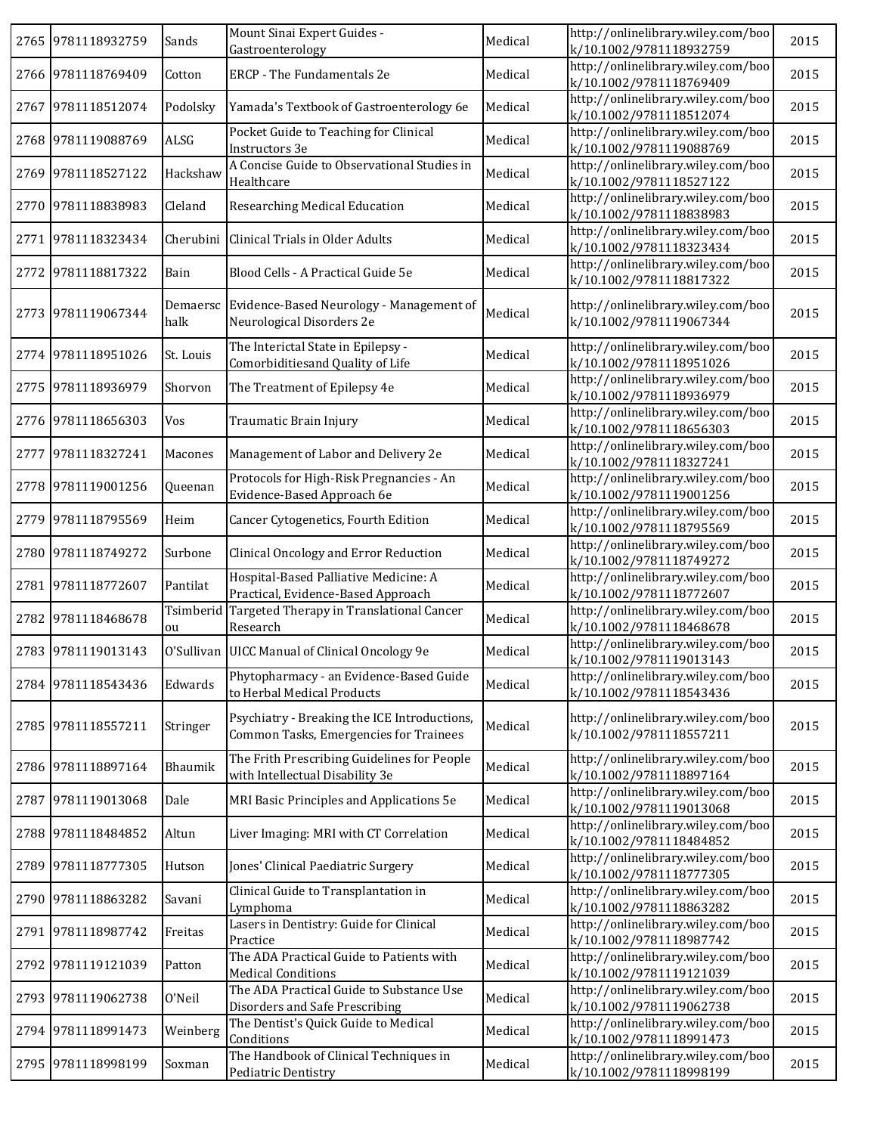|      | 2765 9781118932759 | Sands     | Mount Sinai Expert Guides -<br>Gastroenterology                                        | Medical | http://onlinelibrary.wiley.com/boo<br>k/10.1002/9781118932759 | 2015 |
|------|--------------------|-----------|----------------------------------------------------------------------------------------|---------|---------------------------------------------------------------|------|
|      | 2766 9781118769409 | Cotton    | <b>ERCP</b> - The Fundamentals 2e                                                      | Medical | http://onlinelibrary.wiley.com/boo<br>k/10.1002/9781118769409 | 2015 |
|      | 2767 9781118512074 | Podolsky  | Yamada's Textbook of Gastroenterology 6e                                               | Medical | http://onlinelibrary.wiley.com/boo<br>k/10.1002/9781118512074 | 2015 |
|      | 2768 9781119088769 | ALSG      | Pocket Guide to Teaching for Clinical<br>Instructors 3e                                | Medical | http://onlinelibrary.wiley.com/boo<br>k/10.1002/9781119088769 | 2015 |
|      | 2769 9781118527122 | Hackshaw  | A Concise Guide to Observational Studies in<br>Healthcare                              | Medical | http://onlinelibrary.wiley.com/boo<br>k/10.1002/9781118527122 | 2015 |
|      | 2770 9781118838983 | Cleland   | Researching Medical Education                                                          | Medical | http://onlinelibrary.wiley.com/boo<br>k/10.1002/9781118838983 | 2015 |
|      | 2771 9781118323434 |           | Cherubini Clinical Trials in Older Adults                                              | Medical | http://onlinelibrary.wiley.com/boo<br>k/10.1002/9781118323434 | 2015 |
|      | 2772 9781118817322 | Bain      | Blood Cells - A Practical Guide 5e                                                     | Medical | http://onlinelibrary.wiley.com/boo<br>k/10.1002/9781118817322 | 2015 |
|      | 2773 9781119067344 | halk      | Demaersc Evidence-Based Neurology - Management of<br>Neurological Disorders 2e         | Medical | http://onlinelibrary.wiley.com/boo<br>k/10.1002/9781119067344 | 2015 |
|      | 2774 9781118951026 | St. Louis | The Interictal State in Epilepsy -<br>Comorbiditiesand Quality of Life                 | Medical | http://onlinelibrary.wiley.com/boo<br>k/10.1002/9781118951026 | 2015 |
| 2775 | 9781118936979      | Shorvon   | The Treatment of Epilepsy 4e                                                           | Medical | http://onlinelibrary.wiley.com/boo<br>k/10.1002/9781118936979 | 2015 |
|      | 2776 9781118656303 | Vos       | Traumatic Brain Injury                                                                 | Medical | http://onlinelibrary.wiley.com/boo<br>k/10.1002/9781118656303 | 2015 |
|      | 2777 9781118327241 | Macones   | Management of Labor and Delivery 2e                                                    | Medical | http://onlinelibrary.wiley.com/boo<br>k/10.1002/9781118327241 | 2015 |
|      | 2778 9781119001256 | Queenan   | Protocols for High-Risk Pregnancies - An<br>Evidence-Based Approach 6e                 | Medical | http://onlinelibrary.wiley.com/boo<br>k/10.1002/9781119001256 | 2015 |
|      | 2779 9781118795569 | Heim      | Cancer Cytogenetics, Fourth Edition                                                    | Medical | http://onlinelibrary.wiley.com/boo<br>k/10.1002/9781118795569 | 2015 |
|      | 2780 9781118749272 | Surbone   | Clinical Oncology and Error Reduction                                                  | Medical | http://onlinelibrary.wiley.com/boo<br>k/10.1002/9781118749272 | 2015 |
|      | 2781 9781118772607 | Pantilat  | Hospital-Based Palliative Medicine: A<br>Practical, Evidence-Based Approach            | Medical | http://onlinelibrary.wiley.com/boo<br>k/10.1002/9781118772607 | 2015 |
|      | 2782 9781118468678 | ou        | Tsimberid Targeted Therapy in Translational Cancer<br>Research                         | Medical | http://onlinelibrary.wiley.com/boo<br>k/10.1002/9781118468678 | 2015 |
|      | 2783 9781119013143 |           | O'Sullivan UICC Manual of Clinical Oncology 9e                                         | Medical | http://onlinelibrary.wiley.com/boo<br>k/10.1002/9781119013143 | 2015 |
|      | 2784 9781118543436 | Edwards   | Phytopharmacy - an Evidence-Based Guide<br>to Herbal Medical Products                  | Medical | http://onlinelibrary.wiley.com/boo<br>k/10.1002/9781118543436 | 2015 |
|      | 2785 9781118557211 | Stringer  | Psychiatry - Breaking the ICE Introductions,<br>Common Tasks, Emergencies for Trainees | Medical | http://onlinelibrary.wiley.com/boo<br>k/10.1002/9781118557211 | 2015 |
|      | 2786 9781118897164 | Bhaumik   | The Frith Prescribing Guidelines for People<br>with Intellectual Disability 3e         | Medical | http://onlinelibrary.wiley.com/boo<br>k/10.1002/9781118897164 | 2015 |
| 2787 | 9781119013068      | Dale      | MRI Basic Principles and Applications 5e                                               | Medical | http://onlinelibrary.wiley.com/boo<br>k/10.1002/9781119013068 | 2015 |
|      | 2788 9781118484852 | Altun     | Liver Imaging: MRI with CT Correlation                                                 | Medical | http://onlinelibrary.wiley.com/boo<br>k/10.1002/9781118484852 | 2015 |
|      | 2789 9781118777305 | Hutson    | Jones' Clinical Paediatric Surgery                                                     | Medical | http://onlinelibrary.wiley.com/boo<br>k/10.1002/9781118777305 | 2015 |
|      | 2790 9781118863282 | Savani    | Clinical Guide to Transplantation in<br>Lymphoma                                       | Medical | http://onlinelibrary.wiley.com/boo<br>k/10.1002/9781118863282 | 2015 |
| 2791 | 9781118987742      | Freitas   | Lasers in Dentistry: Guide for Clinical<br>Practice                                    | Medical | http://onlinelibrary.wiley.com/boo<br>k/10.1002/9781118987742 | 2015 |
| 2792 | 9781119121039      | Patton    | The ADA Practical Guide to Patients with<br><b>Medical Conditions</b>                  | Medical | http://onlinelibrary.wiley.com/boo<br>k/10.1002/9781119121039 | 2015 |
|      | 2793 9781119062738 | 0'Neil    | The ADA Practical Guide to Substance Use<br>Disorders and Safe Prescribing             | Medical | http://onlinelibrary.wiley.com/boo<br>k/10.1002/9781119062738 | 2015 |
|      | 2794 9781118991473 | Weinberg  | The Dentist's Quick Guide to Medical<br>Conditions                                     | Medical | http://onlinelibrary.wiley.com/boo<br>k/10.1002/9781118991473 | 2015 |
|      | 2795 9781118998199 | Soxman    | The Handbook of Clinical Techniques in<br>Pediatric Dentistry                          | Medical | http://onlinelibrary.wiley.com/boo<br>k/10.1002/9781118998199 | 2015 |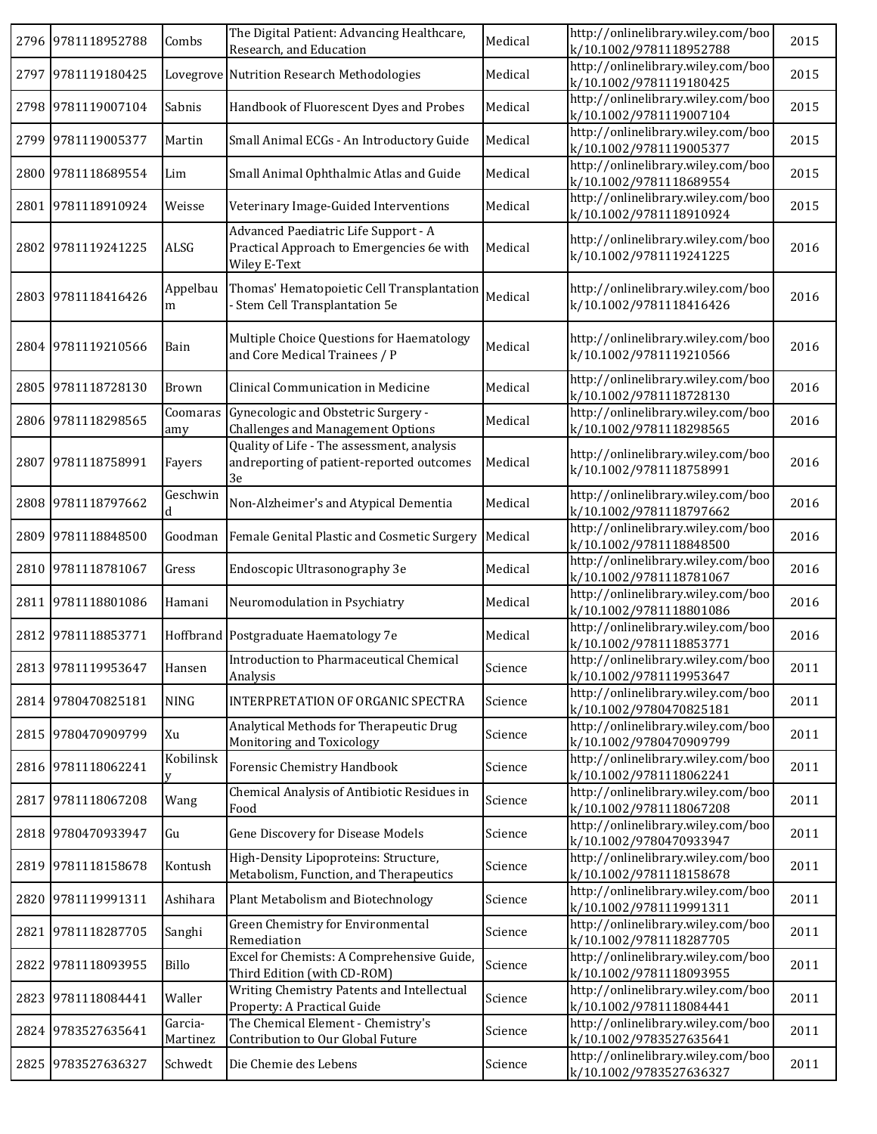|      | 2796 9781118952788 | Combs               | The Digital Patient: Advancing Healthcare,<br>Research, and Education                             | Medical | http://onlinelibrary.wiley.com/boo<br>k/10.1002/9781118952788 | 2015 |
|------|--------------------|---------------------|---------------------------------------------------------------------------------------------------|---------|---------------------------------------------------------------|------|
|      | 2797 9781119180425 |                     | Lovegrove Nutrition Research Methodologies                                                        | Medical | http://onlinelibrary.wiley.com/boo<br>k/10.1002/9781119180425 | 2015 |
|      | 2798 9781119007104 | Sabnis              | Handbook of Fluorescent Dyes and Probes                                                           | Medical | http://onlinelibrary.wiley.com/boo<br>k/10.1002/9781119007104 | 2015 |
|      | 2799 9781119005377 | Martin              | Small Animal ECGs - An Introductory Guide                                                         | Medical | http://onlinelibrary.wiley.com/boo<br>k/10.1002/9781119005377 | 2015 |
|      | 2800 9781118689554 | Lim                 | Small Animal Ophthalmic Atlas and Guide                                                           | Medical | http://onlinelibrary.wiley.com/boo<br>k/10.1002/9781118689554 | 2015 |
|      | 2801 9781118910924 | Weisse              | Veterinary Image-Guided Interventions                                                             | Medical | http://onlinelibrary.wiley.com/boo<br>k/10.1002/9781118910924 | 2015 |
|      | 2802 9781119241225 | ALSG                | Advanced Paediatric Life Support - A<br>Practical Approach to Emergencies 6e with<br>Wiley E-Text | Medical | http://onlinelibrary.wiley.com/boo<br>k/10.1002/9781119241225 | 2016 |
|      | 2803 9781118416426 | Appelbau<br>m       | Thomas' Hematopoietic Cell Transplantation<br>- Stem Cell Transplantation 5e                      | Medical | http://onlinelibrary.wiley.com/boo<br>k/10.1002/9781118416426 | 2016 |
|      | 2804 9781119210566 | Bain                | Multiple Choice Questions for Haematology<br>and Core Medical Trainees / P                        | Medical | http://onlinelibrary.wiley.com/boo<br>k/10.1002/9781119210566 | 2016 |
|      | 2805 9781118728130 | Brown               | Clinical Communication in Medicine                                                                | Medical | http://onlinelibrary.wiley.com/boo<br>k/10.1002/9781118728130 | 2016 |
|      | 2806 9781118298565 | Coomaras<br>amy     | Gynecologic and Obstetric Surgery -<br>Challenges and Management Options                          | Medical | http://onlinelibrary.wiley.com/boo<br>k/10.1002/9781118298565 | 2016 |
|      | 2807 9781118758991 | Fayers              | Quality of Life - The assessment, analysis<br>andreporting of patient-reported outcomes<br>3e     | Medical | http://onlinelibrary.wiley.com/boo<br>k/10.1002/9781118758991 | 2016 |
|      | 2808 9781118797662 | Geschwin<br>d       | Non-Alzheimer's and Atypical Dementia                                                             | Medical | http://onlinelibrary.wiley.com/boo<br>k/10.1002/9781118797662 | 2016 |
|      | 2809 9781118848500 | Goodman             | Female Genital Plastic and Cosmetic Surgery                                                       | Medical | http://onlinelibrary.wiley.com/boo<br>k/10.1002/9781118848500 | 2016 |
|      | 2810 9781118781067 | Gress               | Endoscopic Ultrasonography 3e                                                                     | Medical | http://onlinelibrary.wiley.com/boo<br>k/10.1002/9781118781067 | 2016 |
|      | 2811 9781118801086 | Hamani              | Neuromodulation in Psychiatry                                                                     | Medical | http://onlinelibrary.wiley.com/boo<br>k/10.1002/9781118801086 | 2016 |
|      | 2812 9781118853771 |                     | Hoffbrand Postgraduate Haematology 7e                                                             | Medical | http://onlinelibrary.wiley.com/boo<br>k/10.1002/9781118853771 | 2016 |
|      | 2813 9781119953647 | Hansen              | Introduction to Pharmaceutical Chemical<br>Analysis                                               | Science | http://onlinelibrary.wiley.com/boo<br>k/10.1002/9781119953647 | 2011 |
|      | 2814 9780470825181 | <b>NING</b>         | INTERPRETATION OF ORGANIC SPECTRA                                                                 | Science | http://onlinelibrary.wiley.com/boo<br>k/10.1002/9780470825181 | 2011 |
|      | 2815 9780470909799 | Xu                  | Analytical Methods for Therapeutic Drug<br>Monitoring and Toxicology                              | Science | http://onlinelibrary.wiley.com/boo<br>k/10.1002/9780470909799 | 2011 |
|      | 2816 9781118062241 | Kobilinsk<br>v      | Forensic Chemistry Handbook                                                                       | Science | http://onlinelibrary.wiley.com/boo<br>k/10.1002/9781118062241 | 2011 |
|      | 2817 9781118067208 | Wang                | Chemical Analysis of Antibiotic Residues in<br>Food                                               | Science | http://onlinelibrary.wiley.com/boo<br>k/10.1002/9781118067208 | 2011 |
|      | 2818 9780470933947 | Gu                  | Gene Discovery for Disease Models                                                                 | Science | http://onlinelibrary.wiley.com/boo<br>k/10.1002/9780470933947 | 2011 |
|      | 2819 9781118158678 | Kontush             | High-Density Lipoproteins: Structure,<br>Metabolism, Function, and Therapeutics                   | Science | http://onlinelibrary.wiley.com/boo<br>k/10.1002/9781118158678 | 2011 |
|      | 2820 9781119991311 | Ashihara            | Plant Metabolism and Biotechnology                                                                | Science | http://onlinelibrary.wiley.com/boo<br>k/10.1002/9781119991311 | 2011 |
| 2821 | 9781118287705      | Sanghi              | Green Chemistry for Environmental<br>Remediation                                                  | Science | http://onlinelibrary.wiley.com/boo<br>k/10.1002/9781118287705 | 2011 |
| 2822 | 9781118093955      | Billo               | Excel for Chemists: A Comprehensive Guide,<br>Third Edition (with CD-ROM)                         | Science | http://onlinelibrary.wiley.com/boo<br>k/10.1002/9781118093955 | 2011 |
|      | 2823 9781118084441 | Waller              | Writing Chemistry Patents and Intellectual<br>Property: A Practical Guide                         | Science | http://onlinelibrary.wiley.com/boo<br>k/10.1002/9781118084441 | 2011 |
|      | 2824 9783527635641 | Garcia-<br>Martinez | The Chemical Element - Chemistry's<br>Contribution to Our Global Future                           | Science | http://onlinelibrary.wiley.com/boo<br>k/10.1002/9783527635641 | 2011 |
|      | 2825 9783527636327 | Schwedt             | Die Chemie des Lebens                                                                             | Science | http://onlinelibrary.wiley.com/boo<br>k/10.1002/9783527636327 | 2011 |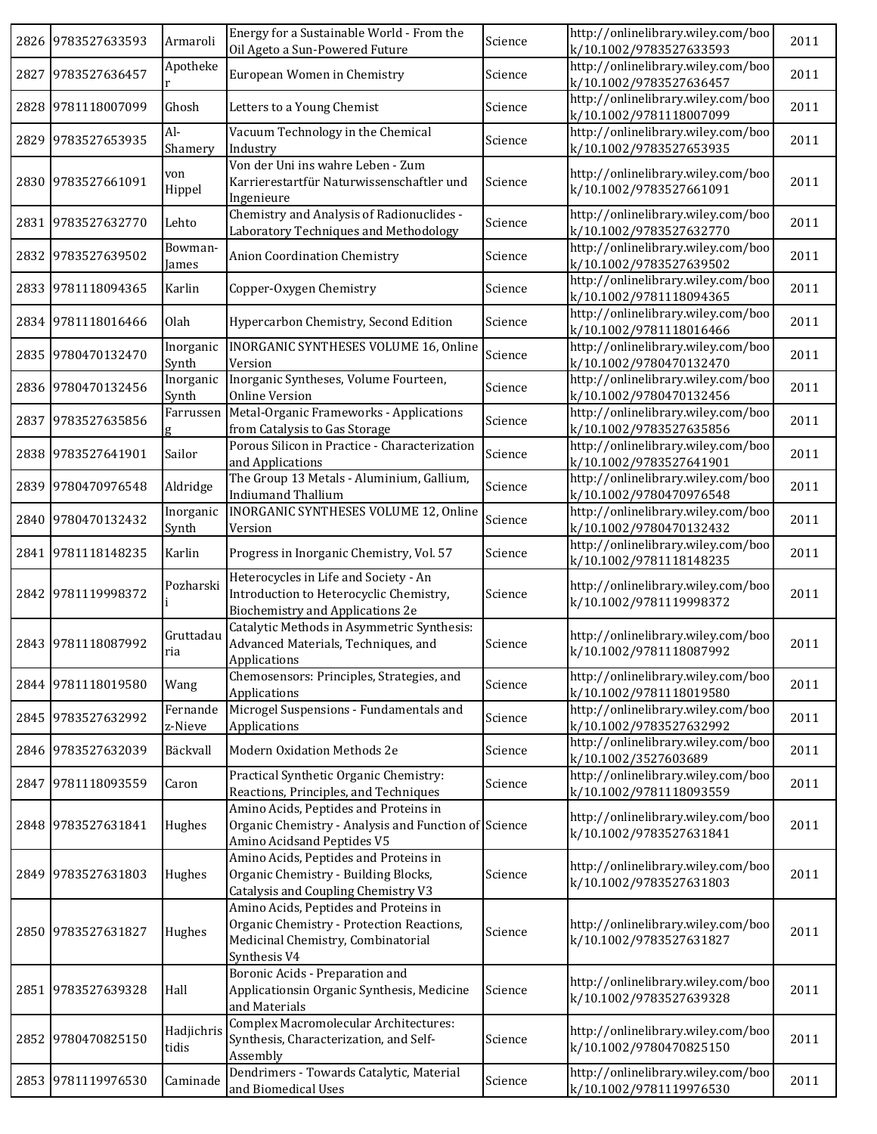|      | 2826 9783527633593 | Armaroli            | Energy for a Sustainable World - From the<br>Oil Ageto a Sun-Powered Future                                                              | Science | http://onlinelibrary.wiley.com/boo<br>k/10.1002/9783527633593 | 2011 |
|------|--------------------|---------------------|------------------------------------------------------------------------------------------------------------------------------------------|---------|---------------------------------------------------------------|------|
|      | 2827 9783527636457 | Apotheke            | European Women in Chemistry                                                                                                              | Science | http://onlinelibrary.wiley.com/boo<br>k/10.1002/9783527636457 | 2011 |
|      | 2828 9781118007099 | Ghosh               | Letters to a Young Chemist                                                                                                               | Science | http://onlinelibrary.wiley.com/boo<br>k/10.1002/9781118007099 | 2011 |
|      | 2829 9783527653935 | Al-<br>Shamery      | Vacuum Technology in the Chemical<br>Industry                                                                                            | Science | http://onlinelibrary.wiley.com/boo<br>k/10.1002/9783527653935 | 2011 |
|      | 2830 9783527661091 | von<br>Hippel       | Von der Uni ins wahre Leben - Zum<br>Karrierestartfür Naturwissenschaftler und<br>Ingenieure                                             | Science | http://onlinelibrary.wiley.com/boo<br>k/10.1002/9783527661091 | 2011 |
|      | 2831 9783527632770 | Lehto               | Chemistry and Analysis of Radionuclides -<br>Laboratory Techniques and Methodology                                                       | Science | http://onlinelibrary.wiley.com/boo<br>k/10.1002/9783527632770 | 2011 |
|      | 2832 9783527639502 | Bowman-<br>James    | Anion Coordination Chemistry                                                                                                             | Science | http://onlinelibrary.wiley.com/boo<br>k/10.1002/9783527639502 | 2011 |
|      | 2833 9781118094365 | Karlin              | Copper-Oxygen Chemistry                                                                                                                  | Science | http://onlinelibrary.wiley.com/boo<br>k/10.1002/9781118094365 | 2011 |
|      | 2834 9781118016466 | Olah                | Hypercarbon Chemistry, Second Edition                                                                                                    | Science | http://onlinelibrary.wiley.com/boo<br>k/10.1002/9781118016466 | 2011 |
|      | 2835 9780470132470 | Inorganic<br>Synth  | INORGANIC SYNTHESES VOLUME 16, Online<br>Version                                                                                         | Science | http://onlinelibrary.wiley.com/boo<br>k/10.1002/9780470132470 | 2011 |
|      | 2836 9780470132456 | Inorganic<br>Synth  | Inorganic Syntheses, Volume Fourteen,<br>Online Version                                                                                  | Science | http://onlinelibrary.wiley.com/boo<br>k/10.1002/9780470132456 | 2011 |
|      | 2837 9783527635856 | Farrussen           | Metal-Organic Frameworks - Applications<br>from Catalysis to Gas Storage                                                                 | Science | http://onlinelibrary.wiley.com/boo<br>k/10.1002/9783527635856 | 2011 |
|      | 2838 9783527641901 | Sailor              | Porous Silicon in Practice - Characterization<br>and Applications                                                                        | Science | http://onlinelibrary.wiley.com/boo<br>k/10.1002/9783527641901 | 2011 |
|      | 2839 9780470976548 | Aldridge            | The Group 13 Metals - Aluminium, Gallium,<br><b>Indiumand Thallium</b>                                                                   | Science | http://onlinelibrary.wiley.com/boo<br>k/10.1002/9780470976548 | 2011 |
|      | 2840 9780470132432 | Inorganic<br>Synth  | <b>INORGANIC SYNTHESES VOLUME 12, Online</b><br>Version                                                                                  | Science | http://onlinelibrary.wiley.com/boo<br>k/10.1002/9780470132432 | 2011 |
|      | 2841 9781118148235 | Karlin              | Progress in Inorganic Chemistry, Vol. 57                                                                                                 | Science | http://onlinelibrary.wiley.com/boo<br>k/10.1002/9781118148235 | 2011 |
|      | 2842 9781119998372 | Pozharski           | Heterocycles in Life and Society - An<br>Introduction to Heterocyclic Chemistry,<br>Biochemistry and Applications 2e                     | Science | http://onlinelibrary.wiley.com/boo<br>k/10.1002/9781119998372 | 2011 |
|      | 2843 9781118087992 | Gruttadau<br>ria    | Catalytic Methods in Asymmetric Synthesis:<br>Advanced Materials, Techniques, and<br>Applications                                        | Science | http://onlinelibrary.wiley.com/boo<br>k/10.1002/9781118087992 | 2011 |
|      | 2844 9781118019580 | Wang                | Chemosensors: Principles, Strategies, and<br>Applications                                                                                | Science | http://onlinelibrary.wiley.com/boo<br>k/10.1002/9781118019580 | 2011 |
|      | 2845 9783527632992 | Fernande<br>z-Nieve | Microgel Suspensions - Fundamentals and<br>Applications                                                                                  | Science | http://onlinelibrary.wiley.com/boo<br>k/10.1002/9783527632992 | 2011 |
|      | 2846 9783527632039 | Bäckvall            | Modern Oxidation Methods 2e                                                                                                              | Science | http://onlinelibrary.wiley.com/boo<br>k/10.1002/3527603689    | 2011 |
| 2847 | 9781118093559      | Caron               | Practical Synthetic Organic Chemistry:<br>Reactions, Principles, and Techniques                                                          | Science | http://onlinelibrary.wiley.com/boo<br>k/10.1002/9781118093559 | 2011 |
|      | 2848 9783527631841 | Hughes              | Amino Acids, Peptides and Proteins in<br>Organic Chemistry - Analysis and Function of Science<br>Amino Acidsand Peptides V5              |         | http://onlinelibrary.wiley.com/boo<br>k/10.1002/9783527631841 | 2011 |
|      | 2849 9783527631803 | Hughes              | Amino Acids, Peptides and Proteins in<br>Organic Chemistry - Building Blocks,<br>Catalysis and Coupling Chemistry V3                     | Science | http://onlinelibrary.wiley.com/boo<br>k/10.1002/9783527631803 | 2011 |
|      | 2850 9783527631827 | Hughes              | Amino Acids, Peptides and Proteins in<br>Organic Chemistry - Protection Reactions,<br>Medicinal Chemistry, Combinatorial<br>Synthesis V4 | Science | http://onlinelibrary.wiley.com/boo<br>k/10.1002/9783527631827 | 2011 |
|      | 2851 9783527639328 | Hall                | Boronic Acids - Preparation and<br>Applicationsin Organic Synthesis, Medicine<br>and Materials                                           | Science | http://onlinelibrary.wiley.com/boo<br>k/10.1002/9783527639328 | 2011 |
|      | 2852 9780470825150 | Hadjichris<br>tidis | Complex Macromolecular Architectures:<br>Synthesis, Characterization, and Self-<br>Assembly                                              | Science | http://onlinelibrary.wiley.com/boo<br>k/10.1002/9780470825150 | 2011 |
|      | 2853 9781119976530 | Caminade            | Dendrimers - Towards Catalytic, Material<br>and Biomedical Uses                                                                          | Science | http://onlinelibrary.wiley.com/boo<br>k/10.1002/9781119976530 | 2011 |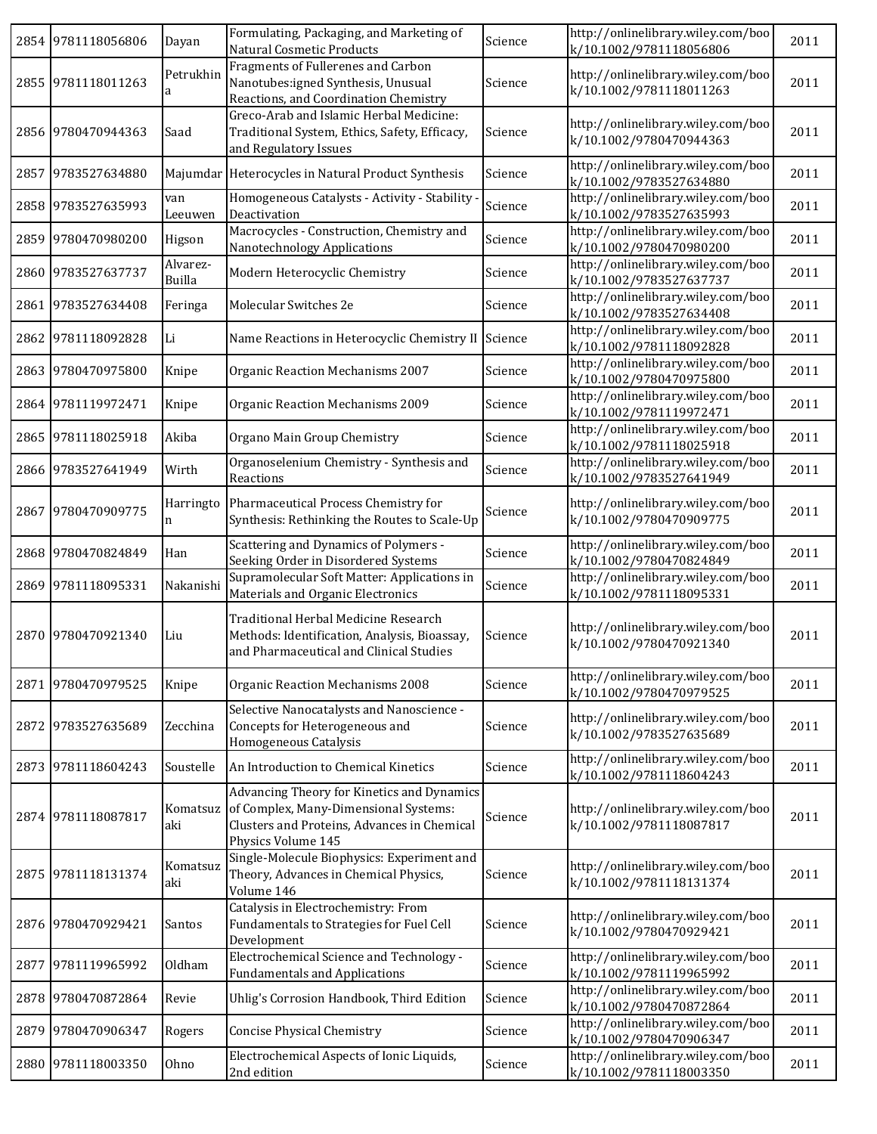|      | 2854 9781118056806 | Dayan              | Formulating, Packaging, and Marketing of<br><b>Natural Cosmetic Products</b>                                                                             | Science | http://onlinelibrary.wiley.com/boo<br>k/10.1002/9781118056806 | 2011 |
|------|--------------------|--------------------|----------------------------------------------------------------------------------------------------------------------------------------------------------|---------|---------------------------------------------------------------|------|
|      | 2855 9781118011263 | Petrukhin          | Fragments of Fullerenes and Carbon<br>Nanotubes:igned Synthesis, Unusual<br>Reactions, and Coordination Chemistry                                        | Science | http://onlinelibrary.wiley.com/boo<br>k/10.1002/9781118011263 | 2011 |
|      | 2856 9780470944363 | Saad               | Greco-Arab and Islamic Herbal Medicine:<br>Traditional System, Ethics, Safety, Efficacy,<br>and Regulatory Issues                                        | Science | http://onlinelibrary.wiley.com/boo<br>k/10.1002/9780470944363 | 2011 |
|      | 2857 9783527634880 |                    | Majumdar Heterocycles in Natural Product Synthesis                                                                                                       | Science | http://onlinelibrary.wiley.com/boo<br>k/10.1002/9783527634880 | 2011 |
|      | 2858 9783527635993 | van<br>Leeuwen     | Homogeneous Catalysts - Activity - Stability<br>Deactivation                                                                                             | Science | http://onlinelibrary.wiley.com/boo<br>k/10.1002/9783527635993 | 2011 |
|      | 2859 9780470980200 | Higson             | Macrocycles - Construction, Chemistry and<br>Nanotechnology Applications                                                                                 | Science | http://onlinelibrary.wiley.com/boo<br>k/10.1002/9780470980200 | 2011 |
|      | 2860 9783527637737 | Alvarez-<br>Builla | Modern Heterocyclic Chemistry                                                                                                                            | Science | http://onlinelibrary.wiley.com/boo<br>k/10.1002/9783527637737 | 2011 |
|      | 2861 9783527634408 | Feringa            | Molecular Switches 2e                                                                                                                                    | Science | http://onlinelibrary.wiley.com/boo<br>k/10.1002/9783527634408 | 2011 |
| 2862 | 9781118092828      | Li                 | Name Reactions in Heterocyclic Chemistry II                                                                                                              | Science | http://onlinelibrary.wiley.com/boo<br>k/10.1002/9781118092828 | 2011 |
|      | 2863 9780470975800 | Knipe              | Organic Reaction Mechanisms 2007                                                                                                                         | Science | http://onlinelibrary.wiley.com/boo<br>k/10.1002/9780470975800 | 2011 |
|      | 2864 9781119972471 | Knipe              | Organic Reaction Mechanisms 2009                                                                                                                         | Science | http://onlinelibrary.wiley.com/boo<br>k/10.1002/9781119972471 | 2011 |
|      | 2865 9781118025918 | Akiba              | Organo Main Group Chemistry                                                                                                                              | Science | http://onlinelibrary.wiley.com/boo<br>k/10.1002/9781118025918 | 2011 |
|      | 2866 9783527641949 | Wirth              | Organoselenium Chemistry - Synthesis and<br>Reactions                                                                                                    | Science | http://onlinelibrary.wiley.com/boo<br>k/10.1002/9783527641949 | 2011 |
|      | 2867 9780470909775 | Harringto<br>n     | Pharmaceutical Process Chemistry for<br>Synthesis: Rethinking the Routes to Scale-Up                                                                     | Science | http://onlinelibrary.wiley.com/boo<br>k/10.1002/9780470909775 | 2011 |
|      | 2868 9780470824849 | Han                | Scattering and Dynamics of Polymers -<br>Seeking Order in Disordered Systems                                                                             | Science | http://onlinelibrary.wiley.com/boo<br>k/10.1002/9780470824849 | 2011 |
|      | 2869 9781118095331 | Nakanishi          | Supramolecular Soft Matter: Applications in<br>Materials and Organic Electronics                                                                         | Science | http://onlinelibrary.wiley.com/boo<br>k/10.1002/9781118095331 | 2011 |
|      | 2870 9780470921340 | Liu                | Traditional Herbal Medicine Research<br>Methods: Identification, Analysis, Bioassay,<br>and Pharmaceutical and Clinical Studies                          | Science | http://onlinelibrary.wiley.com/boo<br>k/10.1002/9780470921340 | 2011 |
|      | 2871 9780470979525 | Knipe              | Organic Reaction Mechanisms 2008                                                                                                                         | Science | http://onlinelibrary.wiley.com/boo<br>k/10.1002/9780470979525 | 2011 |
|      | 2872 9783527635689 | Zecchina           | Selective Nanocatalysts and Nanoscience -<br>Concepts for Heterogeneous and<br>Homogeneous Catalysis                                                     | Science | http://onlinelibrary.wiley.com/boo<br>k/10.1002/9783527635689 | 2011 |
|      | 2873 9781118604243 | Soustelle          | An Introduction to Chemical Kinetics                                                                                                                     | Science | http://onlinelibrary.wiley.com/boo<br>k/10.1002/9781118604243 | 2011 |
|      | 2874 9781118087817 | Komatsuz<br>aki    | Advancing Theory for Kinetics and Dynamics<br>of Complex, Many-Dimensional Systems:<br>Clusters and Proteins, Advances in Chemical<br>Physics Volume 145 | Science | http://onlinelibrary.wiley.com/boo<br>k/10.1002/9781118087817 | 2011 |
|      | 2875 9781118131374 | Komatsuz<br>aki    | Single-Molecule Biophysics: Experiment and<br>Theory, Advances in Chemical Physics,<br>Volume 146                                                        | Science | http://onlinelibrary.wiley.com/boo<br>k/10.1002/9781118131374 | 2011 |
|      | 2876 9780470929421 | Santos             | Catalysis in Electrochemistry: From<br>Fundamentals to Strategies for Fuel Cell<br>Development                                                           | Science | http://onlinelibrary.wiley.com/boo<br>k/10.1002/9780470929421 | 2011 |
| 2877 | 9781119965992      | Oldham             | Electrochemical Science and Technology -<br><b>Fundamentals and Applications</b>                                                                         | Science | http://onlinelibrary.wiley.com/boo<br>k/10.1002/9781119965992 | 2011 |
|      | 2878 9780470872864 | Revie              | Uhlig's Corrosion Handbook, Third Edition                                                                                                                | Science | http://onlinelibrary.wiley.com/boo<br>k/10.1002/9780470872864 | 2011 |
|      | 2879 9780470906347 | Rogers             | <b>Concise Physical Chemistry</b>                                                                                                                        | Science | http://onlinelibrary.wiley.com/boo<br>k/10.1002/9780470906347 | 2011 |
|      | 2880 9781118003350 | Ohno               | Electrochemical Aspects of Ionic Liquids,<br>2nd edition                                                                                                 | Science | http://onlinelibrary.wiley.com/boo<br>k/10.1002/9781118003350 | 2011 |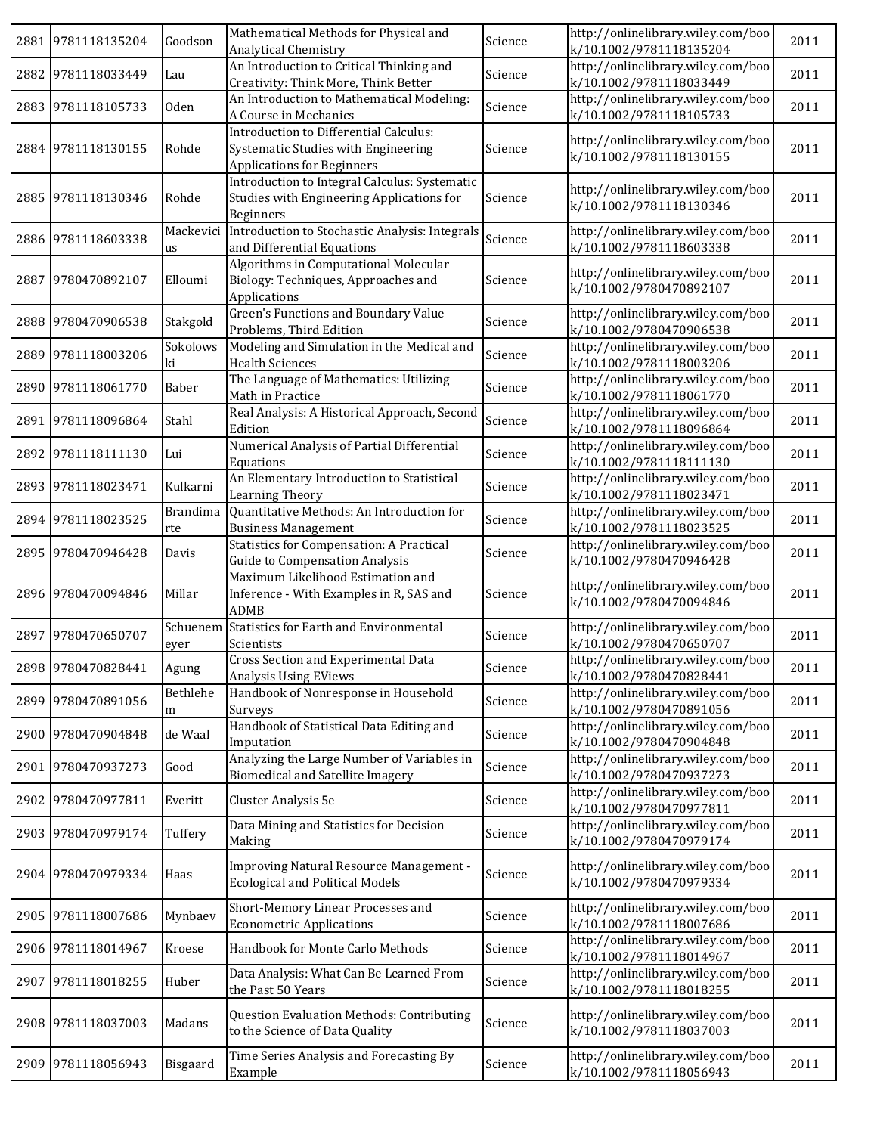| 2881 9781118135204 | Goodson                | Mathematical Methods for Physical and<br>Analytical Chemistry                                                      | Science | http://onlinelibrary.wiley.com/boo<br>k/10.1002/9781118135204 | 2011 |
|--------------------|------------------------|--------------------------------------------------------------------------------------------------------------------|---------|---------------------------------------------------------------|------|
| 2882 9781118033449 | Lau                    | An Introduction to Critical Thinking and<br>Creativity: Think More, Think Better                                   | Science | http://onlinelibrary.wiley.com/boo<br>k/10.1002/9781118033449 | 2011 |
| 2883 9781118105733 | <b>Oden</b>            | An Introduction to Mathematical Modeling:<br>A Course in Mechanics                                                 | Science | http://onlinelibrary.wiley.com/boo<br>k/10.1002/9781118105733 | 2011 |
| 2884 9781118130155 | Rohde                  | Introduction to Differential Calculus:<br>Systematic Studies with Engineering<br><b>Applications for Beginners</b> | Science | http://onlinelibrary.wiley.com/boo<br>k/10.1002/9781118130155 | 2011 |
| 2885 9781118130346 | Rohde                  | Introduction to Integral Calculus: Systematic<br>Studies with Engineering Applications for<br><b>Beginners</b>     | Science | http://onlinelibrary.wiley.com/boo<br>k/10.1002/9781118130346 | 2011 |
| 2886 9781118603338 | Mackevici<br>us        | Introduction to Stochastic Analysis: Integrals<br>and Differential Equations                                       | Science | http://onlinelibrary.wiley.com/boo<br>k/10.1002/9781118603338 | 2011 |
| 2887 9780470892107 | Elloumi                | Algorithms in Computational Molecular<br>Biology: Techniques, Approaches and<br>Applications                       | Science | http://onlinelibrary.wiley.com/boo<br>k/10.1002/9780470892107 | 2011 |
| 2888 9780470906538 | Stakgold               | Green's Functions and Boundary Value<br>Problems, Third Edition                                                    | Science | http://onlinelibrary.wiley.com/boo<br>k/10.1002/9780470906538 | 2011 |
| 2889 9781118003206 | Sokolows<br>ki         | Modeling and Simulation in the Medical and<br><b>Health Sciences</b>                                               | Science | http://onlinelibrary.wiley.com/boo<br>k/10.1002/9781118003206 | 2011 |
| 2890 9781118061770 | Baber                  | The Language of Mathematics: Utilizing<br>Math in Practice                                                         | Science | http://onlinelibrary.wiley.com/boo<br>k/10.1002/9781118061770 | 2011 |
| 2891 9781118096864 | Stahl                  | Real Analysis: A Historical Approach, Second<br>Edition                                                            | Science | http://onlinelibrary.wiley.com/boo<br>k/10.1002/9781118096864 | 2011 |
| 2892 9781118111130 | Lui                    | Numerical Analysis of Partial Differential<br>Equations                                                            | Science | http://onlinelibrary.wiley.com/boo<br>k/10.1002/9781118111130 | 2011 |
| 2893 9781118023471 | Kulkarni               | An Elementary Introduction to Statistical<br>Learning Theory                                                       | Science | http://onlinelibrary.wiley.com/boo<br>k/10.1002/9781118023471 | 2011 |
| 2894 9781118023525 | <b>Brandima</b><br>rte | Quantitative Methods: An Introduction for<br><b>Business Management</b>                                            | Science | http://onlinelibrary.wiley.com/boo<br>k/10.1002/9781118023525 | 2011 |
| 2895 9780470946428 | Davis                  | <b>Statistics for Compensation: A Practical</b><br><b>Guide to Compensation Analysis</b>                           | Science | http://onlinelibrary.wiley.com/boo<br>k/10.1002/9780470946428 | 2011 |
| 2896 9780470094846 | Millar                 | Maximum Likelihood Estimation and<br>Inference - With Examples in R, SAS and<br><b>ADMB</b>                        | Science | http://onlinelibrary.wiley.com/boo<br>k/10.1002/9780470094846 | 2011 |
| 2897 9780470650707 | eyer                   | Schuenem Statistics for Earth and Environmental<br>Scientists                                                      | Science | http://onlinelibrary.wiley.com/boo<br>k/10.1002/9780470650707 | 2011 |
| 2898 9780470828441 | Agung                  | <b>Cross Section and Experimental Data</b><br>Analysis Using EViews                                                | Science | http://onlinelibrary.wiley.com/boo<br>k/10.1002/9780470828441 | 2011 |
| 2899 9780470891056 | Bethlehe<br>m          | Handbook of Nonresponse in Household<br>Surveys                                                                    | Science | http://onlinelibrary.wiley.com/boo<br>k/10.1002/9780470891056 | 2011 |
| 2900 9780470904848 | de Waal                | Handbook of Statistical Data Editing and<br>Imputation                                                             | Science | http://onlinelibrary.wiley.com/boo<br>k/10.1002/9780470904848 | 2011 |
| 2901 9780470937273 | Good                   | Analyzing the Large Number of Variables in<br><b>Biomedical and Satellite Imagery</b>                              | Science | http://onlinelibrary.wiley.com/boo<br>k/10.1002/9780470937273 | 2011 |
| 2902 9780470977811 | Everitt                | Cluster Analysis 5e                                                                                                | Science | http://onlinelibrary.wiley.com/boo<br>k/10.1002/9780470977811 | 2011 |
| 2903 9780470979174 | Tuffery                | Data Mining and Statistics for Decision<br>Making                                                                  | Science | http://onlinelibrary.wiley.com/boo<br>k/10.1002/9780470979174 | 2011 |
| 2904 9780470979334 | Haas                   | Improving Natural Resource Management -<br><b>Ecological and Political Models</b>                                  | Science | http://onlinelibrary.wiley.com/boo<br>k/10.1002/9780470979334 | 2011 |
| 2905 9781118007686 | Mynbaev                | Short-Memory Linear Processes and<br><b>Econometric Applications</b>                                               | Science | http://onlinelibrary.wiley.com/boo<br>k/10.1002/9781118007686 | 2011 |
| 2906 9781118014967 | Kroese                 | Handbook for Monte Carlo Methods                                                                                   | Science | http://onlinelibrary.wiley.com/boo<br>k/10.1002/9781118014967 | 2011 |
| 2907 9781118018255 | Huber                  | Data Analysis: What Can Be Learned From<br>the Past 50 Years                                                       | Science | http://onlinelibrary.wiley.com/boo<br>k/10.1002/9781118018255 | 2011 |
| 2908 9781118037003 | Madans                 | Question Evaluation Methods: Contributing<br>to the Science of Data Quality                                        | Science | http://onlinelibrary.wiley.com/boo<br>k/10.1002/9781118037003 | 2011 |
| 2909 9781118056943 | Bisgaard               | Time Series Analysis and Forecasting By<br>Example                                                                 | Science | http://onlinelibrary.wiley.com/boo<br>k/10.1002/9781118056943 | 2011 |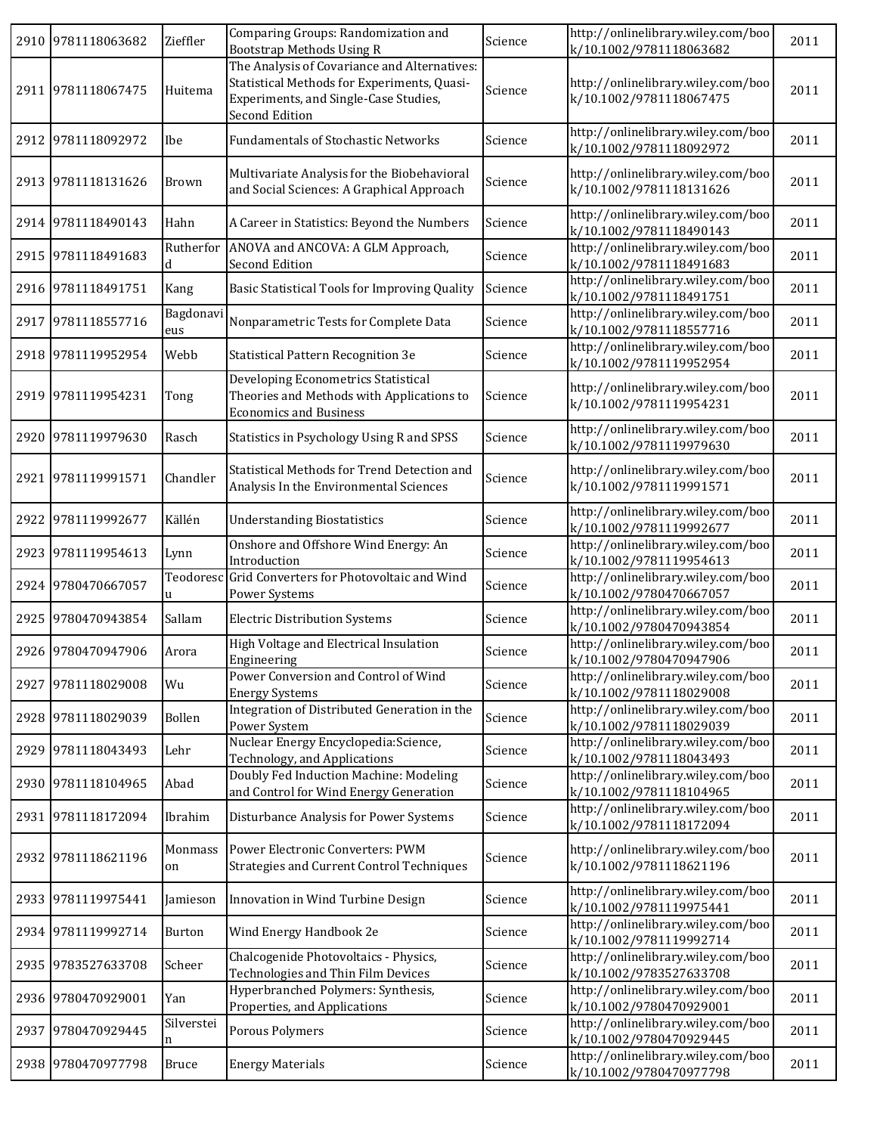| 2910 9781118063682 | Zieffler         | Comparing Groups: Randomization and<br>Bootstrap Methods Using R                                                                                       | Science | http://onlinelibrary.wiley.com/boo<br>k/10.1002/9781118063682 | 2011 |
|--------------------|------------------|--------------------------------------------------------------------------------------------------------------------------------------------------------|---------|---------------------------------------------------------------|------|
| 2911 9781118067475 | Huitema          | The Analysis of Covariance and Alternatives:<br>Statistical Methods for Experiments, Quasi-<br>Experiments, and Single-Case Studies,<br>Second Edition | Science | http://onlinelibrary.wiley.com/boo<br>k/10.1002/9781118067475 | 2011 |
| 2912 9781118092972 | Ibe              | <b>Fundamentals of Stochastic Networks</b>                                                                                                             | Science | http://onlinelibrary.wiley.com/boo<br>k/10.1002/9781118092972 | 2011 |
| 2913 9781118131626 | Brown            | Multivariate Analysis for the Biobehavioral<br>and Social Sciences: A Graphical Approach                                                               | Science | http://onlinelibrary.wiley.com/boo<br>k/10.1002/9781118131626 | 2011 |
| 2914 9781118490143 | Hahn             | A Career in Statistics: Beyond the Numbers                                                                                                             | Science | http://onlinelibrary.wiley.com/boo<br>k/10.1002/9781118490143 | 2011 |
| 2915 9781118491683 | Rutherfor        | ANOVA and ANCOVA: A GLM Approach,<br>Second Edition                                                                                                    | Science | http://onlinelibrary.wiley.com/boo<br>k/10.1002/9781118491683 | 2011 |
| 2916 9781118491751 | Kang             | Basic Statistical Tools for Improving Quality                                                                                                          | Science | http://onlinelibrary.wiley.com/boo<br>k/10.1002/9781118491751 | 2011 |
| 2917 9781118557716 | Bagdonavi<br>eus | Nonparametric Tests for Complete Data                                                                                                                  | Science | http://onlinelibrary.wiley.com/boo<br>k/10.1002/9781118557716 | 2011 |
| 2918 9781119952954 | Webb             | Statistical Pattern Recognition 3e                                                                                                                     | Science | http://onlinelibrary.wiley.com/boo<br>k/10.1002/9781119952954 | 2011 |
| 2919 9781119954231 | Tong             | Developing Econometrics Statistical<br>Theories and Methods with Applications to<br><b>Economics and Business</b>                                      | Science | http://onlinelibrary.wiley.com/boo<br>k/10.1002/9781119954231 | 2011 |
| 2920 9781119979630 | Rasch            | Statistics in Psychology Using R and SPSS                                                                                                              | Science | http://onlinelibrary.wiley.com/boo<br>k/10.1002/9781119979630 | 2011 |
| 2921 9781119991571 | Chandler         | Statistical Methods for Trend Detection and<br>Analysis In the Environmental Sciences                                                                  | Science | http://onlinelibrary.wiley.com/boo<br>k/10.1002/9781119991571 | 2011 |
| 2922 9781119992677 | Källén           | <b>Understanding Biostatistics</b>                                                                                                                     | Science | http://onlinelibrary.wiley.com/boo<br>k/10.1002/9781119992677 | 2011 |
| 2923 9781119954613 | Lynn             | Onshore and Offshore Wind Energy: An<br>Introduction                                                                                                   | Science | http://onlinelibrary.wiley.com/boo<br>k/10.1002/9781119954613 | 2011 |
| 2924 9780470667057 | Teodoresc<br>u   | Grid Converters for Photovoltaic and Wind<br>Power Systems                                                                                             | Science | http://onlinelibrary.wiley.com/boo<br>k/10.1002/9780470667057 | 2011 |
| 2925 9780470943854 | Sallam           | <b>Electric Distribution Systems</b>                                                                                                                   | Science | http://onlinelibrary.wiley.com/boo<br>k/10.1002/9780470943854 | 2011 |
| 2926 9780470947906 | Arora            | High Voltage and Electrical Insulation<br>Engineering                                                                                                  | Science | http://onlinelibrary.wiley.com/boo<br>k/10.1002/9780470947906 | 2011 |
| 2927 9781118029008 | Wu               | Power Conversion and Control of Wind<br><b>Energy Systems</b>                                                                                          | Science | http://onlinelibrary.wiley.com/boo<br>k/10.1002/9781118029008 | 2011 |
| 2928 9781118029039 | Bollen           | Integration of Distributed Generation in the<br>Power System                                                                                           | Science | http://onlinelibrary.wiley.com/boo<br>k/10.1002/9781118029039 | 2011 |
| 2929 9781118043493 | Lehr             | Nuclear Energy Encyclopedia: Science,<br>Technology, and Applications                                                                                  | Science | http://onlinelibrary.wiley.com/boo<br>k/10.1002/9781118043493 | 2011 |
| 2930 9781118104965 | Abad             | Doubly Fed Induction Machine: Modeling<br>and Control for Wind Energy Generation                                                                       | Science | http://onlinelibrary.wiley.com/boo<br>k/10.1002/9781118104965 | 2011 |
| 2931 9781118172094 | Ibrahim          | Disturbance Analysis for Power Systems                                                                                                                 | Science | http://onlinelibrary.wiley.com/boo<br>k/10.1002/9781118172094 | 2011 |
| 2932 9781118621196 | Monmass<br>on    | Power Electronic Converters: PWM<br>Strategies and Current Control Techniques                                                                          | Science | http://onlinelibrary.wiley.com/boo<br>k/10.1002/9781118621196 | 2011 |
| 2933 9781119975441 | Jamieson         | Innovation in Wind Turbine Design                                                                                                                      | Science | http://onlinelibrary.wiley.com/boo<br>k/10.1002/9781119975441 | 2011 |
| 2934 9781119992714 | Burton           | Wind Energy Handbook 2e                                                                                                                                | Science | http://onlinelibrary.wiley.com/boo<br>k/10.1002/9781119992714 | 2011 |
| 2935 9783527633708 | Scheer           | Chalcogenide Photovoltaics - Physics,<br>Technologies and Thin Film Devices                                                                            | Science | http://onlinelibrary.wiley.com/boo<br>k/10.1002/9783527633708 | 2011 |
| 2936 9780470929001 | Yan              | Hyperbranched Polymers: Synthesis,<br>Properties, and Applications                                                                                     | Science | http://onlinelibrary.wiley.com/boo<br>k/10.1002/9780470929001 | 2011 |
| 2937 9780470929445 | Silverstei<br>n  | Porous Polymers                                                                                                                                        | Science | http://onlinelibrary.wiley.com/boo<br>k/10.1002/9780470929445 | 2011 |
| 2938 9780470977798 | Bruce            | <b>Energy Materials</b>                                                                                                                                | Science | http://onlinelibrary.wiley.com/boo<br>k/10.1002/9780470977798 | 2011 |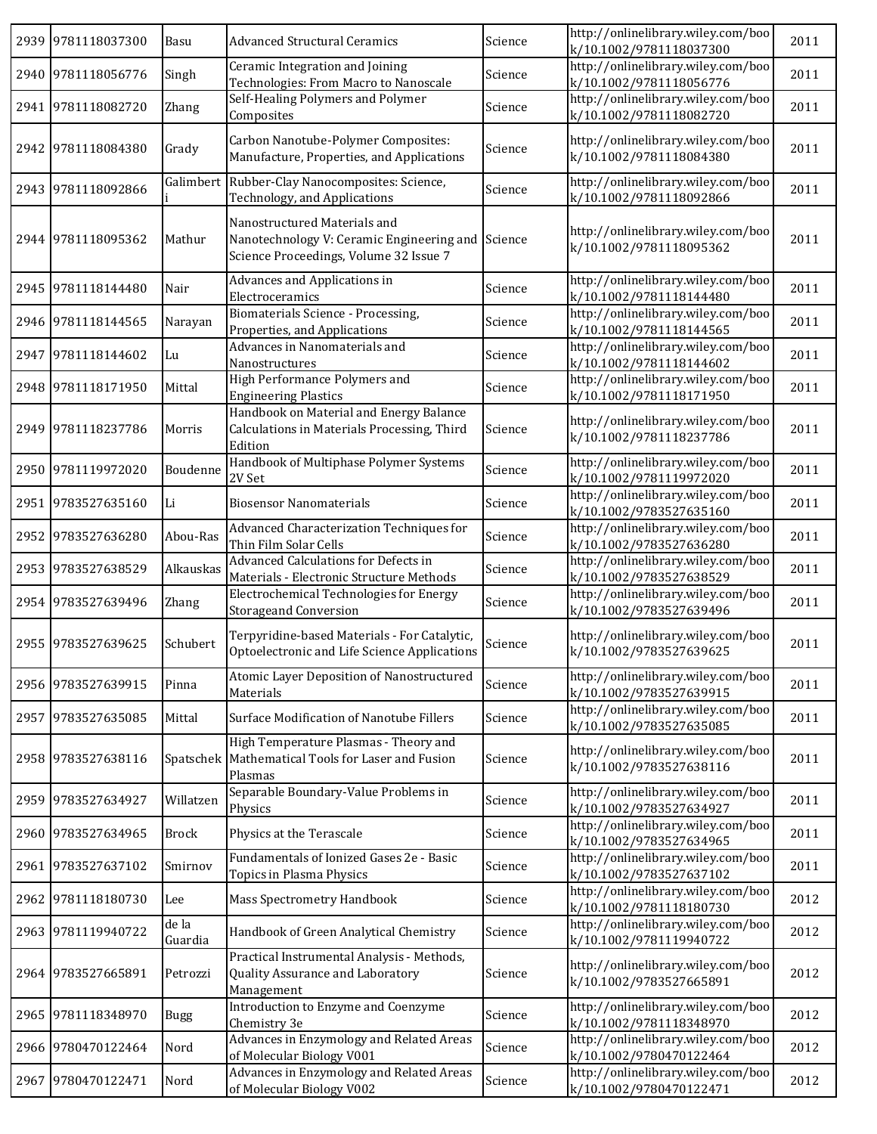| 2939 9781118037300 | Basu             | <b>Advanced Structural Ceramics</b>                                                                                         | Science | http://onlinelibrary.wiley.com/boo<br>k/10.1002/9781118037300 | 2011 |
|--------------------|------------------|-----------------------------------------------------------------------------------------------------------------------------|---------|---------------------------------------------------------------|------|
| 2940 9781118056776 | Singh            | Ceramic Integration and Joining<br>Technologies: From Macro to Nanoscale                                                    | Science | http://onlinelibrary.wiley.com/boo<br>k/10.1002/9781118056776 | 2011 |
| 2941 9781118082720 | Zhang            | Self-Healing Polymers and Polymer<br>Composites                                                                             | Science | http://onlinelibrary.wiley.com/boo<br>k/10.1002/9781118082720 | 2011 |
| 2942 9781118084380 | Grady            | Carbon Nanotube-Polymer Composites:<br>Manufacture, Properties, and Applications                                            | Science | http://onlinelibrary.wiley.com/boo<br>k/10.1002/9781118084380 | 2011 |
| 2943 9781118092866 |                  | Galimbert Rubber-Clay Nanocomposites: Science,<br>Technology, and Applications                                              | Science | http://onlinelibrary.wiley.com/boo<br>k/10.1002/9781118092866 | 2011 |
| 2944 9781118095362 | Mathur           | Nanostructured Materials and<br>Nanotechnology V: Ceramic Engineering and Science<br>Science Proceedings, Volume 32 Issue 7 |         | http://onlinelibrary.wiley.com/boo<br>k/10.1002/9781118095362 | 2011 |
| 2945 9781118144480 | Nair             | Advances and Applications in<br>Electroceramics                                                                             | Science | http://onlinelibrary.wiley.com/boo<br>k/10.1002/9781118144480 | 2011 |
| 2946 9781118144565 | Narayan          | Biomaterials Science - Processing,<br>Properties, and Applications                                                          | Science | http://onlinelibrary.wiley.com/boo<br>k/10.1002/9781118144565 | 2011 |
| 2947 9781118144602 | Lu               | Advances in Nanomaterials and<br>Nanostructures                                                                             | Science | http://onlinelibrary.wiley.com/boo<br>k/10.1002/9781118144602 | 2011 |
| 2948 9781118171950 | Mittal           | High Performance Polymers and<br><b>Engineering Plastics</b>                                                                | Science | http://onlinelibrary.wiley.com/boo<br>k/10.1002/9781118171950 | 2011 |
| 2949 9781118237786 | Morris           | Handbook on Material and Energy Balance<br>Calculations in Materials Processing, Third<br>Edition                           | Science | http://onlinelibrary.wiley.com/boo<br>k/10.1002/9781118237786 | 2011 |
| 2950 9781119972020 | Boudenne         | Handbook of Multiphase Polymer Systems<br>2V Set                                                                            | Science | http://onlinelibrary.wiley.com/boo<br>k/10.1002/9781119972020 | 2011 |
| 2951 9783527635160 | Li               | <b>Biosensor Nanomaterials</b>                                                                                              | Science | http://onlinelibrary.wiley.com/boo<br>k/10.1002/9783527635160 | 2011 |
| 2952 9783527636280 | Abou-Ras         | Advanced Characterization Techniques for<br>Thin Film Solar Cells                                                           | Science | http://onlinelibrary.wiley.com/boo<br>k/10.1002/9783527636280 | 2011 |
| 2953 9783527638529 | Alkauskas        | Advanced Calculations for Defects in<br>Materials - Electronic Structure Methods                                            | Science | http://onlinelibrary.wiley.com/boo<br>k/10.1002/9783527638529 | 2011 |
| 2954 9783527639496 | <b>Zhang</b>     | Electrochemical Technologies for Energy<br><b>Storageand Conversion</b>                                                     | Science | http://onlinelibrary.wiley.com/boo<br>k/10.1002/9783527639496 | 2011 |
| 2955 9783527639625 | Schubert         | Terpyridine-based Materials - For Catalytic,<br>Optoelectronic and Life Science Applications                                | Science | http://onlinelibrary.wiley.com/boo<br>k/10.1002/9783527639625 | 2011 |
| 2956 9783527639915 | Pinna            | Atomic Layer Deposition of Nanostructured<br>Materials                                                                      | Science | http://onlinelibrary.wiley.com/boo<br>k/10.1002/9783527639915 | 2011 |
| 2957 9783527635085 | Mittal           | Surface Modification of Nanotube Fillers                                                                                    | Science | http://onlinelibrary.wiley.com/boo<br>k/10.1002/9783527635085 | 2011 |
| 2958 9783527638116 | Spatschek        | High Temperature Plasmas - Theory and<br>Mathematical Tools for Laser and Fusion<br>Plasmas                                 | Science | http://onlinelibrary.wiley.com/boo<br>k/10.1002/9783527638116 | 2011 |
| 2959 9783527634927 | Willatzen        | Separable Boundary-Value Problems in<br>Physics                                                                             | Science | http://onlinelibrary.wiley.com/boo<br>k/10.1002/9783527634927 | 2011 |
| 2960 9783527634965 | <b>Brock</b>     | Physics at the Terascale                                                                                                    | Science | http://onlinelibrary.wiley.com/boo<br>k/10.1002/9783527634965 | 2011 |
| 2961 9783527637102 | Smirnov          | Fundamentals of Ionized Gases 2e - Basic<br>Topics in Plasma Physics                                                        | Science | http://onlinelibrary.wiley.com/boo<br>k/10.1002/9783527637102 | 2011 |
| 2962 9781118180730 | Lee              | Mass Spectrometry Handbook                                                                                                  | Science | http://onlinelibrary.wiley.com/boo<br>k/10.1002/9781118180730 | 2012 |
| 2963 9781119940722 | de la<br>Guardia | Handbook of Green Analytical Chemistry                                                                                      | Science | http://onlinelibrary.wiley.com/boo<br>k/10.1002/9781119940722 | 2012 |
| 2964 9783527665891 | Petrozzi         | Practical Instrumental Analysis - Methods,<br>Quality Assurance and Laboratory<br>Management                                | Science | http://onlinelibrary.wiley.com/boo<br>k/10.1002/9783527665891 | 2012 |
| 2965 9781118348970 | <b>Bugg</b>      | Introduction to Enzyme and Coenzyme<br>Chemistry 3e                                                                         | Science | http://onlinelibrary.wiley.com/boo<br>k/10.1002/9781118348970 | 2012 |
| 2966 9780470122464 | Nord             | Advances in Enzymology and Related Areas<br>of Molecular Biology V001                                                       | Science | http://onlinelibrary.wiley.com/boo<br>k/10.1002/9780470122464 | 2012 |
| 2967 9780470122471 | Nord             | Advances in Enzymology and Related Areas<br>of Molecular Biology V002                                                       | Science | http://onlinelibrary.wiley.com/boo<br>k/10.1002/9780470122471 | 2012 |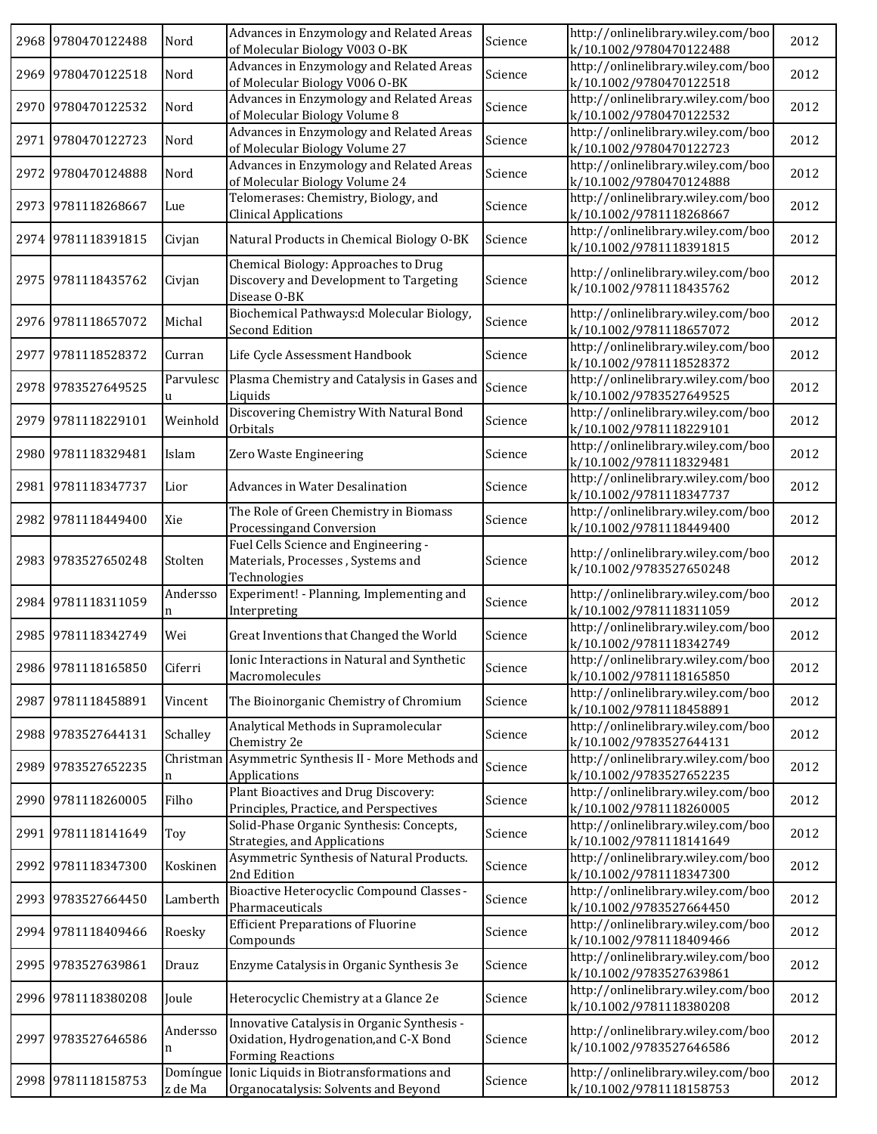|      | 2968 9780470122488 | Nord           | Advances in Enzymology and Related Areas<br>of Molecular Biology V003 O-BK                                        | Science | http://onlinelibrary.wiley.com/boo<br>k/10.1002/9780470122488 | 2012 |
|------|--------------------|----------------|-------------------------------------------------------------------------------------------------------------------|---------|---------------------------------------------------------------|------|
|      | 2969 9780470122518 | Nord           | Advances in Enzymology and Related Areas<br>of Molecular Biology V006 O-BK                                        | Science | http://onlinelibrary.wiley.com/boo<br>k/10.1002/9780470122518 | 2012 |
|      | 2970 9780470122532 | Nord           | Advances in Enzymology and Related Areas<br>of Molecular Biology Volume 8                                         | Science | http://onlinelibrary.wiley.com/boo<br>k/10.1002/9780470122532 | 2012 |
|      | 2971 9780470122723 | Nord           | Advances in Enzymology and Related Areas<br>of Molecular Biology Volume 27                                        | Science | http://onlinelibrary.wiley.com/boo<br>k/10.1002/9780470122723 | 2012 |
|      | 2972 9780470124888 | Nord           | Advances in Enzymology and Related Areas<br>of Molecular Biology Volume 24                                        | Science | http://onlinelibrary.wiley.com/boo<br>k/10.1002/9780470124888 | 2012 |
|      | 2973 9781118268667 | Lue            | Telomerases: Chemistry, Biology, and<br><b>Clinical Applications</b>                                              | Science | http://onlinelibrary.wiley.com/boo<br>k/10.1002/9781118268667 | 2012 |
|      | 2974 9781118391815 | Civjan         | Natural Products in Chemical Biology O-BK                                                                         | Science | http://onlinelibrary.wiley.com/boo<br>k/10.1002/9781118391815 | 2012 |
|      | 2975 9781118435762 | Civjan         | Chemical Biology: Approaches to Drug<br>Discovery and Development to Targeting<br>Disease O-BK                    | Science | http://onlinelibrary.wiley.com/boo<br>k/10.1002/9781118435762 | 2012 |
|      | 2976 9781118657072 | Michal         | Biochemical Pathways:d Molecular Biology,<br><b>Second Edition</b>                                                | Science | http://onlinelibrary.wiley.com/boo<br>k/10.1002/9781118657072 | 2012 |
| 2977 | 9781118528372      | Curran         | Life Cycle Assessment Handbook                                                                                    | Science | http://onlinelibrary.wiley.com/boo<br>k/10.1002/9781118528372 | 2012 |
|      | 2978 9783527649525 | Parvulesc<br>u | Plasma Chemistry and Catalysis in Gases and<br>Liquids                                                            | Science | http://onlinelibrary.wiley.com/boo<br>k/10.1002/9783527649525 | 2012 |
|      | 2979 9781118229101 | Weinhold       | Discovering Chemistry With Natural Bond<br>Orbitals                                                               | Science | http://onlinelibrary.wiley.com/boo<br>k/10.1002/9781118229101 | 2012 |
|      | 2980 9781118329481 | Islam          | Zero Waste Engineering                                                                                            | Science | http://onlinelibrary.wiley.com/boo<br>k/10.1002/9781118329481 | 2012 |
|      | 2981 9781118347737 | Lior           | <b>Advances in Water Desalination</b>                                                                             | Science | http://onlinelibrary.wiley.com/boo<br>k/10.1002/9781118347737 | 2012 |
|      | 2982 9781118449400 | Xie            | The Role of Green Chemistry in Biomass<br>Processingand Conversion                                                | Science | http://onlinelibrary.wiley.com/boo<br>k/10.1002/9781118449400 | 2012 |
|      | 2983 9783527650248 | Stolten        | Fuel Cells Science and Engineering -<br>Materials, Processes, Systems and<br>Technologies                         | Science | http://onlinelibrary.wiley.com/boo<br>k/10.1002/9783527650248 | 2012 |
|      | 2984 9781118311059 | Andersso<br>n  | Experiment! - Planning, Implementing and<br>Interpreting                                                          | Science | http://onlinelibrary.wiley.com/boo<br>k/10.1002/9781118311059 | 2012 |
|      | 2985 9781118342749 | Wei            | Great Inventions that Changed the World                                                                           | Science | http://onlinelibrary.wiley.com/boo<br>k/10.1002/9781118342749 | 2012 |
|      | 2986 9781118165850 | Ciferri        | Ionic Interactions in Natural and Synthetic<br>Macromolecules                                                     | Science | http://onlinelibrary.wiley.com/boo<br>k/10.1002/9781118165850 | 2012 |
|      | 2987 9781118458891 | Vincent        | The Bioinorganic Chemistry of Chromium                                                                            | Science | http://onlinelibrary.wiley.com/boo<br>k/10.1002/9781118458891 | 2012 |
|      | 2988 9783527644131 | Schalley       | Analytical Methods in Supramolecular<br>Chemistry 2e                                                              | Science | http://onlinelibrary.wiley.com/boo<br>k/10.1002/9783527644131 | 2012 |
| 2989 | 9783527652235      | Christman<br>n | Asymmetric Synthesis II - More Methods and<br>Applications                                                        | Science | http://onlinelibrary.wiley.com/boo<br>k/10.1002/9783527652235 | 2012 |
|      | 2990 9781118260005 | Filho          | Plant Bioactives and Drug Discovery:<br>Principles, Practice, and Perspectives                                    | Science | http://onlinelibrary.wiley.com/boo<br>k/10.1002/9781118260005 | 2012 |
|      | 2991 9781118141649 | Toy            | Solid-Phase Organic Synthesis: Concepts,<br>Strategies, and Applications                                          | Science | http://onlinelibrary.wiley.com/boo<br>k/10.1002/9781118141649 | 2012 |
|      | 2992 9781118347300 | Koskinen       | Asymmetric Synthesis of Natural Products.<br>2nd Edition                                                          | Science | http://onlinelibrary.wiley.com/boo<br>k/10.1002/9781118347300 | 2012 |
|      | 2993 9783527664450 | Lamberth       | Bioactive Heterocyclic Compound Classes -<br>Pharmaceuticals                                                      | Science | http://onlinelibrary.wiley.com/boo<br>k/10.1002/9783527664450 | 2012 |
|      | 2994 9781118409466 | Roesky         | <b>Efficient Preparations of Fluorine</b><br>Compounds                                                            | Science | http://onlinelibrary.wiley.com/boo<br>k/10.1002/9781118409466 | 2012 |
|      | 2995 9783527639861 | Drauz          | Enzyme Catalysis in Organic Synthesis 3e                                                                          | Science | http://onlinelibrary.wiley.com/boo<br>k/10.1002/9783527639861 | 2012 |
|      | 2996 9781118380208 | Joule          | Heterocyclic Chemistry at a Glance 2e                                                                             | Science | http://onlinelibrary.wiley.com/boo<br>k/10.1002/9781118380208 | 2012 |
| 2997 | 9783527646586      | Andersso<br>n  | Innovative Catalysis in Organic Synthesis -<br>Oxidation, Hydrogenation, and C-X Bond<br><b>Forming Reactions</b> | Science | http://onlinelibrary.wiley.com/boo<br>k/10.1002/9783527646586 | 2012 |
|      | 2998 9781118158753 | z de Ma        | Domíngue Ionic Liquids in Biotransformations and<br>Organocatalysis: Solvents and Beyond                          | Science | http://onlinelibrary.wiley.com/boo<br>k/10.1002/9781118158753 | 2012 |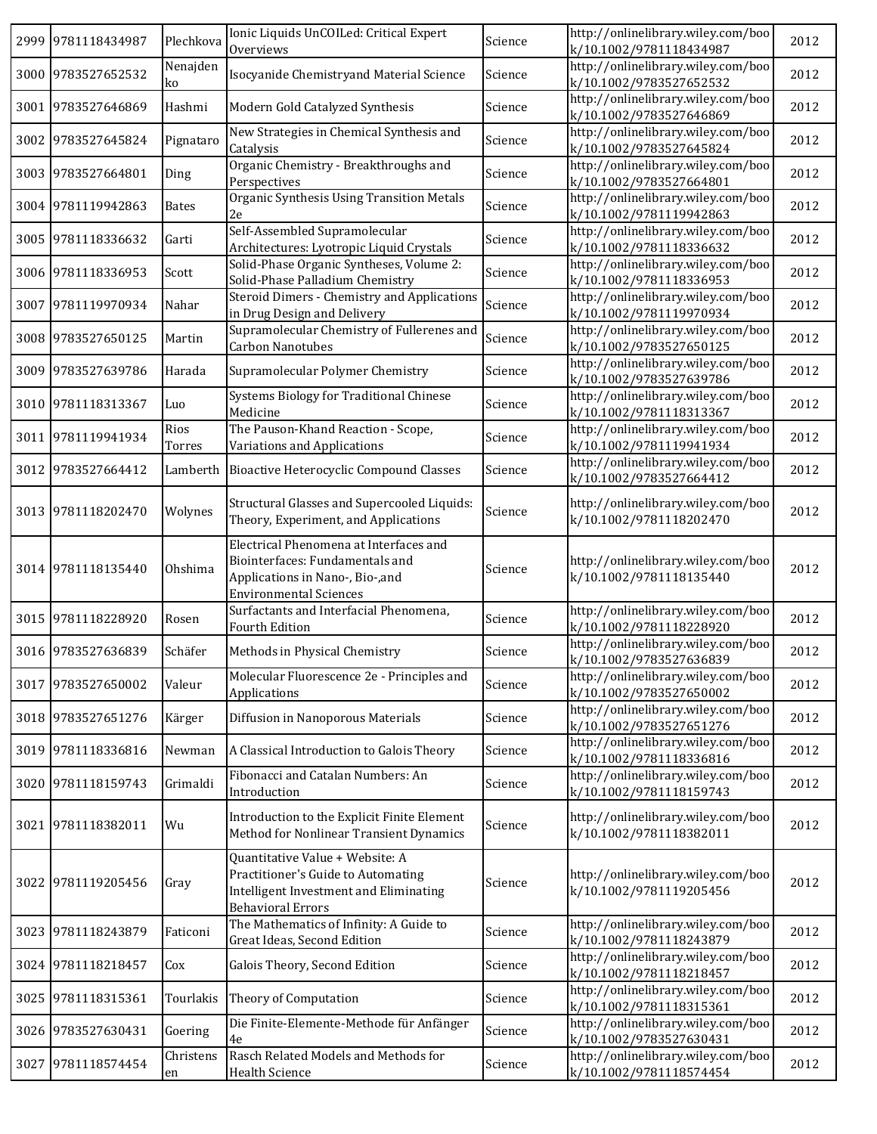|      | 2999 9781118434987 | Plechkova       | Ionic Liquids UnCOILed: Critical Expert<br>Overviews                                                                                           | Science | http://onlinelibrary.wiley.com/boo<br>k/10.1002/9781118434987 | 2012 |
|------|--------------------|-----------------|------------------------------------------------------------------------------------------------------------------------------------------------|---------|---------------------------------------------------------------|------|
|      | 3000 9783527652532 | Nenajden<br>ko  | Isocyanide Chemistryand Material Science                                                                                                       | Science | http://onlinelibrary.wiley.com/boo<br>k/10.1002/9783527652532 | 2012 |
|      | 3001 9783527646869 | Hashmi          | Modern Gold Catalyzed Synthesis                                                                                                                | Science | http://onlinelibrary.wiley.com/boo<br>k/10.1002/9783527646869 | 2012 |
|      | 3002 9783527645824 | Pignataro       | New Strategies in Chemical Synthesis and<br>Catalysis                                                                                          | Science | http://onlinelibrary.wiley.com/boo<br>k/10.1002/9783527645824 | 2012 |
| 3003 | 9783527664801      | Ding            | Organic Chemistry - Breakthroughs and<br>Perspectives                                                                                          | Science | http://onlinelibrary.wiley.com/boo<br>k/10.1002/9783527664801 | 2012 |
|      | 3004 9781119942863 | <b>Bates</b>    | Organic Synthesis Using Transition Metals<br>2e                                                                                                | Science | http://onlinelibrary.wiley.com/boo<br>k/10.1002/9781119942863 | 2012 |
|      | 3005 9781118336632 | Garti           | Self-Assembled Supramolecular<br>Architectures: Lyotropic Liquid Crystals                                                                      | Science | http://onlinelibrary.wiley.com/boo<br>k/10.1002/9781118336632 | 2012 |
|      | 3006 9781118336953 | Scott           | Solid-Phase Organic Syntheses, Volume 2:<br>Solid-Phase Palladium Chemistry                                                                    | Science | http://onlinelibrary.wiley.com/boo<br>k/10.1002/9781118336953 | 2012 |
| 3007 | 9781119970934      | Nahar           | Steroid Dimers - Chemistry and Applications<br>in Drug Design and Delivery                                                                     | Science | http://onlinelibrary.wiley.com/boo<br>k/10.1002/9781119970934 | 2012 |
| 3008 | 9783527650125      | Martin          | Supramolecular Chemistry of Fullerenes and<br>Carbon Nanotubes                                                                                 | Science | http://onlinelibrary.wiley.com/boo<br>k/10.1002/9783527650125 | 2012 |
| 3009 | 9783527639786      | Harada          | Supramolecular Polymer Chemistry                                                                                                               | Science | http://onlinelibrary.wiley.com/boo<br>k/10.1002/9783527639786 | 2012 |
|      | 3010 9781118313367 | Luo             | Systems Biology for Traditional Chinese<br>Medicine                                                                                            | Science | http://onlinelibrary.wiley.com/boo<br>k/10.1002/9781118313367 | 2012 |
|      | 3011 9781119941934 | Rios<br>Torres  | The Pauson-Khand Reaction - Scope,<br>Variations and Applications                                                                              | Science | http://onlinelibrary.wiley.com/boo<br>k/10.1002/9781119941934 | 2012 |
|      | 3012 9783527664412 |                 | Lamberth Bioactive Heterocyclic Compound Classes                                                                                               | Science | http://onlinelibrary.wiley.com/boo<br>k/10.1002/9783527664412 | 2012 |
|      | 3013 9781118202470 | Wolynes         | Structural Glasses and Supercooled Liquids:<br>Theory, Experiment, and Applications                                                            | Science | http://onlinelibrary.wiley.com/boo<br>k/10.1002/9781118202470 | 2012 |
|      | 3014 9781118135440 | Ohshima         | Electrical Phenomena at Interfaces and<br>Biointerfaces: Fundamentals and<br>Applications in Nano-, Bio-, and<br><b>Environmental Sciences</b> | Science | http://onlinelibrary.wiley.com/boo<br>k/10.1002/9781118135440 | 2012 |
|      | 3015 9781118228920 | Rosen           | Surfactants and Interfacial Phenomena,<br>Fourth Edition                                                                                       | Science | http://onlinelibrary.wiley.com/boo<br>k/10.1002/9781118228920 | 2012 |
|      | 3016 9783527636839 | Schäfer         | Methods in Physical Chemistry                                                                                                                  | Science | http://onlinelibrary.wiley.com/boo<br>k/10.1002/9783527636839 | 2012 |
|      | 3017 9783527650002 | Valeur          | Molecular Fluorescence 2e - Principles and<br>Applications                                                                                     | Science | http://onlinelibrary.wiley.com/boo<br>k/10.1002/9783527650002 | 2012 |
|      | 3018 9783527651276 | Kärger          | Diffusion in Nanoporous Materials                                                                                                              | Science | http://onlinelibrary.wiley.com/boo<br>k/10.1002/9783527651276 | 2012 |
| 3019 | 9781118336816      | Newman          | A Classical Introduction to Galois Theory                                                                                                      | Science | http://onlinelibrary.wiley.com/boo<br>k/10.1002/9781118336816 | 2012 |
| 3020 | 9781118159743      | Grimaldi        | Fibonacci and Catalan Numbers: An<br>Introduction                                                                                              | Science | http://onlinelibrary.wiley.com/boo<br>k/10.1002/9781118159743 | 2012 |
| 3021 | 9781118382011      | Wu              | Introduction to the Explicit Finite Element<br>Method for Nonlinear Transient Dynamics                                                         | Science | http://onlinelibrary.wiley.com/boo<br>k/10.1002/9781118382011 | 2012 |
| 3022 | 9781119205456      | Gray            | Quantitative Value + Website: A<br>Practitioner's Guide to Automating<br>Intelligent Investment and Eliminating<br><b>Behavioral Errors</b>    | Science | http://onlinelibrary.wiley.com/boo<br>k/10.1002/9781119205456 | 2012 |
| 3023 | 9781118243879      | Faticoni        | The Mathematics of Infinity: A Guide to<br>Great Ideas, Second Edition                                                                         | Science | http://onlinelibrary.wiley.com/boo<br>k/10.1002/9781118243879 | 2012 |
| 3024 | 9781118218457      | Cox             | Galois Theory, Second Edition                                                                                                                  | Science | http://onlinelibrary.wiley.com/boo<br>k/10.1002/9781118218457 | 2012 |
| 3025 | 9781118315361      | Tourlakis       | Theory of Computation                                                                                                                          | Science | http://onlinelibrary.wiley.com/boo<br>k/10.1002/9781118315361 | 2012 |
|      | 3026 9783527630431 | Goering         | Die Finite-Elemente-Methode für Anfänger<br>4e                                                                                                 | Science | http://onlinelibrary.wiley.com/boo<br>k/10.1002/9783527630431 | 2012 |
| 3027 | 9781118574454      | Christens<br>en | Rasch Related Models and Methods for<br>Health Science                                                                                         | Science | http://onlinelibrary.wiley.com/boo<br>k/10.1002/9781118574454 | 2012 |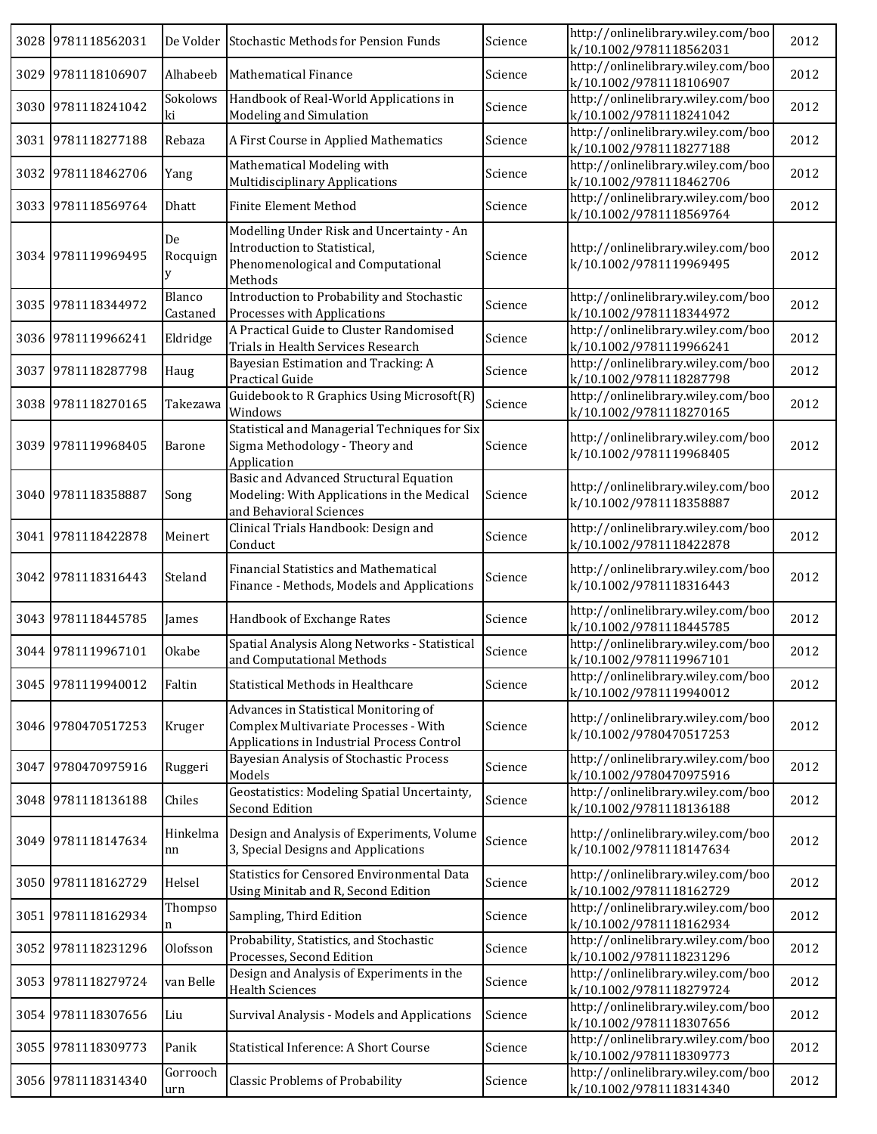|      | 3028 9781118562031 |                    | De Volder Stochastic Methods for Pension Funds                                                                               | Science | http://onlinelibrary.wiley.com/boo<br>k/10.1002/9781118562031 | 2012 |
|------|--------------------|--------------------|------------------------------------------------------------------------------------------------------------------------------|---------|---------------------------------------------------------------|------|
|      | 3029 9781118106907 | Alhabeeb           | Mathematical Finance                                                                                                         | Science | http://onlinelibrary.wiley.com/boo<br>k/10.1002/9781118106907 | 2012 |
|      | 3030 9781118241042 | Sokolows<br>ki     | Handbook of Real-World Applications in<br>Modeling and Simulation                                                            | Science | http://onlinelibrary.wiley.com/boo<br>k/10.1002/9781118241042 | 2012 |
|      | 3031 9781118277188 | Rebaza             | A First Course in Applied Mathematics                                                                                        | Science | http://onlinelibrary.wiley.com/boo<br>k/10.1002/9781118277188 | 2012 |
| 3032 | 9781118462706      | Yang               | Mathematical Modeling with<br><b>Multidisciplinary Applications</b>                                                          | Science | http://onlinelibrary.wiley.com/boo<br>k/10.1002/9781118462706 | 2012 |
|      | 3033 9781118569764 | Dhatt              | <b>Finite Element Method</b>                                                                                                 | Science | http://onlinelibrary.wiley.com/boo<br>k/10.1002/9781118569764 | 2012 |
|      | 3034 9781119969495 | De<br>Rocquign     | Modelling Under Risk and Uncertainty - An<br>Introduction to Statistical,<br>Phenomenological and Computational<br>Methods   | Science | http://onlinelibrary.wiley.com/boo<br>k/10.1002/9781119969495 | 2012 |
|      | 3035 9781118344972 | Blanco<br>Castaned | Introduction to Probability and Stochastic<br>Processes with Applications                                                    | Science | http://onlinelibrary.wiley.com/boo<br>k/10.1002/9781118344972 | 2012 |
|      | 3036 9781119966241 | Eldridge           | A Practical Guide to Cluster Randomised<br>Trials in Health Services Research                                                | Science | http://onlinelibrary.wiley.com/boo<br>k/10.1002/9781119966241 | 2012 |
| 3037 | 9781118287798      | Haug               | Bayesian Estimation and Tracking: A<br>Practical Guide                                                                       | Science | http://onlinelibrary.wiley.com/boo<br>k/10.1002/9781118287798 | 2012 |
|      | 3038 9781118270165 | Takezawa           | Guidebook to R Graphics Using Microsoft(R)<br>Windows                                                                        | Science | http://onlinelibrary.wiley.com/boo<br>k/10.1002/9781118270165 | 2012 |
| 3039 | 9781119968405      | <b>Barone</b>      | Statistical and Managerial Techniques for Six<br>Sigma Methodology - Theory and<br>Application                               | Science | http://onlinelibrary.wiley.com/boo<br>k/10.1002/9781119968405 | 2012 |
|      | 3040 9781118358887 | Song               | Basic and Advanced Structural Equation<br>Modeling: With Applications in the Medical<br>and Behavioral Sciences              | Science | http://onlinelibrary.wiley.com/boo<br>k/10.1002/9781118358887 | 2012 |
|      | 3041 9781118422878 | Meinert            | Clinical Trials Handbook: Design and<br>Conduct                                                                              | Science | http://onlinelibrary.wiley.com/boo<br>k/10.1002/9781118422878 | 2012 |
| 3042 | 9781118316443      | Steland            | <b>Financial Statistics and Mathematical</b><br>Finance - Methods, Models and Applications                                   | Science | http://onlinelibrary.wiley.com/boo<br>k/10.1002/9781118316443 | 2012 |
|      | 3043 9781118445785 | James              | Handbook of Exchange Rates                                                                                                   | Science | http://onlinelibrary.wiley.com/boo<br>k/10.1002/9781118445785 | 2012 |
|      | 3044 9781119967101 | Okabe              | Spatial Analysis Along Networks - Statistical<br>and Computational Methods                                                   | Science | http://onlinelibrary.wiley.com/boo<br>k/10.1002/9781119967101 | 2012 |
|      | 3045 9781119940012 | Faltin             | Statistical Methods in Healthcare                                                                                            | Science | http://onlinelibrary.wiley.com/boo<br>k/10.1002/9781119940012 | 2012 |
|      | 3046 9780470517253 | Kruger             | Advances in Statistical Monitoring of<br>Complex Multivariate Processes - With<br>Applications in Industrial Process Control | Science | http://onlinelibrary.wiley.com/boo<br>k/10.1002/9780470517253 | 2012 |
|      | 3047 9780470975916 | Ruggeri            | Bayesian Analysis of Stochastic Process<br>Models                                                                            | Science | http://onlinelibrary.wiley.com/boo<br>k/10.1002/9780470975916 | 2012 |
|      | 3048 9781118136188 | Chiles             | Geostatistics: Modeling Spatial Uncertainty,<br><b>Second Edition</b>                                                        | Science | http://onlinelibrary.wiley.com/boo<br>k/10.1002/9781118136188 | 2012 |
| 3049 | 9781118147634      | Hinkelma<br>nn     | Design and Analysis of Experiments, Volume<br>3, Special Designs and Applications                                            | Science | http://onlinelibrary.wiley.com/boo<br>k/10.1002/9781118147634 | 2012 |
|      | 3050 9781118162729 | Helsel             | Statistics for Censored Environmental Data<br>Using Minitab and R, Second Edition                                            | Science | http://onlinelibrary.wiley.com/boo<br>k/10.1002/9781118162729 | 2012 |
|      | 3051 9781118162934 | Thompso            | Sampling, Third Edition                                                                                                      | Science | http://onlinelibrary.wiley.com/boo<br>k/10.1002/9781118162934 | 2012 |
| 3052 | 9781118231296      | Olofsson           | Probability, Statistics, and Stochastic<br>Processes, Second Edition                                                         | Science | http://onlinelibrary.wiley.com/boo<br>k/10.1002/9781118231296 | 2012 |
| 3053 | 9781118279724      | van Belle          | Design and Analysis of Experiments in the<br><b>Health Sciences</b>                                                          | Science | http://onlinelibrary.wiley.com/boo<br>k/10.1002/9781118279724 | 2012 |
| 3054 | 9781118307656      | Liu                | Survival Analysis - Models and Applications                                                                                  | Science | http://onlinelibrary.wiley.com/boo<br>k/10.1002/9781118307656 | 2012 |
|      | 3055 9781118309773 | Panik              | Statistical Inference: A Short Course                                                                                        | Science | http://onlinelibrary.wiley.com/boo<br>k/10.1002/9781118309773 | 2012 |
|      | 3056 9781118314340 | Gorrooch<br>urn    | <b>Classic Problems of Probability</b>                                                                                       | Science | http://onlinelibrary.wiley.com/boo<br>k/10.1002/9781118314340 | 2012 |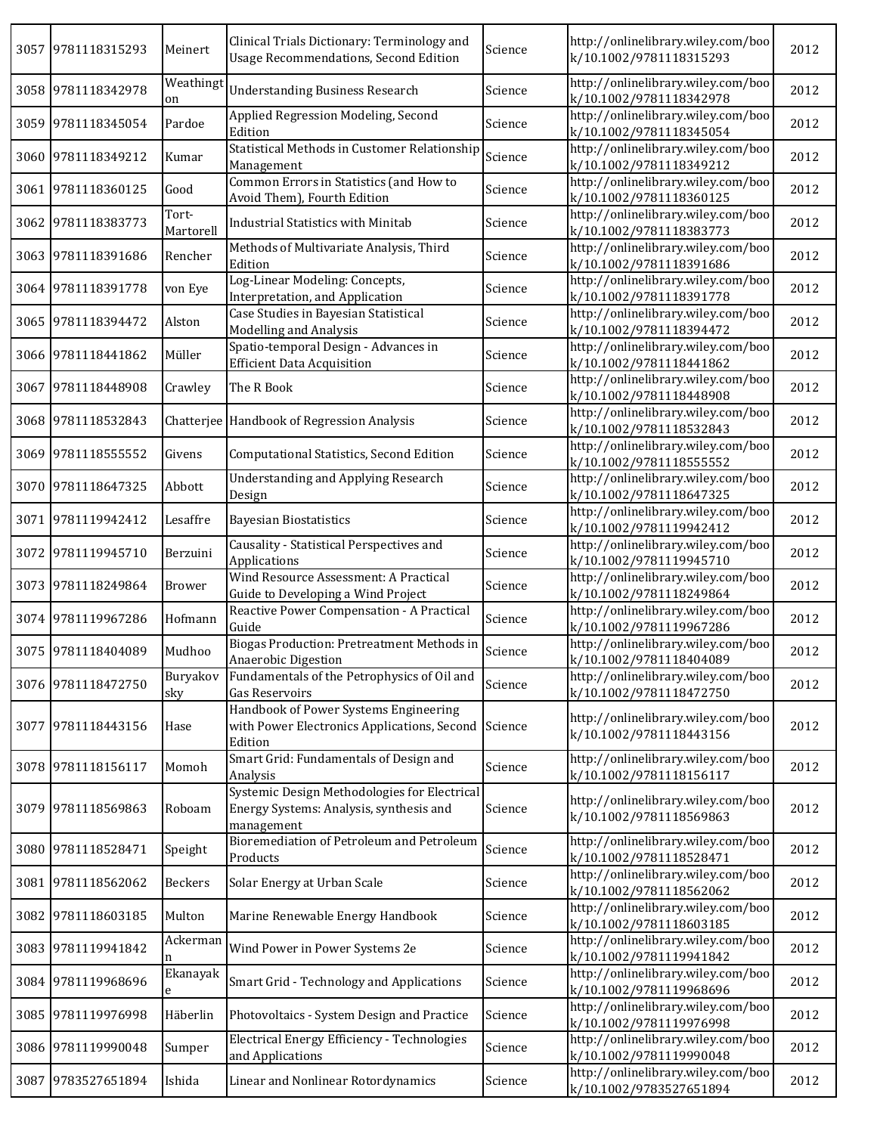| 3057 | 9781118315293      | Meinert            | Clinical Trials Dictionary: Terminology and<br><b>Usage Recommendations, Second Edition</b>           | Science | http://onlinelibrary.wiley.com/boo<br>k/10.1002/9781118315293 | 2012 |
|------|--------------------|--------------------|-------------------------------------------------------------------------------------------------------|---------|---------------------------------------------------------------|------|
|      | 3058 9781118342978 | Weathingt<br>on    | <b>Understanding Business Research</b>                                                                | Science | http://onlinelibrary.wiley.com/boo<br>k/10.1002/9781118342978 | 2012 |
|      | 3059 9781118345054 | Pardoe             | Applied Regression Modeling, Second<br>Edition                                                        | Science | http://onlinelibrary.wiley.com/boo<br>k/10.1002/9781118345054 | 2012 |
|      | 3060 9781118349212 | Kumar              | Statistical Methods in Customer Relationship<br>Management                                            | Science | http://onlinelibrary.wiley.com/boo<br>k/10.1002/9781118349212 | 2012 |
|      | 3061 9781118360125 | Good               | Common Errors in Statistics (and How to<br>Avoid Them), Fourth Edition                                | Science | http://onlinelibrary.wiley.com/boo<br>k/10.1002/9781118360125 | 2012 |
|      | 3062 9781118383773 | Tort-<br>Martorell | <b>Industrial Statistics with Minitab</b>                                                             | Science | http://onlinelibrary.wiley.com/boo<br>k/10.1002/9781118383773 | 2012 |
|      | 3063 9781118391686 | Rencher            | Methods of Multivariate Analysis, Third<br>Edition                                                    | Science | http://onlinelibrary.wiley.com/boo<br>k/10.1002/9781118391686 | 2012 |
|      | 3064 9781118391778 | von Eye            | Log-Linear Modeling: Concepts,<br>Interpretation, and Application                                     | Science | http://onlinelibrary.wiley.com/boo<br>k/10.1002/9781118391778 | 2012 |
| 3065 | 9781118394472      | Alston             | Case Studies in Bayesian Statistical<br>Modelling and Analysis                                        | Science | http://onlinelibrary.wiley.com/boo<br>k/10.1002/9781118394472 | 2012 |
| 3066 | 9781118441862      | Müller             | Spatio-temporal Design - Advances in<br><b>Efficient Data Acquisition</b>                             | Science | http://onlinelibrary.wiley.com/boo<br>k/10.1002/9781118441862 | 2012 |
| 3067 | 9781118448908      | Crawley            | The R Book                                                                                            | Science | http://onlinelibrary.wiley.com/boo<br>k/10.1002/9781118448908 | 2012 |
|      | 3068 9781118532843 |                    | Chatterjee Handbook of Regression Analysis                                                            | Science | http://onlinelibrary.wiley.com/boo<br>k/10.1002/9781118532843 | 2012 |
|      | 3069 9781118555552 | Givens             | Computational Statistics, Second Edition                                                              | Science | http://onlinelibrary.wiley.com/boo<br>k/10.1002/9781118555552 | 2012 |
|      | 3070 9781118647325 | Abbott             | <b>Understanding and Applying Research</b><br>Design                                                  | Science | http://onlinelibrary.wiley.com/boo<br>k/10.1002/9781118647325 | 2012 |
| 3071 | 9781119942412      | Lesaffre           | <b>Bayesian Biostatistics</b>                                                                         | Science | http://onlinelibrary.wiley.com/boo<br>k/10.1002/9781119942412 | 2012 |
| 3072 | 9781119945710      | Berzuini           | Causality - Statistical Perspectives and<br>Applications                                              | Science | http://onlinelibrary.wiley.com/boo<br>k/10.1002/9781119945710 | 2012 |
| 3073 | 9781118249864      | Brower             | Wind Resource Assessment: A Practical<br>Guide to Developing a Wind Project                           | Science | http://onlinelibrary.wiley.com/boo<br>k/10.1002/9781118249864 | 2012 |
|      | 3074 9781119967286 | Hofmann            | Reactive Power Compensation - A Practical<br>Guide                                                    | Science | http://onlinelibrary.wiley.com/boo<br>k/10.1002/9781119967286 | 2012 |
|      | 3075 9781118404089 | Mudhoo             | Biogas Production: Pretreatment Methods in<br>Anaerobic Digestion                                     | Science | http://onlinelibrary.wiley.com/boo<br>k/10.1002/9781118404089 | 2012 |
|      | 3076 9781118472750 | Buryakov<br>sky    | Fundamentals of the Petrophysics of Oil and<br>Gas Reservoirs                                         | Science | http://onlinelibrary.wiley.com/boo<br>k/10.1002/9781118472750 | 2012 |
| 3077 | 9781118443156      | Hase               | Handbook of Power Systems Engineering<br>with Power Electronics Applications, Second<br>Edition       | Science | http://onlinelibrary.wiley.com/boo<br>k/10.1002/9781118443156 | 2012 |
|      | 3078 9781118156117 | Momoh              | Smart Grid: Fundamentals of Design and<br>Analysis                                                    | Science | http://onlinelibrary.wiley.com/boo<br>k/10.1002/9781118156117 | 2012 |
| 3079 | 9781118569863      | Roboam             | Systemic Design Methodologies for Electrical<br>Energy Systems: Analysis, synthesis and<br>management | Science | http://onlinelibrary.wiley.com/boo<br>k/10.1002/9781118569863 | 2012 |
|      | 3080 9781118528471 | Speight            | Bioremediation of Petroleum and Petroleum<br>Products                                                 | Science | http://onlinelibrary.wiley.com/boo<br>k/10.1002/9781118528471 | 2012 |
|      | 3081 9781118562062 | Beckers            | Solar Energy at Urban Scale                                                                           | Science | http://onlinelibrary.wiley.com/boo<br>k/10.1002/9781118562062 | 2012 |
|      | 3082 9781118603185 | Multon             | Marine Renewable Energy Handbook                                                                      | Science | http://onlinelibrary.wiley.com/boo<br>k/10.1002/9781118603185 | 2012 |
|      | 3083 9781119941842 | Ackerman           | Wind Power in Power Systems 2e                                                                        | Science | http://onlinelibrary.wiley.com/boo<br>k/10.1002/9781119941842 | 2012 |
| 3084 | 9781119968696      | Ekanayak<br>e      | Smart Grid - Technology and Applications                                                              | Science | http://onlinelibrary.wiley.com/boo<br>k/10.1002/9781119968696 | 2012 |
| 3085 | 9781119976998      | Häberlin           | Photovoltaics - System Design and Practice                                                            | Science | http://onlinelibrary.wiley.com/boo<br>k/10.1002/9781119976998 | 2012 |
|      | 3086 9781119990048 | Sumper             | Electrical Energy Efficiency - Technologies<br>and Applications                                       | Science | http://onlinelibrary.wiley.com/boo<br>k/10.1002/9781119990048 | 2012 |
| 3087 | 9783527651894      | Ishida             | Linear and Nonlinear Rotordynamics                                                                    | Science | http://onlinelibrary.wiley.com/boo<br>k/10.1002/9783527651894 | 2012 |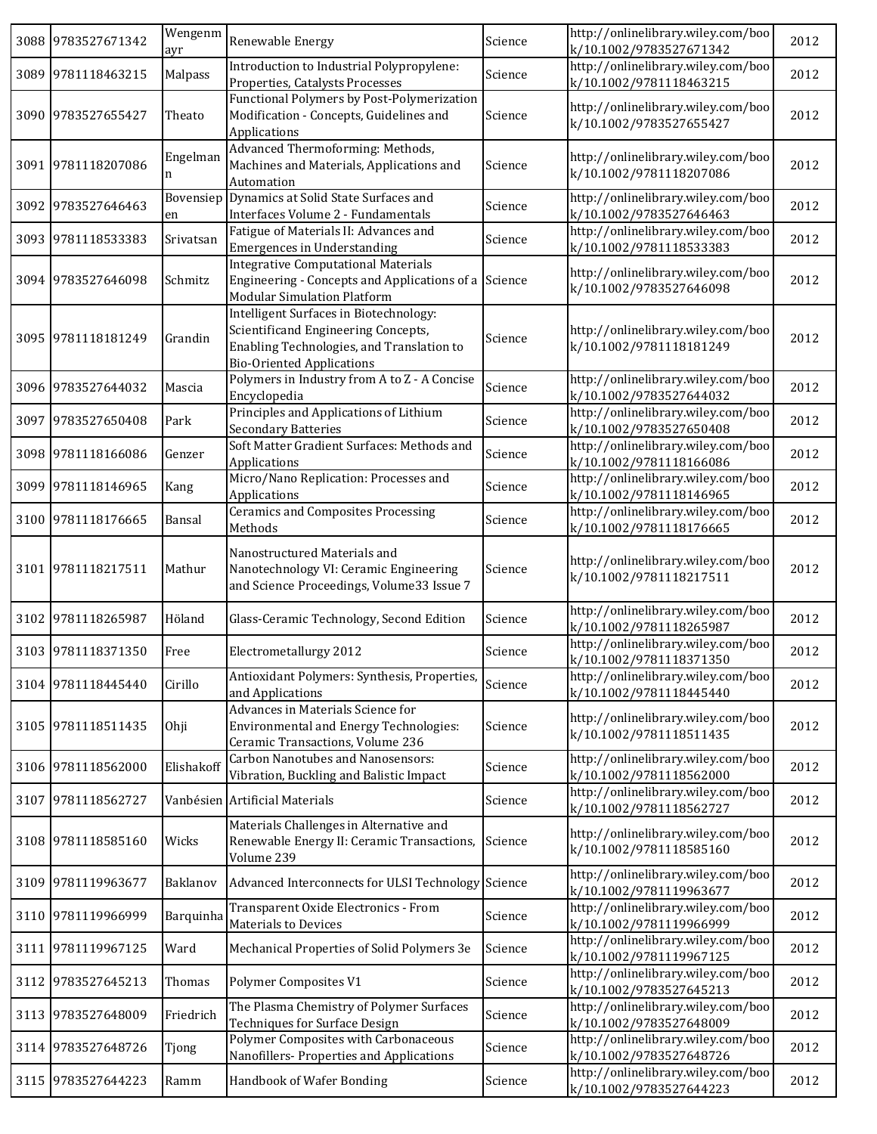|      | 3088 9783527671342 | Wengenm<br>ayr  | Renewable Energy                                                                                                                                               | Science | http://onlinelibrary.wiley.com/boo<br>k/10.1002/9783527671342 | 2012 |
|------|--------------------|-----------------|----------------------------------------------------------------------------------------------------------------------------------------------------------------|---------|---------------------------------------------------------------|------|
|      | 3089 9781118463215 | Malpass         | Introduction to Industrial Polypropylene:<br>Properties, Catalysts Processes                                                                                   | Science | http://onlinelibrary.wiley.com/boo<br>k/10.1002/9781118463215 | 2012 |
|      | 3090 9783527655427 | Theato          | Functional Polymers by Post-Polymerization<br>Modification - Concepts, Guidelines and<br>Applications                                                          | Science | http://onlinelibrary.wiley.com/boo<br>k/10.1002/9783527655427 | 2012 |
|      | 3091 9781118207086 | Engelman<br>n   | Advanced Thermoforming: Methods,<br>Machines and Materials, Applications and<br>Automation                                                                     | Science | http://onlinelibrary.wiley.com/boo<br>k/10.1002/9781118207086 | 2012 |
|      | 3092 9783527646463 | Bovensiep<br>en | Dynamics at Solid State Surfaces and<br>Interfaces Volume 2 - Fundamentals                                                                                     | Science | http://onlinelibrary.wiley.com/boo<br>k/10.1002/9783527646463 | 2012 |
|      | 3093 9781118533383 | Srivatsan       | Fatigue of Materials II: Advances and<br><b>Emergences in Understanding</b>                                                                                    | Science | http://onlinelibrary.wiley.com/boo<br>k/10.1002/9781118533383 | 2012 |
|      | 3094 9783527646098 | Schmitz         | <b>Integrative Computational Materials</b><br>Engineering - Concepts and Applications of a<br><b>Modular Simulation Platform</b>                               | Science | http://onlinelibrary.wiley.com/boo<br>k/10.1002/9783527646098 | 2012 |
|      | 3095 9781118181249 | Grandin         | Intelligent Surfaces in Biotechnology:<br>Scientificand Engineering Concepts,<br>Enabling Technologies, and Translation to<br><b>Bio-Oriented Applications</b> | Science | http://onlinelibrary.wiley.com/boo<br>k/10.1002/9781118181249 | 2012 |
|      | 3096 9783527644032 | Mascia          | Polymers in Industry from A to Z - A Concise<br>Encyclopedia                                                                                                   | Science | http://onlinelibrary.wiley.com/boo<br>k/10.1002/9783527644032 | 2012 |
|      | 3097 9783527650408 | Park            | Principles and Applications of Lithium<br><b>Secondary Batteries</b>                                                                                           | Science | http://onlinelibrary.wiley.com/boo<br>k/10.1002/9783527650408 | 2012 |
|      | 3098 9781118166086 | Genzer          | Soft Matter Gradient Surfaces: Methods and<br>Applications                                                                                                     | Science | http://onlinelibrary.wiley.com/boo<br>k/10.1002/9781118166086 | 2012 |
|      | 3099 9781118146965 | Kang            | Micro/Nano Replication: Processes and<br>Applications                                                                                                          | Science | http://onlinelibrary.wiley.com/boo<br>k/10.1002/9781118146965 | 2012 |
|      | 3100 9781118176665 | Bansal          | <b>Ceramics and Composites Processing</b><br>Methods                                                                                                           | Science | http://onlinelibrary.wiley.com/boo<br>k/10.1002/9781118176665 | 2012 |
|      | 3101 9781118217511 | Mathur          | Nanostructured Materials and<br>Nanotechnology VI: Ceramic Engineering<br>and Science Proceedings, Volume33 Issue 7                                            | Science | http://onlinelibrary.wiley.com/boo<br>k/10.1002/9781118217511 | 2012 |
|      | 3102 9781118265987 | Höland          | Glass-Ceramic Technology, Second Edition                                                                                                                       | Science | http://onlinelibrary.wiley.com/boo<br>k/10.1002/9781118265987 | 2012 |
|      | 3103 9781118371350 | Free            | Electrometallurgy 2012                                                                                                                                         | Science | http://onlinelibrary.wiley.com/boo<br>k/10.1002/9781118371350 | 2012 |
|      | 3104 9781118445440 | Cirillo         | Antioxidant Polymers: Synthesis, Properties,<br>and Applications                                                                                               | Science | http://onlinelibrary.wiley.com/boo<br>k/10.1002/9781118445440 | 2012 |
|      | 3105 9781118511435 | Ohji            | Advances in Materials Science for<br><b>Environmental and Energy Technologies:</b><br>Ceramic Transactions, Volume 236                                         | Science | http://onlinelibrary.wiley.com/boo<br>k/10.1002/9781118511435 | 2012 |
|      | 3106 9781118562000 | Elishakoff      | Carbon Nanotubes and Nanosensors:<br>Vibration, Buckling and Balistic Impact                                                                                   | Science | http://onlinelibrary.wiley.com/boo<br>k/10.1002/9781118562000 | 2012 |
| 3107 | 9781118562727      |                 | Vanbésien Artificial Materials                                                                                                                                 | Science | http://onlinelibrary.wiley.com/boo<br>k/10.1002/9781118562727 | 2012 |
|      | 3108 9781118585160 | Wicks           | Materials Challenges in Alternative and<br>Renewable Energy II: Ceramic Transactions,<br>Volume 239                                                            | Science | http://onlinelibrary.wiley.com/boo<br>k/10.1002/9781118585160 | 2012 |
|      | 3109 9781119963677 | Baklanov        | Advanced Interconnects for ULSI Technology Science                                                                                                             |         | http://onlinelibrary.wiley.com/boo<br>k/10.1002/9781119963677 | 2012 |
|      | 3110 9781119966999 | Barquinha       | Transparent Oxide Electronics - From<br><b>Materials to Devices</b>                                                                                            | Science | http://onlinelibrary.wiley.com/boo<br>k/10.1002/9781119966999 | 2012 |
|      | 3111 9781119967125 | Ward            | Mechanical Properties of Solid Polymers 3e                                                                                                                     | Science | http://onlinelibrary.wiley.com/boo<br>k/10.1002/9781119967125 | 2012 |
|      | 3112 9783527645213 | Thomas          | Polymer Composites V1                                                                                                                                          | Science | http://onlinelibrary.wiley.com/boo<br>k/10.1002/9783527645213 | 2012 |
|      | 3113 9783527648009 | Friedrich       | The Plasma Chemistry of Polymer Surfaces<br><b>Techniques for Surface Design</b>                                                                               | Science | http://onlinelibrary.wiley.com/boo<br>k/10.1002/9783527648009 | 2012 |
|      | 3114 9783527648726 | Tjong           | Polymer Composites with Carbonaceous<br>Nanofillers-Properties and Applications                                                                                | Science | http://onlinelibrary.wiley.com/boo<br>k/10.1002/9783527648726 | 2012 |
|      | 3115 9783527644223 | Ramm            | Handbook of Wafer Bonding                                                                                                                                      | Science | http://onlinelibrary.wiley.com/boo<br>k/10.1002/9783527644223 | 2012 |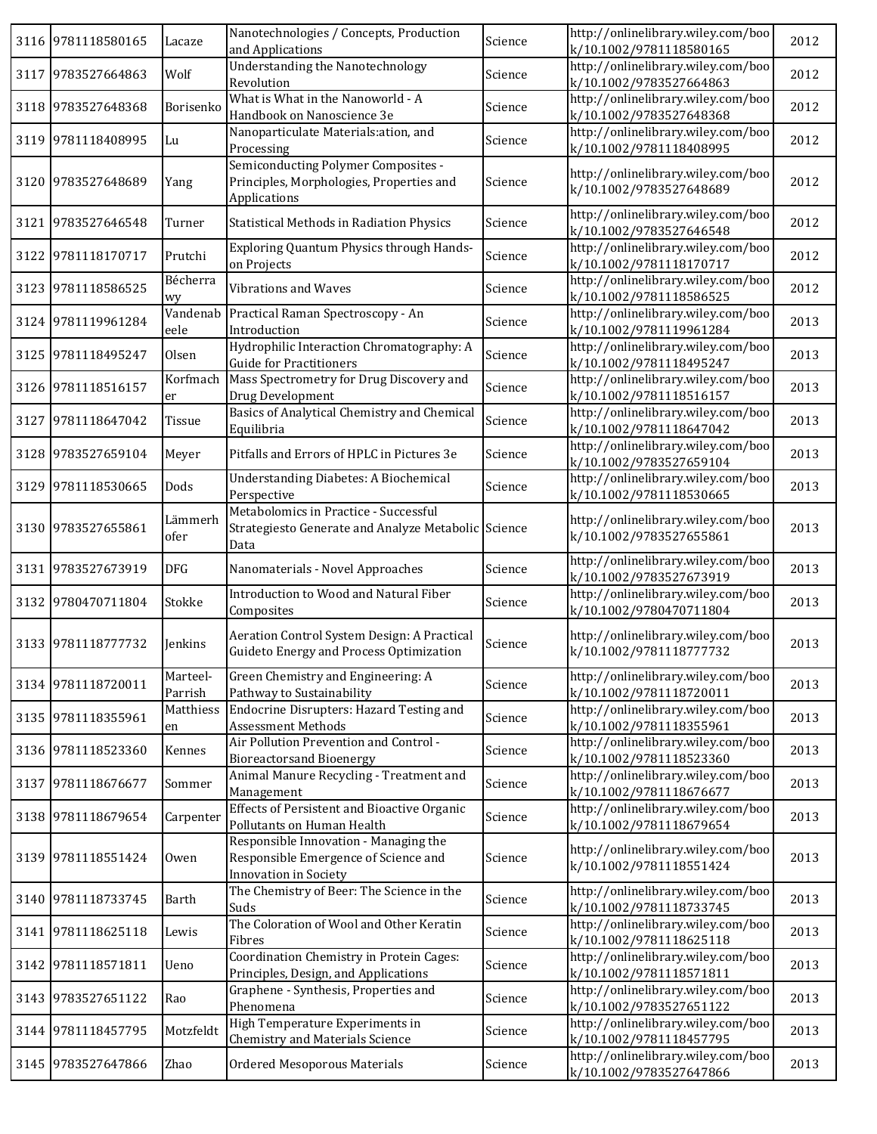|      | 3116 9781118580165 | Lacaze              | Nanotechnologies / Concepts, Production<br>and Applications                                            | Science | http://onlinelibrary.wiley.com/boo<br>k/10.1002/9781118580165 | 2012 |
|------|--------------------|---------------------|--------------------------------------------------------------------------------------------------------|---------|---------------------------------------------------------------|------|
|      | 3117 9783527664863 | Wolf                | <b>Understanding the Nanotechnology</b><br>Revolution                                                  | Science | http://onlinelibrary.wiley.com/boo<br>k/10.1002/9783527664863 | 2012 |
|      | 3118 9783527648368 | Borisenko           | What is What in the Nanoworld - A<br>Handbook on Nanoscience 3e                                        | Science | http://onlinelibrary.wiley.com/boo<br>k/10.1002/9783527648368 | 2012 |
|      | 3119 9781118408995 | Lu                  | Nanoparticulate Materials: ation, and<br>Processing                                                    | Science | http://onlinelibrary.wiley.com/boo<br>k/10.1002/9781118408995 | 2012 |
|      | 3120 9783527648689 | Yang                | Semiconducting Polymer Composites -<br>Principles, Morphologies, Properties and<br>Applications        | Science | http://onlinelibrary.wiley.com/boo<br>k/10.1002/9783527648689 | 2012 |
|      | 3121 9783527646548 | Turner              | Statistical Methods in Radiation Physics                                                               | Science | http://onlinelibrary.wiley.com/boo<br>k/10.1002/9783527646548 | 2012 |
|      | 3122 9781118170717 | Prutchi             | Exploring Quantum Physics through Hands-<br>on Projects                                                | Science | http://onlinelibrary.wiley.com/boo<br>k/10.1002/9781118170717 | 2012 |
| 3123 | 9781118586525      | Bécherra<br>wy      | <b>Vibrations and Waves</b>                                                                            | Science | http://onlinelibrary.wiley.com/boo<br>k/10.1002/9781118586525 | 2012 |
|      | 3124 9781119961284 | Vandenab<br>eele    | Practical Raman Spectroscopy - An<br>Introduction                                                      | Science | http://onlinelibrary.wiley.com/boo<br>k/10.1002/9781119961284 | 2013 |
| 3125 | 9781118495247      | Olsen               | Hydrophilic Interaction Chromatography: A<br><b>Guide for Practitioners</b>                            | Science | http://onlinelibrary.wiley.com/boo<br>k/10.1002/9781118495247 | 2013 |
|      | 3126 9781118516157 | Korfmach<br>er      | Mass Spectrometry for Drug Discovery and<br>Drug Development                                           | Science | http://onlinelibrary.wiley.com/boo<br>k/10.1002/9781118516157 | 2013 |
|      | 3127 9781118647042 | Tissue              | Basics of Analytical Chemistry and Chemical<br>Equilibria                                              | Science | http://onlinelibrary.wiley.com/boo<br>k/10.1002/9781118647042 | 2013 |
|      | 3128 9783527659104 | Meyer               | Pitfalls and Errors of HPLC in Pictures 3e                                                             | Science | http://onlinelibrary.wiley.com/boo<br>k/10.1002/9783527659104 | 2013 |
|      | 3129 9781118530665 | Dods                | <b>Understanding Diabetes: A Biochemical</b><br>Perspective                                            | Science | http://onlinelibrary.wiley.com/boo<br>k/10.1002/9781118530665 | 2013 |
|      | 3130 9783527655861 | Lämmerh<br>ofer     | Metabolomics in Practice - Successful<br>Strategiesto Generate and Analyze Metabolic Science<br>Data   |         | http://onlinelibrary.wiley.com/boo<br>k/10.1002/9783527655861 | 2013 |
|      | 3131 9783527673919 | <b>DFG</b>          | Nanomaterials - Novel Approaches                                                                       | Science | http://onlinelibrary.wiley.com/boo<br>k/10.1002/9783527673919 | 2013 |
|      | 3132 9780470711804 | Stokke              | Introduction to Wood and Natural Fiber<br>Composites                                                   | Science | http://onlinelibrary.wiley.com/boo<br>k/10.1002/9780470711804 | 2013 |
|      | 3133 9781118777732 | Jenkins             | Aeration Control System Design: A Practical<br>Guideto Energy and Process Optimization                 | Science | http://onlinelibrary.wiley.com/boo<br>k/10.1002/9781118777732 | 2013 |
|      | 3134 9781118720011 | Marteel-<br>Parrish | Green Chemistry and Engineering: A<br>Pathway to Sustainability                                        | Science | http://onlinelibrary.wiley.com/boo<br>k/10.1002/9781118720011 | 2013 |
|      | 3135 9781118355961 | Matthiess<br>en     | Endocrine Disrupters: Hazard Testing and<br><b>Assessment Methods</b>                                  | Science | http://onlinelibrary.wiley.com/boo<br>k/10.1002/9781118355961 | 2013 |
|      | 3136 9781118523360 | Kennes              | Air Pollution Prevention and Control -<br><b>Bioreactorsand Bioenergy</b>                              | Science | http://onlinelibrary.wiley.com/boo<br>k/10.1002/9781118523360 | 2013 |
| 3137 | 9781118676677      | Sommer              | Animal Manure Recycling - Treatment and<br>Management                                                  | Science | http://onlinelibrary.wiley.com/boo<br>k/10.1002/9781118676677 | 2013 |
|      | 3138 9781118679654 | Carpenter           | <b>Effects of Persistent and Bioactive Organic</b><br>Pollutants on Human Health                       | Science | http://onlinelibrary.wiley.com/boo<br>k/10.1002/9781118679654 | 2013 |
|      | 3139 9781118551424 | Owen                | Responsible Innovation - Managing the<br>Responsible Emergence of Science and<br>Innovation in Society | Science | http://onlinelibrary.wiley.com/boo<br>k/10.1002/9781118551424 | 2013 |
|      | 3140 9781118733745 | Barth               | The Chemistry of Beer: The Science in the<br>Suds                                                      | Science | http://onlinelibrary.wiley.com/boo<br>k/10.1002/9781118733745 | 2013 |
| 3141 | 9781118625118      | Lewis               | The Coloration of Wool and Other Keratin<br>Fibres                                                     | Science | http://onlinelibrary.wiley.com/boo<br>k/10.1002/9781118625118 | 2013 |
| 3142 | 9781118571811      | Ueno                | Coordination Chemistry in Protein Cages:<br>Principles, Design, and Applications                       | Science | http://onlinelibrary.wiley.com/boo<br>k/10.1002/9781118571811 | 2013 |
|      |                    | Rao                 | Graphene - Synthesis, Properties and                                                                   | Science | http://onlinelibrary.wiley.com/boo                            | 2013 |
|      | 3143 9783527651122 |                     | Phenomena                                                                                              |         | k/10.1002/9783527651122                                       |      |
|      | 3144 9781118457795 | Motzfeldt           | High Temperature Experiments in<br>Chemistry and Materials Science                                     | Science | http://onlinelibrary.wiley.com/boo<br>k/10.1002/9781118457795 | 2013 |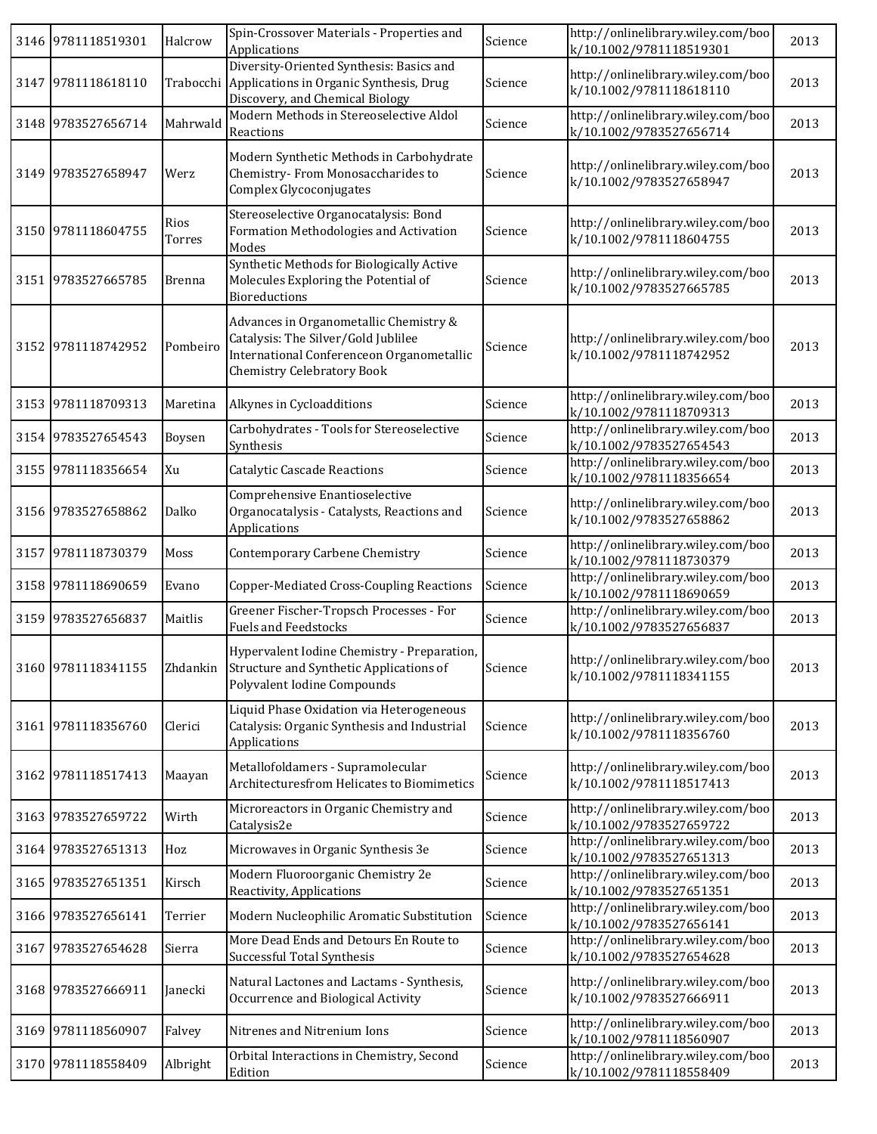| 3146 9781118519301 | Halcrow        | Spin-Crossover Materials - Properties and<br>Applications                                                                                                       | Science | http://onlinelibrary.wiley.com/boo<br>k/10.1002/9781118519301 | 2013 |
|--------------------|----------------|-----------------------------------------------------------------------------------------------------------------------------------------------------------------|---------|---------------------------------------------------------------|------|
| 3147 9781118618110 |                | Diversity-Oriented Synthesis: Basics and<br>Trabocchi Applications in Organic Synthesis, Drug<br>Discovery, and Chemical Biology                                | Science | http://onlinelibrary.wiley.com/boo<br>k/10.1002/9781118618110 | 2013 |
| 3148 9783527656714 | Mahrwald       | Modern Methods in Stereoselective Aldol<br>Reactions                                                                                                            | Science | http://onlinelibrary.wiley.com/boo<br>k/10.1002/9783527656714 | 2013 |
| 3149 9783527658947 | Werz           | Modern Synthetic Methods in Carbohydrate<br>Chemistry-From Monosaccharides to<br>Complex Glycoconjugates                                                        | Science | http://onlinelibrary.wiley.com/boo<br>k/10.1002/9783527658947 | 2013 |
| 3150 9781118604755 | Rios<br>Torres | Stereoselective Organocatalysis: Bond<br>Formation Methodologies and Activation<br>Modes                                                                        | Science | http://onlinelibrary.wiley.com/boo<br>k/10.1002/9781118604755 | 2013 |
| 3151 9783527665785 | <b>Brenna</b>  | Synthetic Methods for Biologically Active<br>Molecules Exploring the Potential of<br>Bioreductions                                                              | Science | http://onlinelibrary.wiley.com/boo<br>k/10.1002/9783527665785 | 2013 |
| 3152 9781118742952 | Pombeiro       | Advances in Organometallic Chemistry &<br>Catalysis: The Silver/Gold Jublilee<br>International Conferenceon Organometallic<br><b>Chemistry Celebratory Book</b> | Science | http://onlinelibrary.wiley.com/boo<br>k/10.1002/9781118742952 | 2013 |
| 3153 9781118709313 | Maretina       | Alkynes in Cycloadditions                                                                                                                                       | Science | http://onlinelibrary.wiley.com/boo<br>k/10.1002/9781118709313 | 2013 |
| 3154 9783527654543 | Boysen         | Carbohydrates - Tools for Stereoselective<br>Synthesis                                                                                                          | Science | http://onlinelibrary.wiley.com/boo<br>k/10.1002/9783527654543 | 2013 |
| 3155 9781118356654 | Xu             | <b>Catalytic Cascade Reactions</b>                                                                                                                              | Science | http://onlinelibrary.wiley.com/boo<br>k/10.1002/9781118356654 | 2013 |
| 3156 9783527658862 | Dalko          | Comprehensive Enantioselective<br>Organocatalysis - Catalysts, Reactions and<br>Applications                                                                    | Science | http://onlinelibrary.wiley.com/boo<br>k/10.1002/9783527658862 | 2013 |
| 3157 9781118730379 | Moss           | Contemporary Carbene Chemistry                                                                                                                                  | Science | http://onlinelibrary.wiley.com/boo<br>k/10.1002/9781118730379 | 2013 |
| 3158 9781118690659 | Evano          | Copper-Mediated Cross-Coupling Reactions                                                                                                                        | Science | http://onlinelibrary.wiley.com/boo<br>k/10.1002/9781118690659 | 2013 |
| 3159 9783527656837 | Maitlis        | Greener Fischer-Tropsch Processes - For<br><b>Fuels and Feedstocks</b>                                                                                          | Science | http://onlinelibrary.wiley.com/boo<br>k/10.1002/9783527656837 | 2013 |
| 3160 9781118341155 |                | Hypervalent Iodine Chemistry - Preparation,<br>Zhdankin Structure and Synthetic Applications of<br>Polyvalent Iodine Compounds                                  | Science | http://onlinelibrary.wiley.com/boo<br>k/10.1002/9781118341155 | 2013 |
| 3161 9781118356760 | Clerici        | Liquid Phase Oxidation via Heterogeneous<br>Catalysis: Organic Synthesis and Industrial<br>Applications                                                         | Science | http://onlinelibrary.wiley.com/boo<br>k/10.1002/9781118356760 | 2013 |
| 3162 9781118517413 | Maayan         | Metallofoldamers - Supramolecular<br>Architecturesfrom Helicates to Biomimetics                                                                                 | Science | http://onlinelibrary.wiley.com/boo<br>k/10.1002/9781118517413 | 2013 |
| 3163 9783527659722 | Wirth          | Microreactors in Organic Chemistry and<br>Catalysis2e                                                                                                           | Science | http://onlinelibrary.wiley.com/boo<br>k/10.1002/9783527659722 | 2013 |
| 3164 9783527651313 | Hoz            | Microwaves in Organic Synthesis 3e                                                                                                                              | Science | http://onlinelibrary.wiley.com/boo<br>k/10.1002/9783527651313 | 2013 |
| 3165 9783527651351 | Kirsch         | Modern Fluoroorganic Chemistry 2e<br>Reactivity, Applications                                                                                                   | Science | http://onlinelibrary.wiley.com/boo<br>k/10.1002/9783527651351 | 2013 |
| 3166 9783527656141 | Terrier        | Modern Nucleophilic Aromatic Substitution                                                                                                                       | Science | http://onlinelibrary.wiley.com/boo<br>k/10.1002/9783527656141 | 2013 |
| 3167 9783527654628 | Sierra         | More Dead Ends and Detours En Route to<br>Successful Total Synthesis                                                                                            | Science | http://onlinelibrary.wiley.com/boo<br>k/10.1002/9783527654628 | 2013 |
| 3168 9783527666911 | Janecki        | Natural Lactones and Lactams - Synthesis,<br>Occurrence and Biological Activity                                                                                 | Science | http://onlinelibrary.wiley.com/boo<br>k/10.1002/9783527666911 | 2013 |
| 3169 9781118560907 | Falvey         | Nitrenes and Nitrenium Ions                                                                                                                                     | Science | http://onlinelibrary.wiley.com/boo<br>k/10.1002/9781118560907 | 2013 |
| 3170 9781118558409 | Albright       | Orbital Interactions in Chemistry, Second<br>Edition                                                                                                            | Science | http://onlinelibrary.wiley.com/boo<br>k/10.1002/9781118558409 | 2013 |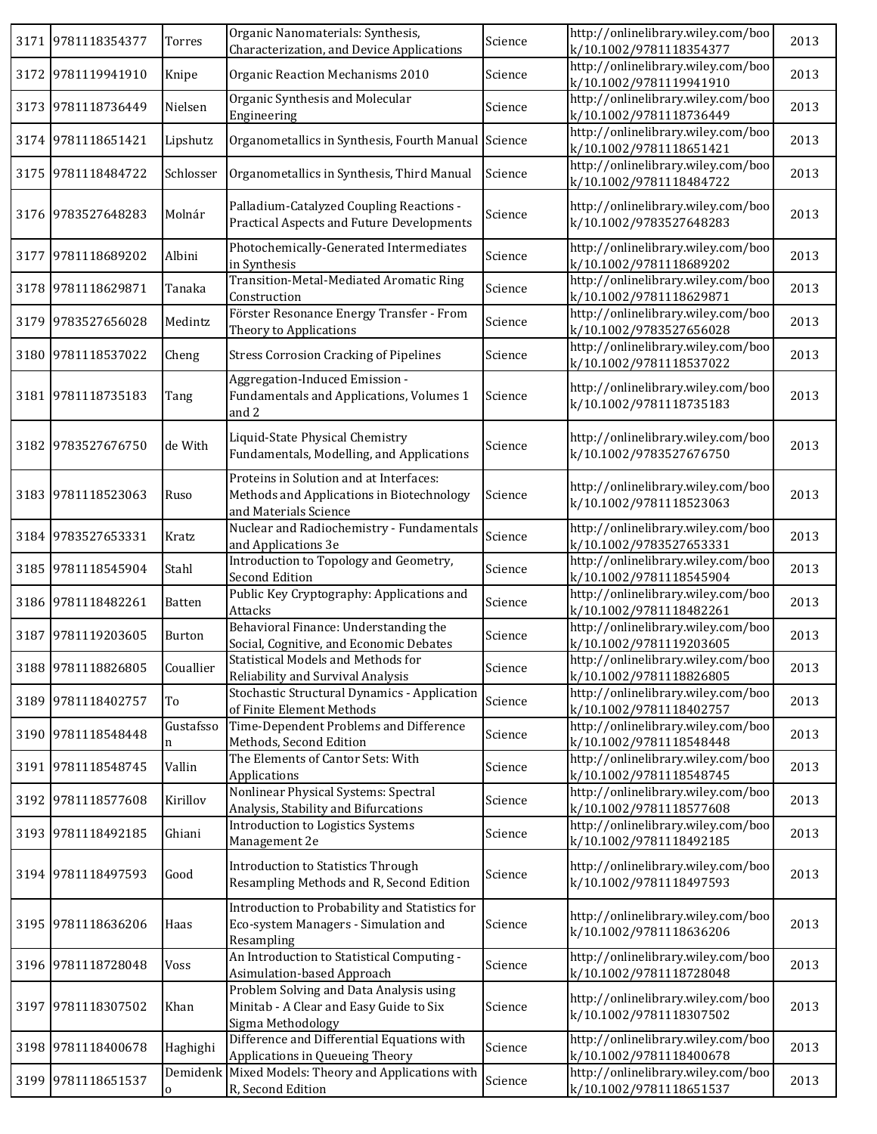|      | 3171 9781118354377 | Torres         | Organic Nanomaterials: Synthesis,<br>Characterization, and Device Applications                                | Science | http://onlinelibrary.wiley.com/boo<br>k/10.1002/9781118354377 | 2013 |
|------|--------------------|----------------|---------------------------------------------------------------------------------------------------------------|---------|---------------------------------------------------------------|------|
|      | 3172 9781119941910 | Knipe          | Organic Reaction Mechanisms 2010                                                                              | Science | http://onlinelibrary.wiley.com/boo<br>k/10.1002/9781119941910 | 2013 |
|      | 3173 9781118736449 | Nielsen        | Organic Synthesis and Molecular<br>Engineering                                                                | Science | http://onlinelibrary.wiley.com/boo<br>k/10.1002/9781118736449 | 2013 |
|      | 3174 9781118651421 | Lipshutz       | Organometallics in Synthesis, Fourth Manual Science                                                           |         | http://onlinelibrary.wiley.com/boo<br>k/10.1002/9781118651421 | 2013 |
| 3175 | 9781118484722      | Schlosser      | Organometallics in Synthesis, Third Manual                                                                    | Science | http://onlinelibrary.wiley.com/boo<br>k/10.1002/9781118484722 | 2013 |
|      | 3176 9783527648283 | Molnár         | Palladium-Catalyzed Coupling Reactions -<br><b>Practical Aspects and Future Developments</b>                  | Science | http://onlinelibrary.wiley.com/boo<br>k/10.1002/9783527648283 | 2013 |
|      | 3177 9781118689202 | Albini         | Photochemically-Generated Intermediates<br>in Synthesis                                                       | Science | http://onlinelibrary.wiley.com/boo<br>k/10.1002/9781118689202 | 2013 |
|      | 3178 9781118629871 | Tanaka         | Transition-Metal-Mediated Aromatic Ring<br>Construction                                                       | Science | http://onlinelibrary.wiley.com/boo<br>k/10.1002/9781118629871 | 2013 |
| 3179 | 9783527656028      | Medintz        | Förster Resonance Energy Transfer - From<br>Theory to Applications                                            | Science | http://onlinelibrary.wiley.com/boo<br>k/10.1002/9783527656028 | 2013 |
| 3180 | 9781118537022      | Cheng          | <b>Stress Corrosion Cracking of Pipelines</b>                                                                 | Science | http://onlinelibrary.wiley.com/boo<br>k/10.1002/9781118537022 | 2013 |
|      | 3181 9781118735183 | Tang           | Aggregation-Induced Emission -<br>Fundamentals and Applications, Volumes 1<br>and 2                           | Science | http://onlinelibrary.wiley.com/boo<br>k/10.1002/9781118735183 | 2013 |
|      | 3182 9783527676750 | de With        | Liquid-State Physical Chemistry<br>Fundamentals, Modelling, and Applications                                  | Science | http://onlinelibrary.wiley.com/boo<br>k/10.1002/9783527676750 | 2013 |
|      | 3183 9781118523063 | Ruso           | Proteins in Solution and at Interfaces:<br>Methods and Applications in Biotechnology<br>and Materials Science | Science | http://onlinelibrary.wiley.com/boo<br>k/10.1002/9781118523063 | 2013 |
|      | 3184 9783527653331 | Kratz          | Nuclear and Radiochemistry - Fundamentals<br>and Applications 3e                                              | Science | http://onlinelibrary.wiley.com/boo<br>k/10.1002/9783527653331 | 2013 |
|      | 3185 9781118545904 | Stahl          | Introduction to Topology and Geometry,<br><b>Second Edition</b>                                               | Science | http://onlinelibrary.wiley.com/boo<br>k/10.1002/9781118545904 | 2013 |
|      | 3186 9781118482261 | Batten         | Public Key Cryptography: Applications and<br>Attacks                                                          | Science | http://onlinelibrary.wiley.com/boo<br>k/10.1002/9781118482261 | 2013 |
|      | 3187 9781119203605 | Burton         | Behavioral Finance: Understanding the<br>Social, Cognitive, and Economic Debates                              | Science | http://onlinelibrary.wiley.com/boo<br>k/10.1002/9781119203605 | 2013 |
|      | 3188 9781118826805 | Couallier      | <b>Statistical Models and Methods for</b><br>Reliability and Survival Analysis                                | Science | http://onlinelibrary.wiley.com/boo<br>k/10.1002/9781118826805 | 2013 |
|      | 3189 9781118402757 | To             | Stochastic Structural Dynamics - Application<br>of Finite Element Methods                                     | Science | http://onlinelibrary.wiley.com/boo<br>k/10.1002/9781118402757 | 2013 |
|      | 3190 9781118548448 | Gustafsso<br>n | Time-Dependent Problems and Difference<br>Methods, Second Edition                                             | Science | http://onlinelibrary.wiley.com/boo<br>k/10.1002/9781118548448 | 2013 |
| 3191 | 9781118548745      | Vallin         | The Elements of Cantor Sets: With<br>Applications                                                             | Science | http://onlinelibrary.wiley.com/boo<br>k/10.1002/9781118548745 | 2013 |
|      | 3192 9781118577608 | Kirillov       | Nonlinear Physical Systems: Spectral<br>Analysis, Stability and Bifurcations                                  | Science | http://onlinelibrary.wiley.com/boo<br>k/10.1002/9781118577608 | 2013 |
|      | 3193 9781118492185 | Ghiani         | Introduction to Logistics Systems<br>Management 2e                                                            | Science | http://onlinelibrary.wiley.com/boo<br>k/10.1002/9781118492185 | 2013 |
|      | 3194 9781118497593 | Good           | <b>Introduction to Statistics Through</b><br>Resampling Methods and R, Second Edition                         | Science | http://onlinelibrary.wiley.com/boo<br>k/10.1002/9781118497593 | 2013 |
|      | 3195 9781118636206 | Haas           | Introduction to Probability and Statistics for<br>Eco-system Managers - Simulation and<br>Resampling          | Science | http://onlinelibrary.wiley.com/boo<br>k/10.1002/9781118636206 | 2013 |
|      | 3196 9781118728048 | Voss           | An Introduction to Statistical Computing -<br>Asimulation-based Approach                                      | Science | http://onlinelibrary.wiley.com/boo<br>k/10.1002/9781118728048 | 2013 |
|      | 3197 9781118307502 | Khan           | Problem Solving and Data Analysis using<br>Minitab - A Clear and Easy Guide to Six<br>Sigma Methodology       | Science | http://onlinelibrary.wiley.com/boo<br>k/10.1002/9781118307502 | 2013 |
|      | 3198 9781118400678 | Haghighi       | Difference and Differential Equations with<br>Applications in Queueing Theory                                 | Science | http://onlinelibrary.wiley.com/boo<br>k/10.1002/9781118400678 | 2013 |
| 3199 | 9781118651537      | 0              | Demidenk Mixed Models: Theory and Applications with<br>R, Second Edition                                      | Science | http://onlinelibrary.wiley.com/boo<br>k/10.1002/9781118651537 | 2013 |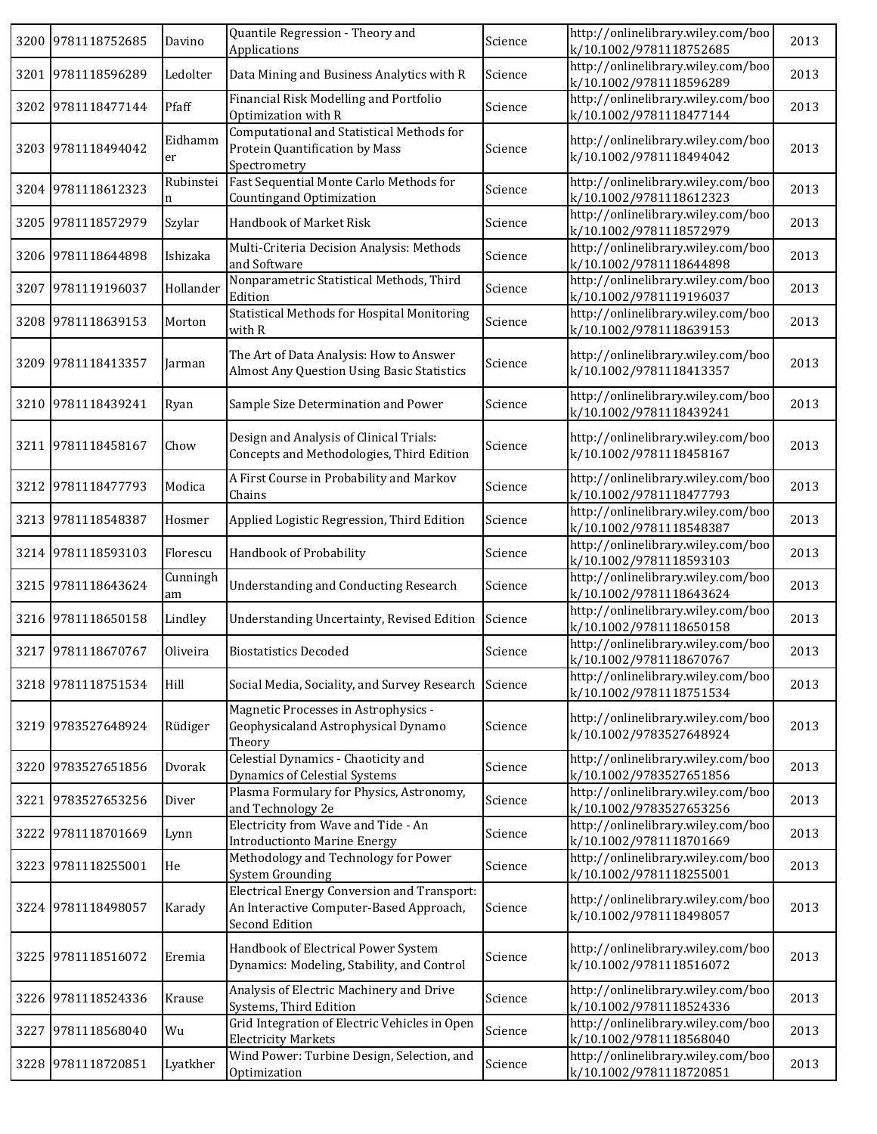|      | 3200 9781118752685 | Davino         | Quantile Regression - Theory and<br>Applications                                                                | Science | http://onlinelibrary.wiley.com/boo<br>k/10.1002/9781118752685 | 2013 |
|------|--------------------|----------------|-----------------------------------------------------------------------------------------------------------------|---------|---------------------------------------------------------------|------|
|      | 3201 9781118596289 | Ledolter       | Data Mining and Business Analytics with R                                                                       | Science | http://onlinelibrary.wiley.com/boo<br>k/10.1002/9781118596289 | 2013 |
|      | 3202 9781118477144 | Pfaff          | Financial Risk Modelling and Portfolio<br>Optimization with R                                                   | Science | http://onlinelibrary.wiley.com/boo<br>k/10.1002/9781118477144 | 2013 |
|      | 3203 9781118494042 | Eidhamm<br>er  | Computational and Statistical Methods for<br>Protein Quantification by Mass<br>Spectrometry                     | Science | http://onlinelibrary.wiley.com/boo<br>k/10.1002/9781118494042 | 2013 |
|      | 3204 9781118612323 | Rubinstei<br>n | Fast Sequential Monte Carlo Methods for<br>Countingand Optimization                                             | Science | http://onlinelibrary.wiley.com/boo<br>k/10.1002/9781118612323 | 2013 |
|      | 3205 9781118572979 | Szylar         | Handbook of Market Risk                                                                                         | Science | http://onlinelibrary.wiley.com/boo<br>k/10.1002/9781118572979 | 2013 |
|      | 3206 9781118644898 | Ishizaka       | Multi-Criteria Decision Analysis: Methods<br>and Software                                                       | Science | http://onlinelibrary.wiley.com/boo<br>k/10.1002/9781118644898 | 2013 |
|      | 3207 9781119196037 | Hollander      | Nonparametric Statistical Methods, Third<br>Edition                                                             | Science | http://onlinelibrary.wiley.com/boo<br>k/10.1002/9781119196037 | 2013 |
|      | 3208 9781118639153 | Morton         | Statistical Methods for Hospital Monitoring<br>with R                                                           | Science | http://onlinelibrary.wiley.com/boo<br>k/10.1002/9781118639153 | 2013 |
|      | 3209 9781118413357 | Jarman         | The Art of Data Analysis: How to Answer<br><b>Almost Any Question Using Basic Statistics</b>                    | Science | http://onlinelibrary.wiley.com/boo<br>k/10.1002/9781118413357 | 2013 |
|      | 3210 9781118439241 | Ryan           | Sample Size Determination and Power                                                                             | Science | http://onlinelibrary.wiley.com/boo<br>k/10.1002/9781118439241 | 2013 |
|      | 3211 9781118458167 | Chow           | Design and Analysis of Clinical Trials:<br>Concepts and Methodologies, Third Edition                            | Science | http://onlinelibrary.wiley.com/boo<br>k/10.1002/9781118458167 | 2013 |
|      | 3212 9781118477793 | Modica         | A First Course in Probability and Markov<br>Chains                                                              | Science | http://onlinelibrary.wiley.com/boo<br>k/10.1002/9781118477793 | 2013 |
|      | 3213 9781118548387 | Hosmer         | Applied Logistic Regression, Third Edition                                                                      | Science | http://onlinelibrary.wiley.com/boo<br>k/10.1002/9781118548387 | 2013 |
|      | 3214 9781118593103 | Florescu       | Handbook of Probability                                                                                         | Science | http://onlinelibrary.wiley.com/boo<br>k/10.1002/9781118593103 | 2013 |
|      | 3215 9781118643624 | Cunningh<br>am | <b>Understanding and Conducting Research</b>                                                                    | Science | http://onlinelibrary.wiley.com/boo<br>k/10.1002/9781118643624 | 2013 |
|      | 3216 9781118650158 | Lindley        | Understanding Uncertainty, Revised Edition                                                                      | Science | http://onlinelibrary.wiley.com/boo<br>k/10.1002/9781118650158 | 2013 |
|      | 3217 9781118670767 | Oliveira       | <b>Biostatistics Decoded</b>                                                                                    | Science | http://onlinelibrary.wiley.com/boo<br>k/10.1002/9781118670767 | 2013 |
|      | 3218 9781118751534 | Hill           | Social Media, Sociality, and Survey Research                                                                    | Science | http://onlinelibrary.wiley.com/boo<br>k/10.1002/9781118751534 | 2013 |
|      | 3219 9783527648924 | Rüdiger        | Magnetic Processes in Astrophysics -<br>Geophysicaland Astrophysical Dynamo<br>Theory                           | Science | http://onlinelibrary.wiley.com/boo<br>k/10.1002/9783527648924 | 2013 |
|      | 3220 9783527651856 | Dvorak         | Celestial Dynamics - Chaoticity and<br>Dynamics of Celestial Systems                                            | Science | http://onlinelibrary.wiley.com/boo<br>k/10.1002/9783527651856 | 2013 |
| 3221 | 9783527653256      | Diver          | Plasma Formulary for Physics, Astronomy,<br>and Technology 2e                                                   | Science | http://onlinelibrary.wiley.com/boo<br>k/10.1002/9783527653256 | 2013 |
|      | 3222 9781118701669 | Lynn           | Electricity from Wave and Tide - An<br><b>Introductionto Marine Energy</b>                                      | Science | http://onlinelibrary.wiley.com/boo<br>k/10.1002/9781118701669 | 2013 |
|      | 3223 9781118255001 | He             | Methodology and Technology for Power<br>System Grounding                                                        | Science | http://onlinelibrary.wiley.com/boo<br>k/10.1002/9781118255001 | 2013 |
|      | 3224 9781118498057 | Karady         | <b>Electrical Energy Conversion and Transport:</b><br>An Interactive Computer-Based Approach,<br>Second Edition | Science | http://onlinelibrary.wiley.com/boo<br>k/10.1002/9781118498057 | 2013 |
|      | 3225 9781118516072 | Eremia         | Handbook of Electrical Power System<br>Dynamics: Modeling, Stability, and Control                               | Science | http://onlinelibrary.wiley.com/boo<br>k/10.1002/9781118516072 | 2013 |
| 3226 | 9781118524336      | Krause         | Analysis of Electric Machinery and Drive<br>Systems, Third Edition                                              | Science | http://onlinelibrary.wiley.com/boo<br>k/10.1002/9781118524336 | 2013 |
| 3227 | 9781118568040      | Wu             | Grid Integration of Electric Vehicles in Open<br><b>Electricity Markets</b>                                     | Science | http://onlinelibrary.wiley.com/boo<br>k/10.1002/9781118568040 | 2013 |
|      | 3228 9781118720851 | Lyatkher       | Wind Power: Turbine Design, Selection, and<br>Optimization                                                      | Science | http://onlinelibrary.wiley.com/boo<br>k/10.1002/9781118720851 | 2013 |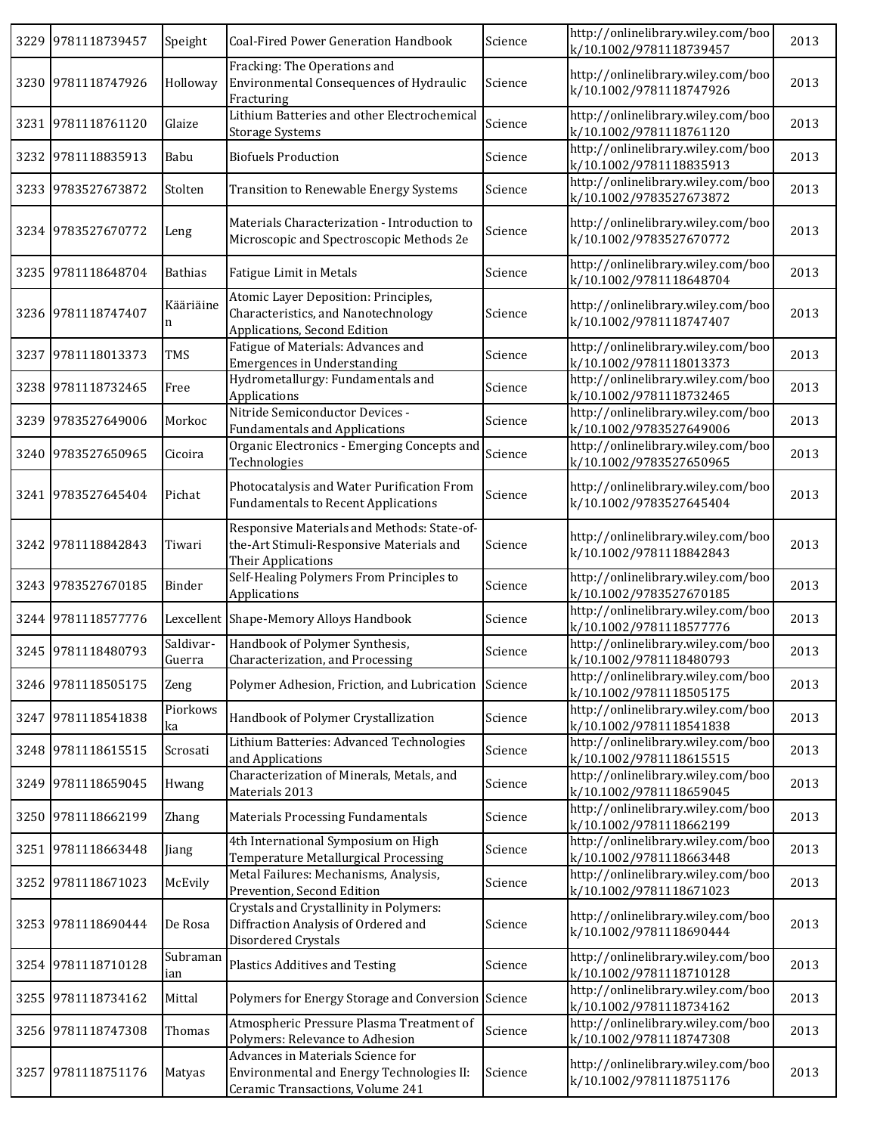| 3229 9781118739457 | Speight             | Coal-Fired Power Generation Handbook                                                                               | Science | http://onlinelibrary.wiley.com/boo<br>k/10.1002/9781118739457 | 2013 |
|--------------------|---------------------|--------------------------------------------------------------------------------------------------------------------|---------|---------------------------------------------------------------|------|
| 3230 9781118747926 | Holloway            | Fracking: The Operations and<br>Environmental Consequences of Hydraulic<br>Fracturing                              | Science | http://onlinelibrary.wiley.com/boo<br>k/10.1002/9781118747926 | 2013 |
| 3231 9781118761120 | Glaize              | Lithium Batteries and other Electrochemical<br><b>Storage Systems</b>                                              | Science | http://onlinelibrary.wiley.com/boo<br>k/10.1002/9781118761120 | 2013 |
| 3232 9781118835913 | Babu                | <b>Biofuels Production</b>                                                                                         | Science | http://onlinelibrary.wiley.com/boo<br>k/10.1002/9781118835913 | 2013 |
| 3233 9783527673872 | Stolten             | Transition to Renewable Energy Systems                                                                             | Science | http://onlinelibrary.wiley.com/boo<br>k/10.1002/9783527673872 | 2013 |
| 3234 9783527670772 | Leng                | Materials Characterization - Introduction to<br>Microscopic and Spectroscopic Methods 2e                           | Science | http://onlinelibrary.wiley.com/boo<br>k/10.1002/9783527670772 | 2013 |
| 3235 9781118648704 | <b>Bathias</b>      | <b>Fatigue Limit in Metals</b>                                                                                     | Science | http://onlinelibrary.wiley.com/boo<br>k/10.1002/9781118648704 | 2013 |
| 3236 9781118747407 | Kääriäine<br>n      | Atomic Layer Deposition: Principles,<br>Characteristics, and Nanotechnology<br>Applications, Second Edition        | Science | http://onlinelibrary.wiley.com/boo<br>k/10.1002/9781118747407 | 2013 |
| 3237 9781118013373 | TMS                 | Fatigue of Materials: Advances and<br><b>Emergences in Understanding</b>                                           | Science | http://onlinelibrary.wiley.com/boo<br>k/10.1002/9781118013373 | 2013 |
| 3238 9781118732465 | Free                | Hydrometallurgy: Fundamentals and<br>Applications                                                                  | Science | http://onlinelibrary.wiley.com/boo<br>k/10.1002/9781118732465 | 2013 |
| 3239 9783527649006 | Morkoc              | Nitride Semiconductor Devices -<br><b>Fundamentals and Applications</b>                                            | Science | http://onlinelibrary.wiley.com/boo<br>k/10.1002/9783527649006 | 2013 |
| 3240 9783527650965 | Cicoira             | Organic Electronics - Emerging Concepts and<br>Technologies                                                        | Science | http://onlinelibrary.wiley.com/boo<br>k/10.1002/9783527650965 | 2013 |
| 3241 9783527645404 | Pichat              | Photocatalysis and Water Purification From<br><b>Fundamentals to Recent Applications</b>                           | Science | http://onlinelibrary.wiley.com/boo<br>k/10.1002/9783527645404 | 2013 |
| 3242 9781118842843 | Tiwari              | Responsive Materials and Methods: State-of-<br>the-Art Stimuli-Responsive Materials and<br>Their Applications      | Science | http://onlinelibrary.wiley.com/boo<br>k/10.1002/9781118842843 | 2013 |
| 3243 9783527670185 | Binder              | Self-Healing Polymers From Principles to<br>Applications                                                           | Science | http://onlinelibrary.wiley.com/boo<br>k/10.1002/9783527670185 | 2013 |
| 3244 9781118577776 |                     | Lexcellent Shape-Memory Alloys Handbook                                                                            | Science | http://onlinelibrary.wiley.com/boo<br>k/10.1002/9781118577776 | 2013 |
| 3245 9781118480793 | Saldivar-<br>Guerra | Handbook of Polymer Synthesis,<br>Characterization, and Processing                                                 | Science | http://onlinelibrary.wiley.com/boo<br>k/10.1002/9781118480793 | 2013 |
| 3246 9781118505175 | Zeng                | Polymer Adhesion, Friction, and Lubrication Science                                                                |         | http://onlinelibrary.wiley.com/boo<br>k/10.1002/9781118505175 | 2013 |
| 3247 9781118541838 | Piorkows<br>ka      | Handbook of Polymer Crystallization                                                                                | Science | http://onlinelibrary.wiley.com/boo<br>k/10.1002/9781118541838 | 2013 |
| 3248 9781118615515 | Scrosati            | Lithium Batteries: Advanced Technologies<br>and Applications                                                       | Science | http://onlinelibrary.wiley.com/boo<br>k/10.1002/9781118615515 | 2013 |
| 3249 9781118659045 | Hwang               | Characterization of Minerals, Metals, and<br>Materials 2013                                                        | Science | http://onlinelibrary.wiley.com/boo<br>k/10.1002/9781118659045 | 2013 |
| 3250 9781118662199 | Zhang               | <b>Materials Processing Fundamentals</b>                                                                           | Science | http://onlinelibrary.wiley.com/boo<br>k/10.1002/9781118662199 | 2013 |
| 3251 9781118663448 | Jiang               | 4th International Symposium on High<br>Temperature Metallurgical Processing                                        | Science | http://onlinelibrary.wiley.com/boo<br>k/10.1002/9781118663448 | 2013 |
| 3252 9781118671023 | McEvily             | Metal Failures: Mechanisms, Analysis,<br>Prevention, Second Edition                                                | Science | http://onlinelibrary.wiley.com/boo<br>k/10.1002/9781118671023 | 2013 |
| 3253 9781118690444 | De Rosa             | Crystals and Crystallinity in Polymers:<br>Diffraction Analysis of Ordered and<br>Disordered Crystals              | Science | http://onlinelibrary.wiley.com/boo<br>k/10.1002/9781118690444 | 2013 |
| 3254 9781118710128 | Subraman<br>ian     | <b>Plastics Additives and Testing</b>                                                                              | Science | http://onlinelibrary.wiley.com/boo<br>k/10.1002/9781118710128 | 2013 |
| 3255 9781118734162 | Mittal              | Polymers for Energy Storage and Conversion Science                                                                 |         | http://onlinelibrary.wiley.com/boo<br>k/10.1002/9781118734162 | 2013 |
| 3256 9781118747308 | Thomas              | Atmospheric Pressure Plasma Treatment of<br>Polymers: Relevance to Adhesion                                        | Science | http://onlinelibrary.wiley.com/boo<br>k/10.1002/9781118747308 | 2013 |
| 3257 9781118751176 | Matyas              | Advances in Materials Science for<br>Environmental and Energy Technologies II:<br>Ceramic Transactions, Volume 241 | Science | http://onlinelibrary.wiley.com/boo<br>k/10.1002/9781118751176 | 2013 |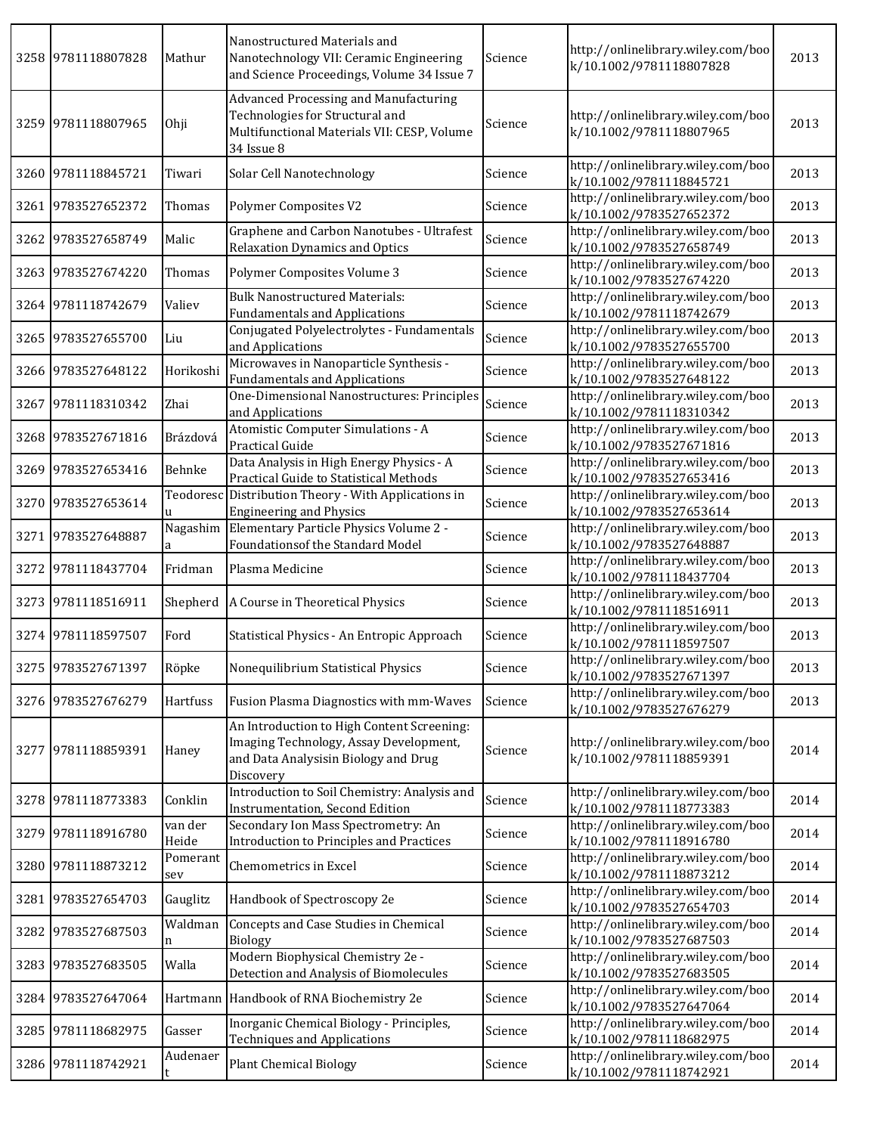| 3258 9781118807828 | Mathur           | Nanostructured Materials and<br>Nanotechnology VII: Ceramic Engineering<br>and Science Proceedings, Volume 34 Issue 7                     | Science | http://onlinelibrary.wiley.com/boo<br>k/10.1002/9781118807828 | 2013 |
|--------------------|------------------|-------------------------------------------------------------------------------------------------------------------------------------------|---------|---------------------------------------------------------------|------|
| 3259 9781118807965 | Ohji             | Advanced Processing and Manufacturing<br>Technologies for Structural and<br>Multifunctional Materials VII: CESP, Volume<br>34 Issue 8     | Science | http://onlinelibrary.wiley.com/boo<br>k/10.1002/9781118807965 | 2013 |
| 3260 9781118845721 | Tiwari           | Solar Cell Nanotechnology                                                                                                                 | Science | http://onlinelibrary.wiley.com/boo<br>k/10.1002/9781118845721 | 2013 |
| 3261 9783527652372 | Thomas           | Polymer Composites V2                                                                                                                     | Science | http://onlinelibrary.wiley.com/boo<br>k/10.1002/9783527652372 | 2013 |
| 3262 9783527658749 | Malic            | Graphene and Carbon Nanotubes - Ultrafest<br>Relaxation Dynamics and Optics                                                               | Science | http://onlinelibrary.wiley.com/boo<br>k/10.1002/9783527658749 | 2013 |
| 3263 9783527674220 | Thomas           | Polymer Composites Volume 3                                                                                                               | Science | http://onlinelibrary.wiley.com/boo<br>k/10.1002/9783527674220 | 2013 |
| 3264 9781118742679 | Valiev           | <b>Bulk Nanostructured Materials:</b><br><b>Fundamentals and Applications</b>                                                             | Science | http://onlinelibrary.wiley.com/boo<br>k/10.1002/9781118742679 | 2013 |
| 3265 9783527655700 | Liu              | Conjugated Polyelectrolytes - Fundamentals<br>and Applications                                                                            | Science | http://onlinelibrary.wiley.com/boo<br>k/10.1002/9783527655700 | 2013 |
| 3266 9783527648122 | Horikoshi        | Microwaves in Nanoparticle Synthesis -<br><b>Fundamentals and Applications</b>                                                            | Science | http://onlinelibrary.wiley.com/boo<br>k/10.1002/9783527648122 | 2013 |
| 3267 9781118310342 | Zhai             | One-Dimensional Nanostructures: Principles<br>and Applications                                                                            | Science | http://onlinelibrary.wiley.com/boo<br>k/10.1002/9781118310342 | 2013 |
| 3268 9783527671816 | Brázdová         | Atomistic Computer Simulations - A<br>Practical Guide                                                                                     | Science | http://onlinelibrary.wiley.com/boo<br>k/10.1002/9783527671816 | 2013 |
| 3269 9783527653416 | Behnke           | Data Analysis in High Energy Physics - A<br>Practical Guide to Statistical Methods                                                        | Science | http://onlinelibrary.wiley.com/boo<br>k/10.1002/9783527653416 | 2013 |
| 3270 9783527653614 | <b>u</b>         | Teodoresc Distribution Theory - With Applications in<br><b>Engineering and Physics</b>                                                    | Science | http://onlinelibrary.wiley.com/boo<br>k/10.1002/9783527653614 | 2013 |
| 3271 9783527648887 | Nagashim<br>a    | Elementary Particle Physics Volume 2 -<br>Foundations of the Standard Model                                                               | Science | http://onlinelibrary.wiley.com/boo<br>k/10.1002/9783527648887 | 2013 |
| 3272 9781118437704 | Fridman          | Plasma Medicine                                                                                                                           | Science | http://onlinelibrary.wiley.com/boo<br>k/10.1002/9781118437704 | 2013 |
| 3273 9781118516911 | Shepherd         | A Course in Theoretical Physics                                                                                                           | Science | http://onlinelibrary.wiley.com/boo<br>k/10.1002/9781118516911 | 2013 |
| 3274 9781118597507 | Ford             | Statistical Physics - An Entropic Approach                                                                                                | Science | http://onlinelibrary.wiley.com/boo<br>k/10.1002/9781118597507 | 2013 |
| 3275 9783527671397 | Röpke            | Nonequilibrium Statistical Physics                                                                                                        | Science | http://onlinelibrary.wiley.com/boo<br>k/10.1002/9783527671397 | 2013 |
| 3276 9783527676279 | Hartfuss         | Fusion Plasma Diagnostics with mm-Waves                                                                                                   | Science | http://onlinelibrary.wiley.com/boo<br>k/10.1002/9783527676279 | 2013 |
| 3277 9781118859391 | Haney            | An Introduction to High Content Screening:<br>Imaging Technology, Assay Development,<br>and Data Analysisin Biology and Drug<br>Discovery | Science | http://onlinelibrary.wiley.com/boo<br>k/10.1002/9781118859391 | 2014 |
| 3278 9781118773383 | Conklin          | Introduction to Soil Chemistry: Analysis and<br><b>Instrumentation, Second Edition</b>                                                    | Science | http://onlinelibrary.wiley.com/boo<br>k/10.1002/9781118773383 | 2014 |
| 3279 9781118916780 | van der<br>Heide | Secondary Ion Mass Spectrometry: An<br>Introduction to Principles and Practices                                                           | Science | http://onlinelibrary.wiley.com/boo<br>k/10.1002/9781118916780 | 2014 |
| 3280 9781118873212 | Pomerant<br>sev  | Chemometrics in Excel                                                                                                                     | Science | http://onlinelibrary.wiley.com/boo<br>k/10.1002/9781118873212 | 2014 |
| 3281 9783527654703 | Gauglitz         | Handbook of Spectroscopy 2e                                                                                                               | Science | http://onlinelibrary.wiley.com/boo<br>k/10.1002/9783527654703 | 2014 |
| 3282 9783527687503 | Waldman<br>n     | Concepts and Case Studies in Chemical<br>Biology                                                                                          | Science | http://onlinelibrary.wiley.com/boo<br>k/10.1002/9783527687503 | 2014 |
| 3283 9783527683505 | Walla            | Modern Biophysical Chemistry 2e -<br>Detection and Analysis of Biomolecules                                                               | Science | http://onlinelibrary.wiley.com/boo<br>k/10.1002/9783527683505 | 2014 |
| 3284 9783527647064 |                  | Hartmann Handbook of RNA Biochemistry 2e                                                                                                  | Science | http://onlinelibrary.wiley.com/boo<br>k/10.1002/9783527647064 | 2014 |
| 3285 9781118682975 | Gasser           | Inorganic Chemical Biology - Principles,<br><b>Techniques and Applications</b>                                                            | Science | http://onlinelibrary.wiley.com/boo<br>k/10.1002/9781118682975 | 2014 |
| 3286 9781118742921 | Audenaer         | <b>Plant Chemical Biology</b>                                                                                                             | Science | http://onlinelibrary.wiley.com/boo<br>k/10.1002/9781118742921 | 2014 |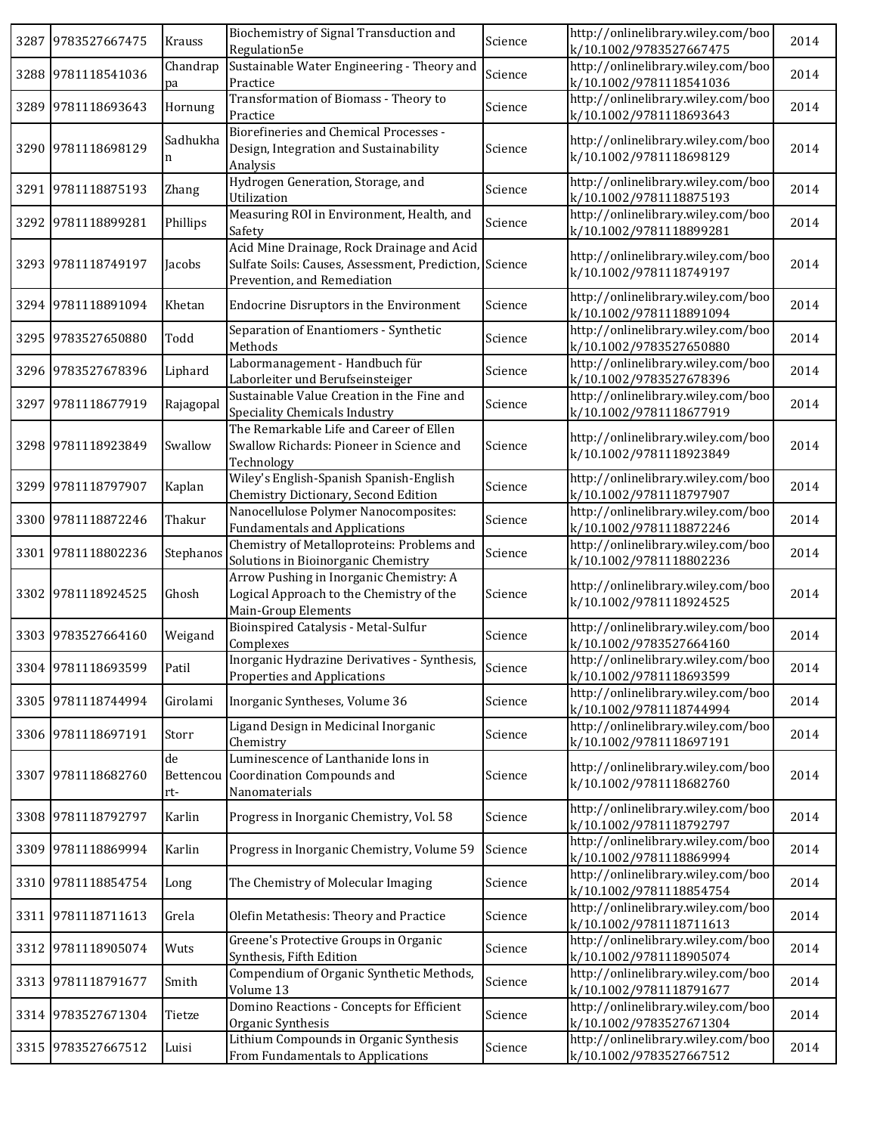| 3287 9783527667475 | Krauss                 | Biochemistry of Signal Transduction and<br>Regulation5e                                                                             | Science | http://onlinelibrary.wiley.com/boo<br>k/10.1002/9783527667475 | 2014 |
|--------------------|------------------------|-------------------------------------------------------------------------------------------------------------------------------------|---------|---------------------------------------------------------------|------|
| 3288 9781118541036 | Chandrap<br>pa         | Sustainable Water Engineering - Theory and<br>Practice                                                                              | Science | http://onlinelibrary.wiley.com/boo<br>k/10.1002/9781118541036 | 2014 |
| 3289 9781118693643 | Hornung                | Transformation of Biomass - Theory to<br>Practice                                                                                   | Science | http://onlinelibrary.wiley.com/boo<br>k/10.1002/9781118693643 | 2014 |
| 3290 9781118698129 | Sadhukha<br>n          | Biorefineries and Chemical Processes -<br>Design, Integration and Sustainability<br>Analysis                                        | Science | http://onlinelibrary.wiley.com/boo<br>k/10.1002/9781118698129 | 2014 |
| 3291 9781118875193 | Zhang                  | Hydrogen Generation, Storage, and<br>Utilization                                                                                    | Science | http://onlinelibrary.wiley.com/boo<br>k/10.1002/9781118875193 | 2014 |
| 3292 9781118899281 | Phillips               | Measuring ROI in Environment, Health, and<br>Safety                                                                                 | Science | http://onlinelibrary.wiley.com/boo<br>k/10.1002/9781118899281 | 2014 |
| 3293 9781118749197 | Jacobs                 | Acid Mine Drainage, Rock Drainage and Acid<br>Sulfate Soils: Causes, Assessment, Prediction, Science<br>Prevention, and Remediation |         | http://onlinelibrary.wiley.com/boo<br>k/10.1002/9781118749197 | 2014 |
| 3294 9781118891094 | Khetan                 | Endocrine Disruptors in the Environment                                                                                             | Science | http://onlinelibrary.wiley.com/boo<br>k/10.1002/9781118891094 | 2014 |
| 3295 9783527650880 | Todd                   | Separation of Enantiomers - Synthetic<br>Methods                                                                                    | Science | http://onlinelibrary.wiley.com/boo<br>k/10.1002/9783527650880 | 2014 |
| 3296 9783527678396 | Liphard                | Labormanagement - Handbuch für<br>Laborleiter und Berufseinsteiger                                                                  | Science | http://onlinelibrary.wiley.com/boo<br>k/10.1002/9783527678396 | 2014 |
| 3297 9781118677919 | Rajagopal              | Sustainable Value Creation in the Fine and<br>Speciality Chemicals Industry                                                         | Science | http://onlinelibrary.wiley.com/boo<br>k/10.1002/9781118677919 | 2014 |
| 3298 9781118923849 | Swallow                | The Remarkable Life and Career of Ellen<br>Swallow Richards: Pioneer in Science and<br>Technology                                   | Science | http://onlinelibrary.wiley.com/boo<br>k/10.1002/9781118923849 | 2014 |
| 3299 9781118797907 | Kaplan                 | Wiley's English-Spanish Spanish-English<br>Chemistry Dictionary, Second Edition                                                     | Science | http://onlinelibrary.wiley.com/boo<br>k/10.1002/9781118797907 | 2014 |
| 3300 9781118872246 | Thakur                 | Nanocellulose Polymer Nanocomposites:<br><b>Fundamentals and Applications</b>                                                       | Science | http://onlinelibrary.wiley.com/boo<br>k/10.1002/9781118872246 | 2014 |
| 3301 9781118802236 | Stephanos              | Chemistry of Metalloproteins: Problems and<br>Solutions in Bioinorganic Chemistry                                                   | Science | http://onlinelibrary.wiley.com/boo<br>k/10.1002/9781118802236 | 2014 |
| 3302 9781118924525 | Ghosh                  | Arrow Pushing in Inorganic Chemistry: A<br>Logical Approach to the Chemistry of the<br>Main-Group Elements                          | Science | http://onlinelibrary.wiley.com/boo<br>k/10.1002/9781118924525 | 2014 |
| 3303 9783527664160 | Weigand                | Bioinspired Catalysis - Metal-Sulfur<br>Complexes                                                                                   | Science | http://onlinelibrary.wiley.com/boo<br>k/10.1002/9783527664160 | 2014 |
| 3304 9781118693599 | Patil                  | Inorganic Hydrazine Derivatives - Synthesis,<br>Properties and Applications                                                         | Science | http://onlinelibrary.wiley.com/boo<br>k/10.1002/9781118693599 | 2014 |
| 3305 9781118744994 | Girolami               | Inorganic Syntheses, Volume 36                                                                                                      | Science | http://onlinelibrary.wiley.com/boo<br>k/10.1002/9781118744994 | 2014 |
| 3306 9781118697191 | Storr                  | Ligand Design in Medicinal Inorganic<br>Chemistry                                                                                   | Science | http://onlinelibrary.wiley.com/boo<br>k/10.1002/9781118697191 | 2014 |
| 3307 9781118682760 | de<br>Bettencou<br>rt- | Luminescence of Lanthanide Ions in<br>Coordination Compounds and<br>Nanomaterials                                                   | Science | http://onlinelibrary.wiley.com/boo<br>k/10.1002/9781118682760 | 2014 |
| 3308 9781118792797 | Karlin                 | Progress in Inorganic Chemistry, Vol. 58                                                                                            | Science | http://onlinelibrary.wiley.com/boo<br>k/10.1002/9781118792797 | 2014 |
| 3309 9781118869994 | Karlin                 | Progress in Inorganic Chemistry, Volume 59                                                                                          | Science | http://onlinelibrary.wiley.com/boo<br>k/10.1002/9781118869994 | 2014 |
| 3310 9781118854754 | Long                   | The Chemistry of Molecular Imaging                                                                                                  | Science | http://onlinelibrary.wiley.com/boo<br>k/10.1002/9781118854754 | 2014 |
| 3311 9781118711613 | Grela                  | Olefin Metathesis: Theory and Practice                                                                                              | Science | http://onlinelibrary.wiley.com/boo<br>k/10.1002/9781118711613 | 2014 |
| 3312 9781118905074 | Wuts                   | Greene's Protective Groups in Organic<br>Synthesis, Fifth Edition                                                                   | Science | http://onlinelibrary.wiley.com/boo<br>k/10.1002/9781118905074 | 2014 |
| 3313 9781118791677 | Smith                  | Compendium of Organic Synthetic Methods,<br>Volume 13                                                                               | Science | http://onlinelibrary.wiley.com/boo<br>k/10.1002/9781118791677 | 2014 |
| 3314 9783527671304 | Tietze                 | Domino Reactions - Concepts for Efficient<br>Organic Synthesis                                                                      | Science | http://onlinelibrary.wiley.com/boo<br>k/10.1002/9783527671304 | 2014 |
| 3315 9783527667512 | Luisi                  | Lithium Compounds in Organic Synthesis<br>From Fundamentals to Applications                                                         | Science | http://onlinelibrary.wiley.com/boo<br>k/10.1002/9783527667512 | 2014 |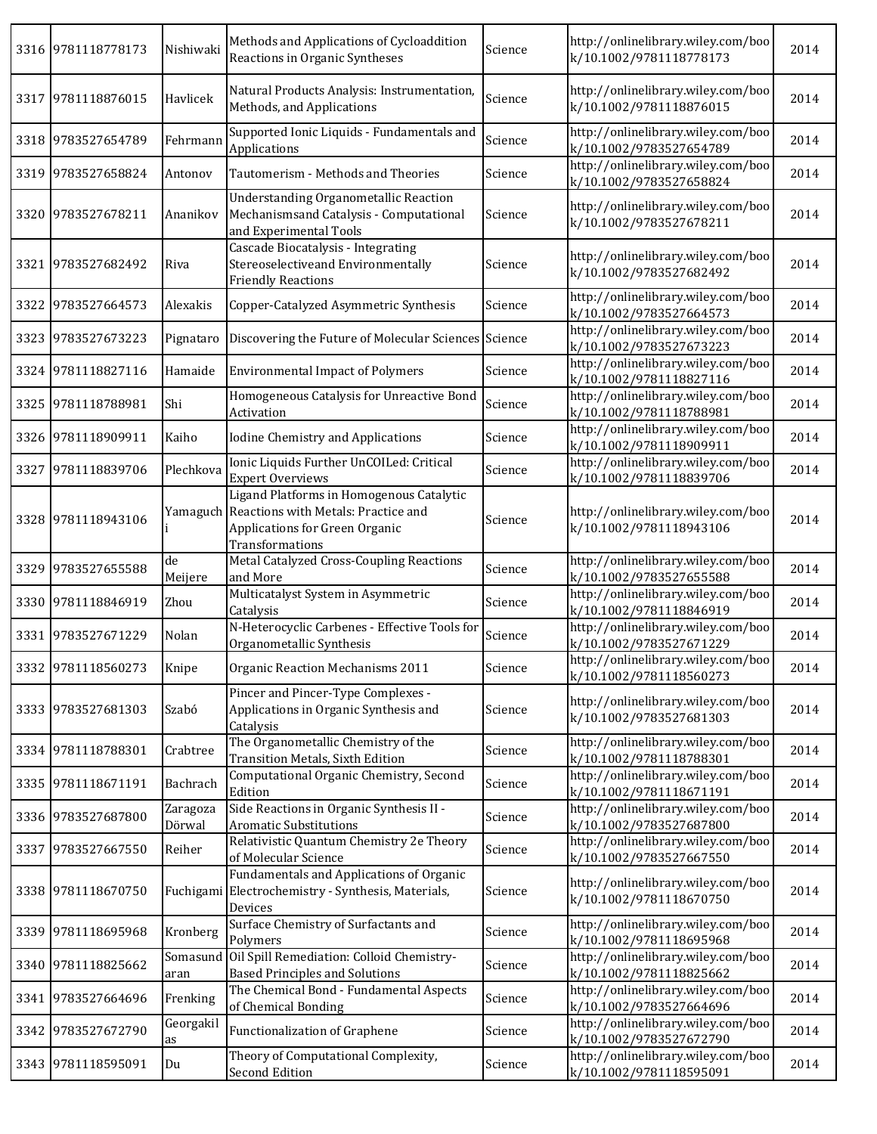|      | 3316 9781118778173 | Nishiwaki          | Methods and Applications of Cycloaddition<br>Reactions in Organic Syntheses                                                                   | Science | http://onlinelibrary.wiley.com/boo<br>k/10.1002/9781118778173 | 2014 |
|------|--------------------|--------------------|-----------------------------------------------------------------------------------------------------------------------------------------------|---------|---------------------------------------------------------------|------|
|      | 3317 9781118876015 | Havlicek           | Natural Products Analysis: Instrumentation,<br>Methods, and Applications                                                                      | Science | http://onlinelibrary.wiley.com/boo<br>k/10.1002/9781118876015 | 2014 |
|      | 3318 9783527654789 | Fehrmann           | Supported Ionic Liquids - Fundamentals and<br>Applications                                                                                    | Science | http://onlinelibrary.wiley.com/boo<br>k/10.1002/9783527654789 | 2014 |
|      | 3319 9783527658824 | Antonov            | Tautomerism - Methods and Theories                                                                                                            | Science | http://onlinelibrary.wiley.com/boo<br>k/10.1002/9783527658824 | 2014 |
|      | 3320 9783527678211 | Ananikov           | <b>Understanding Organometallic Reaction</b><br>Mechanismsand Catalysis - Computational<br>and Experimental Tools                             | Science | http://onlinelibrary.wiley.com/boo<br>k/10.1002/9783527678211 | 2014 |
| 3321 | 9783527682492      | Riva               | Cascade Biocatalysis - Integrating<br>Stereoselectiveand Environmentally<br><b>Friendly Reactions</b>                                         | Science | http://onlinelibrary.wiley.com/boo<br>k/10.1002/9783527682492 | 2014 |
| 3322 | 9783527664573      | Alexakis           | Copper-Catalyzed Asymmetric Synthesis                                                                                                         | Science | http://onlinelibrary.wiley.com/boo<br>k/10.1002/9783527664573 | 2014 |
|      | 3323 9783527673223 | Pignataro          | Discovering the Future of Molecular Sciences Science                                                                                          |         | http://onlinelibrary.wiley.com/boo<br>k/10.1002/9783527673223 | 2014 |
| 3324 | 9781118827116      | Hamaide            | <b>Environmental Impact of Polymers</b>                                                                                                       | Science | http://onlinelibrary.wiley.com/boo<br>k/10.1002/9781118827116 | 2014 |
|      | 3325 9781118788981 | Shi                | Homogeneous Catalysis for Unreactive Bond<br>Activation                                                                                       | Science | http://onlinelibrary.wiley.com/boo<br>k/10.1002/9781118788981 | 2014 |
|      | 3326 9781118909911 | Kaiho              | Iodine Chemistry and Applications                                                                                                             | Science | http://onlinelibrary.wiley.com/boo<br>k/10.1002/9781118909911 | 2014 |
| 3327 | 9781118839706      | Plechkova          | Ionic Liquids Further UnCOILed: Critical<br><b>Expert Overviews</b>                                                                           | Science | http://onlinelibrary.wiley.com/boo<br>k/10.1002/9781118839706 | 2014 |
|      | 3328 9781118943106 |                    | Ligand Platforms in Homogenous Catalytic<br>Yamaguch Reactions with Metals: Practice and<br>Applications for Green Organic<br>Transformations | Science | http://onlinelibrary.wiley.com/boo<br>k/10.1002/9781118943106 | 2014 |
|      | 3329 9783527655588 | de<br>Meijere      | Metal Catalyzed Cross-Coupling Reactions<br>and More                                                                                          | Science | http://onlinelibrary.wiley.com/boo<br>k/10.1002/9783527655588 | 2014 |
|      | 3330 9781118846919 | Zhou               | Multicatalyst System in Asymmetric<br>Catalysis                                                                                               | Science | http://onlinelibrary.wiley.com/boo<br>k/10.1002/9781118846919 | 2014 |
|      | 3331 9783527671229 | Nolan              | N-Heterocyclic Carbenes - Effective Tools for<br>Organometallic Synthesis                                                                     | Science | http://onlinelibrary.wiley.com/boo<br>k/10.1002/9783527671229 | 2014 |
|      | 3332 9781118560273 | Knipe              | Organic Reaction Mechanisms 2011                                                                                                              | Science | http://onlinelibrary.wiley.com/boo<br>k/10.1002/9781118560273 | 2014 |
|      | 3333 9783527681303 | Szabó              | Pincer and Pincer-Type Complexes -<br>Applications in Organic Synthesis and<br>Catalysis                                                      | Science | http://onlinelibrary.wiley.com/boo<br>k/10.1002/9783527681303 | 2014 |
|      | 3334 9781118788301 | Crabtree           | The Organometallic Chemistry of the<br>Transition Metals, Sixth Edition                                                                       | Science | http://onlinelibrary.wiley.com/boo<br>k/10.1002/9781118788301 | 2014 |
|      | 3335 9781118671191 | Bachrach           | Computational Organic Chemistry, Second<br>Edition                                                                                            | Science | http://onlinelibrary.wiley.com/boo<br>k/10.1002/9781118671191 | 2014 |
|      | 3336 9783527687800 | Zaragoza<br>Dörwal | Side Reactions in Organic Synthesis II -<br><b>Aromatic Substitutions</b>                                                                     | Science | http://onlinelibrary.wiley.com/boo<br>k/10.1002/9783527687800 | 2014 |
|      | 3337 9783527667550 | Reiher             | Relativistic Quantum Chemistry 2e Theory<br>of Molecular Science                                                                              | Science | http://onlinelibrary.wiley.com/boo<br>k/10.1002/9783527667550 | 2014 |
|      | 3338 9781118670750 |                    | Fundamentals and Applications of Organic<br>Fuchigami Electrochemistry - Synthesis, Materials,<br>Devices                                     | Science | http://onlinelibrary.wiley.com/boo<br>k/10.1002/9781118670750 | 2014 |
|      | 3339 9781118695968 | Kronberg           | Surface Chemistry of Surfactants and<br>Polymers                                                                                              | Science | http://onlinelibrary.wiley.com/boo<br>k/10.1002/9781118695968 | 2014 |
|      | 3340 9781118825662 | Somasund<br>aran   | Oil Spill Remediation: Colloid Chemistry-<br><b>Based Principles and Solutions</b>                                                            | Science | http://onlinelibrary.wiley.com/boo<br>k/10.1002/9781118825662 | 2014 |
|      | 3341 9783527664696 | Frenking           | The Chemical Bond - Fundamental Aspects<br>of Chemical Bonding                                                                                | Science | http://onlinelibrary.wiley.com/boo<br>k/10.1002/9783527664696 | 2014 |
|      | 3342 9783527672790 | Georgakil<br>as    | Functionalization of Graphene                                                                                                                 | Science | http://onlinelibrary.wiley.com/boo<br>k/10.1002/9783527672790 | 2014 |
|      | 3343 9781118595091 | Du                 | Theory of Computational Complexity,<br><b>Second Edition</b>                                                                                  | Science | http://onlinelibrary.wiley.com/boo<br>k/10.1002/9781118595091 | 2014 |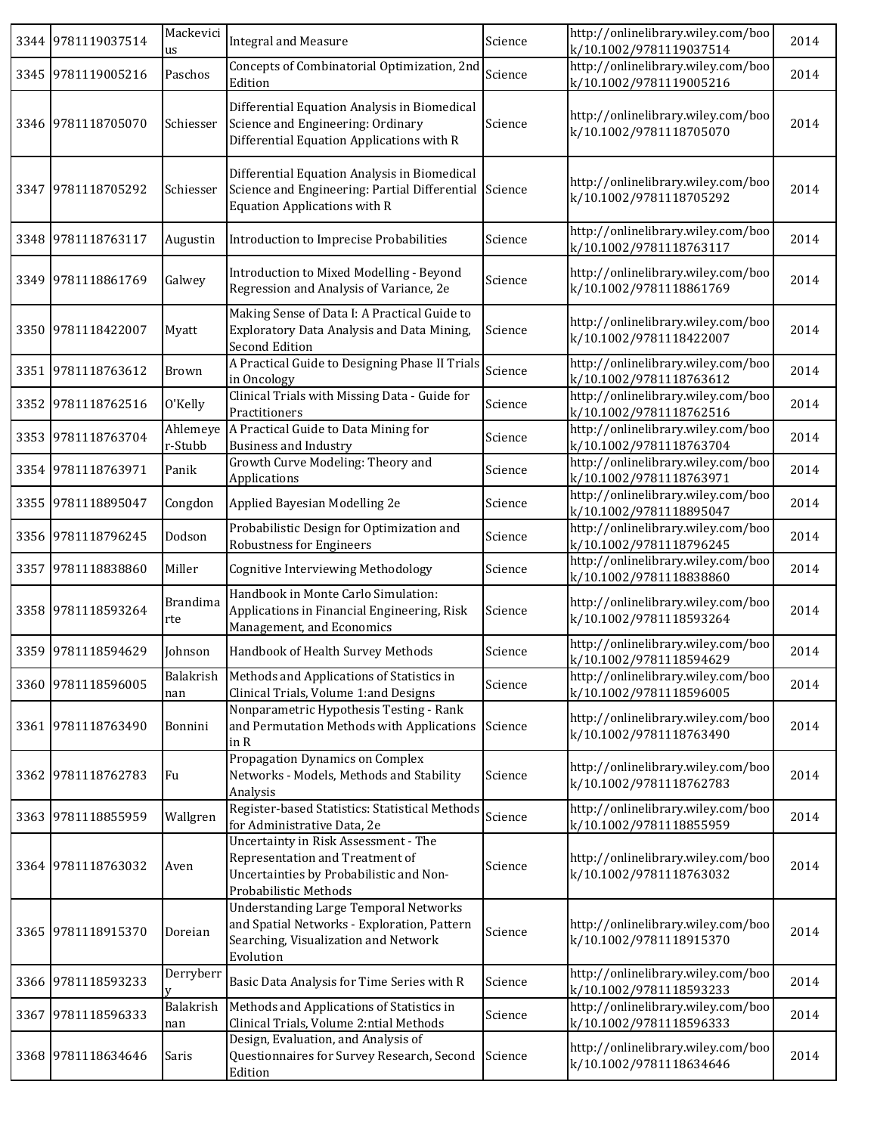|      | 3344 9781119037514 | Mackevici<br>us        | <b>Integral and Measure</b>                                                                                                                      | Science | http://onlinelibrary.wiley.com/boo<br>k/10.1002/9781119037514 | 2014 |
|------|--------------------|------------------------|--------------------------------------------------------------------------------------------------------------------------------------------------|---------|---------------------------------------------------------------|------|
|      | 3345 9781119005216 | Paschos                | Concepts of Combinatorial Optimization, 2nd<br>Edition                                                                                           | Science | http://onlinelibrary.wiley.com/boo<br>k/10.1002/9781119005216 | 2014 |
|      | 3346 9781118705070 | Schiesser              | Differential Equation Analysis in Biomedical<br>Science and Engineering: Ordinary<br>Differential Equation Applications with R                   | Science | http://onlinelibrary.wiley.com/boo<br>k/10.1002/9781118705070 | 2014 |
|      | 3347 9781118705292 | Schiesser              | Differential Equation Analysis in Biomedical<br>Science and Engineering: Partial Differential<br><b>Equation Applications with R</b>             | Science | http://onlinelibrary.wiley.com/boo<br>k/10.1002/9781118705292 | 2014 |
|      | 3348 9781118763117 | Augustin               | Introduction to Imprecise Probabilities                                                                                                          | Science | http://onlinelibrary.wiley.com/boo<br>k/10.1002/9781118763117 | 2014 |
|      | 3349 9781118861769 | Galwey                 | Introduction to Mixed Modelling - Beyond<br>Regression and Analysis of Variance, 2e                                                              | Science | http://onlinelibrary.wiley.com/boo<br>k/10.1002/9781118861769 | 2014 |
|      | 3350 9781118422007 | Myatt                  | Making Sense of Data I: A Practical Guide to<br>Exploratory Data Analysis and Data Mining,<br><b>Second Edition</b>                              | Science | http://onlinelibrary.wiley.com/boo<br>k/10.1002/9781118422007 | 2014 |
|      | 3351 9781118763612 | Brown                  | A Practical Guide to Designing Phase II Trials<br>in Oncology                                                                                    | Science | http://onlinelibrary.wiley.com/boo<br>k/10.1002/9781118763612 | 2014 |
|      | 3352 9781118762516 | O'Kelly                | Clinical Trials with Missing Data - Guide for<br>Practitioners                                                                                   | Science | http://onlinelibrary.wiley.com/boo<br>k/10.1002/9781118762516 | 2014 |
|      | 3353 9781118763704 | Ahlemeye<br>r-Stubb    | A Practical Guide to Data Mining for<br><b>Business and Industry</b>                                                                             | Science | http://onlinelibrary.wiley.com/boo<br>k/10.1002/9781118763704 | 2014 |
|      | 3354 9781118763971 | Panik                  | Growth Curve Modeling: Theory and<br>Applications                                                                                                | Science | http://onlinelibrary.wiley.com/boo<br>k/10.1002/9781118763971 | 2014 |
|      | 3355 9781118895047 | Congdon                | Applied Bayesian Modelling 2e                                                                                                                    | Science | http://onlinelibrary.wiley.com/boo<br>k/10.1002/9781118895047 | 2014 |
|      | 3356 9781118796245 | Dodson                 | Probabilistic Design for Optimization and<br><b>Robustness for Engineers</b>                                                                     | Science | http://onlinelibrary.wiley.com/boo<br>k/10.1002/9781118796245 | 2014 |
| 3357 | 9781118838860      | Miller                 | Cognitive Interviewing Methodology                                                                                                               | Science | http://onlinelibrary.wiley.com/boo<br>k/10.1002/9781118838860 | 2014 |
|      | 3358 9781118593264 | <b>Brandima</b><br>rte | Handbook in Monte Carlo Simulation:<br>Applications in Financial Engineering, Risk<br>Management, and Economics                                  | Science | http://onlinelibrary.wiley.com/boo<br>k/10.1002/9781118593264 | 2014 |
|      | 3359 9781118594629 | Johnson                | Handbook of Health Survey Methods                                                                                                                | Science | http://onlinelibrary.wiley.com/boo<br>k/10.1002/9781118594629 | 2014 |
|      | 3360 9781118596005 | nan                    | Balakrish Methods and Applications of Statistics in<br>Clinical Trials, Volume 1:and Designs                                                     | Science | http://onlinelibrary.wiley.com/boo<br>k/10.1002/9781118596005 | 2014 |
|      | 3361 9781118763490 | Bonnini                | Nonparametric Hypothesis Testing - Rank<br>and Permutation Methods with Applications<br>in R                                                     | Science | http://onlinelibrary.wiley.com/boo<br>k/10.1002/9781118763490 | 2014 |
|      | 3362 9781118762783 | Fu                     | Propagation Dynamics on Complex<br>Networks - Models, Methods and Stability<br>Analysis                                                          | Science | http://onlinelibrary.wiley.com/boo<br>k/10.1002/9781118762783 | 2014 |
|      | 3363 9781118855959 | Wallgren               | Register-based Statistics: Statistical Methods<br>for Administrative Data, 2e                                                                    | Science | http://onlinelibrary.wiley.com/boo<br>k/10.1002/9781118855959 | 2014 |
|      | 3364 9781118763032 | Aven                   | Uncertainty in Risk Assessment - The<br>Representation and Treatment of<br>Uncertainties by Probabilistic and Non-<br>Probabilistic Methods      | Science | http://onlinelibrary.wiley.com/boo<br>k/10.1002/9781118763032 | 2014 |
|      | 3365 9781118915370 | Doreian                | <b>Understanding Large Temporal Networks</b><br>and Spatial Networks - Exploration, Pattern<br>Searching, Visualization and Network<br>Evolution | Science | http://onlinelibrary.wiley.com/boo<br>k/10.1002/9781118915370 | 2014 |
|      | 3366 9781118593233 | Derryberr              | Basic Data Analysis for Time Series with R                                                                                                       | Science | http://onlinelibrary.wiley.com/boo<br>k/10.1002/9781118593233 | 2014 |
|      | 3367 9781118596333 | Balakrish<br>nan       | Methods and Applications of Statistics in<br>Clinical Trials, Volume 2:ntial Methods                                                             | Science | http://onlinelibrary.wiley.com/boo<br>k/10.1002/9781118596333 | 2014 |
|      | 3368 9781118634646 | Saris                  | Design, Evaluation, and Analysis of<br>Questionnaires for Survey Research, Second<br>Edition                                                     | Science | http://onlinelibrary.wiley.com/boo<br>k/10.1002/9781118634646 | 2014 |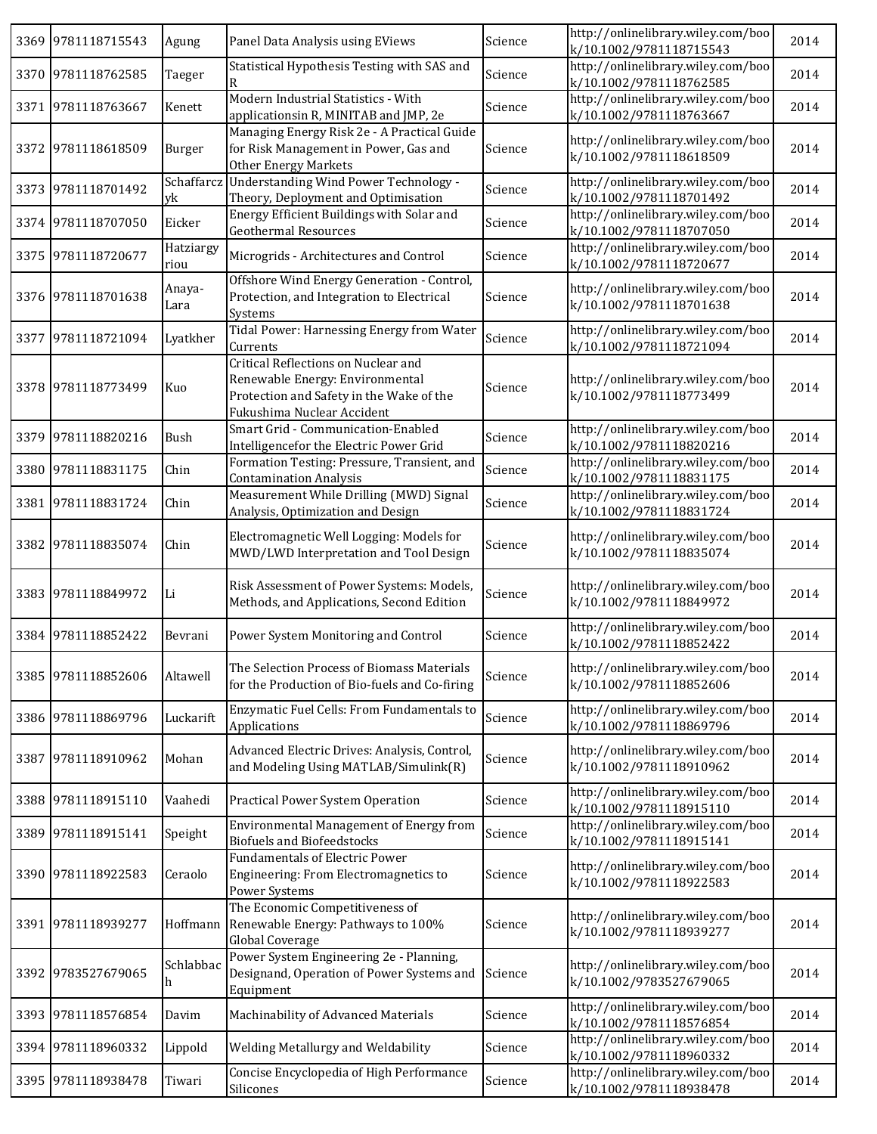|      | 3369 9781118715543 | Agung             | Panel Data Analysis using EViews                                                                                                                 | Science | http://onlinelibrary.wiley.com/boo<br>k/10.1002/9781118715543 | 2014 |
|------|--------------------|-------------------|--------------------------------------------------------------------------------------------------------------------------------------------------|---------|---------------------------------------------------------------|------|
|      | 3370 9781118762585 | Taeger            | Statistical Hypothesis Testing with SAS and<br>R                                                                                                 | Science | http://onlinelibrary.wiley.com/boo<br>k/10.1002/9781118762585 | 2014 |
| 3371 | 9781118763667      | Kenett            | Modern Industrial Statistics - With<br>applicationsin R, MINITAB and JMP, 2e                                                                     | Science | http://onlinelibrary.wiley.com/boo<br>k/10.1002/9781118763667 | 2014 |
|      | 3372 9781118618509 | Burger            | Managing Energy Risk 2e - A Practical Guide<br>for Risk Management in Power, Gas and<br><b>Other Energy Markets</b>                              | Science | http://onlinelibrary.wiley.com/boo<br>k/10.1002/9781118618509 | 2014 |
|      | 3373 9781118701492 | Schaffarcz<br>yk  | <b>Understanding Wind Power Technology -</b><br>Theory, Deployment and Optimisation                                                              | Science | http://onlinelibrary.wiley.com/boo<br>k/10.1002/9781118701492 | 2014 |
|      | 3374 9781118707050 | Eicker            | Energy Efficient Buildings with Solar and<br><b>Geothermal Resources</b>                                                                         | Science | http://onlinelibrary.wiley.com/boo<br>k/10.1002/9781118707050 | 2014 |
|      | 3375 9781118720677 | Hatziargy<br>riou | Microgrids - Architectures and Control                                                                                                           | Science | http://onlinelibrary.wiley.com/boo<br>k/10.1002/9781118720677 | 2014 |
|      | 3376 9781118701638 | Anaya-<br>Lara    | Offshore Wind Energy Generation - Control,<br>Protection, and Integration to Electrical<br>Systems                                               | Science | http://onlinelibrary.wiley.com/boo<br>k/10.1002/9781118701638 | 2014 |
| 3377 | 9781118721094      | Lyatkher          | Tidal Power: Harnessing Energy from Water<br>Currents                                                                                            | Science | http://onlinelibrary.wiley.com/boo<br>k/10.1002/9781118721094 | 2014 |
|      | 3378 9781118773499 | Kuo               | Critical Reflections on Nuclear and<br>Renewable Energy: Environmental<br>Protection and Safety in the Wake of the<br>Fukushima Nuclear Accident | Science | http://onlinelibrary.wiley.com/boo<br>k/10.1002/9781118773499 | 2014 |
|      | 3379 9781118820216 | Bush              | Smart Grid - Communication-Enabled<br>Intelligencefor the Electric Power Grid                                                                    | Science | http://onlinelibrary.wiley.com/boo<br>k/10.1002/9781118820216 | 2014 |
|      | 3380 9781118831175 | Chin              | Formation Testing: Pressure, Transient, and<br><b>Contamination Analysis</b>                                                                     | Science | http://onlinelibrary.wiley.com/boo<br>k/10.1002/9781118831175 | 2014 |
|      | 3381 9781118831724 | Chin              | Measurement While Drilling (MWD) Signal<br>Analysis, Optimization and Design                                                                     | Science | http://onlinelibrary.wiley.com/boo<br>k/10.1002/9781118831724 | 2014 |
|      | 3382 9781118835074 | Chin              | Electromagnetic Well Logging: Models for<br>MWD/LWD Interpretation and Tool Design                                                               | Science | http://onlinelibrary.wiley.com/boo<br>k/10.1002/9781118835074 | 2014 |
|      | 3383 9781118849972 | $\rm Li$          | Risk Assessment of Power Systems: Models,<br>Methods, and Applications, Second Edition                                                           | Science | http://onlinelibrary.wiley.com/boo<br>k/10.1002/9781118849972 | 2014 |
|      | 3384 9781118852422 | Bevrani           | Power System Monitoring and Control                                                                                                              | Science | http://onlinelibrary.wiley.com/boo<br>k/10.1002/9781118852422 | 2014 |
|      | 3385 9781118852606 | Altawell          | The Selection Process of Biomass Materials<br>for the Production of Bio-fuels and Co-firing                                                      | Science | http://onlinelibrary.wiley.com/boo<br>k/10.1002/9781118852606 | 2014 |
|      | 3386 9781118869796 | Luckarift         | Enzymatic Fuel Cells: From Fundamentals to<br>Applications                                                                                       | Science | http://onlinelibrary.wiley.com/boo<br>k/10.1002/9781118869796 | 2014 |
|      | 3387 9781118910962 | Mohan             | Advanced Electric Drives: Analysis, Control,<br>and Modeling Using MATLAB/Simulink(R)                                                            | Science | http://onlinelibrary.wiley.com/boo<br>k/10.1002/9781118910962 | 2014 |
|      | 3388 9781118915110 | Vaahedi           | Practical Power System Operation                                                                                                                 | Science | http://onlinelibrary.wiley.com/boo<br>k/10.1002/9781118915110 | 2014 |
|      | 3389 9781118915141 | Speight           | Environmental Management of Energy from<br><b>Biofuels and Biofeedstocks</b>                                                                     | Science | http://onlinelibrary.wiley.com/boo<br>k/10.1002/9781118915141 | 2014 |
|      | 3390 9781118922583 | Ceraolo           | <b>Fundamentals of Electric Power</b><br>Engineering: From Electromagnetics to<br>Power Systems                                                  | Science | http://onlinelibrary.wiley.com/boo<br>k/10.1002/9781118922583 | 2014 |
|      | 3391 9781118939277 | Hoffmann          | The Economic Competitiveness of<br>Renewable Energy: Pathways to 100%<br>Global Coverage                                                         | Science | http://onlinelibrary.wiley.com/boo<br>k/10.1002/9781118939277 | 2014 |
|      | 3392 9783527679065 | Schlabbac<br>h    | Power System Engineering 2e - Planning,<br>Designand, Operation of Power Systems and<br>Equipment                                                | Science | http://onlinelibrary.wiley.com/boo<br>k/10.1002/9783527679065 | 2014 |
|      | 3393 9781118576854 | Davim             | Machinability of Advanced Materials                                                                                                              | Science | http://onlinelibrary.wiley.com/boo<br>k/10.1002/9781118576854 | 2014 |
|      | 3394 9781118960332 | Lippold           | Welding Metallurgy and Weldability                                                                                                               | Science | http://onlinelibrary.wiley.com/boo<br>k/10.1002/9781118960332 | 2014 |
|      | 3395 9781118938478 | Tiwari            | Concise Encyclopedia of High Performance<br>Silicones                                                                                            | Science | http://onlinelibrary.wiley.com/boo<br>k/10.1002/9781118938478 | 2014 |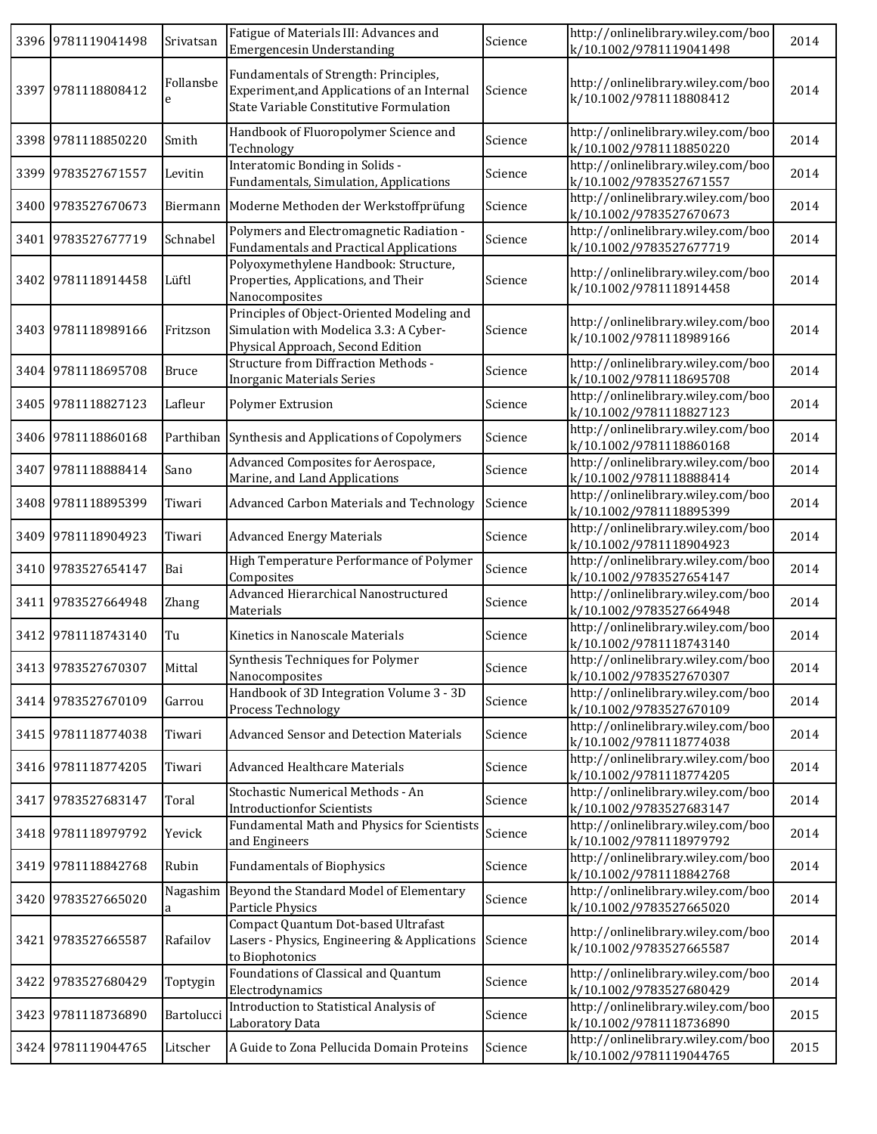| 3396 9781119041498 | Srivatsan      | Fatigue of Materials III: Advances and<br>Emergencesin Understanding                                                            | Science | http://onlinelibrary.wiley.com/boo<br>k/10.1002/9781119041498 | 2014 |
|--------------------|----------------|---------------------------------------------------------------------------------------------------------------------------------|---------|---------------------------------------------------------------|------|
| 3397 9781118808412 | Follansbe<br>e | Fundamentals of Strength: Principles,<br>Experiment, and Applications of an Internal<br>State Variable Constitutive Formulation | Science | http://onlinelibrary.wiley.com/boo<br>k/10.1002/9781118808412 | 2014 |
| 3398 9781118850220 | Smith          | Handbook of Fluoropolymer Science and<br>Technology                                                                             | Science | http://onlinelibrary.wiley.com/boo<br>k/10.1002/9781118850220 | 2014 |
| 3399 9783527671557 | Levitin        | Interatomic Bonding in Solids -<br>Fundamentals, Simulation, Applications                                                       | Science | http://onlinelibrary.wiley.com/boo<br>k/10.1002/9783527671557 | 2014 |
| 3400 9783527670673 |                | Biermann   Moderne Methoden der Werkstoffprüfung                                                                                | Science | http://onlinelibrary.wiley.com/boo<br>k/10.1002/9783527670673 | 2014 |
| 3401 9783527677719 | Schnabel       | Polymers and Electromagnetic Radiation -<br><b>Fundamentals and Practical Applications</b>                                      | Science | http://onlinelibrary.wiley.com/boo<br>k/10.1002/9783527677719 | 2014 |
| 3402 9781118914458 | Lüftl          | Polyoxymethylene Handbook: Structure,<br>Properties, Applications, and Their<br>Nanocomposites                                  | Science | http://onlinelibrary.wiley.com/boo<br>k/10.1002/9781118914458 | 2014 |
| 3403 9781118989166 | Fritzson       | Principles of Object-Oriented Modeling and<br>Simulation with Modelica 3.3: A Cyber-<br>Physical Approach, Second Edition       | Science | http://onlinelibrary.wiley.com/boo<br>k/10.1002/9781118989166 | 2014 |
| 3404 9781118695708 | <b>Bruce</b>   | <b>Structure from Diffraction Methods -</b><br><b>Inorganic Materials Series</b>                                                | Science | http://onlinelibrary.wiley.com/boo<br>k/10.1002/9781118695708 | 2014 |
| 3405 9781118827123 | Lafleur        | Polymer Extrusion                                                                                                               | Science | http://onlinelibrary.wiley.com/boo<br>k/10.1002/9781118827123 | 2014 |
| 3406 9781118860168 |                | Parthiban Synthesis and Applications of Copolymers                                                                              | Science | http://onlinelibrary.wiley.com/boo<br>k/10.1002/9781118860168 | 2014 |
| 3407 9781118888414 | Sano           | Advanced Composites for Aerospace,<br>Marine, and Land Applications                                                             | Science | http://onlinelibrary.wiley.com/boo<br>k/10.1002/9781118888414 | 2014 |
| 3408 9781118895399 | Tiwari         | Advanced Carbon Materials and Technology                                                                                        | Science | http://onlinelibrary.wiley.com/boo<br>k/10.1002/9781118895399 | 2014 |
| 3409 9781118904923 | Tiwari         | <b>Advanced Energy Materials</b>                                                                                                | Science | http://onlinelibrary.wiley.com/boo<br>k/10.1002/9781118904923 | 2014 |
| 3410 9783527654147 | Bai            | High Temperature Performance of Polymer<br>Composites                                                                           | Science | http://onlinelibrary.wiley.com/boo<br>k/10.1002/9783527654147 | 2014 |
| 3411 9783527664948 | Zhang          | Advanced Hierarchical Nanostructured<br>Materials                                                                               | Science | http://onlinelibrary.wiley.com/boo<br>k/10.1002/9783527664948 | 2014 |
| 3412 9781118743140 | Tu             | Kinetics in Nanoscale Materials                                                                                                 | Science | http://onlinelibrary.wiley.com/boo<br>k/10.1002/9781118743140 | 2014 |
| 3413 9783527670307 | Mittal         | Synthesis Techniques for Polymer<br>Nanocomposites                                                                              | Science | http://onlinelibrary.wiley.com/boo<br>k/10.1002/9783527670307 | 2014 |
| 3414 9783527670109 | Garrou         | Handbook of 3D Integration Volume 3 - 3D<br>Process Technology                                                                  | Science | http://onlinelibrary.wiley.com/boo<br>k/10.1002/9783527670109 | 2014 |
| 3415 9781118774038 | Tiwari         | Advanced Sensor and Detection Materials                                                                                         | Science | http://onlinelibrary.wiley.com/boo<br>k/10.1002/9781118774038 | 2014 |
| 3416 9781118774205 | Tiwari         | <b>Advanced Healthcare Materials</b>                                                                                            | Science | http://onlinelibrary.wiley.com/boo<br>k/10.1002/9781118774205 | 2014 |
| 3417 9783527683147 | Toral          | Stochastic Numerical Methods - An<br><b>Introductionfor Scientists</b>                                                          | Science | http://onlinelibrary.wiley.com/boo<br>k/10.1002/9783527683147 | 2014 |
| 3418 9781118979792 | Yevick         | Fundamental Math and Physics for Scientists<br>and Engineers                                                                    | Science | http://onlinelibrary.wiley.com/boo<br>k/10.1002/9781118979792 | 2014 |
| 3419 9781118842768 | Rubin          | <b>Fundamentals of Biophysics</b>                                                                                               | Science | http://onlinelibrary.wiley.com/boo<br>k/10.1002/9781118842768 | 2014 |
| 3420 9783527665020 | Nagashim<br>a  | Beyond the Standard Model of Elementary<br>Particle Physics                                                                     | Science | http://onlinelibrary.wiley.com/boo<br>k/10.1002/9783527665020 | 2014 |
| 3421 9783527665587 | Rafailov       | Compact Quantum Dot-based Ultrafast<br>Lasers - Physics, Engineering & Applications<br>to Biophotonics                          | Science | http://onlinelibrary.wiley.com/boo<br>k/10.1002/9783527665587 | 2014 |
| 3422 9783527680429 | Toptygin       | Foundations of Classical and Quantum<br>Electrodynamics                                                                         | Science | http://onlinelibrary.wiley.com/boo<br>k/10.1002/9783527680429 | 2014 |
| 3423 9781118736890 | Bartolucci     | Introduction to Statistical Analysis of<br>Laboratory Data                                                                      | Science | http://onlinelibrary.wiley.com/boo<br>k/10.1002/9781118736890 | 2015 |
| 3424 9781119044765 | Litscher       | A Guide to Zona Pellucida Domain Proteins                                                                                       | Science | http://onlinelibrary.wiley.com/boo<br>k/10.1002/9781119044765 | 2015 |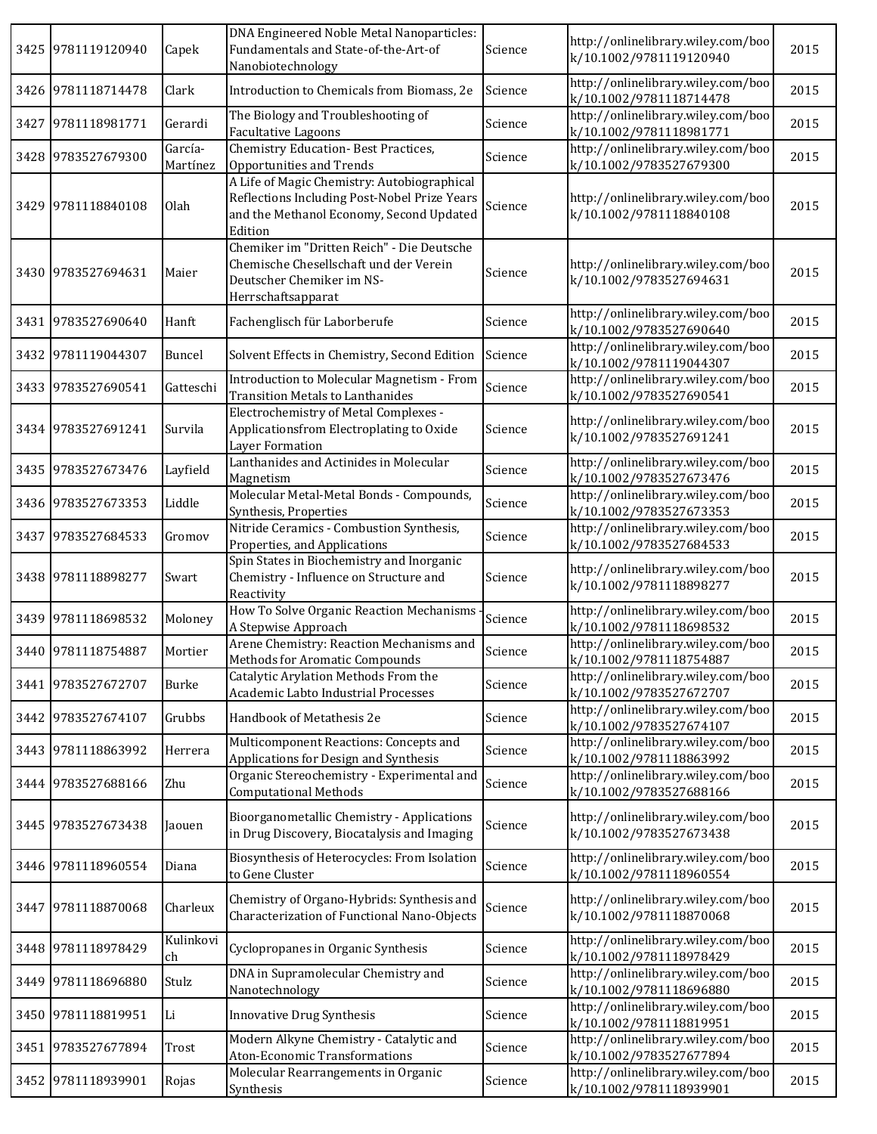| 3425 | 9781119120940      | Capek               | DNA Engineered Noble Metal Nanoparticles:<br>Fundamentals and State-of-the-Art-of<br>Nanobiotechnology                                             | Science | http://onlinelibrary.wiley.com/boo<br>k/10.1002/9781119120940 | 2015 |
|------|--------------------|---------------------|----------------------------------------------------------------------------------------------------------------------------------------------------|---------|---------------------------------------------------------------|------|
|      | 3426 9781118714478 | Clark               | Introduction to Chemicals from Biomass, 2e                                                                                                         | Science | http://onlinelibrary.wiley.com/boo<br>k/10.1002/9781118714478 | 2015 |
| 3427 | 9781118981771      | Gerardi             | The Biology and Troubleshooting of<br>Facultative Lagoons                                                                                          | Science | http://onlinelibrary.wiley.com/boo<br>k/10.1002/9781118981771 | 2015 |
| 3428 | 9783527679300      | García-<br>Martínez | <b>Chemistry Education-Best Practices,</b><br>Opportunities and Trends                                                                             | Science | http://onlinelibrary.wiley.com/boo<br>k/10.1002/9783527679300 | 2015 |
| 3429 | 9781118840108      | Olah                | A Life of Magic Chemistry: Autobiographical<br>Reflections Including Post-Nobel Prize Years<br>and the Methanol Economy, Second Updated<br>Edition | Science | http://onlinelibrary.wiley.com/boo<br>k/10.1002/9781118840108 | 2015 |
|      | 3430 9783527694631 | Maier               | Chemiker im "Dritten Reich" - Die Deutsche<br>Chemische Chesellschaft und der Verein<br>Deutscher Chemiker im NS-<br>Herrschaftsapparat            | Science | http://onlinelibrary.wiley.com/boo<br>k/10.1002/9783527694631 | 2015 |
|      | 3431 9783527690640 | Hanft               | Fachenglisch für Laborberufe                                                                                                                       | Science | http://onlinelibrary.wiley.com/boo<br>k/10.1002/9783527690640 | 2015 |
| 3432 | 9781119044307      | Buncel              | Solvent Effects in Chemistry, Second Edition                                                                                                       | Science | http://onlinelibrary.wiley.com/boo<br>k/10.1002/9781119044307 | 2015 |
|      | 3433 9783527690541 | Gatteschi           | Introduction to Molecular Magnetism - From<br><b>Transition Metals to Lanthanides</b>                                                              | Science | http://onlinelibrary.wiley.com/boo<br>k/10.1002/9783527690541 | 2015 |
|      | 3434 9783527691241 | Survila             | Electrochemistry of Metal Complexes -<br>Applicationsfrom Electroplating to Oxide<br>Layer Formation                                               | Science | http://onlinelibrary.wiley.com/boo<br>k/10.1002/9783527691241 | 2015 |
|      | 3435 9783527673476 | Layfield            | Lanthanides and Actinides in Molecular<br>Magnetism                                                                                                | Science | http://onlinelibrary.wiley.com/boo<br>k/10.1002/9783527673476 | 2015 |
|      | 3436 9783527673353 | Liddle              | Molecular Metal-Metal Bonds - Compounds,<br>Synthesis, Properties                                                                                  | Science | http://onlinelibrary.wiley.com/boo<br>k/10.1002/9783527673353 | 2015 |
| 3437 | 9783527684533      | Gromov              | Nitride Ceramics - Combustion Synthesis,<br>Properties, and Applications                                                                           | Science | http://onlinelibrary.wiley.com/boo<br>k/10.1002/9783527684533 | 2015 |
|      | 3438 9781118898277 | Swart               | Spin States in Biochemistry and Inorganic<br>Chemistry - Influence on Structure and<br>Reactivity                                                  | Science | http://onlinelibrary.wiley.com/boo<br>k/10.1002/9781118898277 | 2015 |
|      | 3439 9781118698532 | Moloney             | How To Solve Organic Reaction Mechanisms<br>A Stepwise Approach                                                                                    | Science | http://onlinelibrary.wiley.com/boo<br>k/10.1002/9781118698532 | 2015 |
|      | 3440 9781118754887 | Mortier             | Arene Chemistry: Reaction Mechanisms and<br>Methods for Aromatic Compounds                                                                         | Science | http://onlinelibrary.wiley.com/boo<br>k/10.1002/9781118754887 | 2015 |
|      | 3441 9783527672707 | Burke               | Catalytic Arylation Methods From the<br>Academic Labto Industrial Processes                                                                        | Science | http://onlinelibrary.wiley.com/boo<br>k/10.1002/9783527672707 | 2015 |
|      | 3442 9783527674107 | Grubbs              | Handbook of Metathesis 2e                                                                                                                          | Science | http://onlinelibrary.wiley.com/boo<br>k/10.1002/9783527674107 | 2015 |
|      | 3443 9781118863992 | Herrera             | Multicomponent Reactions: Concepts and<br>Applications for Design and Synthesis                                                                    | Science | http://onlinelibrary.wiley.com/boo<br>k/10.1002/9781118863992 | 2015 |
|      | 3444 9783527688166 | Zhu                 | Organic Stereochemistry - Experimental and<br><b>Computational Methods</b>                                                                         | Science | http://onlinelibrary.wiley.com/boo<br>k/10.1002/9783527688166 | 2015 |
|      | 3445 9783527673438 | Jaouen              | Bioorganometallic Chemistry - Applications<br>in Drug Discovery, Biocatalysis and Imaging                                                          | Science | http://onlinelibrary.wiley.com/boo<br>k/10.1002/9783527673438 | 2015 |
|      | 3446 9781118960554 | Diana               | Biosynthesis of Heterocycles: From Isolation<br>to Gene Cluster                                                                                    | Science | http://onlinelibrary.wiley.com/boo<br>k/10.1002/9781118960554 | 2015 |
|      | 3447 9781118870068 | Charleux            | Chemistry of Organo-Hybrids: Synthesis and<br>Characterization of Functional Nano-Objects                                                          | Science | http://onlinelibrary.wiley.com/boo<br>k/10.1002/9781118870068 | 2015 |
| 3448 | 9781118978429      | Kulinkovi<br>ch     | Cyclopropanes in Organic Synthesis                                                                                                                 | Science | http://onlinelibrary.wiley.com/boo<br>k/10.1002/9781118978429 | 2015 |
| 3449 | 9781118696880      | Stulz               | DNA in Supramolecular Chemistry and<br>Nanotechnology                                                                                              | Science | http://onlinelibrary.wiley.com/boo<br>k/10.1002/9781118696880 | 2015 |
|      | 3450 9781118819951 | Li                  | Innovative Drug Synthesis                                                                                                                          | Science | http://onlinelibrary.wiley.com/boo<br>k/10.1002/9781118819951 | 2015 |
|      | 3451 9783527677894 | Trost               | Modern Alkyne Chemistry - Catalytic and<br><b>Aton-Economic Transformations</b>                                                                    | Science | http://onlinelibrary.wiley.com/boo<br>k/10.1002/9783527677894 | 2015 |
|      | 3452 9781118939901 | Rojas               | Molecular Rearrangements in Organic<br>Synthesis                                                                                                   | Science | http://onlinelibrary.wiley.com/boo<br>k/10.1002/9781118939901 | 2015 |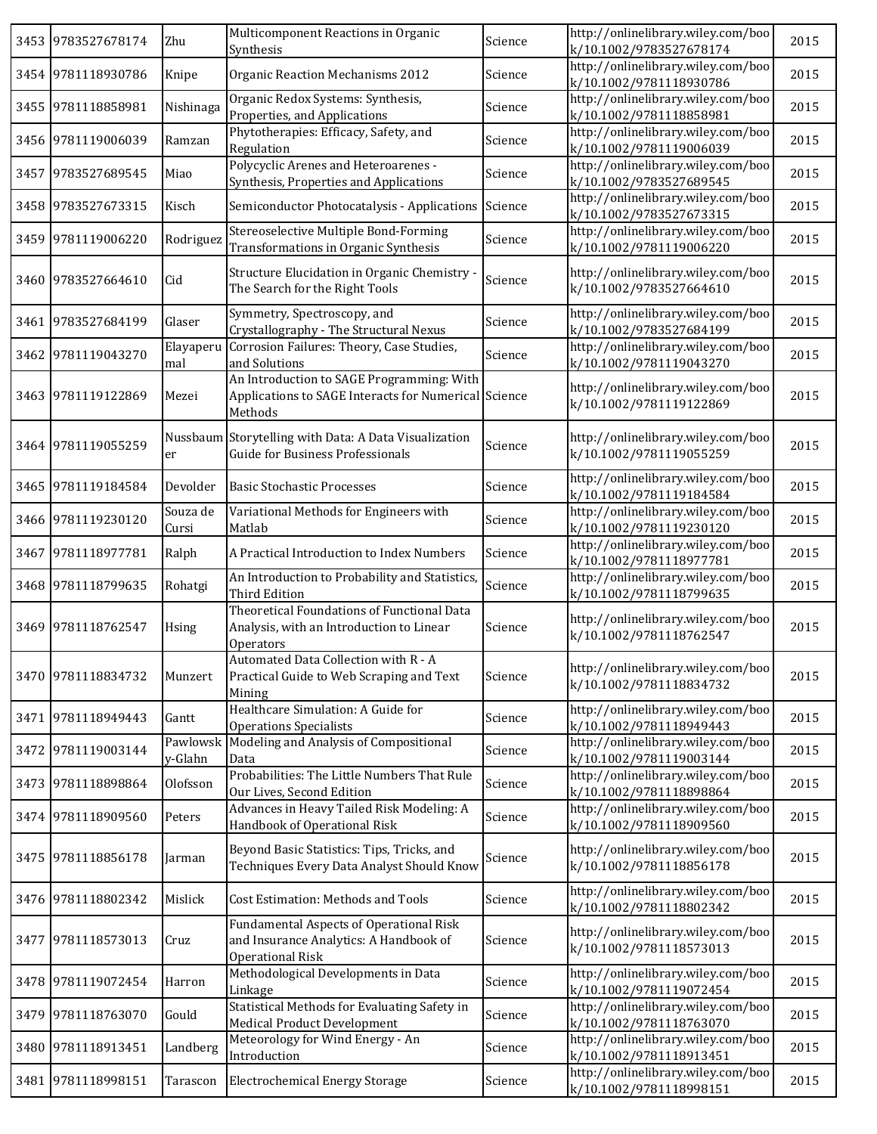|      | 3453 9783527678174 | Zhu                 | Multicomponent Reactions in Organic<br>Synthesis                                                             | Science | http://onlinelibrary.wiley.com/boo<br>k/10.1002/9783527678174 | 2015 |
|------|--------------------|---------------------|--------------------------------------------------------------------------------------------------------------|---------|---------------------------------------------------------------|------|
|      | 3454 9781118930786 | Knipe               | Organic Reaction Mechanisms 2012                                                                             | Science | http://onlinelibrary.wiley.com/boo<br>k/10.1002/9781118930786 | 2015 |
|      | 3455 9781118858981 | Nishinaga           | Organic Redox Systems: Synthesis,<br>Properties, and Applications                                            | Science | http://onlinelibrary.wiley.com/boo<br>k/10.1002/9781118858981 | 2015 |
|      | 3456 9781119006039 | Ramzan              | Phytotherapies: Efficacy, Safety, and<br>Regulation                                                          | Science | http://onlinelibrary.wiley.com/boo<br>k/10.1002/9781119006039 | 2015 |
| 3457 | 9783527689545      | Miao                | Polycyclic Arenes and Heteroarenes -<br>Synthesis, Properties and Applications                               | Science | http://onlinelibrary.wiley.com/boo<br>k/10.1002/9783527689545 | 2015 |
|      | 3458 9783527673315 | Kisch               | Semiconductor Photocatalysis - Applications                                                                  | Science | http://onlinelibrary.wiley.com/boo<br>k/10.1002/9783527673315 | 2015 |
|      | 3459 9781119006220 | Rodriguez           | Stereoselective Multiple Bond-Forming<br>Transformations in Organic Synthesis                                | Science | http://onlinelibrary.wiley.com/boo<br>k/10.1002/9781119006220 | 2015 |
|      | 3460 9783527664610 | Cid                 | Structure Elucidation in Organic Chemistry -<br>The Search for the Right Tools                               | Science | http://onlinelibrary.wiley.com/boo<br>k/10.1002/9783527664610 | 2015 |
|      | 3461 9783527684199 | Glaser              | Symmetry, Spectroscopy, and<br>Crystallography - The Structural Nexus                                        | Science | http://onlinelibrary.wiley.com/boo<br>k/10.1002/9783527684199 | 2015 |
| 3462 | 9781119043270      | Elayaperu<br>mal    | Corrosion Failures: Theory, Case Studies,<br>and Solutions                                                   | Science | http://onlinelibrary.wiley.com/boo<br>k/10.1002/9781119043270 | 2015 |
|      | 3463 9781119122869 | Mezei               | An Introduction to SAGE Programming: With<br>Applications to SAGE Interacts for Numerical Science<br>Methods |         | http://onlinelibrary.wiley.com/boo<br>k/10.1002/9781119122869 | 2015 |
|      | 3464 9781119055259 | er                  | Nussbaum Storytelling with Data: A Data Visualization<br>Guide for Business Professionals                    | Science | http://onlinelibrary.wiley.com/boo<br>k/10.1002/9781119055259 | 2015 |
|      | 3465 9781119184584 | Devolder            | <b>Basic Stochastic Processes</b>                                                                            | Science | http://onlinelibrary.wiley.com/boo<br>k/10.1002/9781119184584 | 2015 |
|      | 3466 9781119230120 | Souza de<br>Cursi   | Variational Methods for Engineers with<br>Matlab                                                             | Science | http://onlinelibrary.wiley.com/boo<br>k/10.1002/9781119230120 | 2015 |
|      | 3467 9781118977781 | Ralph               | A Practical Introduction to Index Numbers                                                                    | Science | http://onlinelibrary.wiley.com/boo<br>k/10.1002/9781118977781 | 2015 |
|      | 3468 9781118799635 | Rohatgi             | An Introduction to Probability and Statistics,<br><b>Third Edition</b>                                       | Science | http://onlinelibrary.wiley.com/boo<br>k/10.1002/9781118799635 | 2015 |
| 3469 | 9781118762547      | Hsing               | Theoretical Foundations of Functional Data<br>Analysis, with an Introduction to Linear<br>Operators          | Science | http://onlinelibrary.wiley.com/boo<br>k/10.1002/9781118762547 | 2015 |
|      | 3470 9781118834732 | Munzert             | Automated Data Collection with R - A<br>Practical Guide to Web Scraping and Text<br>Mining                   | Science | http://onlinelibrary.wiley.com/boo<br>k/10.1002/9781118834732 | 2015 |
|      | 3471 9781118949443 | Gantt               | Healthcare Simulation: A Guide for<br><b>Operations Specialists</b>                                          | Science | http://onlinelibrary.wiley.com/boo<br>k/10.1002/9781118949443 | 2015 |
| 3472 | 9781119003144      | Pawlowsk<br>y-Glahn | Modeling and Analysis of Compositional<br>Data                                                               | Science | http://onlinelibrary.wiley.com/boo<br>k/10.1002/9781119003144 | 2015 |
| 3473 | 9781118898864      | Olofsson            | Probabilities: The Little Numbers That Rule<br>Our Lives, Second Edition                                     | Science | http://onlinelibrary.wiley.com/boo<br>k/10.1002/9781118898864 | 2015 |
|      | 3474 9781118909560 | Peters              | Advances in Heavy Tailed Risk Modeling: A<br>Handbook of Operational Risk                                    | Science | http://onlinelibrary.wiley.com/boo<br>k/10.1002/9781118909560 | 2015 |
|      | 3475 9781118856178 | Jarman              | Beyond Basic Statistics: Tips, Tricks, and<br>Techniques Every Data Analyst Should Know                      | Science | http://onlinelibrary.wiley.com/boo<br>k/10.1002/9781118856178 | 2015 |
|      | 3476 9781118802342 | Mislick             | Cost Estimation: Methods and Tools                                                                           | Science | http://onlinelibrary.wiley.com/boo<br>k/10.1002/9781118802342 | 2015 |
| 3477 | 9781118573013      | Cruz                | Fundamental Aspects of Operational Risk<br>and Insurance Analytics: A Handbook of<br>Operational Risk        | Science | http://onlinelibrary.wiley.com/boo<br>k/10.1002/9781118573013 | 2015 |
|      | 3478 9781119072454 | Harron              | Methodological Developments in Data<br>Linkage                                                               | Science | http://onlinelibrary.wiley.com/boo<br>k/10.1002/9781119072454 | 2015 |
| 3479 | 9781118763070      | Gould               | Statistical Methods for Evaluating Safety in<br><b>Medical Product Development</b>                           | Science | http://onlinelibrary.wiley.com/boo<br>k/10.1002/9781118763070 | 2015 |
|      | 3480 9781118913451 | Landberg            | Meteorology for Wind Energy - An<br>Introduction                                                             | Science | http://onlinelibrary.wiley.com/boo<br>k/10.1002/9781118913451 | 2015 |
|      | 3481 9781118998151 | Tarascon            | <b>Electrochemical Energy Storage</b>                                                                        | Science | http://onlinelibrary.wiley.com/boo<br>k/10.1002/9781118998151 | 2015 |